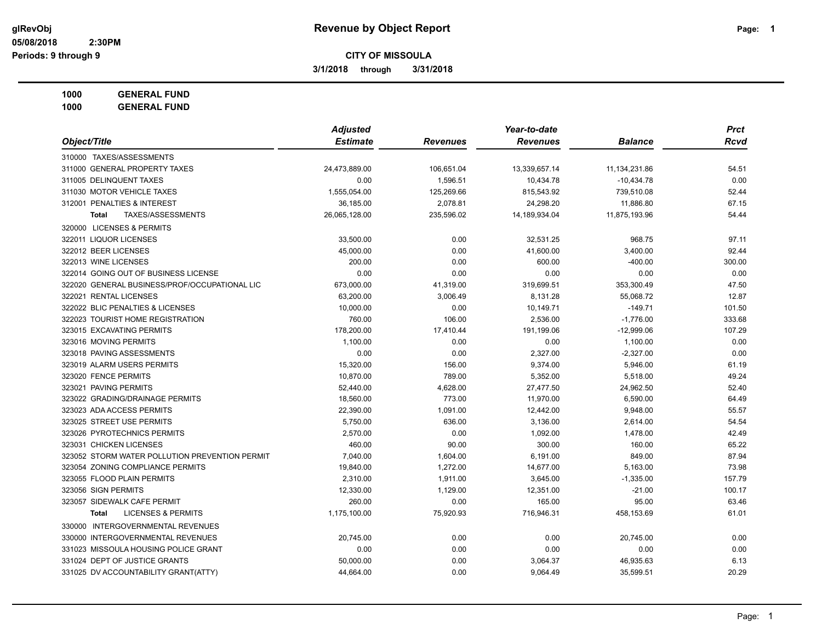**3/1/2018 through 3/31/2018**

**1000 GENERAL FUND**

| Object/Title                                   | <b>Adjusted</b> |                 | Year-to-date    |                 | <b>Prct</b> |
|------------------------------------------------|-----------------|-----------------|-----------------|-----------------|-------------|
|                                                | <b>Estimate</b> | <b>Revenues</b> | <b>Revenues</b> | <b>Balance</b>  | <b>Rcvd</b> |
| 310000 TAXES/ASSESSMENTS                       |                 |                 |                 |                 |             |
| 311000 GENERAL PROPERTY TAXES                  | 24,473,889.00   | 106,651.04      | 13,339,657.14   | 11, 134, 231.86 | 54.51       |
| 311005 DELINQUENT TAXES                        | 0.00            | 1,596.51        | 10,434.78       | $-10,434.78$    | 0.00        |
| 311030 MOTOR VEHICLE TAXES                     | 1,555,054.00    | 125,269.66      | 815,543.92      | 739,510.08      | 52.44       |
| 312001 PENALTIES & INTEREST                    | 36,185.00       | 2,078.81        | 24,298.20       | 11,886.80       | 67.15       |
| TAXES/ASSESSMENTS<br>Total                     | 26,065,128.00   | 235,596.02      | 14,189,934.04   | 11,875,193.96   | 54.44       |
| 320000 LICENSES & PERMITS                      |                 |                 |                 |                 |             |
| 322011 LIQUOR LICENSES                         | 33,500.00       | 0.00            | 32,531.25       | 968.75          | 97.11       |
| 322012 BEER LICENSES                           | 45,000.00       | 0.00            | 41,600.00       | 3,400.00        | 92.44       |
| 322013 WINE LICENSES                           | 200.00          | 0.00            | 600.00          | $-400.00$       | 300.00      |
| 322014 GOING OUT OF BUSINESS LICENSE           | 0.00            | 0.00            | 0.00            | 0.00            | 0.00        |
| 322020 GENERAL BUSINESS/PROF/OCCUPATIONAL LIC  | 673,000.00      | 41,319.00       | 319,699.51      | 353,300.49      | 47.50       |
| 322021 RENTAL LICENSES                         | 63,200.00       | 3,006.49        | 8,131.28        | 55,068.72       | 12.87       |
| 322022 BLIC PENALTIES & LICENSES               | 10,000.00       | 0.00            | 10,149.71       | $-149.71$       | 101.50      |
| 322023 TOURIST HOME REGISTRATION               | 760.00          | 106.00          | 2,536.00        | $-1,776.00$     | 333.68      |
| 323015 EXCAVATING PERMITS                      | 178,200.00      | 17,410.44       | 191,199.06      | $-12,999.06$    | 107.29      |
| 323016 MOVING PERMITS                          | 1,100.00        | 0.00            | 0.00            | 1,100.00        | 0.00        |
| 323018 PAVING ASSESSMENTS                      | 0.00            | 0.00            | 2,327.00        | $-2,327.00$     | 0.00        |
| 323019 ALARM USERS PERMITS                     | 15,320.00       | 156.00          | 9,374.00        | 5,946.00        | 61.19       |
| 323020 FENCE PERMITS                           | 10,870.00       | 789.00          | 5,352.00        | 5,518.00        | 49.24       |
| 323021 PAVING PERMITS                          | 52,440.00       | 4,628.00        | 27,477.50       | 24,962.50       | 52.40       |
| 323022 GRADING/DRAINAGE PERMITS                | 18,560.00       | 773.00          | 11,970.00       | 6,590.00        | 64.49       |
| 323023 ADA ACCESS PERMITS                      | 22,390.00       | 1,091.00        | 12,442.00       | 9,948.00        | 55.57       |
| 323025 STREET USE PERMITS                      | 5,750.00        | 636.00          | 3,136.00        | 2,614.00        | 54.54       |
| 323026 PYROTECHNICS PERMITS                    | 2,570.00        | 0.00            | 1,092.00        | 1,478.00        | 42.49       |
| 323031 CHICKEN LICENSES                        | 460.00          | 90.00           | 300.00          | 160.00          | 65.22       |
| 323052 STORM WATER POLLUTION PREVENTION PERMIT | 7,040.00        | 1,604.00        | 6,191.00        | 849.00          | 87.94       |
| 323054 ZONING COMPLIANCE PERMITS               | 19,840.00       | 1,272.00        | 14,677.00       | 5,163.00        | 73.98       |
| 323055 FLOOD PLAIN PERMITS                     | 2,310.00        | 1,911.00        | 3,645.00        | $-1,335.00$     | 157.79      |
| 323056 SIGN PERMITS                            | 12,330.00       | 1,129.00        | 12,351.00       | $-21.00$        | 100.17      |
| 323057 SIDEWALK CAFE PERMIT                    | 260.00          | 0.00            | 165.00          | 95.00           | 63.46       |
| <b>LICENSES &amp; PERMITS</b><br><b>Total</b>  | 1,175,100.00    | 75,920.93       | 716,946.31      | 458,153.69      | 61.01       |
| 330000 INTERGOVERNMENTAL REVENUES              |                 |                 |                 |                 |             |
| 330000 INTERGOVERNMENTAL REVENUES              | 20,745.00       | 0.00            | 0.00            | 20,745.00       | 0.00        |
| 331023 MISSOULA HOUSING POLICE GRANT           | 0.00            | 0.00            | 0.00            | 0.00            | 0.00        |
| 331024 DEPT OF JUSTICE GRANTS                  | 50,000.00       | 0.00            | 3,064.37        | 46,935.63       | 6.13        |
| 331025 DV ACCOUNTABILITY GRANT(ATTY)           | 44,664.00       | 0.00            | 9,064.49        | 35,599.51       | 20.29       |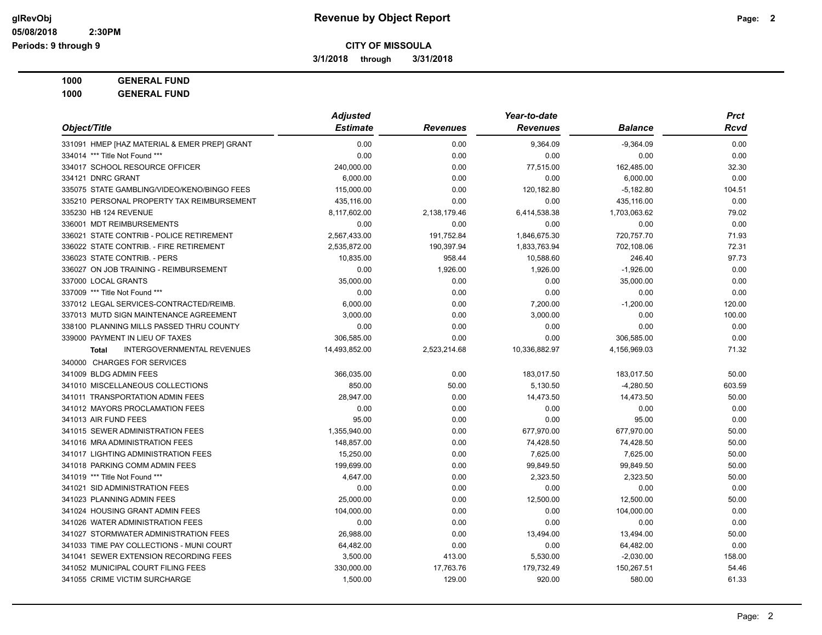**3/1/2018 through 3/31/2018**

#### **1000 GENERAL FUND**

| Object/Title                                      | <b>Adjusted</b> |                 | Year-to-date    | <b>Prct</b>    |        |
|---------------------------------------------------|-----------------|-----------------|-----------------|----------------|--------|
|                                                   | <b>Estimate</b> | <b>Revenues</b> | <b>Revenues</b> | <b>Balance</b> | Rcvd   |
| 331091 HMEP [HAZ MATERIAL & EMER PREP] GRANT      | 0.00            | 0.00            | 9,364.09        | $-9,364.09$    | 0.00   |
| 334014 *** Title Not Found ***                    | 0.00            | 0.00            | 0.00            | 0.00           | 0.00   |
| 334017 SCHOOL RESOURCE OFFICER                    | 240,000.00      | 0.00            | 77,515.00       | 162,485.00     | 32.30  |
| 334121 DNRC GRANT                                 | 6,000.00        | 0.00            | 0.00            | 6,000.00       | 0.00   |
| 335075 STATE GAMBLING/VIDEO/KENO/BINGO FEES       | 115,000.00      | 0.00            | 120,182.80      | $-5,182.80$    | 104.51 |
| 335210 PERSONAL PROPERTY TAX REIMBURSEMENT        | 435,116.00      | 0.00            | 0.00            | 435,116.00     | 0.00   |
| 335230 HB 124 REVENUE                             | 8,117,602.00    | 2,138,179.46    | 6,414,538.38    | 1,703,063.62   | 79.02  |
| 336001 MDT REIMBURSEMENTS                         | 0.00            | 0.00            | 0.00            | 0.00           | 0.00   |
| 336021 STATE CONTRIB - POLICE RETIREMENT          | 2,567,433.00    | 191,752.84      | 1,846,675.30    | 720,757.70     | 71.93  |
| 336022 STATE CONTRIB. - FIRE RETIREMENT           | 2,535,872.00    | 190,397.94      | 1,833,763.94    | 702,108.06     | 72.31  |
| 336023 STATE CONTRIB. - PERS                      | 10,835.00       | 958.44          | 10,588.60       | 246.40         | 97.73  |
| 336027 ON JOB TRAINING - REIMBURSEMENT            | 0.00            | 1,926.00        | 1,926.00        | $-1,926.00$    | 0.00   |
| 337000 LOCAL GRANTS                               | 35,000.00       | 0.00            | 0.00            | 35,000.00      | 0.00   |
| 337009 *** Title Not Found ***                    | 0.00            | 0.00            | 0.00            | 0.00           | 0.00   |
| 337012 LEGAL SERVICES-CONTRACTED/REIMB.           | 6.000.00        | 0.00            | 7,200.00        | $-1,200.00$    | 120.00 |
| 337013 MUTD SIGN MAINTENANCE AGREEMENT            | 3,000.00        | 0.00            | 3,000.00        | 0.00           | 100.00 |
| 338100 PLANNING MILLS PASSED THRU COUNTY          | 0.00            | 0.00            | 0.00            | 0.00           | 0.00   |
| 339000 PAYMENT IN LIEU OF TAXES                   | 306,585.00      | 0.00            | 0.00            | 306,585.00     | 0.00   |
| <b>INTERGOVERNMENTAL REVENUES</b><br><b>Total</b> | 14,493,852.00   | 2,523,214.68    | 10,336,882.97   | 4,156,969.03   | 71.32  |
| 340000 CHARGES FOR SERVICES                       |                 |                 |                 |                |        |
| 341009 BLDG ADMIN FEES                            | 366,035.00      | 0.00            | 183,017.50      | 183,017.50     | 50.00  |
| 341010 MISCELLANEOUS COLLECTIONS                  | 850.00          | 50.00           | 5,130.50        | $-4,280.50$    | 603.59 |
| 341011 TRANSPORTATION ADMIN FEES                  | 28,947.00       | 0.00            | 14,473.50       | 14,473.50      | 50.00  |
| 341012 MAYORS PROCLAMATION FEES                   | 0.00            | 0.00            | 0.00            | 0.00           | 0.00   |
| 341013 AIR FUND FEES                              | 95.00           | 0.00            | 0.00            | 95.00          | 0.00   |
| 341015 SEWER ADMINISTRATION FEES                  | 1,355,940.00    | 0.00            | 677,970.00      | 677,970.00     | 50.00  |
| 341016 MRA ADMINISTRATION FEES                    | 148,857.00      | 0.00            | 74,428.50       | 74,428.50      | 50.00  |
| 341017 LIGHTING ADMINISTRATION FEES               | 15,250.00       | 0.00            | 7,625.00        | 7,625.00       | 50.00  |
| 341018 PARKING COMM ADMIN FEES                    | 199.699.00      | 0.00            | 99,849.50       | 99,849.50      | 50.00  |
| 341019 *** Title Not Found ***                    | 4,647.00        | 0.00            | 2,323.50        | 2,323.50       | 50.00  |
| 341021 SID ADMINISTRATION FEES                    | 0.00            | 0.00            | 0.00            | 0.00           | 0.00   |
| 341023 PLANNING ADMIN FEES                        | 25,000.00       | 0.00            | 12,500.00       | 12,500.00      | 50.00  |
| 341024 HOUSING GRANT ADMIN FEES                   | 104,000.00      | 0.00            | 0.00            | 104,000.00     | 0.00   |
| 341026 WATER ADMINISTRATION FEES                  | 0.00            | 0.00            | 0.00            | 0.00           | 0.00   |
| 341027 STORMWATER ADMINISTRATION FEES             | 26,988.00       | 0.00            | 13,494.00       | 13,494.00      | 50.00  |
| 341033 TIME PAY COLLECTIONS - MUNI COURT          | 64,482.00       | 0.00            | 0.00            | 64,482.00      | 0.00   |
| 341041 SEWER EXTENSION RECORDING FEES             | 3,500.00        | 413.00          | 5,530.00        | $-2,030.00$    | 158.00 |
| 341052 MUNICIPAL COURT FILING FEES                | 330,000.00      | 17,763.76       | 179,732.49      | 150,267.51     | 54.46  |
| 341055 CRIME VICTIM SURCHARGE                     | 1,500.00        | 129.00          | 920.00          | 580.00         | 61.33  |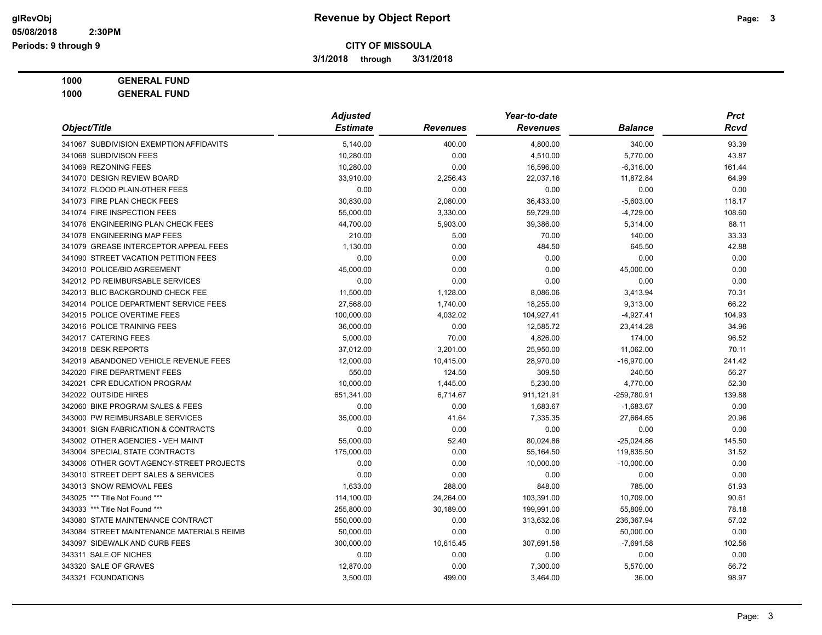**3/1/2018 through 3/31/2018**

# **1000 GENERAL FUND**

|                                           | <b>Adjusted</b> | Year-to-date    |                 |                | <b>Prct</b> |  |
|-------------------------------------------|-----------------|-----------------|-----------------|----------------|-------------|--|
| Object/Title                              | <b>Estimate</b> | <b>Revenues</b> | <b>Revenues</b> | <b>Balance</b> | Rcvd        |  |
| 341067 SUBDIVISION EXEMPTION AFFIDAVITS   | 5,140.00        | 400.00          | 4,800.00        | 340.00         | 93.39       |  |
| 341068 SUBDIVISON FEES                    | 10,280.00       | 0.00            | 4,510.00        | 5,770.00       | 43.87       |  |
| 341069 REZONING FEES                      | 10,280.00       | 0.00            | 16,596.00       | $-6,316.00$    | 161.44      |  |
| 341070 DESIGN REVIEW BOARD                | 33,910.00       | 2,256.43        | 22,037.16       | 11,872.84      | 64.99       |  |
| 341072 FLOOD PLAIN-0THER FEES             | 0.00            | 0.00            | 0.00            | 0.00           | 0.00        |  |
| 341073 FIRE PLAN CHECK FEES               | 30,830.00       | 2,080.00        | 36,433.00       | $-5,603.00$    | 118.17      |  |
| 341074 FIRE INSPECTION FEES               | 55,000.00       | 3,330.00        | 59,729.00       | $-4,729.00$    | 108.60      |  |
| 341076 ENGINEERING PLAN CHECK FEES        | 44,700.00       | 5,903.00        | 39,386.00       | 5,314.00       | 88.11       |  |
| 341078 ENGINEERING MAP FEES               | 210.00          | 5.00            | 70.00           | 140.00         | 33.33       |  |
| 341079 GREASE INTERCEPTOR APPEAL FEES     | 1,130.00        | 0.00            | 484.50          | 645.50         | 42.88       |  |
| 341090 STREET VACATION PETITION FEES      | 0.00            | 0.00            | 0.00            | 0.00           | 0.00        |  |
| 342010 POLICE/BID AGREEMENT               | 45,000.00       | 0.00            | 0.00            | 45,000.00      | 0.00        |  |
| 342012 PD REIMBURSABLE SERVICES           | 0.00            | 0.00            | 0.00            | 0.00           | 0.00        |  |
| 342013 BLIC BACKGROUND CHECK FEE          | 11,500.00       | 1,128.00        | 8,086.06        | 3,413.94       | 70.31       |  |
| 342014 POLICE DEPARTMENT SERVICE FEES     | 27,568.00       | 1,740.00        | 18,255.00       | 9,313.00       | 66.22       |  |
| 342015 POLICE OVERTIME FEES               | 100,000.00      | 4,032.02        | 104,927.41      | $-4,927.41$    | 104.93      |  |
| 342016 POLICE TRAINING FEES               | 36,000.00       | 0.00            | 12,585.72       | 23,414.28      | 34.96       |  |
| 342017 CATERING FEES                      | 5,000.00        | 70.00           | 4,826.00        | 174.00         | 96.52       |  |
| 342018 DESK REPORTS                       | 37,012.00       | 3,201.00        | 25,950.00       | 11,062.00      | 70.11       |  |
| 342019 ABANDONED VEHICLE REVENUE FEES     | 12,000.00       | 10,415.00       | 28,970.00       | $-16,970.00$   | 241.42      |  |
| 342020 FIRE DEPARTMENT FEES               | 550.00          | 124.50          | 309.50          | 240.50         | 56.27       |  |
| 342021 CPR EDUCATION PROGRAM              | 10,000.00       | 1,445.00        | 5,230.00        | 4,770.00       | 52.30       |  |
| 342022 OUTSIDE HIRES                      | 651,341.00      | 6,714.67        | 911,121.91      | -259,780.91    | 139.88      |  |
| 342060 BIKE PROGRAM SALES & FEES          | 0.00            | 0.00            | 1,683.67        | $-1,683.67$    | 0.00        |  |
| 343000 PW REIMBURSABLE SERVICES           | 35,000.00       | 41.64           | 7,335.35        | 27,664.65      | 20.96       |  |
| 343001 SIGN FABRICATION & CONTRACTS       | 0.00            | 0.00            | 0.00            | 0.00           | 0.00        |  |
| 343002 OTHER AGENCIES - VEH MAINT         | 55,000.00       | 52.40           | 80,024.86       | $-25,024.86$   | 145.50      |  |
| 343004 SPECIAL STATE CONTRACTS            | 175,000.00      | 0.00            | 55,164.50       | 119,835.50     | 31.52       |  |
| 343006 OTHER GOVT AGENCY-STREET PROJECTS  | 0.00            | 0.00            | 10,000.00       | $-10,000.00$   | 0.00        |  |
| 343010 STREET DEPT SALES & SERVICES       | 0.00            | 0.00            | 0.00            | 0.00           | 0.00        |  |
| 343013 SNOW REMOVAL FEES                  | 1,633.00        | 288.00          | 848.00          | 785.00         | 51.93       |  |
| 343025 *** Title Not Found ***            | 114,100.00      | 24,264.00       | 103,391.00      | 10,709.00      | 90.61       |  |
| 343033 *** Title Not Found ***            | 255,800.00      | 30,189.00       | 199,991.00      | 55,809.00      | 78.18       |  |
| 343080 STATE MAINTENANCE CONTRACT         | 550,000.00      | 0.00            | 313,632.06      | 236,367.94     | 57.02       |  |
| 343084 STREET MAINTENANCE MATERIALS REIMB | 50,000.00       | 0.00            | 0.00            | 50,000.00      | 0.00        |  |
| 343097 SIDEWALK AND CURB FEES             | 300,000.00      | 10,615.45       | 307,691.58      | $-7,691.58$    | 102.56      |  |
| 343311 SALE OF NICHES                     | 0.00            | 0.00            | 0.00            | 0.00           | 0.00        |  |
| 343320 SALE OF GRAVES                     | 12,870.00       | 0.00            | 7,300.00        | 5,570.00       | 56.72       |  |
| 343321 FOUNDATIONS                        | 3,500.00        | 499.00          | 3,464.00        | 36.00          | 98.97       |  |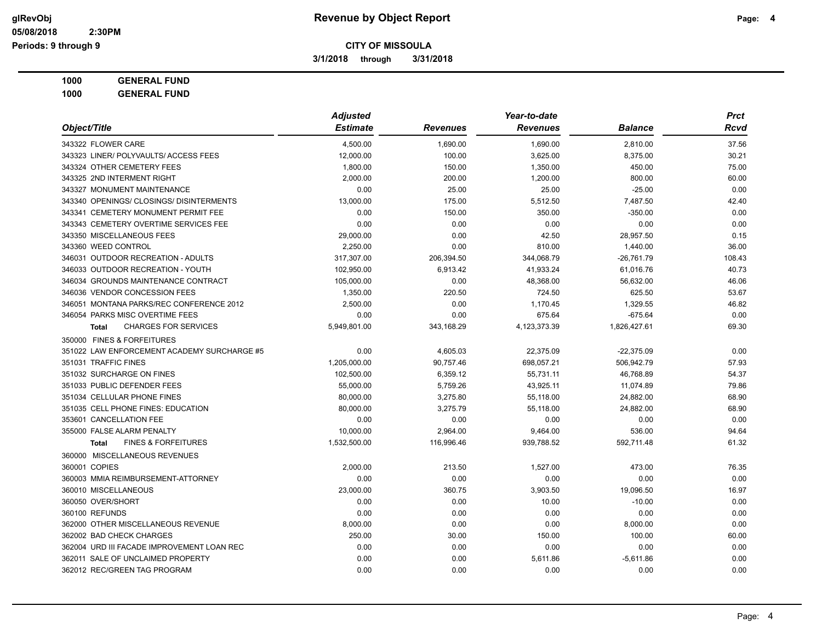**3/1/2018 through 3/31/2018**

# **1000 GENERAL FUND**

|                                                | <b>Adjusted</b> |                 | Year-to-date    |                | <b>Prct</b> |
|------------------------------------------------|-----------------|-----------------|-----------------|----------------|-------------|
| Object/Title                                   | <b>Estimate</b> | <b>Revenues</b> | <b>Revenues</b> | <b>Balance</b> | Rcvd        |
| 343322 FLOWER CARE                             | 4.500.00        | 1,690.00        | 1,690.00        | 2,810.00       | 37.56       |
| 343323 LINER/ POLYVAULTS/ ACCESS FEES          | 12,000.00       | 100.00          | 3,625.00        | 8,375.00       | 30.21       |
| 343324 OTHER CEMETERY FEES                     | 1,800.00        | 150.00          | 1,350.00        | 450.00         | 75.00       |
| 343325 2ND INTERMENT RIGHT                     | 2,000.00        | 200.00          | 1,200.00        | 800.00         | 60.00       |
| 343327 MONUMENT MAINTENANCE                    | 0.00            | 25.00           | 25.00           | $-25.00$       | 0.00        |
| 343340 OPENINGS/ CLOSINGS/ DISINTERMENTS       | 13,000.00       | 175.00          | 5,512.50        | 7,487.50       | 42.40       |
| 343341 CEMETERY MONUMENT PERMIT FEE            | 0.00            | 150.00          | 350.00          | $-350.00$      | 0.00        |
| 343343 CEMETERY OVERTIME SERVICES FEE          | 0.00            | 0.00            | 0.00            | 0.00           | 0.00        |
| 343350 MISCELLANEOUS FEES                      | 29,000.00       | 0.00            | 42.50           | 28,957.50      | 0.15        |
| 343360 WEED CONTROL                            | 2,250.00        | 0.00            | 810.00          | 1,440.00       | 36.00       |
| 346031 OUTDOOR RECREATION - ADULTS             | 317,307.00      | 206,394.50      | 344,068.79      | -26,761.79     | 108.43      |
| 346033 OUTDOOR RECREATION - YOUTH              | 102,950.00      | 6.913.42        | 41,933.24       | 61,016.76      | 40.73       |
| 346034 GROUNDS MAINTENANCE CONTRACT            | 105,000.00      | 0.00            | 48,368.00       | 56,632.00      | 46.06       |
| 346036 VENDOR CONCESSION FEES                  | 1,350.00        | 220.50          | 724.50          | 625.50         | 53.67       |
| 346051 MONTANA PARKS/REC CONFERENCE 2012       | 2,500.00        | 0.00            | 1,170.45        | 1,329.55       | 46.82       |
| 346054 PARKS MISC OVERTIME FEES                | 0.00            | 0.00            | 675.64          | $-675.64$      | 0.00        |
| <b>CHARGES FOR SERVICES</b><br><b>Total</b>    | 5,949,801.00    | 343,168.29      | 4,123,373.39    | 1,826,427.61   | 69.30       |
| 350000 FINES & FORFEITURES                     |                 |                 |                 |                |             |
| 351022 LAW ENFORCEMENT ACADEMY SURCHARGE #5    | 0.00            | 4,605.03        | 22,375.09       | $-22,375.09$   | 0.00        |
| 351031 TRAFFIC FINES                           | 1,205,000.00    | 90,757.46       | 698,057.21      | 506,942.79     | 57.93       |
| 351032 SURCHARGE ON FINES                      | 102,500.00      | 6,359.12        | 55,731.11       | 46,768.89      | 54.37       |
| 351033 PUBLIC DEFENDER FEES                    | 55,000.00       | 5,759.26        | 43,925.11       | 11,074.89      | 79.86       |
| 351034 CELLULAR PHONE FINES                    | 80,000.00       | 3,275.80        | 55,118.00       | 24,882.00      | 68.90       |
| 351035 CELL PHONE FINES: EDUCATION             | 80,000.00       | 3,275.79        | 55,118.00       | 24,882.00      | 68.90       |
| 353601 CANCELLATION FEE                        | 0.00            | 0.00            | 0.00            | 0.00           | 0.00        |
| 355000 FALSE ALARM PENALTY                     | 10,000.00       | 2,964.00        | 9,464.00        | 536.00         | 94.64       |
| <b>FINES &amp; FORFEITURES</b><br><b>Total</b> | 1,532,500.00    | 116,996.46      | 939,788.52      | 592,711.48     | 61.32       |
| 360000 MISCELLANEOUS REVENUES                  |                 |                 |                 |                |             |
| 360001 COPIES                                  | 2,000.00        | 213.50          | 1,527.00        | 473.00         | 76.35       |
| 360003 MMIA REIMBURSEMENT-ATTORNEY             | 0.00            | 0.00            | 0.00            | 0.00           | 0.00        |
| 360010 MISCELLANEOUS                           | 23,000.00       | 360.75          | 3,903.50        | 19,096.50      | 16.97       |
| 360050 OVER/SHORT                              | 0.00            | 0.00            | 10.00           | $-10.00$       | 0.00        |
| 360100 REFUNDS                                 | 0.00            | 0.00            | 0.00            | 0.00           | 0.00        |
| 362000 OTHER MISCELLANEOUS REVENUE             | 8,000.00        | 0.00            | 0.00            | 8,000.00       | 0.00        |
| 362002 BAD CHECK CHARGES                       | 250.00          | 30.00           | 150.00          | 100.00         | 60.00       |
| 362004 URD III FACADE IMPROVEMENT LOAN REC     | 0.00            | 0.00            | 0.00            | 0.00           | 0.00        |
| 362011 SALE OF UNCLAIMED PROPERTY              | 0.00            | 0.00            | 5,611.86        | $-5,611.86$    | 0.00        |
| 362012 REC/GREEN TAG PROGRAM                   | 0.00            | 0.00            | 0.00            | 0.00           | 0.00        |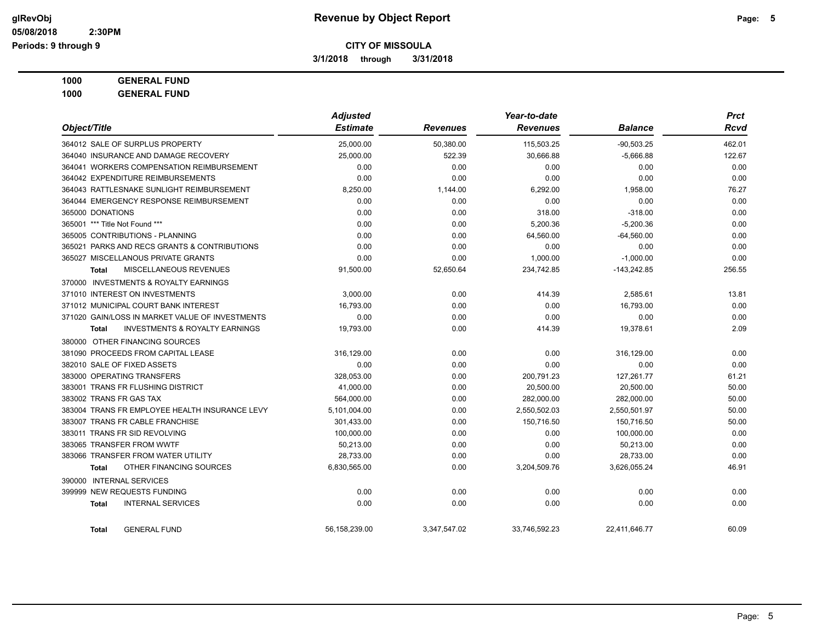**3/1/2018 through 3/31/2018**

**1000 GENERAL FUND**

|                                                           | <b>Adjusted</b> |                 | Year-to-date    |                | <b>Prct</b> |
|-----------------------------------------------------------|-----------------|-----------------|-----------------|----------------|-------------|
| Object/Title                                              | <b>Estimate</b> | <b>Revenues</b> | <b>Revenues</b> | <b>Balance</b> | Rcvd        |
| 364012 SALE OF SURPLUS PROPERTY                           | 25.000.00       | 50,380.00       | 115,503.25      | $-90,503.25$   | 462.01      |
| 364040 INSURANCE AND DAMAGE RECOVERY                      | 25,000.00       | 522.39          | 30,666.88       | $-5,666.88$    | 122.67      |
| 364041 WORKERS COMPENSATION REIMBURSEMENT                 | 0.00            | 0.00            | 0.00            | 0.00           | 0.00        |
| 364042 EXPENDITURE REIMBURSEMENTS                         | 0.00            | 0.00            | 0.00            | 0.00           | 0.00        |
| 364043 RATTLESNAKE SUNLIGHT REIMBURSEMENT                 | 8,250.00        | 1,144.00        | 6,292.00        | 1,958.00       | 76.27       |
| 364044 EMERGENCY RESPONSE REIMBURSEMENT                   | 0.00            | 0.00            | 0.00            | 0.00           | 0.00        |
| 365000 DONATIONS                                          | 0.00            | 0.00            | 318.00          | $-318.00$      | 0.00        |
| 365001 *** Title Not Found ***                            | 0.00            | 0.00            | 5,200.36        | $-5,200.36$    | 0.00        |
| 365005 CONTRIBUTIONS - PLANNING                           | 0.00            | 0.00            | 64,560.00       | $-64,560.00$   | 0.00        |
| 365021 PARKS AND RECS GRANTS & CONTRIBUTIONS              | 0.00            | 0.00            | 0.00            | 0.00           | 0.00        |
| 365027 MISCELLANOUS PRIVATE GRANTS                        | 0.00            | 0.00            | 1,000.00        | $-1,000.00$    | 0.00        |
| <b>MISCELLANEOUS REVENUES</b><br><b>Total</b>             | 91,500.00       | 52,650.64       | 234,742.85      | $-143,242.85$  | 256.55      |
| 370000 INVESTMENTS & ROYALTY EARNINGS                     |                 |                 |                 |                |             |
| 371010 INTEREST ON INVESTMENTS                            | 3,000.00        | 0.00            | 414.39          | 2,585.61       | 13.81       |
| 371012 MUNICIPAL COURT BANK INTEREST                      | 16,793.00       | 0.00            | 0.00            | 16,793.00      | 0.00        |
| 371020 GAIN/LOSS IN MARKET VALUE OF INVESTMENTS           | 0.00            | 0.00            | 0.00            | 0.00           | 0.00        |
| <b>INVESTMENTS &amp; ROYALTY EARNINGS</b><br><b>Total</b> | 19,793.00       | 0.00            | 414.39          | 19,378.61      | 2.09        |
| 380000 OTHER FINANCING SOURCES                            |                 |                 |                 |                |             |
| 381090 PROCEEDS FROM CAPITAL LEASE                        | 316.129.00      | 0.00            | 0.00            | 316,129.00     | 0.00        |
| 382010 SALE OF FIXED ASSETS                               | 0.00            | 0.00            | 0.00            | 0.00           | 0.00        |
| 383000 OPERATING TRANSFERS                                | 328,053.00      | 0.00            | 200,791.23      | 127,261.77     | 61.21       |
| 383001 TRANS FR FLUSHING DISTRICT                         | 41,000.00       | 0.00            | 20,500.00       | 20,500.00      | 50.00       |
| 383002 TRANS FR GAS TAX                                   | 564,000.00      | 0.00            | 282,000.00      | 282,000.00     | 50.00       |
| 383004 TRANS FR EMPLOYEE HEALTH INSURANCE LEVY            | 5,101,004.00    | 0.00            | 2,550,502.03    | 2,550,501.97   | 50.00       |
| 383007 TRANS FR CABLE FRANCHISE                           | 301,433.00      | 0.00            | 150,716.50      | 150,716.50     | 50.00       |
| 383011 TRANS FR SID REVOLVING                             | 100.000.00      | 0.00            | 0.00            | 100,000.00     | 0.00        |
| 383065 TRANSFER FROM WWTF                                 | 50,213.00       | 0.00            | 0.00            | 50,213.00      | 0.00        |
| 383066 TRANSFER FROM WATER UTILITY                        | 28,733.00       | 0.00            | 0.00            | 28,733.00      | 0.00        |
| OTHER FINANCING SOURCES<br><b>Total</b>                   | 6,830,565.00    | 0.00            | 3,204,509.76    | 3,626,055.24   | 46.91       |
| 390000 INTERNAL SERVICES                                  |                 |                 |                 |                |             |
| 399999 NEW REQUESTS FUNDING                               | 0.00            | 0.00            | 0.00            | 0.00           | 0.00        |
| <b>INTERNAL SERVICES</b><br><b>Total</b>                  | 0.00            | 0.00            | 0.00            | 0.00           | 0.00        |
| <b>GENERAL FUND</b><br><b>Total</b>                       | 56,158,239.00   | 3,347,547.02    | 33,746,592.23   | 22.411.646.77  | 60.09       |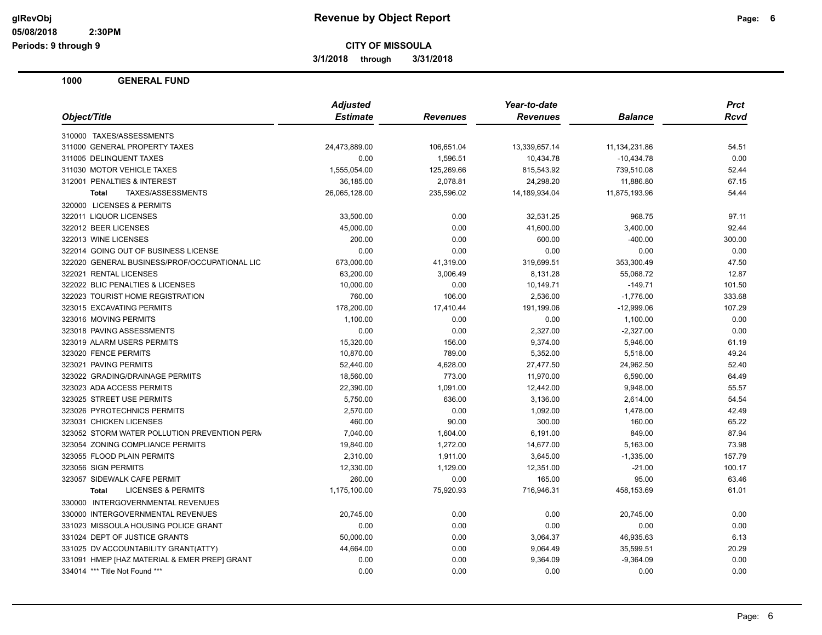**Periods: 9 through 9**

**CITY OF MISSOULA**

**3/1/2018 through 3/31/2018**

|                                               | <b>Adjusted</b> |                 | Year-to-date    | <b>Prct</b>     |             |
|-----------------------------------------------|-----------------|-----------------|-----------------|-----------------|-------------|
| Object/Title                                  | <b>Estimate</b> | <b>Revenues</b> | <b>Revenues</b> | <b>Balance</b>  | <b>Rcvd</b> |
| 310000 TAXES/ASSESSMENTS                      |                 |                 |                 |                 |             |
| 311000 GENERAL PROPERTY TAXES                 | 24,473,889.00   | 106,651.04      | 13,339,657.14   | 11, 134, 231.86 | 54.51       |
| 311005 DELINQUENT TAXES                       | 0.00            | 1,596.51        | 10,434.78       | $-10,434.78$    | 0.00        |
| 311030 MOTOR VEHICLE TAXES                    | 1,555,054.00    | 125,269.66      | 815,543.92      | 739,510.08      | 52.44       |
| 312001 PENALTIES & INTEREST                   | 36,185.00       | 2,078.81        | 24,298.20       | 11,886.80       | 67.15       |
| TAXES/ASSESSMENTS<br><b>Total</b>             | 26,065,128.00   | 235,596.02      | 14,189,934.04   | 11,875,193.96   | 54.44       |
| 320000 LICENSES & PERMITS                     |                 |                 |                 |                 |             |
| 322011 LIQUOR LICENSES                        | 33,500.00       | 0.00            | 32,531.25       | 968.75          | 97.11       |
| 322012 BEER LICENSES                          | 45,000.00       | 0.00            | 41,600.00       | 3,400.00        | 92.44       |
| 322013 WINE LICENSES                          | 200.00          | 0.00            | 600.00          | $-400.00$       | 300.00      |
| 322014 GOING OUT OF BUSINESS LICENSE          | 0.00            | 0.00            | 0.00            | 0.00            | 0.00        |
| 322020 GENERAL BUSINESS/PROF/OCCUPATIONAL LIC | 673,000.00      | 41,319.00       | 319,699.51      | 353,300.49      | 47.50       |
| 322021 RENTAL LICENSES                        | 63,200.00       | 3,006.49        | 8,131.28        | 55,068.72       | 12.87       |
| 322022 BLIC PENALTIES & LICENSES              | 10,000.00       | 0.00            | 10,149.71       | $-149.71$       | 101.50      |
| 322023 TOURIST HOME REGISTRATION              | 760.00          | 106.00          | 2,536.00        | $-1,776.00$     | 333.68      |
| 323015 EXCAVATING PERMITS                     | 178,200.00      | 17,410.44       | 191,199.06      | $-12,999.06$    | 107.29      |
| 323016 MOVING PERMITS                         | 1,100.00        | 0.00            | 0.00            | 1,100.00        | 0.00        |
| 323018 PAVING ASSESSMENTS                     | 0.00            | 0.00            | 2,327.00        | $-2,327.00$     | 0.00        |
| 323019 ALARM USERS PERMITS                    | 15,320.00       | 156.00          | 9,374.00        | 5,946.00        | 61.19       |
| 323020 FENCE PERMITS                          | 10,870.00       | 789.00          | 5,352.00        | 5,518.00        | 49.24       |
| 323021 PAVING PERMITS                         | 52,440.00       | 4,628.00        | 27,477.50       | 24,962.50       | 52.40       |
| 323022 GRADING/DRAINAGE PERMITS               | 18,560.00       | 773.00          | 11,970.00       | 6,590.00        | 64.49       |
| 323023 ADA ACCESS PERMITS                     | 22,390.00       | 1,091.00        | 12,442.00       | 9,948.00        | 55.57       |
| 323025 STREET USE PERMITS                     | 5,750.00        | 636.00          | 3,136.00        | 2,614.00        | 54.54       |
| 323026 PYROTECHNICS PERMITS                   | 2,570.00        | 0.00            | 1,092.00        | 1,478.00        | 42.49       |
| 323031 CHICKEN LICENSES                       | 460.00          | 90.00           | 300.00          | 160.00          | 65.22       |
| 323052 STORM WATER POLLUTION PREVENTION PERM  | 7,040.00        | 1,604.00        | 6,191.00        | 849.00          | 87.94       |
| 323054 ZONING COMPLIANCE PERMITS              | 19,840.00       | 1,272.00        | 14,677.00       | 5,163.00        | 73.98       |
| 323055 FLOOD PLAIN PERMITS                    | 2,310.00        | 1,911.00        | 3,645.00        | $-1,335.00$     | 157.79      |
| 323056 SIGN PERMITS                           | 12,330.00       | 1,129.00        | 12,351.00       | $-21.00$        | 100.17      |
| 323057 SIDEWALK CAFE PERMIT                   | 260.00          | 0.00            | 165.00          | 95.00           | 63.46       |
| <b>LICENSES &amp; PERMITS</b><br><b>Total</b> | 1,175,100.00    | 75,920.93       | 716,946.31      | 458,153.69      | 61.01       |
| 330000 INTERGOVERNMENTAL REVENUES             |                 |                 |                 |                 |             |
| 330000 INTERGOVERNMENTAL REVENUES             | 20,745.00       | 0.00            | 0.00            | 20,745.00       | 0.00        |
| 331023 MISSOULA HOUSING POLICE GRANT          | 0.00            | 0.00            | 0.00            | 0.00            | 0.00        |
| 331024 DEPT OF JUSTICE GRANTS                 | 50,000.00       | 0.00            | 3,064.37        | 46,935.63       | 6.13        |
| 331025 DV ACCOUNTABILITY GRANT(ATTY)          | 44,664.00       | 0.00            | 9,064.49        | 35,599.51       | 20.29       |
| 331091 HMEP [HAZ MATERIAL & EMER PREP] GRANT  | 0.00            | 0.00            | 9,364.09        | $-9,364.09$     | 0.00        |
| 334014 *** Title Not Found ***                | 0.00            | 0.00            | 0.00            | 0.00            | 0.00        |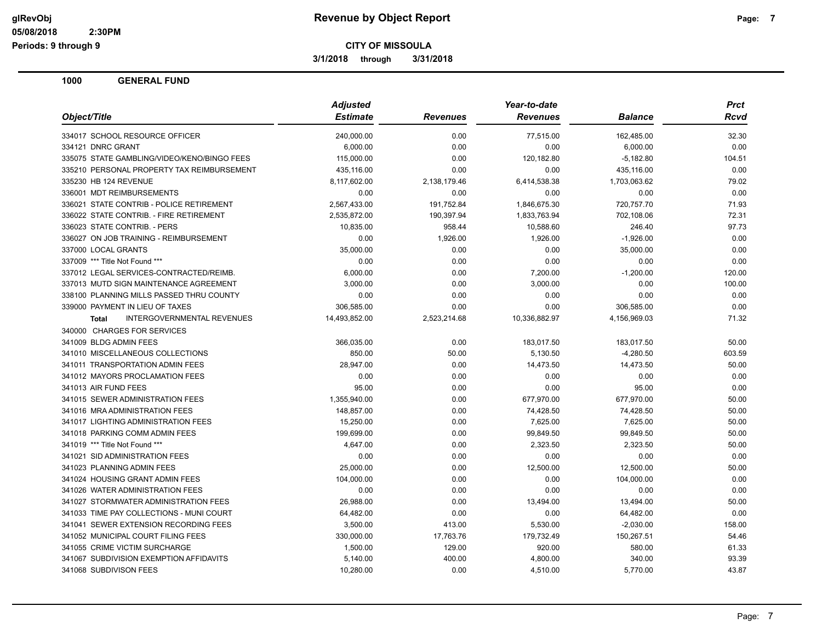**3/1/2018 through 3/31/2018**

| Object/Title                                      | <b>Adjusted</b> |                 | Year-to-date    | Prct           |        |
|---------------------------------------------------|-----------------|-----------------|-----------------|----------------|--------|
|                                                   | <b>Estimate</b> | <b>Revenues</b> | <b>Revenues</b> | <b>Balance</b> | Rcvd   |
| 334017 SCHOOL RESOURCE OFFICER                    | 240,000.00      | 0.00            | 77,515.00       | 162,485.00     | 32.30  |
| 334121 DNRC GRANT                                 | 6,000.00        | 0.00            | 0.00            | 6,000.00       | 0.00   |
| 335075 STATE GAMBLING/VIDEO/KENO/BINGO FEES       | 115,000.00      | 0.00            | 120,182.80      | $-5,182.80$    | 104.51 |
| 335210 PERSONAL PROPERTY TAX REIMBURSEMENT        | 435,116.00      | 0.00            | 0.00            | 435,116.00     | 0.00   |
| 335230 HB 124 REVENUE                             | 8,117,602.00    | 2,138,179.46    | 6,414,538.38    | 1,703,063.62   | 79.02  |
| 336001 MDT REIMBURSEMENTS                         | 0.00            | 0.00            | 0.00            | 0.00           | 0.00   |
| 336021 STATE CONTRIB - POLICE RETIREMENT          | 2,567,433.00    | 191,752.84      | 1,846,675.30    | 720,757.70     | 71.93  |
| 336022 STATE CONTRIB. - FIRE RETIREMENT           | 2,535,872.00    | 190,397.94      | 1,833,763.94    | 702,108.06     | 72.31  |
| 336023 STATE CONTRIB. - PERS                      | 10,835.00       | 958.44          | 10,588.60       | 246.40         | 97.73  |
| 336027 ON JOB TRAINING - REIMBURSEMENT            | 0.00            | 1,926.00        | 1,926.00        | $-1,926.00$    | 0.00   |
| 337000 LOCAL GRANTS                               | 35,000.00       | 0.00            | 0.00            | 35,000.00      | 0.00   |
| 337009 *** Title Not Found ***                    | 0.00            | 0.00            | 0.00            | 0.00           | 0.00   |
| 337012 LEGAL SERVICES-CONTRACTED/REIMB.           | 6,000.00        | 0.00            | 7,200.00        | $-1,200.00$    | 120.00 |
| 337013 MUTD SIGN MAINTENANCE AGREEMENT            | 3,000.00        | 0.00            | 3,000.00        | 0.00           | 100.00 |
| 338100 PLANNING MILLS PASSED THRU COUNTY          | 0.00            | 0.00            | 0.00            | 0.00           | 0.00   |
| 339000 PAYMENT IN LIEU OF TAXES                   | 306,585.00      | 0.00            | 0.00            | 306,585.00     | 0.00   |
| <b>INTERGOVERNMENTAL REVENUES</b><br><b>Total</b> | 14,493,852.00   | 2,523,214.68    | 10,336,882.97   | 4,156,969.03   | 71.32  |
| 340000 CHARGES FOR SERVICES                       |                 |                 |                 |                |        |
| 341009 BLDG ADMIN FEES                            | 366,035.00      | 0.00            | 183,017.50      | 183,017.50     | 50.00  |
| 341010 MISCELLANEOUS COLLECTIONS                  | 850.00          | 50.00           | 5,130.50        | $-4,280.50$    | 603.59 |
| 341011 TRANSPORTATION ADMIN FEES                  | 28,947.00       | 0.00            | 14,473.50       | 14,473.50      | 50.00  |
| 341012 MAYORS PROCLAMATION FEES                   | 0.00            | 0.00            | 0.00            | 0.00           | 0.00   |
| 341013 AIR FUND FEES                              | 95.00           | 0.00            | 0.00            | 95.00          | 0.00   |
| 341015 SEWER ADMINISTRATION FEES                  | 1,355,940.00    | 0.00            | 677,970.00      | 677,970.00     | 50.00  |
| 341016 MRA ADMINISTRATION FEES                    | 148,857.00      | 0.00            | 74,428.50       | 74,428.50      | 50.00  |
| 341017 LIGHTING ADMINISTRATION FEES               | 15,250.00       | 0.00            | 7,625.00        | 7,625.00       | 50.00  |
| 341018 PARKING COMM ADMIN FEES                    | 199,699.00      | 0.00            | 99,849.50       | 99,849.50      | 50.00  |
| 341019 *** Title Not Found ***                    | 4,647.00        | 0.00            | 2,323.50        | 2,323.50       | 50.00  |
| 341021 SID ADMINISTRATION FEES                    | 0.00            | 0.00            | 0.00            | 0.00           | 0.00   |
| 341023 PLANNING ADMIN FEES                        | 25,000.00       | 0.00            | 12,500.00       | 12,500.00      | 50.00  |
| 341024 HOUSING GRANT ADMIN FEES                   | 104,000.00      | 0.00            | 0.00            | 104,000.00     | 0.00   |
| 341026 WATER ADMINISTRATION FEES                  | 0.00            | 0.00            | 0.00            | 0.00           | 0.00   |
| 341027 STORMWATER ADMINISTRATION FEES             | 26,988.00       | 0.00            | 13,494.00       | 13,494.00      | 50.00  |
| 341033 TIME PAY COLLECTIONS - MUNI COURT          | 64,482.00       | 0.00            | 0.00            | 64,482.00      | 0.00   |
| 341041 SEWER EXTENSION RECORDING FEES             | 3,500.00        | 413.00          | 5,530.00        | $-2,030.00$    | 158.00 |
| 341052 MUNICIPAL COURT FILING FEES                | 330,000.00      | 17,763.76       | 179,732.49      | 150,267.51     | 54.46  |
| 341055 CRIME VICTIM SURCHARGE                     | 1,500.00        | 129.00          | 920.00          | 580.00         | 61.33  |
| 341067 SUBDIVISION EXEMPTION AFFIDAVITS           | 5,140.00        | 400.00          | 4,800.00        | 340.00         | 93.39  |
| 341068 SUBDIVISON FEES                            | 10,280.00       | 0.00            | 4,510.00        | 5.770.00       | 43.87  |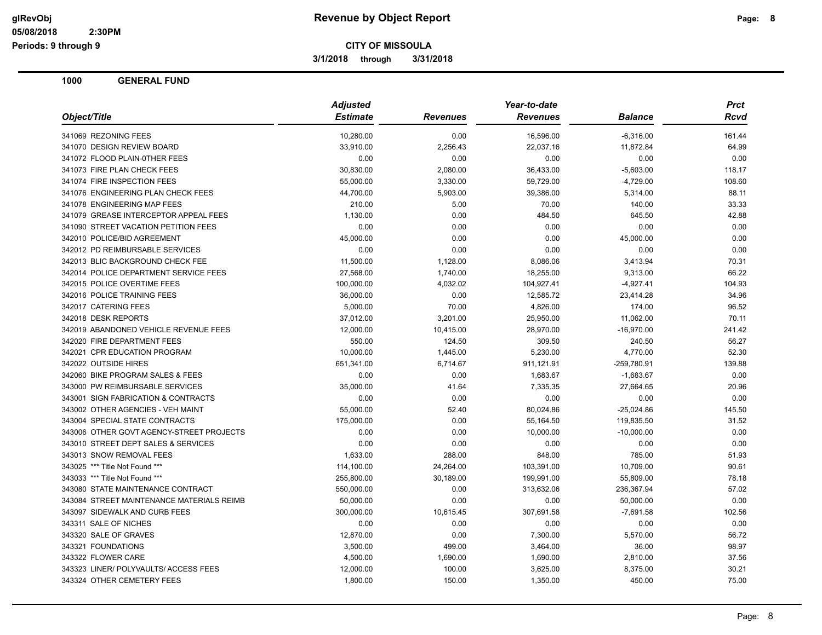**3/1/2018 through 3/31/2018**

| Object/Title                              | <b>Adjusted</b> |                 | Year-to-date    |                | <b>Prct</b> |  |
|-------------------------------------------|-----------------|-----------------|-----------------|----------------|-------------|--|
|                                           | <b>Estimate</b> | <b>Revenues</b> | <b>Revenues</b> | <b>Balance</b> | <b>Rcvd</b> |  |
| 341069 REZONING FEES                      | 10,280.00       | 0.00            | 16,596.00       | $-6,316.00$    | 161.44      |  |
| 341070 DESIGN REVIEW BOARD                | 33,910.00       | 2,256.43        | 22,037.16       | 11,872.84      | 64.99       |  |
| 341072 FLOOD PLAIN-0THER FEES             | 0.00            | 0.00            | 0.00            | 0.00           | 0.00        |  |
| 341073 FIRE PLAN CHECK FEES               | 30,830.00       | 2,080.00        | 36,433.00       | $-5,603.00$    | 118.17      |  |
| 341074 FIRE INSPECTION FEES               | 55,000.00       | 3,330.00        | 59,729.00       | $-4,729.00$    | 108.60      |  |
| 341076 ENGINEERING PLAN CHECK FEES        | 44,700.00       | 5,903.00        | 39,386.00       | 5,314.00       | 88.11       |  |
| 341078 ENGINEERING MAP FEES               | 210.00          | 5.00            | 70.00           | 140.00         | 33.33       |  |
| 341079 GREASE INTERCEPTOR APPEAL FEES     | 1,130.00        | 0.00            | 484.50          | 645.50         | 42.88       |  |
| 341090 STREET VACATION PETITION FEES      | 0.00            | 0.00            | 0.00            | 0.00           | 0.00        |  |
| 342010 POLICE/BID AGREEMENT               | 45,000.00       | 0.00            | 0.00            | 45,000.00      | 0.00        |  |
| 342012 PD REIMBURSABLE SERVICES           | 0.00            | 0.00            | 0.00            | 0.00           | 0.00        |  |
| 342013 BLIC BACKGROUND CHECK FEE          | 11,500.00       | 1,128.00        | 8,086.06        | 3,413.94       | 70.31       |  |
| 342014 POLICE DEPARTMENT SERVICE FEES     | 27,568.00       | 1,740.00        | 18,255.00       | 9,313.00       | 66.22       |  |
| 342015 POLICE OVERTIME FEES               | 100,000.00      | 4,032.02        | 104,927.41      | $-4,927.41$    | 104.93      |  |
| 342016 POLICE TRAINING FEES               | 36,000.00       | 0.00            | 12,585.72       | 23,414.28      | 34.96       |  |
| 342017 CATERING FEES                      | 5,000.00        | 70.00           | 4,826.00        | 174.00         | 96.52       |  |
| 342018 DESK REPORTS                       | 37,012.00       | 3,201.00        | 25,950.00       | 11,062.00      | 70.11       |  |
| 342019 ABANDONED VEHICLE REVENUE FEES     | 12,000.00       | 10,415.00       | 28,970.00       | $-16,970.00$   | 241.42      |  |
| 342020 FIRE DEPARTMENT FEES               | 550.00          | 124.50          | 309.50          | 240.50         | 56.27       |  |
| 342021 CPR EDUCATION PROGRAM              | 10,000.00       | 1,445.00        | 5,230.00        | 4,770.00       | 52.30       |  |
| 342022 OUTSIDE HIRES                      | 651,341.00      | 6,714.67        | 911,121.91      | $-259,780.91$  | 139.88      |  |
| 342060 BIKE PROGRAM SALES & FEES          | 0.00            | 0.00            | 1,683.67        | $-1,683.67$    | 0.00        |  |
| 343000 PW REIMBURSABLE SERVICES           | 35,000.00       | 41.64           | 7,335.35        | 27,664.65      | 20.96       |  |
| 343001 SIGN FABRICATION & CONTRACTS       | 0.00            | 0.00            | 0.00            | 0.00           | 0.00        |  |
| 343002 OTHER AGENCIES - VEH MAINT         | 55,000.00       | 52.40           | 80,024.86       | $-25,024.86$   | 145.50      |  |
| 343004 SPECIAL STATE CONTRACTS            | 175,000.00      | 0.00            | 55,164.50       | 119,835.50     | 31.52       |  |
| 343006 OTHER GOVT AGENCY-STREET PROJECTS  | 0.00            | 0.00            | 10,000.00       | $-10,000.00$   | 0.00        |  |
| 343010 STREET DEPT SALES & SERVICES       | 0.00            | 0.00            | 0.00            | 0.00           | 0.00        |  |
| 343013 SNOW REMOVAL FEES                  | 1,633.00        | 288.00          | 848.00          | 785.00         | 51.93       |  |
| 343025 *** Title Not Found ***            | 114,100.00      | 24,264.00       | 103,391.00      | 10,709.00      | 90.61       |  |
| 343033 *** Title Not Found ***            | 255,800.00      | 30,189.00       | 199,991.00      | 55,809.00      | 78.18       |  |
| 343080 STATE MAINTENANCE CONTRACT         | 550,000.00      | 0.00            | 313,632.06      | 236,367.94     | 57.02       |  |
| 343084 STREET MAINTENANCE MATERIALS REIMB | 50,000.00       | 0.00            | 0.00            | 50,000.00      | 0.00        |  |
| 343097 SIDEWALK AND CURB FEES             | 300,000.00      | 10,615.45       | 307,691.58      | $-7,691.58$    | 102.56      |  |
| 343311 SALE OF NICHES                     | 0.00            | 0.00            | 0.00            | 0.00           | 0.00        |  |
| 343320 SALE OF GRAVES                     | 12,870.00       | 0.00            | 7,300.00        | 5,570.00       | 56.72       |  |
| 343321 FOUNDATIONS                        | 3,500.00        | 499.00          | 3,464.00        | 36.00          | 98.97       |  |
| 343322 FLOWER CARE                        | 4,500.00        | 1,690.00        | 1,690.00        | 2,810.00       | 37.56       |  |
| 343323 LINER/ POLYVAULTS/ ACCESS FEES     | 12,000.00       | 100.00          | 3,625.00        | 8,375.00       | 30.21       |  |
| 343324 OTHER CEMETERY FEES                | 1,800.00        | 150.00          | 1,350.00        | 450.00         | 75.00       |  |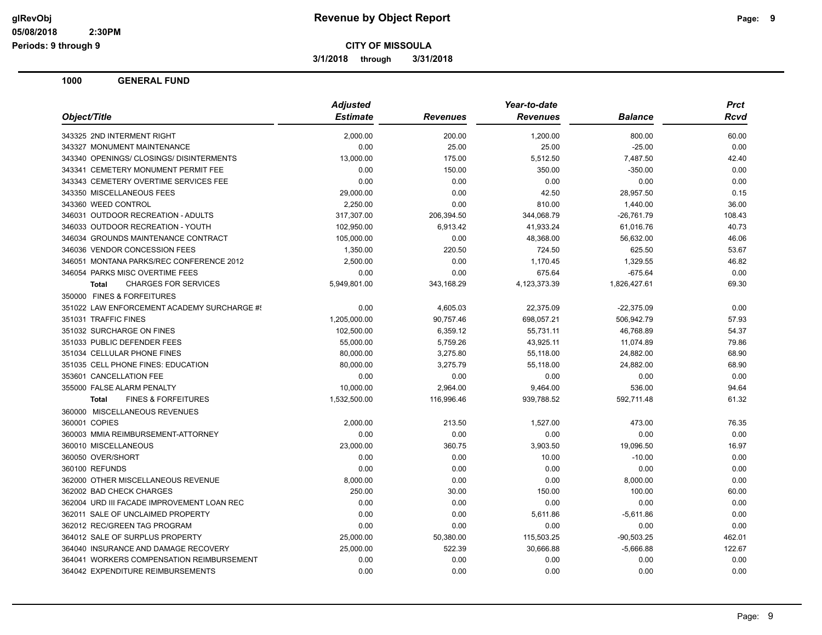**05/08/2018 2:30PM Periods: 9 through 9**

**CITY OF MISSOULA**

**3/1/2018 through 3/31/2018**

|                                                | <b>Adjusted</b> |                 | Year-to-date    |                | <b>Prct</b> |
|------------------------------------------------|-----------------|-----------------|-----------------|----------------|-------------|
| Object/Title                                   | <b>Estimate</b> | <b>Revenues</b> | <b>Revenues</b> | <b>Balance</b> | Rcvd        |
| 343325 2ND INTERMENT RIGHT                     | 2,000.00        | 200.00          | 1,200.00        | 800.00         | 60.00       |
| 343327 MONUMENT MAINTENANCE                    | 0.00            | 25.00           | 25.00           | $-25.00$       | 0.00        |
| 343340 OPENINGS/ CLOSINGS/ DISINTERMENTS       | 13,000.00       | 175.00          | 5,512.50        | 7,487.50       | 42.40       |
| 343341 CEMETERY MONUMENT PERMIT FEE            | 0.00            | 150.00          | 350.00          | $-350.00$      | 0.00        |
| 343343 CEMETERY OVERTIME SERVICES FEE          | 0.00            | 0.00            | 0.00            | 0.00           | 0.00        |
| 343350 MISCELLANEOUS FEES                      | 29,000.00       | 0.00            | 42.50           | 28,957.50      | 0.15        |
| 343360 WEED CONTROL                            | 2,250.00        | 0.00            | 810.00          | 1,440.00       | 36.00       |
| 346031 OUTDOOR RECREATION - ADULTS             | 317,307.00      | 206,394.50      | 344,068.79      | $-26,761.79$   | 108.43      |
| 346033 OUTDOOR RECREATION - YOUTH              | 102,950.00      | 6,913.42        | 41,933.24       | 61,016.76      | 40.73       |
| 346034 GROUNDS MAINTENANCE CONTRACT            | 105,000.00      | 0.00            | 48,368.00       | 56,632.00      | 46.06       |
| 346036 VENDOR CONCESSION FEES                  | 1,350.00        | 220.50          | 724.50          | 625.50         | 53.67       |
| 346051 MONTANA PARKS/REC CONFERENCE 2012       | 2,500.00        | 0.00            | 1,170.45        | 1,329.55       | 46.82       |
| 346054 PARKS MISC OVERTIME FEES                | 0.00            | 0.00            | 675.64          | $-675.64$      | 0.00        |
| <b>CHARGES FOR SERVICES</b><br><b>Total</b>    | 5,949,801.00    | 343,168.29      | 4,123,373.39    | 1,826,427.61   | 69.30       |
| 350000 FINES & FORFEITURES                     |                 |                 |                 |                |             |
| 351022 LAW ENFORCEMENT ACADEMY SURCHARGE #!    | 0.00            | 4,605.03        | 22,375.09       | $-22,375.09$   | 0.00        |
| 351031 TRAFFIC FINES                           | 1,205,000.00    | 90,757.46       | 698,057.21      | 506,942.79     | 57.93       |
| 351032 SURCHARGE ON FINES                      | 102,500.00      | 6,359.12        | 55.731.11       | 46,768.89      | 54.37       |
| 351033 PUBLIC DEFENDER FEES                    | 55,000.00       | 5,759.26        | 43,925.11       | 11,074.89      | 79.86       |
| 351034 CELLULAR PHONE FINES                    | 80,000.00       | 3,275.80        | 55,118.00       | 24,882.00      | 68.90       |
| 351035 CELL PHONE FINES: EDUCATION             | 80,000.00       | 3,275.79        | 55,118.00       | 24,882.00      | 68.90       |
| 353601 CANCELLATION FEE                        | 0.00            | 0.00            | 0.00            | 0.00           | 0.00        |
| 355000 FALSE ALARM PENALTY                     | 10,000.00       | 2,964.00        | 9,464.00        | 536.00         | 94.64       |
| <b>FINES &amp; FORFEITURES</b><br><b>Total</b> | 1,532,500.00    | 116,996.46      | 939,788.52      | 592,711.48     | 61.32       |
| 360000 MISCELLANEOUS REVENUES                  |                 |                 |                 |                |             |
| 360001 COPIES                                  | 2,000.00        | 213.50          | 1,527.00        | 473.00         | 76.35       |
| 360003 MMIA REIMBURSEMENT-ATTORNEY             | 0.00            | 0.00            | 0.00            | 0.00           | 0.00        |
| 360010 MISCELLANEOUS                           | 23,000.00       | 360.75          | 3,903.50        | 19,096.50      | 16.97       |
| 360050 OVER/SHORT                              | 0.00            | 0.00            | 10.00           | $-10.00$       | 0.00        |
| 360100 REFUNDS                                 | 0.00            | 0.00            | 0.00            | 0.00           | 0.00        |
| 362000 OTHER MISCELLANEOUS REVENUE             | 8,000.00        | 0.00            | 0.00            | 8,000.00       | 0.00        |
| 362002 BAD CHECK CHARGES                       | 250.00          | 30.00           | 150.00          | 100.00         | 60.00       |
| 362004 URD III FACADE IMPROVEMENT LOAN REC     | 0.00            | 0.00            | 0.00            | 0.00           | 0.00        |
| 362011 SALE OF UNCLAIMED PROPERTY              | 0.00            | 0.00            | 5,611.86        | $-5,611.86$    | 0.00        |
| 362012 REC/GREEN TAG PROGRAM                   | 0.00            | 0.00            | 0.00            | 0.00           | 0.00        |
| 364012 SALE OF SURPLUS PROPERTY                | 25,000.00       | 50,380.00       | 115,503.25      | $-90,503.25$   | 462.01      |
| 364040 INSURANCE AND DAMAGE RECOVERY           | 25,000.00       | 522.39          | 30,666.88       | $-5,666.88$    | 122.67      |
| 364041 WORKERS COMPENSATION REIMBURSEMENT      | 0.00            | 0.00            | 0.00            | 0.00           | 0.00        |
| 364042 EXPENDITURE REIMBURSEMENTS              | 0.00            | 0.00            | 0.00            | 0.00           | 0.00        |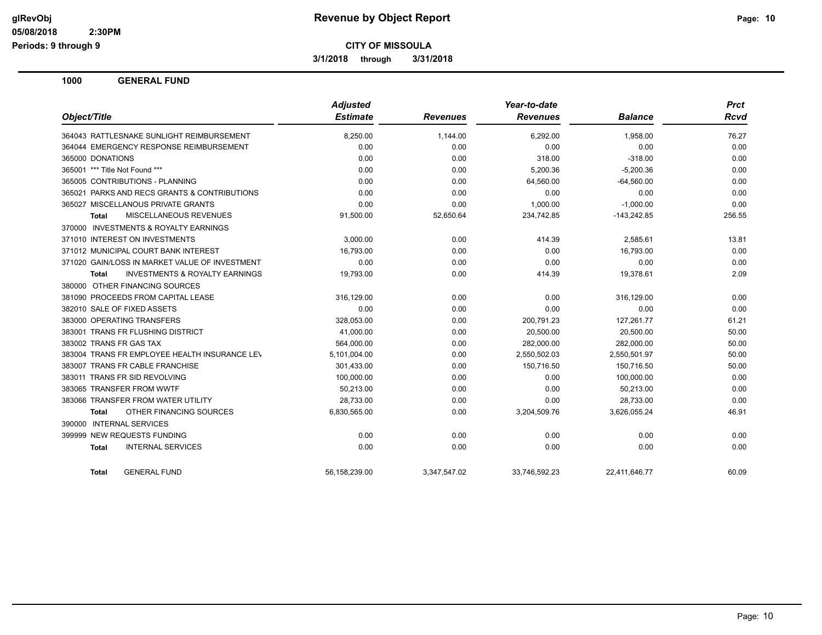**3/1/2018 through 3/31/2018**

| Object/Title                                              | <b>Adjusted</b><br><b>Estimate</b> | <b>Revenues</b> | Year-to-date    |                | <b>Prct</b> |
|-----------------------------------------------------------|------------------------------------|-----------------|-----------------|----------------|-------------|
|                                                           |                                    |                 | <b>Revenues</b> | <b>Balance</b> | Rcvd        |
| 364043 RATTLESNAKE SUNLIGHT REIMBURSEMENT                 | 8,250.00                           | 1,144.00        | 6,292.00        | 1,958.00       | 76.27       |
| 364044 EMERGENCY RESPONSE REIMBURSEMENT                   | 0.00                               | 0.00            | 0.00            | 0.00           | 0.00        |
| 365000 DONATIONS                                          | 0.00                               | 0.00            | 318.00          | $-318.00$      | 0.00        |
| 365001 *** Title Not Found ***                            | 0.00                               | 0.00            | 5,200.36        | $-5,200.36$    | 0.00        |
| 365005 CONTRIBUTIONS - PLANNING                           | 0.00                               | 0.00            | 64,560.00       | $-64,560.00$   | 0.00        |
| 365021 PARKS AND RECS GRANTS & CONTRIBUTIONS              | 0.00                               | 0.00            | 0.00            | 0.00           | 0.00        |
| 365027 MISCELLANOUS PRIVATE GRANTS                        | 0.00                               | 0.00            | 1,000.00        | $-1,000.00$    | 0.00        |
| MISCELLANEOUS REVENUES<br>Total                           | 91,500.00                          | 52,650.64       | 234,742.85      | $-143,242.85$  | 256.55      |
| 370000 INVESTMENTS & ROYALTY EARNINGS                     |                                    |                 |                 |                |             |
| 371010 INTEREST ON INVESTMENTS                            | 3,000.00                           | 0.00            | 414.39          | 2,585.61       | 13.81       |
| 371012 MUNICIPAL COURT BANK INTEREST                      | 16,793.00                          | 0.00            | 0.00            | 16,793.00      | 0.00        |
| 371020 GAIN/LOSS IN MARKET VALUE OF INVESTMENT            | 0.00                               | 0.00            | 0.00            | 0.00           | 0.00        |
| <b>INVESTMENTS &amp; ROYALTY EARNINGS</b><br><b>Total</b> | 19,793.00                          | 0.00            | 414.39          | 19,378.61      | 2.09        |
| 380000 OTHER FINANCING SOURCES                            |                                    |                 |                 |                |             |
| 381090 PROCEEDS FROM CAPITAL LEASE                        | 316.129.00                         | 0.00            | 0.00            | 316.129.00     | 0.00        |
| 382010 SALE OF FIXED ASSETS                               | 0.00                               | 0.00            | 0.00            | 0.00           | 0.00        |
| 383000 OPERATING TRANSFERS                                | 328,053.00                         | 0.00            | 200,791.23      | 127,261.77     | 61.21       |
| 383001 TRANS FR FLUSHING DISTRICT                         | 41,000.00                          | 0.00            | 20,500.00       | 20,500.00      | 50.00       |
| 383002 TRANS FR GAS TAX                                   | 564,000.00                         | 0.00            | 282,000.00      | 282,000.00     | 50.00       |
| 383004 TRANS FR EMPLOYEE HEALTH INSURANCE LEV             | 5,101,004.00                       | 0.00            | 2,550,502.03    | 2,550,501.97   | 50.00       |
| 383007 TRANS FR CABLE FRANCHISE                           | 301,433.00                         | 0.00            | 150,716.50      | 150.716.50     | 50.00       |
| 383011 TRANS FR SID REVOLVING                             | 100,000.00                         | 0.00            | 0.00            | 100,000.00     | 0.00        |
| 383065 TRANSFER FROM WWTF                                 | 50,213.00                          | 0.00            | 0.00            | 50,213.00      | 0.00        |
| 383066 TRANSFER FROM WATER UTILITY                        | 28,733.00                          | 0.00            | 0.00            | 28,733.00      | 0.00        |
| OTHER FINANCING SOURCES<br><b>Total</b>                   | 6,830,565.00                       | 0.00            | 3,204,509.76    | 3,626,055.24   | 46.91       |
| 390000 INTERNAL SERVICES                                  |                                    |                 |                 |                |             |
| 399999 NEW REQUESTS FUNDING                               | 0.00                               | 0.00            | 0.00            | 0.00           | 0.00        |
| <b>INTERNAL SERVICES</b><br><b>Total</b>                  | 0.00                               | 0.00            | 0.00            | 0.00           | 0.00        |
| <b>GENERAL FUND</b><br><b>Total</b>                       | 56,158,239.00                      | 3,347,547.02    | 33,746,592.23   | 22.411.646.77  | 60.09       |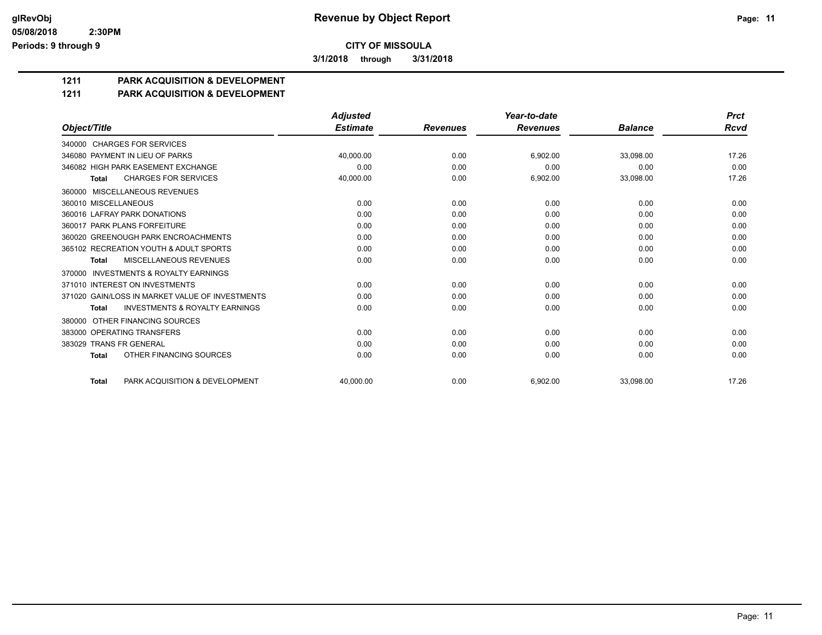**3/1/2018 through 3/31/2018**

# **1211 PARK ACQUISITION & DEVELOPMENT**

#### **1211 PARK ACQUISITION & DEVELOPMENT**

|                                                           | <b>Adjusted</b> |                 | Year-to-date    |                | <b>Prct</b> |
|-----------------------------------------------------------|-----------------|-----------------|-----------------|----------------|-------------|
| Object/Title                                              | <b>Estimate</b> | <b>Revenues</b> | <b>Revenues</b> | <b>Balance</b> | Rcvd        |
| 340000 CHARGES FOR SERVICES                               |                 |                 |                 |                |             |
| 346080 PAYMENT IN LIEU OF PARKS                           | 40,000.00       | 0.00            | 6,902.00        | 33,098.00      | 17.26       |
| 346082 HIGH PARK EASEMENT EXCHANGE                        | 0.00            | 0.00            | 0.00            | 0.00           | 0.00        |
| <b>CHARGES FOR SERVICES</b><br><b>Total</b>               | 40,000.00       | 0.00            | 6,902.00        | 33,098.00      | 17.26       |
| 360000 MISCELLANEOUS REVENUES                             |                 |                 |                 |                |             |
| 360010 MISCELLANEOUS                                      | 0.00            | 0.00            | 0.00            | 0.00           | 0.00        |
| 360016 LAFRAY PARK DONATIONS                              | 0.00            | 0.00            | 0.00            | 0.00           | 0.00        |
| 360017 PARK PLANS FORFEITURE                              | 0.00            | 0.00            | 0.00            | 0.00           | 0.00        |
| 360020 GREENOUGH PARK ENCROACHMENTS                       | 0.00            | 0.00            | 0.00            | 0.00           | 0.00        |
| 365102 RECREATION YOUTH & ADULT SPORTS                    | 0.00            | 0.00            | 0.00            | 0.00           | 0.00        |
| MISCELLANEOUS REVENUES<br><b>Total</b>                    | 0.00            | 0.00            | 0.00            | 0.00           | 0.00        |
| <b>INVESTMENTS &amp; ROYALTY EARNINGS</b><br>370000       |                 |                 |                 |                |             |
| 371010 INTEREST ON INVESTMENTS                            | 0.00            | 0.00            | 0.00            | 0.00           | 0.00        |
| 371020 GAIN/LOSS IN MARKET VALUE OF INVESTMENTS           | 0.00            | 0.00            | 0.00            | 0.00           | 0.00        |
| <b>INVESTMENTS &amp; ROYALTY EARNINGS</b><br><b>Total</b> | 0.00            | 0.00            | 0.00            | 0.00           | 0.00        |
| OTHER FINANCING SOURCES<br>380000                         |                 |                 |                 |                |             |
| 383000 OPERATING TRANSFERS                                | 0.00            | 0.00            | 0.00            | 0.00           | 0.00        |
| 383029 TRANS FR GENERAL                                   | 0.00            | 0.00            | 0.00            | 0.00           | 0.00        |
| OTHER FINANCING SOURCES<br><b>Total</b>                   | 0.00            | 0.00            | 0.00            | 0.00           | 0.00        |
| PARK ACQUISITION & DEVELOPMENT<br>Total                   | 40,000.00       | 0.00            | 6,902.00        | 33,098.00      | 17.26       |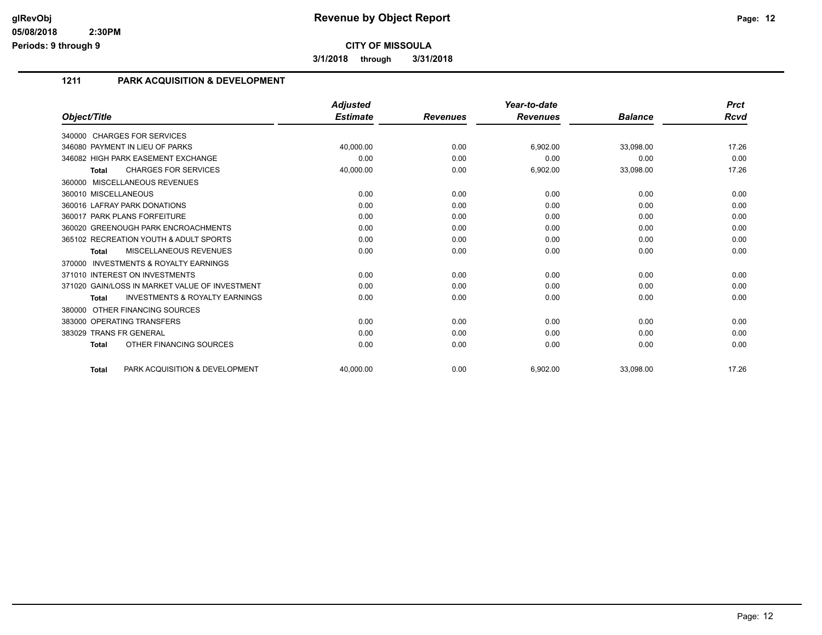**3/1/2018 through 3/31/2018**

#### **1211 PARK ACQUISITION & DEVELOPMENT**

|                                                     | <b>Adjusted</b> |                 | Year-to-date    |                | <b>Prct</b> |
|-----------------------------------------------------|-----------------|-----------------|-----------------|----------------|-------------|
| Object/Title                                        | <b>Estimate</b> | <b>Revenues</b> | <b>Revenues</b> | <b>Balance</b> | Rcvd        |
| 340000 CHARGES FOR SERVICES                         |                 |                 |                 |                |             |
| 346080 PAYMENT IN LIEU OF PARKS                     | 40,000.00       | 0.00            | 6,902.00        | 33,098.00      | 17.26       |
| 346082 HIGH PARK EASEMENT EXCHANGE                  | 0.00            | 0.00            | 0.00            | 0.00           | 0.00        |
| <b>CHARGES FOR SERVICES</b><br>Total                | 40,000.00       | 0.00            | 6,902.00        | 33,098.00      | 17.26       |
| 360000 MISCELLANEOUS REVENUES                       |                 |                 |                 |                |             |
| 360010 MISCELLANEOUS                                | 0.00            | 0.00            | 0.00            | 0.00           | 0.00        |
| 360016 LAFRAY PARK DONATIONS                        | 0.00            | 0.00            | 0.00            | 0.00           | 0.00        |
| 360017 PARK PLANS FORFEITURE                        | 0.00            | 0.00            | 0.00            | 0.00           | 0.00        |
| 360020 GREENOUGH PARK ENCROACHMENTS                 | 0.00            | 0.00            | 0.00            | 0.00           | 0.00        |
| 365102 RECREATION YOUTH & ADULT SPORTS              | 0.00            | 0.00            | 0.00            | 0.00           | 0.00        |
| MISCELLANEOUS REVENUES<br>Total                     | 0.00            | 0.00            | 0.00            | 0.00           | 0.00        |
| <b>INVESTMENTS &amp; ROYALTY EARNINGS</b><br>370000 |                 |                 |                 |                |             |
| 371010 INTEREST ON INVESTMENTS                      | 0.00            | 0.00            | 0.00            | 0.00           | 0.00        |
| 371020 GAIN/LOSS IN MARKET VALUE OF INVESTMENT      | 0.00            | 0.00            | 0.00            | 0.00           | 0.00        |
| <b>INVESTMENTS &amp; ROYALTY EARNINGS</b><br>Total  | 0.00            | 0.00            | 0.00            | 0.00           | 0.00        |
| 380000 OTHER FINANCING SOURCES                      |                 |                 |                 |                |             |
| 383000 OPERATING TRANSFERS                          | 0.00            | 0.00            | 0.00            | 0.00           | 0.00        |
| 383029 TRANS FR GENERAL                             | 0.00            | 0.00            | 0.00            | 0.00           | 0.00        |
| OTHER FINANCING SOURCES<br><b>Total</b>             | 0.00            | 0.00            | 0.00            | 0.00           | 0.00        |
| PARK ACQUISITION & DEVELOPMENT<br><b>Total</b>      | 40,000.00       | 0.00            | 6,902.00        | 33,098.00      | 17.26       |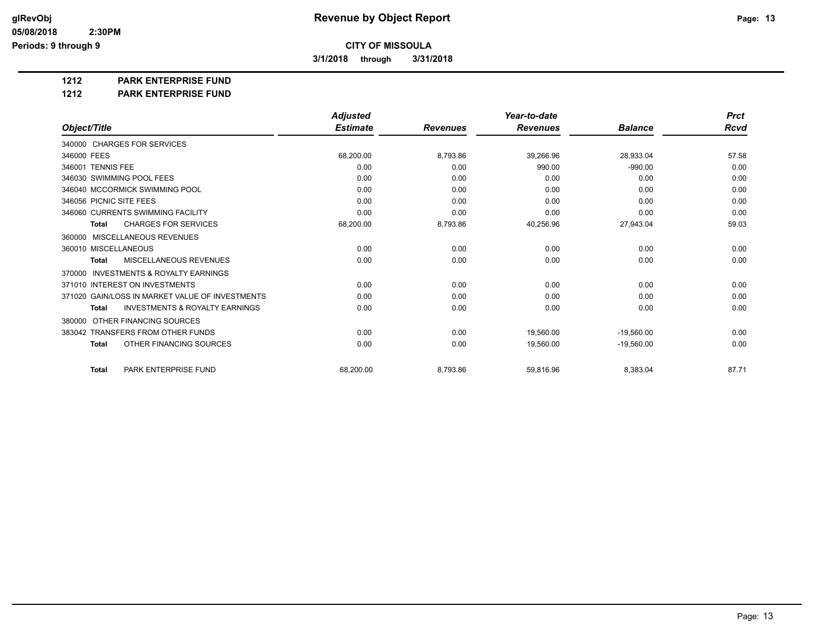**3/1/2018 through 3/31/2018**

**1212 PARK ENTERPRISE FUND**

**1212 PARK ENTERPRISE FUND**

|                                                           | <b>Adjusted</b> |                 | Year-to-date    |                | <b>Prct</b> |
|-----------------------------------------------------------|-----------------|-----------------|-----------------|----------------|-------------|
| Object/Title                                              | <b>Estimate</b> | <b>Revenues</b> | <b>Revenues</b> | <b>Balance</b> | Rcvd        |
| 340000 CHARGES FOR SERVICES                               |                 |                 |                 |                |             |
| 346000 FEES                                               | 68,200.00       | 8,793.86        | 39,266.96       | 28,933.04      | 57.58       |
| 346001 TENNIS FEE                                         | 0.00            | 0.00            | 990.00          | $-990.00$      | 0.00        |
| 346030 SWIMMING POOL FEES                                 | 0.00            | 0.00            | 0.00            | 0.00           | 0.00        |
| 346040 MCCORMICK SWIMMING POOL                            | 0.00            | 0.00            | 0.00            | 0.00           | 0.00        |
| 346056 PICNIC SITE FEES                                   | 0.00            | 0.00            | 0.00            | 0.00           | 0.00        |
| 346060 CURRENTS SWIMMING FACILITY                         | 0.00            | 0.00            | 0.00            | 0.00           | 0.00        |
| <b>CHARGES FOR SERVICES</b><br><b>Total</b>               | 68,200.00       | 8,793.86        | 40,256.96       | 27,943.04      | 59.03       |
| 360000 MISCELLANEOUS REVENUES                             |                 |                 |                 |                |             |
| 360010 MISCELLANEOUS                                      | 0.00            | 0.00            | 0.00            | 0.00           | 0.00        |
| MISCELLANEOUS REVENUES<br><b>Total</b>                    | 0.00            | 0.00            | 0.00            | 0.00           | 0.00        |
| <b>INVESTMENTS &amp; ROYALTY EARNINGS</b><br>370000       |                 |                 |                 |                |             |
| 371010 INTEREST ON INVESTMENTS                            | 0.00            | 0.00            | 0.00            | 0.00           | 0.00        |
| 371020 GAIN/LOSS IN MARKET VALUE OF INVESTMENTS           | 0.00            | 0.00            | 0.00            | 0.00           | 0.00        |
| <b>INVESTMENTS &amp; ROYALTY EARNINGS</b><br><b>Total</b> | 0.00            | 0.00            | 0.00            | 0.00           | 0.00        |
| OTHER FINANCING SOURCES<br>380000                         |                 |                 |                 |                |             |
| 383042 TRANSFERS FROM OTHER FUNDS                         | 0.00            | 0.00            | 19,560.00       | $-19,560.00$   | 0.00        |
| OTHER FINANCING SOURCES<br><b>Total</b>                   | 0.00            | 0.00            | 19.560.00       | $-19.560.00$   | 0.00        |
| <b>PARK ENTERPRISE FUND</b><br><b>Total</b>               | 68,200.00       | 8.793.86        | 59,816.96       | 8,383.04       | 87.71       |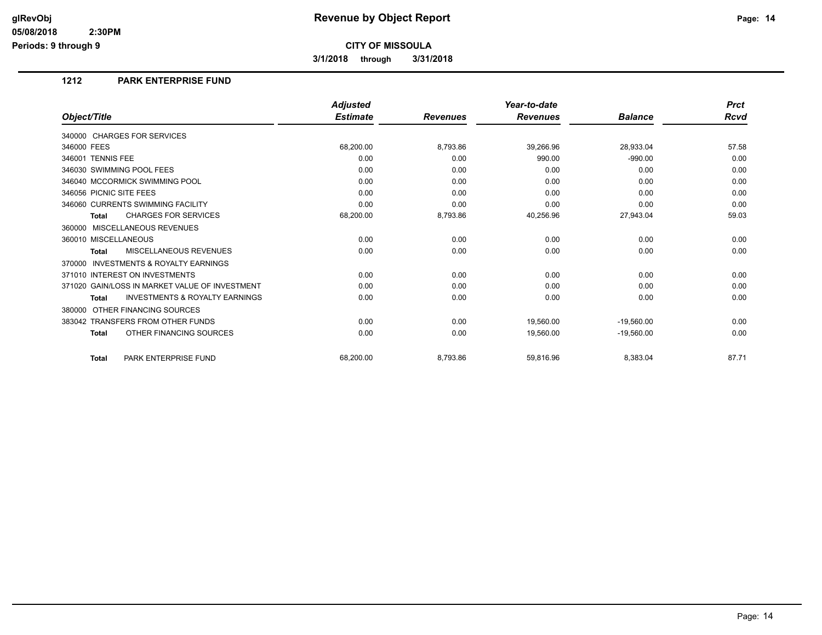**3/1/2018 through 3/31/2018**

### **1212 PARK ENTERPRISE FUND**

|                                                           | <b>Adjusted</b> |                 | Year-to-date    |                | <b>Prct</b> |
|-----------------------------------------------------------|-----------------|-----------------|-----------------|----------------|-------------|
| Object/Title                                              | <b>Estimate</b> | <b>Revenues</b> | <b>Revenues</b> | <b>Balance</b> | Rcvd        |
| 340000 CHARGES FOR SERVICES                               |                 |                 |                 |                |             |
| 346000 FEES                                               | 68,200.00       | 8,793.86        | 39,266.96       | 28,933.04      | 57.58       |
| 346001 TENNIS FEE                                         | 0.00            | 0.00            | 990.00          | $-990.00$      | 0.00        |
| 346030 SWIMMING POOL FEES                                 | 0.00            | 0.00            | 0.00            | 0.00           | 0.00        |
| 346040 MCCORMICK SWIMMING POOL                            | 0.00            | 0.00            | 0.00            | 0.00           | 0.00        |
| 346056 PICNIC SITE FEES                                   | 0.00            | 0.00            | 0.00            | 0.00           | 0.00        |
| 346060 CURRENTS SWIMMING FACILITY                         | 0.00            | 0.00            | 0.00            | 0.00           | 0.00        |
| <b>CHARGES FOR SERVICES</b><br><b>Total</b>               | 68,200.00       | 8,793.86        | 40,256.96       | 27,943.04      | 59.03       |
| 360000 MISCELLANEOUS REVENUES                             |                 |                 |                 |                |             |
| 360010 MISCELLANEOUS                                      | 0.00            | 0.00            | 0.00            | 0.00           | 0.00        |
| <b>MISCELLANEOUS REVENUES</b><br><b>Total</b>             | 0.00            | 0.00            | 0.00            | 0.00           | 0.00        |
| INVESTMENTS & ROYALTY EARNINGS<br>370000                  |                 |                 |                 |                |             |
| 371010 INTEREST ON INVESTMENTS                            | 0.00            | 0.00            | 0.00            | 0.00           | 0.00        |
| 371020 GAIN/LOSS IN MARKET VALUE OF INVESTMENT            | 0.00            | 0.00            | 0.00            | 0.00           | 0.00        |
| <b>INVESTMENTS &amp; ROYALTY EARNINGS</b><br><b>Total</b> | 0.00            | 0.00            | 0.00            | 0.00           | 0.00        |
| OTHER FINANCING SOURCES<br>380000                         |                 |                 |                 |                |             |
| 383042 TRANSFERS FROM OTHER FUNDS                         | 0.00            | 0.00            | 19,560.00       | $-19,560.00$   | 0.00        |
| OTHER FINANCING SOURCES<br><b>Total</b>                   | 0.00            | 0.00            | 19,560.00       | $-19,560.00$   | 0.00        |
| PARK ENTERPRISE FUND<br><b>Total</b>                      | 68,200.00       | 8.793.86        | 59.816.96       | 8.383.04       | 87.71       |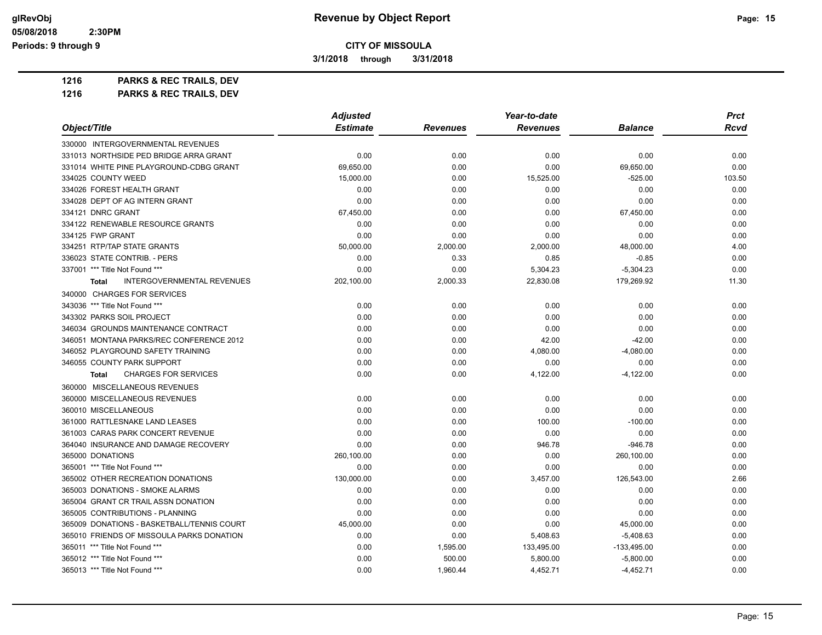**3/1/2018 through 3/31/2018**

**1216 PARKS & REC TRAILS, DEV**

|                                            | <b>Adjusted</b> |                 | Year-to-date    |                | <b>Prct</b> |
|--------------------------------------------|-----------------|-----------------|-----------------|----------------|-------------|
| Object/Title                               | <b>Estimate</b> | <b>Revenues</b> | <b>Revenues</b> | <b>Balance</b> | <b>Rcvd</b> |
| 330000 INTERGOVERNMENTAL REVENUES          |                 |                 |                 |                |             |
| 331013 NORTHSIDE PED BRIDGE ARRA GRANT     | 0.00            | 0.00            | 0.00            | 0.00           | 0.00        |
| 331014 WHITE PINE PLAYGROUND-CDBG GRANT    | 69,650.00       | 0.00            | 0.00            | 69,650.00      | 0.00        |
| 334025 COUNTY WEED                         | 15.000.00       | 0.00            | 15,525.00       | $-525.00$      | 103.50      |
| 334026 FOREST HEALTH GRANT                 | 0.00            | 0.00            | 0.00            | 0.00           | 0.00        |
| 334028 DEPT OF AG INTERN GRANT             | 0.00            | 0.00            | 0.00            | 0.00           | 0.00        |
| 334121 DNRC GRANT                          | 67,450.00       | 0.00            | 0.00            | 67,450.00      | 0.00        |
| 334122 RENEWABLE RESOURCE GRANTS           | 0.00            | 0.00            | 0.00            | 0.00           | 0.00        |
| 334125 FWP GRANT                           | 0.00            | 0.00            | 0.00            | 0.00           | 0.00        |
| 334251 RTP/TAP STATE GRANTS                | 50,000.00       | 2,000.00        | 2,000.00        | 48,000.00      | 4.00        |
| 336023 STATE CONTRIB. - PERS               | 0.00            | 0.33            | 0.85            | $-0.85$        | 0.00        |
| 337001 *** Title Not Found ***             | 0.00            | 0.00            | 5,304.23        | $-5,304.23$    | 0.00        |
| INTERGOVERNMENTAL REVENUES<br>Total        | 202,100.00      | 2,000.33        | 22,830.08       | 179,269.92     | 11.30       |
| 340000 CHARGES FOR SERVICES                |                 |                 |                 |                |             |
| 343036 *** Title Not Found ***             | 0.00            | 0.00            | 0.00            | 0.00           | 0.00        |
| 343302 PARKS SOIL PROJECT                  | 0.00            | 0.00            | 0.00            | 0.00           | 0.00        |
| 346034 GROUNDS MAINTENANCE CONTRACT        | 0.00            | 0.00            | 0.00            | 0.00           | 0.00        |
| 346051 MONTANA PARKS/REC CONFERENCE 2012   | 0.00            | 0.00            | 42.00           | $-42.00$       | 0.00        |
| 346052 PLAYGROUND SAFETY TRAINING          | 0.00            | 0.00            | 4,080.00        | $-4,080.00$    | 0.00        |
| 346055 COUNTY PARK SUPPORT                 | 0.00            | 0.00            | 0.00            | 0.00           | 0.00        |
| <b>CHARGES FOR SERVICES</b><br>Total       | 0.00            | 0.00            | 4,122.00        | $-4,122.00$    | 0.00        |
| 360000 MISCELLANEOUS REVENUES              |                 |                 |                 |                |             |
| 360000 MISCELLANEOUS REVENUES              | 0.00            | 0.00            | 0.00            | 0.00           | 0.00        |
| 360010 MISCELLANEOUS                       | 0.00            | 0.00            | 0.00            | 0.00           | 0.00        |
| 361000 RATTLESNAKE LAND LEASES             | 0.00            | 0.00            | 100.00          | $-100.00$      | 0.00        |
| 361003 CARAS PARK CONCERT REVENUE          | 0.00            | 0.00            | 0.00            | 0.00           | 0.00        |
| 364040 INSURANCE AND DAMAGE RECOVERY       | 0.00            | 0.00            | 946.78          | $-946.78$      | 0.00        |
| 365000 DONATIONS                           | 260,100.00      | 0.00            | 0.00            | 260,100.00     | 0.00        |
| 365001 *** Title Not Found ***             | 0.00            | 0.00            | 0.00            | 0.00           | 0.00        |
| 365002 OTHER RECREATION DONATIONS          | 130,000.00      | 0.00            | 3,457.00        | 126,543.00     | 2.66        |
| 365003 DONATIONS - SMOKE ALARMS            | 0.00            | 0.00            | 0.00            | 0.00           | 0.00        |
| 365004 GRANT CR TRAIL ASSN DONATION        | 0.00            | 0.00            | 0.00            | 0.00           | 0.00        |
| 365005 CONTRIBUTIONS - PLANNING            | 0.00            | 0.00            | 0.00            | 0.00           | 0.00        |
| 365009 DONATIONS - BASKETBALL/TENNIS COURT | 45,000.00       | 0.00            | 0.00            | 45,000.00      | 0.00        |
| 365010 FRIENDS OF MISSOULA PARKS DONATION  | 0.00            | 0.00            | 5,408.63        | $-5,408.63$    | 0.00        |
| 365011 *** Title Not Found ***             | 0.00            | 1,595.00        | 133,495.00      | $-133,495.00$  | 0.00        |
| 365012 *** Title Not Found ***             | 0.00            | 500.00          | 5,800.00        | $-5,800.00$    | 0.00        |
| 365013 *** Title Not Found ***             | 0.00            | 1,960.44        | 4,452.71        | $-4,452.71$    | 0.00        |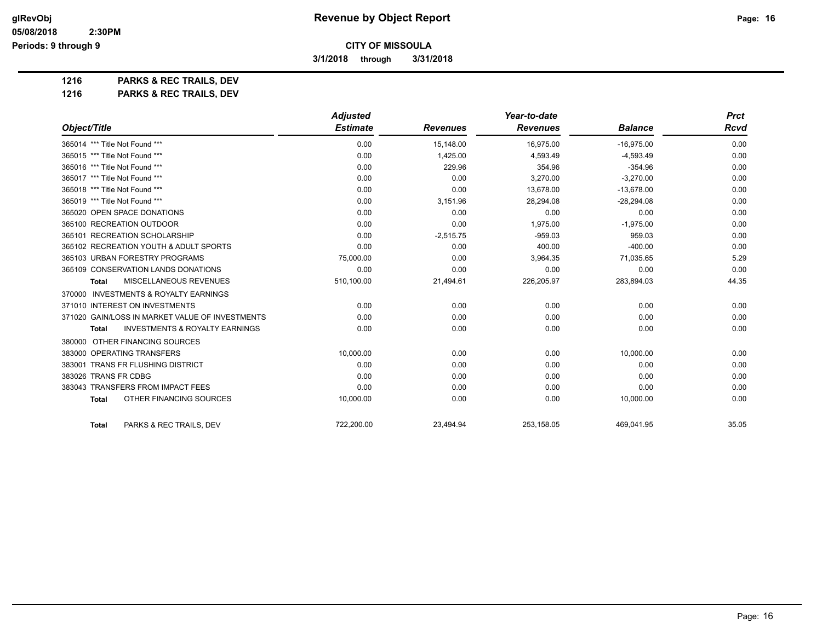**3/1/2018 through 3/31/2018**

**1216 PARKS & REC TRAILS, DEV**

|                                                           | <b>Adjusted</b> |                 | Year-to-date    |                | <b>Prct</b> |
|-----------------------------------------------------------|-----------------|-----------------|-----------------|----------------|-------------|
| Object/Title                                              | <b>Estimate</b> | <b>Revenues</b> | <b>Revenues</b> | <b>Balance</b> | Rcvd        |
| *** Title Not Found ***<br>365014                         | 0.00            | 15,148.00       | 16,975.00       | $-16,975.00$   | 0.00        |
| *** Title Not Found ***<br>365015                         | 0.00            | 1,425.00        | 4,593.49        | $-4,593.49$    | 0.00        |
| 365016 *** Title Not Found ***                            | 0.00            | 229.96          | 354.96          | $-354.96$      | 0.00        |
| *** Title Not Found ***<br>365017                         | 0.00            | 0.00            | 3,270.00        | $-3.270.00$    | 0.00        |
| *** Title Not Found ***<br>365018                         | 0.00            | 0.00            | 13,678.00       | $-13,678.00$   | 0.00        |
| 365019 *** Title Not Found ***                            | 0.00            | 3,151.96        | 28,294.08       | $-28,294.08$   | 0.00        |
| 365020 OPEN SPACE DONATIONS                               | 0.00            | 0.00            | 0.00            | 0.00           | 0.00        |
| 365100 RECREATION OUTDOOR                                 | 0.00            | 0.00            | 1,975.00        | $-1,975.00$    | 0.00        |
| 365101 RECREATION SCHOLARSHIP                             | 0.00            | $-2,515.75$     | $-959.03$       | 959.03         | 0.00        |
| 365102 RECREATION YOUTH & ADULT SPORTS                    | 0.00            | 0.00            | 400.00          | $-400.00$      | 0.00        |
| 365103 URBAN FORESTRY PROGRAMS                            | 75,000.00       | 0.00            | 3,964.35        | 71,035.65      | 5.29        |
| 365109 CONSERVATION LANDS DONATIONS                       | 0.00            | 0.00            | 0.00            | 0.00           | 0.00        |
| MISCELLANEOUS REVENUES<br><b>Total</b>                    | 510,100.00      | 21,494.61       | 226,205.97      | 283,894.03     | 44.35       |
| 370000 INVESTMENTS & ROYALTY EARNINGS                     |                 |                 |                 |                |             |
| 371010 INTEREST ON INVESTMENTS                            | 0.00            | 0.00            | 0.00            | 0.00           | 0.00        |
| 371020 GAIN/LOSS IN MARKET VALUE OF INVESTMENTS           | 0.00            | 0.00            | 0.00            | 0.00           | 0.00        |
| <b>INVESTMENTS &amp; ROYALTY EARNINGS</b><br><b>Total</b> | 0.00            | 0.00            | 0.00            | 0.00           | 0.00        |
| OTHER FINANCING SOURCES<br>380000                         |                 |                 |                 |                |             |
| 383000 OPERATING TRANSFERS                                | 10,000.00       | 0.00            | 0.00            | 10,000.00      | 0.00        |
| 383001 TRANS FR FLUSHING DISTRICT                         | 0.00            | 0.00            | 0.00            | 0.00           | 0.00        |
| 383026 TRANS FR CDBG                                      | 0.00            | 0.00            | 0.00            | 0.00           | 0.00        |
| 383043 TRANSFERS FROM IMPACT FEES                         | 0.00            | 0.00            | 0.00            | 0.00           | 0.00        |
| OTHER FINANCING SOURCES<br><b>Total</b>                   | 10,000.00       | 0.00            | 0.00            | 10,000.00      | 0.00        |
| PARKS & REC TRAILS, DEV<br>Total                          | 722,200.00      | 23,494.94       | 253,158.05      | 469,041.95     | 35.05       |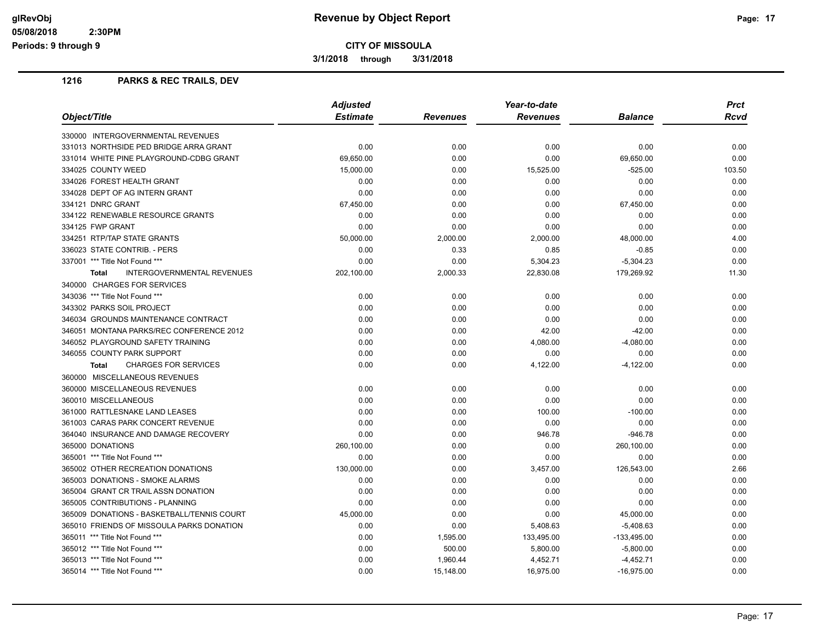**3/1/2018 through 3/31/2018**

|                                            | <b>Adjusted</b> |           | Year-to-date    |                | <b>Prct</b> |
|--------------------------------------------|-----------------|-----------|-----------------|----------------|-------------|
| Object/Title                               | <b>Estimate</b> | Revenues  | <b>Revenues</b> | <b>Balance</b> | <b>Rcvd</b> |
| 330000 INTERGOVERNMENTAL REVENUES          |                 |           |                 |                |             |
| 331013 NORTHSIDE PED BRIDGE ARRA GRANT     | 0.00            | 0.00      | 0.00            | 0.00           | 0.00        |
| 331014 WHITE PINE PLAYGROUND-CDBG GRANT    | 69,650.00       | 0.00      | 0.00            | 69,650.00      | 0.00        |
| 334025 COUNTY WEED                         | 15,000.00       | 0.00      | 15,525.00       | $-525.00$      | 103.50      |
| 334026 FOREST HEALTH GRANT                 | 0.00            | 0.00      | 0.00            | 0.00           | 0.00        |
| 334028 DEPT OF AG INTERN GRANT             | 0.00            | 0.00      | 0.00            | 0.00           | 0.00        |
| 334121 DNRC GRANT                          | 67,450.00       | 0.00      | 0.00            | 67,450.00      | 0.00        |
| 334122 RENEWABLE RESOURCE GRANTS           | 0.00            | 0.00      | 0.00            | 0.00           | 0.00        |
| 334125 FWP GRANT                           | 0.00            | 0.00      | 0.00            | 0.00           | 0.00        |
| 334251 RTP/TAP STATE GRANTS                | 50,000.00       | 2,000.00  | 2,000.00        | 48,000.00      | 4.00        |
| 336023 STATE CONTRIB. - PERS               | 0.00            | 0.33      | 0.85            | $-0.85$        | 0.00        |
| 337001 *** Title Not Found ***             | 0.00            | 0.00      | 5,304.23        | $-5,304.23$    | 0.00        |
| INTERGOVERNMENTAL REVENUES<br><b>Total</b> | 202,100.00      | 2,000.33  | 22,830.08       | 179,269.92     | 11.30       |
| 340000 CHARGES FOR SERVICES                |                 |           |                 |                |             |
| *** Title Not Found ***<br>343036          | 0.00            | 0.00      | 0.00            | 0.00           | 0.00        |
| 343302 PARKS SOIL PROJECT                  | 0.00            | 0.00      | 0.00            | 0.00           | 0.00        |
| 346034 GROUNDS MAINTENANCE CONTRACT        | 0.00            | 0.00      | 0.00            | 0.00           | 0.00        |
| 346051 MONTANA PARKS/REC CONFERENCE 2012   | 0.00            | 0.00      | 42.00           | $-42.00$       | 0.00        |
| 346052 PLAYGROUND SAFETY TRAINING          | 0.00            | 0.00      | 4,080.00        | $-4,080.00$    | 0.00        |
| 346055 COUNTY PARK SUPPORT                 | 0.00            | 0.00      | 0.00            | 0.00           | 0.00        |
| <b>CHARGES FOR SERVICES</b><br>Total       | 0.00            | 0.00      | 4,122.00        | $-4,122.00$    | 0.00        |
| 360000 MISCELLANEOUS REVENUES              |                 |           |                 |                |             |
| 360000 MISCELLANEOUS REVENUES              | 0.00            | 0.00      | 0.00            | 0.00           | 0.00        |
| 360010 MISCELLANEOUS                       | 0.00            | 0.00      | 0.00            | 0.00           | 0.00        |
| 361000 RATTLESNAKE LAND LEASES             | 0.00            | 0.00      | 100.00          | $-100.00$      | 0.00        |
| 361003 CARAS PARK CONCERT REVENUE          | 0.00            | 0.00      | 0.00            | 0.00           | 0.00        |
| 364040 INSURANCE AND DAMAGE RECOVERY       | 0.00            | 0.00      | 946.78          | $-946.78$      | 0.00        |
| 365000 DONATIONS                           | 260,100.00      | 0.00      | 0.00            | 260,100.00     | 0.00        |
| 365001 *** Title Not Found ***             | 0.00            | 0.00      | 0.00            | 0.00           | 0.00        |
| 365002 OTHER RECREATION DONATIONS          | 130,000.00      | 0.00      | 3,457.00        | 126,543.00     | 2.66        |
| 365003 DONATIONS - SMOKE ALARMS            | 0.00            | 0.00      | 0.00            | 0.00           | 0.00        |
| 365004 GRANT CR TRAIL ASSN DONATION        | 0.00            | 0.00      | 0.00            | 0.00           | 0.00        |
| 365005 CONTRIBUTIONS - PLANNING            | 0.00            | 0.00      | 0.00            | 0.00           | 0.00        |
| 365009 DONATIONS - BASKETBALL/TENNIS COURT | 45,000.00       | 0.00      | 0.00            | 45,000.00      | 0.00        |
| 365010 FRIENDS OF MISSOULA PARKS DONATION  | 0.00            | 0.00      | 5,408.63        | $-5,408.63$    | 0.00        |
| 365011 *** Title Not Found ***             | 0.00            | 1,595.00  | 133,495.00      | $-133,495.00$  | 0.00        |
| 365012 *** Title Not Found ***             | 0.00            | 500.00    | 5,800.00        | $-5,800.00$    | 0.00        |
| 365013 *** Title Not Found ***             | 0.00            | 1,960.44  | 4,452.71        | $-4,452.71$    | 0.00        |
| 365014 *** Title Not Found ***             | 0.00            | 15,148.00 | 16,975.00       | $-16,975.00$   | 0.00        |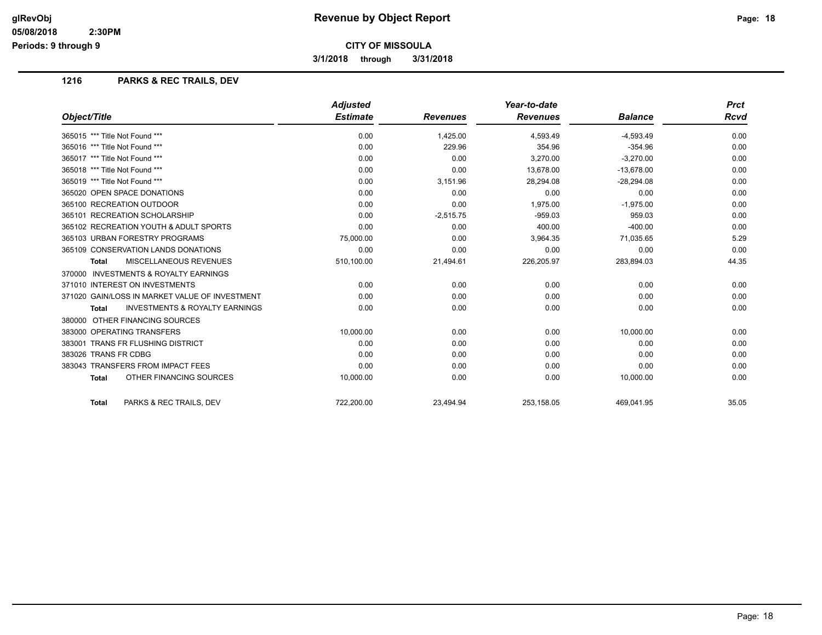**3/1/2018 through 3/31/2018**

|                                                    | <b>Adjusted</b> |                 | Year-to-date    |                | <b>Prct</b> |
|----------------------------------------------------|-----------------|-----------------|-----------------|----------------|-------------|
| Object/Title                                       | <b>Estimate</b> | <b>Revenues</b> | <b>Revenues</b> | <b>Balance</b> | Rcvd        |
| 365015 *** Title Not Found ***                     | 0.00            | 1,425.00        | 4,593.49        | $-4,593.49$    | 0.00        |
| 365016 *** Title Not Found ***                     | 0.00            | 229.96          | 354.96          | $-354.96$      | 0.00        |
| 365017 *** Title Not Found ***                     | 0.00            | 0.00            | 3.270.00        | $-3,270.00$    | 0.00        |
| 365018 *** Title Not Found ***                     | 0.00            | 0.00            | 13,678.00       | $-13,678.00$   | 0.00        |
| 365019 *** Title Not Found ***                     | 0.00            | 3,151.96        | 28,294.08       | $-28,294.08$   | 0.00        |
| 365020 OPEN SPACE DONATIONS                        | 0.00            | 0.00            | 0.00            | 0.00           | 0.00        |
| 365100 RECREATION OUTDOOR                          | 0.00            | 0.00            | 1,975.00        | $-1,975.00$    | 0.00        |
| 365101 RECREATION SCHOLARSHIP                      | 0.00            | $-2,515.75$     | $-959.03$       | 959.03         | 0.00        |
| 365102 RECREATION YOUTH & ADULT SPORTS             | 0.00            | 0.00            | 400.00          | $-400.00$      | 0.00        |
| 365103 URBAN FORESTRY PROGRAMS                     | 75,000.00       | 0.00            | 3,964.35        | 71,035.65      | 5.29        |
| 365109 CONSERVATION LANDS DONATIONS                | 0.00            | 0.00            | 0.00            | 0.00           | 0.00        |
| <b>MISCELLANEOUS REVENUES</b><br>Total             | 510,100.00      | 21,494.61       | 226,205.97      | 283,894.03     | 44.35       |
| 370000 INVESTMENTS & ROYALTY EARNINGS              |                 |                 |                 |                |             |
| 371010 INTEREST ON INVESTMENTS                     | 0.00            | 0.00            | 0.00            | 0.00           | 0.00        |
| 371020 GAIN/LOSS IN MARKET VALUE OF INVESTMENT     | 0.00            | 0.00            | 0.00            | 0.00           | 0.00        |
| <b>INVESTMENTS &amp; ROYALTY EARNINGS</b><br>Total | 0.00            | 0.00            | 0.00            | 0.00           | 0.00        |
| OTHER FINANCING SOURCES<br>380000                  |                 |                 |                 |                |             |
| 383000 OPERATING TRANSFERS                         | 10,000.00       | 0.00            | 0.00            | 10,000.00      | 0.00        |
| 383001 TRANS FR FLUSHING DISTRICT                  | 0.00            | 0.00            | 0.00            | 0.00           | 0.00        |
| 383026 TRANS FR CDBG                               | 0.00            | 0.00            | 0.00            | 0.00           | 0.00        |
| 383043 TRANSFERS FROM IMPACT FEES                  | 0.00            | 0.00            | 0.00            | 0.00           | 0.00        |
| OTHER FINANCING SOURCES<br><b>Total</b>            | 10,000.00       | 0.00            | 0.00            | 10,000.00      | 0.00        |
| PARKS & REC TRAILS. DEV<br><b>Total</b>            | 722,200.00      | 23,494.94       | 253,158.05      | 469,041.95     | 35.05       |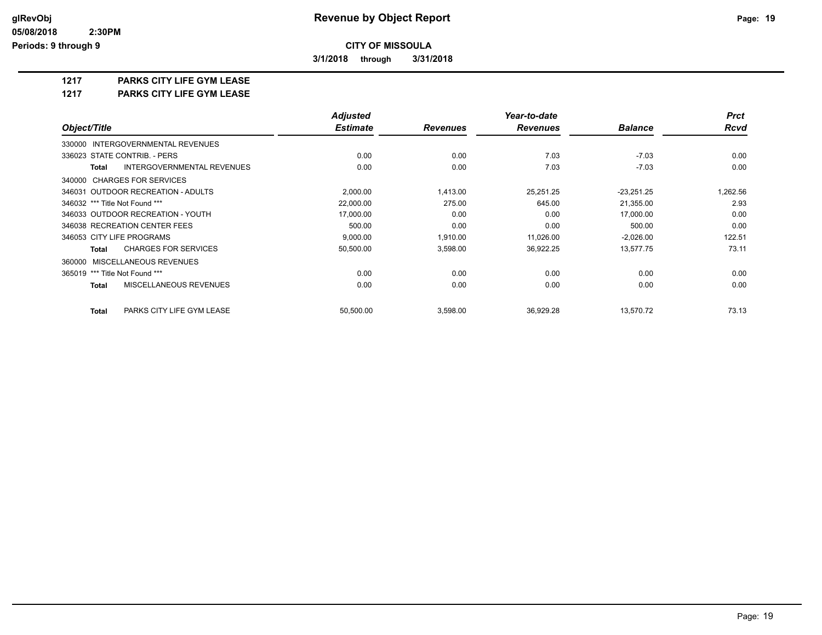**3/1/2018 through 3/31/2018**

#### **1217 PARKS CITY LIFE GYM LEASE**

**1217 PARKS CITY LIFE GYM LEASE**

|                                            | <b>Adjusted</b> |                 | Year-to-date    |                | <b>Prct</b> |
|--------------------------------------------|-----------------|-----------------|-----------------|----------------|-------------|
| Object/Title                               | <b>Estimate</b> | <b>Revenues</b> | <b>Revenues</b> | <b>Balance</b> | <b>Rcvd</b> |
| 330000 INTERGOVERNMENTAL REVENUES          |                 |                 |                 |                |             |
| 336023 STATE CONTRIB. - PERS               | 0.00            | 0.00            | 7.03            | $-7.03$        | 0.00        |
| <b>INTERGOVERNMENTAL REVENUES</b><br>Total | 0.00            | 0.00            | 7.03            | $-7.03$        | 0.00        |
| 340000 CHARGES FOR SERVICES                |                 |                 |                 |                |             |
| 346031 OUTDOOR RECREATION - ADULTS         | 2,000.00        | 1,413.00        | 25,251.25       | $-23,251.25$   | 1,262.56    |
| 346032 *** Title Not Found ***             | 22,000.00       | 275.00          | 645.00          | 21,355.00      | 2.93        |
| 346033 OUTDOOR RECREATION - YOUTH          | 17.000.00       | 0.00            | 0.00            | 17,000.00      | 0.00        |
| 346038 RECREATION CENTER FEES              | 500.00          | 0.00            | 0.00            | 500.00         | 0.00        |
| 346053 CITY LIFE PROGRAMS                  | 9,000.00        | 1,910.00        | 11,026.00       | $-2,026.00$    | 122.51      |
| <b>CHARGES FOR SERVICES</b><br>Total       | 50,500.00       | 3,598.00        | 36,922.25       | 13,577.75      | 73.11       |
| 360000 MISCELLANEOUS REVENUES              |                 |                 |                 |                |             |
| 365019 *** Title Not Found ***             | 0.00            | 0.00            | 0.00            | 0.00           | 0.00        |
| MISCELLANEOUS REVENUES<br>Total            | 0.00            | 0.00            | 0.00            | 0.00           | 0.00        |
| PARKS CITY LIFE GYM LEASE<br>Total         | 50,500.00       | 3,598.00        | 36,929.28       | 13,570.72      | 73.13       |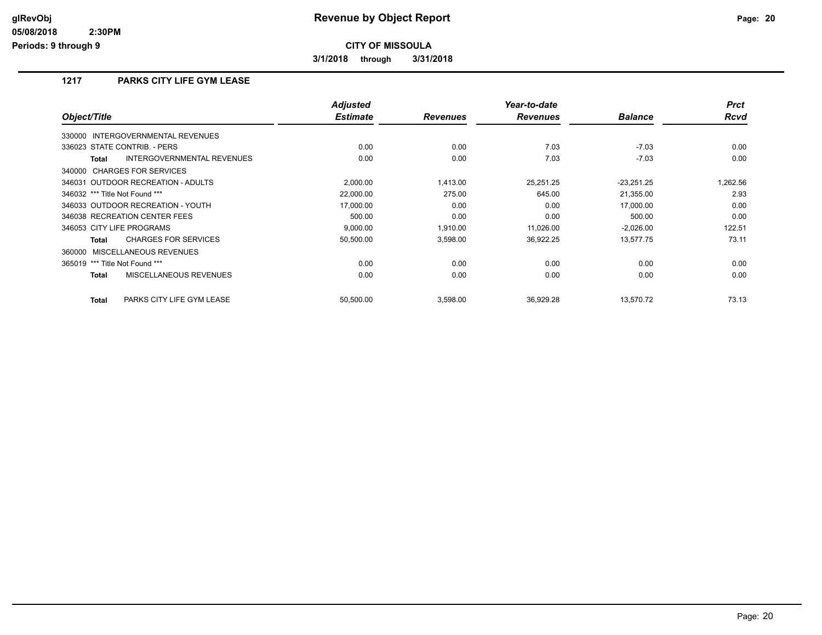**3/1/2018 through 3/31/2018**

## **1217 PARKS CITY LIFE GYM LEASE**

|                                               | <b>Adjusted</b> |                 | Year-to-date    |                | <b>Prct</b> |
|-----------------------------------------------|-----------------|-----------------|-----------------|----------------|-------------|
| Object/Title                                  | <b>Estimate</b> | <b>Revenues</b> | <b>Revenues</b> | <b>Balance</b> | <b>Rcvd</b> |
| 330000 INTERGOVERNMENTAL REVENUES             |                 |                 |                 |                |             |
| 336023 STATE CONTRIB. - PERS                  | 0.00            | 0.00            | 7.03            | $-7.03$        | 0.00        |
| INTERGOVERNMENTAL REVENUES<br><b>Total</b>    | 0.00            | 0.00            | 7.03            | $-7.03$        | 0.00        |
| 340000 CHARGES FOR SERVICES                   |                 |                 |                 |                |             |
| 346031 OUTDOOR RECREATION - ADULTS            | 2,000.00        | 1,413.00        | 25,251.25       | $-23,251.25$   | ,262.56     |
| 346032 *** Title Not Found ***                | 22,000.00       | 275.00          | 645.00          | 21,355.00      | 2.93        |
| 346033 OUTDOOR RECREATION - YOUTH             | 17,000.00       | 0.00            | 0.00            | 17,000.00      | 0.00        |
| 346038 RECREATION CENTER FEES                 | 500.00          | 0.00            | 0.00            | 500.00         | 0.00        |
| 346053 CITY LIFE PROGRAMS                     | 9,000.00        | 1,910.00        | 11,026.00       | $-2,026.00$    | 122.51      |
| <b>CHARGES FOR SERVICES</b><br><b>Total</b>   | 50,500.00       | 3,598.00        | 36,922.25       | 13,577.75      | 73.11       |
| 360000 MISCELLANEOUS REVENUES                 |                 |                 |                 |                |             |
| 365019 *** Title Not Found ***                | 0.00            | 0.00            | 0.00            | 0.00           | 0.00        |
| <b>MISCELLANEOUS REVENUES</b><br><b>Total</b> | 0.00            | 0.00            | 0.00            | 0.00           | 0.00        |
| PARKS CITY LIFE GYM LEASE<br><b>Total</b>     | 50,500.00       | 3,598.00        | 36,929.28       | 13.570.72      | 73.13       |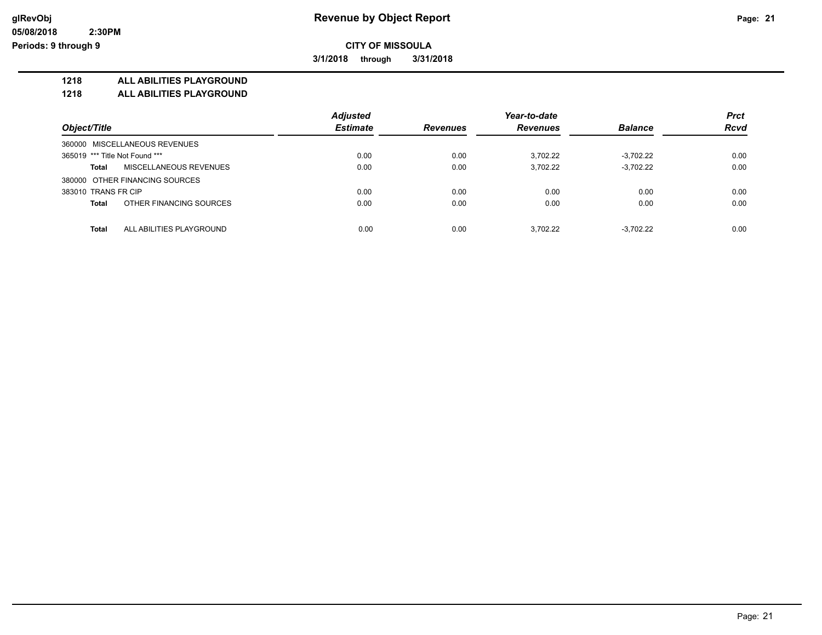**3/1/2018 through 3/31/2018**

**1218 ALL ABILITIES PLAYGROUND**

**1218 ALL ABILITIES PLAYGROUND**

|                                        | <b>Adjusted</b> |                 | Year-to-date    |                | <b>Prct</b> |
|----------------------------------------|-----------------|-----------------|-----------------|----------------|-------------|
| Object/Title                           | <b>Estimate</b> | <b>Revenues</b> | <b>Revenues</b> | <b>Balance</b> | <b>Rcvd</b> |
| 360000 MISCELLANEOUS REVENUES          |                 |                 |                 |                |             |
| 365019 *** Title Not Found ***         | 0.00            | 0.00            | 3,702.22        | $-3,702.22$    | 0.00        |
| MISCELLANEOUS REVENUES<br><b>Total</b> | 0.00            | 0.00            | 3,702.22        | $-3,702.22$    | 0.00        |
| 380000 OTHER FINANCING SOURCES         |                 |                 |                 |                |             |
| 383010 TRANS FR CIP                    | 0.00            | 0.00            | 0.00            | 0.00           | 0.00        |
| OTHER FINANCING SOURCES<br>Total       | 0.00            | 0.00            | 0.00            | 0.00           | 0.00        |
|                                        |                 |                 |                 |                |             |
| ALL ABILITIES PLAYGROUND<br>Total      | 0.00            | 0.00            | 3,702.22        | $-3.702.22$    | 0.00        |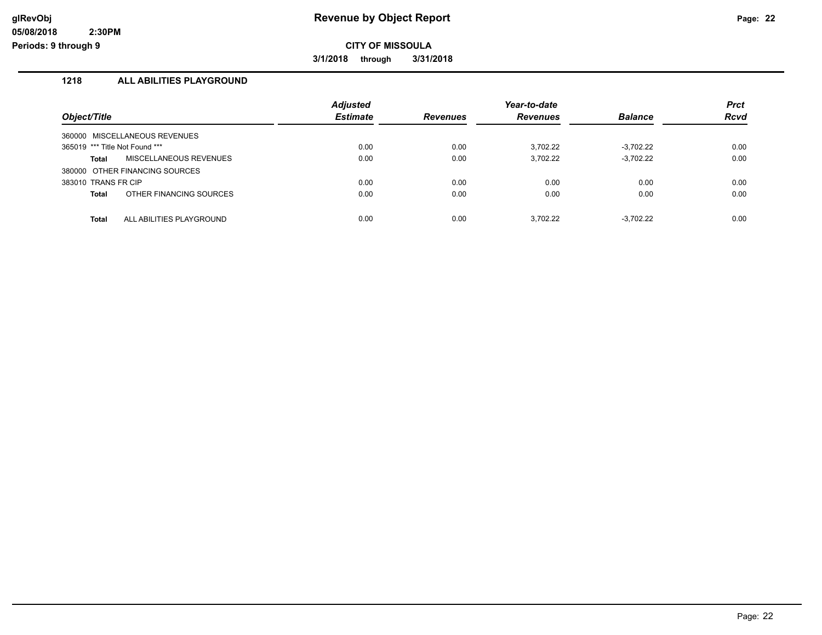**3/1/2018 through 3/31/2018**

#### **1218 ALL ABILITIES PLAYGROUND**

| Object/Title                            | <b>Adjusted</b><br><b>Estimate</b> | <b>Revenues</b> | Year-to-date<br><b>Revenues</b> | <b>Balance</b> | <b>Prct</b><br><b>Rcvd</b> |
|-----------------------------------------|------------------------------------|-----------------|---------------------------------|----------------|----------------------------|
| MISCELLANEOUS REVENUES<br>360000        |                                    |                 |                                 |                |                            |
| 365019 *** Title Not Found ***          | 0.00                               | 0.00            | 3.702.22                        | $-3.702.22$    | 0.00                       |
| <b>MISCELLANEOUS REVENUES</b><br>Total  | 0.00                               | 0.00            | 3,702.22                        | $-3.702.22$    | 0.00                       |
| 380000 OTHER FINANCING SOURCES          |                                    |                 |                                 |                |                            |
| 383010 TRANS FR CIP                     | 0.00                               | 0.00            | 0.00                            | 0.00           | 0.00                       |
| OTHER FINANCING SOURCES<br><b>Total</b> | 0.00                               | 0.00            | 0.00                            | 0.00           | 0.00                       |
|                                         |                                    |                 |                                 |                |                            |
| ALL ABILITIES PLAYGROUND<br>Total       | 0.00                               | 0.00            | 3.702.22                        | $-3.702.22$    | 0.00                       |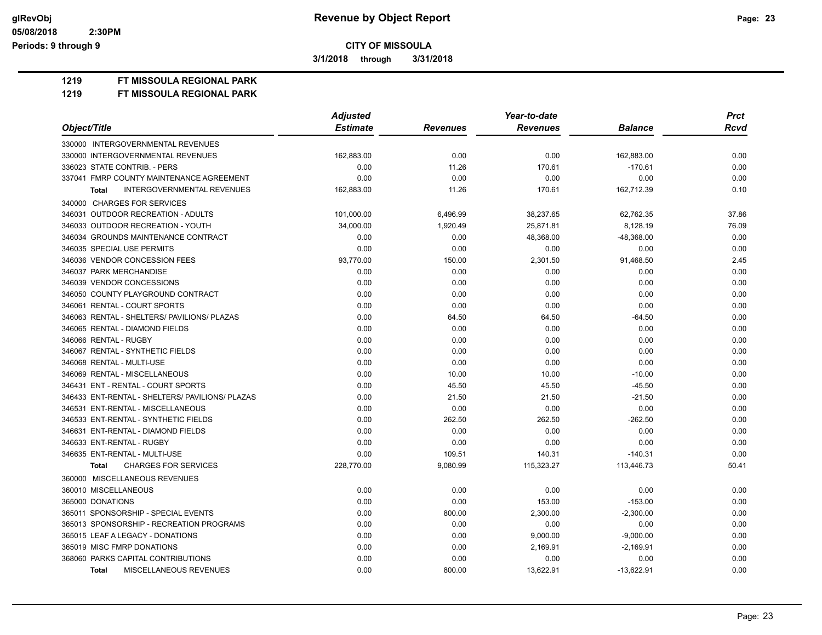**3/1/2018 through 3/31/2018**

#### **1219 FT MISSOULA REGIONAL PARK**

|                                                   | <b>Adjusted</b> |                 |                 | <b>Prct</b>    |             |
|---------------------------------------------------|-----------------|-----------------|-----------------|----------------|-------------|
| Object/Title                                      | <b>Estimate</b> | <b>Revenues</b> | <b>Revenues</b> | <b>Balance</b> | <b>Rcvd</b> |
| 330000 INTERGOVERNMENTAL REVENUES                 |                 |                 |                 |                |             |
| 330000 INTERGOVERNMENTAL REVENUES                 | 162,883.00      | 0.00            | 0.00            | 162,883.00     | 0.00        |
| 336023 STATE CONTRIB. - PERS                      | 0.00            | 11.26           | 170.61          | $-170.61$      | 0.00        |
| 337041 FMRP COUNTY MAINTENANCE AGREEMENT          | 0.00            | 0.00            | 0.00            | 0.00           | 0.00        |
| <b>INTERGOVERNMENTAL REVENUES</b><br><b>Total</b> | 162,883.00      | 11.26           | 170.61          | 162,712.39     | 0.10        |
| 340000 CHARGES FOR SERVICES                       |                 |                 |                 |                |             |
| 346031 OUTDOOR RECREATION - ADULTS                | 101,000.00      | 6,496.99        | 38,237.65       | 62,762.35      | 37.86       |
| 346033 OUTDOOR RECREATION - YOUTH                 | 34,000.00       | 1,920.49        | 25,871.81       | 8,128.19       | 76.09       |
| 346034 GROUNDS MAINTENANCE CONTRACT               | 0.00            | 0.00            | 48,368.00       | $-48,368.00$   | 0.00        |
| 346035 SPECIAL USE PERMITS                        | 0.00            | 0.00            | 0.00            | 0.00           | 0.00        |
| 346036 VENDOR CONCESSION FEES                     | 93,770.00       | 150.00          | 2,301.50        | 91,468.50      | 2.45        |
| 346037 PARK MERCHANDISE                           | 0.00            | 0.00            | 0.00            | 0.00           | 0.00        |
| 346039 VENDOR CONCESSIONS                         | 0.00            | 0.00            | 0.00            | 0.00           | 0.00        |
| 346050 COUNTY PLAYGROUND CONTRACT                 | 0.00            | 0.00            | 0.00            | 0.00           | 0.00        |
| 346061 RENTAL - COURT SPORTS                      | 0.00            | 0.00            | 0.00            | 0.00           | 0.00        |
| 346063 RENTAL - SHELTERS/ PAVILIONS/ PLAZAS       | 0.00            | 64.50           | 64.50           | $-64.50$       | 0.00        |
| 346065 RENTAL - DIAMOND FIELDS                    | 0.00            | 0.00            | 0.00            | 0.00           | 0.00        |
| 346066 RENTAL - RUGBY                             | 0.00            | 0.00            | 0.00            | 0.00           | 0.00        |
| 346067 RENTAL - SYNTHETIC FIELDS                  | 0.00            | 0.00            | 0.00            | 0.00           | 0.00        |
| 346068 RENTAL - MULTI-USE                         | 0.00            | 0.00            | 0.00            | 0.00           | 0.00        |
| 346069 RENTAL - MISCELLANEOUS                     | 0.00            | 10.00           | 10.00           | $-10.00$       | 0.00        |
| 346431 ENT - RENTAL - COURT SPORTS                | 0.00            | 45.50           | 45.50           | -45.50         | 0.00        |
| 346433 ENT-RENTAL - SHELTERS/ PAVILIONS/ PLAZAS   | 0.00            | 21.50           | 21.50           | $-21.50$       | 0.00        |
| 346531 ENT-RENTAL - MISCELLANEOUS                 | 0.00            | 0.00            | 0.00            | 0.00           | 0.00        |
| 346533 ENT-RENTAL - SYNTHETIC FIELDS              | 0.00            | 262.50          | 262.50          | $-262.50$      | 0.00        |
| 346631 ENT-RENTAL - DIAMOND FIELDS                | 0.00            | 0.00            | 0.00            | 0.00           | 0.00        |
| 346633 ENT-RENTAL - RUGBY                         | 0.00            | 0.00            | 0.00            | 0.00           | 0.00        |
| 346635 ENT-RENTAL - MULTI-USE                     | 0.00            | 109.51          | 140.31          | $-140.31$      | 0.00        |
| <b>CHARGES FOR SERVICES</b><br><b>Total</b>       | 228,770.00      | 9,080.99        | 115,323.27      | 113,446.73     | 50.41       |
| 360000 MISCELLANEOUS REVENUES                     |                 |                 |                 |                |             |
| 360010 MISCELLANEOUS                              | 0.00            | 0.00            | 0.00            | 0.00           | 0.00        |
| 365000 DONATIONS                                  | 0.00            | 0.00            | 153.00          | $-153.00$      | 0.00        |
| 365011 SPONSORSHIP - SPECIAL EVENTS               | 0.00            | 800.00          | 2,300.00        | $-2,300.00$    | 0.00        |
| 365013 SPONSORSHIP - RECREATION PROGRAMS          | 0.00            | 0.00            | 0.00            | 0.00           | 0.00        |
| 365015 LEAF A LEGACY - DONATIONS                  | 0.00            | 0.00            | 9,000.00        | $-9,000.00$    | 0.00        |
| 365019 MISC FMRP DONATIONS                        | 0.00            | 0.00            | 2,169.91        | $-2,169.91$    | 0.00        |
| 368060 PARKS CAPITAL CONTRIBUTIONS                | 0.00            | 0.00            | 0.00            | 0.00           | 0.00        |
| MISCELLANEOUS REVENUES<br>Total                   | 0.00            | 800.00          | 13,622.91       | $-13,622.91$   | 0.00        |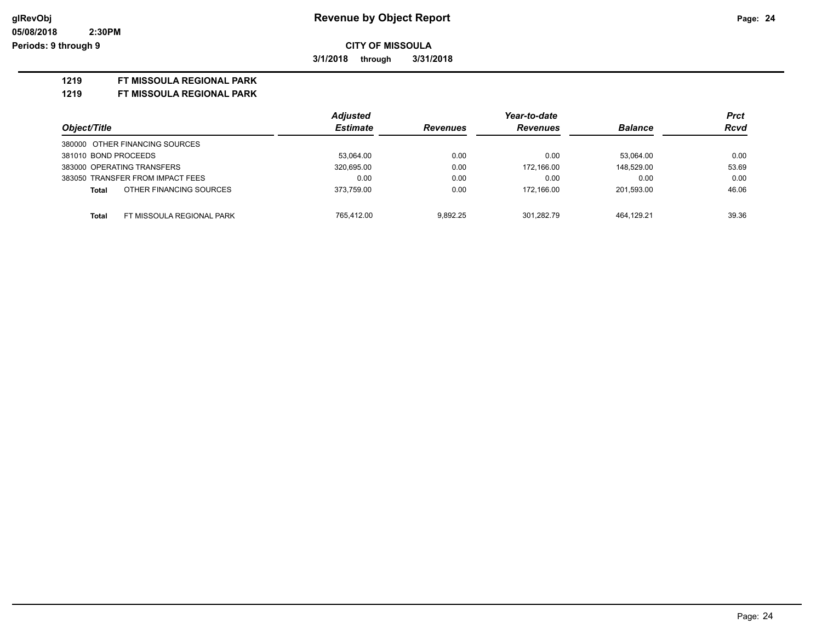**3/1/2018 through 3/31/2018**

## **1219 FT MISSOULA REGIONAL PARK**

|                                           | <b>Adjusted</b> |                 | Year-to-date    |                | <b>Prct</b> |
|-------------------------------------------|-----------------|-----------------|-----------------|----------------|-------------|
| Object/Title                              | <b>Estimate</b> | <b>Revenues</b> | <b>Revenues</b> | <b>Balance</b> | <b>Rcvd</b> |
| 380000 OTHER FINANCING SOURCES            |                 |                 |                 |                |             |
| 381010 BOND PROCEEDS                      | 53.064.00       | 0.00            | 0.00            | 53.064.00      | 0.00        |
| 383000 OPERATING TRANSFERS                | 320,695.00      | 0.00            | 172.166.00      | 148.529.00     | 53.69       |
| 383050 TRANSFER FROM IMPACT FEES          | 0.00            | 0.00            | 0.00            | 0.00           | 0.00        |
| OTHER FINANCING SOURCES<br><b>Total</b>   | 373,759.00      | 0.00            | 172.166.00      | 201.593.00     | 46.06       |
| FT MISSOULA REGIONAL PARK<br><b>Total</b> | 765.412.00      | 9.892.25        | 301.282.79      | 464.129.21     | 39.36       |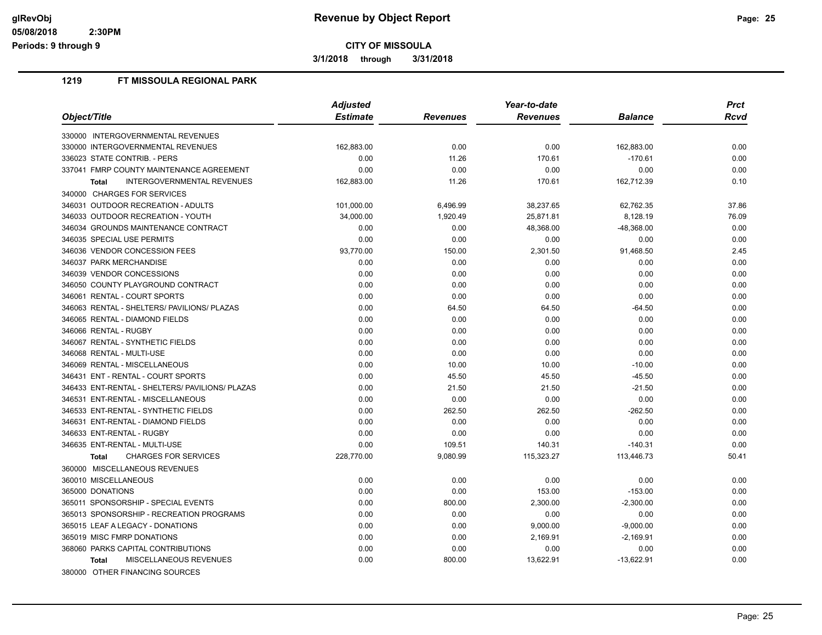**3/1/2018 through 3/31/2018**

|                                                   | <b>Adjusted</b> |                 | Year-to-date    |                | <b>Prct</b> |
|---------------------------------------------------|-----------------|-----------------|-----------------|----------------|-------------|
| Object/Title                                      | <b>Estimate</b> | <b>Revenues</b> | <b>Revenues</b> | <b>Balance</b> | Rcvd        |
| 330000 INTERGOVERNMENTAL REVENUES                 |                 |                 |                 |                |             |
| 330000 INTERGOVERNMENTAL REVENUES                 | 162,883.00      | 0.00            | 0.00            | 162,883.00     | 0.00        |
| 336023 STATE CONTRIB. - PERS                      | 0.00            | 11.26           | 170.61          | $-170.61$      | 0.00        |
| 337041 FMRP COUNTY MAINTENANCE AGREEMENT          | 0.00            | 0.00            | 0.00            | 0.00           | 0.00        |
| <b>INTERGOVERNMENTAL REVENUES</b><br><b>Total</b> | 162,883.00      | 11.26           | 170.61          | 162,712.39     | 0.10        |
| 340000 CHARGES FOR SERVICES                       |                 |                 |                 |                |             |
| 346031 OUTDOOR RECREATION - ADULTS                | 101,000.00      | 6,496.99        | 38,237.65       | 62,762.35      | 37.86       |
| 346033 OUTDOOR RECREATION - YOUTH                 | 34,000.00       | 1,920.49        | 25,871.81       | 8,128.19       | 76.09       |
| 346034 GROUNDS MAINTENANCE CONTRACT               | 0.00            | 0.00            | 48,368.00       | $-48,368.00$   | 0.00        |
| 346035 SPECIAL USE PERMITS                        | 0.00            | 0.00            | 0.00            | 0.00           | 0.00        |
| 346036 VENDOR CONCESSION FEES                     | 93,770.00       | 150.00          | 2,301.50        | 91,468.50      | 2.45        |
| 346037 PARK MERCHANDISE                           | 0.00            | 0.00            | 0.00            | 0.00           | 0.00        |
| 346039 VENDOR CONCESSIONS                         | 0.00            | 0.00            | 0.00            | 0.00           | 0.00        |
| 346050 COUNTY PLAYGROUND CONTRACT                 | 0.00            | 0.00            | 0.00            | 0.00           | 0.00        |
| 346061 RENTAL - COURT SPORTS                      | 0.00            | 0.00            | 0.00            | 0.00           | 0.00        |
| 346063 RENTAL - SHELTERS/ PAVILIONS/ PLAZAS       | 0.00            | 64.50           | 64.50           | $-64.50$       | 0.00        |
| 346065 RENTAL - DIAMOND FIELDS                    | 0.00            | 0.00            | 0.00            | 0.00           | 0.00        |
| 346066 RENTAL - RUGBY                             | 0.00            | 0.00            | 0.00            | 0.00           | 0.00        |
| 346067 RENTAL - SYNTHETIC FIELDS                  | 0.00            | 0.00            | 0.00            | 0.00           | 0.00        |
| 346068 RENTAL - MULTI-USE                         | 0.00            | 0.00            | 0.00            | 0.00           | 0.00        |
| 346069 RENTAL - MISCELLANEOUS                     | 0.00            | 10.00           | 10.00           | $-10.00$       | 0.00        |
| 346431 ENT - RENTAL - COURT SPORTS                | 0.00            | 45.50           | 45.50           | $-45.50$       | 0.00        |
| 346433 ENT-RENTAL - SHELTERS/ PAVILIONS/ PLAZAS   | 0.00            | 21.50           | 21.50           | $-21.50$       | 0.00        |
| 346531 ENT-RENTAL - MISCELLANEOUS                 | 0.00            | 0.00            | 0.00            | 0.00           | 0.00        |
| 346533 ENT-RENTAL - SYNTHETIC FIELDS              | 0.00            | 262.50          | 262.50          | $-262.50$      | 0.00        |
| 346631 ENT-RENTAL - DIAMOND FIELDS                | 0.00            | 0.00            | 0.00            | 0.00           | 0.00        |
| 346633 ENT-RENTAL - RUGBY                         | 0.00            | 0.00            | 0.00            | 0.00           | 0.00        |
| 346635 ENT-RENTAL - MULTI-USE                     | 0.00            | 109.51          | 140.31          | $-140.31$      | 0.00        |
| <b>CHARGES FOR SERVICES</b><br><b>Total</b>       | 228,770.00      | 9,080.99        | 115,323.27      | 113,446.73     | 50.41       |
| 360000 MISCELLANEOUS REVENUES                     |                 |                 |                 |                |             |
| 360010 MISCELLANEOUS                              | 0.00            | 0.00            | 0.00            | 0.00           | 0.00        |
| 365000 DONATIONS                                  | 0.00            | 0.00            | 153.00          | $-153.00$      | 0.00        |
| 365011 SPONSORSHIP - SPECIAL EVENTS               | 0.00            | 800.00          | 2,300.00        | $-2,300.00$    | 0.00        |
| 365013 SPONSORSHIP - RECREATION PROGRAMS          | 0.00            | 0.00            | 0.00            | 0.00           | 0.00        |
| 365015 LEAF A LEGACY - DONATIONS                  | 0.00            | 0.00            | 9,000.00        | $-9,000.00$    | 0.00        |
| 365019 MISC FMRP DONATIONS                        | 0.00            | 0.00            | 2,169.91        | $-2,169.91$    | 0.00        |
| 368060 PARKS CAPITAL CONTRIBUTIONS                | 0.00            | 0.00            | 0.00            | 0.00           | 0.00        |
| <b>MISCELLANEOUS REVENUES</b><br><b>Total</b>     | 0.00            | 800.00          | 13.622.91       | $-13,622.91$   | 0.00        |
| 380000 OTHER FINANCING SOURCES                    |                 |                 |                 |                |             |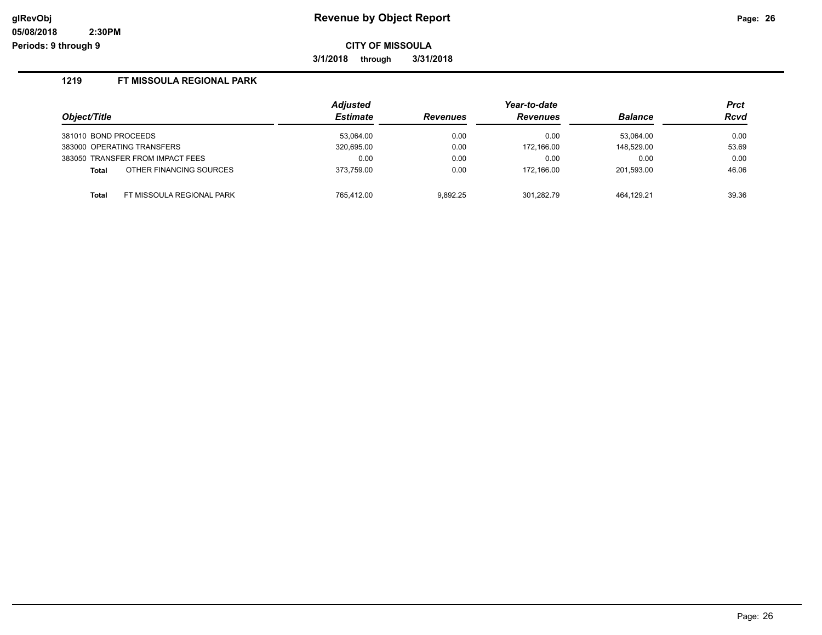**3/1/2018 through 3/31/2018**

| Object/Title                              | Adjusted<br><b>Estimate</b> | <b>Revenues</b> | Year-to-date<br><b>Revenues</b> | <b>Balance</b> | <b>Prct</b><br><b>Rcvd</b> |
|-------------------------------------------|-----------------------------|-----------------|---------------------------------|----------------|----------------------------|
| 381010 BOND PROCEEDS                      | 53.064.00                   | 0.00            | 0.00                            | 53.064.00      | 0.00                       |
| 383000 OPERATING TRANSFERS                | 320,695.00                  | 0.00            | 172.166.00                      | 148.529.00     | 53.69                      |
| 383050 TRANSFER FROM IMPACT FEES          | 0.00                        | 0.00            | 0.00                            | 0.00           | 0.00                       |
| OTHER FINANCING SOURCES<br><b>Total</b>   | 373.759.00                  | 0.00            | 172.166.00                      | 201.593.00     | 46.06                      |
| FT MISSOULA REGIONAL PARK<br><b>Total</b> | 765.412.00                  | 9.892.25        | 301.282.79                      | 464.129.21     | 39.36                      |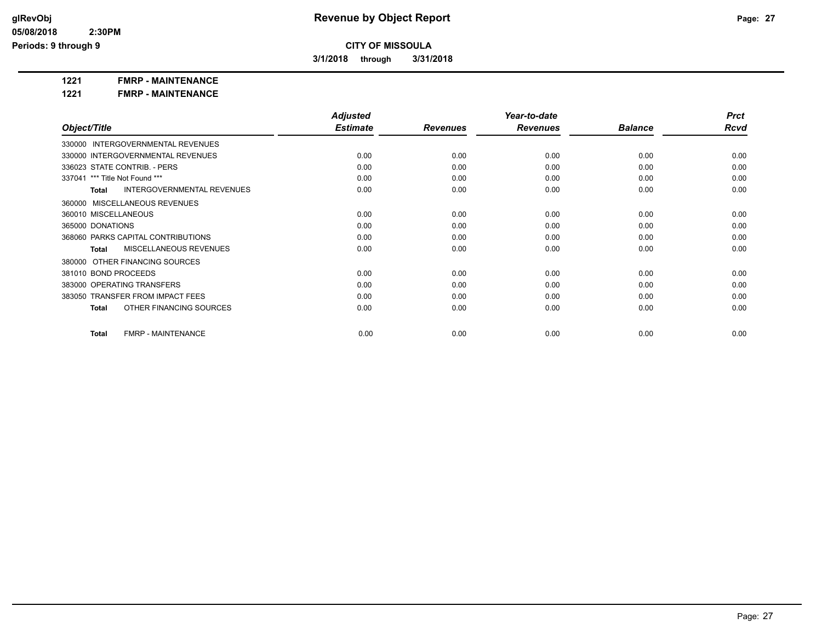**3/1/2018 through 3/31/2018**

**1221 FMRP - MAINTENANCE**

**1221 FMRP - MAINTENANCE**

|                                            | <b>Adjusted</b> |                 | Year-to-date    |                | <b>Prct</b> |
|--------------------------------------------|-----------------|-----------------|-----------------|----------------|-------------|
| Object/Title                               | <b>Estimate</b> | <b>Revenues</b> | <b>Revenues</b> | <b>Balance</b> | <b>Rcvd</b> |
| 330000 INTERGOVERNMENTAL REVENUES          |                 |                 |                 |                |             |
| 330000 INTERGOVERNMENTAL REVENUES          | 0.00            | 0.00            | 0.00            | 0.00           | 0.00        |
| 336023 STATE CONTRIB. - PERS               | 0.00            | 0.00            | 0.00            | 0.00           | 0.00        |
| 337041 *** Title Not Found ***             | 0.00            | 0.00            | 0.00            | 0.00           | 0.00        |
| <b>INTERGOVERNMENTAL REVENUES</b><br>Total | 0.00            | 0.00            | 0.00            | 0.00           | 0.00        |
| 360000 MISCELLANEOUS REVENUES              |                 |                 |                 |                |             |
| 360010 MISCELLANEOUS                       | 0.00            | 0.00            | 0.00            | 0.00           | 0.00        |
| 365000 DONATIONS                           | 0.00            | 0.00            | 0.00            | 0.00           | 0.00        |
| 368060 PARKS CAPITAL CONTRIBUTIONS         | 0.00            | 0.00            | 0.00            | 0.00           | 0.00        |
| MISCELLANEOUS REVENUES<br>Total            | 0.00            | 0.00            | 0.00            | 0.00           | 0.00        |
| 380000 OTHER FINANCING SOURCES             |                 |                 |                 |                |             |
| 381010 BOND PROCEEDS                       | 0.00            | 0.00            | 0.00            | 0.00           | 0.00        |
| 383000 OPERATING TRANSFERS                 | 0.00            | 0.00            | 0.00            | 0.00           | 0.00        |
| 383050 TRANSFER FROM IMPACT FEES           | 0.00            | 0.00            | 0.00            | 0.00           | 0.00        |
| OTHER FINANCING SOURCES<br><b>Total</b>    | 0.00            | 0.00            | 0.00            | 0.00           | 0.00        |
| <b>FMRP - MAINTENANCE</b><br>Total         | 0.00            | 0.00            | 0.00            | 0.00           | 0.00        |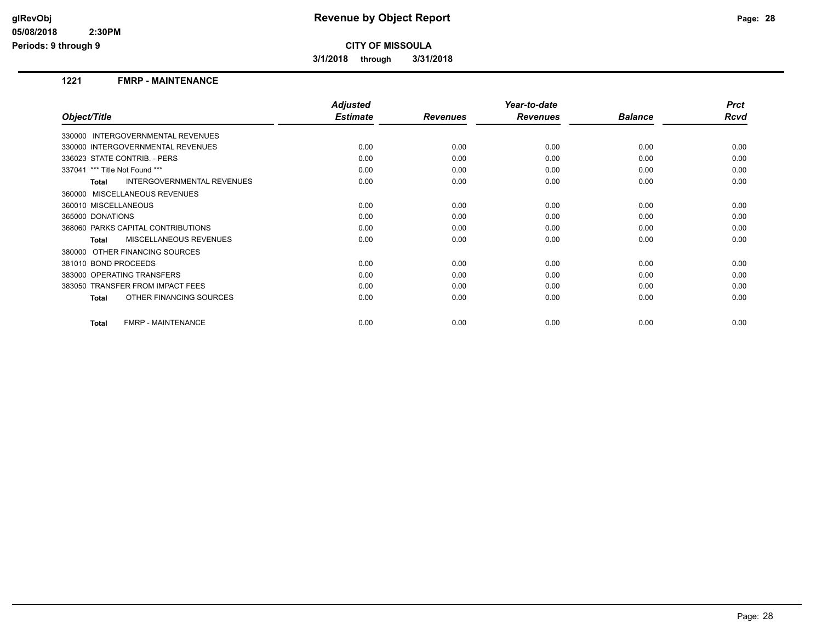**3/1/2018 through 3/31/2018**

#### **1221 FMRP - MAINTENANCE**

|                                            | <b>Adjusted</b> |                 | Year-to-date    |                | <b>Prct</b> |
|--------------------------------------------|-----------------|-----------------|-----------------|----------------|-------------|
| Object/Title                               | <b>Estimate</b> | <b>Revenues</b> | <b>Revenues</b> | <b>Balance</b> | Rcvd        |
| 330000 INTERGOVERNMENTAL REVENUES          |                 |                 |                 |                |             |
| 330000 INTERGOVERNMENTAL REVENUES          | 0.00            | 0.00            | 0.00            | 0.00           | 0.00        |
| 336023 STATE CONTRIB. - PERS               | 0.00            | 0.00            | 0.00            | 0.00           | 0.00        |
| 337041 *** Title Not Found ***             | 0.00            | 0.00            | 0.00            | 0.00           | 0.00        |
| <b>INTERGOVERNMENTAL REVENUES</b><br>Total | 0.00            | 0.00            | 0.00            | 0.00           | 0.00        |
| 360000 MISCELLANEOUS REVENUES              |                 |                 |                 |                |             |
| 360010 MISCELLANEOUS                       | 0.00            | 0.00            | 0.00            | 0.00           | 0.00        |
| 365000 DONATIONS                           | 0.00            | 0.00            | 0.00            | 0.00           | 0.00        |
| 368060 PARKS CAPITAL CONTRIBUTIONS         | 0.00            | 0.00            | 0.00            | 0.00           | 0.00        |
| MISCELLANEOUS REVENUES<br>Total            | 0.00            | 0.00            | 0.00            | 0.00           | 0.00        |
| 380000 OTHER FINANCING SOURCES             |                 |                 |                 |                |             |
| 381010 BOND PROCEEDS                       | 0.00            | 0.00            | 0.00            | 0.00           | 0.00        |
| 383000 OPERATING TRANSFERS                 | 0.00            | 0.00            | 0.00            | 0.00           | 0.00        |
| 383050 TRANSFER FROM IMPACT FEES           | 0.00            | 0.00            | 0.00            | 0.00           | 0.00        |
| OTHER FINANCING SOURCES<br><b>Total</b>    | 0.00            | 0.00            | 0.00            | 0.00           | 0.00        |
| <b>FMRP - MAINTENANCE</b><br>Total         | 0.00            | 0.00            | 0.00            | 0.00           | 0.00        |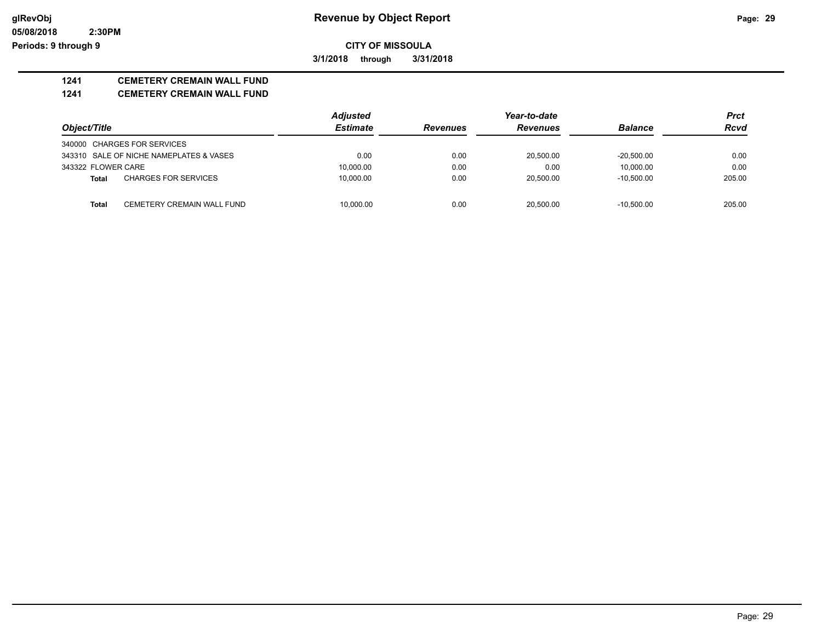**3/1/2018 through 3/31/2018**

# **1241 CEMETERY CREMAIN WALL FUND**

### **1241 CEMETERY CREMAIN WALL FUND**

|                             |                                         | <b>Adjusted</b> |                 | Year-to-date    |                | Prct        |
|-----------------------------|-----------------------------------------|-----------------|-----------------|-----------------|----------------|-------------|
| Object/Title                |                                         | <b>Estimate</b> | <b>Revenues</b> | <b>Revenues</b> | <b>Balance</b> | <b>Rcvd</b> |
| 340000 CHARGES FOR SERVICES |                                         |                 |                 |                 |                |             |
|                             | 343310 SALE OF NICHE NAMEPLATES & VASES | 0.00            | 0.00            | 20.500.00       | $-20.500.00$   | 0.00        |
| 343322 FLOWER CARE          |                                         | 10.000.00       | 0.00            | 0.00            | 10.000.00      | 0.00        |
| Total                       | <b>CHARGES FOR SERVICES</b>             | 10.000.00       | 0.00            | 20.500.00       | $-10.500.00$   | 205.00      |
|                             |                                         |                 |                 |                 |                |             |
| Total                       | CEMETERY CREMAIN WALL FUND              | 10.000.00       | 0.00            | 20.500.00       | $-10.500.00$   | 205.00      |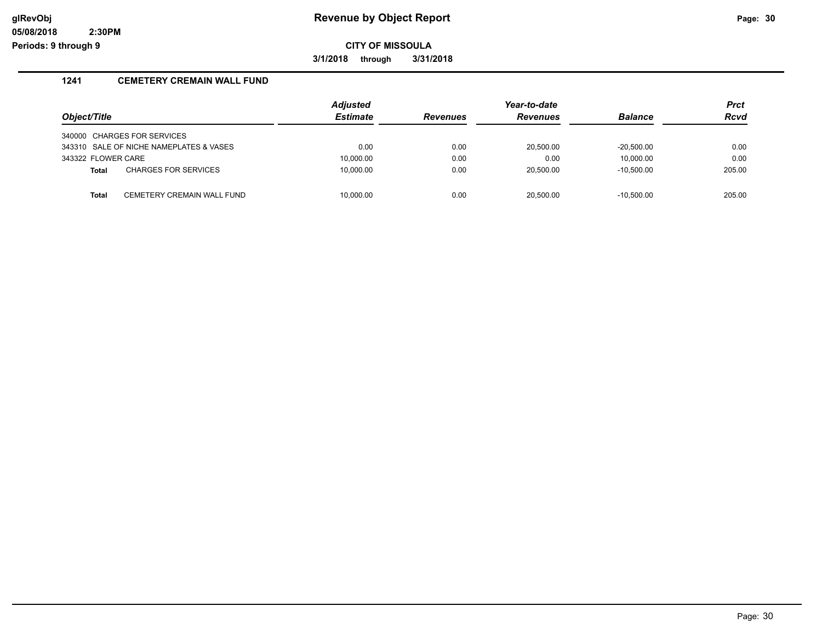**3/1/2018 through 3/31/2018**

#### **1241 CEMETERY CREMAIN WALL FUND**

| Object/Title       |                                         | <b>Adjusted</b><br><b>Estimate</b> | <b>Revenues</b> | Year-to-date<br><b>Revenues</b> | <b>Balance</b> | <b>Prct</b><br><b>Rcvd</b> |
|--------------------|-----------------------------------------|------------------------------------|-----------------|---------------------------------|----------------|----------------------------|
|                    | 340000 CHARGES FOR SERVICES             |                                    |                 |                                 |                |                            |
|                    | 343310 SALE OF NICHE NAMEPLATES & VASES | 0.00                               | 0.00            | 20.500.00                       | $-20.500.00$   | 0.00                       |
| 343322 FLOWER CARE |                                         | 10.000.00                          | 0.00            | 0.00                            | 10.000.00      | 0.00                       |
| <b>Total</b>       | <b>CHARGES FOR SERVICES</b>             | 10.000.00                          | 0.00            | 20.500.00                       | $-10.500.00$   | 205.00                     |
|                    |                                         |                                    |                 |                                 |                |                            |
| <b>Total</b>       | CEMETERY CREMAIN WALL FUND              | 10.000.00                          | 0.00            | 20.500.00                       | $-10.500.00$   | 205.00                     |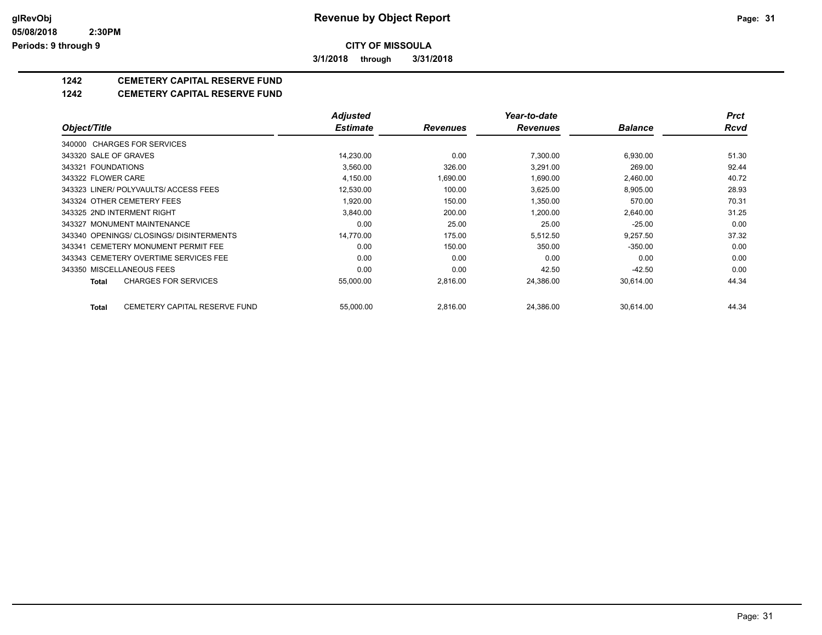**3/1/2018 through 3/31/2018**

# **1242 CEMETERY CAPITAL RESERVE FUND**

**1242 CEMETERY CAPITAL RESERVE FUND**

|                                               | <b>Adjusted</b> |                 | Year-to-date    |                | <b>Prct</b> |
|-----------------------------------------------|-----------------|-----------------|-----------------|----------------|-------------|
| Object/Title                                  | <b>Estimate</b> | <b>Revenues</b> | <b>Revenues</b> | <b>Balance</b> | <b>Rcvd</b> |
| 340000 CHARGES FOR SERVICES                   |                 |                 |                 |                |             |
| 343320 SALE OF GRAVES                         | 14,230.00       | 0.00            | 7,300.00        | 6,930.00       | 51.30       |
| 343321 FOUNDATIONS                            | 3.560.00        | 326.00          | 3.291.00        | 269.00         | 92.44       |
| 343322 FLOWER CARE                            | 4,150.00        | 1,690.00        | 1,690.00        | 2,460.00       | 40.72       |
| 343323 LINER/POLYVAULTS/ACCESS FEES           | 12,530.00       | 100.00          | 3,625.00        | 8,905.00       | 28.93       |
| 343324 OTHER CEMETERY FEES                    | 1,920.00        | 150.00          | 1,350.00        | 570.00         | 70.31       |
| 343325 2ND INTERMENT RIGHT                    | 3,840.00        | 200.00          | 1,200.00        | 2,640.00       | 31.25       |
| 343327 MONUMENT MAINTENANCE                   | 0.00            | 25.00           | 25.00           | $-25.00$       | 0.00        |
| 343340 OPENINGS/ CLOSINGS/ DISINTERMENTS      | 14,770.00       | 175.00          | 5,512.50        | 9,257.50       | 37.32       |
| 343341 CEMETERY MONUMENT PERMIT FEE           | 0.00            | 150.00          | 350.00          | $-350.00$      | 0.00        |
| 343343 CEMETERY OVERTIME SERVICES FEE         | 0.00            | 0.00            | 0.00            | 0.00           | 0.00        |
| 343350 MISCELLANEOUS FEES                     | 0.00            | 0.00            | 42.50           | $-42.50$       | 0.00        |
| <b>CHARGES FOR SERVICES</b><br>Total          | 55,000.00       | 2,816.00        | 24,386.00       | 30,614.00      | 44.34       |
| CEMETERY CAPITAL RESERVE FUND<br><b>Total</b> | 55,000.00       | 2.816.00        | 24.386.00       | 30.614.00      | 44.34       |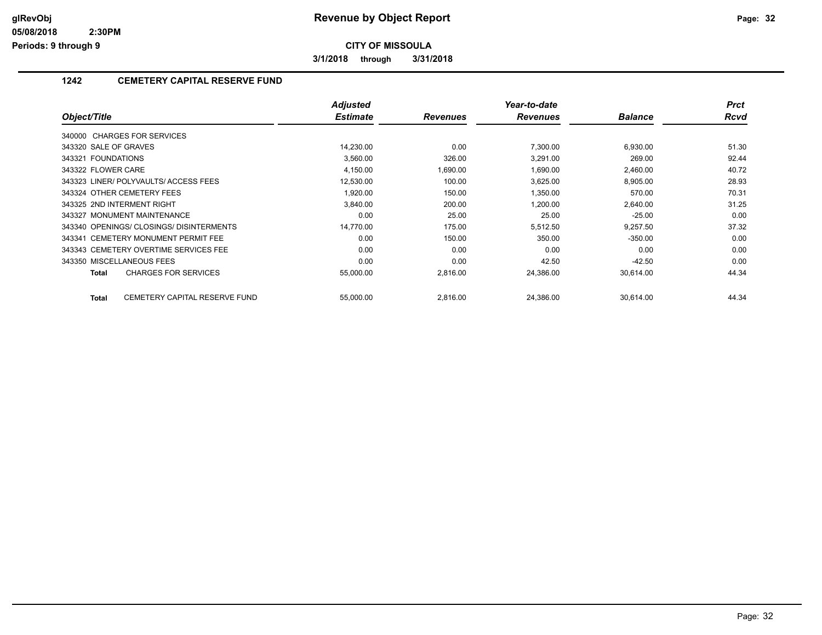**3/1/2018 through 3/31/2018**

### **1242 CEMETERY CAPITAL RESERVE FUND**

|                                          | <b>Adjusted</b> |                 | Year-to-date    |                | <b>Prct</b> |
|------------------------------------------|-----------------|-----------------|-----------------|----------------|-------------|
| Object/Title                             | <b>Estimate</b> | <b>Revenues</b> | <b>Revenues</b> | <b>Balance</b> | <b>Rcvd</b> |
| 340000 CHARGES FOR SERVICES              |                 |                 |                 |                |             |
| 343320 SALE OF GRAVES                    | 14,230.00       | 0.00            | 7,300.00        | 6,930.00       | 51.30       |
| 343321 FOUNDATIONS                       | 3,560.00        | 326.00          | 3,291.00        | 269.00         | 92.44       |
| 343322 FLOWER CARE                       | 4,150.00        | 1,690.00        | 1,690.00        | 2,460.00       | 40.72       |
| 343323 LINER/POLYVAULTS/ACCESS FEES      | 12,530.00       | 100.00          | 3,625.00        | 8,905.00       | 28.93       |
| 343324 OTHER CEMETERY FEES               | 1.920.00        | 150.00          | 1,350.00        | 570.00         | 70.31       |
| 343325 2ND INTERMENT RIGHT               | 3,840.00        | 200.00          | 1,200.00        | 2,640.00       | 31.25       |
| 343327 MONUMENT MAINTENANCE              | 0.00            | 25.00           | 25.00           | $-25.00$       | 0.00        |
| 343340 OPENINGS/ CLOSINGS/ DISINTERMENTS | 14,770.00       | 175.00          | 5,512.50        | 9,257.50       | 37.32       |
| 343341 CEMETERY MONUMENT PERMIT FEE      | 0.00            | 150.00          | 350.00          | $-350.00$      | 0.00        |
| 343343 CEMETERY OVERTIME SERVICES FEE    | 0.00            | 0.00            | 0.00            | 0.00           | 0.00        |
| 343350 MISCELLANEOUS FEES                | 0.00            | 0.00            | 42.50           | $-42.50$       | 0.00        |
| <b>CHARGES FOR SERVICES</b><br>Total     | 55,000.00       | 2.816.00        | 24,386.00       | 30,614.00      | 44.34       |
| CEMETERY CAPITAL RESERVE FUND<br>Total   | 55,000.00       | 2,816.00        | 24.386.00       | 30,614.00      | 44.34       |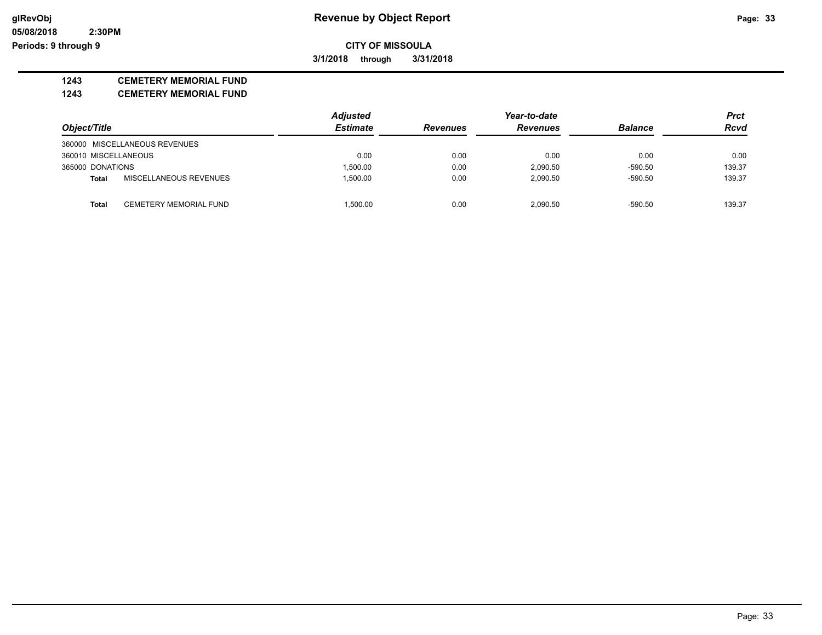**3/1/2018 through 3/31/2018**

## **1243 CEMETERY MEMORIAL FUND**

**1243 CEMETERY MEMORIAL FUND**

|                      |                               | <b>Adjusted</b> | Year-to-date    |                 |                | Prct   |
|----------------------|-------------------------------|-----------------|-----------------|-----------------|----------------|--------|
| Object/Title         |                               | <b>Estimate</b> | <b>Revenues</b> | <b>Revenues</b> | <b>Balance</b> | Rcvd   |
|                      | 360000 MISCELLANEOUS REVENUES |                 |                 |                 |                |        |
| 360010 MISCELLANEOUS |                               | 0.00            | 0.00            | 0.00            | 0.00           | 0.00   |
| 365000 DONATIONS     |                               | 1.500.00        | 0.00            | 2.090.50        | $-590.50$      | 139.37 |
| <b>Total</b>         | MISCELLANEOUS REVENUES        | 1.500.00        | 0.00            | 2,090.50        | $-590.50$      | 139.37 |
| <b>Total</b>         | CEMETERY MEMORIAL FUND        | 1.500.00        | 0.00            | 2,090.50        | $-590.50$      | 139.37 |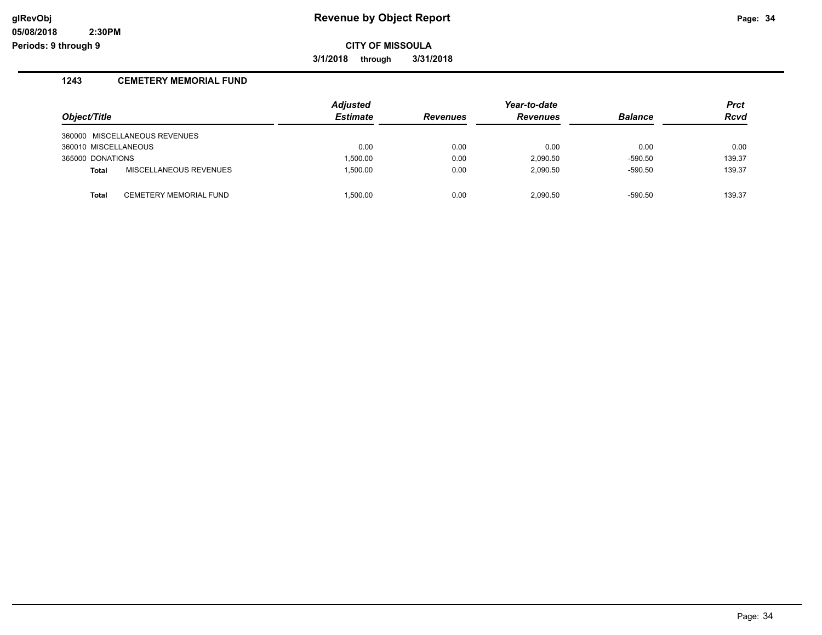**Periods: 9 through 9**

**CITY OF MISSOULA**

**3/1/2018 through 3/31/2018**

#### **1243 CEMETERY MEMORIAL FUND**

 **2:30PM**

|                      |                               | <b>Adjusted</b> |                 | Year-to-date    |                | <b>Prct</b> |
|----------------------|-------------------------------|-----------------|-----------------|-----------------|----------------|-------------|
| Object/Title         |                               | <b>Estimate</b> | <b>Revenues</b> | <b>Revenues</b> | <b>Balance</b> | <b>Rcvd</b> |
|                      | 360000 MISCELLANEOUS REVENUES |                 |                 |                 |                |             |
| 360010 MISCELLANEOUS |                               | 0.00            | 0.00            | 0.00            | 0.00           | 0.00        |
| 365000 DONATIONS     |                               | 1.500.00        | 0.00            | 2,090.50        | $-590.50$      | 139.37      |
| <b>Total</b>         | MISCELLANEOUS REVENUES        | 1.500.00        | 0.00            | 2.090.50        | $-590.50$      | 139.37      |
|                      |                               |                 |                 |                 |                |             |
| <b>Total</b>         | <b>CEMETERY MEMORIAL FUND</b> | 1.500.00        | 0.00            | 2.090.50        | $-590.50$      | 139.37      |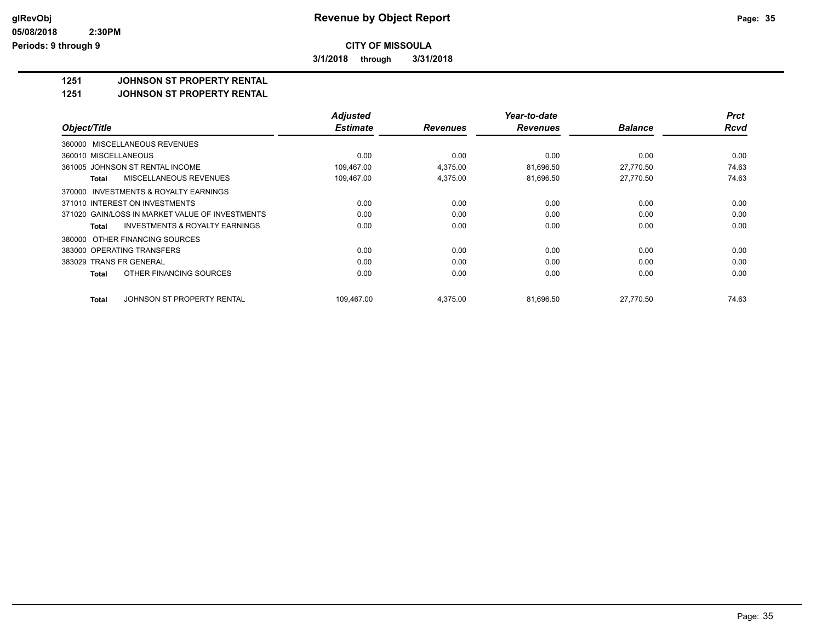**3/1/2018 through 3/31/2018**

# **1251 JOHNSON ST PROPERTY RENTAL**

**1251 JOHNSON ST PROPERTY RENTAL**

|                                                    | <b>Adjusted</b> |                 | Year-to-date    |                | <b>Prct</b> |
|----------------------------------------------------|-----------------|-----------------|-----------------|----------------|-------------|
| Object/Title                                       | <b>Estimate</b> | <b>Revenues</b> | <b>Revenues</b> | <b>Balance</b> | <b>Rcvd</b> |
| MISCELLANEOUS REVENUES<br>360000                   |                 |                 |                 |                |             |
| 360010 MISCELLANEOUS                               | 0.00            | 0.00            | 0.00            | 0.00           | 0.00        |
| 361005 JOHNSON ST RENTAL INCOME                    | 109,467.00      | 4,375.00        | 81,696.50       | 27,770.50      | 74.63       |
| MISCELLANEOUS REVENUES<br><b>Total</b>             | 109,467.00      | 4,375.00        | 81,696.50       | 27,770.50      | 74.63       |
| INVESTMENTS & ROYALTY EARNINGS<br>370000           |                 |                 |                 |                |             |
| 371010 INTEREST ON INVESTMENTS                     | 0.00            | 0.00            | 0.00            | 0.00           | 0.00        |
| 371020 GAIN/LOSS IN MARKET VALUE OF INVESTMENTS    | 0.00            | 0.00            | 0.00            | 0.00           | 0.00        |
| <b>INVESTMENTS &amp; ROYALTY EARNINGS</b><br>Total | 0.00            | 0.00            | 0.00            | 0.00           | 0.00        |
| OTHER FINANCING SOURCES<br>380000                  |                 |                 |                 |                |             |
| 383000 OPERATING TRANSFERS                         | 0.00            | 0.00            | 0.00            | 0.00           | 0.00        |
| 383029 TRANS FR GENERAL                            | 0.00            | 0.00            | 0.00            | 0.00           | 0.00        |
| OTHER FINANCING SOURCES<br>Total                   | 0.00            | 0.00            | 0.00            | 0.00           | 0.00        |
| JOHNSON ST PROPERTY RENTAL<br><b>Total</b>         | 109,467.00      | 4,375.00        | 81,696.50       | 27,770.50      | 74.63       |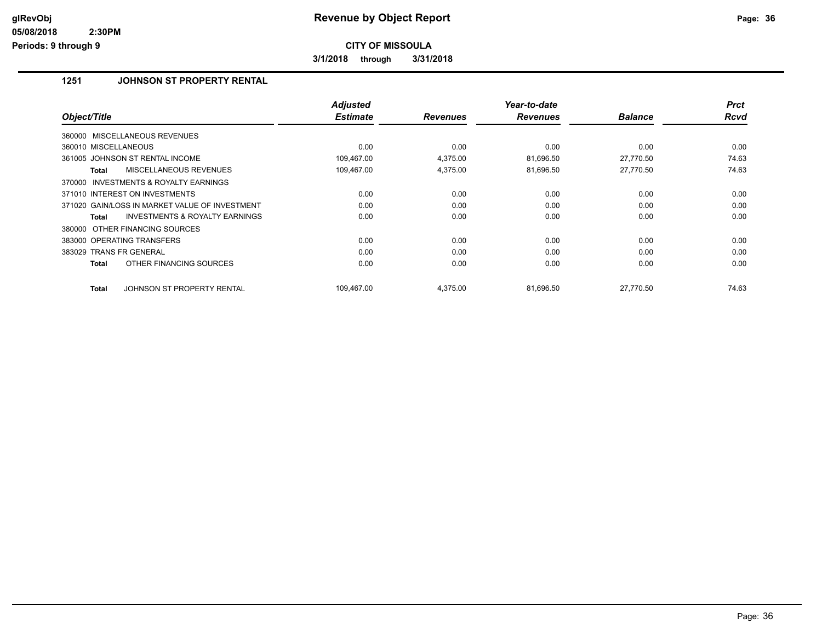**3/1/2018 through 3/31/2018**

### **1251 JOHNSON ST PROPERTY RENTAL**

| Object/Title                                       | <b>Adjusted</b><br><b>Estimate</b> | <b>Revenues</b> | Year-to-date<br><b>Revenues</b> | <b>Balance</b> | <b>Prct</b><br>Rcvd |
|----------------------------------------------------|------------------------------------|-----------------|---------------------------------|----------------|---------------------|
|                                                    |                                    |                 |                                 |                |                     |
| 360000 MISCELLANEOUS REVENUES                      |                                    |                 |                                 |                |                     |
| 360010 MISCELLANEOUS                               | 0.00                               | 0.00            | 0.00                            | 0.00           | 0.00                |
| 361005 JOHNSON ST RENTAL INCOME                    | 109,467.00                         | 4,375.00        | 81,696.50                       | 27,770.50      | 74.63               |
| MISCELLANEOUS REVENUES<br>Total                    | 109,467.00                         | 4,375.00        | 81,696.50                       | 27,770.50      | 74.63               |
| 370000 INVESTMENTS & ROYALTY EARNINGS              |                                    |                 |                                 |                |                     |
| 371010 INTEREST ON INVESTMENTS                     | 0.00                               | 0.00            | 0.00                            | 0.00           | 0.00                |
| 371020 GAIN/LOSS IN MARKET VALUE OF INVESTMENT     | 0.00                               | 0.00            | 0.00                            | 0.00           | 0.00                |
| <b>INVESTMENTS &amp; ROYALTY EARNINGS</b><br>Total | 0.00                               | 0.00            | 0.00                            | 0.00           | 0.00                |
| 380000 OTHER FINANCING SOURCES                     |                                    |                 |                                 |                |                     |
| 383000 OPERATING TRANSFERS                         | 0.00                               | 0.00            | 0.00                            | 0.00           | 0.00                |
| 383029 TRANS FR GENERAL                            | 0.00                               | 0.00            | 0.00                            | 0.00           | 0.00                |
| OTHER FINANCING SOURCES<br>Total                   | 0.00                               | 0.00            | 0.00                            | 0.00           | 0.00                |
|                                                    |                                    |                 |                                 |                |                     |
| JOHNSON ST PROPERTY RENTAL<br>Total                | 109.467.00                         | 4,375.00        | 81,696.50                       | 27.770.50      | 74.63               |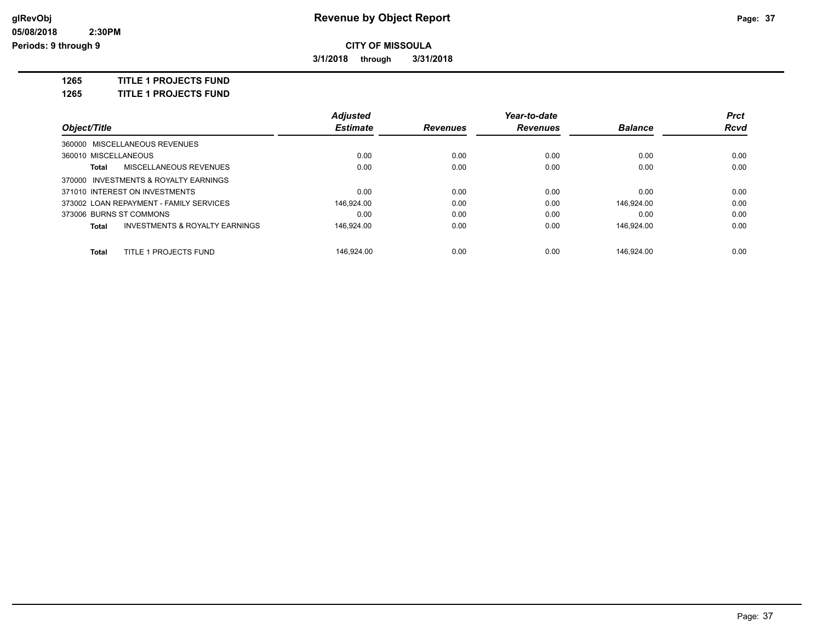**3/1/2018 through 3/31/2018**

**1265 TITLE 1 PROJECTS FUND**

**1265 TITLE 1 PROJECTS FUND**

|                                         | <b>Adjusted</b> |                 | Year-to-date    |                | <b>Prct</b> |
|-----------------------------------------|-----------------|-----------------|-----------------|----------------|-------------|
| Object/Title                            | <b>Estimate</b> | <b>Revenues</b> | <b>Revenues</b> | <b>Balance</b> | Rcvd        |
| 360000 MISCELLANEOUS REVENUES           |                 |                 |                 |                |             |
| 360010 MISCELLANEOUS                    | 0.00            | 0.00            | 0.00            | 0.00           | 0.00        |
| MISCELLANEOUS REVENUES<br>Total         | 0.00            | 0.00            | 0.00            | 0.00           | 0.00        |
| 370000 INVESTMENTS & ROYALTY EARNINGS   |                 |                 |                 |                |             |
| 371010 INTEREST ON INVESTMENTS          | 0.00            | 0.00            | 0.00            | 0.00           | 0.00        |
| 373002 LOAN REPAYMENT - FAMILY SERVICES | 146.924.00      | 0.00            | 0.00            | 146.924.00     | 0.00        |
| 373006 BURNS ST COMMONS                 | 0.00            | 0.00            | 0.00            | 0.00           | 0.00        |
| INVESTMENTS & ROYALTY EARNINGS<br>Total | 146.924.00      | 0.00            | 0.00            | 146.924.00     | 0.00        |
| TITLE 1 PROJECTS FUND<br>Total          | 146.924.00      | 0.00            | 0.00            | 146.924.00     | 0.00        |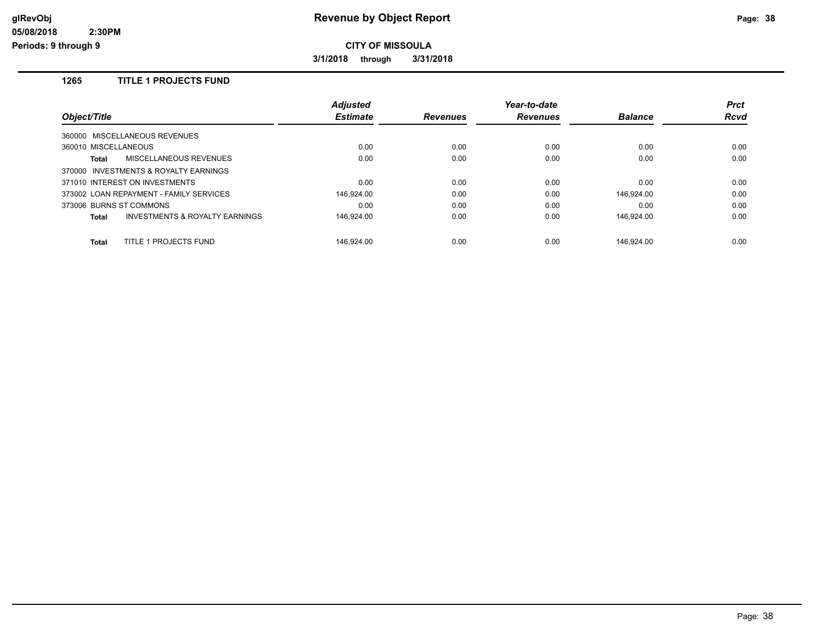**3/1/2018 through 3/31/2018**

## **1265 TITLE 1 PROJECTS FUND**

|                                |                                         | <b>Adjusted</b> |                 | Year-to-date    |                | <b>Prct</b> |
|--------------------------------|-----------------------------------------|-----------------|-----------------|-----------------|----------------|-------------|
| <i><b>Object/Title</b></i>     |                                         | <b>Estimate</b> | <b>Revenues</b> | <b>Revenues</b> | <b>Balance</b> | <b>Rcvd</b> |
| 360000 MISCELLANEOUS REVENUES  |                                         |                 |                 |                 |                |             |
| 360010 MISCELLANEOUS           |                                         | 0.00            | 0.00            | 0.00            | 0.00           | 0.00        |
| Total                          | <b>MISCELLANEOUS REVENUES</b>           | 0.00            | 0.00            | 0.00            | 0.00           | 0.00        |
|                                | 370000 INVESTMENTS & ROYALTY EARNINGS   |                 |                 |                 |                |             |
| 371010 INTEREST ON INVESTMENTS |                                         | 0.00            | 0.00            | 0.00            | 0.00           | 0.00        |
|                                | 373002 LOAN REPAYMENT - FAMILY SERVICES | 146.924.00      | 0.00            | 0.00            | 146.924.00     | 0.00        |
| 373006 BURNS ST COMMONS        |                                         | 0.00            | 0.00            | 0.00            | 0.00           | 0.00        |
| Total                          | INVESTMENTS & ROYALTY EARNINGS          | 146.924.00      | 0.00            | 0.00            | 146.924.00     | 0.00        |
| <b>Total</b>                   | TITLE 1 PROJECTS FUND                   | 146.924.00      | 0.00            | 0.00            | 146.924.00     | 0.00        |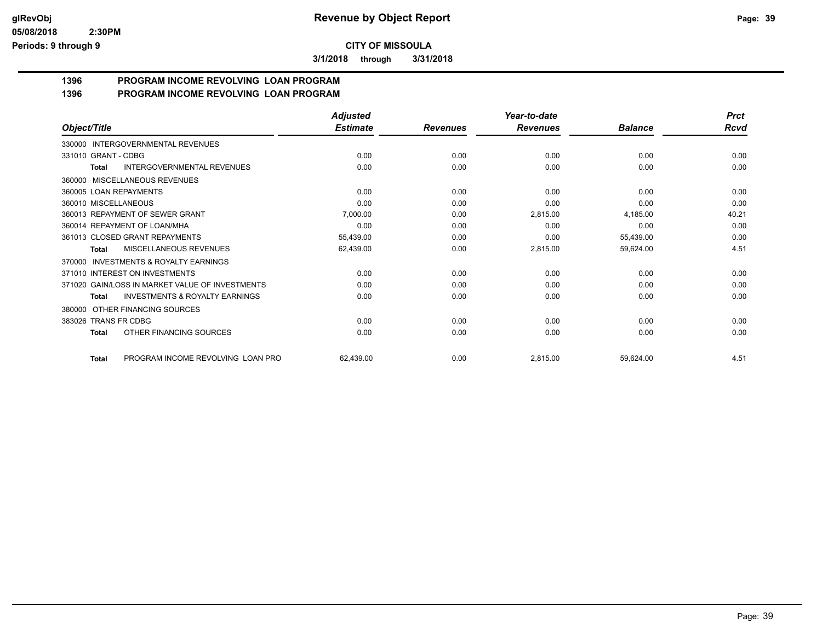**3/1/2018 through 3/31/2018**

### **1396 PROGRAM INCOME REVOLVING LOAN PROGRAM 1396 PROGRAM INCOME REVOLVING LOAN PROGRAM**

|                                                           | <b>Adjusted</b> |                 | Year-to-date    |                | <b>Prct</b> |
|-----------------------------------------------------------|-----------------|-----------------|-----------------|----------------|-------------|
| Object/Title                                              | <b>Estimate</b> | <b>Revenues</b> | <b>Revenues</b> | <b>Balance</b> | <b>Rcvd</b> |
| INTERGOVERNMENTAL REVENUES<br>330000                      |                 |                 |                 |                |             |
| 331010 GRANT - CDBG                                       | 0.00            | 0.00            | 0.00            | 0.00           | 0.00        |
| INTERGOVERNMENTAL REVENUES<br><b>Total</b>                | 0.00            | 0.00            | 0.00            | 0.00           | 0.00        |
| MISCELLANEOUS REVENUES<br>360000                          |                 |                 |                 |                |             |
| 360005 LOAN REPAYMENTS                                    | 0.00            | 0.00            | 0.00            | 0.00           | 0.00        |
| 360010 MISCELLANEOUS                                      | 0.00            | 0.00            | 0.00            | 0.00           | 0.00        |
| 360013 REPAYMENT OF SEWER GRANT                           | 7,000.00        | 0.00            | 2,815.00        | 4,185.00       | 40.21       |
| 360014 REPAYMENT OF LOAN/MHA                              | 0.00            | 0.00            | 0.00            | 0.00           | 0.00        |
| 361013 CLOSED GRANT REPAYMENTS                            | 55,439.00       | 0.00            | 0.00            | 55,439.00      | 0.00        |
| MISCELLANEOUS REVENUES<br><b>Total</b>                    | 62,439.00       | 0.00            | 2,815.00        | 59,624.00      | 4.51        |
| <b>INVESTMENTS &amp; ROYALTY EARNINGS</b><br>370000       |                 |                 |                 |                |             |
| 371010 INTEREST ON INVESTMENTS                            | 0.00            | 0.00            | 0.00            | 0.00           | 0.00        |
| 371020 GAIN/LOSS IN MARKET VALUE OF INVESTMENTS           | 0.00            | 0.00            | 0.00            | 0.00           | 0.00        |
| <b>INVESTMENTS &amp; ROYALTY EARNINGS</b><br><b>Total</b> | 0.00            | 0.00            | 0.00            | 0.00           | 0.00        |
| OTHER FINANCING SOURCES<br>380000                         |                 |                 |                 |                |             |
| <b>TRANS FR CDBG</b><br>383026                            | 0.00            | 0.00            | 0.00            | 0.00           | 0.00        |
| OTHER FINANCING SOURCES<br><b>Total</b>                   | 0.00            | 0.00            | 0.00            | 0.00           | 0.00        |
| PROGRAM INCOME REVOLVING LOAN PRO<br><b>Total</b>         | 62,439.00       | 0.00            | 2,815.00        | 59,624.00      | 4.51        |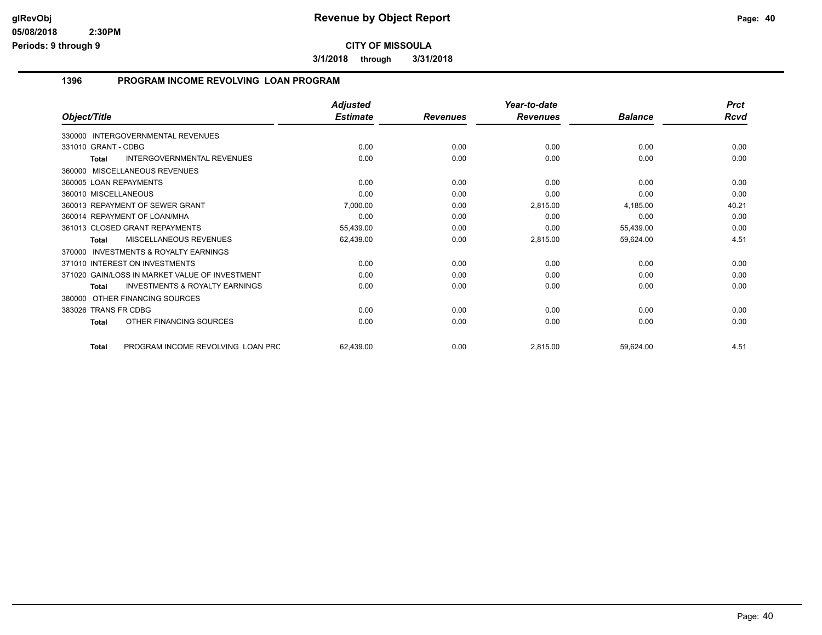**3/1/2018 through 3/31/2018**

## **1396 PROGRAM INCOME REVOLVING LOAN PROGRAM**

|                                                           | <b>Adjusted</b> |                 | Year-to-date    |                | <b>Prct</b> |
|-----------------------------------------------------------|-----------------|-----------------|-----------------|----------------|-------------|
| Object/Title                                              | <b>Estimate</b> | <b>Revenues</b> | <b>Revenues</b> | <b>Balance</b> | <b>Rcvd</b> |
| 330000 INTERGOVERNMENTAL REVENUES                         |                 |                 |                 |                |             |
| 331010 GRANT - CDBG                                       | 0.00            | 0.00            | 0.00            | 0.00           | 0.00        |
| INTERGOVERNMENTAL REVENUES<br><b>Total</b>                | 0.00            | 0.00            | 0.00            | 0.00           | 0.00        |
| 360000 MISCELLANEOUS REVENUES                             |                 |                 |                 |                |             |
| 360005 LOAN REPAYMENTS                                    | 0.00            | 0.00            | 0.00            | 0.00           | 0.00        |
| 360010 MISCELLANEOUS                                      | 0.00            | 0.00            | 0.00            | 0.00           | 0.00        |
| 360013 REPAYMENT OF SEWER GRANT                           | 7,000.00        | 0.00            | 2,815.00        | 4,185.00       | 40.21       |
| 360014 REPAYMENT OF LOAN/MHA                              | 0.00            | 0.00            | 0.00            | 0.00           | 0.00        |
| 361013 CLOSED GRANT REPAYMENTS                            | 55,439.00       | 0.00            | 0.00            | 55,439.00      | 0.00        |
| MISCELLANEOUS REVENUES<br><b>Total</b>                    | 62,439.00       | 0.00            | 2,815.00        | 59,624.00      | 4.51        |
| <b>INVESTMENTS &amp; ROYALTY EARNINGS</b><br>370000       |                 |                 |                 |                |             |
| 371010 INTEREST ON INVESTMENTS                            | 0.00            | 0.00            | 0.00            | 0.00           | 0.00        |
| 371020 GAIN/LOSS IN MARKET VALUE OF INVESTMENT            | 0.00            | 0.00            | 0.00            | 0.00           | 0.00        |
| <b>INVESTMENTS &amp; ROYALTY EARNINGS</b><br><b>Total</b> | 0.00            | 0.00            | 0.00            | 0.00           | 0.00        |
| 380000 OTHER FINANCING SOURCES                            |                 |                 |                 |                |             |
| 383026 TRANS FR CDBG                                      | 0.00            | 0.00            | 0.00            | 0.00           | 0.00        |
| OTHER FINANCING SOURCES<br><b>Total</b>                   | 0.00            | 0.00            | 0.00            | 0.00           | 0.00        |
| PROGRAM INCOME REVOLVING LOAN PRC<br><b>Total</b>         | 62,439.00       | 0.00            | 2,815.00        | 59,624.00      | 4.51        |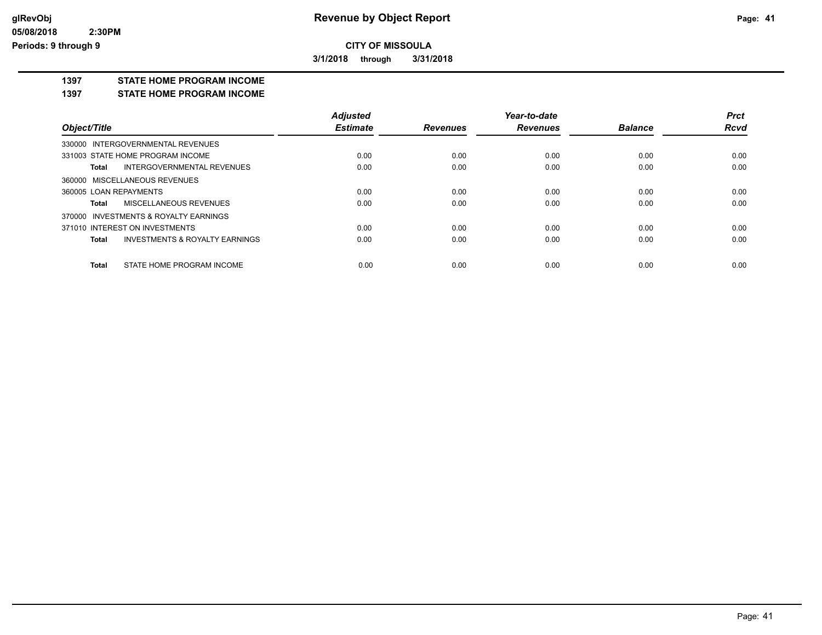**3/1/2018 through 3/31/2018**

## **1397 STATE HOME PROGRAM INCOME**

#### **1397 STATE HOME PROGRAM INCOME**

|                                                    | <b>Adjusted</b> |                 | Year-to-date    |                | <b>Prct</b> |
|----------------------------------------------------|-----------------|-----------------|-----------------|----------------|-------------|
| Object/Title                                       | <b>Estimate</b> | <b>Revenues</b> | <b>Revenues</b> | <b>Balance</b> | <b>Rcvd</b> |
| 330000 INTERGOVERNMENTAL REVENUES                  |                 |                 |                 |                |             |
| 331003 STATE HOME PROGRAM INCOME                   | 0.00            | 0.00            | 0.00            | 0.00           | 0.00        |
| INTERGOVERNMENTAL REVENUES<br>Total                | 0.00            | 0.00            | 0.00            | 0.00           | 0.00        |
| 360000 MISCELLANEOUS REVENUES                      |                 |                 |                 |                |             |
| 360005 LOAN REPAYMENTS                             | 0.00            | 0.00            | 0.00            | 0.00           | 0.00        |
| MISCELLANEOUS REVENUES<br>Total                    | 0.00            | 0.00            | 0.00            | 0.00           | 0.00        |
| 370000 INVESTMENTS & ROYALTY EARNINGS              |                 |                 |                 |                |             |
| 371010 INTEREST ON INVESTMENTS                     | 0.00            | 0.00            | 0.00            | 0.00           | 0.00        |
| <b>INVESTMENTS &amp; ROYALTY EARNINGS</b><br>Total | 0.00            | 0.00            | 0.00            | 0.00           | 0.00        |
|                                                    |                 |                 |                 |                |             |
| STATE HOME PROGRAM INCOME<br>Total                 | 0.00            | 0.00            | 0.00            | 0.00           | 0.00        |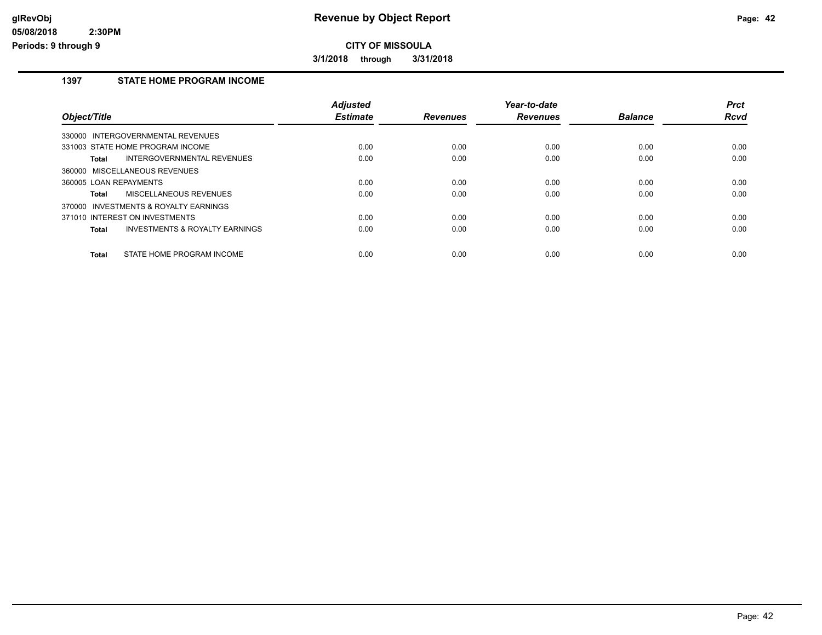**3/1/2018 through 3/31/2018**

## **1397 STATE HOME PROGRAM INCOME**

| Object/Title                                              | <b>Adjusted</b><br><b>Estimate</b> | <b>Revenues</b> | Year-to-date<br><b>Revenues</b> | <b>Balance</b> | <b>Prct</b><br><b>Rcvd</b> |
|-----------------------------------------------------------|------------------------------------|-----------------|---------------------------------|----------------|----------------------------|
| INTERGOVERNMENTAL REVENUES<br>330000                      |                                    |                 |                                 |                |                            |
|                                                           |                                    |                 |                                 |                |                            |
| 331003 STATE HOME PROGRAM INCOME                          | 0.00                               | 0.00            | 0.00                            | 0.00           | 0.00                       |
| INTERGOVERNMENTAL REVENUES<br>Total                       | 0.00                               | 0.00            | 0.00                            | 0.00           | 0.00                       |
| MISCELLANEOUS REVENUES<br>360000                          |                                    |                 |                                 |                |                            |
| 360005 LOAN REPAYMENTS                                    | 0.00                               | 0.00            | 0.00                            | 0.00           | 0.00                       |
| <b>MISCELLANEOUS REVENUES</b><br><b>Total</b>             | 0.00                               | 0.00            | 0.00                            | 0.00           | 0.00                       |
| INVESTMENTS & ROYALTY EARNINGS<br>370000                  |                                    |                 |                                 |                |                            |
| 371010 INTEREST ON INVESTMENTS                            | 0.00                               | 0.00            | 0.00                            | 0.00           | 0.00                       |
| <b>INVESTMENTS &amp; ROYALTY EARNINGS</b><br><b>Total</b> | 0.00                               | 0.00            | 0.00                            | 0.00           | 0.00                       |
| STATE HOME PROGRAM INCOME<br><b>Total</b>                 | 0.00                               | 0.00            | 0.00                            | 0.00           | 0.00                       |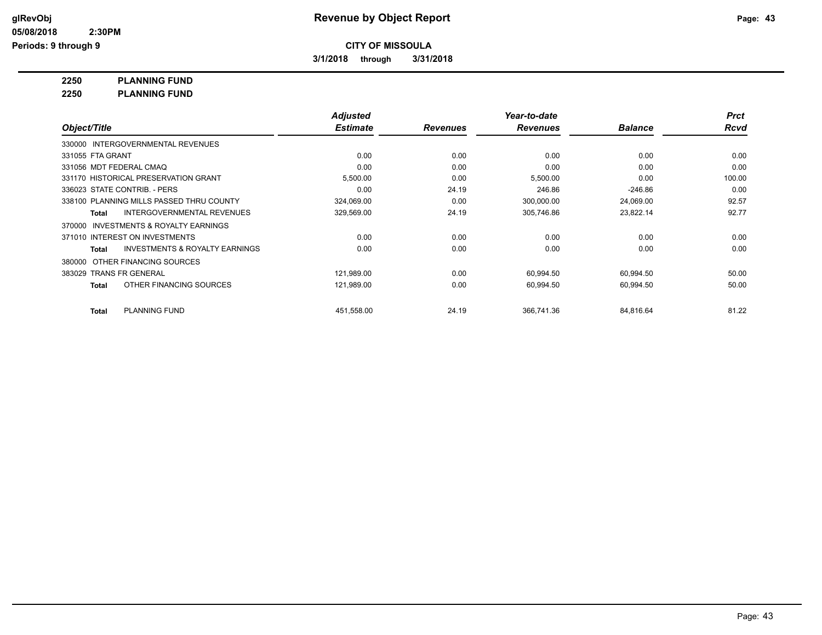**3/1/2018 through 3/31/2018**

## **2250 PLANNING FUND**

**2250 PLANNING FUND**

|                                                    | <b>Adjusted</b> |                 | Year-to-date    |                | <b>Prct</b> |
|----------------------------------------------------|-----------------|-----------------|-----------------|----------------|-------------|
| Object/Title                                       | <b>Estimate</b> | <b>Revenues</b> | <b>Revenues</b> | <b>Balance</b> | <b>Rcvd</b> |
| 330000 INTERGOVERNMENTAL REVENUES                  |                 |                 |                 |                |             |
| 331055 FTA GRANT                                   | 0.00            | 0.00            | 0.00            | 0.00           | 0.00        |
| 331056 MDT FEDERAL CMAQ                            | 0.00            | 0.00            | 0.00            | 0.00           | 0.00        |
| 331170 HISTORICAL PRESERVATION GRANT               | 5,500.00        | 0.00            | 5,500.00        | 0.00           | 100.00      |
| 336023 STATE CONTRIB. - PERS                       | 0.00            | 24.19           | 246.86          | $-246.86$      | 0.00        |
| 338100 PLANNING MILLS PASSED THRU COUNTY           | 324,069.00      | 0.00            | 300,000.00      | 24,069.00      | 92.57       |
| <b>INTERGOVERNMENTAL REVENUES</b><br>Total         | 329,569.00      | 24.19           | 305,746.86      | 23,822.14      | 92.77       |
| INVESTMENTS & ROYALTY EARNINGS<br>370000           |                 |                 |                 |                |             |
| 371010 INTEREST ON INVESTMENTS                     | 0.00            | 0.00            | 0.00            | 0.00           | 0.00        |
| <b>INVESTMENTS &amp; ROYALTY EARNINGS</b><br>Total | 0.00            | 0.00            | 0.00            | 0.00           | 0.00        |
| OTHER FINANCING SOURCES<br>380000                  |                 |                 |                 |                |             |
| 383029 TRANS FR GENERAL                            | 121,989.00      | 0.00            | 60,994.50       | 60,994.50      | 50.00       |
| OTHER FINANCING SOURCES<br>Total                   | 121,989.00      | 0.00            | 60,994.50       | 60,994.50      | 50.00       |
|                                                    |                 |                 |                 |                |             |
| <b>PLANNING FUND</b><br>Total                      | 451,558.00      | 24.19           | 366,741.36      | 84,816.64      | 81.22       |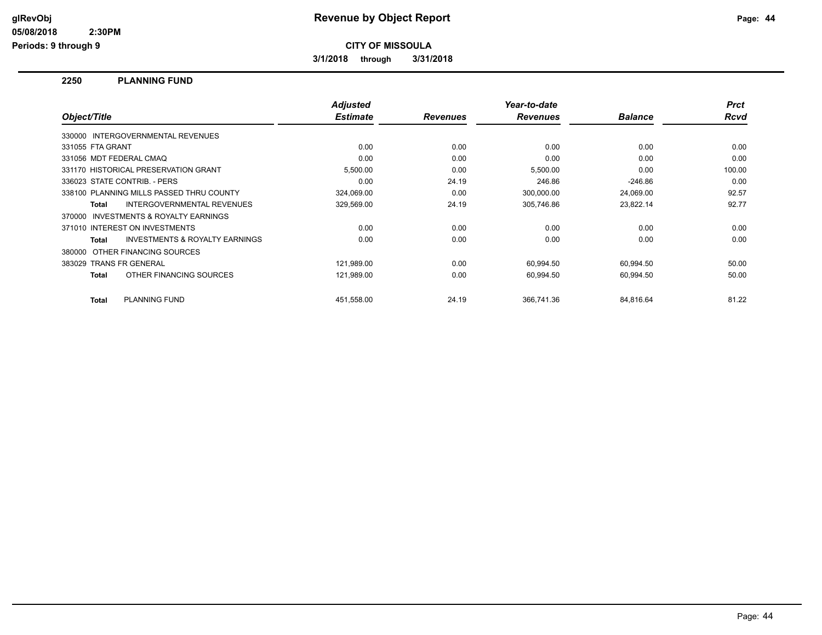**3/1/2018 through 3/31/2018**

#### **2250 PLANNING FUND**

| Object/Title            |                                           | <b>Adjusted</b><br><b>Estimate</b> | <b>Revenues</b> | Year-to-date<br><b>Revenues</b> | <b>Balance</b> | <b>Prct</b><br><b>Rcvd</b> |
|-------------------------|-------------------------------------------|------------------------------------|-----------------|---------------------------------|----------------|----------------------------|
|                         | 330000 INTERGOVERNMENTAL REVENUES         |                                    |                 |                                 |                |                            |
| 331055 FTA GRANT        |                                           | 0.00                               | 0.00            | 0.00                            | 0.00           | 0.00                       |
| 331056 MDT FEDERAL CMAQ |                                           | 0.00                               | 0.00            | 0.00                            | 0.00           | 0.00                       |
|                         | 331170 HISTORICAL PRESERVATION GRANT      | 5,500.00                           | 0.00            | 5,500.00                        | 0.00           | 100.00                     |
|                         | 336023 STATE CONTRIB. - PERS              | 0.00                               | 24.19           | 246.86                          | $-246.86$      | 0.00                       |
|                         | 338100 PLANNING MILLS PASSED THRU COUNTY  | 324,069.00                         | 0.00            | 300,000.00                      | 24,069.00      | 92.57                      |
| Total                   | <b>INTERGOVERNMENTAL REVENUES</b>         | 329,569.00                         | 24.19           | 305,746.86                      | 23,822.14      | 92.77                      |
| 370000                  | <b>INVESTMENTS &amp; ROYALTY EARNINGS</b> |                                    |                 |                                 |                |                            |
|                         | 371010 INTEREST ON INVESTMENTS            | 0.00                               | 0.00            | 0.00                            | 0.00           | 0.00                       |
| Total                   | <b>INVESTMENTS &amp; ROYALTY EARNINGS</b> | 0.00                               | 0.00            | 0.00                            | 0.00           | 0.00                       |
|                         | 380000 OTHER FINANCING SOURCES            |                                    |                 |                                 |                |                            |
| 383029 TRANS FR GENERAL |                                           | 121,989.00                         | 0.00            | 60,994.50                       | 60,994.50      | 50.00                      |
| Total                   | OTHER FINANCING SOURCES                   | 121,989.00                         | 0.00            | 60,994.50                       | 60,994.50      | 50.00                      |
| Total                   | <b>PLANNING FUND</b>                      | 451.558.00                         | 24.19           | 366.741.36                      | 84,816.64      | 81.22                      |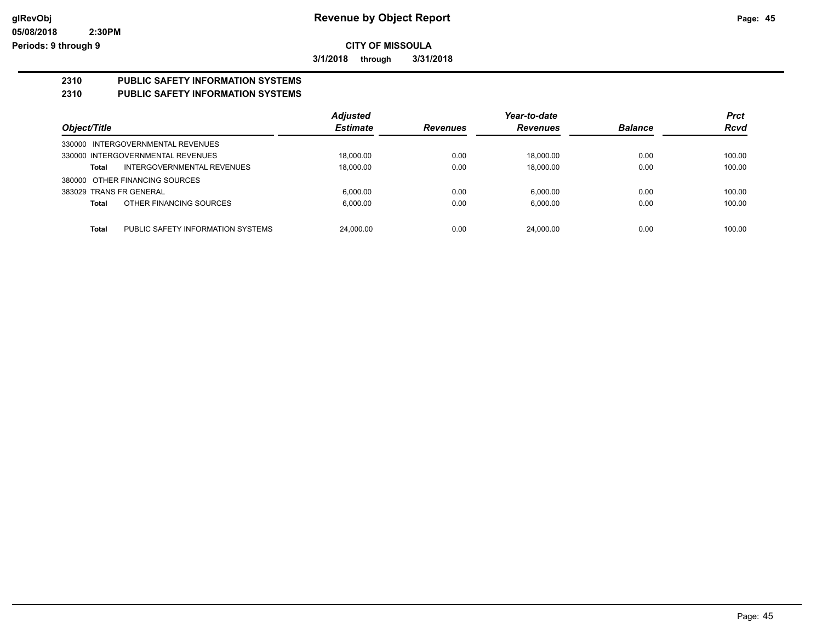**3/1/2018 through 3/31/2018**

### **2310 PUBLIC SAFETY INFORMATION SYSTEMS 2310 PUBLIC SAFETY INFORMATION SYSTEMS**

|                                            | <b>Adjusted</b> |                 | Year-to-date    |                | <b>Prct</b> |
|--------------------------------------------|-----------------|-----------------|-----------------|----------------|-------------|
| Object/Title                               | <b>Estimate</b> | <b>Revenues</b> | <b>Revenues</b> | <b>Balance</b> | <b>Rcvd</b> |
| 330000 INTERGOVERNMENTAL REVENUES          |                 |                 |                 |                |             |
| 330000 INTERGOVERNMENTAL REVENUES          | 18.000.00       | 0.00            | 18.000.00       | 0.00           | 100.00      |
| <b>INTERGOVERNMENTAL REVENUES</b><br>Total | 18.000.00       | 0.00            | 18.000.00       | 0.00           | 100.00      |
| 380000 OTHER FINANCING SOURCES             |                 |                 |                 |                |             |
| 383029 TRANS FR GENERAL                    | 6.000.00        | 0.00            | 6.000.00        | 0.00           | 100.00      |
| OTHER FINANCING SOURCES<br>Total           | 6.000.00        | 0.00            | 6.000.00        | 0.00           | 100.00      |
|                                            |                 |                 |                 |                |             |
| PUBLIC SAFETY INFORMATION SYSTEMS<br>Total | 24.000.00       | 0.00            | 24.000.00       | 0.00           | 100.00      |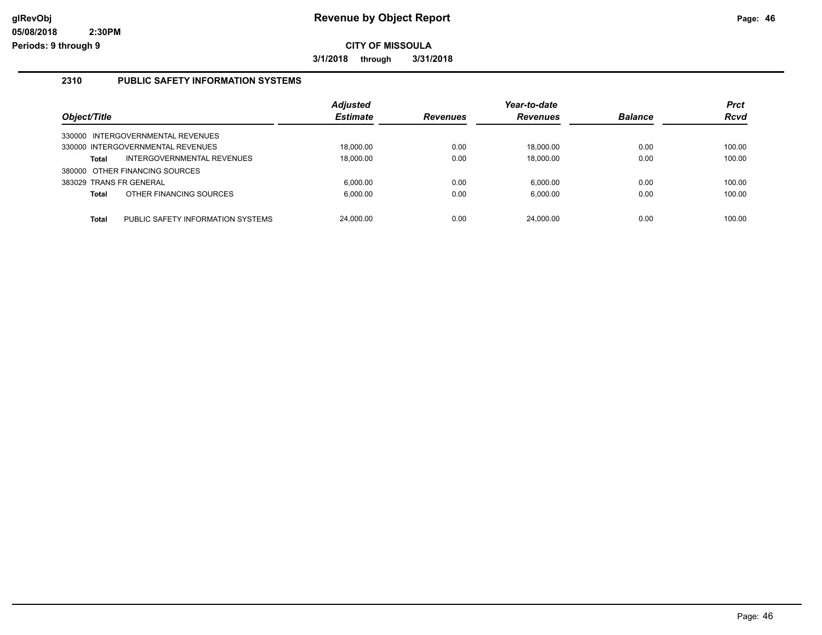**3/1/2018 through 3/31/2018**

### **2310 PUBLIC SAFETY INFORMATION SYSTEMS**

|                                                   | <b>Adjusted</b> |                 | Year-to-date    |                | <b>Prct</b> |
|---------------------------------------------------|-----------------|-----------------|-----------------|----------------|-------------|
| Object/Title                                      | <b>Estimate</b> | <b>Revenues</b> | <b>Revenues</b> | <b>Balance</b> | <b>Rcvd</b> |
| 330000 INTERGOVERNMENTAL REVENUES                 |                 |                 |                 |                |             |
| 330000 INTERGOVERNMENTAL REVENUES                 | 18.000.00       | 0.00            | 18.000.00       | 0.00           | 100.00      |
| INTERGOVERNMENTAL REVENUES<br><b>Total</b>        | 18.000.00       | 0.00            | 18.000.00       | 0.00           | 100.00      |
| 380000 OTHER FINANCING SOURCES                    |                 |                 |                 |                |             |
| 383029 TRANS FR GENERAL                           | 6,000.00        | 0.00            | 6.000.00        | 0.00           | 100.00      |
| OTHER FINANCING SOURCES<br><b>Total</b>           | 6,000.00        | 0.00            | 6,000.00        | 0.00           | 100.00      |
|                                                   |                 |                 |                 |                |             |
| PUBLIC SAFETY INFORMATION SYSTEMS<br><b>Total</b> | 24.000.00       | 0.00            | 24.000.00       | 0.00           | 100.00      |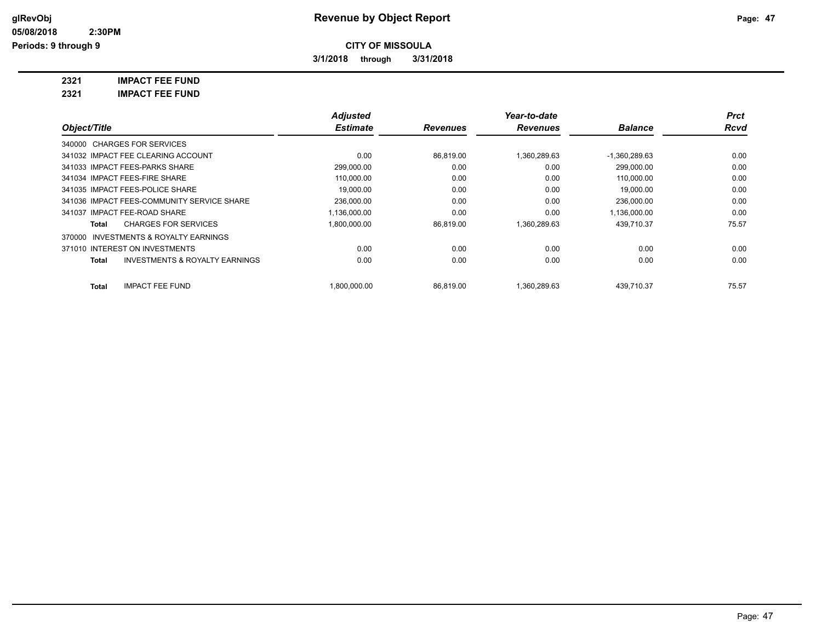**3/1/2018 through 3/31/2018**

**2321 IMPACT FEE FUND**

**2321 IMPACT FEE FUND**

|                                                           | <b>Adjusted</b> |                 | Year-to-date    |                 | <b>Prct</b> |
|-----------------------------------------------------------|-----------------|-----------------|-----------------|-----------------|-------------|
| Object/Title                                              | <b>Estimate</b> | <b>Revenues</b> | <b>Revenues</b> | <b>Balance</b>  | Rcvd        |
| 340000 CHARGES FOR SERVICES                               |                 |                 |                 |                 |             |
| 341032 IMPACT FEE CLEARING ACCOUNT                        | 0.00            | 86.819.00       | 1,360,289.63    | $-1,360,289.63$ | 0.00        |
| 341033 IMPACT FEES-PARKS SHARE                            | 299,000.00      | 0.00            | 0.00            | 299.000.00      | 0.00        |
| 341034 IMPACT FEES-FIRE SHARE                             | 110,000.00      | 0.00            | 0.00            | 110.000.00      | 0.00        |
| 341035 IMPACT FEES-POLICE SHARE                           | 19.000.00       | 0.00            | 0.00            | 19.000.00       | 0.00        |
| 341036 IMPACT FEES-COMMUNITY SERVICE SHARE                | 236,000.00      | 0.00            | 0.00            | 236,000.00      | 0.00        |
| 341037 IMPACT FEE-ROAD SHARE                              | 1,136,000.00    | 0.00            | 0.00            | 1,136,000.00    | 0.00        |
| <b>CHARGES FOR SERVICES</b><br>Total                      | 1,800,000.00    | 86.819.00       | 1,360,289.63    | 439.710.37      | 75.57       |
| 370000 INVESTMENTS & ROYALTY EARNINGS                     |                 |                 |                 |                 |             |
| 371010 INTEREST ON INVESTMENTS                            | 0.00            | 0.00            | 0.00            | 0.00            | 0.00        |
| <b>INVESTMENTS &amp; ROYALTY EARNINGS</b><br><b>Total</b> | 0.00            | 0.00            | 0.00            | 0.00            | 0.00        |
| <b>IMPACT FEE FUND</b><br><b>Total</b>                    | 1.800.000.00    | 86.819.00       | 1.360.289.63    | 439.710.37      | 75.57       |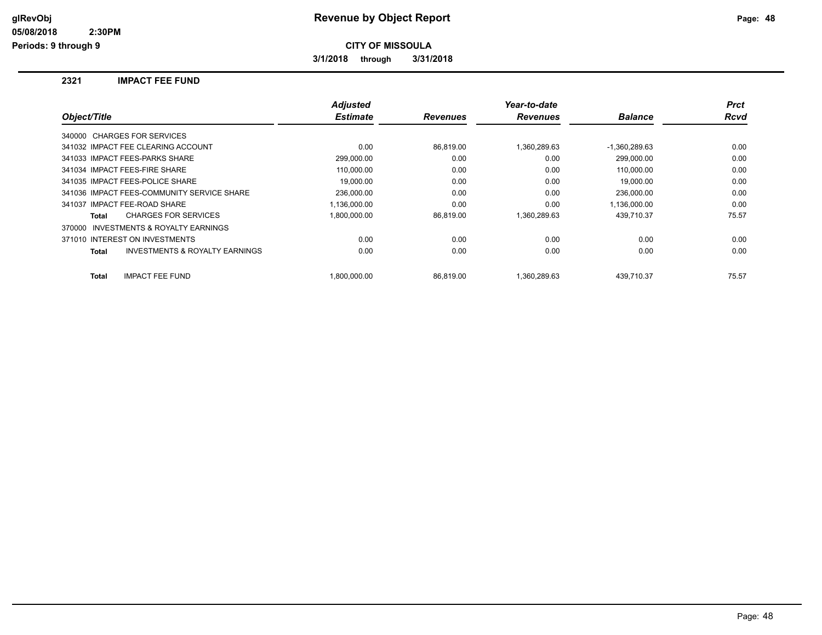**3/1/2018 through 3/31/2018**

#### **2321 IMPACT FEE FUND**

|                                                    | <b>Adjusted</b> |                 | Year-to-date    |                 | <b>Prct</b> |
|----------------------------------------------------|-----------------|-----------------|-----------------|-----------------|-------------|
| Object/Title                                       | <b>Estimate</b> | <b>Revenues</b> | <b>Revenues</b> | <b>Balance</b>  | <b>Rcvd</b> |
| 340000 CHARGES FOR SERVICES                        |                 |                 |                 |                 |             |
| 341032 IMPACT FEE CLEARING ACCOUNT                 | 0.00            | 86.819.00       | 1.360.289.63    | $-1,360,289.63$ | 0.00        |
| 341033 IMPACT FEES-PARKS SHARE                     | 299,000.00      | 0.00            | 0.00            | 299,000.00      | 0.00        |
| 341034 IMPACT FEES-FIRE SHARE                      | 110.000.00      | 0.00            | 0.00            | 110,000.00      | 0.00        |
| 341035 IMPACT FEES-POLICE SHARE                    | 19,000.00       | 0.00            | 0.00            | 19.000.00       | 0.00        |
| 341036 IMPACT FEES-COMMUNITY SERVICE SHARE         | 236,000.00      | 0.00            | 0.00            | 236,000.00      | 0.00        |
| 341037 IMPACT FEE-ROAD SHARE                       | 1,136,000.00    | 0.00            | 0.00            | 1,136,000.00    | 0.00        |
| <b>CHARGES FOR SERVICES</b><br>Total               | 1.800.000.00    | 86.819.00       | 1.360.289.63    | 439.710.37      | 75.57       |
| INVESTMENTS & ROYALTY EARNINGS<br>370000           |                 |                 |                 |                 |             |
| 371010 INTEREST ON INVESTMENTS                     | 0.00            | 0.00            | 0.00            | 0.00            | 0.00        |
| <b>INVESTMENTS &amp; ROYALTY EARNINGS</b><br>Total | 0.00            | 0.00            | 0.00            | 0.00            | 0.00        |
| <b>IMPACT FEE FUND</b><br><b>Total</b>             | 1,800,000.00    | 86.819.00       | 1,360,289.63    | 439,710.37      | 75.57       |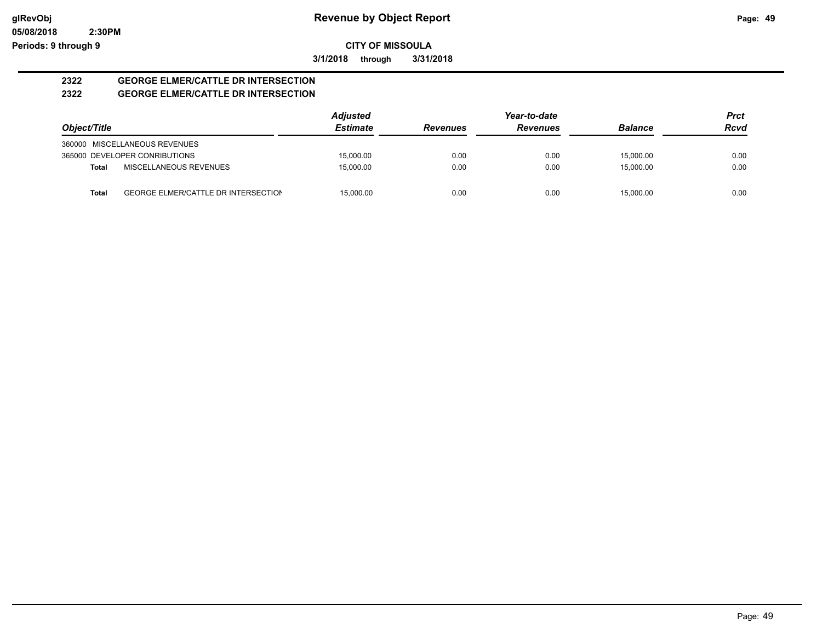#### **05/08/2018 2:30PM Periods: 9 through 9**

**CITY OF MISSOULA**

**3/1/2018 through 3/31/2018**

### **2322 GEORGE ELMER/CATTLE DR INTERSECTION 2322 GEORGE ELMER/CATTLE DR INTERSECTION**

|              |                                            | <b>Adjusted</b> |                 | Year-to-date    |                | Prct |
|--------------|--------------------------------------------|-----------------|-----------------|-----------------|----------------|------|
| Object/Title |                                            | <b>Estimate</b> | <b>Revenues</b> | <b>Revenues</b> | <b>Balance</b> | Rcvd |
|              | 360000 MISCELLANEOUS REVENUES              |                 |                 |                 |                |      |
|              | 365000 DEVELOPER CONRIBUTIONS              | 15.000.00       | 0.00            | 0.00            | 15,000.00      | 0.00 |
| Total        | MISCELLANEOUS REVENUES                     | 15.000.00       | 0.00            | 0.00            | 15,000.00      | 0.00 |
| <b>Total</b> | <b>GEORGE ELMER/CATTLE DR INTERSECTION</b> | 15.000.00       | 0.00            | 0.00            | 15,000.00      | 0.00 |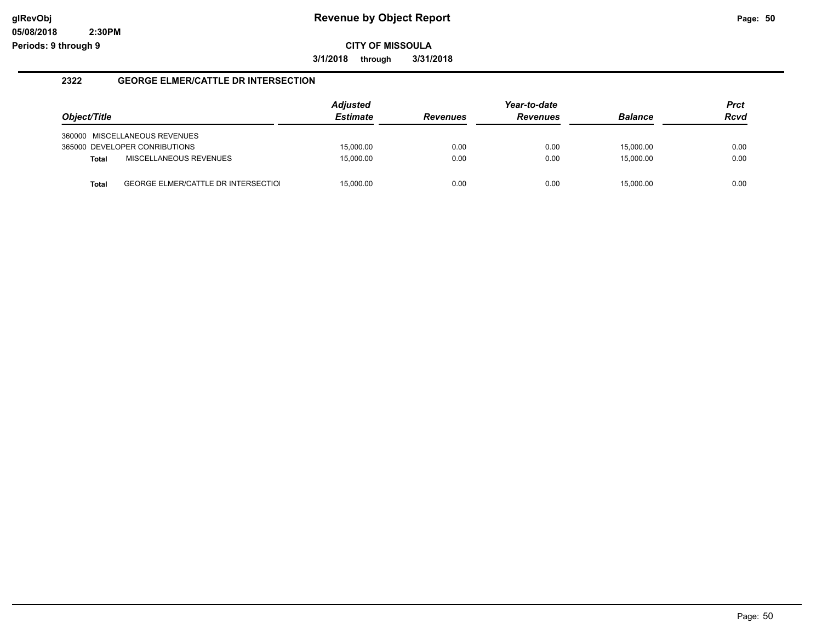**3/1/2018 through 3/31/2018**

### **2322 GEORGE ELMER/CATTLE DR INTERSECTION**

| Object/Title |                                            | Adjusted<br><b>Estimate</b> | <b>Revenues</b> | Year-to-date<br><b>Revenues</b> | <b>Balance</b> | <b>Prct</b><br><b>Rcvd</b> |
|--------------|--------------------------------------------|-----------------------------|-----------------|---------------------------------|----------------|----------------------------|
|              | 360000 MISCELLANEOUS REVENUES              |                             |                 |                                 |                |                            |
|              | 365000 DEVELOPER CONRIBUTIONS              | 15.000.00                   | 0.00            | 0.00                            | 15.000.00      | 0.00                       |
| <b>Total</b> | MISCELLANEOUS REVENUES                     | 15.000.00                   | 0.00            | 0.00                            | 15.000.00      | 0.00                       |
|              |                                            |                             |                 |                                 |                |                            |
| <b>Total</b> | <b>GEORGE ELMER/CATTLE DR INTERSECTIOL</b> | 15.000.00                   | 0.00            | 0.00                            | 15.000.00      | 0.00                       |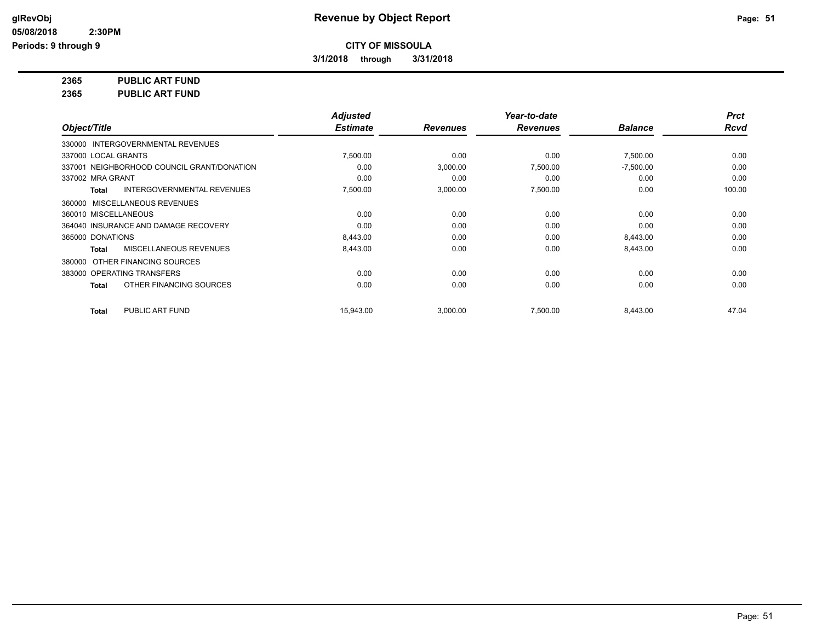**3/1/2018 through 3/31/2018**

**2365 PUBLIC ART FUND**

**2365 PUBLIC ART FUND**

|                                                   | <b>Adjusted</b> |                 | Year-to-date    |                | <b>Prct</b> |
|---------------------------------------------------|-----------------|-----------------|-----------------|----------------|-------------|
| Object/Title                                      | <b>Estimate</b> | <b>Revenues</b> | <b>Revenues</b> | <b>Balance</b> | <b>Rcvd</b> |
| 330000 INTERGOVERNMENTAL REVENUES                 |                 |                 |                 |                |             |
| 337000 LOCAL GRANTS                               | 7,500.00        | 0.00            | 0.00            | 7,500.00       | 0.00        |
| 337001 NEIGHBORHOOD COUNCIL GRANT/DONATION        | 0.00            | 3,000.00        | 7,500.00        | $-7,500.00$    | 0.00        |
| 337002 MRA GRANT                                  | 0.00            | 0.00            | 0.00            | 0.00           | 0.00        |
| <b>INTERGOVERNMENTAL REVENUES</b><br><b>Total</b> | 7,500.00        | 3,000.00        | 7,500.00        | 0.00           | 100.00      |
| 360000 MISCELLANEOUS REVENUES                     |                 |                 |                 |                |             |
| 360010 MISCELLANEOUS                              | 0.00            | 0.00            | 0.00            | 0.00           | 0.00        |
| 364040 INSURANCE AND DAMAGE RECOVERY              | 0.00            | 0.00            | 0.00            | 0.00           | 0.00        |
| 365000 DONATIONS                                  | 8,443.00        | 0.00            | 0.00            | 8,443.00       | 0.00        |
| MISCELLANEOUS REVENUES<br>Total                   | 8,443.00        | 0.00            | 0.00            | 8,443.00       | 0.00        |
| 380000 OTHER FINANCING SOURCES                    |                 |                 |                 |                |             |
| 383000 OPERATING TRANSFERS                        | 0.00            | 0.00            | 0.00            | 0.00           | 0.00        |
| OTHER FINANCING SOURCES<br><b>Total</b>           | 0.00            | 0.00            | 0.00            | 0.00           | 0.00        |
| PUBLIC ART FUND<br>Total                          | 15.943.00       | 3,000.00        | 7,500.00        | 8,443.00       | 47.04       |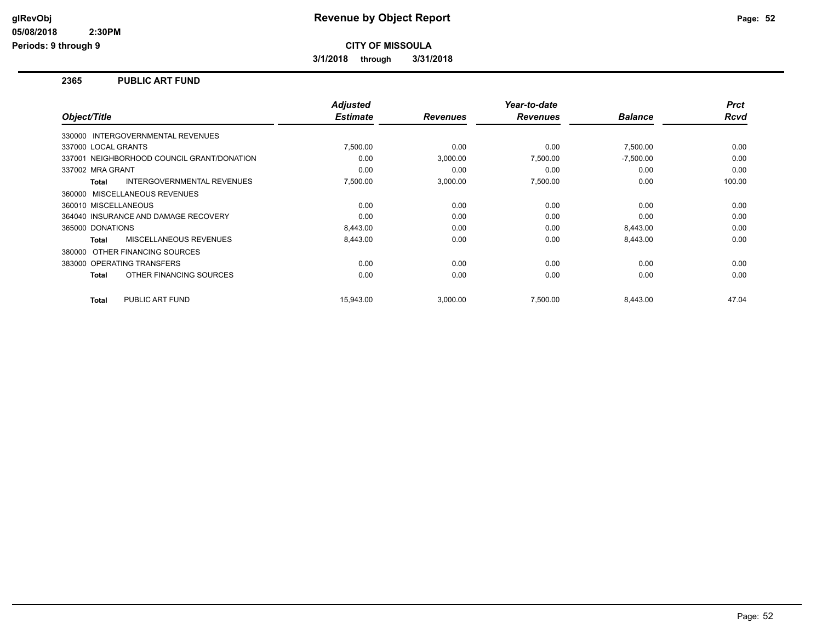**3/1/2018 through 3/31/2018**

#### **2365 PUBLIC ART FUND**

| Object/Title                                      | <b>Adjusted</b><br><b>Estimate</b> | <b>Revenues</b> | Year-to-date<br><b>Revenues</b> | <b>Balance</b> | <b>Prct</b><br><b>Rcvd</b> |
|---------------------------------------------------|------------------------------------|-----------------|---------------------------------|----------------|----------------------------|
| 330000 INTERGOVERNMENTAL REVENUES                 |                                    |                 |                                 |                |                            |
| 337000 LOCAL GRANTS                               | 7,500.00                           | 0.00            | 0.00                            | 7,500.00       | 0.00                       |
| 337001 NEIGHBORHOOD COUNCIL GRANT/DONATION        | 0.00                               | 3,000.00        | 7,500.00                        | $-7,500.00$    | 0.00                       |
| 337002 MRA GRANT                                  | 0.00                               | 0.00            | 0.00                            | 0.00           | 0.00                       |
| <b>INTERGOVERNMENTAL REVENUES</b><br><b>Total</b> | 7,500.00                           | 3,000.00        | 7,500.00                        | 0.00           | 100.00                     |
| 360000 MISCELLANEOUS REVENUES                     |                                    |                 |                                 |                |                            |
| 360010 MISCELLANEOUS                              | 0.00                               | 0.00            | 0.00                            | 0.00           | 0.00                       |
| 364040 INSURANCE AND DAMAGE RECOVERY              | 0.00                               | 0.00            | 0.00                            | 0.00           | 0.00                       |
| 365000 DONATIONS                                  | 8,443.00                           | 0.00            | 0.00                            | 8,443.00       | 0.00                       |
| MISCELLANEOUS REVENUES<br><b>Total</b>            | 8,443.00                           | 0.00            | 0.00                            | 8,443.00       | 0.00                       |
| 380000 OTHER FINANCING SOURCES                    |                                    |                 |                                 |                |                            |
| 383000 OPERATING TRANSFERS                        | 0.00                               | 0.00            | 0.00                            | 0.00           | 0.00                       |
| OTHER FINANCING SOURCES<br><b>Total</b>           | 0.00                               | 0.00            | 0.00                            | 0.00           | 0.00                       |
| PUBLIC ART FUND<br><b>Total</b>                   | 15,943.00                          | 3,000.00        | 7,500.00                        | 8,443.00       | 47.04                      |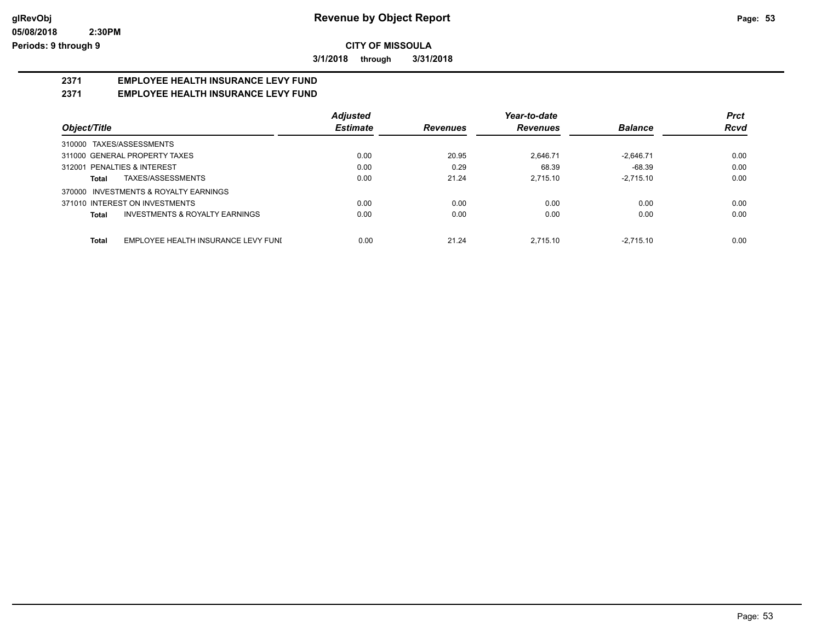**3/1/2018 through 3/31/2018**

# **2371 EMPLOYEE HEALTH INSURANCE LEVY FUND**

## **2371 EMPLOYEE HEALTH INSURANCE LEVY FUND**

|                                                     | <b>Adjusted</b> |                 | Year-to-date    |                | <b>Prct</b> |
|-----------------------------------------------------|-----------------|-----------------|-----------------|----------------|-------------|
| Object/Title                                        | <b>Estimate</b> | <b>Revenues</b> | <b>Revenues</b> | <b>Balance</b> | <b>Rcvd</b> |
| 310000 TAXES/ASSESSMENTS                            |                 |                 |                 |                |             |
| 311000 GENERAL PROPERTY TAXES                       | 0.00            | 20.95           | 2.646.71        | $-2.646.71$    | 0.00        |
| 312001 PENALTIES & INTEREST                         | 0.00            | 0.29            | 68.39           | $-68.39$       | 0.00        |
| TAXES/ASSESSMENTS<br>Total                          | 0.00            | 21.24           | 2.715.10        | $-2.715.10$    | 0.00        |
| INVESTMENTS & ROYALTY EARNINGS<br>370000            |                 |                 |                 |                |             |
| 371010 INTEREST ON INVESTMENTS                      | 0.00            | 0.00            | 0.00            | 0.00           | 0.00        |
| INVESTMENTS & ROYALTY EARNINGS<br>Total             | 0.00            | 0.00            | 0.00            | 0.00           | 0.00        |
| <b>Total</b><br>EMPLOYEE HEALTH INSURANCE LEVY FUNI | 0.00            | 21.24           | 2.715.10        | $-2.715.10$    | 0.00        |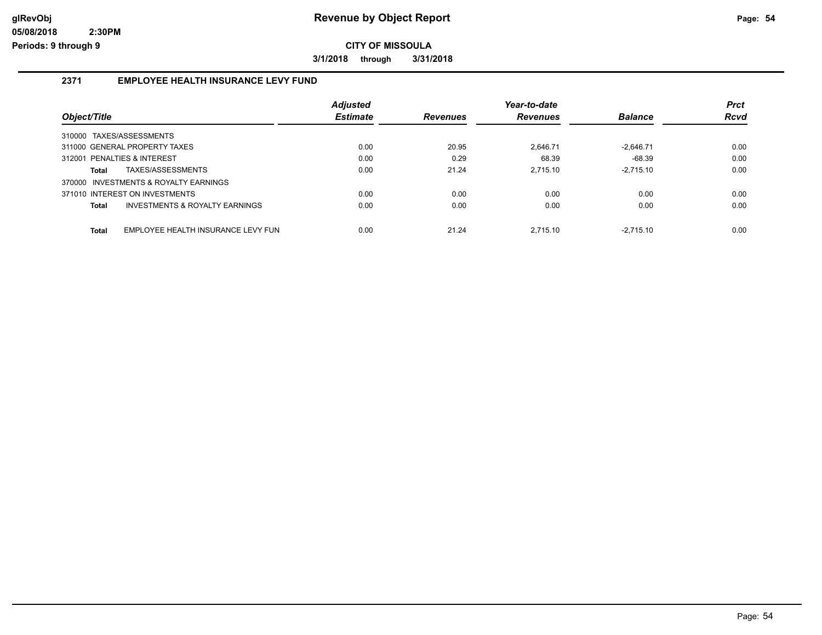**3/1/2018 through 3/31/2018**

## **2371 EMPLOYEE HEALTH INSURANCE LEVY FUND**

|                                                    | <b>Adjusted</b> |                 | Year-to-date    |                | <b>Prct</b> |
|----------------------------------------------------|-----------------|-----------------|-----------------|----------------|-------------|
| Object/Title                                       | <b>Estimate</b> | <b>Revenues</b> | <b>Revenues</b> | <b>Balance</b> | <b>Rcvd</b> |
| 310000 TAXES/ASSESSMENTS                           |                 |                 |                 |                |             |
| 311000 GENERAL PROPERTY TAXES                      | 0.00            | 20.95           | 2.646.71        | $-2.646.71$    | 0.00        |
| 312001 PENALTIES & INTEREST                        | 0.00            | 0.29            | 68.39           | $-68.39$       | 0.00        |
| TAXES/ASSESSMENTS<br>Total                         | 0.00            | 21.24           | 2.715.10        | $-2.715.10$    | 0.00        |
| 370000 INVESTMENTS & ROYALTY EARNINGS              |                 |                 |                 |                |             |
| 371010 INTEREST ON INVESTMENTS                     | 0.00            | 0.00            | 0.00            | 0.00           | 0.00        |
| <b>INVESTMENTS &amp; ROYALTY EARNINGS</b><br>Total | 0.00            | 0.00            | 0.00            | 0.00           | 0.00        |
|                                                    |                 |                 |                 |                |             |
| Total<br>EMPLOYEE HEALTH INSURANCE LEVY FUN        | 0.00            | 21.24           | 2,715.10        | $-2.715.10$    | 0.00        |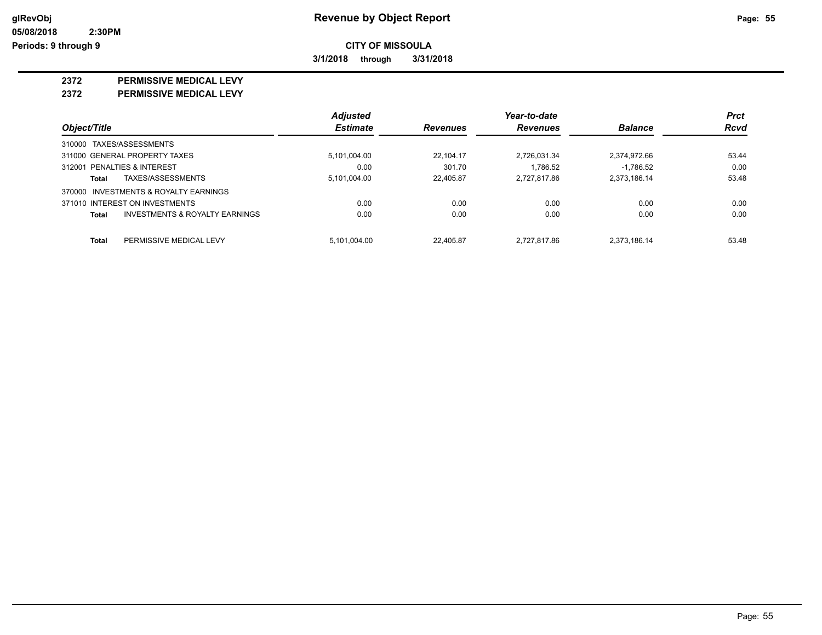**3/1/2018 through 3/31/2018**

**2372 PERMISSIVE MEDICAL LEVY**

**2372 PERMISSIVE MEDICAL LEVY**

|                                                           | <b>Adjusted</b> |                 | Year-to-date    |                | <b>Prct</b> |
|-----------------------------------------------------------|-----------------|-----------------|-----------------|----------------|-------------|
| Object/Title                                              | <b>Estimate</b> | <b>Revenues</b> | <b>Revenues</b> | <b>Balance</b> | <b>Rcvd</b> |
| 310000 TAXES/ASSESSMENTS                                  |                 |                 |                 |                |             |
| 311000 GENERAL PROPERTY TAXES                             | 5,101,004.00    | 22.104.17       | 2,726,031.34    | 2,374,972.66   | 53.44       |
| 312001 PENALTIES & INTEREST                               | 0.00            | 301.70          | 1.786.52        | $-1.786.52$    | 0.00        |
| TAXES/ASSESSMENTS<br>Total                                | 5.101.004.00    | 22.405.87       | 2.727.817.86    | 2.373.186.14   | 53.48       |
| 370000 INVESTMENTS & ROYALTY EARNINGS                     |                 |                 |                 |                |             |
| 371010 INTEREST ON INVESTMENTS                            | 0.00            | 0.00            | 0.00            | 0.00           | 0.00        |
| <b>INVESTMENTS &amp; ROYALTY EARNINGS</b><br><b>Total</b> | 0.00            | 0.00            | 0.00            | 0.00           | 0.00        |
| Total<br>PERMISSIVE MEDICAL LEVY                          | 5.101.004.00    | 22.405.87       | 2.727.817.86    | 2.373.186.14   | 53.48       |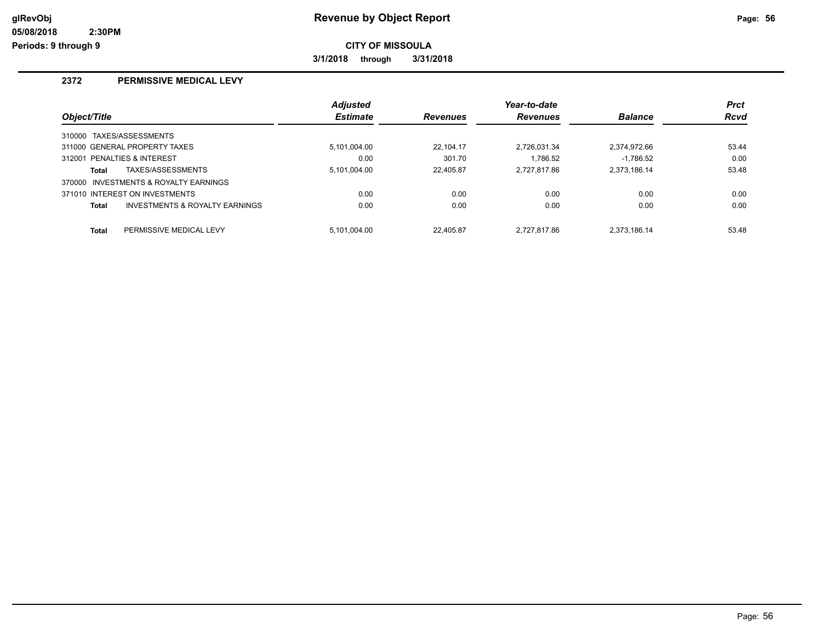**3/1/2018 through 3/31/2018**

### **2372 PERMISSIVE MEDICAL LEVY**

|              |                                | <b>Adjusted</b> |                 | Year-to-date    |                | <b>Prct</b> |
|--------------|--------------------------------|-----------------|-----------------|-----------------|----------------|-------------|
| Object/Title |                                | <b>Estimate</b> | <b>Revenues</b> | <b>Revenues</b> | <b>Balance</b> | <b>Rcvd</b> |
|              | 310000 TAXES/ASSESSMENTS       |                 |                 |                 |                |             |
|              | 311000 GENERAL PROPERTY TAXES  | 5.101.004.00    | 22.104.17       | 2.726.031.34    | 2,374,972.66   | 53.44       |
|              | 312001 PENALTIES & INTEREST    | 0.00            | 301.70          | 1.786.52        | $-1.786.52$    | 0.00        |
| Total        | TAXES/ASSESSMENTS              | 5.101.004.00    | 22.405.87       | 2.727.817.86    | 2.373.186.14   | 53.48       |
| 370000       | INVESTMENTS & ROYALTY EARNINGS |                 |                 |                 |                |             |
|              | 371010 INTEREST ON INVESTMENTS | 0.00            | 0.00            | 0.00            | 0.00           | 0.00        |
| <b>Total</b> | INVESTMENTS & ROYALTY EARNINGS | 0.00            | 0.00            | 0.00            | 0.00           | 0.00        |
| <b>Total</b> | PERMISSIVE MEDICAL LEVY        | 5.101.004.00    | 22.405.87       | 2.727.817.86    | 2.373.186.14   | 53.48       |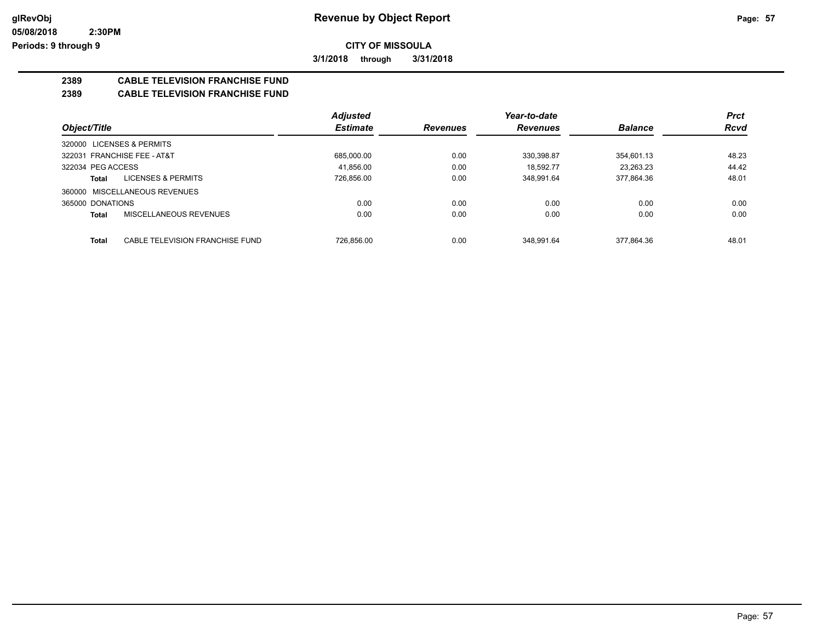**3/1/2018 through 3/31/2018**

# **2389 CABLE TELEVISION FRANCHISE FUND**

## **2389 CABLE TELEVISION FRANCHISE FUND**

|                   |                                 | <b>Adjusted</b> |                 | Year-to-date    |                | <b>Prct</b> |
|-------------------|---------------------------------|-----------------|-----------------|-----------------|----------------|-------------|
| Object/Title      |                                 | <b>Estimate</b> | <b>Revenues</b> | <b>Revenues</b> | <b>Balance</b> | <b>Rcvd</b> |
|                   | 320000 LICENSES & PERMITS       |                 |                 |                 |                |             |
|                   | 322031 FRANCHISE FEE - AT&T     | 685.000.00      | 0.00            | 330,398.87      | 354.601.13     | 48.23       |
| 322034 PEG ACCESS |                                 | 41,856.00       | 0.00            | 18.592.77       | 23.263.23      | 44.42       |
| Total             | LICENSES & PERMITS              | 726.856.00      | 0.00            | 348.991.64      | 377.864.36     | 48.01       |
|                   | 360000 MISCELLANEOUS REVENUES   |                 |                 |                 |                |             |
| 365000 DONATIONS  |                                 | 0.00            | 0.00            | 0.00            | 0.00           | 0.00        |
| Total             | MISCELLANEOUS REVENUES          | 0.00            | 0.00            | 0.00            | 0.00           | 0.00        |
| <b>Total</b>      | CABLE TELEVISION FRANCHISE FUND | 726.856.00      | 0.00            | 348.991.64      | 377.864.36     | 48.01       |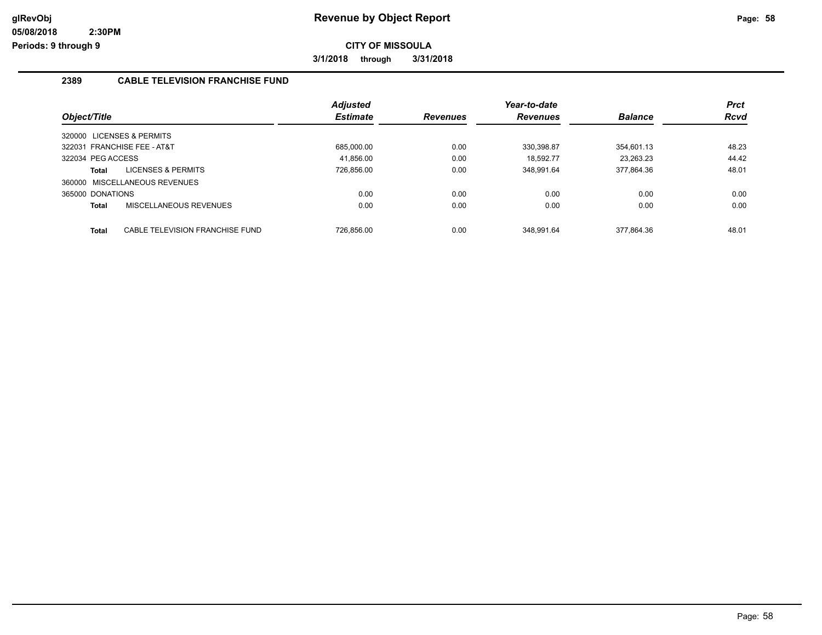**3/1/2018 through 3/31/2018**

## **2389 CABLE TELEVISION FRANCHISE FUND**

|                             |                                 | <b>Adjusted</b> |                 | Year-to-date    |                | <b>Prct</b> |
|-----------------------------|---------------------------------|-----------------|-----------------|-----------------|----------------|-------------|
| Object/Title                |                                 | <b>Estimate</b> | <b>Revenues</b> | <b>Revenues</b> | <b>Balance</b> | <b>Rcvd</b> |
| 320000 LICENSES & PERMITS   |                                 |                 |                 |                 |                |             |
| 322031 FRANCHISE FEE - AT&T |                                 | 685.000.00      | 0.00            | 330.398.87      | 354.601.13     | 48.23       |
| 322034 PEG ACCESS           |                                 | 41.856.00       | 0.00            | 18.592.77       | 23.263.23      | 44.42       |
| Total                       | LICENSES & PERMITS              | 726.856.00      | 0.00            | 348.991.64      | 377.864.36     | 48.01       |
|                             | 360000 MISCELLANEOUS REVENUES   |                 |                 |                 |                |             |
| 365000 DONATIONS            |                                 | 0.00            | 0.00            | 0.00            | 0.00           | 0.00        |
| Total                       | MISCELLANEOUS REVENUES          | 0.00            | 0.00            | 0.00            | 0.00           | 0.00        |
|                             |                                 |                 |                 |                 |                |             |
| Total                       | CABLE TELEVISION FRANCHISE FUND | 726.856.00      | 0.00            | 348.991.64      | 377.864.36     | 48.01       |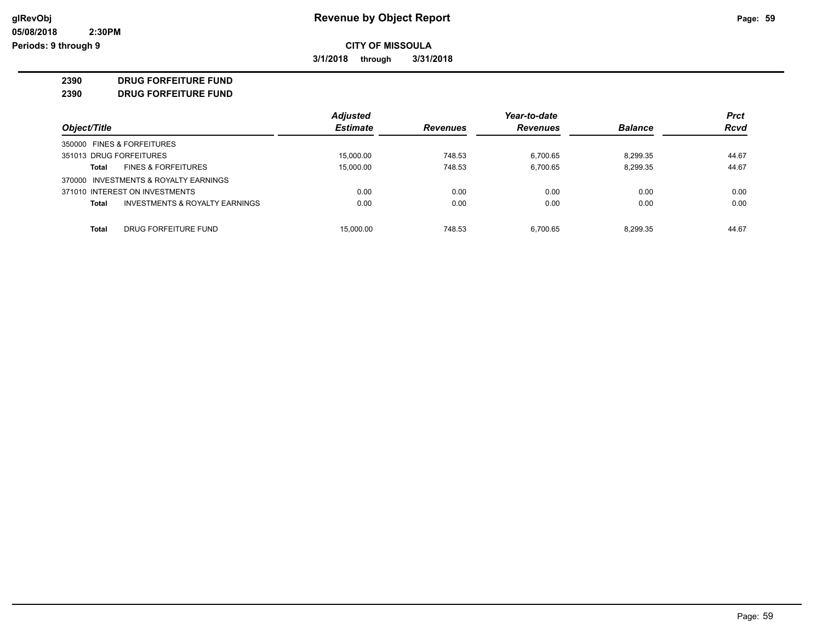**3/1/2018 through 3/31/2018**

#### **2390 DRUG FORFEITURE FUND**

**2390 DRUG FORFEITURE FUND**

|                                                           | <b>Adjusted</b> |                 | Year-to-date    |                | <b>Prct</b> |
|-----------------------------------------------------------|-----------------|-----------------|-----------------|----------------|-------------|
| Object/Title                                              | <b>Estimate</b> | <b>Revenues</b> | <b>Revenues</b> | <b>Balance</b> | <b>Rcvd</b> |
| 350000 FINES & FORFEITURES                                |                 |                 |                 |                |             |
| 351013 DRUG FORFEITURES                                   | 15.000.00       | 748.53          | 6.700.65        | 8.299.35       | 44.67       |
| <b>FINES &amp; FORFEITURES</b><br><b>Total</b>            | 15.000.00       | 748.53          | 6,700.65        | 8,299.35       | 44.67       |
| 370000 INVESTMENTS & ROYALTY EARNINGS                     |                 |                 |                 |                |             |
| 371010 INTEREST ON INVESTMENTS                            | 0.00            | 0.00            | 0.00            | 0.00           | 0.00        |
| <b>INVESTMENTS &amp; ROYALTY EARNINGS</b><br><b>Total</b> | 0.00            | 0.00            | 0.00            | 0.00           | 0.00        |
| DRUG FORFEITURE FUND<br><b>Total</b>                      | 15.000.00       | 748.53          | 6.700.65        | 8.299.35       | 44.67       |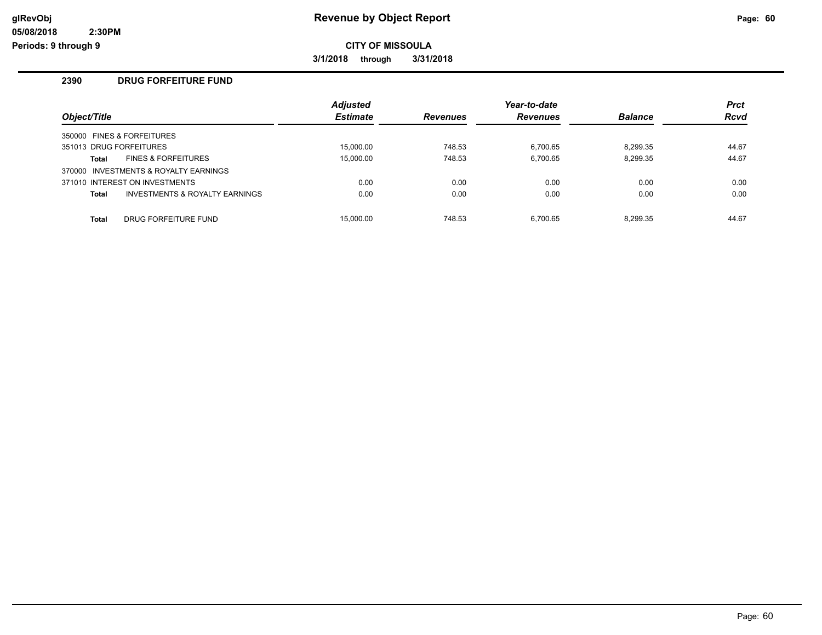**Periods: 9 through 9**

**CITY OF MISSOULA**

**3/1/2018 through 3/31/2018**

### **2390 DRUG FORFEITURE FUND**

 **2:30PM**

|              |                                       | <b>Adjusted</b> |                 | Year-to-date    |                | <b>Prct</b> |
|--------------|---------------------------------------|-----------------|-----------------|-----------------|----------------|-------------|
| Object/Title |                                       | <b>Estimate</b> | <b>Revenues</b> | <b>Revenues</b> | <b>Balance</b> | <b>Rcvd</b> |
|              | 350000 FINES & FORFEITURES            |                 |                 |                 |                |             |
|              | 351013 DRUG FORFEITURES               | 15,000.00       | 748.53          | 6.700.65        | 8.299.35       | 44.67       |
| <b>Total</b> | <b>FINES &amp; FORFEITURES</b>        | 15,000.00       | 748.53          | 6.700.65        | 8,299.35       | 44.67       |
|              | 370000 INVESTMENTS & ROYALTY EARNINGS |                 |                 |                 |                |             |
|              | 371010 INTEREST ON INVESTMENTS        | 0.00            | 0.00            | 0.00            | 0.00           | 0.00        |
| <b>Total</b> | INVESTMENTS & ROYALTY EARNINGS        | 0.00            | 0.00            | 0.00            | 0.00           | 0.00        |
| <b>Total</b> | DRUG FORFEITURE FUND                  | 15.000.00       | 748.53          | 6.700.65        | 8.299.35       | 44.67       |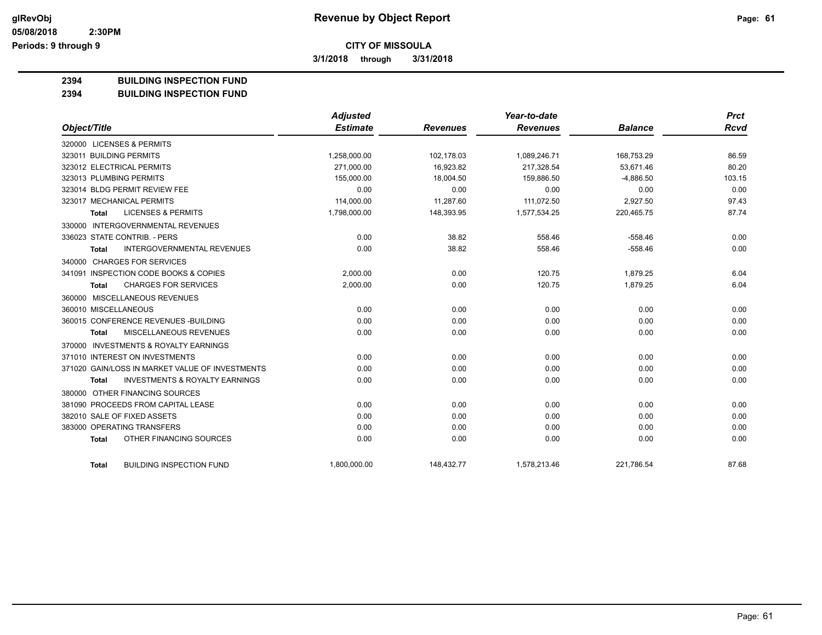**3/1/2018 through 3/31/2018**

#### **2394 BUILDING INSPECTION FUND**

#### **2394 BUILDING INSPECTION FUND**

|                                                           | Adjusted        |                 | Year-to-date    |                | <b>Prct</b> |
|-----------------------------------------------------------|-----------------|-----------------|-----------------|----------------|-------------|
| Object/Title                                              | <b>Estimate</b> | <b>Revenues</b> | <b>Revenues</b> | <b>Balance</b> | Rcvd        |
| 320000 LICENSES & PERMITS                                 |                 |                 |                 |                |             |
| 323011 BUILDING PERMITS                                   | 1,258,000.00    | 102,178.03      | 1,089,246.71    | 168,753.29     | 86.59       |
| 323012 ELECTRICAL PERMITS                                 | 271,000.00      | 16,923.82       | 217,328.54      | 53,671.46      | 80.20       |
| 323013 PLUMBING PERMITS                                   | 155,000.00      | 18,004.50       | 159,886.50      | $-4,886.50$    | 103.15      |
| 323014 BLDG PERMIT REVIEW FEE                             | 0.00            | 0.00            | 0.00            | 0.00           | 0.00        |
| 323017 MECHANICAL PERMITS                                 | 114,000.00      | 11,287.60       | 111.072.50      | 2,927.50       | 97.43       |
| <b>LICENSES &amp; PERMITS</b><br><b>Total</b>             | 1,798,000.00    | 148,393.95      | 1,577,534.25    | 220,465.75     | 87.74       |
| 330000 INTERGOVERNMENTAL REVENUES                         |                 |                 |                 |                |             |
| 336023 STATE CONTRIB. - PERS                              | 0.00            | 38.82           | 558.46          | $-558.46$      | 0.00        |
| <b>INTERGOVERNMENTAL REVENUES</b><br><b>Total</b>         | 0.00            | 38.82           | 558.46          | $-558.46$      | 0.00        |
| 340000 CHARGES FOR SERVICES                               |                 |                 |                 |                |             |
| 341091 INSPECTION CODE BOOKS & COPIES                     | 2,000.00        | 0.00            | 120.75          | 1.879.25       | 6.04        |
| <b>CHARGES FOR SERVICES</b><br>Total                      | 2,000.00        | 0.00            | 120.75          | 1,879.25       | 6.04        |
| 360000 MISCELLANEOUS REVENUES                             |                 |                 |                 |                |             |
| 360010 MISCELLANEOUS                                      | 0.00            | 0.00            | 0.00            | 0.00           | 0.00        |
| 360015 CONFERENCE REVENUES - BUILDING                     | 0.00            | 0.00            | 0.00            | 0.00           | 0.00        |
| MISCELLANEOUS REVENUES<br><b>Total</b>                    | 0.00            | 0.00            | 0.00            | 0.00           | 0.00        |
| 370000 INVESTMENTS & ROYALTY EARNINGS                     |                 |                 |                 |                |             |
| 371010 INTEREST ON INVESTMENTS                            | 0.00            | 0.00            | 0.00            | 0.00           | 0.00        |
| 371020 GAIN/LOSS IN MARKET VALUE OF INVESTMENTS           | 0.00            | 0.00            | 0.00            | 0.00           | 0.00        |
| <b>INVESTMENTS &amp; ROYALTY EARNINGS</b><br><b>Total</b> | 0.00            | 0.00            | 0.00            | 0.00           | 0.00        |
| 380000 OTHER FINANCING SOURCES                            |                 |                 |                 |                |             |
| 381090 PROCEEDS FROM CAPITAL LEASE                        | 0.00            | 0.00            | 0.00            | 0.00           | 0.00        |
| 382010 SALE OF FIXED ASSETS                               | 0.00            | 0.00            | 0.00            | 0.00           | 0.00        |
| 383000 OPERATING TRANSFERS                                | 0.00            | 0.00            | 0.00            | 0.00           | 0.00        |
| OTHER FINANCING SOURCES<br><b>Total</b>                   | 0.00            | 0.00            | 0.00            | 0.00           | 0.00        |
| <b>BUILDING INSPECTION FUND</b><br><b>Total</b>           | 1,800,000.00    | 148,432.77      | 1,578,213.46    | 221,786.54     | 87.68       |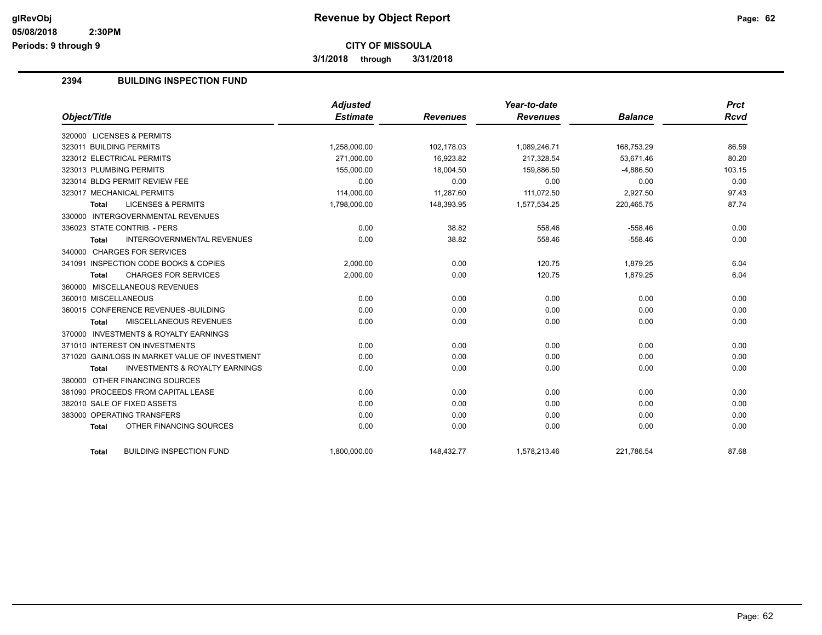**3/1/2018 through 3/31/2018**

## **2394 BUILDING INSPECTION FUND**

|                                                           | Adjusted        |                 | Year-to-date    |                | <b>Prct</b> |
|-----------------------------------------------------------|-----------------|-----------------|-----------------|----------------|-------------|
| Object/Title                                              | <b>Estimate</b> | <b>Revenues</b> | <b>Revenues</b> | <b>Balance</b> | Rcvd        |
| 320000 LICENSES & PERMITS                                 |                 |                 |                 |                |             |
| 323011 BUILDING PERMITS                                   | 1,258,000.00    | 102,178.03      | 1,089,246.71    | 168,753.29     | 86.59       |
| 323012 ELECTRICAL PERMITS                                 | 271,000.00      | 16,923.82       | 217,328.54      | 53,671.46      | 80.20       |
| 323013 PLUMBING PERMITS                                   | 155,000.00      | 18,004.50       | 159,886.50      | $-4,886.50$    | 103.15      |
| 323014 BLDG PERMIT REVIEW FEE                             | 0.00            | 0.00            | 0.00            | 0.00           | 0.00        |
| 323017 MECHANICAL PERMITS                                 | 114,000.00      | 11,287.60       | 111,072.50      | 2,927.50       | 97.43       |
| <b>LICENSES &amp; PERMITS</b><br><b>Total</b>             | 1,798,000.00    | 148,393.95      | 1,577,534.25    | 220,465.75     | 87.74       |
| 330000 INTERGOVERNMENTAL REVENUES                         |                 |                 |                 |                |             |
| 336023 STATE CONTRIB. - PERS                              | 0.00            | 38.82           | 558.46          | $-558.46$      | 0.00        |
| <b>INTERGOVERNMENTAL REVENUES</b><br><b>Total</b>         | 0.00            | 38.82           | 558.46          | $-558.46$      | 0.00        |
| 340000 CHARGES FOR SERVICES                               |                 |                 |                 |                |             |
| 341091 INSPECTION CODE BOOKS & COPIES                     | 2,000.00        | 0.00            | 120.75          | 1,879.25       | 6.04        |
| <b>CHARGES FOR SERVICES</b><br><b>Total</b>               | 2,000.00        | 0.00            | 120.75          | 1,879.25       | 6.04        |
| 360000 MISCELLANEOUS REVENUES                             |                 |                 |                 |                |             |
| 360010 MISCELLANEOUS                                      | 0.00            | 0.00            | 0.00            | 0.00           | 0.00        |
| 360015 CONFERENCE REVENUES - BUILDING                     | 0.00            | 0.00            | 0.00            | 0.00           | 0.00        |
| MISCELLANEOUS REVENUES<br><b>Total</b>                    | 0.00            | 0.00            | 0.00            | 0.00           | 0.00        |
| 370000 INVESTMENTS & ROYALTY EARNINGS                     |                 |                 |                 |                |             |
| 371010 INTEREST ON INVESTMENTS                            | 0.00            | 0.00            | 0.00            | 0.00           | 0.00        |
| 371020 GAIN/LOSS IN MARKET VALUE OF INVESTMENT            | 0.00            | 0.00            | 0.00            | 0.00           | 0.00        |
| <b>INVESTMENTS &amp; ROYALTY EARNINGS</b><br><b>Total</b> | 0.00            | 0.00            | 0.00            | 0.00           | 0.00        |
| 380000 OTHER FINANCING SOURCES                            |                 |                 |                 |                |             |
| 381090 PROCEEDS FROM CAPITAL LEASE                        | 0.00            | 0.00            | 0.00            | 0.00           | 0.00        |
| 382010 SALE OF FIXED ASSETS                               | 0.00            | 0.00            | 0.00            | 0.00           | 0.00        |
| 383000 OPERATING TRANSFERS                                | 0.00            | 0.00            | 0.00            | 0.00           | 0.00        |
| OTHER FINANCING SOURCES<br><b>Total</b>                   | 0.00            | 0.00            | 0.00            | 0.00           | 0.00        |
|                                                           |                 |                 |                 |                |             |
| <b>BUILDING INSPECTION FUND</b><br><b>Total</b>           | 1,800,000.00    | 148,432.77      | 1,578,213.46    | 221,786.54     | 87.68       |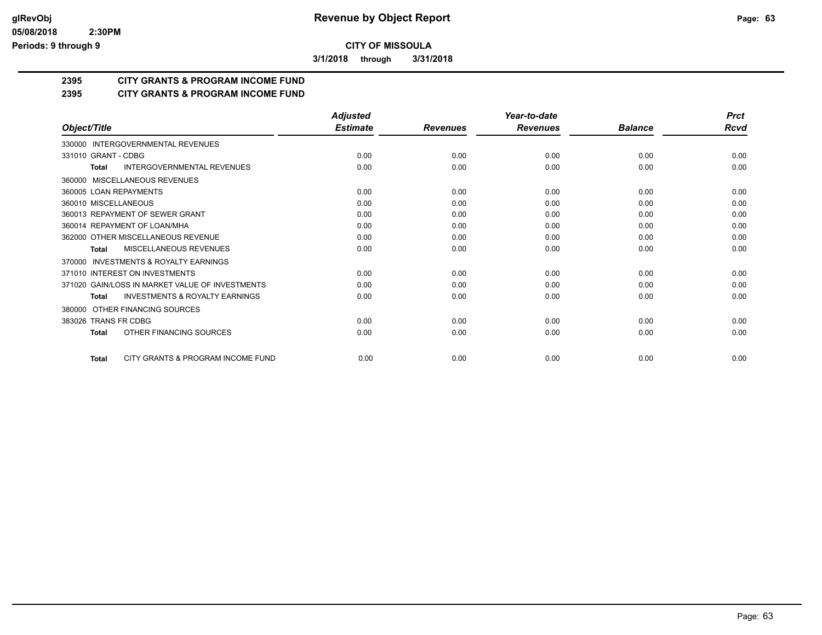**3/1/2018 through 3/31/2018**

# **2395 CITY GRANTS & PROGRAM INCOME FUND**

## **2395 CITY GRANTS & PROGRAM INCOME FUND**

|                                                           | <b>Adjusted</b> |                 | Year-to-date    |                | <b>Prct</b> |
|-----------------------------------------------------------|-----------------|-----------------|-----------------|----------------|-------------|
| Object/Title                                              | <b>Estimate</b> | <b>Revenues</b> | <b>Revenues</b> | <b>Balance</b> | <b>Rcvd</b> |
| 330000 INTERGOVERNMENTAL REVENUES                         |                 |                 |                 |                |             |
| 331010 GRANT - CDBG                                       | 0.00            | 0.00            | 0.00            | 0.00           | 0.00        |
| <b>INTERGOVERNMENTAL REVENUES</b><br><b>Total</b>         | 0.00            | 0.00            | 0.00            | 0.00           | 0.00        |
| <b>MISCELLANEOUS REVENUES</b><br>360000                   |                 |                 |                 |                |             |
| 360005 LOAN REPAYMENTS                                    | 0.00            | 0.00            | 0.00            | 0.00           | 0.00        |
| 360010 MISCELLANEOUS                                      | 0.00            | 0.00            | 0.00            | 0.00           | 0.00        |
| 360013 REPAYMENT OF SEWER GRANT                           | 0.00            | 0.00            | 0.00            | 0.00           | 0.00        |
| 360014 REPAYMENT OF LOAN/MHA                              | 0.00            | 0.00            | 0.00            | 0.00           | 0.00        |
| 362000 OTHER MISCELLANEOUS REVENUE                        | 0.00            | 0.00            | 0.00            | 0.00           | 0.00        |
| MISCELLANEOUS REVENUES<br><b>Total</b>                    | 0.00            | 0.00            | 0.00            | 0.00           | 0.00        |
| INVESTMENTS & ROYALTY EARNINGS<br>370000                  |                 |                 |                 |                |             |
| 371010 INTEREST ON INVESTMENTS                            | 0.00            | 0.00            | 0.00            | 0.00           | 0.00        |
| 371020 GAIN/LOSS IN MARKET VALUE OF INVESTMENTS           | 0.00            | 0.00            | 0.00            | 0.00           | 0.00        |
| <b>INVESTMENTS &amp; ROYALTY EARNINGS</b><br><b>Total</b> | 0.00            | 0.00            | 0.00            | 0.00           | 0.00        |
| OTHER FINANCING SOURCES<br>380000                         |                 |                 |                 |                |             |
| 383026 TRANS FR CDBG                                      | 0.00            | 0.00            | 0.00            | 0.00           | 0.00        |
| OTHER FINANCING SOURCES<br><b>Total</b>                   | 0.00            | 0.00            | 0.00            | 0.00           | 0.00        |
| CITY GRANTS & PROGRAM INCOME FUND<br>Total                | 0.00            | 0.00            | 0.00            | 0.00           | 0.00        |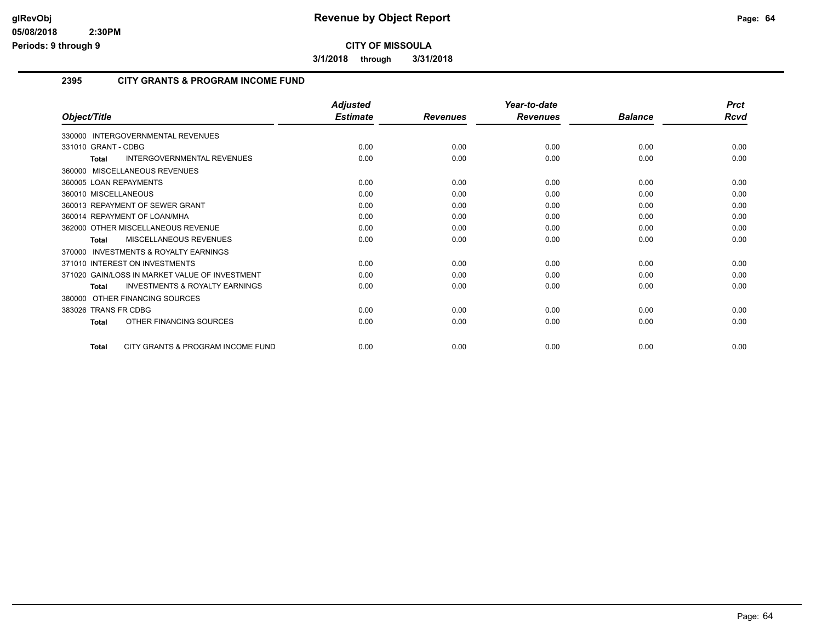**3/1/2018 through 3/31/2018**

## **2395 CITY GRANTS & PROGRAM INCOME FUND**

|                                                    | <b>Adjusted</b> |                 | Year-to-date    |                | <b>Prct</b> |
|----------------------------------------------------|-----------------|-----------------|-----------------|----------------|-------------|
| Object/Title                                       | <b>Estimate</b> | <b>Revenues</b> | <b>Revenues</b> | <b>Balance</b> | Rcvd        |
| 330000 INTERGOVERNMENTAL REVENUES                  |                 |                 |                 |                |             |
| 331010 GRANT - CDBG                                | 0.00            | 0.00            | 0.00            | 0.00           | 0.00        |
| <b>INTERGOVERNMENTAL REVENUES</b><br>Total         | 0.00            | 0.00            | 0.00            | 0.00           | 0.00        |
| 360000 MISCELLANEOUS REVENUES                      |                 |                 |                 |                |             |
| 360005 LOAN REPAYMENTS                             | 0.00            | 0.00            | 0.00            | 0.00           | 0.00        |
| 360010 MISCELLANEOUS                               | 0.00            | 0.00            | 0.00            | 0.00           | 0.00        |
| 360013 REPAYMENT OF SEWER GRANT                    | 0.00            | 0.00            | 0.00            | 0.00           | 0.00        |
| 360014 REPAYMENT OF LOAN/MHA                       | 0.00            | 0.00            | 0.00            | 0.00           | 0.00        |
| 362000 OTHER MISCELLANEOUS REVENUE                 | 0.00            | 0.00            | 0.00            | 0.00           | 0.00        |
| MISCELLANEOUS REVENUES<br>Total                    | 0.00            | 0.00            | 0.00            | 0.00           | 0.00        |
| 370000 INVESTMENTS & ROYALTY EARNINGS              |                 |                 |                 |                |             |
| 371010 INTEREST ON INVESTMENTS                     | 0.00            | 0.00            | 0.00            | 0.00           | 0.00        |
| 371020 GAIN/LOSS IN MARKET VALUE OF INVESTMENT     | 0.00            | 0.00            | 0.00            | 0.00           | 0.00        |
| <b>INVESTMENTS &amp; ROYALTY EARNINGS</b><br>Total | 0.00            | 0.00            | 0.00            | 0.00           | 0.00        |
| 380000 OTHER FINANCING SOURCES                     |                 |                 |                 |                |             |
| 383026 TRANS FR CDBG                               | 0.00            | 0.00            | 0.00            | 0.00           | 0.00        |
| OTHER FINANCING SOURCES<br>Total                   | 0.00            | 0.00            | 0.00            | 0.00           | 0.00        |
| CITY GRANTS & PROGRAM INCOME FUND<br><b>Total</b>  | 0.00            | 0.00            | 0.00            | 0.00           | 0.00        |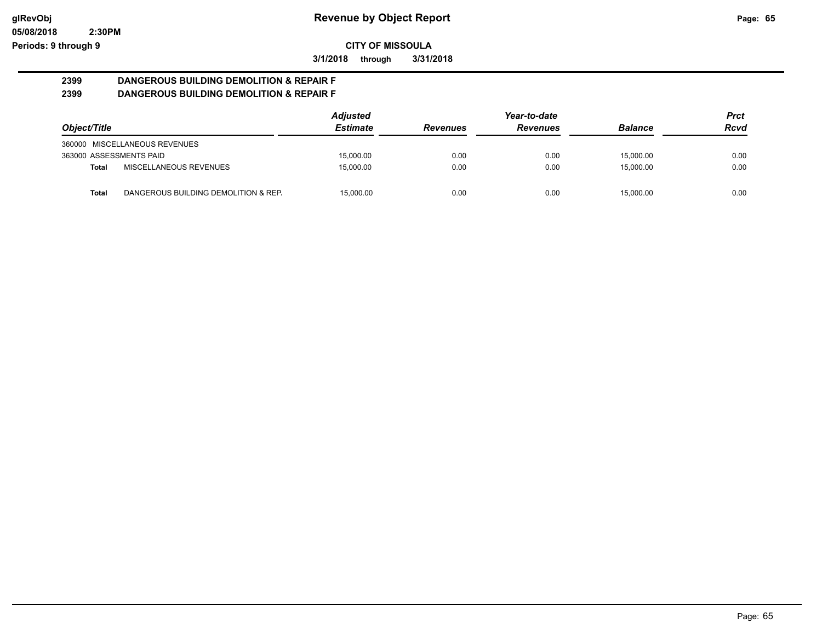**3/1/2018 through 3/31/2018**

### **2399 DANGEROUS BUILDING DEMOLITION & REPAIR F 2399 DANGEROUS BUILDING DEMOLITION & REPAIR F**

|                         |                                      | <b>Adjusted</b> |                 | Year-to-date    |                | Prct |
|-------------------------|--------------------------------------|-----------------|-----------------|-----------------|----------------|------|
| Object/Title            |                                      | <b>Estimate</b> | <b>Revenues</b> | <b>Revenues</b> | <b>Balance</b> | Rcvd |
|                         | 360000 MISCELLANEOUS REVENUES        |                 |                 |                 |                |      |
| 363000 ASSESSMENTS PAID |                                      | 15.000.00       | 0.00            | 0.00            | 15.000.00      | 0.00 |
| Total                   | MISCELLANEOUS REVENUES               | 15.000.00       | 0.00            | 0.00            | 15.000.00      | 0.00 |
| <b>Total</b>            | DANGEROUS BUILDING DEMOLITION & REP. | 15.000.00       | 0.00            | 0.00            | 15.000.00      | 0.00 |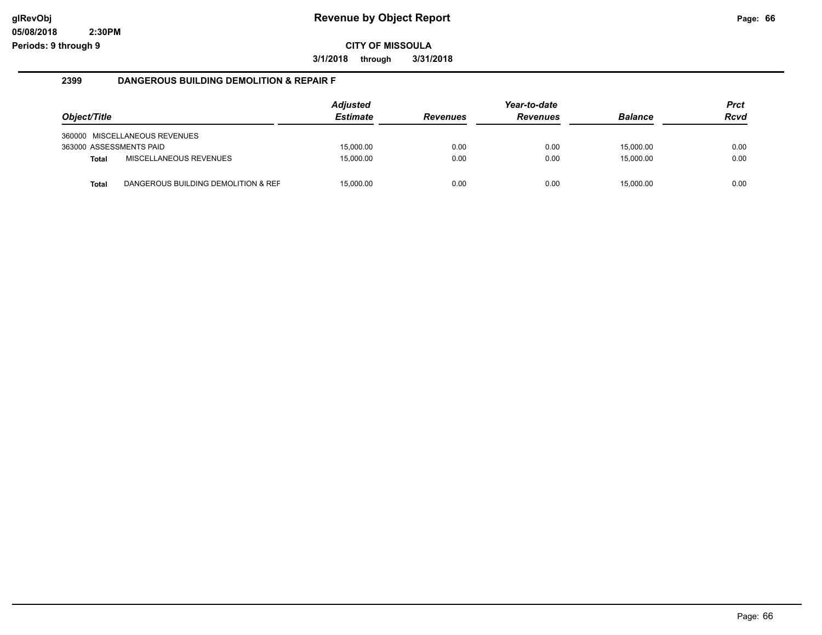**3/1/2018 through 3/31/2018**

#### **2399 DANGEROUS BUILDING DEMOLITION & REPAIR F**

| Object/Title            |                                     | <b>Adjusted</b><br><b>Estimate</b> | <b>Revenues</b> | Year-to-date<br><b>Revenues</b> | <b>Balance</b> | <b>Prct</b><br><b>Rcvd</b> |
|-------------------------|-------------------------------------|------------------------------------|-----------------|---------------------------------|----------------|----------------------------|
|                         | 360000 MISCELLANEOUS REVENUES       |                                    |                 |                                 |                |                            |
| 363000 ASSESSMENTS PAID |                                     | 15.000.00                          | 0.00            | 0.00                            | 15.000.00      | 0.00                       |
| <b>Total</b>            | MISCELLANEOUS REVENUES              | 15.000.00                          | 0.00            | 0.00                            | 15.000.00      | 0.00                       |
| <b>Total</b>            | DANGEROUS BUILDING DEMOLITION & REF | 15,000.00                          | 0.00            | 0.00                            | 15.000.00      | 0.00                       |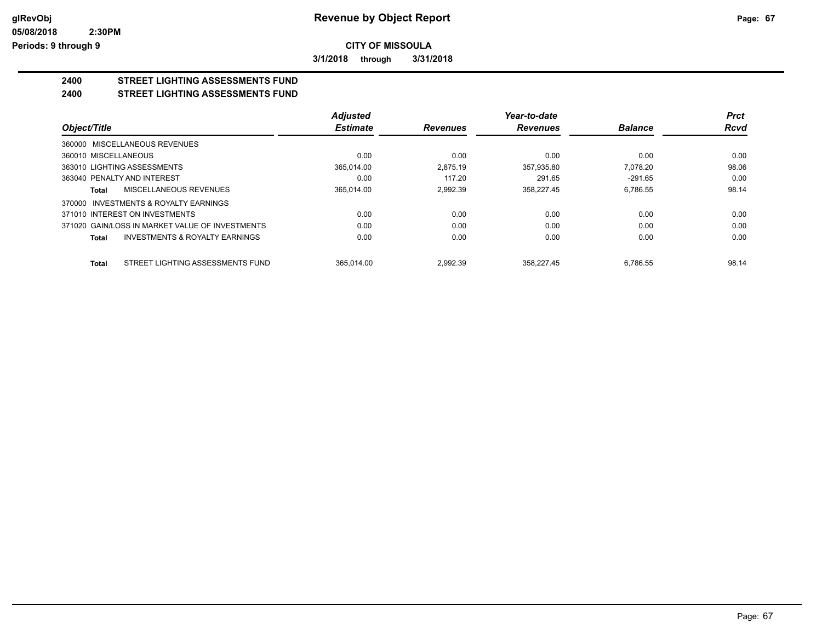**3/1/2018 through 3/31/2018**

### **2400 STREET LIGHTING ASSESSMENTS FUND 2400 STREET LIGHTING ASSESSMENTS FUND**

|                                                 | <b>Adjusted</b> |                 | Year-to-date    |                | <b>Prct</b> |
|-------------------------------------------------|-----------------|-----------------|-----------------|----------------|-------------|
| Object/Title                                    | <b>Estimate</b> | <b>Revenues</b> | <b>Revenues</b> | <b>Balance</b> | <b>Rcvd</b> |
| 360000 MISCELLANEOUS REVENUES                   |                 |                 |                 |                |             |
| 360010 MISCELLANEOUS                            | 0.00            | 0.00            | 0.00            | 0.00           | 0.00        |
| 363010 LIGHTING ASSESSMENTS                     | 365,014.00      | 2.875.19        | 357,935.80      | 7.078.20       | 98.06       |
| 363040 PENALTY AND INTEREST                     | 0.00            | 117.20          | 291.65          | $-291.65$      | 0.00        |
| MISCELLANEOUS REVENUES<br>Total                 | 365.014.00      | 2.992.39        | 358.227.45      | 6.786.55       | 98.14       |
| 370000 INVESTMENTS & ROYALTY EARNINGS           |                 |                 |                 |                |             |
| 371010 INTEREST ON INVESTMENTS                  | 0.00            | 0.00            | 0.00            | 0.00           | 0.00        |
| 371020 GAIN/LOSS IN MARKET VALUE OF INVESTMENTS | 0.00            | 0.00            | 0.00            | 0.00           | 0.00        |
| INVESTMENTS & ROYALTY EARNINGS<br>Total         | 0.00            | 0.00            | 0.00            | 0.00           | 0.00        |
| STREET LIGHTING ASSESSMENTS FUND<br>Total       | 365.014.00      | 2.992.39        | 358.227.45      | 6.786.55       | 98.14       |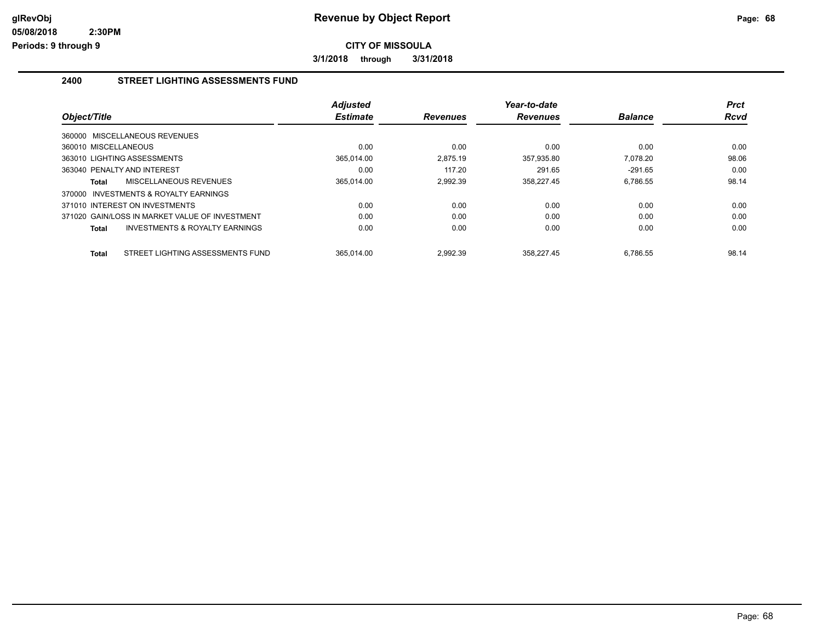**3/1/2018 through 3/31/2018**

## **2400 STREET LIGHTING ASSESSMENTS FUND**

| Object/Title                                       | <b>Adjusted</b><br><b>Estimate</b> | <b>Revenues</b> | Year-to-date<br><b>Revenues</b> | <b>Balance</b> | <b>Prct</b><br><b>Rcvd</b> |
|----------------------------------------------------|------------------------------------|-----------------|---------------------------------|----------------|----------------------------|
| 360000 MISCELLANEOUS REVENUES                      |                                    |                 |                                 |                |                            |
| 360010 MISCELLANEOUS                               | 0.00                               | 0.00            | 0.00                            | 0.00           | 0.00                       |
| 363010 LIGHTING ASSESSMENTS                        | 365.014.00                         | 2.875.19        | 357.935.80                      | 7.078.20       | 98.06                      |
| 363040 PENALTY AND INTEREST                        | 0.00                               | 117.20          | 291.65                          | $-291.65$      | 0.00                       |
| MISCELLANEOUS REVENUES<br>Total                    | 365,014.00                         | 2.992.39        | 358,227.45                      | 6.786.55       | 98.14                      |
| INVESTMENTS & ROYALTY EARNINGS<br>370000           |                                    |                 |                                 |                |                            |
| 371010 INTEREST ON INVESTMENTS                     | 0.00                               | 0.00            | 0.00                            | 0.00           | 0.00                       |
| 371020 GAIN/LOSS IN MARKET VALUE OF INVESTMENT     | 0.00                               | 0.00            | 0.00                            | 0.00           | 0.00                       |
| <b>INVESTMENTS &amp; ROYALTY EARNINGS</b><br>Total | 0.00                               | 0.00            | 0.00                            | 0.00           | 0.00                       |
|                                                    |                                    |                 |                                 |                |                            |
| STREET LIGHTING ASSESSMENTS FUND<br>Total          | 365.014.00                         | 2.992.39        | 358.227.45                      | 6.786.55       | 98.14                      |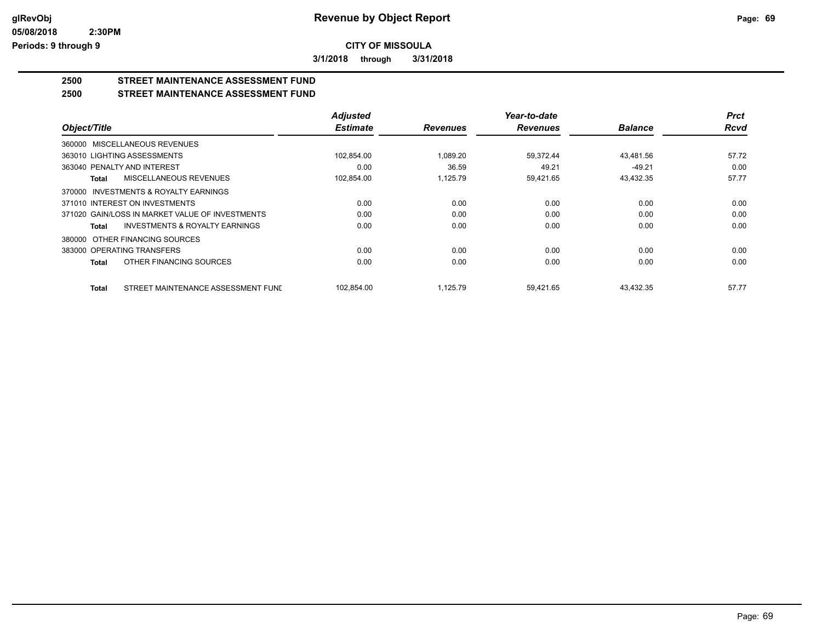**3/1/2018 through 3/31/2018**

# **2500 STREET MAINTENANCE ASSESSMENT FUND**

## **2500 STREET MAINTENANCE ASSESSMENT FUND**

|                                                    | <b>Adjusted</b> |                 | Year-to-date    |                | <b>Prct</b> |
|----------------------------------------------------|-----------------|-----------------|-----------------|----------------|-------------|
| Object/Title                                       | <b>Estimate</b> | <b>Revenues</b> | <b>Revenues</b> | <b>Balance</b> | <b>Rcvd</b> |
| 360000 MISCELLANEOUS REVENUES                      |                 |                 |                 |                |             |
| 363010 LIGHTING ASSESSMENTS                        | 102,854.00      | 1,089.20        | 59,372.44       | 43,481.56      | 57.72       |
| 363040 PENALTY AND INTEREST                        | 0.00            | 36.59           | 49.21           | $-49.21$       | 0.00        |
| MISCELLANEOUS REVENUES<br>Total                    | 102,854.00      | 1,125.79        | 59,421.65       | 43,432.35      | 57.77       |
| INVESTMENTS & ROYALTY EARNINGS<br>370000           |                 |                 |                 |                |             |
| 371010 INTEREST ON INVESTMENTS                     | 0.00            | 0.00            | 0.00            | 0.00           | 0.00        |
| 371020 GAIN/LOSS IN MARKET VALUE OF INVESTMENTS    | 0.00            | 0.00            | 0.00            | 0.00           | 0.00        |
| <b>INVESTMENTS &amp; ROYALTY EARNINGS</b><br>Total | 0.00            | 0.00            | 0.00            | 0.00           | 0.00        |
| OTHER FINANCING SOURCES<br>380000                  |                 |                 |                 |                |             |
| 383000 OPERATING TRANSFERS                         | 0.00            | 0.00            | 0.00            | 0.00           | 0.00        |
| OTHER FINANCING SOURCES<br><b>Total</b>            | 0.00            | 0.00            | 0.00            | 0.00           | 0.00        |
| STREET MAINTENANCE ASSESSMENT FUND<br><b>Total</b> | 102.854.00      | 1.125.79        | 59.421.65       | 43.432.35      | 57.77       |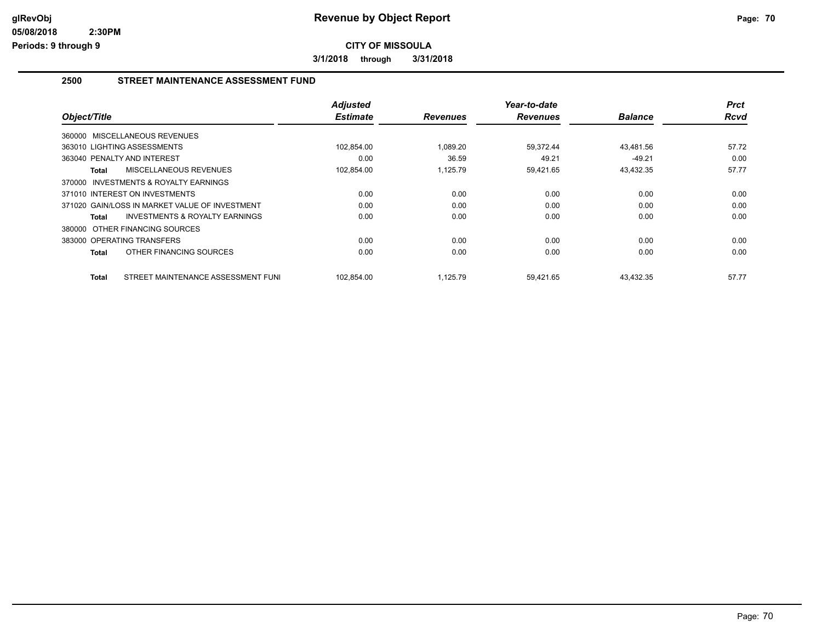**3/1/2018 through 3/31/2018**

## **2500 STREET MAINTENANCE ASSESSMENT FUND**

| Object/Title                                        | <b>Adjusted</b><br><b>Estimate</b> | <b>Revenues</b> | Year-to-date<br><b>Revenues</b> | <b>Balance</b> | <b>Prct</b><br>Rcvd |
|-----------------------------------------------------|------------------------------------|-----------------|---------------------------------|----------------|---------------------|
| 360000 MISCELLANEOUS REVENUES                       |                                    |                 |                                 |                |                     |
| 363010 LIGHTING ASSESSMENTS                         | 102.854.00                         | 1.089.20        | 59,372.44                       | 43,481.56      | 57.72               |
| 363040 PENALTY AND INTEREST                         | 0.00                               | 36.59           | 49.21                           | $-49.21$       | 0.00                |
| <b>MISCELLANEOUS REVENUES</b><br>Total              | 102,854.00                         | 1,125.79        | 59,421.65                       | 43,432.35      | 57.77               |
| <b>INVESTMENTS &amp; ROYALTY EARNINGS</b><br>370000 |                                    |                 |                                 |                |                     |
| 371010 INTEREST ON INVESTMENTS                      | 0.00                               | 0.00            | 0.00                            | 0.00           | 0.00                |
| 371020 GAIN/LOSS IN MARKET VALUE OF INVESTMENT      | 0.00                               | 0.00            | 0.00                            | 0.00           | 0.00                |
| <b>INVESTMENTS &amp; ROYALTY EARNINGS</b><br>Total  | 0.00                               | 0.00            | 0.00                            | 0.00           | 0.00                |
| 380000 OTHER FINANCING SOURCES                      |                                    |                 |                                 |                |                     |
| 383000 OPERATING TRANSFERS                          | 0.00                               | 0.00            | 0.00                            | 0.00           | 0.00                |
| OTHER FINANCING SOURCES<br>Total                    | 0.00                               | 0.00            | 0.00                            | 0.00           | 0.00                |
| STREET MAINTENANCE ASSESSMENT FUNI<br>Total         | 102.854.00                         | 1.125.79        | 59,421.65                       | 43,432.35      | 57.77               |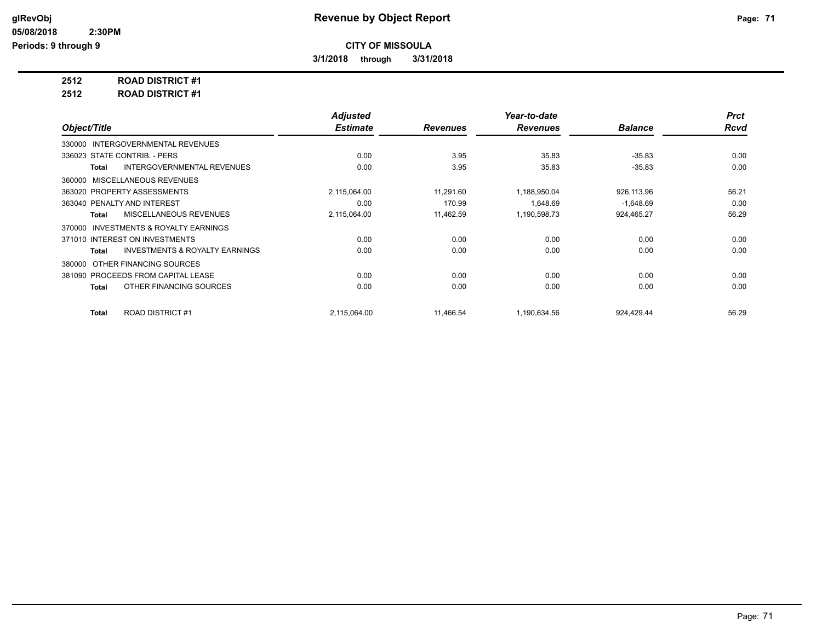**3/1/2018 through 3/31/2018**

**2512 ROAD DISTRICT #1**

**2512 ROAD DISTRICT #1**

|                                                     | <b>Adjusted</b> |                 | Year-to-date    |                | <b>Prct</b> |
|-----------------------------------------------------|-----------------|-----------------|-----------------|----------------|-------------|
| Object/Title                                        | <b>Estimate</b> | <b>Revenues</b> | <b>Revenues</b> | <b>Balance</b> | <b>Rcvd</b> |
| INTERGOVERNMENTAL REVENUES<br>330000                |                 |                 |                 |                |             |
| 336023 STATE CONTRIB. - PERS                        | 0.00            | 3.95            | 35.83           | $-35.83$       | 0.00        |
| <b>INTERGOVERNMENTAL REVENUES</b><br>Total          | 0.00            | 3.95            | 35.83           | $-35.83$       | 0.00        |
| MISCELLANEOUS REVENUES<br>360000                    |                 |                 |                 |                |             |
| 363020 PROPERTY ASSESSMENTS                         | 2,115,064.00    | 11,291.60       | 1,188,950.04    | 926,113.96     | 56.21       |
| 363040 PENALTY AND INTEREST                         | 0.00            | 170.99          | 1,648.69        | $-1,648.69$    | 0.00        |
| MISCELLANEOUS REVENUES<br><b>Total</b>              | 2,115,064.00    | 11,462.59       | 1,190,598.73    | 924,465.27     | 56.29       |
| <b>INVESTMENTS &amp; ROYALTY EARNINGS</b><br>370000 |                 |                 |                 |                |             |
| 371010 INTEREST ON INVESTMENTS                      | 0.00            | 0.00            | 0.00            | 0.00           | 0.00        |
| <b>INVESTMENTS &amp; ROYALTY EARNINGS</b><br>Total  | 0.00            | 0.00            | 0.00            | 0.00           | 0.00        |
| OTHER FINANCING SOURCES<br>380000                   |                 |                 |                 |                |             |
| 381090 PROCEEDS FROM CAPITAL LEASE                  | 0.00            | 0.00            | 0.00            | 0.00           | 0.00        |
| OTHER FINANCING SOURCES<br>Total                    | 0.00            | 0.00            | 0.00            | 0.00           | 0.00        |
| ROAD DISTRICT #1<br>Total                           | 2,115,064.00    | 11,466.54       | 1,190,634.56    | 924,429.44     | 56.29       |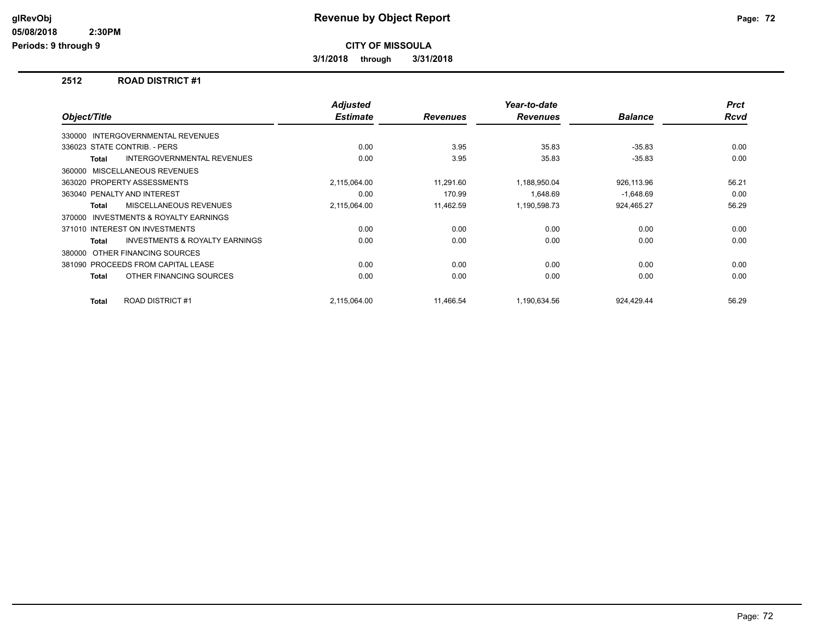**3/1/2018 through 3/31/2018**

#### **2512 ROAD DISTRICT #1**

|              |                                           | <b>Adjusted</b> |                 | Year-to-date    |                | <b>Prct</b> |
|--------------|-------------------------------------------|-----------------|-----------------|-----------------|----------------|-------------|
| Object/Title |                                           | <b>Estimate</b> | <b>Revenues</b> | <b>Revenues</b> | <b>Balance</b> | <b>Rcvd</b> |
| 330000       | INTERGOVERNMENTAL REVENUES                |                 |                 |                 |                |             |
|              | 336023 STATE CONTRIB. - PERS              | 0.00            | 3.95            | 35.83           | $-35.83$       | 0.00        |
| Total        | INTERGOVERNMENTAL REVENUES                | 0.00            | 3.95            | 35.83           | $-35.83$       | 0.00        |
|              | 360000 MISCELLANEOUS REVENUES             |                 |                 |                 |                |             |
|              | 363020 PROPERTY ASSESSMENTS               | 2,115,064.00    | 11.291.60       | 1,188,950.04    | 926,113.96     | 56.21       |
|              | 363040 PENALTY AND INTEREST               | 0.00            | 170.99          | 1.648.69        | $-1,648.69$    | 0.00        |
| Total        | <b>MISCELLANEOUS REVENUES</b>             | 2,115,064.00    | 11,462.59       | 1,190,598.73    | 924,465.27     | 56.29       |
|              | 370000 INVESTMENTS & ROYALTY EARNINGS     |                 |                 |                 |                |             |
|              | 371010 INTEREST ON INVESTMENTS            | 0.00            | 0.00            | 0.00            | 0.00           | 0.00        |
| Total        | <b>INVESTMENTS &amp; ROYALTY EARNINGS</b> | 0.00            | 0.00            | 0.00            | 0.00           | 0.00        |
|              | 380000 OTHER FINANCING SOURCES            |                 |                 |                 |                |             |
|              | 381090 PROCEEDS FROM CAPITAL LEASE        | 0.00            | 0.00            | 0.00            | 0.00           | 0.00        |
| Total        | OTHER FINANCING SOURCES                   | 0.00            | 0.00            | 0.00            | 0.00           | 0.00        |
| Total        | <b>ROAD DISTRICT #1</b>                   | 2,115,064.00    | 11,466.54       | 1,190,634.56    | 924,429.44     | 56.29       |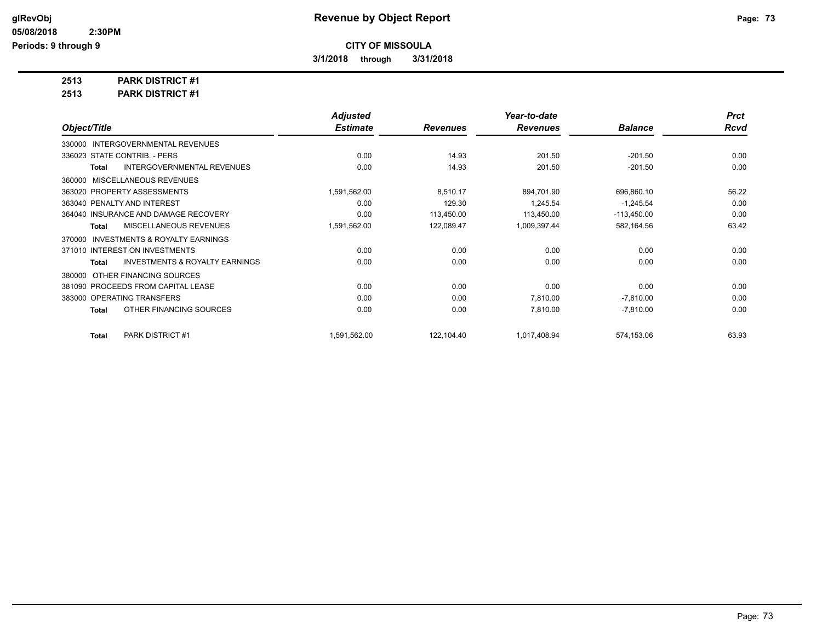**3/1/2018 through 3/31/2018**

**2513 PARK DISTRICT #1**

**2513 PARK DISTRICT #1**

|                                                           | <b>Adjusted</b> |                 | Year-to-date    |                | <b>Prct</b> |
|-----------------------------------------------------------|-----------------|-----------------|-----------------|----------------|-------------|
| Object/Title                                              | <b>Estimate</b> | <b>Revenues</b> | <b>Revenues</b> | <b>Balance</b> | Rcvd        |
| INTERGOVERNMENTAL REVENUES<br>330000                      |                 |                 |                 |                |             |
| 336023 STATE CONTRIB. - PERS                              | 0.00            | 14.93           | 201.50          | $-201.50$      | 0.00        |
| <b>INTERGOVERNMENTAL REVENUES</b><br>Total                | 0.00            | 14.93           | 201.50          | $-201.50$      | 0.00        |
| <b>MISCELLANEOUS REVENUES</b><br>360000                   |                 |                 |                 |                |             |
| 363020 PROPERTY ASSESSMENTS                               | 1,591,562.00    | 8,510.17        | 894,701.90      | 696,860.10     | 56.22       |
| 363040 PENALTY AND INTEREST                               | 0.00            | 129.30          | 1,245.54        | $-1,245.54$    | 0.00        |
| 364040 INSURANCE AND DAMAGE RECOVERY                      | 0.00            | 113,450.00      | 113,450.00      | $-113,450.00$  | 0.00        |
| MISCELLANEOUS REVENUES<br>Total                           | 1,591,562.00    | 122,089.47      | 1,009,397.44    | 582,164.56     | 63.42       |
| <b>INVESTMENTS &amp; ROYALTY EARNINGS</b><br>370000       |                 |                 |                 |                |             |
| 371010 INTEREST ON INVESTMENTS                            | 0.00            | 0.00            | 0.00            | 0.00           | 0.00        |
| <b>INVESTMENTS &amp; ROYALTY EARNINGS</b><br><b>Total</b> | 0.00            | 0.00            | 0.00            | 0.00           | 0.00        |
| OTHER FINANCING SOURCES<br>380000                         |                 |                 |                 |                |             |
| 381090 PROCEEDS FROM CAPITAL LEASE                        | 0.00            | 0.00            | 0.00            | 0.00           | 0.00        |
| 383000 OPERATING TRANSFERS                                | 0.00            | 0.00            | 7,810.00        | $-7,810.00$    | 0.00        |
| OTHER FINANCING SOURCES<br><b>Total</b>                   | 0.00            | 0.00            | 7,810.00        | $-7,810.00$    | 0.00        |
| <b>PARK DISTRICT #1</b><br>Total                          | 1,591,562.00    | 122,104.40      | 1,017,408.94    | 574,153.06     | 63.93       |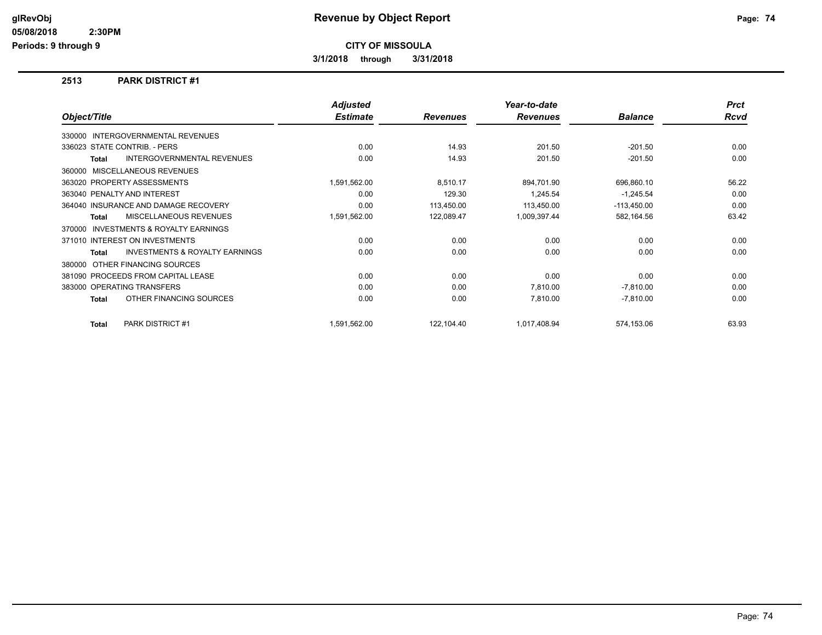**3/1/2018 through 3/31/2018**

#### **2513 PARK DISTRICT #1**

|                                                    | <b>Adjusted</b> |                 | Year-to-date    |                | <b>Prct</b> |
|----------------------------------------------------|-----------------|-----------------|-----------------|----------------|-------------|
| Object/Title                                       | <b>Estimate</b> | <b>Revenues</b> | <b>Revenues</b> | <b>Balance</b> | <b>Rcvd</b> |
| 330000 INTERGOVERNMENTAL REVENUES                  |                 |                 |                 |                |             |
| 336023 STATE CONTRIB. - PERS                       | 0.00            | 14.93           | 201.50          | $-201.50$      | 0.00        |
| <b>INTERGOVERNMENTAL REVENUES</b><br>Total         | 0.00            | 14.93           | 201.50          | $-201.50$      | 0.00        |
| 360000 MISCELLANEOUS REVENUES                      |                 |                 |                 |                |             |
| 363020 PROPERTY ASSESSMENTS                        | 1,591,562.00    | 8,510.17        | 894,701.90      | 696,860.10     | 56.22       |
| 363040 PENALTY AND INTEREST                        | 0.00            | 129.30          | 1,245.54        | $-1,245.54$    | 0.00        |
| 364040 INSURANCE AND DAMAGE RECOVERY               | 0.00            | 113,450.00      | 113,450.00      | $-113,450.00$  | 0.00        |
| MISCELLANEOUS REVENUES<br>Total                    | 1,591,562.00    | 122,089.47      | 1,009,397.44    | 582,164.56     | 63.42       |
| INVESTMENTS & ROYALTY EARNINGS<br>370000           |                 |                 |                 |                |             |
| 371010 INTEREST ON INVESTMENTS                     | 0.00            | 0.00            | 0.00            | 0.00           | 0.00        |
| <b>INVESTMENTS &amp; ROYALTY EARNINGS</b><br>Total | 0.00            | 0.00            | 0.00            | 0.00           | 0.00        |
| OTHER FINANCING SOURCES<br>380000                  |                 |                 |                 |                |             |
| 381090 PROCEEDS FROM CAPITAL LEASE                 | 0.00            | 0.00            | 0.00            | 0.00           | 0.00        |
| 383000 OPERATING TRANSFERS                         | 0.00            | 0.00            | 7,810.00        | $-7,810.00$    | 0.00        |
| OTHER FINANCING SOURCES<br><b>Total</b>            | 0.00            | 0.00            | 7,810.00        | $-7,810.00$    | 0.00        |
| PARK DISTRICT #1<br><b>Total</b>                   | 1,591,562.00    | 122,104.40      | 1,017,408.94    | 574,153.06     | 63.93       |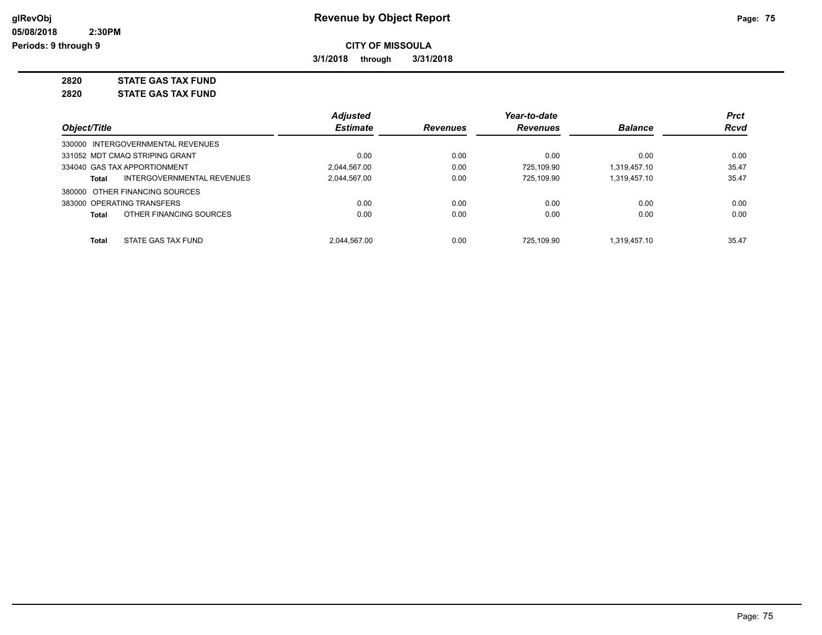**3/1/2018 through 3/31/2018**

**2820 STATE GAS TAX FUND**

**2820 STATE GAS TAX FUND**

|                                         | <b>Adjusted</b> |                 | Year-to-date    |                | <b>Prct</b> |
|-----------------------------------------|-----------------|-----------------|-----------------|----------------|-------------|
| Object/Title                            | <b>Estimate</b> | <b>Revenues</b> | <b>Revenues</b> | <b>Balance</b> | <b>Rcvd</b> |
| 330000 INTERGOVERNMENTAL REVENUES       |                 |                 |                 |                |             |
| 331052 MDT CMAQ STRIPING GRANT          | 0.00            | 0.00            | 0.00            | 0.00           | 0.00        |
| 334040 GAS TAX APPORTIONMENT            | 2.044.567.00    | 0.00            | 725.109.90      | 1.319.457.10   | 35.47       |
| INTERGOVERNMENTAL REVENUES<br>Total     | 2,044,567.00    | 0.00            | 725.109.90      | 1,319,457.10   | 35.47       |
| 380000 OTHER FINANCING SOURCES          |                 |                 |                 |                |             |
| 383000 OPERATING TRANSFERS              | 0.00            | 0.00            | 0.00            | 0.00           | 0.00        |
| OTHER FINANCING SOURCES<br><b>Total</b> | 0.00            | 0.00            | 0.00            | 0.00           | 0.00        |
|                                         |                 |                 |                 |                |             |
| STATE GAS TAX FUND<br><b>Total</b>      | 2.044.567.00    | 0.00            | 725.109.90      | 1.319.457.10   | 35.47       |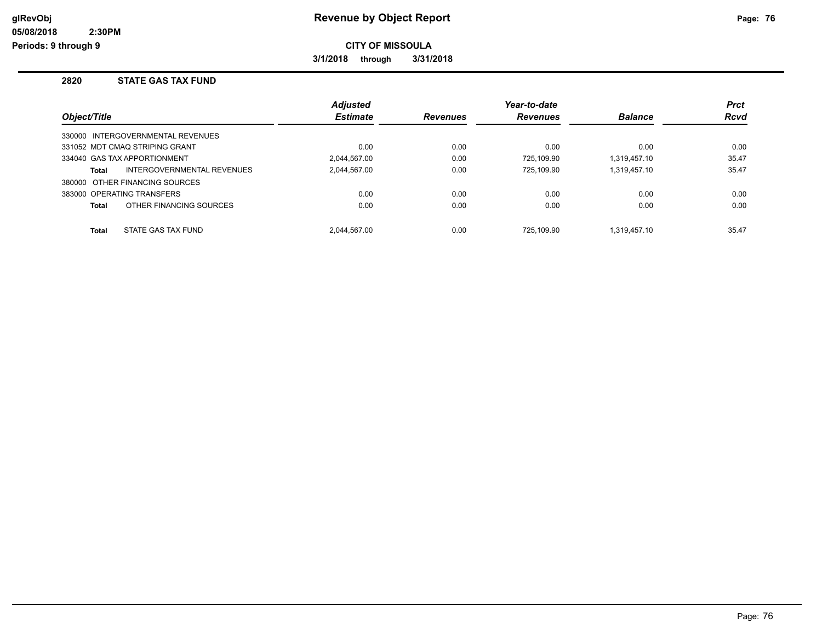**3/1/2018 through 3/31/2018**

#### **2820 STATE GAS TAX FUND**

|              |                                   | <b>Adjusted</b> |                 | Year-to-date    |                | <b>Prct</b> |
|--------------|-----------------------------------|-----------------|-----------------|-----------------|----------------|-------------|
| Object/Title |                                   | <b>Estimate</b> | <b>Revenues</b> | <b>Revenues</b> | <b>Balance</b> | <b>Rcvd</b> |
|              | 330000 INTERGOVERNMENTAL REVENUES |                 |                 |                 |                |             |
|              | 331052 MDT CMAQ STRIPING GRANT    | 0.00            | 0.00            | 0.00            | 0.00           | 0.00        |
|              | 334040 GAS TAX APPORTIONMENT      | 2.044.567.00    | 0.00            | 725.109.90      | 1.319.457.10   | 35.47       |
| Total        | INTERGOVERNMENTAL REVENUES        | 2,044,567.00    | 0.00            | 725.109.90      | 1.319.457.10   | 35.47       |
|              | 380000 OTHER FINANCING SOURCES    |                 |                 |                 |                |             |
|              | 383000 OPERATING TRANSFERS        | 0.00            | 0.00            | 0.00            | 0.00           | 0.00        |
| Total        | OTHER FINANCING SOURCES           | 0.00            | 0.00            | 0.00            | 0.00           | 0.00        |
| <b>Total</b> | STATE GAS TAX FUND                | 2.044.567.00    | 0.00            | 725.109.90      | 1.319.457.10   | 35.47       |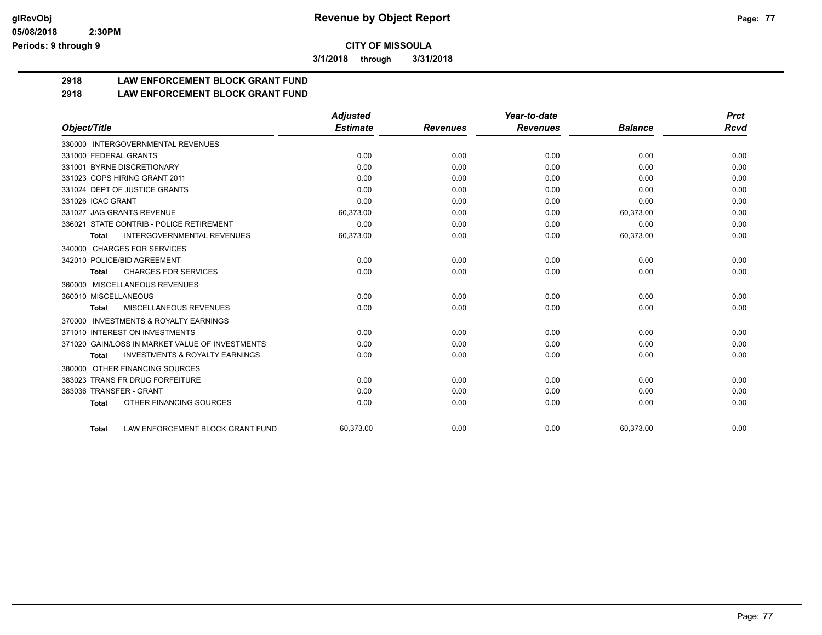**3/1/2018 through 3/31/2018**

# **2918 LAW ENFORCEMENT BLOCK GRANT FUND**

# **2918 LAW ENFORCEMENT BLOCK GRANT FUND**

|                                                           | <b>Adjusted</b> |                 | Year-to-date    |                | <b>Prct</b> |
|-----------------------------------------------------------|-----------------|-----------------|-----------------|----------------|-------------|
| Object/Title                                              | <b>Estimate</b> | <b>Revenues</b> | <b>Revenues</b> | <b>Balance</b> | <b>Rcvd</b> |
| 330000 INTERGOVERNMENTAL REVENUES                         |                 |                 |                 |                |             |
| 331000 FEDERAL GRANTS                                     | 0.00            | 0.00            | 0.00            | 0.00           | 0.00        |
| 331001 BYRNE DISCRETIONARY                                | 0.00            | 0.00            | 0.00            | 0.00           | 0.00        |
| 331023 COPS HIRING GRANT 2011                             | 0.00            | 0.00            | 0.00            | 0.00           | 0.00        |
| 331024 DEPT OF JUSTICE GRANTS                             | 0.00            | 0.00            | 0.00            | 0.00           | 0.00        |
| 331026 ICAC GRANT                                         | 0.00            | 0.00            | 0.00            | 0.00           | 0.00        |
| 331027 JAG GRANTS REVENUE                                 | 60,373.00       | 0.00            | 0.00            | 60,373.00      | 0.00        |
| 336021 STATE CONTRIB - POLICE RETIREMENT                  | 0.00            | 0.00            | 0.00            | 0.00           | 0.00        |
| <b>INTERGOVERNMENTAL REVENUES</b><br><b>Total</b>         | 60,373.00       | 0.00            | 0.00            | 60,373.00      | 0.00        |
| 340000 CHARGES FOR SERVICES                               |                 |                 |                 |                |             |
| 342010 POLICE/BID AGREEMENT                               | 0.00            | 0.00            | 0.00            | 0.00           | 0.00        |
| <b>CHARGES FOR SERVICES</b><br><b>Total</b>               | 0.00            | 0.00            | 0.00            | 0.00           | 0.00        |
| MISCELLANEOUS REVENUES<br>360000                          |                 |                 |                 |                |             |
| 360010 MISCELLANEOUS                                      | 0.00            | 0.00            | 0.00            | 0.00           | 0.00        |
| <b>MISCELLANEOUS REVENUES</b><br><b>Total</b>             | 0.00            | 0.00            | 0.00            | 0.00           | 0.00        |
| <b>INVESTMENTS &amp; ROYALTY EARNINGS</b><br>370000       |                 |                 |                 |                |             |
| 371010 INTEREST ON INVESTMENTS                            | 0.00            | 0.00            | 0.00            | 0.00           | 0.00        |
| 371020 GAIN/LOSS IN MARKET VALUE OF INVESTMENTS           | 0.00            | 0.00            | 0.00            | 0.00           | 0.00        |
| <b>INVESTMENTS &amp; ROYALTY EARNINGS</b><br><b>Total</b> | 0.00            | 0.00            | 0.00            | 0.00           | 0.00        |
| OTHER FINANCING SOURCES<br>380000                         |                 |                 |                 |                |             |
| 383023 TRANS FR DRUG FORFEITURE                           | 0.00            | 0.00            | 0.00            | 0.00           | 0.00        |
| 383036 TRANSFER - GRANT                                   | 0.00            | 0.00            | 0.00            | 0.00           | 0.00        |
| OTHER FINANCING SOURCES<br><b>Total</b>                   | 0.00            | 0.00            | 0.00            | 0.00           | 0.00        |
| LAW ENFORCEMENT BLOCK GRANT FUND<br><b>Total</b>          | 60,373.00       | 0.00            | 0.00            | 60,373.00      | 0.00        |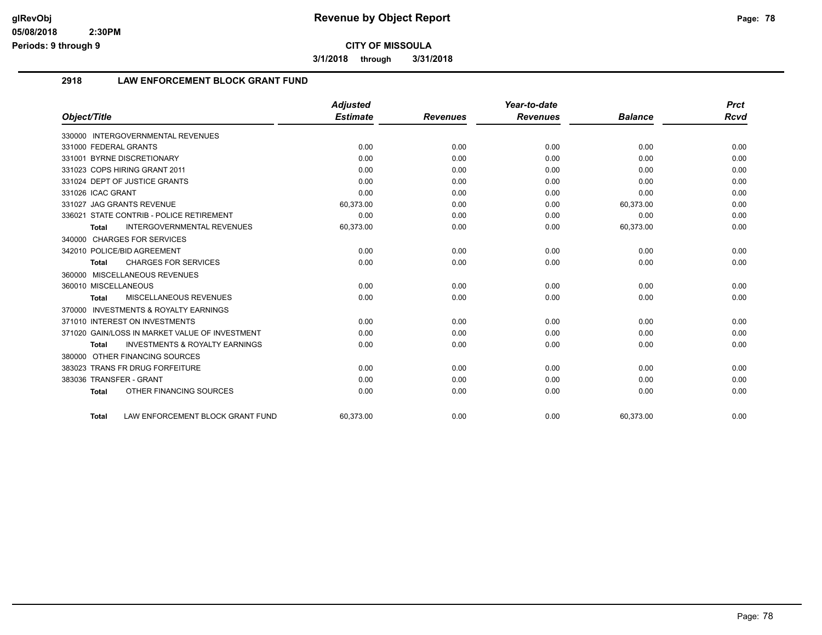**3/1/2018 through 3/31/2018**

#### **2918 LAW ENFORCEMENT BLOCK GRANT FUND**

|                                                           | <b>Adjusted</b> |                 | Year-to-date    |                | <b>Prct</b> |
|-----------------------------------------------------------|-----------------|-----------------|-----------------|----------------|-------------|
| Object/Title                                              | <b>Estimate</b> | <b>Revenues</b> | <b>Revenues</b> | <b>Balance</b> | <b>Rcvd</b> |
| 330000 INTERGOVERNMENTAL REVENUES                         |                 |                 |                 |                |             |
| 331000 FEDERAL GRANTS                                     | 0.00            | 0.00            | 0.00            | 0.00           | 0.00        |
| 331001 BYRNE DISCRETIONARY                                | 0.00            | 0.00            | 0.00            | 0.00           | 0.00        |
| 331023 COPS HIRING GRANT 2011                             | 0.00            | 0.00            | 0.00            | 0.00           | 0.00        |
| 331024 DEPT OF JUSTICE GRANTS                             | 0.00            | 0.00            | 0.00            | 0.00           | 0.00        |
| 331026 ICAC GRANT                                         | 0.00            | 0.00            | 0.00            | 0.00           | 0.00        |
| 331027 JAG GRANTS REVENUE                                 | 60,373.00       | 0.00            | 0.00            | 60,373.00      | 0.00        |
| 336021 STATE CONTRIB - POLICE RETIREMENT                  | 0.00            | 0.00            | 0.00            | 0.00           | 0.00        |
| <b>INTERGOVERNMENTAL REVENUES</b><br><b>Total</b>         | 60,373.00       | 0.00            | 0.00            | 60,373.00      | 0.00        |
| 340000 CHARGES FOR SERVICES                               |                 |                 |                 |                |             |
| 342010 POLICE/BID AGREEMENT                               | 0.00            | 0.00            | 0.00            | 0.00           | 0.00        |
| <b>CHARGES FOR SERVICES</b><br><b>Total</b>               | 0.00            | 0.00            | 0.00            | 0.00           | 0.00        |
| 360000 MISCELLANEOUS REVENUES                             |                 |                 |                 |                |             |
| 360010 MISCELLANEOUS                                      | 0.00            | 0.00            | 0.00            | 0.00           | 0.00        |
| MISCELLANEOUS REVENUES<br><b>Total</b>                    | 0.00            | 0.00            | 0.00            | 0.00           | 0.00        |
| 370000 INVESTMENTS & ROYALTY EARNINGS                     |                 |                 |                 |                |             |
| 371010 INTEREST ON INVESTMENTS                            | 0.00            | 0.00            | 0.00            | 0.00           | 0.00        |
| 371020 GAIN/LOSS IN MARKET VALUE OF INVESTMENT            | 0.00            | 0.00            | 0.00            | 0.00           | 0.00        |
| <b>INVESTMENTS &amp; ROYALTY EARNINGS</b><br><b>Total</b> | 0.00            | 0.00            | 0.00            | 0.00           | 0.00        |
| 380000 OTHER FINANCING SOURCES                            |                 |                 |                 |                |             |
| 383023 TRANS FR DRUG FORFEITURE                           | 0.00            | 0.00            | 0.00            | 0.00           | 0.00        |
| 383036 TRANSFER - GRANT                                   | 0.00            | 0.00            | 0.00            | 0.00           | 0.00        |
| OTHER FINANCING SOURCES<br><b>Total</b>                   | 0.00            | 0.00            | 0.00            | 0.00           | 0.00        |
| LAW ENFORCEMENT BLOCK GRANT FUND<br><b>Total</b>          | 60.373.00       | 0.00            | 0.00            | 60,373.00      | 0.00        |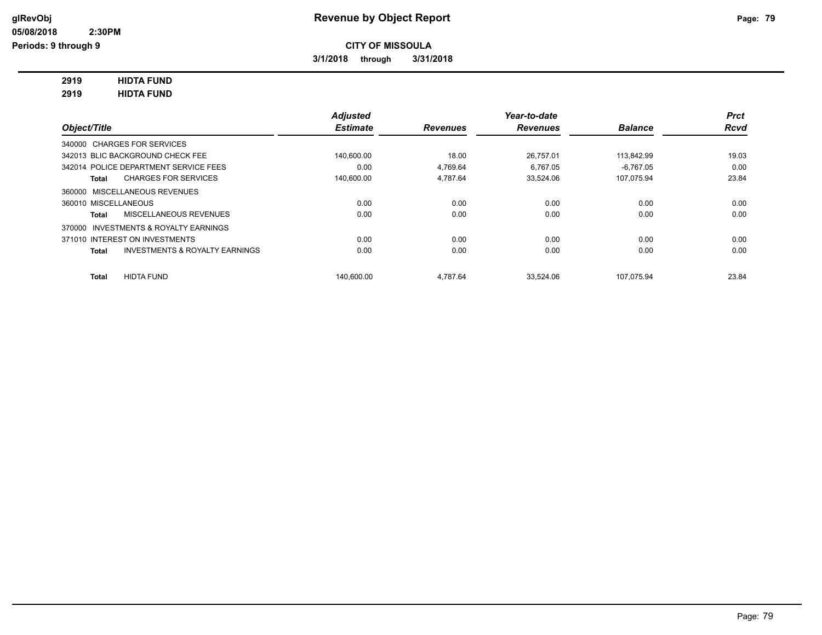**3/1/2018 through 3/31/2018**

# **2919 HIDTA FUND**

**2919 HIDTA FUND**

|                                                    | <b>Adjusted</b> |                 | Year-to-date    |                | <b>Prct</b> |
|----------------------------------------------------|-----------------|-----------------|-----------------|----------------|-------------|
| Object/Title                                       | <b>Estimate</b> | <b>Revenues</b> | <b>Revenues</b> | <b>Balance</b> | <b>Rcvd</b> |
| 340000 CHARGES FOR SERVICES                        |                 |                 |                 |                |             |
| 342013 BLIC BACKGROUND CHECK FEE                   | 140,600.00      | 18.00           | 26.757.01       | 113,842.99     | 19.03       |
| 342014 POLICE DEPARTMENT SERVICE FEES              | 0.00            | 4.769.64        | 6.767.05        | $-6.767.05$    | 0.00        |
| <b>CHARGES FOR SERVICES</b><br>Total               | 140.600.00      | 4.787.64        | 33,524.06       | 107.075.94     | 23.84       |
| 360000 MISCELLANEOUS REVENUES                      |                 |                 |                 |                |             |
| 360010 MISCELLANEOUS                               | 0.00            | 0.00            | 0.00            | 0.00           | 0.00        |
| MISCELLANEOUS REVENUES<br>Total                    | 0.00            | 0.00            | 0.00            | 0.00           | 0.00        |
| 370000 INVESTMENTS & ROYALTY EARNINGS              |                 |                 |                 |                |             |
| 371010 INTEREST ON INVESTMENTS                     | 0.00            | 0.00            | 0.00            | 0.00           | 0.00        |
| <b>INVESTMENTS &amp; ROYALTY EARNINGS</b><br>Total | 0.00            | 0.00            | 0.00            | 0.00           | 0.00        |
| <b>HIDTA FUND</b><br>Total                         | 140.600.00      | 4.787.64        | 33.524.06       | 107.075.94     | 23.84       |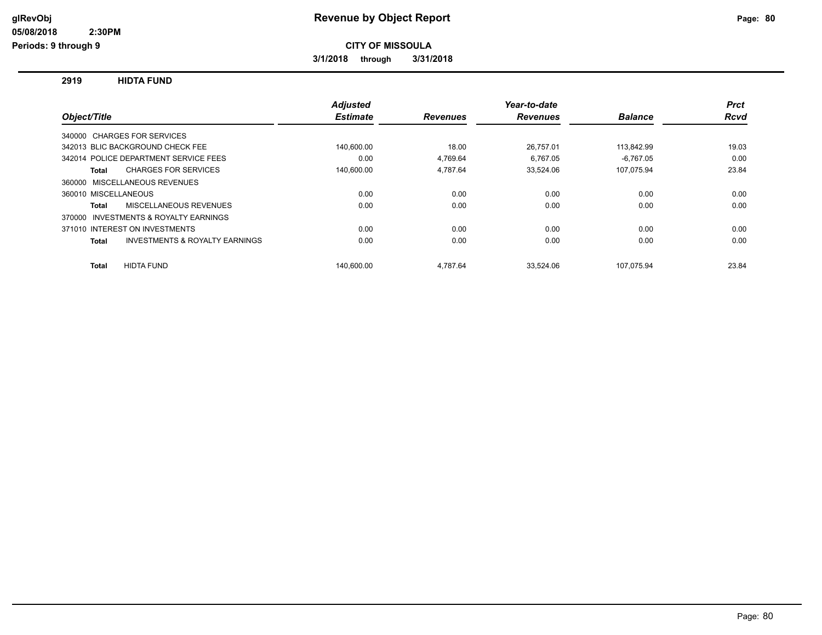**3/1/2018 through 3/31/2018**

**2919 HIDTA FUND**

|                                                    | <b>Adjusted</b> |                 | Year-to-date    |                | <b>Prct</b> |
|----------------------------------------------------|-----------------|-----------------|-----------------|----------------|-------------|
| Object/Title                                       | <b>Estimate</b> | <b>Revenues</b> | <b>Revenues</b> | <b>Balance</b> | Rcvd        |
| 340000 CHARGES FOR SERVICES                        |                 |                 |                 |                |             |
| 342013 BLIC BACKGROUND CHECK FEE                   | 140,600.00      | 18.00           | 26,757.01       | 113,842.99     | 19.03       |
| 342014 POLICE DEPARTMENT SERVICE FEES              | 0.00            | 4.769.64        | 6.767.05        | $-6.767.05$    | 0.00        |
| <b>CHARGES FOR SERVICES</b><br>Total               | 140,600.00      | 4,787.64        | 33,524.06       | 107,075.94     | 23.84       |
| 360000 MISCELLANEOUS REVENUES                      |                 |                 |                 |                |             |
| 360010 MISCELLANEOUS                               | 0.00            | 0.00            | 0.00            | 0.00           | 0.00        |
| MISCELLANEOUS REVENUES<br>Total                    | 0.00            | 0.00            | 0.00            | 0.00           | 0.00        |
| 370000 INVESTMENTS & ROYALTY EARNINGS              |                 |                 |                 |                |             |
| 371010 INTEREST ON INVESTMENTS                     | 0.00            | 0.00            | 0.00            | 0.00           | 0.00        |
| <b>INVESTMENTS &amp; ROYALTY EARNINGS</b><br>Total | 0.00            | 0.00            | 0.00            | 0.00           | 0.00        |
| <b>HIDTA FUND</b><br><b>Total</b>                  | 140.600.00      | 4.787.64        | 33.524.06       | 107.075.94     | 23.84       |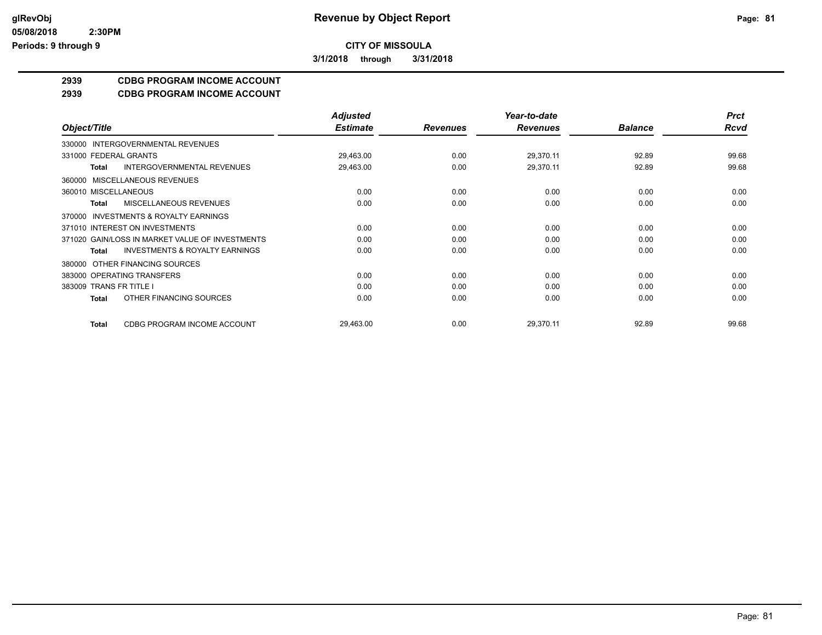**3/1/2018 through 3/31/2018**

# **2939 CDBG PROGRAM INCOME ACCOUNT**

#### **2939 CDBG PROGRAM INCOME ACCOUNT**

|                                                    | <b>Adjusted</b> |                 | Year-to-date    |                | <b>Prct</b> |
|----------------------------------------------------|-----------------|-----------------|-----------------|----------------|-------------|
| Object/Title                                       | <b>Estimate</b> | <b>Revenues</b> | <b>Revenues</b> | <b>Balance</b> | Rcvd        |
| 330000 INTERGOVERNMENTAL REVENUES                  |                 |                 |                 |                |             |
| 331000 FEDERAL GRANTS                              | 29,463.00       | 0.00            | 29,370.11       | 92.89          | 99.68       |
| INTERGOVERNMENTAL REVENUES<br>Total                | 29,463.00       | 0.00            | 29,370.11       | 92.89          | 99.68       |
| 360000 MISCELLANEOUS REVENUES                      |                 |                 |                 |                |             |
| 360010 MISCELLANEOUS                               | 0.00            | 0.00            | 0.00            | 0.00           | 0.00        |
| MISCELLANEOUS REVENUES<br>Total                    | 0.00            | 0.00            | 0.00            | 0.00           | 0.00        |
| 370000 INVESTMENTS & ROYALTY EARNINGS              |                 |                 |                 |                |             |
| 371010 INTEREST ON INVESTMENTS                     | 0.00            | 0.00            | 0.00            | 0.00           | 0.00        |
| 371020 GAIN/LOSS IN MARKET VALUE OF INVESTMENTS    | 0.00            | 0.00            | 0.00            | 0.00           | 0.00        |
| <b>INVESTMENTS &amp; ROYALTY EARNINGS</b><br>Total | 0.00            | 0.00            | 0.00            | 0.00           | 0.00        |
| 380000 OTHER FINANCING SOURCES                     |                 |                 |                 |                |             |
| 383000 OPERATING TRANSFERS                         | 0.00            | 0.00            | 0.00            | 0.00           | 0.00        |
| 383009 TRANS FR TITLE I                            | 0.00            | 0.00            | 0.00            | 0.00           | 0.00        |
| OTHER FINANCING SOURCES<br>Total                   | 0.00            | 0.00            | 0.00            | 0.00           | 0.00        |
| CDBG PROGRAM INCOME ACCOUNT<br>Total               | 29.463.00       | 0.00            | 29,370.11       | 92.89          | 99.68       |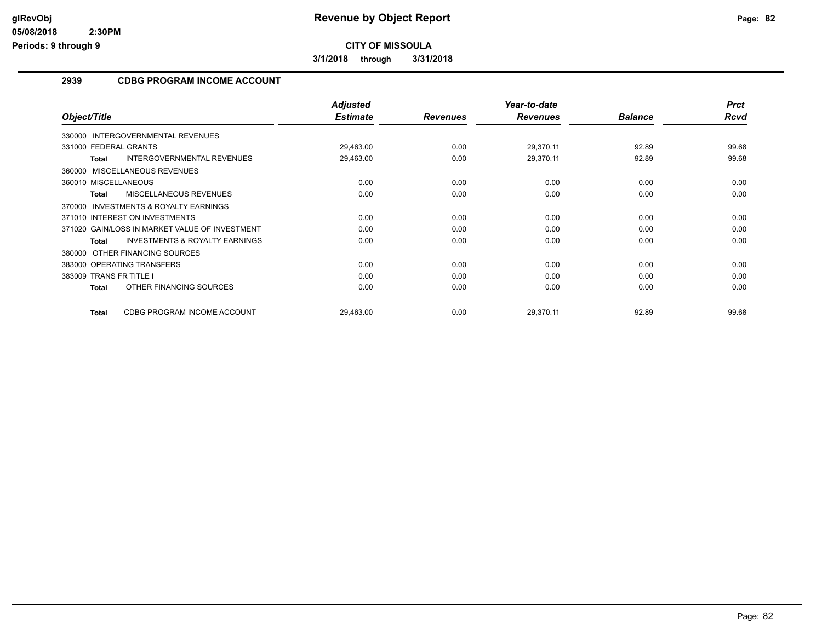**3/1/2018 through 3/31/2018**

#### **2939 CDBG PROGRAM INCOME ACCOUNT**

|                                                           | <b>Adjusted</b> |                 | Year-to-date    |                | <b>Prct</b> |
|-----------------------------------------------------------|-----------------|-----------------|-----------------|----------------|-------------|
| Object/Title                                              | <b>Estimate</b> | <b>Revenues</b> | <b>Revenues</b> | <b>Balance</b> | Rcvd        |
| 330000 INTERGOVERNMENTAL REVENUES                         |                 |                 |                 |                |             |
| 331000 FEDERAL GRANTS                                     | 29,463.00       | 0.00            | 29,370.11       | 92.89          | 99.68       |
| INTERGOVERNMENTAL REVENUES<br><b>Total</b>                | 29,463.00       | 0.00            | 29,370.11       | 92.89          | 99.68       |
| 360000 MISCELLANEOUS REVENUES                             |                 |                 |                 |                |             |
| 360010 MISCELLANEOUS                                      | 0.00            | 0.00            | 0.00            | 0.00           | 0.00        |
| MISCELLANEOUS REVENUES<br><b>Total</b>                    | 0.00            | 0.00            | 0.00            | 0.00           | 0.00        |
| <b>INVESTMENTS &amp; ROYALTY EARNINGS</b><br>370000       |                 |                 |                 |                |             |
| 371010 INTEREST ON INVESTMENTS                            | 0.00            | 0.00            | 0.00            | 0.00           | 0.00        |
| 371020 GAIN/LOSS IN MARKET VALUE OF INVESTMENT            | 0.00            | 0.00            | 0.00            | 0.00           | 0.00        |
| <b>INVESTMENTS &amp; ROYALTY EARNINGS</b><br><b>Total</b> | 0.00            | 0.00            | 0.00            | 0.00           | 0.00        |
| 380000 OTHER FINANCING SOURCES                            |                 |                 |                 |                |             |
| 383000 OPERATING TRANSFERS                                | 0.00            | 0.00            | 0.00            | 0.00           | 0.00        |
| 383009 TRANS FR TITLE I                                   | 0.00            | 0.00            | 0.00            | 0.00           | 0.00        |
| OTHER FINANCING SOURCES<br><b>Total</b>                   | 0.00            | 0.00            | 0.00            | 0.00           | 0.00        |
| <b>Total</b><br>CDBG PROGRAM INCOME ACCOUNT               | 29,463.00       | 0.00            | 29,370.11       | 92.89          | 99.68       |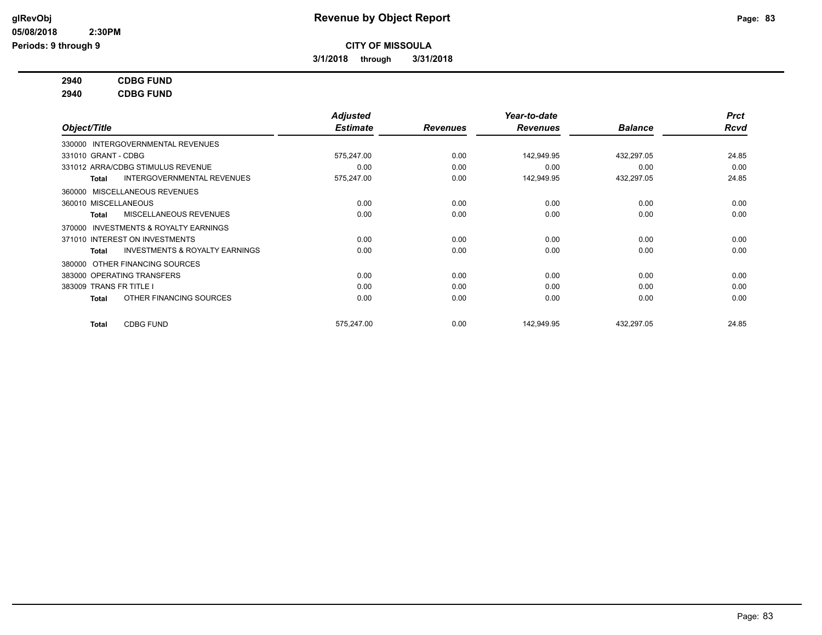**3/1/2018 through 3/31/2018**

## **2940 CDBG FUND**

**2940 CDBG FUND**

|                         |                                           | <b>Adjusted</b> |                 | Year-to-date    |                | <b>Prct</b> |
|-------------------------|-------------------------------------------|-----------------|-----------------|-----------------|----------------|-------------|
| Object/Title            |                                           | <b>Estimate</b> | <b>Revenues</b> | <b>Revenues</b> | <b>Balance</b> | <b>Rcvd</b> |
|                         | 330000 INTERGOVERNMENTAL REVENUES         |                 |                 |                 |                |             |
| 331010 GRANT - CDBG     |                                           | 575,247.00      | 0.00            | 142,949.95      | 432,297.05     | 24.85       |
|                         | 331012 ARRA/CDBG STIMULUS REVENUE         | 0.00            | 0.00            | 0.00            | 0.00           | 0.00        |
| Total                   | <b>INTERGOVERNMENTAL REVENUES</b>         | 575,247.00      | 0.00            | 142,949.95      | 432,297.05     | 24.85       |
|                         | 360000 MISCELLANEOUS REVENUES             |                 |                 |                 |                |             |
| 360010 MISCELLANEOUS    |                                           | 0.00            | 0.00            | 0.00            | 0.00           | 0.00        |
| Total                   | <b>MISCELLANEOUS REVENUES</b>             | 0.00            | 0.00            | 0.00            | 0.00           | 0.00        |
| 370000                  | <b>INVESTMENTS &amp; ROYALTY EARNINGS</b> |                 |                 |                 |                |             |
|                         | 371010 INTEREST ON INVESTMENTS            | 0.00            | 0.00            | 0.00            | 0.00           | 0.00        |
| Total                   | <b>INVESTMENTS &amp; ROYALTY EARNINGS</b> | 0.00            | 0.00            | 0.00            | 0.00           | 0.00        |
| 380000                  | OTHER FINANCING SOURCES                   |                 |                 |                 |                |             |
|                         | 383000 OPERATING TRANSFERS                | 0.00            | 0.00            | 0.00            | 0.00           | 0.00        |
| 383009 TRANS FR TITLE I |                                           | 0.00            | 0.00            | 0.00            | 0.00           | 0.00        |
| Total                   | OTHER FINANCING SOURCES                   | 0.00            | 0.00            | 0.00            | 0.00           | 0.00        |
| Total                   | <b>CDBG FUND</b>                          | 575,247.00      | 0.00            | 142.949.95      | 432,297.05     | 24.85       |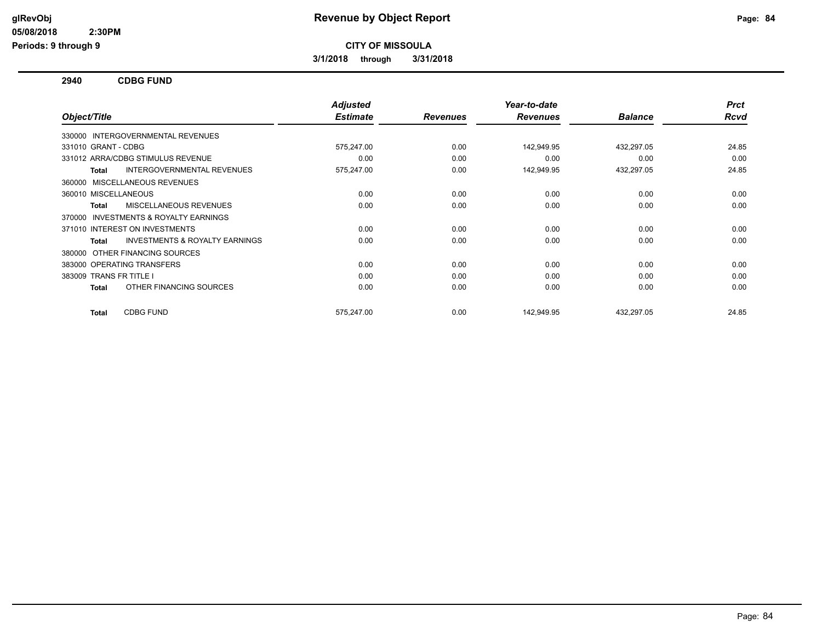**Periods: 9 through 9**

**CITY OF MISSOULA**

**3/1/2018 through 3/31/2018**

**2940 CDBG FUND**

 **2:30PM**

|                                                     | <b>Adjusted</b> |                 | Year-to-date    |                | <b>Prct</b> |
|-----------------------------------------------------|-----------------|-----------------|-----------------|----------------|-------------|
| Object/Title                                        | <b>Estimate</b> | <b>Revenues</b> | <b>Revenues</b> | <b>Balance</b> | Rcvd        |
| 330000 INTERGOVERNMENTAL REVENUES                   |                 |                 |                 |                |             |
| 331010 GRANT - CDBG                                 | 575,247.00      | 0.00            | 142,949.95      | 432,297.05     | 24.85       |
| 331012 ARRA/CDBG STIMULUS REVENUE                   | 0.00            | 0.00            | 0.00            | 0.00           | 0.00        |
| <b>INTERGOVERNMENTAL REVENUES</b><br><b>Total</b>   | 575,247.00      | 0.00            | 142,949.95      | 432,297.05     | 24.85       |
| 360000 MISCELLANEOUS REVENUES                       |                 |                 |                 |                |             |
| 360010 MISCELLANEOUS                                | 0.00            | 0.00            | 0.00            | 0.00           | 0.00        |
| <b>MISCELLANEOUS REVENUES</b><br><b>Total</b>       | 0.00            | 0.00            | 0.00            | 0.00           | 0.00        |
| <b>INVESTMENTS &amp; ROYALTY EARNINGS</b><br>370000 |                 |                 |                 |                |             |
| 371010 INTEREST ON INVESTMENTS                      | 0.00            | 0.00            | 0.00            | 0.00           | 0.00        |
| <b>INVESTMENTS &amp; ROYALTY EARNINGS</b><br>Total  | 0.00            | 0.00            | 0.00            | 0.00           | 0.00        |
| 380000 OTHER FINANCING SOURCES                      |                 |                 |                 |                |             |
| 383000 OPERATING TRANSFERS                          | 0.00            | 0.00            | 0.00            | 0.00           | 0.00        |
| 383009 TRANS FR TITLE I                             | 0.00            | 0.00            | 0.00            | 0.00           | 0.00        |
| OTHER FINANCING SOURCES<br><b>Total</b>             | 0.00            | 0.00            | 0.00            | 0.00           | 0.00        |
| <b>CDBG FUND</b><br><b>Total</b>                    | 575,247.00      | 0.00            | 142,949.95      | 432,297.05     | 24.85       |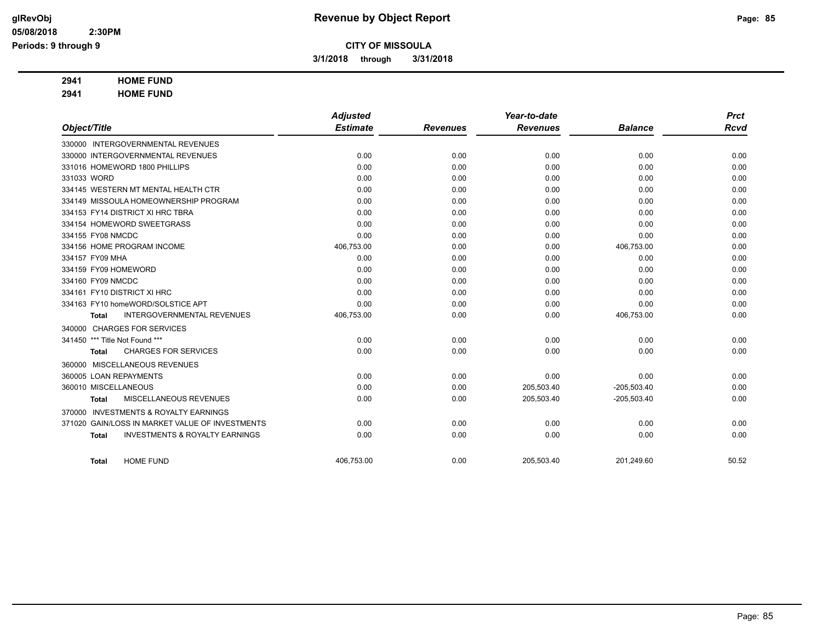**3/1/2018 through 3/31/2018**

# **2941 HOME FUND**

**2941 HOME FUND**

|                                                           | <b>Adjusted</b> |                 | Year-to-date    |                | <b>Prct</b> |
|-----------------------------------------------------------|-----------------|-----------------|-----------------|----------------|-------------|
| Object/Title                                              | <b>Estimate</b> | <b>Revenues</b> | <b>Revenues</b> | <b>Balance</b> | <b>Rcvd</b> |
| 330000 INTERGOVERNMENTAL REVENUES                         |                 |                 |                 |                |             |
| 330000 INTERGOVERNMENTAL REVENUES                         | 0.00            | 0.00            | 0.00            | 0.00           | 0.00        |
| 331016 HOMEWORD 1800 PHILLIPS                             | 0.00            | 0.00            | 0.00            | 0.00           | 0.00        |
| 331033 WORD                                               | 0.00            | 0.00            | 0.00            | 0.00           | 0.00        |
| 334145 WESTERN MT MENTAL HEALTH CTR                       | 0.00            | 0.00            | 0.00            | 0.00           | 0.00        |
| 334149 MISSOULA HOMEOWNERSHIP PROGRAM                     | 0.00            | 0.00            | 0.00            | 0.00           | 0.00        |
| 334153 FY14 DISTRICT XI HRC TBRA                          | 0.00            | 0.00            | 0.00            | 0.00           | 0.00        |
| 334154 HOMEWORD SWEETGRASS                                | 0.00            | 0.00            | 0.00            | 0.00           | 0.00        |
| 334155 FY08 NMCDC                                         | 0.00            | 0.00            | 0.00            | 0.00           | 0.00        |
| 334156 HOME PROGRAM INCOME                                | 406,753.00      | 0.00            | 0.00            | 406,753.00     | 0.00        |
| 334157 FY09 MHA                                           | 0.00            | 0.00            | 0.00            | 0.00           | 0.00        |
| 334159 FY09 HOMEWORD                                      | 0.00            | 0.00            | 0.00            | 0.00           | 0.00        |
| 334160 FY09 NMCDC                                         | 0.00            | 0.00            | 0.00            | 0.00           | 0.00        |
| 334161 FY10 DISTRICT XI HRC                               | 0.00            | 0.00            | 0.00            | 0.00           | 0.00        |
| 334163 FY10 homeWORD/SOLSTICE APT                         | 0.00            | 0.00            | 0.00            | 0.00           | 0.00        |
| <b>INTERGOVERNMENTAL REVENUES</b><br><b>Total</b>         | 406,753.00      | 0.00            | 0.00            | 406,753.00     | 0.00        |
| 340000 CHARGES FOR SERVICES                               |                 |                 |                 |                |             |
| 341450 *** Title Not Found ***                            | 0.00            | 0.00            | 0.00            | 0.00           | 0.00        |
| <b>CHARGES FOR SERVICES</b><br>Total                      | 0.00            | 0.00            | 0.00            | 0.00           | 0.00        |
| 360000 MISCELLANEOUS REVENUES                             |                 |                 |                 |                |             |
| 360005 LOAN REPAYMENTS                                    | 0.00            | 0.00            | 0.00            | 0.00           | 0.00        |
| 360010 MISCELLANEOUS                                      | 0.00            | 0.00            | 205,503.40      | $-205,503.40$  | 0.00        |
| MISCELLANEOUS REVENUES<br><b>Total</b>                    | 0.00            | 0.00            | 205,503.40      | $-205,503.40$  | 0.00        |
| 370000 INVESTMENTS & ROYALTY EARNINGS                     |                 |                 |                 |                |             |
| 371020 GAIN/LOSS IN MARKET VALUE OF INVESTMENTS           | 0.00            | 0.00            | 0.00            | 0.00           | 0.00        |
| <b>INVESTMENTS &amp; ROYALTY EARNINGS</b><br><b>Total</b> | 0.00            | 0.00            | 0.00            | 0.00           | 0.00        |
| <b>HOME FUND</b><br><b>Total</b>                          | 406,753.00      | 0.00            | 205,503.40      | 201,249.60     | 50.52       |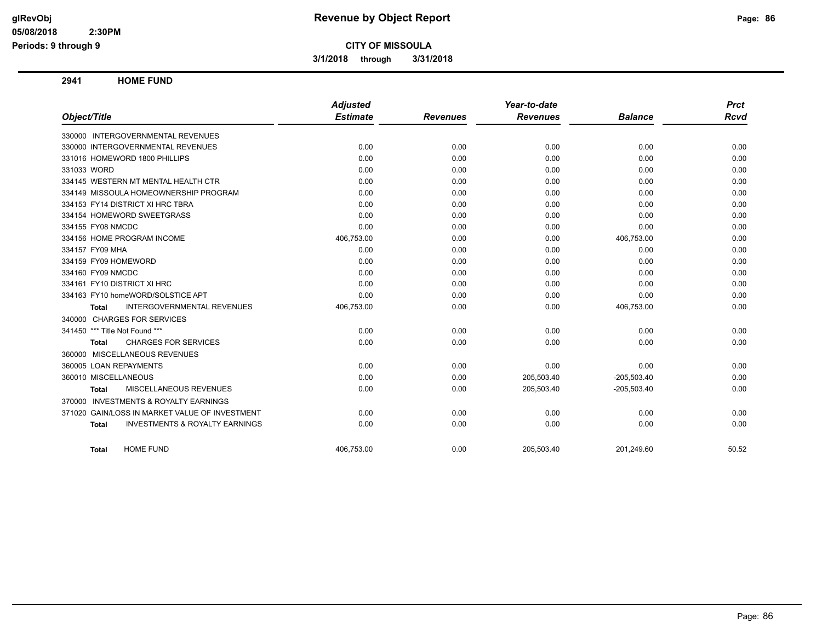**3/1/2018 through 3/31/2018**

**2941 HOME FUND**

|                                                           | <b>Adjusted</b> |                 | Year-to-date    |                | <b>Prct</b> |
|-----------------------------------------------------------|-----------------|-----------------|-----------------|----------------|-------------|
| Object/Title                                              | <b>Estimate</b> | <b>Revenues</b> | <b>Revenues</b> | <b>Balance</b> | <b>Rcvd</b> |
| 330000 INTERGOVERNMENTAL REVENUES                         |                 |                 |                 |                |             |
| 330000 INTERGOVERNMENTAL REVENUES                         | 0.00            | 0.00            | 0.00            | 0.00           | 0.00        |
| 331016 HOMEWORD 1800 PHILLIPS                             | 0.00            | 0.00            | 0.00            | 0.00           | 0.00        |
| 331033 WORD                                               | 0.00            | 0.00            | 0.00            | 0.00           | 0.00        |
| 334145 WESTERN MT MENTAL HEALTH CTR                       | 0.00            | 0.00            | 0.00            | 0.00           | 0.00        |
| 334149 MISSOULA HOMEOWNERSHIP PROGRAM                     | 0.00            | 0.00            | 0.00            | 0.00           | 0.00        |
| 334153 FY14 DISTRICT XI HRC TBRA                          | 0.00            | 0.00            | 0.00            | 0.00           | 0.00        |
| 334154 HOMEWORD SWEETGRASS                                | 0.00            | 0.00            | 0.00            | 0.00           | 0.00        |
| 334155 FY08 NMCDC                                         | 0.00            | 0.00            | 0.00            | 0.00           | 0.00        |
| 334156 HOME PROGRAM INCOME                                | 406,753.00      | 0.00            | 0.00            | 406,753.00     | 0.00        |
| 334157 FY09 MHA                                           | 0.00            | 0.00            | 0.00            | 0.00           | 0.00        |
| 334159 FY09 HOMEWORD                                      | 0.00            | 0.00            | 0.00            | 0.00           | 0.00        |
| 334160 FY09 NMCDC                                         | 0.00            | 0.00            | 0.00            | 0.00           | 0.00        |
| 334161 FY10 DISTRICT XI HRC                               | 0.00            | 0.00            | 0.00            | 0.00           | 0.00        |
| 334163 FY10 homeWORD/SOLSTICE APT                         | 0.00            | 0.00            | 0.00            | 0.00           | 0.00        |
| <b>INTERGOVERNMENTAL REVENUES</b><br><b>Total</b>         | 406,753.00      | 0.00            | 0.00            | 406,753.00     | 0.00        |
| 340000 CHARGES FOR SERVICES                               |                 |                 |                 |                |             |
| 341450 *** Title Not Found ***                            | 0.00            | 0.00            | 0.00            | 0.00           | 0.00        |
| <b>CHARGES FOR SERVICES</b><br><b>Total</b>               | 0.00            | 0.00            | 0.00            | 0.00           | 0.00        |
| 360000 MISCELLANEOUS REVENUES                             |                 |                 |                 |                |             |
| 360005 LOAN REPAYMENTS                                    | 0.00            | 0.00            | 0.00            | 0.00           | 0.00        |
| 360010 MISCELLANEOUS                                      | 0.00            | 0.00            | 205,503.40      | $-205,503.40$  | 0.00        |
| MISCELLANEOUS REVENUES<br><b>Total</b>                    | 0.00            | 0.00            | 205,503.40      | $-205,503.40$  | 0.00        |
| 370000 INVESTMENTS & ROYALTY EARNINGS                     |                 |                 |                 |                |             |
| 371020 GAIN/LOSS IN MARKET VALUE OF INVESTMENT            | 0.00            | 0.00            | 0.00            | 0.00           | 0.00        |
| <b>INVESTMENTS &amp; ROYALTY EARNINGS</b><br><b>Total</b> | 0.00            | 0.00            | 0.00            | 0.00           | 0.00        |
| <b>HOME FUND</b><br>Total                                 | 406,753.00      | 0.00            | 205,503.40      | 201,249.60     | 50.52       |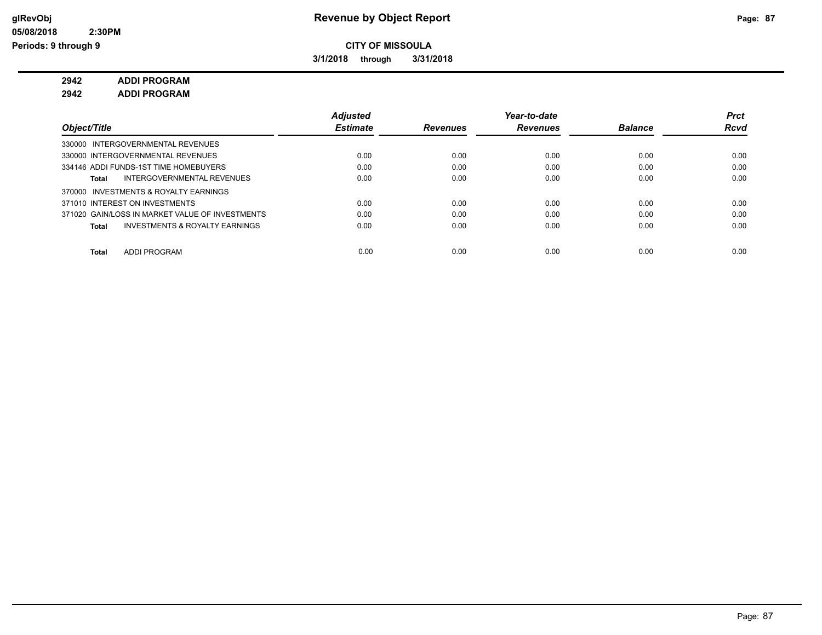**3/1/2018 through 3/31/2018**

# **2942 ADDI PROGRAM**

**2942 ADDI PROGRAM**

|                                                    | <b>Adjusted</b> |                 | Year-to-date    |                | Prct |
|----------------------------------------------------|-----------------|-----------------|-----------------|----------------|------|
| Object/Title                                       | <b>Estimate</b> | <b>Revenues</b> | <b>Revenues</b> | <b>Balance</b> | Rcvd |
| 330000 INTERGOVERNMENTAL REVENUES                  |                 |                 |                 |                |      |
| 330000 INTERGOVERNMENTAL REVENUES                  | 0.00            | 0.00            | 0.00            | 0.00           | 0.00 |
| 334146 ADDI FUNDS-1ST TIME HOMEBUYERS              | 0.00            | 0.00            | 0.00            | 0.00           | 0.00 |
| INTERGOVERNMENTAL REVENUES<br>Total                | 0.00            | 0.00            | 0.00            | 0.00           | 0.00 |
| 370000 INVESTMENTS & ROYALTY EARNINGS              |                 |                 |                 |                |      |
| 371010 INTEREST ON INVESTMENTS                     | 0.00            | 0.00            | 0.00            | 0.00           | 0.00 |
| 371020 GAIN/LOSS IN MARKET VALUE OF INVESTMENTS    | 0.00            | 0.00            | 0.00            | 0.00           | 0.00 |
| <b>INVESTMENTS &amp; ROYALTY EARNINGS</b><br>Total | 0.00            | 0.00            | 0.00            | 0.00           | 0.00 |
| ADDI PROGRAM<br><b>Total</b>                       | 0.00            | 0.00            | 0.00            | 0.00           | 0.00 |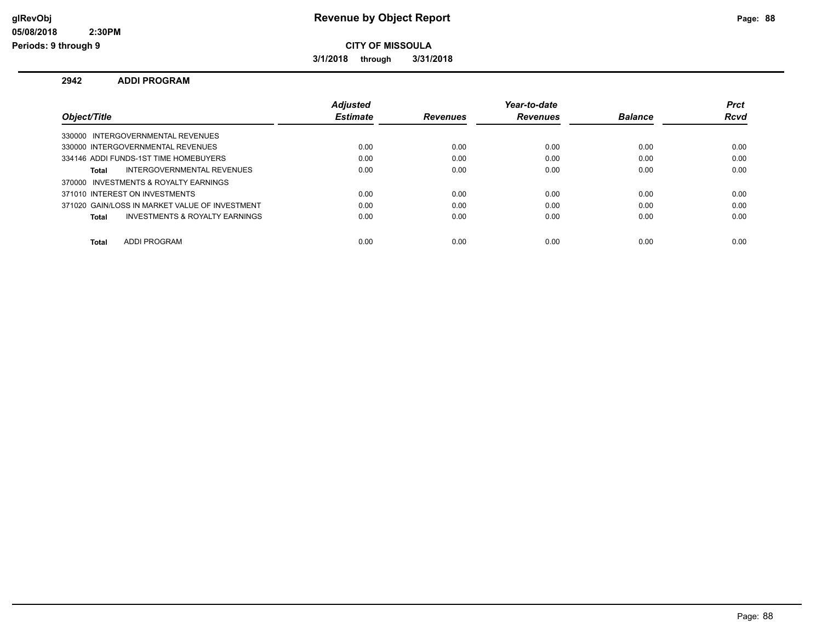**3/1/2018 through 3/31/2018**

#### **2942 ADDI PROGRAM**

|                                                | <b>Adiusted</b> |                 | Year-to-date    |                | <b>Prct</b> |
|------------------------------------------------|-----------------|-----------------|-----------------|----------------|-------------|
| Object/Title                                   | <b>Estimate</b> | <b>Revenues</b> | <b>Revenues</b> | <b>Balance</b> | <b>Rcvd</b> |
| 330000 INTERGOVERNMENTAL REVENUES              |                 |                 |                 |                |             |
| 330000 INTERGOVERNMENTAL REVENUES              | 0.00            | 0.00            | 0.00            | 0.00           | 0.00        |
| 334146 ADDI FUNDS-1ST TIME HOMEBUYERS          | 0.00            | 0.00            | 0.00            | 0.00           | 0.00        |
| INTERGOVERNMENTAL REVENUES<br><b>Total</b>     | 0.00            | 0.00            | 0.00            | 0.00           | 0.00        |
| 370000 INVESTMENTS & ROYALTY EARNINGS          |                 |                 |                 |                |             |
| 371010 INTEREST ON INVESTMENTS                 | 0.00            | 0.00            | 0.00            | 0.00           | 0.00        |
| 371020 GAIN/LOSS IN MARKET VALUE OF INVESTMENT | 0.00            | 0.00            | 0.00            | 0.00           | 0.00        |
| <b>Total</b><br>INVESTMENTS & ROYALTY EARNINGS | 0.00            | 0.00            | 0.00            | 0.00           | 0.00        |
|                                                |                 |                 |                 |                |             |
| <b>ADDI PROGRAM</b><br><b>Total</b>            | 0.00            | 0.00            | 0.00            | 0.00           | 0.00        |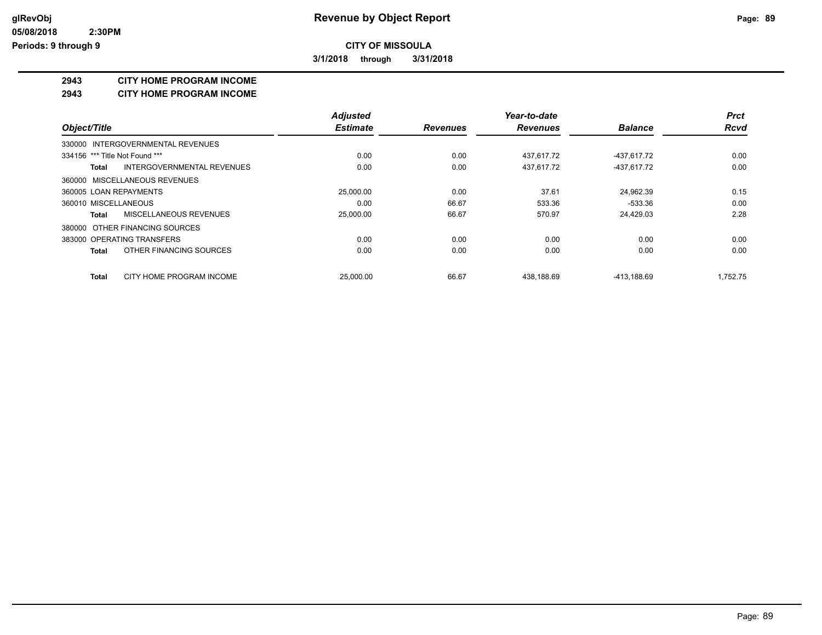**3/1/2018 through 3/31/2018**

#### **2943 CITY HOME PROGRAM INCOME**

#### **2943 CITY HOME PROGRAM INCOME**

|                                     | <b>Adjusted</b> |                 | Year-to-date    |                | <b>Prct</b> |
|-------------------------------------|-----------------|-----------------|-----------------|----------------|-------------|
| Object/Title                        | <b>Estimate</b> | <b>Revenues</b> | <b>Revenues</b> | <b>Balance</b> | <b>Rcvd</b> |
| 330000 INTERGOVERNMENTAL REVENUES   |                 |                 |                 |                |             |
| 334156 *** Title Not Found ***      | 0.00            | 0.00            | 437.617.72      | -437.617.72    | 0.00        |
| INTERGOVERNMENTAL REVENUES<br>Total | 0.00            | 0.00            | 437.617.72      | -437.617.72    | 0.00        |
| 360000 MISCELLANEOUS REVENUES       |                 |                 |                 |                |             |
| 360005 LOAN REPAYMENTS              | 25,000.00       | 0.00            | 37.61           | 24,962.39      | 0.15        |
| 360010 MISCELLANEOUS                | 0.00            | 66.67           | 533.36          | -533.36        | 0.00        |
| MISCELLANEOUS REVENUES<br>Total     | 25,000.00       | 66.67           | 570.97          | 24,429.03      | 2.28        |
| 380000 OTHER FINANCING SOURCES      |                 |                 |                 |                |             |
| 383000 OPERATING TRANSFERS          | 0.00            | 0.00            | 0.00            | 0.00           | 0.00        |
| OTHER FINANCING SOURCES<br>Total    | 0.00            | 0.00            | 0.00            | 0.00           | 0.00        |
| CITY HOME PROGRAM INCOME<br>Total   | 25.000.00       | 66.67           | 438.188.69      | -413.188.69    | 1.752.75    |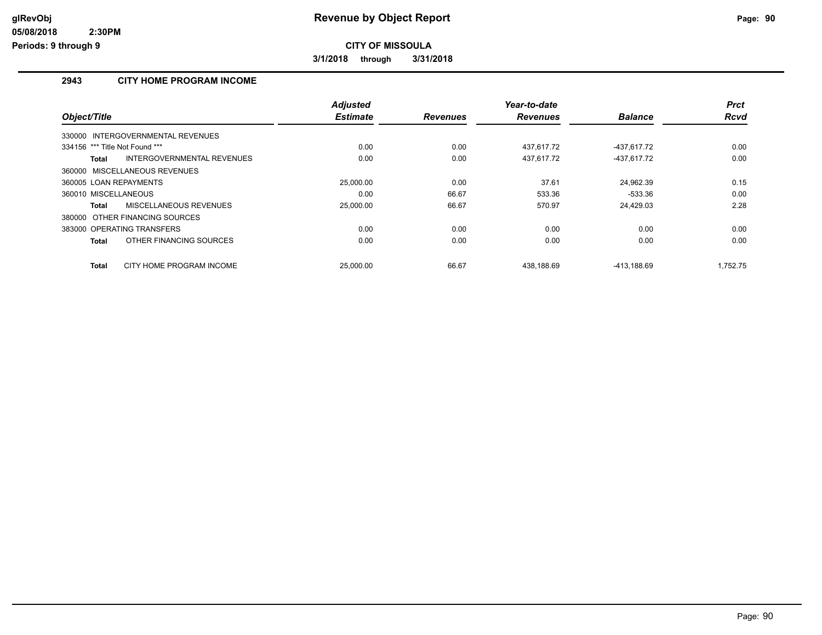**3/1/2018 through 3/31/2018**

#### **2943 CITY HOME PROGRAM INCOME**

|                                            | <b>Adjusted</b> |                 | Year-to-date    |                | <b>Prct</b> |
|--------------------------------------------|-----------------|-----------------|-----------------|----------------|-------------|
| Object/Title                               | <b>Estimate</b> | <b>Revenues</b> | <b>Revenues</b> | <b>Balance</b> | <b>Rcvd</b> |
| 330000 INTERGOVERNMENTAL REVENUES          |                 |                 |                 |                |             |
| 334156 *** Title Not Found ***             | 0.00            | 0.00            | 437,617.72      | -437,617.72    | 0.00        |
| INTERGOVERNMENTAL REVENUES<br><b>Total</b> | 0.00            | 0.00            | 437.617.72      | -437.617.72    | 0.00        |
| 360000 MISCELLANEOUS REVENUES              |                 |                 |                 |                |             |
| 360005 LOAN REPAYMENTS                     | 25,000.00       | 0.00            | 37.61           | 24,962.39      | 0.15        |
| 360010 MISCELLANEOUS                       | 0.00            | 66.67           | 533.36          | $-533.36$      | 0.00        |
| MISCELLANEOUS REVENUES<br><b>Total</b>     | 25,000.00       | 66.67           | 570.97          | 24.429.03      | 2.28        |
| 380000 OTHER FINANCING SOURCES             |                 |                 |                 |                |             |
| 383000 OPERATING TRANSFERS                 | 0.00            | 0.00            | 0.00            | 0.00           | 0.00        |
| OTHER FINANCING SOURCES<br><b>Total</b>    | 0.00            | 0.00            | 0.00            | 0.00           | 0.00        |
| CITY HOME PROGRAM INCOME<br><b>Total</b>   | 25.000.00       | 66.67           | 438.188.69      | -413.188.69    | 1.752.75    |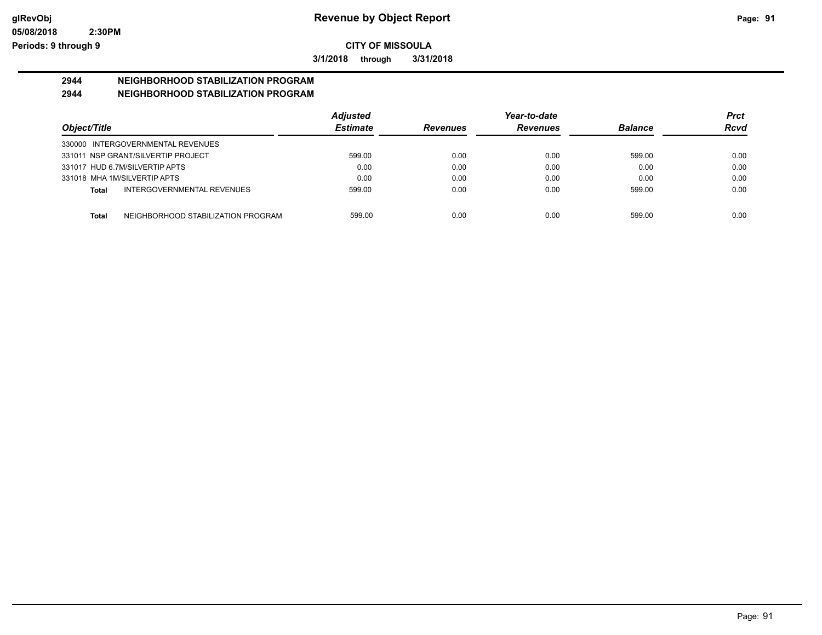**3/1/2018 through 3/31/2018**

# **2944 NEIGHBORHOOD STABILIZATION PROGRAM**

# **2944 NEIGHBORHOOD STABILIZATION PROGRAM**

|                                                    | <b>Adjusted</b> |                 | Year-to-date    |                | Prct |
|----------------------------------------------------|-----------------|-----------------|-----------------|----------------|------|
| Object/Title                                       | <b>Estimate</b> | <b>Revenues</b> | <b>Revenues</b> | <b>Balance</b> | Rcvd |
| 330000 INTERGOVERNMENTAL REVENUES                  |                 |                 |                 |                |      |
| 331011 NSP GRANT/SILVERTIP PROJECT                 | 599.00          | 0.00            | 0.00            | 599.00         | 0.00 |
| 331017 HUD 6.7M/SILVERTIP APTS                     | 0.00            | 0.00            | 0.00            | 0.00           | 0.00 |
| 331018 MHA 1M/SILVERTIP APTS                       | 0.00            | 0.00            | 0.00            | 0.00           | 0.00 |
| INTERGOVERNMENTAL REVENUES<br>Total                | 599.00          | 0.00            | 0.00            | 599.00         | 0.00 |
| NEIGHBORHOOD STABILIZATION PROGRAM<br><b>Total</b> | 599.00          | 0.00            | 0.00            | 599.00         | 0.00 |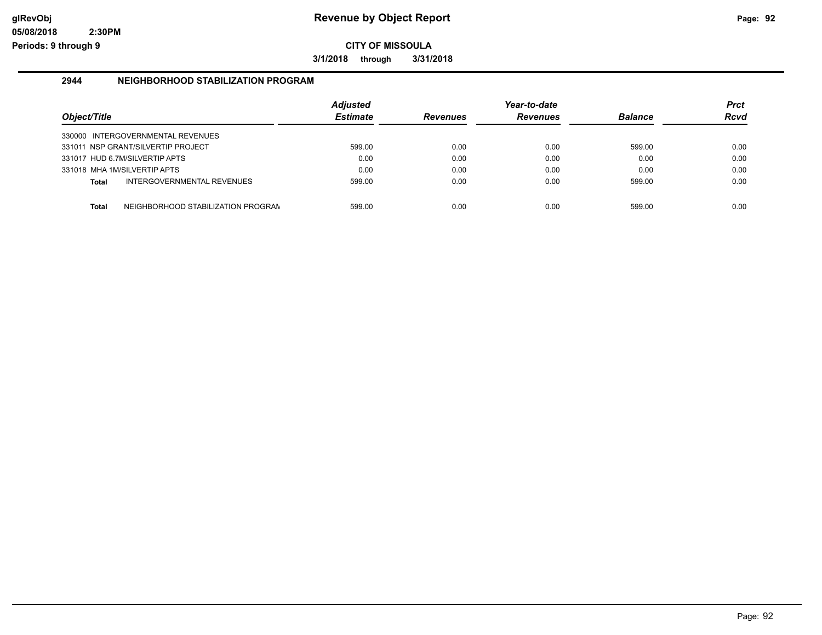**3/1/2018 through 3/31/2018**

#### **2944 NEIGHBORHOOD STABILIZATION PROGRAM**

| Object/Title |                                    | <b>Adjusted</b><br><b>Estimate</b> | <b>Revenues</b> | Year-to-date<br><b>Revenues</b> | <b>Balance</b> | <b>Prct</b><br><b>Rcvd</b> |
|--------------|------------------------------------|------------------------------------|-----------------|---------------------------------|----------------|----------------------------|
|              | 330000 INTERGOVERNMENTAL REVENUES  |                                    |                 |                                 |                |                            |
|              | 331011 NSP GRANT/SILVERTIP PROJECT | 599.00                             | 0.00            | 0.00                            | 599.00         | 0.00                       |
|              | 331017 HUD 6.7M/SILVERTIP APTS     | 0.00                               | 0.00            | 0.00                            | 0.00           | 0.00                       |
|              | 331018 MHA 1M/SILVERTIP APTS       | 0.00                               | 0.00            | 0.00                            | 0.00           | 0.00                       |
| Total        | INTERGOVERNMENTAL REVENUES         | 599.00                             | 0.00            | 0.00                            | 599.00         | 0.00                       |
| Total        | NEIGHBORHOOD STABILIZATION PROGRAM | 599.00                             | 0.00            | 0.00                            | 599.00         | 0.00                       |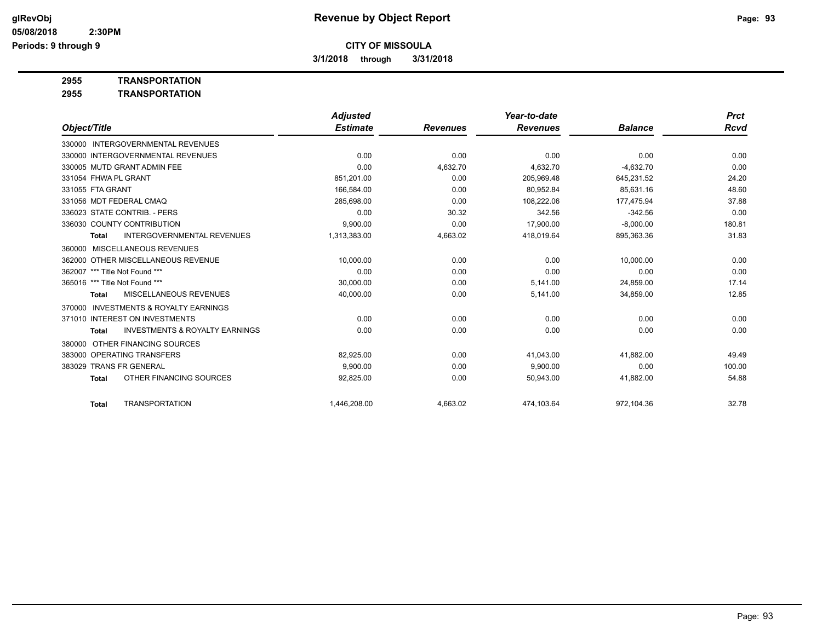**3/1/2018 through 3/31/2018**

**2955 TRANSPORTATION**

**2955 TRANSPORTATION**

|                                                           | <b>Adjusted</b> |                 | Year-to-date    |                | <b>Prct</b> |
|-----------------------------------------------------------|-----------------|-----------------|-----------------|----------------|-------------|
| Object/Title                                              | <b>Estimate</b> | <b>Revenues</b> | <b>Revenues</b> | <b>Balance</b> | Rcvd        |
| 330000 INTERGOVERNMENTAL REVENUES                         |                 |                 |                 |                |             |
| 330000 INTERGOVERNMENTAL REVENUES                         | 0.00            | 0.00            | 0.00            | 0.00           | 0.00        |
| 330005 MUTD GRANT ADMIN FEE                               | 0.00            | 4,632.70        | 4.632.70        | $-4,632.70$    | 0.00        |
| 331054 FHWA PL GRANT                                      | 851,201.00      | 0.00            | 205,969.48      | 645,231.52     | 24.20       |
| 331055 FTA GRANT                                          | 166,584.00      | 0.00            | 80,952.84       | 85,631.16      | 48.60       |
| 331056 MDT FEDERAL CMAQ                                   | 285.698.00      | 0.00            | 108,222.06      | 177,475.94     | 37.88       |
| 336023 STATE CONTRIB. - PERS                              | 0.00            | 30.32           | 342.56          | $-342.56$      | 0.00        |
| 336030 COUNTY CONTRIBUTION                                | 9,900.00        | 0.00            | 17,900.00       | $-8,000.00$    | 180.81      |
| <b>INTERGOVERNMENTAL REVENUES</b><br><b>Total</b>         | 1,313,383.00    | 4,663.02        | 418,019.64      | 895,363.36     | 31.83       |
| MISCELLANEOUS REVENUES<br>360000                          |                 |                 |                 |                |             |
| 362000 OTHER MISCELLANEOUS REVENUE                        | 10,000.00       | 0.00            | 0.00            | 10,000.00      | 0.00        |
| 362007 *** Title Not Found ***                            | 0.00            | 0.00            | 0.00            | 0.00           | 0.00        |
| 365016 *** Title Not Found ***                            | 30,000.00       | 0.00            | 5,141.00        | 24,859.00      | 17.14       |
| <b>MISCELLANEOUS REVENUES</b><br><b>Total</b>             | 40,000.00       | 0.00            | 5,141.00        | 34,859.00      | 12.85       |
| <b>INVESTMENTS &amp; ROYALTY EARNINGS</b><br>370000       |                 |                 |                 |                |             |
| 371010 INTEREST ON INVESTMENTS                            | 0.00            | 0.00            | 0.00            | 0.00           | 0.00        |
| <b>INVESTMENTS &amp; ROYALTY EARNINGS</b><br><b>Total</b> | 0.00            | 0.00            | 0.00            | 0.00           | 0.00        |
| OTHER FINANCING SOURCES<br>380000                         |                 |                 |                 |                |             |
| 383000 OPERATING TRANSFERS                                | 82,925.00       | 0.00            | 41,043.00       | 41,882.00      | 49.49       |
| <b>TRANS FR GENERAL</b><br>383029                         | 9.900.00        | 0.00            | 9,900.00        | 0.00           | 100.00      |
| OTHER FINANCING SOURCES<br><b>Total</b>                   | 92,825.00       | 0.00            | 50,943.00       | 41,882.00      | 54.88       |
| <b>TRANSPORTATION</b><br><b>Total</b>                     | 1.446.208.00    | 4.663.02        | 474.103.64      | 972.104.36     | 32.78       |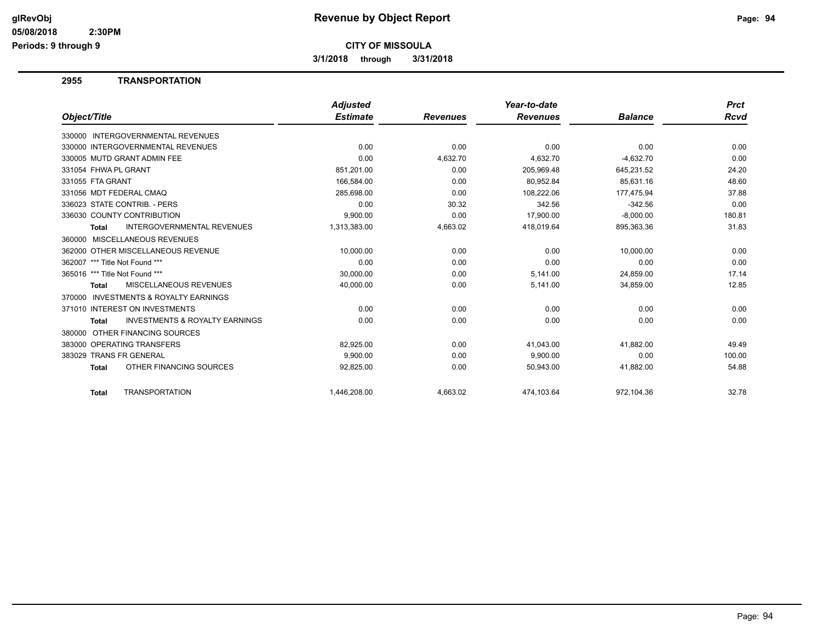**3/1/2018 through 3/31/2018**

#### **2955 TRANSPORTATION**

|                                                           | <b>Adjusted</b> |                 | Year-to-date    |                | <b>Prct</b> |
|-----------------------------------------------------------|-----------------|-----------------|-----------------|----------------|-------------|
| Object/Title                                              | <b>Estimate</b> | <b>Revenues</b> | <b>Revenues</b> | <b>Balance</b> | Rcvd        |
| 330000 INTERGOVERNMENTAL REVENUES                         |                 |                 |                 |                |             |
| 330000 INTERGOVERNMENTAL REVENUES                         | 0.00            | 0.00            | 0.00            | 0.00           | 0.00        |
| 330005 MUTD GRANT ADMIN FEE                               | 0.00            | 4,632.70        | 4,632.70        | $-4,632.70$    | 0.00        |
| 331054 FHWA PL GRANT                                      | 851,201.00      | 0.00            | 205,969.48      | 645,231.52     | 24.20       |
| 331055 FTA GRANT                                          | 166,584.00      | 0.00            | 80,952.84       | 85,631.16      | 48.60       |
| 331056 MDT FEDERAL CMAQ                                   | 285,698.00      | 0.00            | 108,222.06      | 177,475.94     | 37.88       |
| 336023 STATE CONTRIB. - PERS                              | 0.00            | 30.32           | 342.56          | $-342.56$      | 0.00        |
| 336030 COUNTY CONTRIBUTION                                | 9,900.00        | 0.00            | 17,900.00       | $-8,000.00$    | 180.81      |
| <b>INTERGOVERNMENTAL REVENUES</b><br><b>Total</b>         | 1,313,383.00    | 4,663.02        | 418,019.64      | 895,363.36     | 31.83       |
| 360000 MISCELLANEOUS REVENUES                             |                 |                 |                 |                |             |
| 362000 OTHER MISCELLANEOUS REVENUE                        | 10,000.00       | 0.00            | 0.00            | 10,000.00      | 0.00        |
| 362007 *** Title Not Found ***                            | 0.00            | 0.00            | 0.00            | 0.00           | 0.00        |
| 365016 *** Title Not Found ***                            | 30,000.00       | 0.00            | 5,141.00        | 24,859.00      | 17.14       |
| MISCELLANEOUS REVENUES<br><b>Total</b>                    | 40,000.00       | 0.00            | 5,141.00        | 34,859.00      | 12.85       |
| 370000 INVESTMENTS & ROYALTY EARNINGS                     |                 |                 |                 |                |             |
| 371010 INTEREST ON INVESTMENTS                            | 0.00            | 0.00            | 0.00            | 0.00           | 0.00        |
| <b>INVESTMENTS &amp; ROYALTY EARNINGS</b><br><b>Total</b> | 0.00            | 0.00            | 0.00            | 0.00           | 0.00        |
| 380000 OTHER FINANCING SOURCES                            |                 |                 |                 |                |             |
| 383000 OPERATING TRANSFERS                                | 82,925.00       | 0.00            | 41,043.00       | 41,882.00      | 49.49       |
| 383029 TRANS FR GENERAL                                   | 9,900.00        | 0.00            | 9,900.00        | 0.00           | 100.00      |
| OTHER FINANCING SOURCES<br><b>Total</b>                   | 92,825.00       | 0.00            | 50,943.00       | 41,882.00      | 54.88       |
| <b>TRANSPORTATION</b><br><b>Total</b>                     | 1.446.208.00    | 4.663.02        | 474.103.64      | 972.104.36     | 32.78       |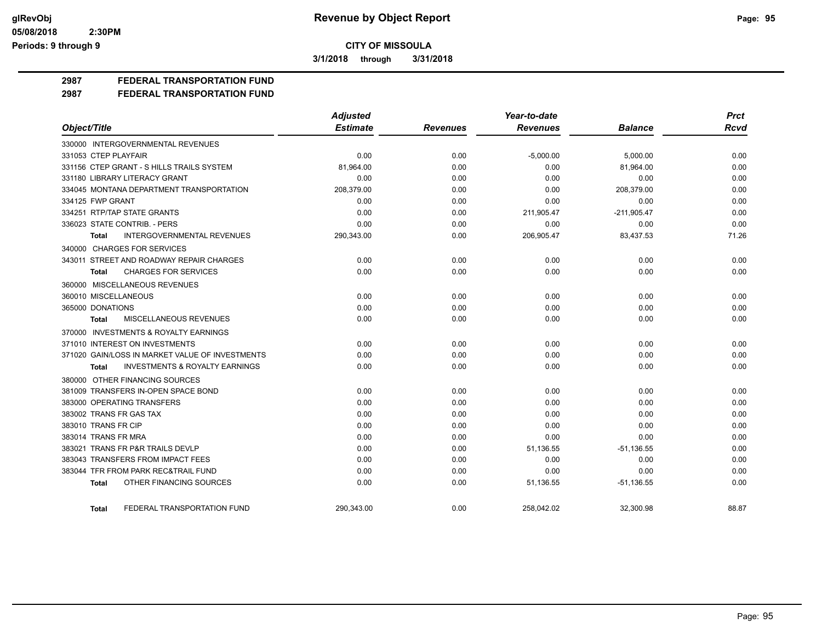**3/1/2018 through 3/31/2018**

**2987 FEDERAL TRANSPORTATION FUND**

**2987 FEDERAL TRANSPORTATION FUND**

|                                                    | <b>Adjusted</b> |                 | Year-to-date    |                | <b>Prct</b> |
|----------------------------------------------------|-----------------|-----------------|-----------------|----------------|-------------|
| Object/Title                                       | <b>Estimate</b> | <b>Revenues</b> | <b>Revenues</b> | <b>Balance</b> | <b>Rcvd</b> |
| 330000 INTERGOVERNMENTAL REVENUES                  |                 |                 |                 |                |             |
| 331053 CTEP PLAYFAIR                               | 0.00            | 0.00            | $-5,000.00$     | 5,000.00       | 0.00        |
| 331156 CTEP GRANT - S HILLS TRAILS SYSTEM          | 81,964.00       | 0.00            | 0.00            | 81,964.00      | 0.00        |
| 331180 LIBRARY LITERACY GRANT                      | 0.00            | 0.00            | 0.00            | 0.00           | 0.00        |
| 334045 MONTANA DEPARTMENT TRANSPORTATION           | 208,379.00      | 0.00            | 0.00            | 208,379.00     | 0.00        |
| 334125 FWP GRANT                                   | 0.00            | 0.00            | 0.00            | 0.00           | 0.00        |
| 334251 RTP/TAP STATE GRANTS                        | 0.00            | 0.00            | 211,905.47      | $-211,905.47$  | 0.00        |
| 336023 STATE CONTRIB. - PERS                       | 0.00            | 0.00            | 0.00            | 0.00           | 0.00        |
| <b>INTERGOVERNMENTAL REVENUES</b><br><b>Total</b>  | 290,343.00      | 0.00            | 206,905.47      | 83,437.53      | 71.26       |
| 340000 CHARGES FOR SERVICES                        |                 |                 |                 |                |             |
| 343011 STREET AND ROADWAY REPAIR CHARGES           | 0.00            | 0.00            | 0.00            | 0.00           | 0.00        |
| <b>CHARGES FOR SERVICES</b><br><b>Total</b>        | 0.00            | 0.00            | 0.00            | 0.00           | 0.00        |
| 360000 MISCELLANEOUS REVENUES                      |                 |                 |                 |                |             |
| 360010 MISCELLANEOUS                               | 0.00            | 0.00            | 0.00            | 0.00           | 0.00        |
| 365000 DONATIONS                                   | 0.00            | 0.00            | 0.00            | 0.00           | 0.00        |
| MISCELLANEOUS REVENUES<br><b>Total</b>             | 0.00            | 0.00            | 0.00            | 0.00           | 0.00        |
| 370000 INVESTMENTS & ROYALTY EARNINGS              |                 |                 |                 |                |             |
| 371010 INTEREST ON INVESTMENTS                     | 0.00            | 0.00            | 0.00            | 0.00           | 0.00        |
| 371020 GAIN/LOSS IN MARKET VALUE OF INVESTMENTS    | 0.00            | 0.00            | 0.00            | 0.00           | 0.00        |
| <b>INVESTMENTS &amp; ROYALTY EARNINGS</b><br>Total | 0.00            | 0.00            | 0.00            | 0.00           | 0.00        |
| 380000 OTHER FINANCING SOURCES                     |                 |                 |                 |                |             |
| 381009 TRANSFERS IN-OPEN SPACE BOND                | 0.00            | 0.00            | 0.00            | 0.00           | 0.00        |
| 383000 OPERATING TRANSFERS                         | 0.00            | 0.00            | 0.00            | 0.00           | 0.00        |
| 383002 TRANS FR GAS TAX                            | 0.00            | 0.00            | 0.00            | 0.00           | 0.00        |
| 383010 TRANS FR CIP                                | 0.00            | 0.00            | 0.00            | 0.00           | 0.00        |
| 383014 TRANS FR MRA                                | 0.00            | 0.00            | 0.00            | 0.00           | 0.00        |
| 383021 TRANS FR P&R TRAILS DEVLP                   | 0.00            | 0.00            | 51,136.55       | $-51,136.55$   | 0.00        |
| 383043 TRANSFERS FROM IMPACT FEES                  | 0.00            | 0.00            | 0.00            | 0.00           | 0.00        |
| 383044 TFR FROM PARK REC&TRAIL FUND                | 0.00            | 0.00            | 0.00            | 0.00           | 0.00        |
| OTHER FINANCING SOURCES<br>Total                   | 0.00            | 0.00            | 51,136.55       | $-51, 136.55$  | 0.00        |
| FEDERAL TRANSPORTATION FUND<br><b>Total</b>        | 290.343.00      | 0.00            | 258.042.02      | 32.300.98      | 88.87       |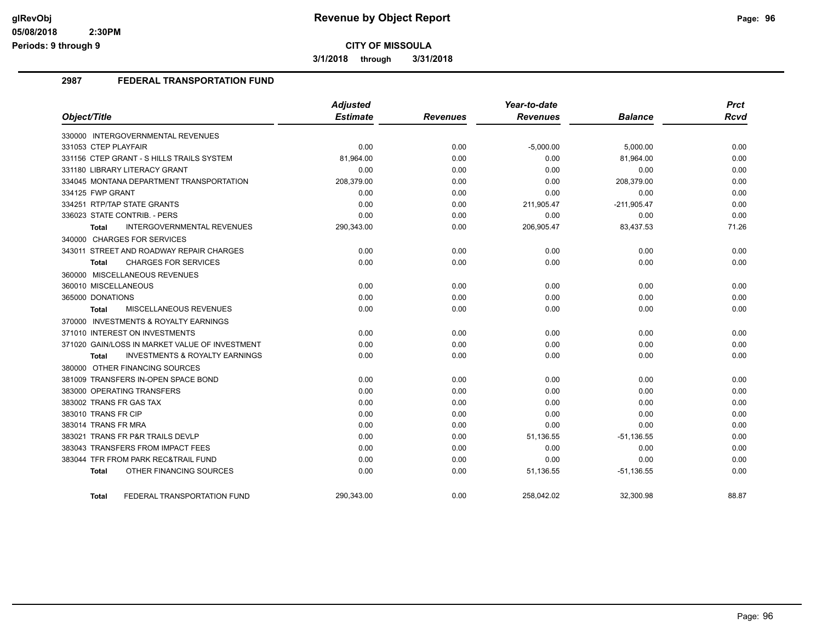**3/1/2018 through 3/31/2018**

#### **2987 FEDERAL TRANSPORTATION FUND**

|                                                   | <b>Adjusted</b> |                 | Year-to-date    |                | <b>Prct</b> |
|---------------------------------------------------|-----------------|-----------------|-----------------|----------------|-------------|
| Object/Title                                      | <b>Estimate</b> | <b>Revenues</b> | <b>Revenues</b> | <b>Balance</b> | <b>Rcvd</b> |
| 330000 INTERGOVERNMENTAL REVENUES                 |                 |                 |                 |                |             |
| 331053 CTEP PLAYFAIR                              | 0.00            | 0.00            | $-5,000.00$     | 5,000.00       | 0.00        |
| 331156 CTEP GRANT - S HILLS TRAILS SYSTEM         | 81.964.00       | 0.00            | 0.00            | 81,964.00      | 0.00        |
| 331180 LIBRARY LITERACY GRANT                     | 0.00            | 0.00            | 0.00            | 0.00           | 0.00        |
| 334045 MONTANA DEPARTMENT TRANSPORTATION          | 208,379.00      | 0.00            | 0.00            | 208,379.00     | 0.00        |
| 334125 FWP GRANT                                  | 0.00            | 0.00            | 0.00            | 0.00           | 0.00        |
| 334251 RTP/TAP STATE GRANTS                       | 0.00            | 0.00            | 211,905.47      | $-211,905.47$  | 0.00        |
| 336023 STATE CONTRIB. - PERS                      | 0.00            | 0.00            | 0.00            | 0.00           | 0.00        |
| <b>INTERGOVERNMENTAL REVENUES</b><br><b>Total</b> | 290,343.00      | 0.00            | 206,905.47      | 83,437.53      | 71.26       |
| 340000 CHARGES FOR SERVICES                       |                 |                 |                 |                |             |
| 343011 STREET AND ROADWAY REPAIR CHARGES          | 0.00            | 0.00            | 0.00            | 0.00           | 0.00        |
| <b>CHARGES FOR SERVICES</b><br><b>Total</b>       | 0.00            | 0.00            | 0.00            | 0.00           | 0.00        |
| 360000 MISCELLANEOUS REVENUES                     |                 |                 |                 |                |             |
| 360010 MISCELLANEOUS                              | 0.00            | 0.00            | 0.00            | 0.00           | 0.00        |
| 365000 DONATIONS                                  | 0.00            | 0.00            | 0.00            | 0.00           | 0.00        |
| MISCELLANEOUS REVENUES<br>Total                   | 0.00            | 0.00            | 0.00            | 0.00           | 0.00        |
| 370000 INVESTMENTS & ROYALTY EARNINGS             |                 |                 |                 |                |             |
| 371010 INTEREST ON INVESTMENTS                    | 0.00            | 0.00            | 0.00            | 0.00           | 0.00        |
| 371020 GAIN/LOSS IN MARKET VALUE OF INVESTMENT    | 0.00            | 0.00            | 0.00            | 0.00           | 0.00        |
| INVESTMENTS & ROYALTY EARNINGS<br><b>Total</b>    | 0.00            | 0.00            | 0.00            | 0.00           | 0.00        |
| 380000 OTHER FINANCING SOURCES                    |                 |                 |                 |                |             |
| 381009 TRANSFERS IN-OPEN SPACE BOND               | 0.00            | 0.00            | 0.00            | 0.00           | 0.00        |
| 383000 OPERATING TRANSFERS                        | 0.00            | 0.00            | 0.00            | 0.00           | 0.00        |
| 383002 TRANS FR GAS TAX                           | 0.00            | 0.00            | 0.00            | 0.00           | 0.00        |
| 383010 TRANS FR CIP                               | 0.00            | 0.00            | 0.00            | 0.00           | 0.00        |
| 383014 TRANS FR MRA                               | 0.00            | 0.00            | 0.00            | 0.00           | 0.00        |
| 383021 TRANS FR P&R TRAILS DEVLP                  | 0.00            | 0.00            | 51,136.55       | $-51,136.55$   | 0.00        |
| 383043 TRANSFERS FROM IMPACT FEES                 | 0.00            | 0.00            | 0.00            | 0.00           | 0.00        |
| 383044 TFR FROM PARK REC&TRAIL FUND               | 0.00            | 0.00            | 0.00            | 0.00           | 0.00        |
| OTHER FINANCING SOURCES<br><b>Total</b>           | 0.00            | 0.00            | 51,136.55       | $-51,136.55$   | 0.00        |
| FEDERAL TRANSPORTATION FUND<br><b>Total</b>       | 290,343.00      | 0.00            | 258,042.02      | 32,300.98      | 88.87       |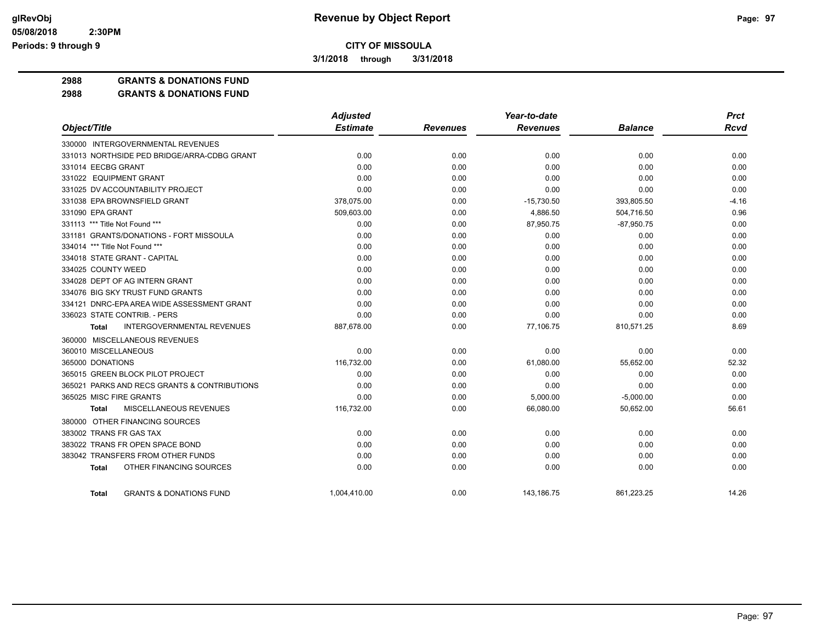**3/1/2018 through 3/31/2018**

**2988 GRANTS & DONATIONS FUND**

**2988 GRANTS & DONATIONS FUND**

|                                               | <b>Adjusted</b> |                 | Year-to-date    |                | <b>Prct</b> |
|-----------------------------------------------|-----------------|-----------------|-----------------|----------------|-------------|
| Object/Title                                  | <b>Estimate</b> | <b>Revenues</b> | <b>Revenues</b> | <b>Balance</b> | Rcvd        |
| 330000 INTERGOVERNMENTAL REVENUES             |                 |                 |                 |                |             |
| 331013 NORTHSIDE PED BRIDGE/ARRA-CDBG GRANT   | 0.00            | 0.00            | 0.00            | 0.00           | 0.00        |
| 331014 EECBG GRANT                            | 0.00            | 0.00            | 0.00            | 0.00           | 0.00        |
| 331022 EQUIPMENT GRANT                        | 0.00            | 0.00            | 0.00            | 0.00           | 0.00        |
| 331025 DV ACCOUNTABILITY PROJECT              | 0.00            | 0.00            | 0.00            | 0.00           | 0.00        |
| 331038 EPA BROWNSFIELD GRANT                  | 378,075.00      | 0.00            | $-15,730.50$    | 393,805.50     | $-4.16$     |
| 331090 EPA GRANT                              | 509,603.00      | 0.00            | 4,886.50        | 504,716.50     | 0.96        |
| 331113 *** Title Not Found ***                | 0.00            | 0.00            | 87,950.75       | $-87,950.75$   | 0.00        |
| 331181 GRANTS/DONATIONS - FORT MISSOULA       | 0.00            | 0.00            | 0.00            | 0.00           | 0.00        |
| 334014 *** Title Not Found ***                | 0.00            | 0.00            | 0.00            | 0.00           | 0.00        |
| 334018 STATE GRANT - CAPITAL                  | 0.00            | 0.00            | 0.00            | 0.00           | 0.00        |
| 334025 COUNTY WEED                            | 0.00            | 0.00            | 0.00            | 0.00           | 0.00        |
| 334028 DEPT OF AG INTERN GRANT                | 0.00            | 0.00            | 0.00            | 0.00           | 0.00        |
| 334076 BIG SKY TRUST FUND GRANTS              | 0.00            | 0.00            | 0.00            | 0.00           | 0.00        |
| 334121 DNRC-EPA AREA WIDE ASSESSMENT GRANT    | 0.00            | 0.00            | 0.00            | 0.00           | 0.00        |
| 336023 STATE CONTRIB. - PERS                  | 0.00            | 0.00            | 0.00            | 0.00           | 0.00        |
| INTERGOVERNMENTAL REVENUES<br>Total           | 887,678.00      | 0.00            | 77,106.75       | 810,571.25     | 8.69        |
| 360000 MISCELLANEOUS REVENUES                 |                 |                 |                 |                |             |
| 360010 MISCELLANEOUS                          | 0.00            | 0.00            | 0.00            | 0.00           | 0.00        |
| 365000 DONATIONS                              | 116,732.00      | 0.00            | 61,080.00       | 55,652.00      | 52.32       |
| 365015 GREEN BLOCK PILOT PROJECT              | 0.00            | 0.00            | 0.00            | 0.00           | 0.00        |
| 365021 PARKS AND RECS GRANTS & CONTRIBUTIONS  | 0.00            | 0.00            | 0.00            | 0.00           | 0.00        |
| 365025 MISC FIRE GRANTS                       | 0.00            | 0.00            | 5,000.00        | $-5,000.00$    | 0.00        |
| <b>MISCELLANEOUS REVENUES</b><br><b>Total</b> | 116,732.00      | 0.00            | 66,080.00       | 50,652.00      | 56.61       |
| OTHER FINANCING SOURCES<br>380000             |                 |                 |                 |                |             |
| 383002 TRANS FR GAS TAX                       | 0.00            | 0.00            | 0.00            | 0.00           | 0.00        |
| 383022 TRANS FR OPEN SPACE BOND               | 0.00            | 0.00            | 0.00            | 0.00           | 0.00        |
| 383042 TRANSFERS FROM OTHER FUNDS             | 0.00            | 0.00            | 0.00            | 0.00           | 0.00        |
| OTHER FINANCING SOURCES<br><b>Total</b>       | 0.00            | 0.00            | 0.00            | 0.00           | 0.00        |
| <b>GRANTS &amp; DONATIONS FUND</b><br>Total   | 1,004,410.00    | 0.00            | 143,186.75      | 861,223.25     | 14.26       |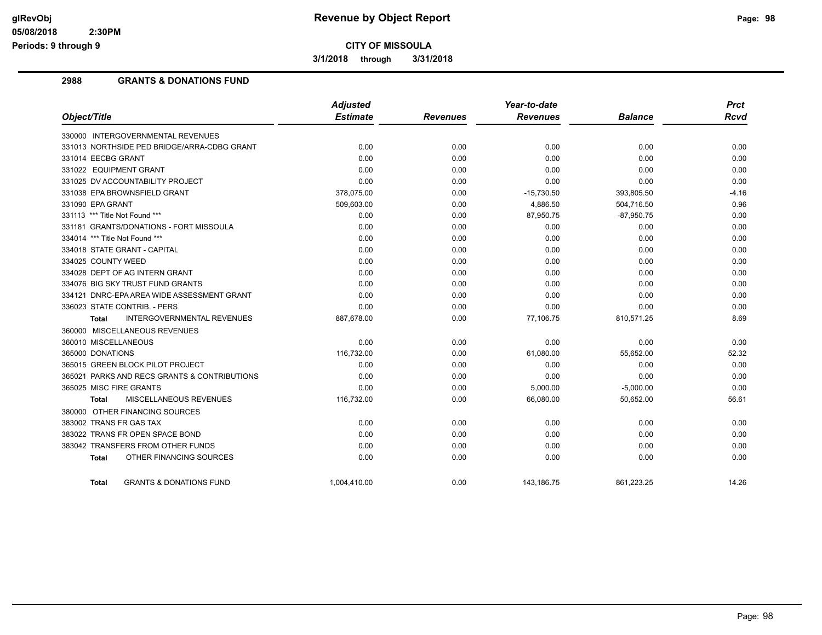**3/1/2018 through 3/31/2018**

#### **2988 GRANTS & DONATIONS FUND**

|                                                    | <b>Adjusted</b> |                 | Year-to-date    |                | <b>Prct</b> |
|----------------------------------------------------|-----------------|-----------------|-----------------|----------------|-------------|
| Object/Title                                       | <b>Estimate</b> | <b>Revenues</b> | <b>Revenues</b> | <b>Balance</b> | Rcvd        |
| 330000 INTERGOVERNMENTAL REVENUES                  |                 |                 |                 |                |             |
| 331013 NORTHSIDE PED BRIDGE/ARRA-CDBG GRANT        | 0.00            | 0.00            | 0.00            | 0.00           | 0.00        |
| 331014 EECBG GRANT                                 | 0.00            | 0.00            | 0.00            | 0.00           | 0.00        |
| 331022 EQUIPMENT GRANT                             | 0.00            | 0.00            | 0.00            | 0.00           | 0.00        |
| 331025 DV ACCOUNTABILITY PROJECT                   | 0.00            | 0.00            | 0.00            | 0.00           | 0.00        |
| 331038 EPA BROWNSFIELD GRANT                       | 378,075.00      | 0.00            | $-15,730.50$    | 393,805.50     | $-4.16$     |
| 331090 EPA GRANT                                   | 509,603.00      | 0.00            | 4,886.50        | 504,716.50     | 0.96        |
| 331113 *** Title Not Found ***                     | 0.00            | 0.00            | 87,950.75       | $-87,950.75$   | 0.00        |
| 331181 GRANTS/DONATIONS - FORT MISSOULA            | 0.00            | 0.00            | 0.00            | 0.00           | 0.00        |
| 334014 *** Title Not Found ***                     | 0.00            | 0.00            | 0.00            | 0.00           | 0.00        |
| 334018 STATE GRANT - CAPITAL                       | 0.00            | 0.00            | 0.00            | 0.00           | 0.00        |
| 334025 COUNTY WEED                                 | 0.00            | 0.00            | 0.00            | 0.00           | 0.00        |
| 334028 DEPT OF AG INTERN GRANT                     | 0.00            | 0.00            | 0.00            | 0.00           | 0.00        |
| 334076 BIG SKY TRUST FUND GRANTS                   | 0.00            | 0.00            | 0.00            | 0.00           | 0.00        |
| 334121 DNRC-EPA AREA WIDE ASSESSMENT GRANT         | 0.00            | 0.00            | 0.00            | 0.00           | 0.00        |
| 336023 STATE CONTRIB. - PERS                       | 0.00            | 0.00            | 0.00            | 0.00           | 0.00        |
| <b>INTERGOVERNMENTAL REVENUES</b><br><b>Total</b>  | 887,678.00      | 0.00            | 77,106.75       | 810,571.25     | 8.69        |
| 360000 MISCELLANEOUS REVENUES                      |                 |                 |                 |                |             |
| 360010 MISCELLANEOUS                               | 0.00            | 0.00            | 0.00            | 0.00           | 0.00        |
| 365000 DONATIONS                                   | 116,732.00      | 0.00            | 61,080.00       | 55,652.00      | 52.32       |
| 365015 GREEN BLOCK PILOT PROJECT                   | 0.00            | 0.00            | 0.00            | 0.00           | 0.00        |
| 365021 PARKS AND RECS GRANTS & CONTRIBUTIONS       | 0.00            | 0.00            | 0.00            | 0.00           | 0.00        |
| 365025 MISC FIRE GRANTS                            | 0.00            | 0.00            | 5,000.00        | $-5,000.00$    | 0.00        |
| MISCELLANEOUS REVENUES<br><b>Total</b>             | 116,732.00      | 0.00            | 66,080.00       | 50,652.00      | 56.61       |
| 380000 OTHER FINANCING SOURCES                     |                 |                 |                 |                |             |
| 383002 TRANS FR GAS TAX                            | 0.00            | 0.00            | 0.00            | 0.00           | 0.00        |
| 383022 TRANS FR OPEN SPACE BOND                    | 0.00            | 0.00            | 0.00            | 0.00           | 0.00        |
| 383042 TRANSFERS FROM OTHER FUNDS                  | 0.00            | 0.00            | 0.00            | 0.00           | 0.00        |
| OTHER FINANCING SOURCES<br>Total                   | 0.00            | 0.00            | 0.00            | 0.00           | 0.00        |
| <b>GRANTS &amp; DONATIONS FUND</b><br><b>Total</b> | 1.004.410.00    | 0.00            | 143.186.75      | 861.223.25     | 14.26       |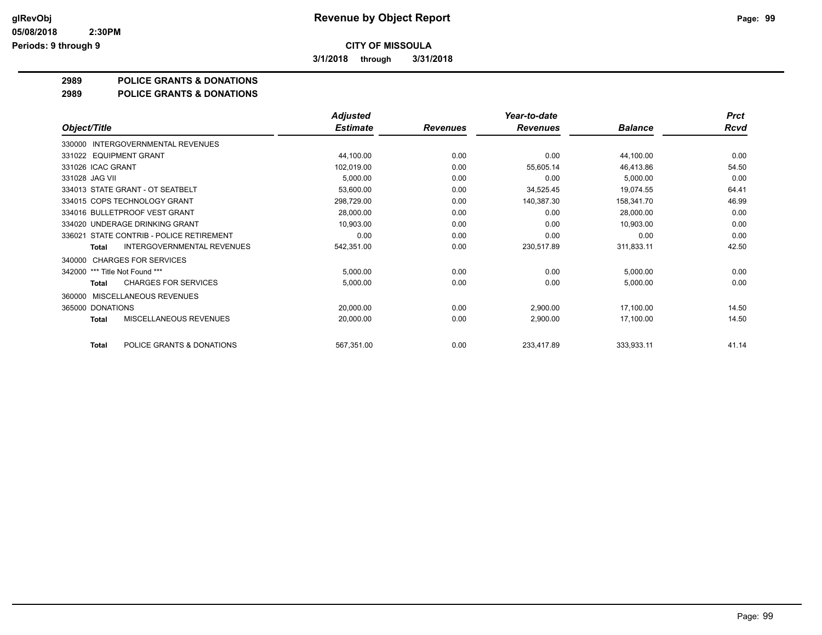**3/1/2018 through 3/31/2018**

## **2989 POLICE GRANTS & DONATIONS**

#### **2989 POLICE GRANTS & DONATIONS**

|                                             | <b>Adjusted</b> |                 | Year-to-date    |                | <b>Prct</b> |
|---------------------------------------------|-----------------|-----------------|-----------------|----------------|-------------|
| Object/Title                                | <b>Estimate</b> | <b>Revenues</b> | <b>Revenues</b> | <b>Balance</b> | <b>Rcvd</b> |
| <b>INTERGOVERNMENTAL REVENUES</b><br>330000 |                 |                 |                 |                |             |
| 331022 EQUIPMENT GRANT                      | 44,100.00       | 0.00            | 0.00            | 44,100.00      | 0.00        |
| 331026 ICAC GRANT                           | 102,019.00      | 0.00            | 55,605.14       | 46,413.86      | 54.50       |
| 331028 JAG VII                              | 5,000.00        | 0.00            | 0.00            | 5,000.00       | 0.00        |
| 334013 STATE GRANT - OT SEATBELT            | 53,600.00       | 0.00            | 34,525.45       | 19,074.55      | 64.41       |
| 334015 COPS TECHNOLOGY GRANT                | 298,729.00      | 0.00            | 140,387.30      | 158,341.70     | 46.99       |
| 334016 BULLETPROOF VEST GRANT               | 28,000.00       | 0.00            | 0.00            | 28,000.00      | 0.00        |
| 334020 UNDERAGE DRINKING GRANT              | 10,903.00       | 0.00            | 0.00            | 10,903.00      | 0.00        |
| STATE CONTRIB - POLICE RETIREMENT<br>336021 | 0.00            | 0.00            | 0.00            | 0.00           | 0.00        |
| INTERGOVERNMENTAL REVENUES<br>Total         | 542,351.00      | 0.00            | 230,517.89      | 311,833.11     | 42.50       |
| <b>CHARGES FOR SERVICES</b><br>340000       |                 |                 |                 |                |             |
| 342000 *** Title Not Found ***              | 5,000.00        | 0.00            | 0.00            | 5,000.00       | 0.00        |
| <b>CHARGES FOR SERVICES</b><br>Total        | 5,000.00        | 0.00            | 0.00            | 5,000.00       | 0.00        |
| MISCELLANEOUS REVENUES<br>360000            |                 |                 |                 |                |             |
| 365000 DONATIONS                            | 20,000.00       | 0.00            | 2,900.00        | 17,100.00      | 14.50       |
| MISCELLANEOUS REVENUES<br><b>Total</b>      | 20,000.00       | 0.00            | 2,900.00        | 17,100.00      | 14.50       |
| POLICE GRANTS & DONATIONS<br><b>Total</b>   | 567,351.00      | 0.00            | 233,417.89      | 333,933.11     | 41.14       |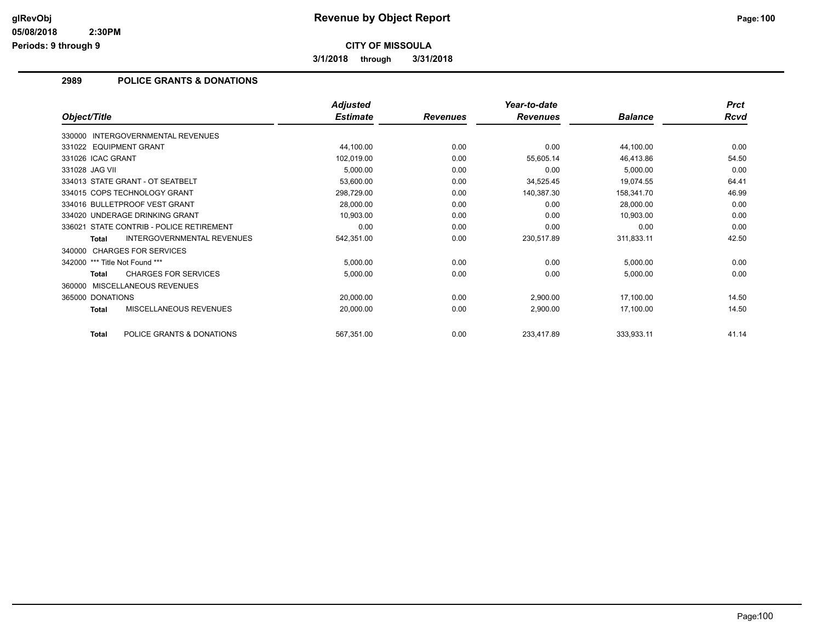**3/1/2018 through 3/31/2018**

## **2989 POLICE GRANTS & DONATIONS**

|                                                   | <b>Adjusted</b> |                 | Year-to-date    |                | <b>Prct</b> |
|---------------------------------------------------|-----------------|-----------------|-----------------|----------------|-------------|
| Object/Title                                      | <b>Estimate</b> | <b>Revenues</b> | <b>Revenues</b> | <b>Balance</b> | Rcvd        |
| INTERGOVERNMENTAL REVENUES<br>330000              |                 |                 |                 |                |             |
| 331022 EQUIPMENT GRANT                            | 44,100.00       | 0.00            | 0.00            | 44,100.00      | 0.00        |
| 331026 ICAC GRANT                                 | 102,019.00      | 0.00            | 55,605.14       | 46,413.86      | 54.50       |
| 331028 JAG VII                                    | 5,000.00        | 0.00            | 0.00            | 5,000.00       | 0.00        |
| 334013 STATE GRANT - OT SEATBELT                  | 53,600.00       | 0.00            | 34,525.45       | 19,074.55      | 64.41       |
| 334015 COPS TECHNOLOGY GRANT                      | 298,729.00      | 0.00            | 140,387.30      | 158,341.70     | 46.99       |
| 334016 BULLETPROOF VEST GRANT                     | 28,000.00       | 0.00            | 0.00            | 28,000.00      | 0.00        |
| 334020 UNDERAGE DRINKING GRANT                    | 10,903.00       | 0.00            | 0.00            | 10,903.00      | 0.00        |
| 336021 STATE CONTRIB - POLICE RETIREMENT          | 0.00            | 0.00            | 0.00            | 0.00           | 0.00        |
| <b>INTERGOVERNMENTAL REVENUES</b><br><b>Total</b> | 542,351.00      | 0.00            | 230,517.89      | 311,833.11     | 42.50       |
| 340000 CHARGES FOR SERVICES                       |                 |                 |                 |                |             |
| 342000 *** Title Not Found ***                    | 5,000.00        | 0.00            | 0.00            | 5,000.00       | 0.00        |
| <b>CHARGES FOR SERVICES</b><br><b>Total</b>       | 5,000.00        | 0.00            | 0.00            | 5,000.00       | 0.00        |
| MISCELLANEOUS REVENUES<br>360000                  |                 |                 |                 |                |             |
| 365000 DONATIONS                                  | 20,000.00       | 0.00            | 2,900.00        | 17,100.00      | 14.50       |
| MISCELLANEOUS REVENUES<br><b>Total</b>            | 20,000.00       | 0.00            | 2,900.00        | 17,100.00      | 14.50       |
| POLICE GRANTS & DONATIONS<br>Total                | 567,351.00      | 0.00            | 233,417.89      | 333,933.11     | 41.14       |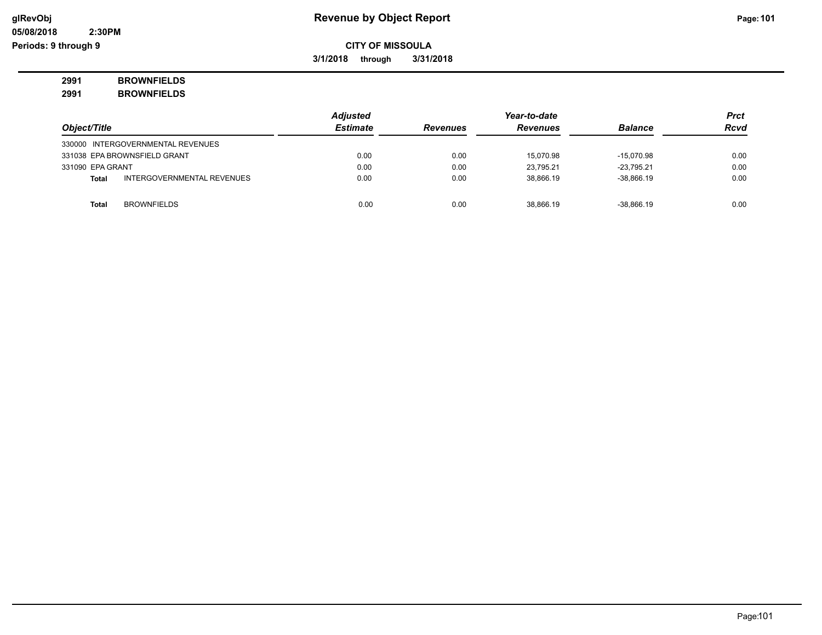**3/1/2018 through 3/31/2018**

# **2991 BROWNFIELDS**

**2991 BROWNFIELDS**

|                  |                                   | <b>Adjusted</b> |                 | Year-to-date    |                | <b>Prct</b> |
|------------------|-----------------------------------|-----------------|-----------------|-----------------|----------------|-------------|
| Object/Title     |                                   | <b>Estimate</b> | <b>Revenues</b> | <b>Revenues</b> | <b>Balance</b> | <b>Rcvd</b> |
|                  | 330000 INTERGOVERNMENTAL REVENUES |                 |                 |                 |                |             |
|                  | 331038 EPA BROWNSFIELD GRANT      | 0.00            | 0.00            | 15.070.98       | $-15.070.98$   | 0.00        |
| 331090 EPA GRANT |                                   | 0.00            | 0.00            | 23.795.21       | $-23.795.21$   | 0.00        |
| Total            | INTERGOVERNMENTAL REVENUES        | 0.00            | 0.00            | 38.866.19       | $-38.866.19$   | 0.00        |
|                  |                                   |                 |                 |                 |                |             |
| Total            | <b>BROWNFIELDS</b>                | 0.00            | 0.00            | 38.866.19       | $-38.866.19$   | 0.00        |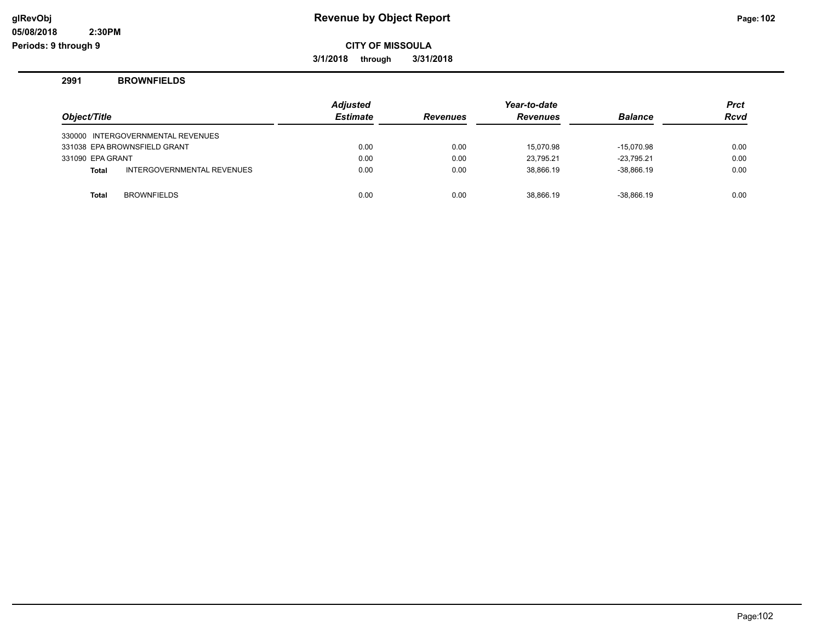**Periods: 9 through 9**

**CITY OF MISSOULA**

**3/1/2018 through 3/31/2018**

**2991 BROWNFIELDS**

| Object/Title     |                                   | <b>Adjusted</b><br><b>Estimate</b> | <b>Revenues</b> | Year-to-date<br><b>Revenues</b> | <b>Balance</b> | <b>Prct</b><br><b>Rcvd</b> |
|------------------|-----------------------------------|------------------------------------|-----------------|---------------------------------|----------------|----------------------------|
|                  | 330000 INTERGOVERNMENTAL REVENUES |                                    |                 |                                 |                |                            |
|                  | 331038 EPA BROWNSFIELD GRANT      | 0.00                               | 0.00            | 15.070.98                       | $-15.070.98$   | 0.00                       |
| 331090 EPA GRANT |                                   | 0.00                               | 0.00            | 23,795.21                       | $-23.795.21$   | 0.00                       |
| Total            | INTERGOVERNMENTAL REVENUES        | 0.00                               | 0.00            | 38.866.19                       | $-38.866.19$   | 0.00                       |
|                  |                                   |                                    |                 |                                 |                |                            |
| Total            | <b>BROWNFIELDS</b>                | 0.00                               | 0.00            | 38.866.19                       | $-38.866.19$   | 0.00                       |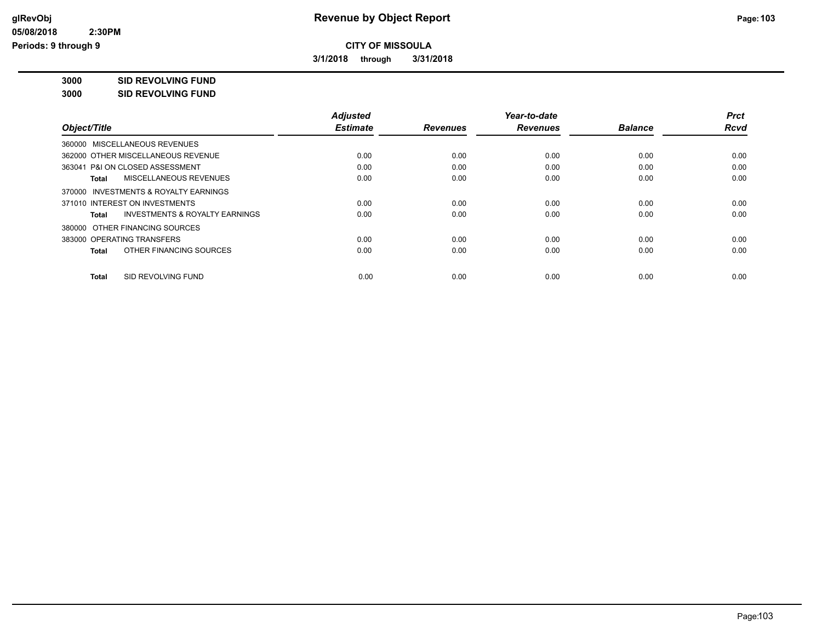**3/1/2018 through 3/31/2018**

**3000 SID REVOLVING FUND**

**3000 SID REVOLVING FUND**

|                                                    | <b>Adjusted</b> |                 | Year-to-date    |                | <b>Prct</b> |
|----------------------------------------------------|-----------------|-----------------|-----------------|----------------|-------------|
| Object/Title                                       | <b>Estimate</b> | <b>Revenues</b> | <b>Revenues</b> | <b>Balance</b> | <b>Rcvd</b> |
| 360000 MISCELLANEOUS REVENUES                      |                 |                 |                 |                |             |
| 362000 OTHER MISCELLANEOUS REVENUE                 | 0.00            | 0.00            | 0.00            | 0.00           | 0.00        |
| 363041 P&I ON CLOSED ASSESSMENT                    | 0.00            | 0.00            | 0.00            | 0.00           | 0.00        |
| MISCELLANEOUS REVENUES<br>Total                    | 0.00            | 0.00            | 0.00            | 0.00           | 0.00        |
| 370000 INVESTMENTS & ROYALTY EARNINGS              |                 |                 |                 |                |             |
| 371010 INTEREST ON INVESTMENTS                     | 0.00            | 0.00            | 0.00            | 0.00           | 0.00        |
| <b>INVESTMENTS &amp; ROYALTY EARNINGS</b><br>Total | 0.00            | 0.00            | 0.00            | 0.00           | 0.00        |
| 380000 OTHER FINANCING SOURCES                     |                 |                 |                 |                |             |
| 383000 OPERATING TRANSFERS                         | 0.00            | 0.00            | 0.00            | 0.00           | 0.00        |
| OTHER FINANCING SOURCES<br>Total                   | 0.00            | 0.00            | 0.00            | 0.00           | 0.00        |
| SID REVOLVING FUND<br>Total                        | 0.00            | 0.00            | 0.00            | 0.00           | 0.00        |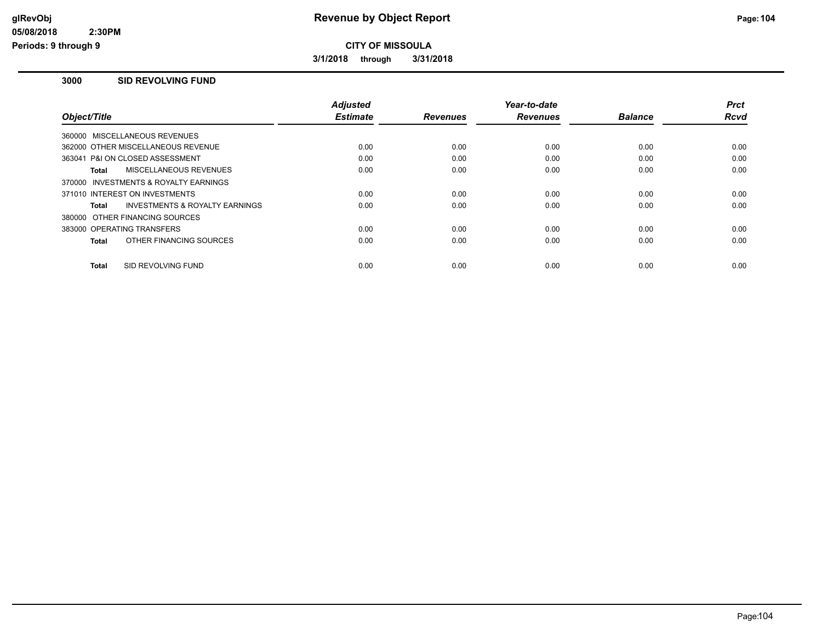**3/1/2018 through 3/31/2018**

#### **3000 SID REVOLVING FUND**

|                                                    | <b>Adjusted</b> |                 | Year-to-date    |                | <b>Prct</b> |
|----------------------------------------------------|-----------------|-----------------|-----------------|----------------|-------------|
| Object/Title                                       | <b>Estimate</b> | <b>Revenues</b> | <b>Revenues</b> | <b>Balance</b> | Rcvd        |
| 360000 MISCELLANEOUS REVENUES                      |                 |                 |                 |                |             |
| 362000 OTHER MISCELLANEOUS REVENUE                 | 0.00            | 0.00            | 0.00            | 0.00           | 0.00        |
| 363041 P&I ON CLOSED ASSESSMENT                    | 0.00            | 0.00            | 0.00            | 0.00           | 0.00        |
| MISCELLANEOUS REVENUES<br>Total                    | 0.00            | 0.00            | 0.00            | 0.00           | 0.00        |
| INVESTMENTS & ROYALTY EARNINGS<br>370000           |                 |                 |                 |                |             |
| 371010 INTEREST ON INVESTMENTS                     | 0.00            | 0.00            | 0.00            | 0.00           | 0.00        |
| <b>INVESTMENTS &amp; ROYALTY EARNINGS</b><br>Total | 0.00            | 0.00            | 0.00            | 0.00           | 0.00        |
| 380000 OTHER FINANCING SOURCES                     |                 |                 |                 |                |             |
| 383000 OPERATING TRANSFERS                         | 0.00            | 0.00            | 0.00            | 0.00           | 0.00        |
| OTHER FINANCING SOURCES<br>Total                   | 0.00            | 0.00            | 0.00            | 0.00           | 0.00        |
|                                                    |                 |                 |                 |                |             |
| SID REVOLVING FUND<br>Total                        | 0.00            | 0.00            | 0.00            | 0.00           | 0.00        |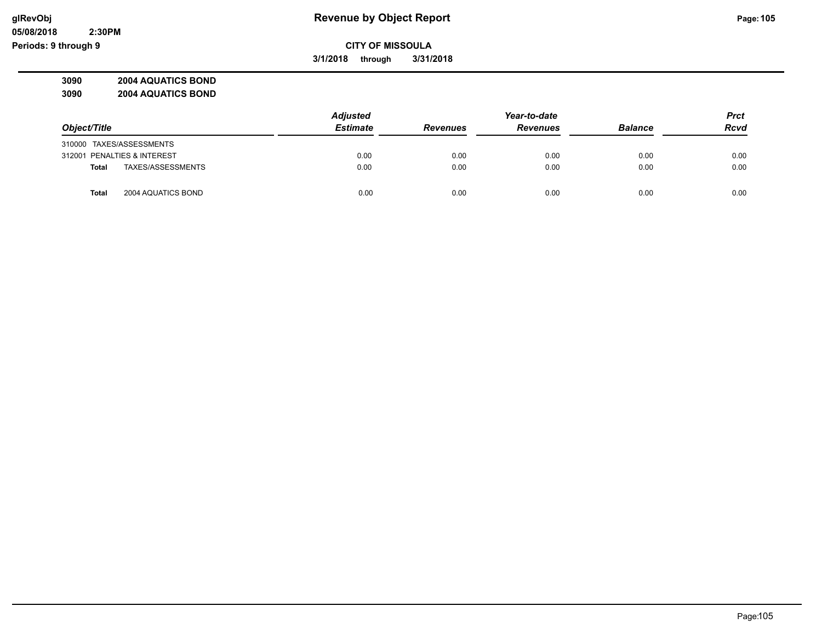**05/08/2018 2:30PM Periods: 9 through 9**

**CITY OF MISSOULA**

**3/1/2018 through 3/31/2018**

**3090 2004 AQUATICS BOND**

| 3090 | <b>2004 AQUATICS BOND</b> |
|------|---------------------------|
|      |                           |

|                             | <b>Adjusted</b> |                 | Year-to-date    |                | <b>Prct</b> |
|-----------------------------|-----------------|-----------------|-----------------|----------------|-------------|
| Object/Title                | <b>Estimate</b> | <b>Revenues</b> | <b>Revenues</b> | <b>Balance</b> | <b>Rcvd</b> |
| 310000 TAXES/ASSESSMENTS    |                 |                 |                 |                |             |
| 312001 PENALTIES & INTEREST | 0.00            | 0.00            | 0.00            | 0.00           | 0.00        |
| TAXES/ASSESSMENTS<br>Total  | 0.00            | 0.00            | 0.00            | 0.00           | 0.00        |
| 2004 AQUATICS BOND<br>Total | 0.00            | 0.00            | 0.00            | 0.00           | 0.00        |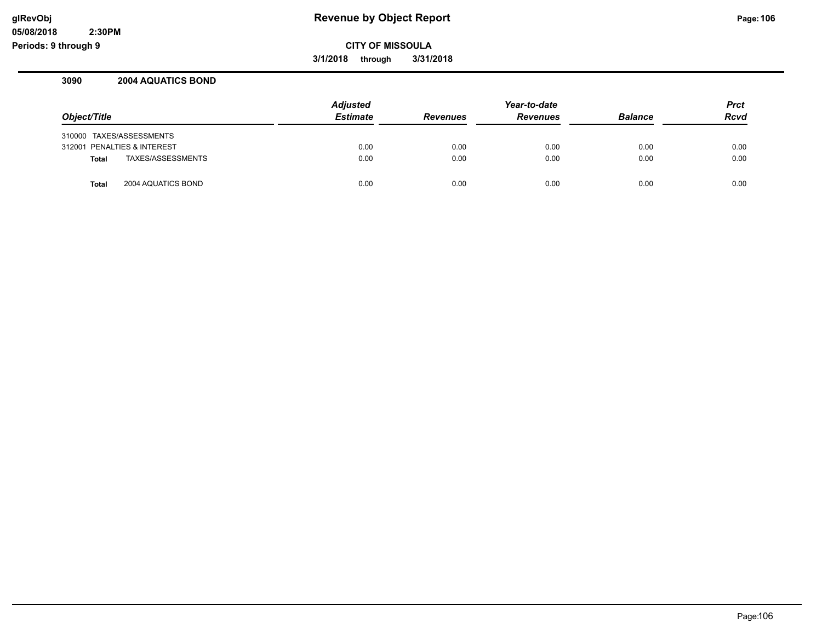**Periods: 9 through 9**

**glRevObj Revenue by Object Report Page:106** 

**CITY OF MISSOULA**

**3/1/2018 through 3/31/2018**

#### **3090 2004 AQUATICS BOND**

 **2:30PM**

| Object/Title |                             | <b>Adjusted</b><br><b>Estimate</b> | <b>Revenues</b> | Year-to-date<br><b>Revenues</b> | <b>Balance</b> | <b>Prct</b><br><b>Rcvd</b> |
|--------------|-----------------------------|------------------------------------|-----------------|---------------------------------|----------------|----------------------------|
|              | 310000 TAXES/ASSESSMENTS    |                                    |                 |                                 |                |                            |
|              | 312001 PENALTIES & INTEREST | 0.00                               | 0.00            | 0.00                            | 0.00           | 0.00                       |
| <b>Total</b> | TAXES/ASSESSMENTS           | 0.00                               | 0.00            | 0.00                            | 0.00           | 0.00                       |
| <b>Total</b> | 2004 AQUATICS BOND          | 0.00                               | 0.00            | 0.00                            | 0.00           | 0.00                       |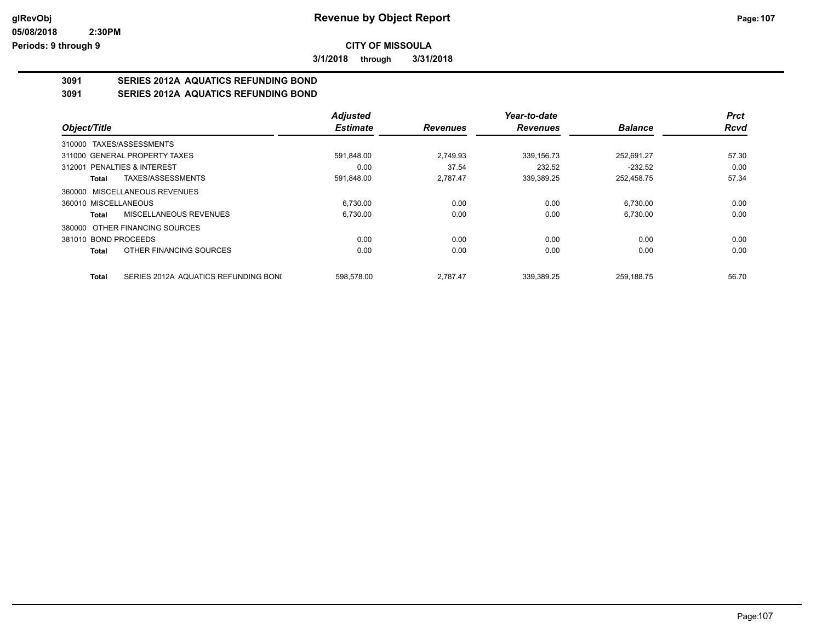**3/1/2018 through 3/31/2018**

# **3091 SERIES 2012A AQUATICS REFUNDING BOND**

# **3091 SERIES 2012A AQUATICS REFUNDING BOND**

|                               |                                      | <b>Adjusted</b> |                 | Year-to-date    |                | <b>Prct</b> |
|-------------------------------|--------------------------------------|-----------------|-----------------|-----------------|----------------|-------------|
| Object/Title                  |                                      | <b>Estimate</b> | <b>Revenues</b> | <b>Revenues</b> | <b>Balance</b> | <b>Rcvd</b> |
| 310000 TAXES/ASSESSMENTS      |                                      |                 |                 |                 |                |             |
| 311000 GENERAL PROPERTY TAXES |                                      | 591,848.00      | 2.749.93        | 339.156.73      | 252.691.27     | 57.30       |
| 312001 PENALTIES & INTEREST   |                                      | 0.00            | 37.54           | 232.52          | $-232.52$      | 0.00        |
| Total                         | TAXES/ASSESSMENTS                    | 591,848.00      | 2.787.47        | 339,389.25      | 252,458.75     | 57.34       |
|                               | 360000 MISCELLANEOUS REVENUES        |                 |                 |                 |                |             |
| 360010 MISCELLANEOUS          |                                      | 6.730.00        | 0.00            | 0.00            | 6.730.00       | 0.00        |
| Total                         | MISCELLANEOUS REVENUES               | 6,730.00        | 0.00            | 0.00            | 6,730.00       | 0.00        |
|                               | 380000 OTHER FINANCING SOURCES       |                 |                 |                 |                |             |
| 381010 BOND PROCEEDS          |                                      | 0.00            | 0.00            | 0.00            | 0.00           | 0.00        |
| Total                         | OTHER FINANCING SOURCES              | 0.00            | 0.00            | 0.00            | 0.00           | 0.00        |
| Total                         | SERIES 2012A AQUATICS REFUNDING BONI | 598.578.00      | 2.787.47        | 339.389.25      | 259.188.75     | 56.70       |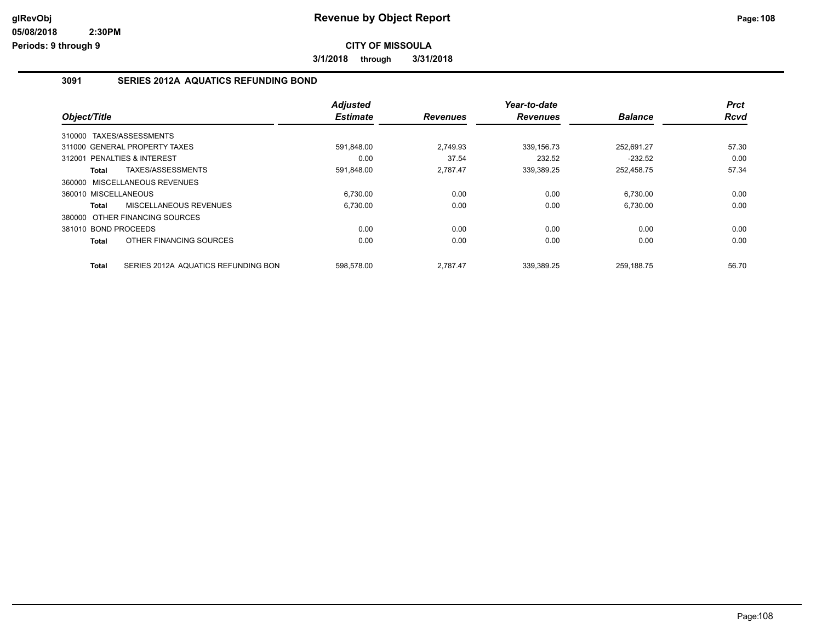**3/1/2018 through 3/31/2018**

#### **3091 SERIES 2012A AQUATICS REFUNDING BOND**

|                                                     | <b>Adjusted</b> |                 | Year-to-date    |                | <b>Prct</b> |
|-----------------------------------------------------|-----------------|-----------------|-----------------|----------------|-------------|
| Object/Title                                        | <b>Estimate</b> | <b>Revenues</b> | <b>Revenues</b> | <b>Balance</b> | <b>Rcvd</b> |
| 310000 TAXES/ASSESSMENTS                            |                 |                 |                 |                |             |
| 311000 GENERAL PROPERTY TAXES                       | 591,848.00      | 2.749.93        | 339, 156.73     | 252,691.27     | 57.30       |
| PENALTIES & INTEREST<br>312001                      | 0.00            | 37.54           | 232.52          | $-232.52$      | 0.00        |
| TAXES/ASSESSMENTS<br>Total                          | 591,848.00      | 2,787.47        | 339,389.25      | 252,458.75     | 57.34       |
| 360000 MISCELLANEOUS REVENUES                       |                 |                 |                 |                |             |
| 360010 MISCELLANEOUS                                | 6.730.00        | 0.00            | 0.00            | 6.730.00       | 0.00        |
| MISCELLANEOUS REVENUES<br><b>Total</b>              | 6,730.00        | 0.00            | 0.00            | 6,730.00       | 0.00        |
| 380000 OTHER FINANCING SOURCES                      |                 |                 |                 |                |             |
| 381010 BOND PROCEEDS                                | 0.00            | 0.00            | 0.00            | 0.00           | 0.00        |
| OTHER FINANCING SOURCES<br>Total                    | 0.00            | 0.00            | 0.00            | 0.00           | 0.00        |
| SERIES 2012A AQUATICS REFUNDING BON<br><b>Total</b> | 598.578.00      | 2.787.47        | 339.389.25      | 259.188.75     | 56.70       |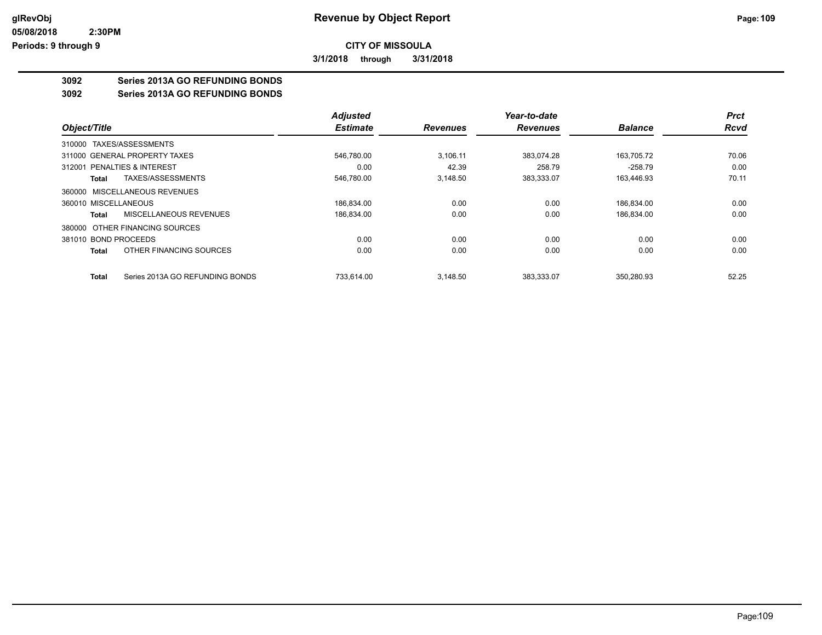**3/1/2018 through 3/31/2018**

### **3092 Series 2013A GO REFUNDING BONDS**

### **3092 Series 2013A GO REFUNDING BONDS**

|                                          | <b>Adjusted</b> |                 | Year-to-date    |                | <b>Prct</b> |
|------------------------------------------|-----------------|-----------------|-----------------|----------------|-------------|
| Object/Title                             | <b>Estimate</b> | <b>Revenues</b> | <b>Revenues</b> | <b>Balance</b> | Rcvd        |
| 310000 TAXES/ASSESSMENTS                 |                 |                 |                 |                |             |
| 311000 GENERAL PROPERTY TAXES            | 546.780.00      | 3.106.11        | 383.074.28      | 163.705.72     | 70.06       |
| 312001 PENALTIES & INTEREST              | 0.00            | 42.39           | 258.79          | $-258.79$      | 0.00        |
| TAXES/ASSESSMENTS<br>Total               | 546.780.00      | 3.148.50        | 383,333.07      | 163.446.93     | 70.11       |
| 360000 MISCELLANEOUS REVENUES            |                 |                 |                 |                |             |
| 360010 MISCELLANEOUS                     | 186.834.00      | 0.00            | 0.00            | 186.834.00     | 0.00        |
| MISCELLANEOUS REVENUES<br>Total          | 186,834.00      | 0.00            | 0.00            | 186,834.00     | 0.00        |
| 380000 OTHER FINANCING SOURCES           |                 |                 |                 |                |             |
| 381010 BOND PROCEEDS                     | 0.00            | 0.00            | 0.00            | 0.00           | 0.00        |
| OTHER FINANCING SOURCES<br>Total         | 0.00            | 0.00            | 0.00            | 0.00           | 0.00        |
| Series 2013A GO REFUNDING BONDS<br>Total | 733.614.00      | 3.148.50        | 383.333.07      | 350.280.93     | 52.25       |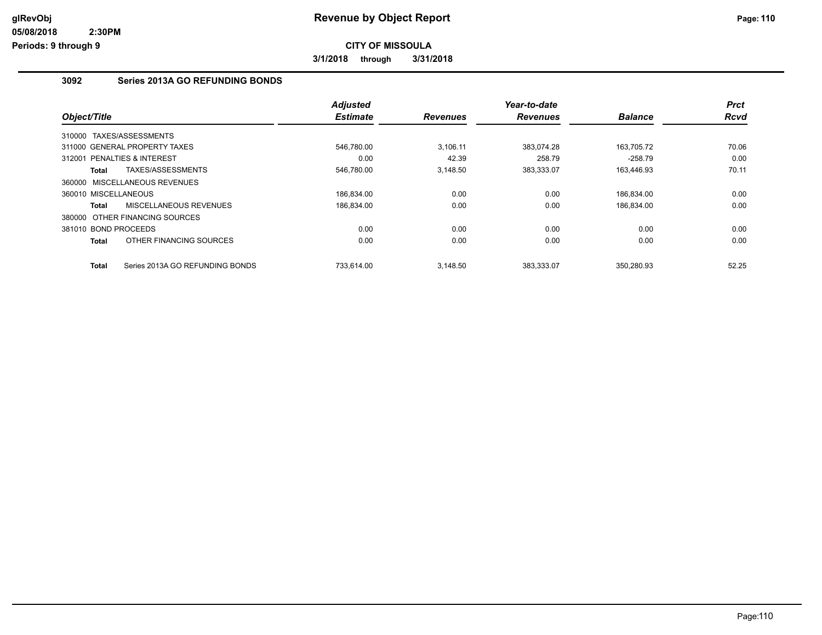**3/1/2018 through 3/31/2018**

### **3092 Series 2013A GO REFUNDING BONDS**

|                      |                                 | <b>Adjusted</b> |                 | Year-to-date    |                | <b>Prct</b> |
|----------------------|---------------------------------|-----------------|-----------------|-----------------|----------------|-------------|
| Object/Title         |                                 | <b>Estimate</b> | <b>Revenues</b> | <b>Revenues</b> | <b>Balance</b> | <b>Rcvd</b> |
| 310000               | TAXES/ASSESSMENTS               |                 |                 |                 |                |             |
|                      | 311000 GENERAL PROPERTY TAXES   | 546,780.00      | 3,106.11        | 383,074.28      | 163,705.72     | 70.06       |
|                      | 312001 PENALTIES & INTEREST     | 0.00            | 42.39           | 258.79          | $-258.79$      | 0.00        |
| Total                | TAXES/ASSESSMENTS               | 546,780.00      | 3,148.50        | 383,333.07      | 163,446.93     | 70.11       |
|                      | 360000 MISCELLANEOUS REVENUES   |                 |                 |                 |                |             |
| 360010 MISCELLANEOUS |                                 | 186.834.00      | 0.00            | 0.00            | 186.834.00     | 0.00        |
| Total                | MISCELLANEOUS REVENUES          | 186.834.00      | 0.00            | 0.00            | 186.834.00     | 0.00        |
|                      | 380000 OTHER FINANCING SOURCES  |                 |                 |                 |                |             |
| 381010 BOND PROCEEDS |                                 | 0.00            | 0.00            | 0.00            | 0.00           | 0.00        |
| Total                | OTHER FINANCING SOURCES         | 0.00            | 0.00            | 0.00            | 0.00           | 0.00        |
| Total                | Series 2013A GO REFUNDING BONDS | 733.614.00      | 3.148.50        | 383.333.07      | 350.280.93     | 52.25       |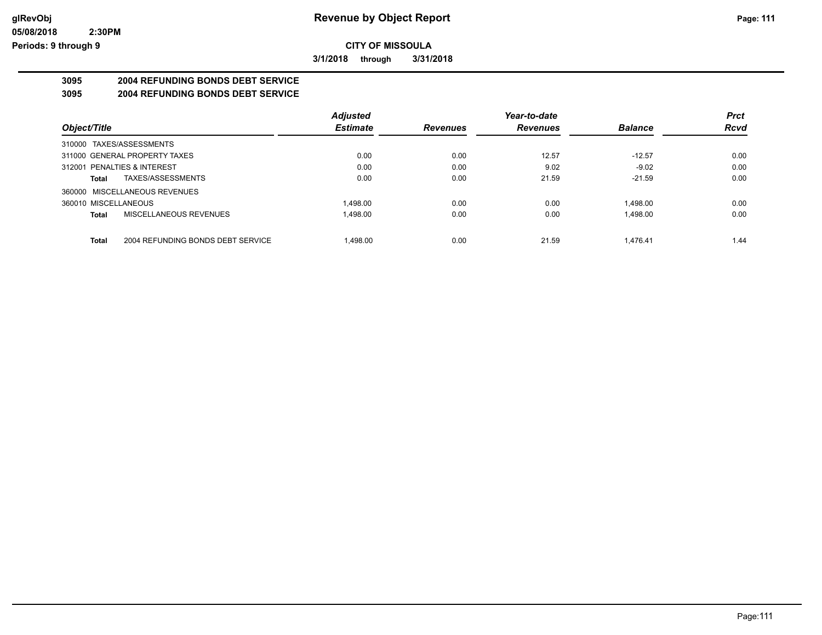**3/1/2018 through 3/31/2018**

### **3095 2004 REFUNDING BONDS DEBT SERVICE 3095 2004 REFUNDING BONDS DEBT SERVICE**

|                                                   | <b>Adjusted</b> |                 | Year-to-date    |                | <b>Prct</b> |
|---------------------------------------------------|-----------------|-----------------|-----------------|----------------|-------------|
| Object/Title                                      | <b>Estimate</b> | <b>Revenues</b> | <b>Revenues</b> | <b>Balance</b> | <b>Rcvd</b> |
| 310000 TAXES/ASSESSMENTS                          |                 |                 |                 |                |             |
| 311000 GENERAL PROPERTY TAXES                     | 0.00            | 0.00            | 12.57           | $-12.57$       | 0.00        |
| 312001 PENALTIES & INTEREST                       | 0.00            | 0.00            | 9.02            | $-9.02$        | 0.00        |
| TAXES/ASSESSMENTS<br>Total                        | 0.00            | 0.00            | 21.59           | $-21.59$       | 0.00        |
| 360000 MISCELLANEOUS REVENUES                     |                 |                 |                 |                |             |
| 360010 MISCELLANEOUS                              | 1,498.00        | 0.00            | 0.00            | 1.498.00       | 0.00        |
| MISCELLANEOUS REVENUES<br><b>Total</b>            | 1.498.00        | 0.00            | 0.00            | 1.498.00       | 0.00        |
|                                                   |                 |                 |                 |                |             |
| 2004 REFUNDING BONDS DEBT SERVICE<br><b>Total</b> | 1.498.00        | 0.00            | 21.59           | 1.476.41       | 1.44        |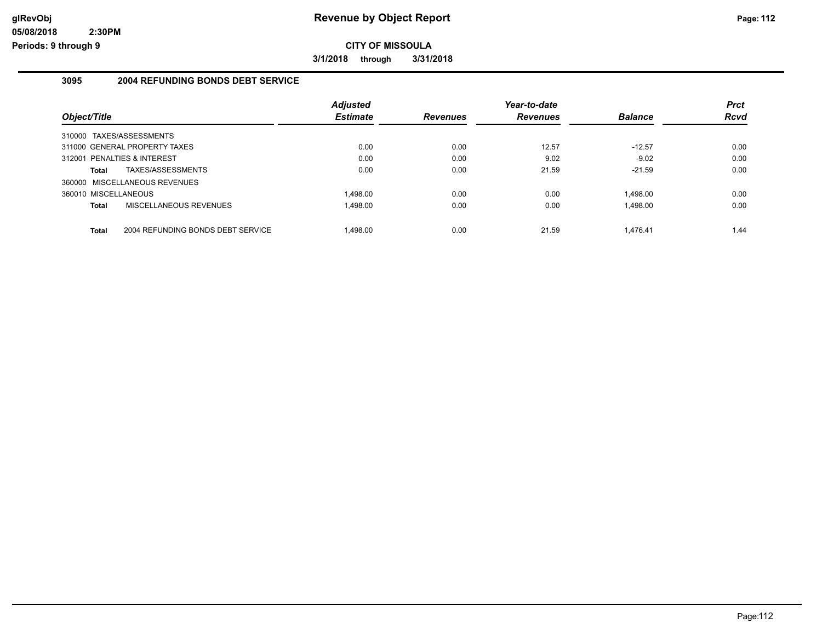**3/1/2018 through 3/31/2018**

### **3095 2004 REFUNDING BONDS DEBT SERVICE**

|                                                   | <b>Adjusted</b> |                 | Year-to-date    |                | <b>Prct</b> |
|---------------------------------------------------|-----------------|-----------------|-----------------|----------------|-------------|
| Object/Title                                      | <b>Estimate</b> | <b>Revenues</b> | <b>Revenues</b> | <b>Balance</b> | <b>Rcvd</b> |
| 310000 TAXES/ASSESSMENTS                          |                 |                 |                 |                |             |
| 311000 GENERAL PROPERTY TAXES                     | 0.00            | 0.00            | 12.57           | $-12.57$       | 0.00        |
| 312001 PENALTIES & INTEREST                       | 0.00            | 0.00            | 9.02            | $-9.02$        | 0.00        |
| TAXES/ASSESSMENTS<br><b>Total</b>                 | 0.00            | 0.00            | 21.59           | $-21.59$       | 0.00        |
| 360000 MISCELLANEOUS REVENUES                     |                 |                 |                 |                |             |
| 360010 MISCELLANEOUS                              | 1.498.00        | 0.00            | 0.00            | 1.498.00       | 0.00        |
| MISCELLANEOUS REVENUES<br><b>Total</b>            | 1.498.00        | 0.00            | 0.00            | 1.498.00       | 0.00        |
|                                                   |                 |                 |                 |                |             |
| <b>Total</b><br>2004 REFUNDING BONDS DEBT SERVICE | 1.498.00        | 0.00            | 21.59           | 1.476.41       | 1.44        |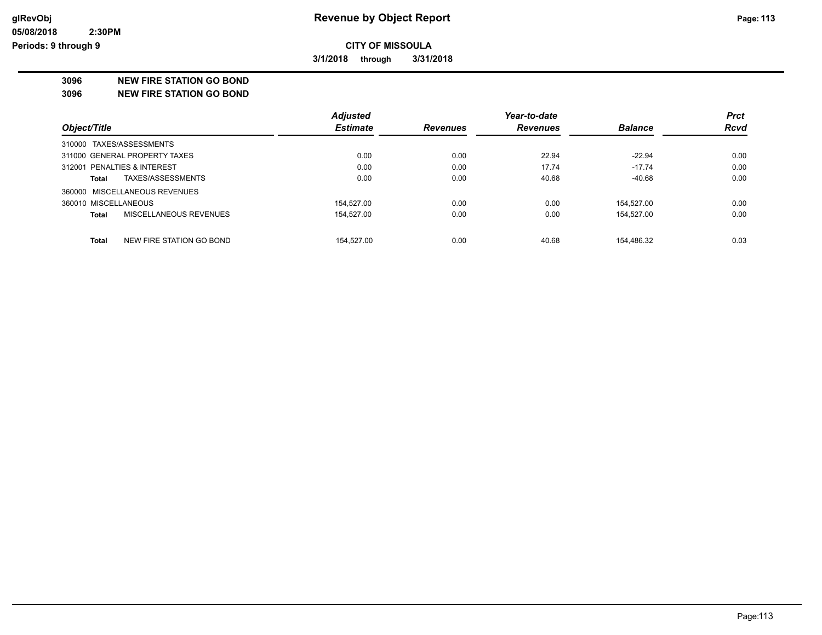**3/1/2018 through 3/31/2018**

#### **3096 NEW FIRE STATION GO BOND**

#### **3096 NEW FIRE STATION GO BOND**

|                                   | <b>Adjusted</b> |                 | Year-to-date    |                | <b>Prct</b> |
|-----------------------------------|-----------------|-----------------|-----------------|----------------|-------------|
| Object/Title                      | <b>Estimate</b> | <b>Revenues</b> | <b>Revenues</b> | <b>Balance</b> | <b>Rcvd</b> |
| 310000 TAXES/ASSESSMENTS          |                 |                 |                 |                |             |
| 311000 GENERAL PROPERTY TAXES     | 0.00            | 0.00            | 22.94           | $-22.94$       | 0.00        |
| 312001 PENALTIES & INTEREST       | 0.00            | 0.00            | 17.74           | $-17.74$       | 0.00        |
| TAXES/ASSESSMENTS<br>Total        | 0.00            | 0.00            | 40.68           | $-40.68$       | 0.00        |
| 360000 MISCELLANEOUS REVENUES     |                 |                 |                 |                |             |
| 360010 MISCELLANEOUS              | 154.527.00      | 0.00            | 0.00            | 154.527.00     | 0.00        |
| MISCELLANEOUS REVENUES<br>Total   | 154.527.00      | 0.00            | 0.00            | 154.527.00     | 0.00        |
|                                   |                 |                 |                 |                |             |
| NEW FIRE STATION GO BOND<br>Total | 154.527.00      | 0.00            | 40.68           | 154.486.32     | 0.03        |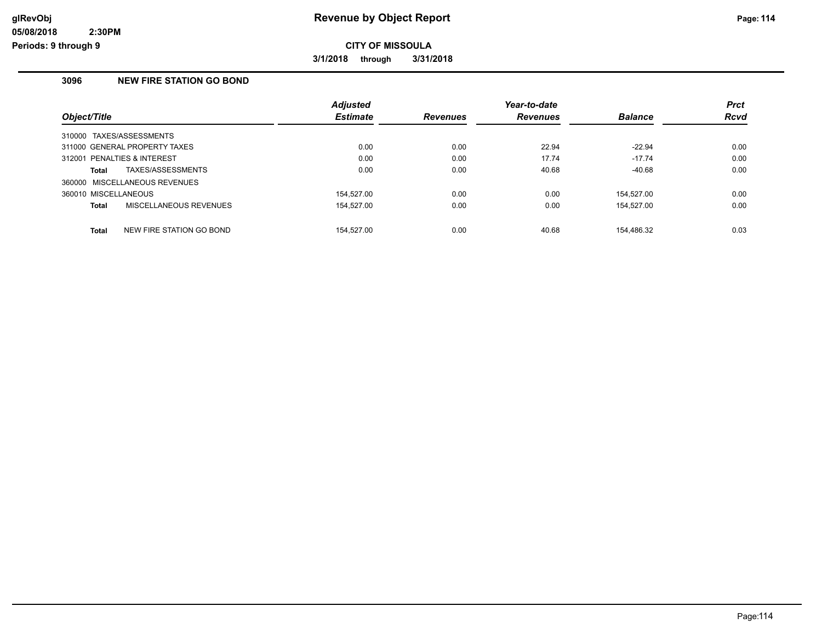**3/1/2018 through 3/31/2018**

### **3096 NEW FIRE STATION GO BOND**

|                      |                               | <b>Adjusted</b> |                 | Year-to-date    |                | <b>Prct</b> |
|----------------------|-------------------------------|-----------------|-----------------|-----------------|----------------|-------------|
| Object/Title         |                               | <b>Estimate</b> | <b>Revenues</b> | <b>Revenues</b> | <b>Balance</b> | <b>Rcvd</b> |
|                      | 310000 TAXES/ASSESSMENTS      |                 |                 |                 |                |             |
|                      | 311000 GENERAL PROPERTY TAXES | 0.00            | 0.00            | 22.94           | $-22.94$       | 0.00        |
|                      | 312001 PENALTIES & INTEREST   | 0.00            | 0.00            | 17.74           | $-17.74$       | 0.00        |
| Total                | TAXES/ASSESSMENTS             | 0.00            | 0.00            | 40.68           | $-40.68$       | 0.00        |
|                      | 360000 MISCELLANEOUS REVENUES |                 |                 |                 |                |             |
| 360010 MISCELLANEOUS |                               | 154.527.00      | 0.00            | 0.00            | 154.527.00     | 0.00        |
| <b>Total</b>         | MISCELLANEOUS REVENUES        | 154.527.00      | 0.00            | 0.00            | 154.527.00     | 0.00        |
| <b>Total</b>         | NEW FIRE STATION GO BOND      | 154.527.00      | 0.00            | 40.68           | 154.486.32     | 0.03        |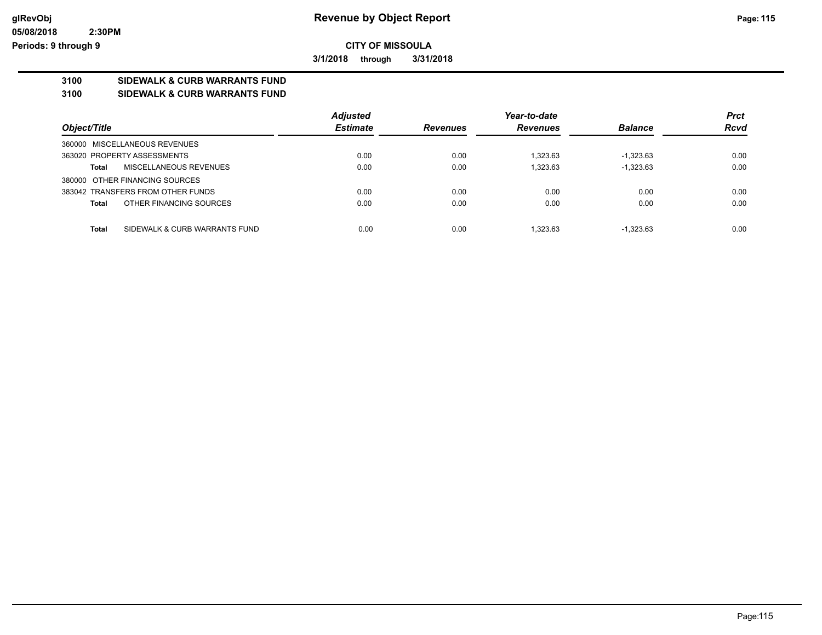**3/1/2018 through 3/31/2018**

# **3100 SIDEWALK & CURB WARRANTS FUND**

### **3100 SIDEWALK & CURB WARRANTS FUND**

|                                        | <b>Adjusted</b> |                 | Year-to-date    |                | <b>Prct</b> |
|----------------------------------------|-----------------|-----------------|-----------------|----------------|-------------|
| Object/Title                           | <b>Estimate</b> | <b>Revenues</b> | <b>Revenues</b> | <b>Balance</b> | <b>Rcvd</b> |
| 360000 MISCELLANEOUS REVENUES          |                 |                 |                 |                |             |
| 363020 PROPERTY ASSESSMENTS            | 0.00            | 0.00            | 1.323.63        | $-1.323.63$    | 0.00        |
| MISCELLANEOUS REVENUES<br>Total        | 0.00            | 0.00            | 1.323.63        | $-1,323.63$    | 0.00        |
| 380000 OTHER FINANCING SOURCES         |                 |                 |                 |                |             |
| 383042 TRANSFERS FROM OTHER FUNDS      | 0.00            | 0.00            | 0.00            | 0.00           | 0.00        |
| OTHER FINANCING SOURCES<br>Total       | 0.00            | 0.00            | 0.00            | 0.00           | 0.00        |
|                                        |                 |                 |                 |                |             |
| SIDEWALK & CURB WARRANTS FUND<br>Total | 0.00            | 0.00            | 1.323.63        | $-1.323.63$    | 0.00        |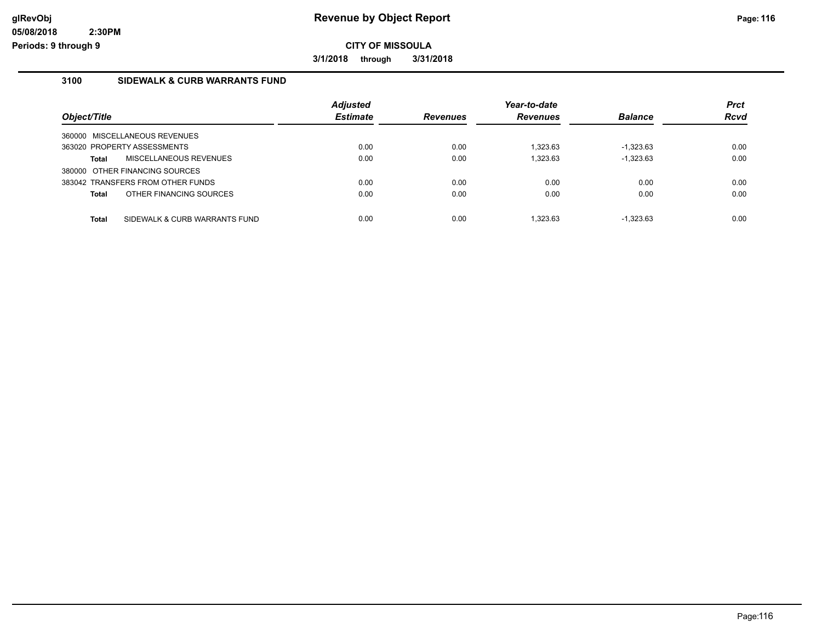**3/1/2018 through 3/31/2018**

### **3100 SIDEWALK & CURB WARRANTS FUND**

|                                               | <b>Adjusted</b> |                 | Year-to-date    |                | <b>Prct</b> |
|-----------------------------------------------|-----------------|-----------------|-----------------|----------------|-------------|
| Object/Title                                  | <b>Estimate</b> | <b>Revenues</b> | <b>Revenues</b> | <b>Balance</b> | <b>Rcvd</b> |
| MISCELLANEOUS REVENUES<br>360000              |                 |                 |                 |                |             |
| 363020 PROPERTY ASSESSMENTS                   | 0.00            | 0.00            | 1.323.63        | $-1.323.63$    | 0.00        |
| MISCELLANEOUS REVENUES<br>Total               | 0.00            | 0.00            | 1.323.63        | $-1.323.63$    | 0.00        |
| 380000 OTHER FINANCING SOURCES                |                 |                 |                 |                |             |
| 383042 TRANSFERS FROM OTHER FUNDS             | 0.00            | 0.00            | 0.00            | 0.00           | 0.00        |
| OTHER FINANCING SOURCES<br><b>Total</b>       | 0.00            | 0.00            | 0.00            | 0.00           | 0.00        |
| SIDEWALK & CURB WARRANTS FUND<br><b>Total</b> | 0.00            | 0.00            | 1.323.63        | $-1.323.63$    | 0.00        |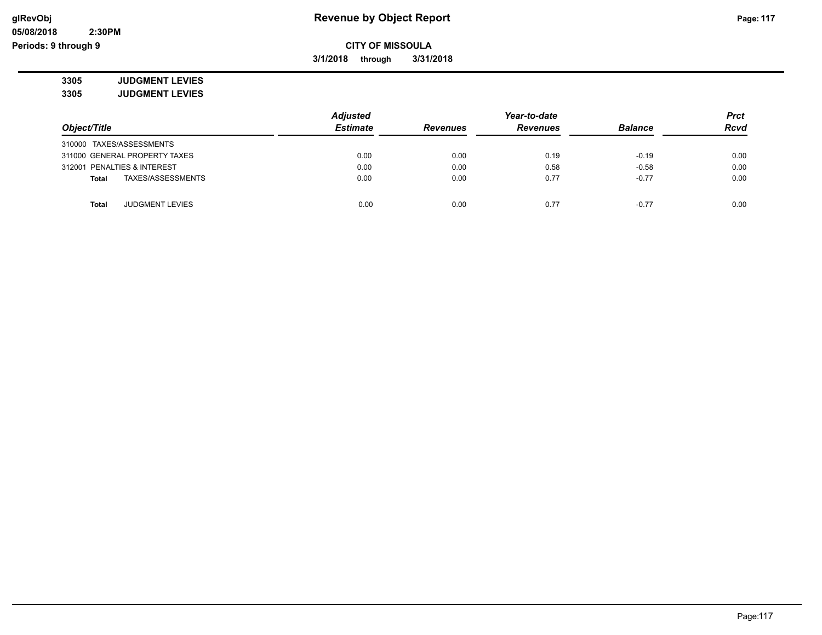**3/1/2018 through 3/31/2018**

**3305 JUDGMENT LEVIES**

| 3305 | <b>JUDGMENT LEVIES</b> |  |
|------|------------------------|--|
|      |                        |  |

|                                        | <b>Adjusted</b> |                 | Year-to-date    |                | Prct        |
|----------------------------------------|-----------------|-----------------|-----------------|----------------|-------------|
| Object/Title                           | <b>Estimate</b> | <b>Revenues</b> | <b>Revenues</b> | <b>Balance</b> | <b>Rcvd</b> |
| 310000 TAXES/ASSESSMENTS               |                 |                 |                 |                |             |
| 311000 GENERAL PROPERTY TAXES          | 0.00            | 0.00            | 0.19            | $-0.19$        | 0.00        |
| 312001 PENALTIES & INTEREST            | 0.00            | 0.00            | 0.58            | $-0.58$        | 0.00        |
| TAXES/ASSESSMENTS<br>Total             | 0.00            | 0.00            | 0.77            | $-0.77$        | 0.00        |
| <b>JUDGMENT LEVIES</b><br><b>Total</b> | 0.00            | 0.00            | 0.77            | $-0.77$        | 0.00        |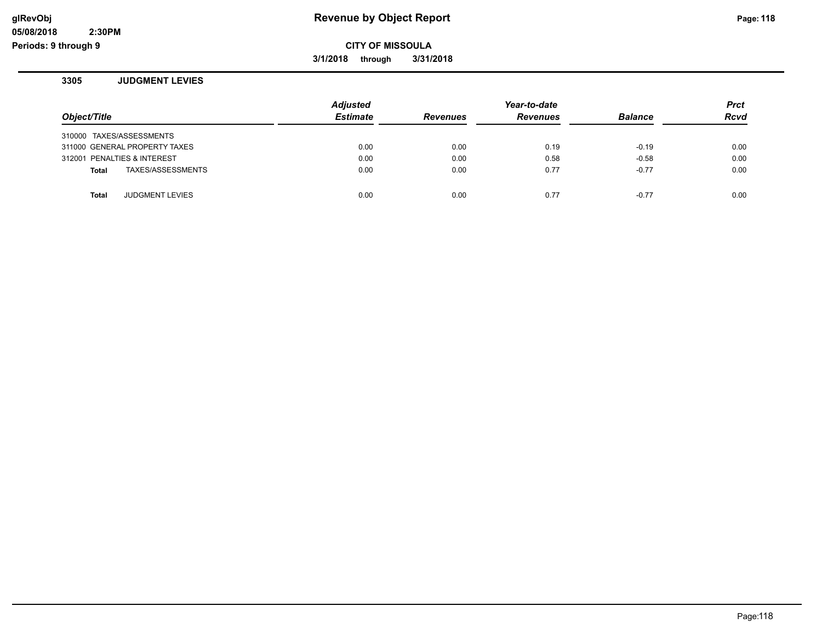**Periods: 9 through 9**

**CITY OF MISSOULA**

**3/1/2018 through 3/31/2018**

#### **3305 JUDGMENT LEVIES**

| Object/Title                           | <b>Adjusted</b><br><b>Estimate</b> | <b>Revenues</b> | Year-to-date<br><b>Revenues</b> | <b>Balance</b> | <b>Prct</b><br><b>Rcvd</b> |
|----------------------------------------|------------------------------------|-----------------|---------------------------------|----------------|----------------------------|
| 310000 TAXES/ASSESSMENTS               |                                    |                 |                                 |                |                            |
| 311000 GENERAL PROPERTY TAXES          | 0.00                               | 0.00            | 0.19                            | $-0.19$        | 0.00                       |
| 312001 PENALTIES & INTEREST            | 0.00                               | 0.00            | 0.58                            | $-0.58$        | 0.00                       |
| TAXES/ASSESSMENTS<br>Total             | 0.00                               | 0.00            | 0.77                            | $-0.77$        | 0.00                       |
|                                        |                                    |                 |                                 |                |                            |
| <b>JUDGMENT LEVIES</b><br><b>Total</b> | 0.00                               | 0.00            | 0.77                            | $-0.77$        | 0.00                       |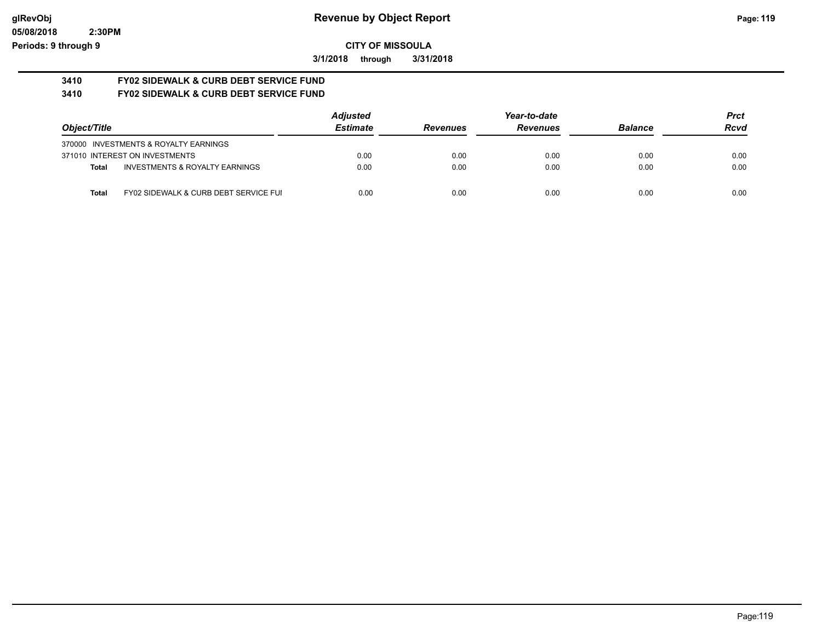#### **05/08/2018 2:30PM Periods: 9 through 9**

### **CITY OF MISSOULA**

#### **3/1/2018 through 3/31/2018**

### **3410 FY02 SIDEWALK & CURB DEBT SERVICE FUND 3410 FY02 SIDEWALK & CURB DEBT SERVICE FUND**

|              |                                           | <b>Adjusted</b> |                 | Year-to-date    |                | Prct |
|--------------|-------------------------------------------|-----------------|-----------------|-----------------|----------------|------|
| Object/Title |                                           | <b>Estimate</b> | <b>Revenues</b> | <b>Revenues</b> | <b>Balance</b> | Rcvd |
|              | 370000 INVESTMENTS & ROYALTY EARNINGS     |                 |                 |                 |                |      |
|              | 371010 INTEREST ON INVESTMENTS            | 0.00            | 0.00            | 0.00            | 0.00           | 0.00 |
| Total        | <b>INVESTMENTS &amp; ROYALTY EARNINGS</b> | 0.00            | 0.00            | 0.00            | 0.00           | 0.00 |
| Total        | FY02 SIDEWALK & CURB DEBT SERVICE FUI     | 0.00            | 0.00            | 0.00            | 0.00           | 0.00 |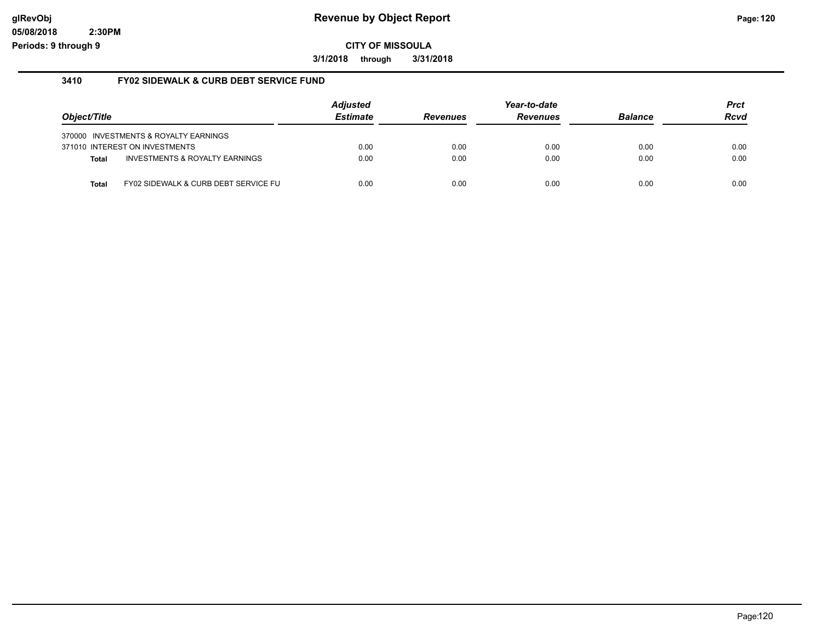**3/1/2018 through 3/31/2018**

### **3410 FY02 SIDEWALK & CURB DEBT SERVICE FUND**

| Object/Title |                                       | <b>Adjusted</b><br><b>Estimate</b> | <b>Revenues</b> | Year-to-date<br><b>Revenues</b> | <b>Balance</b> | <b>Prct</b><br><b>Rcvd</b> |
|--------------|---------------------------------------|------------------------------------|-----------------|---------------------------------|----------------|----------------------------|
|              | 370000 INVESTMENTS & ROYALTY EARNINGS |                                    |                 |                                 |                |                            |
|              | 371010 INTEREST ON INVESTMENTS        | 0.00                               | 0.00            | 0.00                            | 0.00           | 0.00                       |
| <b>Total</b> | INVESTMENTS & ROYALTY EARNINGS        | 0.00                               | 0.00            | 0.00                            | 0.00           | 0.00                       |
| Total        | FY02 SIDEWALK & CURB DEBT SERVICE FU  | 0.00                               | 0.00            | 0.00                            | 0.00           | 0.00                       |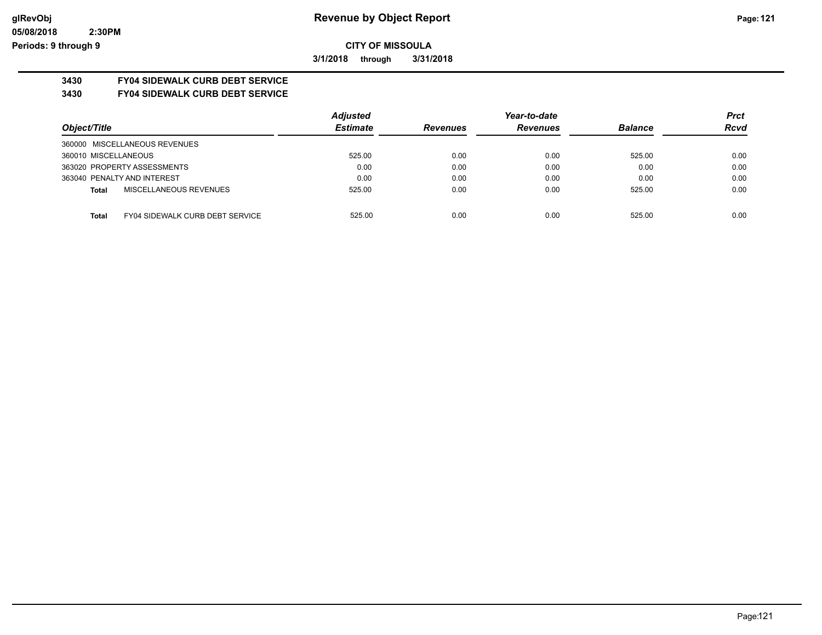**3/1/2018 through 3/31/2018**

# **3430 FY04 SIDEWALK CURB DEBT SERVICE**

### **3430 FY04 SIDEWALK CURB DEBT SERVICE**

|                                                 | <b>Adjusted</b> |                 | Year-to-date    |                | <b>Prct</b> |
|-------------------------------------------------|-----------------|-----------------|-----------------|----------------|-------------|
| Object/Title                                    | <b>Estimate</b> | <b>Revenues</b> | <b>Revenues</b> | <b>Balance</b> | Rcvd        |
| 360000 MISCELLANEOUS REVENUES                   |                 |                 |                 |                |             |
| 360010 MISCELLANEOUS                            | 525.00          | 0.00            | 0.00            | 525.00         | 0.00        |
| 363020 PROPERTY ASSESSMENTS                     | 0.00            | 0.00            | 0.00            | 0.00           | 0.00        |
| 363040 PENALTY AND INTEREST                     | 0.00            | 0.00            | 0.00            | 0.00           | 0.00        |
| MISCELLANEOUS REVENUES<br>Total                 | 525.00          | 0.00            | 0.00            | 525.00         | 0.00        |
|                                                 |                 |                 |                 |                |             |
| <b>FY04 SIDEWALK CURB DEBT SERVICE</b><br>Total | 525.00          | 0.00            | 0.00            | 525.00         | 0.00        |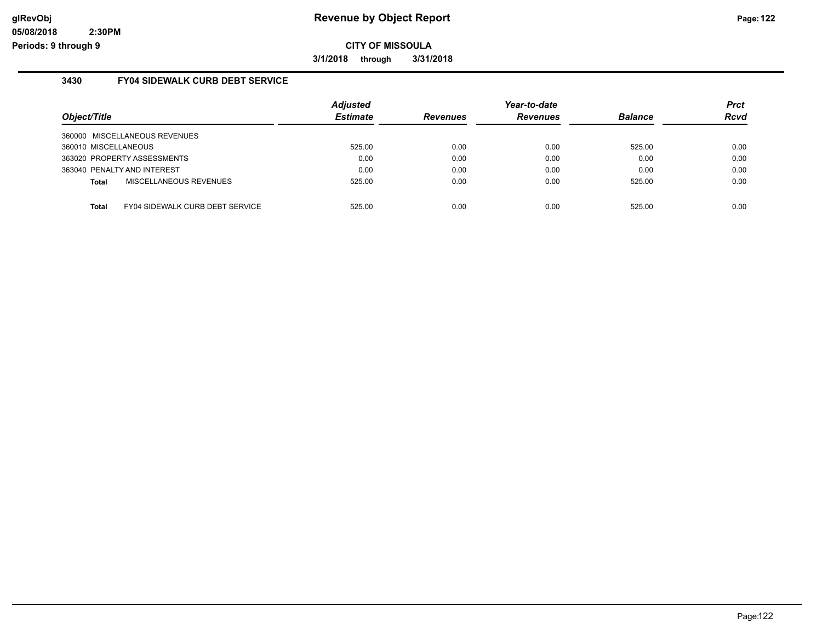**3/1/2018 through 3/31/2018**

### **3430 FY04 SIDEWALK CURB DEBT SERVICE**

| Object/Title                                    | <b>Adjusted</b><br><b>Estimate</b> | <b>Revenues</b> | Year-to-date<br><b>Revenues</b> | <b>Balance</b> | <b>Prct</b><br><b>Rcvd</b> |
|-------------------------------------------------|------------------------------------|-----------------|---------------------------------|----------------|----------------------------|
| 360000 MISCELLANEOUS REVENUES                   |                                    |                 |                                 |                |                            |
| 360010 MISCELLANEOUS                            | 525.00                             | 0.00            | 0.00                            | 525.00         | 0.00                       |
| 363020 PROPERTY ASSESSMENTS                     | 0.00                               | 0.00            | 0.00                            | 0.00           | 0.00                       |
| 363040 PENALTY AND INTEREST                     | 0.00                               | 0.00            | 0.00                            | 0.00           | 0.00                       |
| MISCELLANEOUS REVENUES<br>Total                 | 525.00                             | 0.00            | 0.00                            | 525.00         | 0.00                       |
| FY04 SIDEWALK CURB DEBT SERVICE<br><b>Total</b> | 525.00                             | 0.00            | 0.00                            | 525.00         | 0.00                       |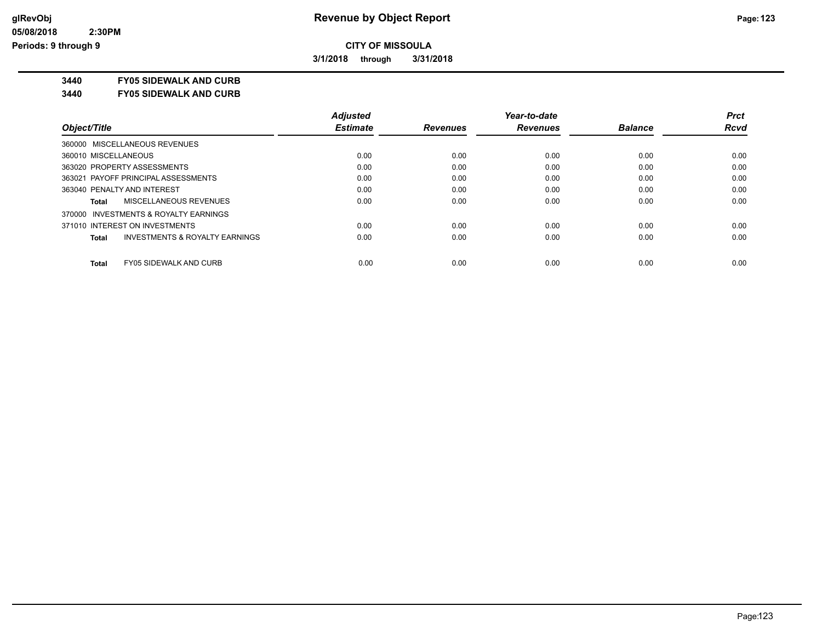**3/1/2018 through 3/31/2018**

**3440 FY05 SIDEWALK AND CURB**

**3440 FY05 SIDEWALK AND CURB**

|                                                           | <b>Adjusted</b> |                 | Year-to-date    |                | <b>Prct</b> |
|-----------------------------------------------------------|-----------------|-----------------|-----------------|----------------|-------------|
| Object/Title                                              | <b>Estimate</b> | <b>Revenues</b> | <b>Revenues</b> | <b>Balance</b> | <b>Rcvd</b> |
| 360000 MISCELLANEOUS REVENUES                             |                 |                 |                 |                |             |
| 360010 MISCELLANEOUS                                      | 0.00            | 0.00            | 0.00            | 0.00           | 0.00        |
| 363020 PROPERTY ASSESSMENTS                               | 0.00            | 0.00            | 0.00            | 0.00           | 0.00        |
| 363021 PAYOFF PRINCIPAL ASSESSMENTS                       | 0.00            | 0.00            | 0.00            | 0.00           | 0.00        |
| 363040 PENALTY AND INTEREST                               | 0.00            | 0.00            | 0.00            | 0.00           | 0.00        |
| <b>MISCELLANEOUS REVENUES</b><br>Total                    | 0.00            | 0.00            | 0.00            | 0.00           | 0.00        |
| 370000 INVESTMENTS & ROYALTY EARNINGS                     |                 |                 |                 |                |             |
| 371010 INTEREST ON INVESTMENTS                            | 0.00            | 0.00            | 0.00            | 0.00           | 0.00        |
| <b>INVESTMENTS &amp; ROYALTY EARNINGS</b><br><b>Total</b> | 0.00            | 0.00            | 0.00            | 0.00           | 0.00        |
| <b>FY05 SIDEWALK AND CURB</b><br><b>Total</b>             | 0.00            | 0.00            | 0.00            | 0.00           | 0.00        |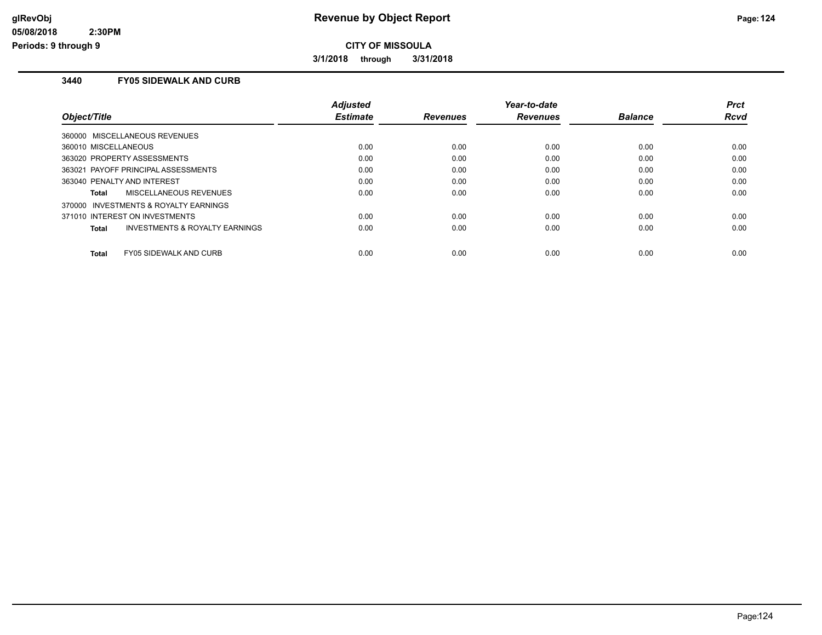**3/1/2018 through 3/31/2018**

### **3440 FY05 SIDEWALK AND CURB**

| Object/Title                                       | <b>Adjusted</b><br><b>Estimate</b> | <b>Revenues</b> | Year-to-date<br><b>Revenues</b> | <b>Balance</b> | <b>Prct</b><br><b>Rcvd</b> |
|----------------------------------------------------|------------------------------------|-----------------|---------------------------------|----------------|----------------------------|
| 360000 MISCELLANEOUS REVENUES                      |                                    |                 |                                 |                |                            |
| 360010 MISCELLANEOUS                               | 0.00                               | 0.00            | 0.00                            | 0.00           | 0.00                       |
| 363020 PROPERTY ASSESSMENTS                        | 0.00                               | 0.00            | 0.00                            | 0.00           | 0.00                       |
| 363021 PAYOFF PRINCIPAL ASSESSMENTS                | 0.00                               | 0.00            | 0.00                            | 0.00           | 0.00                       |
| 363040 PENALTY AND INTEREST                        | 0.00                               | 0.00            | 0.00                            | 0.00           | 0.00                       |
| MISCELLANEOUS REVENUES<br>Total                    | 0.00                               | 0.00            | 0.00                            | 0.00           | 0.00                       |
| 370000 INVESTMENTS & ROYALTY EARNINGS              |                                    |                 |                                 |                |                            |
| 371010 INTEREST ON INVESTMENTS                     | 0.00                               | 0.00            | 0.00                            | 0.00           | 0.00                       |
| <b>INVESTMENTS &amp; ROYALTY EARNINGS</b><br>Total | 0.00                               | 0.00            | 0.00                            | 0.00           | 0.00                       |
| <b>FY05 SIDEWALK AND CURB</b><br>Total             | 0.00                               | 0.00            | 0.00                            | 0.00           | 0.00                       |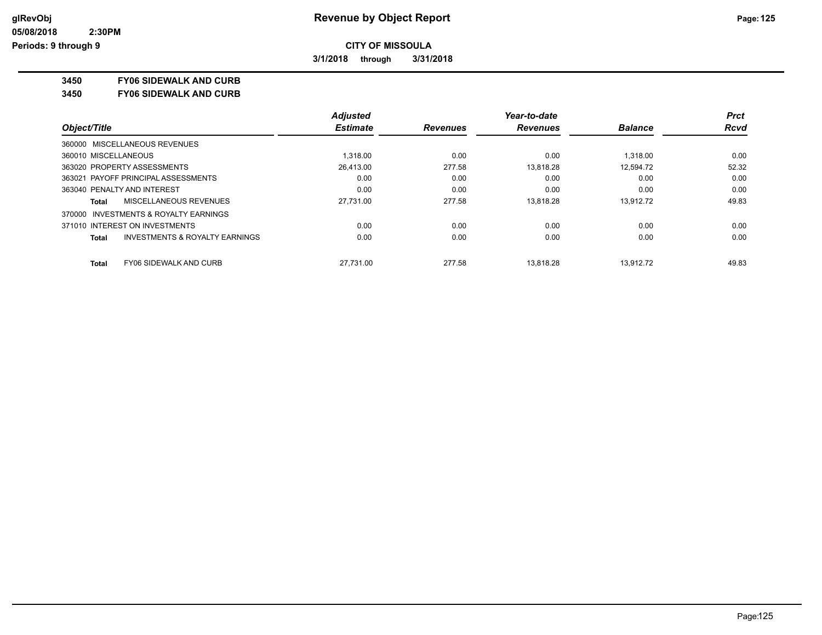**3/1/2018 through 3/31/2018**

**3450 FY06 SIDEWALK AND CURB**

**3450 FY06 SIDEWALK AND CURB**

|                                                           | <b>Adjusted</b> |                 | Year-to-date    |                | <b>Prct</b> |
|-----------------------------------------------------------|-----------------|-----------------|-----------------|----------------|-------------|
| Object/Title                                              | <b>Estimate</b> | <b>Revenues</b> | <b>Revenues</b> | <b>Balance</b> | <b>Rcvd</b> |
| 360000 MISCELLANEOUS REVENUES                             |                 |                 |                 |                |             |
| 360010 MISCELLANEOUS                                      | 1.318.00        | 0.00            | 0.00            | 1.318.00       | 0.00        |
| 363020 PROPERTY ASSESSMENTS                               | 26.413.00       | 277.58          | 13.818.28       | 12.594.72      | 52.32       |
| 363021 PAYOFF PRINCIPAL ASSESSMENTS                       | 0.00            | 0.00            | 0.00            | 0.00           | 0.00        |
| 363040 PENALTY AND INTEREST                               | 0.00            | 0.00            | 0.00            | 0.00           | 0.00        |
| MISCELLANEOUS REVENUES<br>Total                           | 27,731.00       | 277.58          | 13.818.28       | 13.912.72      | 49.83       |
| 370000 INVESTMENTS & ROYALTY EARNINGS                     |                 |                 |                 |                |             |
| 371010 INTEREST ON INVESTMENTS                            | 0.00            | 0.00            | 0.00            | 0.00           | 0.00        |
| <b>INVESTMENTS &amp; ROYALTY EARNINGS</b><br><b>Total</b> | 0.00            | 0.00            | 0.00            | 0.00           | 0.00        |
| <b>FY06 SIDEWALK AND CURB</b><br><b>Total</b>             | 27.731.00       | 277.58          | 13.818.28       | 13.912.72      | 49.83       |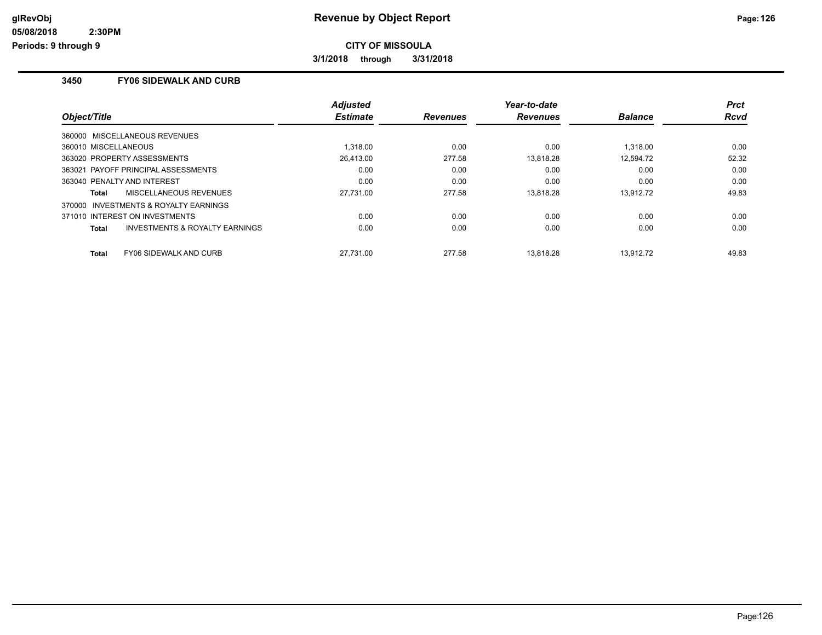**3/1/2018 through 3/31/2018**

### **3450 FY06 SIDEWALK AND CURB**

| Object/Title                                       | <b>Adjusted</b><br><b>Estimate</b> | <b>Revenues</b> | Year-to-date<br><b>Revenues</b> | <b>Balance</b> | <b>Prct</b><br><b>Rcvd</b> |
|----------------------------------------------------|------------------------------------|-----------------|---------------------------------|----------------|----------------------------|
| 360000 MISCELLANEOUS REVENUES                      |                                    |                 |                                 |                |                            |
| 360010 MISCELLANEOUS                               | 1,318.00                           | 0.00            | 0.00                            | 1.318.00       | 0.00                       |
| 363020 PROPERTY ASSESSMENTS                        | 26.413.00                          | 277.58          | 13.818.28                       | 12.594.72      | 52.32                      |
| 363021 PAYOFF PRINCIPAL ASSESSMENTS                | 0.00                               | 0.00            | 0.00                            | 0.00           | 0.00                       |
| 363040 PENALTY AND INTEREST                        | 0.00                               | 0.00            | 0.00                            | 0.00           | 0.00                       |
| MISCELLANEOUS REVENUES<br>Total                    | 27,731.00                          | 277.58          | 13.818.28                       | 13.912.72      | 49.83                      |
| 370000 INVESTMENTS & ROYALTY EARNINGS              |                                    |                 |                                 |                |                            |
| 371010 INTEREST ON INVESTMENTS                     | 0.00                               | 0.00            | 0.00                            | 0.00           | 0.00                       |
| <b>INVESTMENTS &amp; ROYALTY EARNINGS</b><br>Total | 0.00                               | 0.00            | 0.00                            | 0.00           | 0.00                       |
| <b>FY06 SIDEWALK AND CURB</b><br>Total             | 27.731.00                          | 277.58          | 13.818.28                       | 13.912.72      | 49.83                      |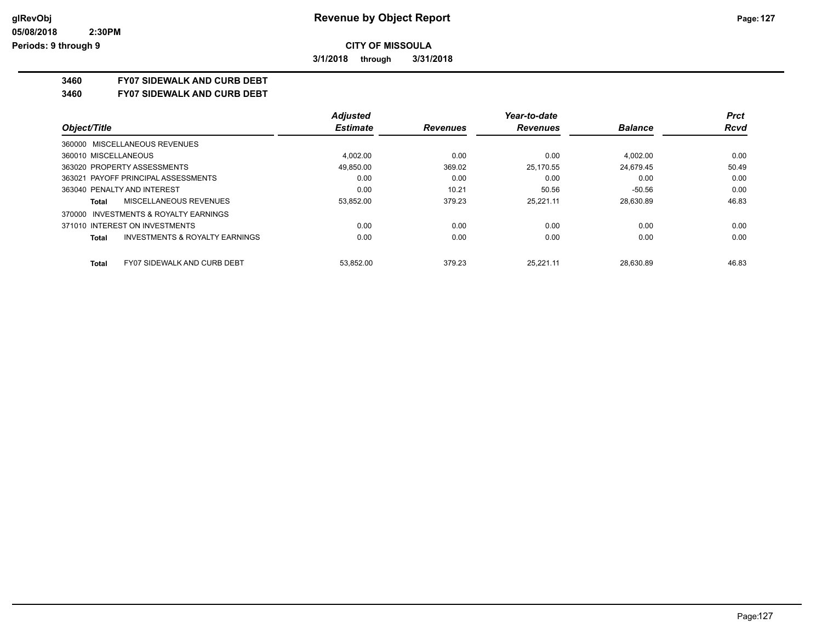**3/1/2018 through 3/31/2018**

### **3460 FY07 SIDEWALK AND CURB DEBT**

#### **3460 FY07 SIDEWALK AND CURB DEBT**

|                                                    | <b>Adjusted</b> |                 | Year-to-date    |                | <b>Prct</b> |
|----------------------------------------------------|-----------------|-----------------|-----------------|----------------|-------------|
| Object/Title                                       | <b>Estimate</b> | <b>Revenues</b> | <b>Revenues</b> | <b>Balance</b> | <b>Rcvd</b> |
| 360000 MISCELLANEOUS REVENUES                      |                 |                 |                 |                |             |
| 360010 MISCELLANEOUS                               | 4.002.00        | 0.00            | 0.00            | 4.002.00       | 0.00        |
| 363020 PROPERTY ASSESSMENTS                        | 49,850.00       | 369.02          | 25.170.55       | 24.679.45      | 50.49       |
| 363021 PAYOFF PRINCIPAL ASSESSMENTS                | 0.00            | 0.00            | 0.00            | 0.00           | 0.00        |
| 363040 PENALTY AND INTEREST                        | 0.00            | 10.21           | 50.56           | $-50.56$       | 0.00        |
| <b>MISCELLANEOUS REVENUES</b><br>Total             | 53,852.00       | 379.23          | 25,221.11       | 28,630.89      | 46.83       |
| 370000 INVESTMENTS & ROYALTY EARNINGS              |                 |                 |                 |                |             |
| 371010 INTEREST ON INVESTMENTS                     | 0.00            | 0.00            | 0.00            | 0.00           | 0.00        |
| <b>INVESTMENTS &amp; ROYALTY EARNINGS</b><br>Total | 0.00            | 0.00            | 0.00            | 0.00           | 0.00        |
| <b>FY07 SIDEWALK AND CURB DEBT</b><br>Total        | 53.852.00       | 379.23          | 25.221.11       | 28.630.89      | 46.83       |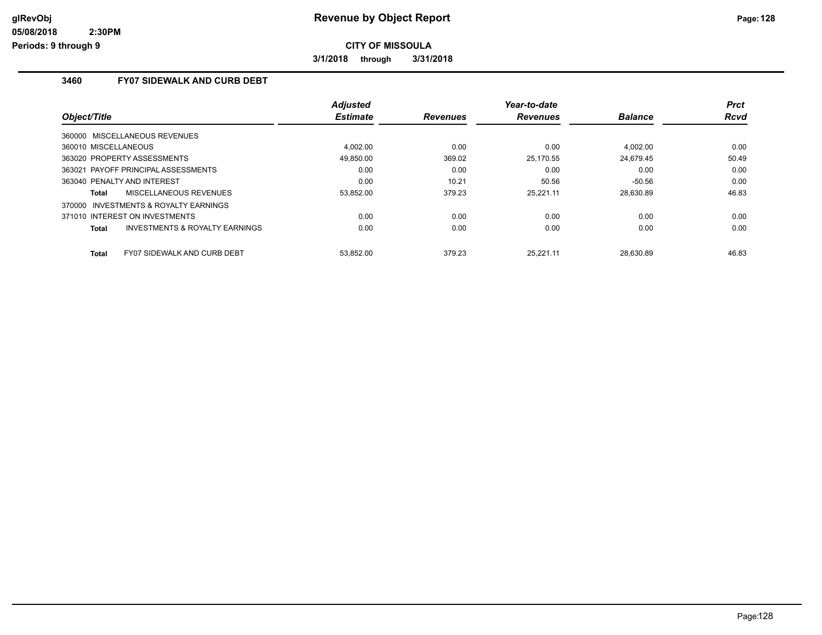**3/1/2018 through 3/31/2018**

### **3460 FY07 SIDEWALK AND CURB DEBT**

| Object/Title                        |                                           | <b>Adjusted</b><br><b>Estimate</b> | <b>Revenues</b> | Year-to-date<br><b>Revenues</b> | <b>Balance</b> | <b>Prct</b><br><b>Rcvd</b> |
|-------------------------------------|-------------------------------------------|------------------------------------|-----------------|---------------------------------|----------------|----------------------------|
| 360000 MISCELLANEOUS REVENUES       |                                           |                                    |                 |                                 |                |                            |
| 360010 MISCELLANEOUS                |                                           | 4,002.00                           | 0.00            | 0.00                            | 4,002.00       | 0.00                       |
| 363020 PROPERTY ASSESSMENTS         |                                           | 49.850.00                          | 369.02          | 25.170.55                       | 24.679.45      | 50.49                      |
| 363021 PAYOFF PRINCIPAL ASSESSMENTS |                                           | 0.00                               | 0.00            | 0.00                            | 0.00           | 0.00                       |
| 363040 PENALTY AND INTEREST         |                                           | 0.00                               | 10.21           | 50.56                           | $-50.56$       | 0.00                       |
| <b>Total</b>                        | MISCELLANEOUS REVENUES                    | 53,852.00                          | 379.23          | 25.221.11                       | 28.630.89      | 46.83                      |
| 370000                              | INVESTMENTS & ROYALTY EARNINGS            |                                    |                 |                                 |                |                            |
| 371010 INTEREST ON INVESTMENTS      |                                           | 0.00                               | 0.00            | 0.00                            | 0.00           | 0.00                       |
| <b>Total</b>                        | <b>INVESTMENTS &amp; ROYALTY EARNINGS</b> | 0.00                               | 0.00            | 0.00                            | 0.00           | 0.00                       |
| <b>Total</b>                        | <b>FY07 SIDEWALK AND CURB DEBT</b>        | 53.852.00                          | 379.23          | 25.221.11                       | 28.630.89      | 46.83                      |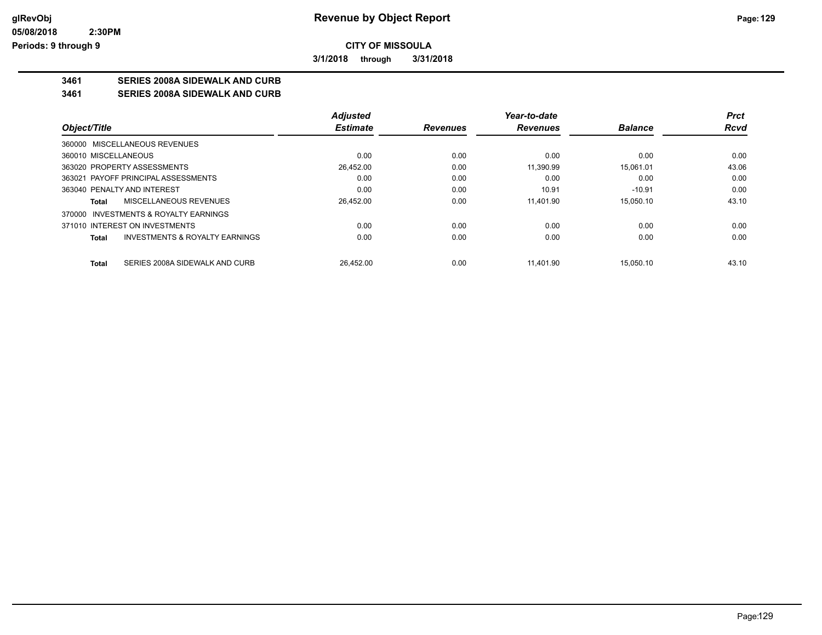**3/1/2018 through 3/31/2018**

### **3461 SERIES 2008A SIDEWALK AND CURB**

### **3461 SERIES 2008A SIDEWALK AND CURB**

|                                                    | <b>Adjusted</b> |                 | Year-to-date    |                | <b>Prct</b> |
|----------------------------------------------------|-----------------|-----------------|-----------------|----------------|-------------|
| Object/Title                                       | <b>Estimate</b> | <b>Revenues</b> | <b>Revenues</b> | <b>Balance</b> | <b>Rcvd</b> |
| 360000 MISCELLANEOUS REVENUES                      |                 |                 |                 |                |             |
| 360010 MISCELLANEOUS                               | 0.00            | 0.00            | 0.00            | 0.00           | 0.00        |
| 363020 PROPERTY ASSESSMENTS                        | 26,452.00       | 0.00            | 11.390.99       | 15.061.01      | 43.06       |
| 363021 PAYOFF PRINCIPAL ASSESSMENTS                | 0.00            | 0.00            | 0.00            | 0.00           | 0.00        |
| 363040 PENALTY AND INTEREST                        | 0.00            | 0.00            | 10.91           | $-10.91$       | 0.00        |
| MISCELLANEOUS REVENUES<br>Total                    | 26,452.00       | 0.00            | 11.401.90       | 15.050.10      | 43.10       |
| 370000 INVESTMENTS & ROYALTY EARNINGS              |                 |                 |                 |                |             |
| 371010 INTEREST ON INVESTMENTS                     | 0.00            | 0.00            | 0.00            | 0.00           | 0.00        |
| <b>INVESTMENTS &amp; ROYALTY EARNINGS</b><br>Total | 0.00            | 0.00            | 0.00            | 0.00           | 0.00        |
| SERIES 2008A SIDEWALK AND CURB<br>Total            | 26.452.00       | 0.00            | 11.401.90       | 15.050.10      | 43.10       |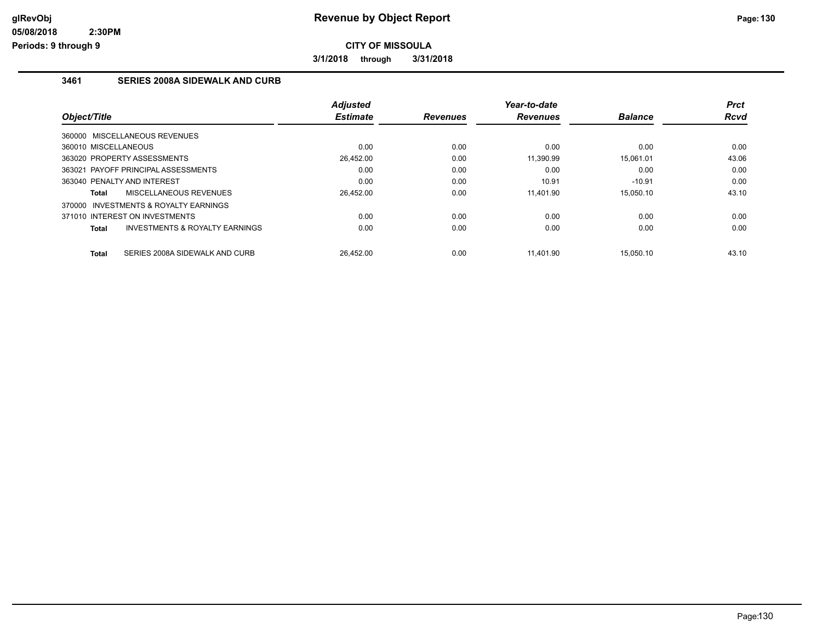**3/1/2018 through 3/31/2018**

### **3461 SERIES 2008A SIDEWALK AND CURB**

|                                                    | <b>Adjusted</b> |                 | Year-to-date    |                | <b>Prct</b> |
|----------------------------------------------------|-----------------|-----------------|-----------------|----------------|-------------|
| Object/Title                                       | <b>Estimate</b> | <b>Revenues</b> | <b>Revenues</b> | <b>Balance</b> | <b>Rcvd</b> |
| 360000 MISCELLANEOUS REVENUES                      |                 |                 |                 |                |             |
| 360010 MISCELLANEOUS                               | 0.00            | 0.00            | 0.00            | 0.00           | 0.00        |
| 363020 PROPERTY ASSESSMENTS                        | 26.452.00       | 0.00            | 11.390.99       | 15.061.01      | 43.06       |
| 363021 PAYOFF PRINCIPAL ASSESSMENTS                | 0.00            | 0.00            | 0.00            | 0.00           | 0.00        |
| 363040 PENALTY AND INTEREST                        | 0.00            | 0.00            | 10.91           | $-10.91$       | 0.00        |
| MISCELLANEOUS REVENUES<br>Total                    | 26.452.00       | 0.00            | 11.401.90       | 15.050.10      | 43.10       |
| INVESTMENTS & ROYALTY EARNINGS<br>370000           |                 |                 |                 |                |             |
| 371010 INTEREST ON INVESTMENTS                     | 0.00            | 0.00            | 0.00            | 0.00           | 0.00        |
| <b>INVESTMENTS &amp; ROYALTY EARNINGS</b><br>Total | 0.00            | 0.00            | 0.00            | 0.00           | 0.00        |
| SERIES 2008A SIDEWALK AND CURB<br>Total            | 26.452.00       | 0.00            | 11.401.90       | 15.050.10      | 43.10       |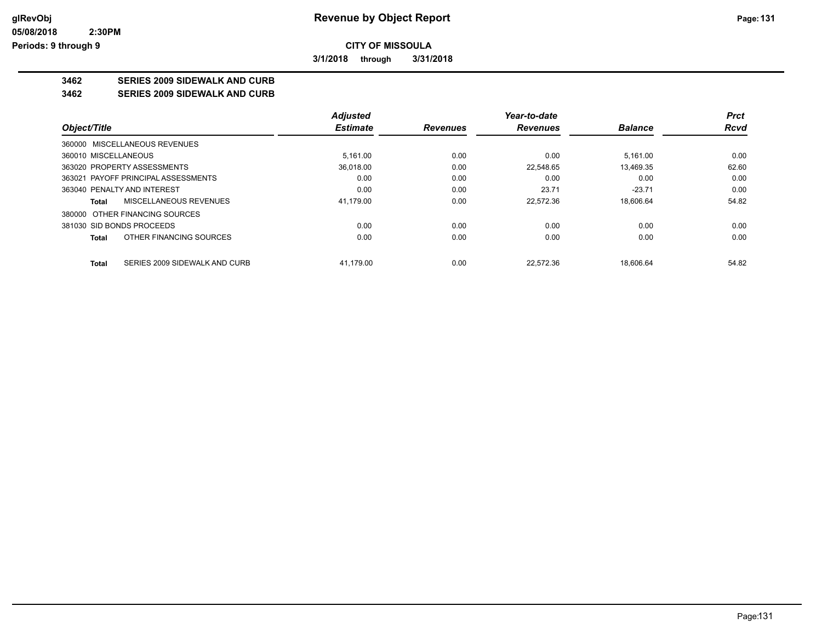**3/1/2018 through 3/31/2018**

### **3462 SERIES 2009 SIDEWALK AND CURB**

### **3462 SERIES 2009 SIDEWALK AND CURB**

|                                               | <b>Adjusted</b> |                 | Year-to-date    |                | <b>Prct</b> |
|-----------------------------------------------|-----------------|-----------------|-----------------|----------------|-------------|
| Object/Title                                  | <b>Estimate</b> | <b>Revenues</b> | <b>Revenues</b> | <b>Balance</b> | <b>Rcvd</b> |
| 360000 MISCELLANEOUS REVENUES                 |                 |                 |                 |                |             |
| 360010 MISCELLANEOUS                          | 5.161.00        | 0.00            | 0.00            | 5.161.00       | 0.00        |
| 363020 PROPERTY ASSESSMENTS                   | 36,018.00       | 0.00            | 22,548.65       | 13,469.35      | 62.60       |
| 363021 PAYOFF PRINCIPAL ASSESSMENTS           | 0.00            | 0.00            | 0.00            | 0.00           | 0.00        |
| 363040 PENALTY AND INTEREST                   | 0.00            | 0.00            | 23.71           | $-23.71$       | 0.00        |
| MISCELLANEOUS REVENUES<br>Total               | 41,179.00       | 0.00            | 22.572.36       | 18.606.64      | 54.82       |
| 380000 OTHER FINANCING SOURCES                |                 |                 |                 |                |             |
| 381030 SID BONDS PROCEEDS                     | 0.00            | 0.00            | 0.00            | 0.00           | 0.00        |
| OTHER FINANCING SOURCES<br>Total              | 0.00            | 0.00            | 0.00            | 0.00           | 0.00        |
| SERIES 2009 SIDEWALK AND CURB<br><b>Total</b> | 41.179.00       | 0.00            | 22.572.36       | 18.606.64      | 54.82       |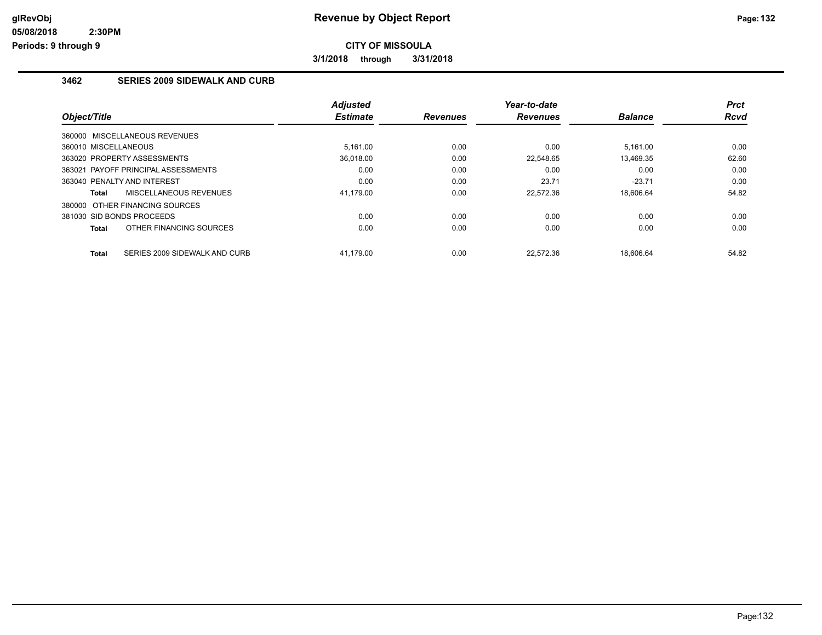**3/1/2018 through 3/31/2018**

### **3462 SERIES 2009 SIDEWALK AND CURB**

| Object/Title                  |                                     | <b>Adjusted</b><br><b>Estimate</b> | <b>Revenues</b> | Year-to-date<br><b>Revenues</b> | <b>Balance</b> | <b>Prct</b><br><b>Rcvd</b> |
|-------------------------------|-------------------------------------|------------------------------------|-----------------|---------------------------------|----------------|----------------------------|
| 360000 MISCELLANEOUS REVENUES |                                     |                                    |                 |                                 |                |                            |
| 360010 MISCELLANEOUS          |                                     | 5,161.00                           | 0.00            | 0.00                            | 5,161.00       | 0.00                       |
| 363020 PROPERTY ASSESSMENTS   |                                     | 36.018.00                          | 0.00            | 22.548.65                       | 13.469.35      | 62.60                      |
|                               | 363021 PAYOFF PRINCIPAL ASSESSMENTS | 0.00                               | 0.00            | 0.00                            | 0.00           | 0.00                       |
| 363040 PENALTY AND INTEREST   |                                     | 0.00                               | 0.00            | 23.71                           | $-23.71$       | 0.00                       |
| <b>Total</b>                  | MISCELLANEOUS REVENUES              | 41.179.00                          | 0.00            | 22.572.36                       | 18.606.64      | 54.82                      |
|                               | 380000 OTHER FINANCING SOURCES      |                                    |                 |                                 |                |                            |
| 381030 SID BONDS PROCEEDS     |                                     | 0.00                               | 0.00            | 0.00                            | 0.00           | 0.00                       |
| <b>Total</b>                  | OTHER FINANCING SOURCES             | 0.00                               | 0.00            | 0.00                            | 0.00           | 0.00                       |
| <b>Total</b>                  | SERIES 2009 SIDEWALK AND CURB       | 41.179.00                          | 0.00            | 22.572.36                       | 18.606.64      | 54.82                      |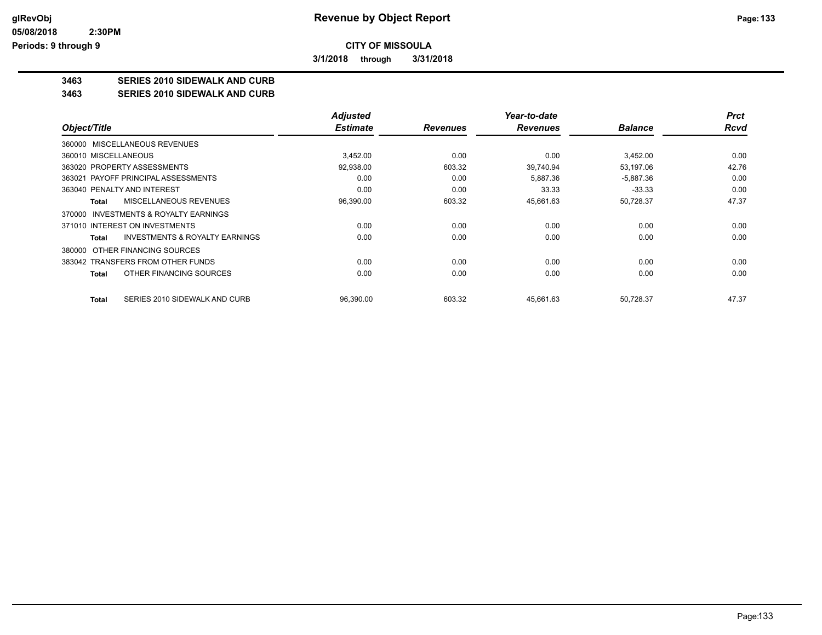**3/1/2018 through 3/31/2018**

### **3463 SERIES 2010 SIDEWALK AND CURB**

### **3463 SERIES 2010 SIDEWALK AND CURB**

|                                                    | <b>Adjusted</b> |                 | Year-to-date    |                | <b>Prct</b> |
|----------------------------------------------------|-----------------|-----------------|-----------------|----------------|-------------|
| Object/Title                                       | <b>Estimate</b> | <b>Revenues</b> | <b>Revenues</b> | <b>Balance</b> | <b>Rcvd</b> |
| MISCELLANEOUS REVENUES<br>360000                   |                 |                 |                 |                |             |
| 360010 MISCELLANEOUS                               | 3,452.00        | 0.00            | 0.00            | 3,452.00       | 0.00        |
| 363020 PROPERTY ASSESSMENTS                        | 92,938.00       | 603.32          | 39.740.94       | 53,197.06      | 42.76       |
| 363021 PAYOFF PRINCIPAL ASSESSMENTS                | 0.00            | 0.00            | 5,887.36        | $-5,887.36$    | 0.00        |
| 363040 PENALTY AND INTEREST                        | 0.00            | 0.00            | 33.33           | $-33.33$       | 0.00        |
| MISCELLANEOUS REVENUES<br>Total                    | 96,390.00       | 603.32          | 45,661.63       | 50,728.37      | 47.37       |
| INVESTMENTS & ROYALTY EARNINGS<br>370000           |                 |                 |                 |                |             |
| 371010 INTEREST ON INVESTMENTS                     | 0.00            | 0.00            | 0.00            | 0.00           | 0.00        |
| <b>INVESTMENTS &amp; ROYALTY EARNINGS</b><br>Total | 0.00            | 0.00            | 0.00            | 0.00           | 0.00        |
| OTHER FINANCING SOURCES<br>380000                  |                 |                 |                 |                |             |
| 383042 TRANSFERS FROM OTHER FUNDS                  | 0.00            | 0.00            | 0.00            | 0.00           | 0.00        |
| OTHER FINANCING SOURCES<br><b>Total</b>            | 0.00            | 0.00            | 0.00            | 0.00           | 0.00        |
| SERIES 2010 SIDEWALK AND CURB<br><b>Total</b>      | 96,390.00       | 603.32          | 45,661.63       | 50,728.37      | 47.37       |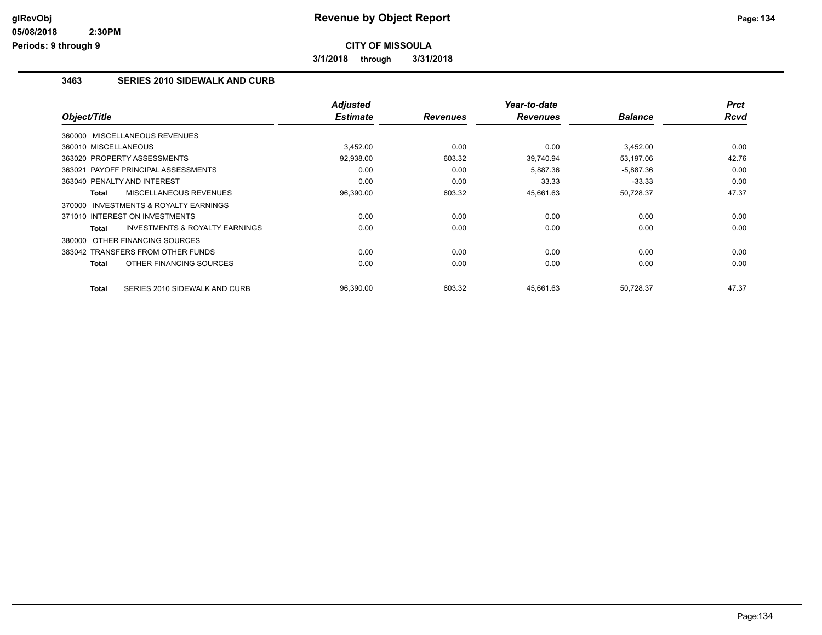**3/1/2018 through 3/31/2018**

### **3463 SERIES 2010 SIDEWALK AND CURB**

|                                                     | <b>Adjusted</b> |                 | Year-to-date    |                | <b>Prct</b> |
|-----------------------------------------------------|-----------------|-----------------|-----------------|----------------|-------------|
| Object/Title                                        | <b>Estimate</b> | <b>Revenues</b> | <b>Revenues</b> | <b>Balance</b> | Rcvd        |
| 360000 MISCELLANEOUS REVENUES                       |                 |                 |                 |                |             |
| 360010 MISCELLANEOUS                                | 3,452.00        | 0.00            | 0.00            | 3,452.00       | 0.00        |
| 363020 PROPERTY ASSESSMENTS                         | 92,938.00       | 603.32          | 39.740.94       | 53.197.06      | 42.76       |
| 363021 PAYOFF PRINCIPAL ASSESSMENTS                 | 0.00            | 0.00            | 5.887.36        | $-5.887.36$    | 0.00        |
| 363040 PENALTY AND INTEREST                         | 0.00            | 0.00            | 33.33           | $-33.33$       | 0.00        |
| <b>MISCELLANEOUS REVENUES</b><br>Total              | 96,390.00       | 603.32          | 45,661.63       | 50,728.37      | 47.37       |
| <b>INVESTMENTS &amp; ROYALTY EARNINGS</b><br>370000 |                 |                 |                 |                |             |
| 371010 INTEREST ON INVESTMENTS                      | 0.00            | 0.00            | 0.00            | 0.00           | 0.00        |
| <b>INVESTMENTS &amp; ROYALTY EARNINGS</b><br>Total  | 0.00            | 0.00            | 0.00            | 0.00           | 0.00        |
| 380000 OTHER FINANCING SOURCES                      |                 |                 |                 |                |             |
| 383042 TRANSFERS FROM OTHER FUNDS                   | 0.00            | 0.00            | 0.00            | 0.00           | 0.00        |
| OTHER FINANCING SOURCES<br>Total                    | 0.00            | 0.00            | 0.00            | 0.00           | 0.00        |
| SERIES 2010 SIDEWALK AND CURB<br>Total              | 96,390.00       | 603.32          | 45,661.63       | 50,728.37      | 47.37       |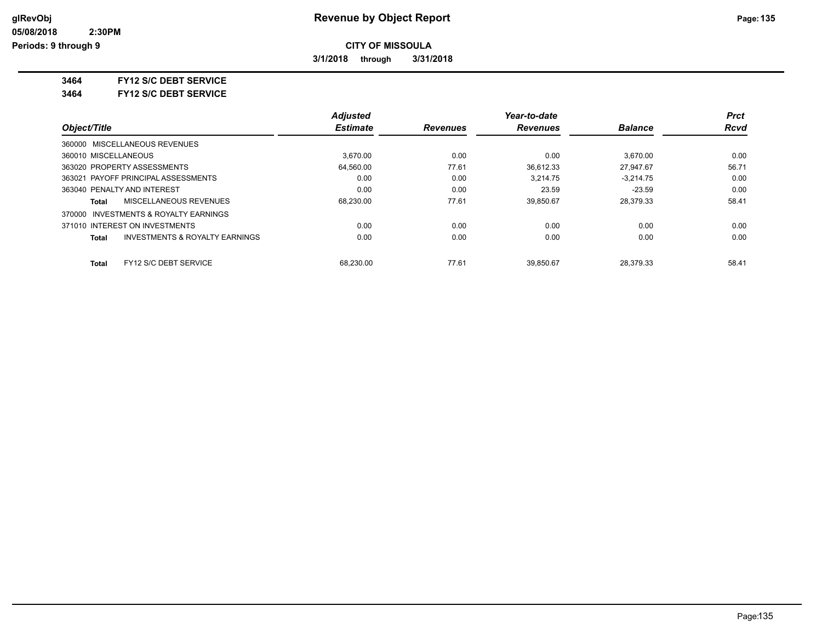**3/1/2018 through 3/31/2018**

**3464 FY12 S/C DEBT SERVICE**

**3464 FY12 S/C DEBT SERVICE**

|                                                    | <b>Adjusted</b> |                 | Year-to-date    |                | <b>Prct</b> |
|----------------------------------------------------|-----------------|-----------------|-----------------|----------------|-------------|
| Object/Title                                       | <b>Estimate</b> | <b>Revenues</b> | <b>Revenues</b> | <b>Balance</b> | <b>Rcvd</b> |
| 360000 MISCELLANEOUS REVENUES                      |                 |                 |                 |                |             |
| 360010 MISCELLANEOUS                               | 3.670.00        | 0.00            | 0.00            | 3.670.00       | 0.00        |
| 363020 PROPERTY ASSESSMENTS                        | 64,560.00       | 77.61           | 36.612.33       | 27.947.67      | 56.71       |
| 363021 PAYOFF PRINCIPAL ASSESSMENTS                | 0.00            | 0.00            | 3.214.75        | $-3.214.75$    | 0.00        |
| 363040 PENALTY AND INTEREST                        | 0.00            | 0.00            | 23.59           | $-23.59$       | 0.00        |
| MISCELLANEOUS REVENUES<br>Total                    | 68,230.00       | 77.61           | 39,850.67       | 28.379.33      | 58.41       |
| 370000 INVESTMENTS & ROYALTY EARNINGS              |                 |                 |                 |                |             |
| 371010 INTEREST ON INVESTMENTS                     | 0.00            | 0.00            | 0.00            | 0.00           | 0.00        |
| <b>INVESTMENTS &amp; ROYALTY EARNINGS</b><br>Total | 0.00            | 0.00            | 0.00            | 0.00           | 0.00        |
| FY12 S/C DEBT SERVICE<br><b>Total</b>              | 68.230.00       | 77.61           | 39.850.67       | 28.379.33      | 58.41       |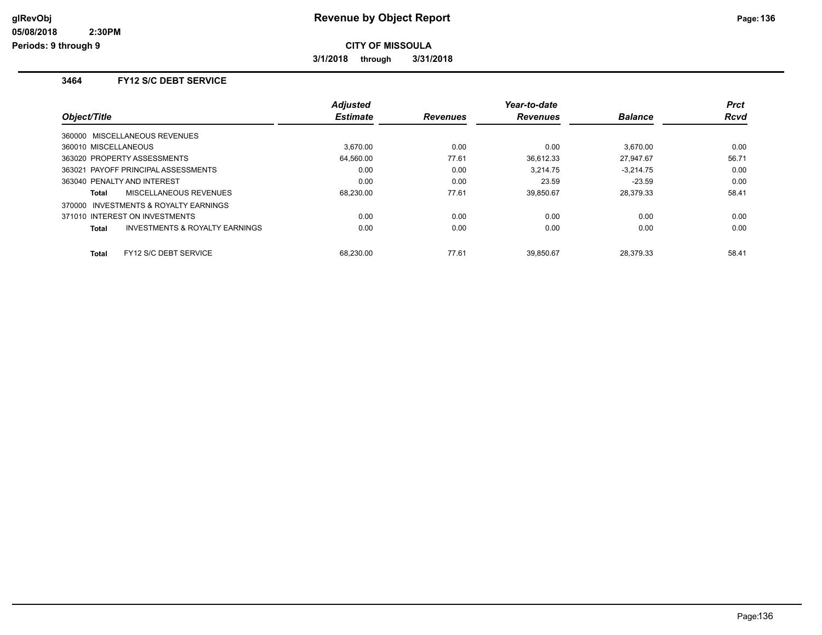**3/1/2018 through 3/31/2018**

### **3464 FY12 S/C DEBT SERVICE**

| Object/Title                                       | <b>Adjusted</b><br><b>Estimate</b> | <b>Revenues</b> | Year-to-date<br><b>Revenues</b> | <b>Balance</b> | <b>Prct</b><br><b>Rcvd</b> |
|----------------------------------------------------|------------------------------------|-----------------|---------------------------------|----------------|----------------------------|
| 360000 MISCELLANEOUS REVENUES                      |                                    |                 |                                 |                |                            |
| 360010 MISCELLANEOUS                               | 3.670.00                           | 0.00            | 0.00                            | 3.670.00       | 0.00                       |
| 363020 PROPERTY ASSESSMENTS                        | 64.560.00                          | 77.61           | 36.612.33                       | 27.947.67      | 56.71                      |
| 363021 PAYOFF PRINCIPAL ASSESSMENTS                | 0.00                               | 0.00            | 3.214.75                        | $-3.214.75$    | 0.00                       |
| 363040 PENALTY AND INTEREST                        | 0.00                               | 0.00            | 23.59                           | $-23.59$       | 0.00                       |
| MISCELLANEOUS REVENUES<br>Total                    | 68,230.00                          | 77.61           | 39.850.67                       | 28.379.33      | 58.41                      |
| 370000 INVESTMENTS & ROYALTY EARNINGS              |                                    |                 |                                 |                |                            |
| 371010 INTEREST ON INVESTMENTS                     | 0.00                               | 0.00            | 0.00                            | 0.00           | 0.00                       |
| <b>INVESTMENTS &amp; ROYALTY EARNINGS</b><br>Total | 0.00                               | 0.00            | 0.00                            | 0.00           | 0.00                       |
| FY12 S/C DEBT SERVICE<br>Total                     | 68.230.00                          | 77.61           | 39.850.67                       | 28.379.33      | 58.41                      |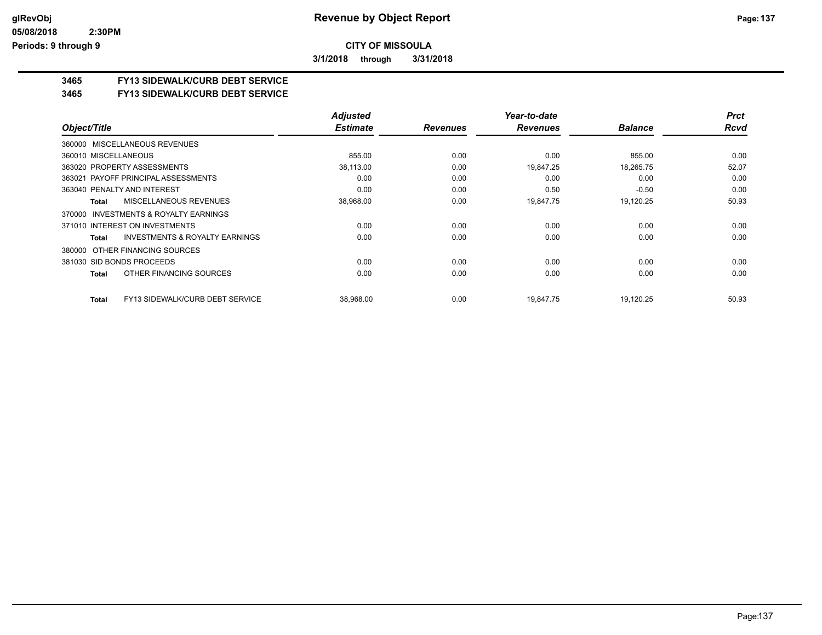**3/1/2018 through 3/31/2018**

### **3465 FY13 SIDEWALK/CURB DEBT SERVICE**

### **3465 FY13 SIDEWALK/CURB DEBT SERVICE**

|                                                    | <b>Adjusted</b> |                 | Year-to-date    |                | <b>Prct</b> |
|----------------------------------------------------|-----------------|-----------------|-----------------|----------------|-------------|
| Object/Title                                       | <b>Estimate</b> | <b>Revenues</b> | <b>Revenues</b> | <b>Balance</b> | <b>Rcvd</b> |
| MISCELLANEOUS REVENUES<br>360000                   |                 |                 |                 |                |             |
| 360010 MISCELLANEOUS                               | 855.00          | 0.00            | 0.00            | 855.00         | 0.00        |
| 363020 PROPERTY ASSESSMENTS                        | 38,113.00       | 0.00            | 19.847.25       | 18,265.75      | 52.07       |
| 363021 PAYOFF PRINCIPAL ASSESSMENTS                | 0.00            | 0.00            | 0.00            | 0.00           | 0.00        |
| 363040 PENALTY AND INTEREST                        | 0.00            | 0.00            | 0.50            | $-0.50$        | 0.00        |
| MISCELLANEOUS REVENUES<br>Total                    | 38,968.00       | 0.00            | 19,847.75       | 19,120.25      | 50.93       |
| INVESTMENTS & ROYALTY EARNINGS<br>370000           |                 |                 |                 |                |             |
| 371010 INTEREST ON INVESTMENTS                     | 0.00            | 0.00            | 0.00            | 0.00           | 0.00        |
| <b>INVESTMENTS &amp; ROYALTY EARNINGS</b><br>Total | 0.00            | 0.00            | 0.00            | 0.00           | 0.00        |
| OTHER FINANCING SOURCES<br>380000                  |                 |                 |                 |                |             |
| 381030 SID BONDS PROCEEDS                          | 0.00            | 0.00            | 0.00            | 0.00           | 0.00        |
| OTHER FINANCING SOURCES<br>Total                   | 0.00            | 0.00            | 0.00            | 0.00           | 0.00        |
| FY13 SIDEWALK/CURB DEBT SERVICE<br><b>Total</b>    | 38,968.00       | 0.00            | 19.847.75       | 19,120.25      | 50.93       |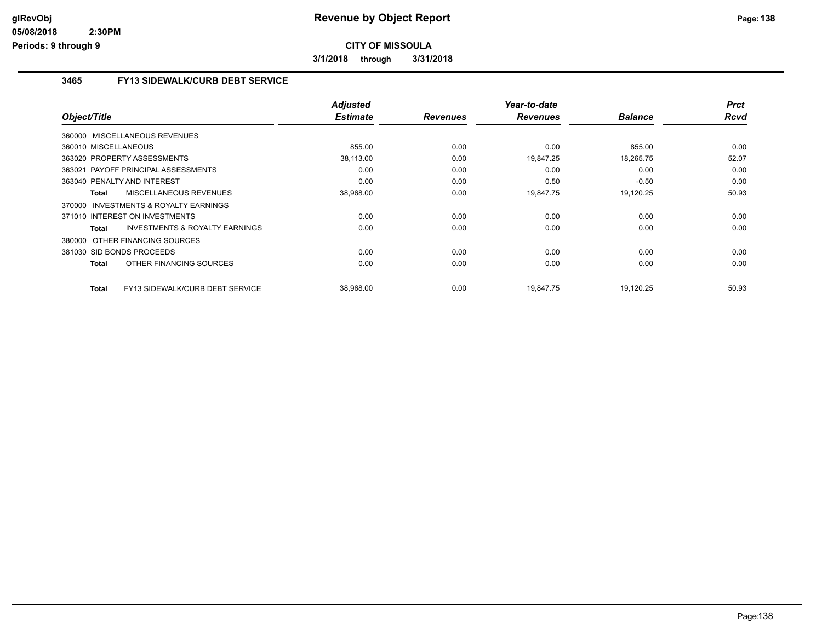**3/1/2018 through 3/31/2018**

### **3465 FY13 SIDEWALK/CURB DEBT SERVICE**

| Object/Title                                       | <b>Adjusted</b><br><b>Estimate</b> | <b>Revenues</b> | Year-to-date<br><b>Revenues</b> | <b>Balance</b> | <b>Prct</b><br>Rcvd |
|----------------------------------------------------|------------------------------------|-----------------|---------------------------------|----------------|---------------------|
| 360000 MISCELLANEOUS REVENUES                      |                                    |                 |                                 |                |                     |
| 360010 MISCELLANEOUS                               | 855.00                             | 0.00            | 0.00                            | 855.00         | 0.00                |
| 363020 PROPERTY ASSESSMENTS                        | 38,113.00                          | 0.00            | 19,847.25                       | 18,265.75      | 52.07               |
| 363021 PAYOFF PRINCIPAL ASSESSMENTS                | 0.00                               | 0.00            | 0.00                            | 0.00           | 0.00                |
| 363040 PENALTY AND INTEREST                        | 0.00                               | 0.00            | 0.50                            | $-0.50$        | 0.00                |
| MISCELLANEOUS REVENUES<br>Total                    | 38,968.00                          | 0.00            | 19,847.75                       | 19,120.25      | 50.93               |
| 370000 INVESTMENTS & ROYALTY EARNINGS              |                                    |                 |                                 |                |                     |
| 371010 INTEREST ON INVESTMENTS                     | 0.00                               | 0.00            | 0.00                            | 0.00           | 0.00                |
| <b>INVESTMENTS &amp; ROYALTY EARNINGS</b><br>Total | 0.00                               | 0.00            | 0.00                            | 0.00           | 0.00                |
| 380000 OTHER FINANCING SOURCES                     |                                    |                 |                                 |                |                     |
| 381030 SID BONDS PROCEEDS                          | 0.00                               | 0.00            | 0.00                            | 0.00           | 0.00                |
| OTHER FINANCING SOURCES<br><b>Total</b>            | 0.00                               | 0.00            | 0.00                            | 0.00           | 0.00                |
|                                                    |                                    |                 |                                 |                |                     |
| FY13 SIDEWALK/CURB DEBT SERVICE<br>Total           | 38,968.00                          | 0.00            | 19,847.75                       | 19,120.25      | 50.93               |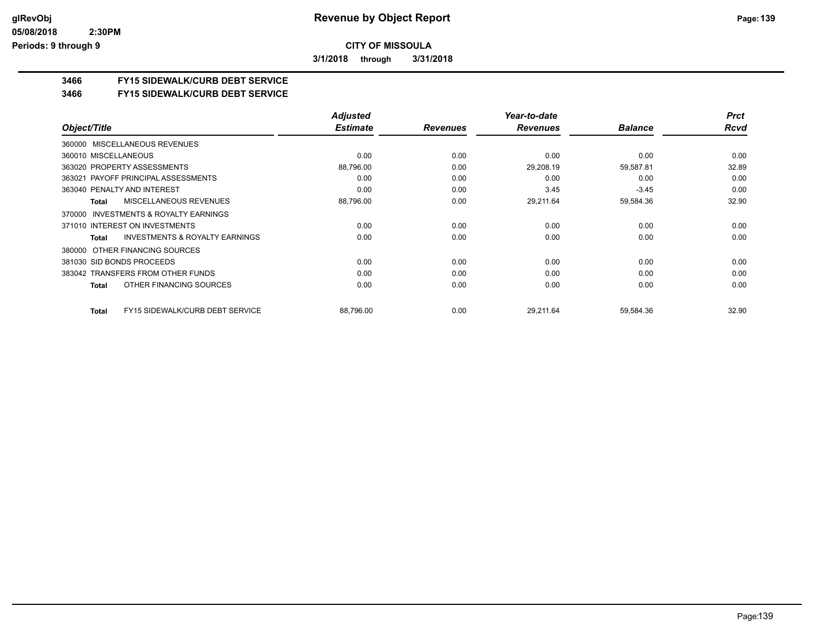**3/1/2018 through 3/31/2018**

### **3466 FY15 SIDEWALK/CURB DEBT SERVICE**

### **3466 FY15 SIDEWALK/CURB DEBT SERVICE**

|                                                     | <b>Adjusted</b> |                 | Year-to-date    |                | <b>Prct</b> |
|-----------------------------------------------------|-----------------|-----------------|-----------------|----------------|-------------|
| Object/Title                                        | <b>Estimate</b> | <b>Revenues</b> | <b>Revenues</b> | <b>Balance</b> | <b>Rcvd</b> |
| MISCELLANEOUS REVENUES<br>360000                    |                 |                 |                 |                |             |
| 360010 MISCELLANEOUS                                | 0.00            | 0.00            | 0.00            | 0.00           | 0.00        |
| 363020 PROPERTY ASSESSMENTS                         | 88,796.00       | 0.00            | 29,208.19       | 59,587.81      | 32.89       |
| 363021 PAYOFF PRINCIPAL ASSESSMENTS                 | 0.00            | 0.00            | 0.00            | 0.00           | 0.00        |
| 363040 PENALTY AND INTEREST                         | 0.00            | 0.00            | 3.45            | $-3.45$        | 0.00        |
| <b>MISCELLANEOUS REVENUES</b><br><b>Total</b>       | 88,796.00       | 0.00            | 29,211.64       | 59,584.36      | 32.90       |
| <b>INVESTMENTS &amp; ROYALTY EARNINGS</b><br>370000 |                 |                 |                 |                |             |
| 371010 INTEREST ON INVESTMENTS                      | 0.00            | 0.00            | 0.00            | 0.00           | 0.00        |
| <b>INVESTMENTS &amp; ROYALTY EARNINGS</b><br>Total  | 0.00            | 0.00            | 0.00            | 0.00           | 0.00        |
| OTHER FINANCING SOURCES<br>380000                   |                 |                 |                 |                |             |
| 381030 SID BONDS PROCEEDS                           | 0.00            | 0.00            | 0.00            | 0.00           | 0.00        |
| 383042 TRANSFERS FROM OTHER FUNDS                   | 0.00            | 0.00            | 0.00            | 0.00           | 0.00        |
| OTHER FINANCING SOURCES<br><b>Total</b>             | 0.00            | 0.00            | 0.00            | 0.00           | 0.00        |
| FY15 SIDEWALK/CURB DEBT SERVICE<br><b>Total</b>     | 88,796.00       | 0.00            | 29,211.64       | 59,584.36      | 32.90       |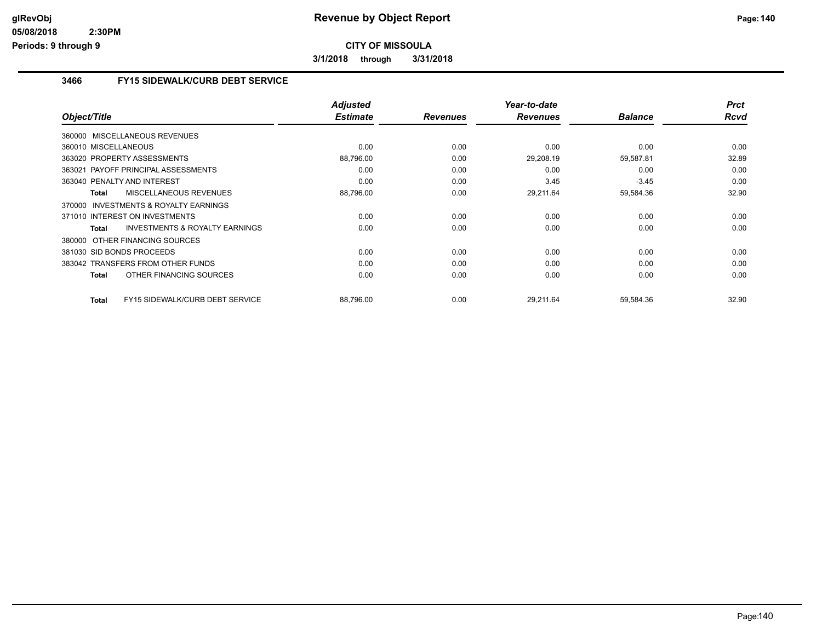**3/1/2018 through 3/31/2018**

### **3466 FY15 SIDEWALK/CURB DEBT SERVICE**

| Object/Title                                       | <b>Adjusted</b><br><b>Estimate</b> | <b>Revenues</b> | Year-to-date<br><b>Revenues</b> | <b>Balance</b> | <b>Prct</b><br><b>Rcvd</b> |
|----------------------------------------------------|------------------------------------|-----------------|---------------------------------|----------------|----------------------------|
|                                                    |                                    |                 |                                 |                |                            |
| 360000 MISCELLANEOUS REVENUES                      |                                    |                 |                                 |                |                            |
| 360010 MISCELLANEOUS                               | 0.00                               | 0.00            | 0.00                            | 0.00           | 0.00                       |
| 363020 PROPERTY ASSESSMENTS                        | 88,796.00                          | 0.00            | 29,208.19                       | 59,587.81      | 32.89                      |
| 363021 PAYOFF PRINCIPAL ASSESSMENTS                | 0.00                               | 0.00            | 0.00                            | 0.00           | 0.00                       |
| 363040 PENALTY AND INTEREST                        | 0.00                               | 0.00            | 3.45                            | $-3.45$        | 0.00                       |
| MISCELLANEOUS REVENUES<br>Total                    | 88,796.00                          | 0.00            | 29,211.64                       | 59,584.36      | 32.90                      |
| 370000 INVESTMENTS & ROYALTY EARNINGS              |                                    |                 |                                 |                |                            |
| 371010 INTEREST ON INVESTMENTS                     | 0.00                               | 0.00            | 0.00                            | 0.00           | 0.00                       |
| <b>INVESTMENTS &amp; ROYALTY EARNINGS</b><br>Total | 0.00                               | 0.00            | 0.00                            | 0.00           | 0.00                       |
| 380000 OTHER FINANCING SOURCES                     |                                    |                 |                                 |                |                            |
| 381030 SID BONDS PROCEEDS                          | 0.00                               | 0.00            | 0.00                            | 0.00           | 0.00                       |
| 383042 TRANSFERS FROM OTHER FUNDS                  | 0.00                               | 0.00            | 0.00                            | 0.00           | 0.00                       |
| OTHER FINANCING SOURCES<br>Total                   | 0.00                               | 0.00            | 0.00                            | 0.00           | 0.00                       |
| FY15 SIDEWALK/CURB DEBT SERVICE<br>Total           | 88.796.00                          | 0.00            | 29.211.64                       | 59,584.36      | 32.90                      |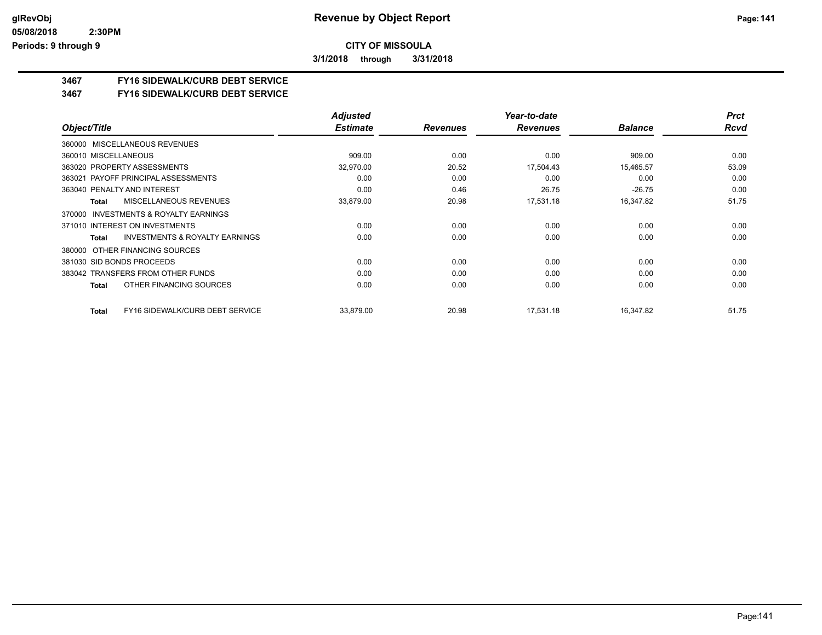**3/1/2018 through 3/31/2018**

### **3467 FY16 SIDEWALK/CURB DEBT SERVICE**

### **3467 FY16 SIDEWALK/CURB DEBT SERVICE**

|                                                     | <b>Adjusted</b> |                 | Year-to-date    |                | <b>Prct</b> |
|-----------------------------------------------------|-----------------|-----------------|-----------------|----------------|-------------|
| Object/Title                                        | <b>Estimate</b> | <b>Revenues</b> | <b>Revenues</b> | <b>Balance</b> | <b>Rcvd</b> |
| 360000 MISCELLANEOUS REVENUES                       |                 |                 |                 |                |             |
| 360010 MISCELLANEOUS                                | 909.00          | 0.00            | 0.00            | 909.00         | 0.00        |
| 363020 PROPERTY ASSESSMENTS                         | 32,970.00       | 20.52           | 17,504.43       | 15,465.57      | 53.09       |
| 363021 PAYOFF PRINCIPAL ASSESSMENTS                 | 0.00            | 0.00            | 0.00            | 0.00           | 0.00        |
| 363040 PENALTY AND INTEREST                         | 0.00            | 0.46            | 26.75           | $-26.75$       | 0.00        |
| <b>MISCELLANEOUS REVENUES</b><br>Total              | 33,879.00       | 20.98           | 17,531.18       | 16,347.82      | 51.75       |
| <b>INVESTMENTS &amp; ROYALTY EARNINGS</b><br>370000 |                 |                 |                 |                |             |
| 371010 INTEREST ON INVESTMENTS                      | 0.00            | 0.00            | 0.00            | 0.00           | 0.00        |
| <b>INVESTMENTS &amp; ROYALTY EARNINGS</b><br>Total  | 0.00            | 0.00            | 0.00            | 0.00           | 0.00        |
| OTHER FINANCING SOURCES<br>380000                   |                 |                 |                 |                |             |
| 381030 SID BONDS PROCEEDS                           | 0.00            | 0.00            | 0.00            | 0.00           | 0.00        |
| 383042 TRANSFERS FROM OTHER FUNDS                   | 0.00            | 0.00            | 0.00            | 0.00           | 0.00        |
| OTHER FINANCING SOURCES<br>Total                    | 0.00            | 0.00            | 0.00            | 0.00           | 0.00        |
| FY16 SIDEWALK/CURB DEBT SERVICE<br><b>Total</b>     | 33,879.00       | 20.98           | 17.531.18       | 16,347.82      | 51.75       |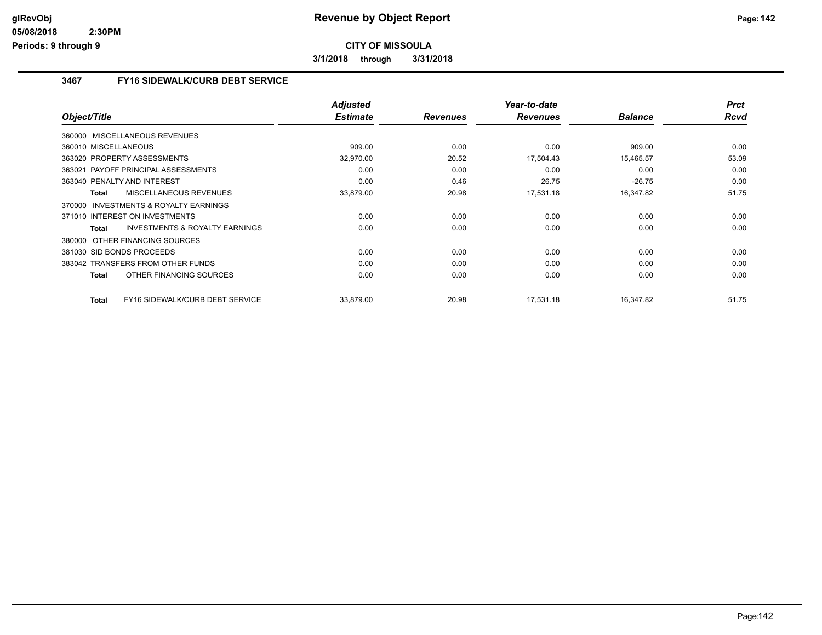**3/1/2018 through 3/31/2018**

### **3467 FY16 SIDEWALK/CURB DEBT SERVICE**

|                                                    | <b>Adjusted</b> |                 | Year-to-date    |                | <b>Prct</b> |
|----------------------------------------------------|-----------------|-----------------|-----------------|----------------|-------------|
| Object/Title                                       | <b>Estimate</b> | <b>Revenues</b> | <b>Revenues</b> | <b>Balance</b> | <b>Rcvd</b> |
| 360000 MISCELLANEOUS REVENUES                      |                 |                 |                 |                |             |
| 360010 MISCELLANEOUS                               | 909.00          | 0.00            | 0.00            | 909.00         | 0.00        |
| 363020 PROPERTY ASSESSMENTS                        | 32,970.00       | 20.52           | 17,504.43       | 15,465.57      | 53.09       |
| 363021 PAYOFF PRINCIPAL ASSESSMENTS                | 0.00            | 0.00            | 0.00            | 0.00           | 0.00        |
| 363040 PENALTY AND INTEREST                        | 0.00            | 0.46            | 26.75           | $-26.75$       | 0.00        |
| MISCELLANEOUS REVENUES<br>Total                    | 33,879.00       | 20.98           | 17,531.18       | 16,347.82      | 51.75       |
| 370000 INVESTMENTS & ROYALTY EARNINGS              |                 |                 |                 |                |             |
| 371010 INTEREST ON INVESTMENTS                     | 0.00            | 0.00            | 0.00            | 0.00           | 0.00        |
| <b>INVESTMENTS &amp; ROYALTY EARNINGS</b><br>Total | 0.00            | 0.00            | 0.00            | 0.00           | 0.00        |
| 380000 OTHER FINANCING SOURCES                     |                 |                 |                 |                |             |
| 381030 SID BONDS PROCEEDS                          | 0.00            | 0.00            | 0.00            | 0.00           | 0.00        |
| 383042 TRANSFERS FROM OTHER FUNDS                  | 0.00            | 0.00            | 0.00            | 0.00           | 0.00        |
| OTHER FINANCING SOURCES<br>Total                   | 0.00            | 0.00            | 0.00            | 0.00           | 0.00        |
| FY16 SIDEWALK/CURB DEBT SERVICE<br>Total           | 33,879.00       | 20.98           | 17.531.18       | 16.347.82      | 51.75       |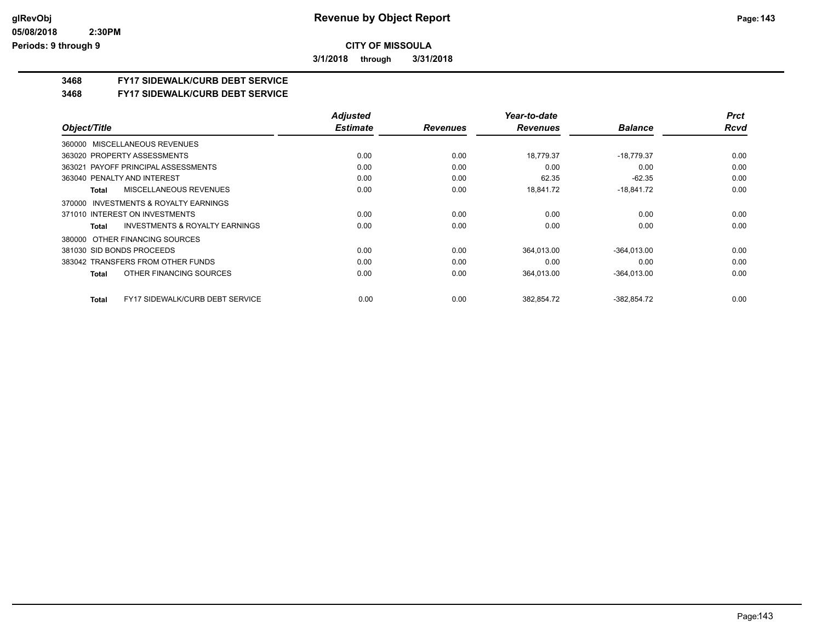**3/1/2018 through 3/31/2018**

### **3468 FY17 SIDEWALK/CURB DEBT SERVICE**

### **3468 FY17 SIDEWALK/CURB DEBT SERVICE**

|                                                           | <b>Adjusted</b> |                 | Year-to-date    |                | <b>Prct</b> |
|-----------------------------------------------------------|-----------------|-----------------|-----------------|----------------|-------------|
| Object/Title                                              | <b>Estimate</b> | <b>Revenues</b> | <b>Revenues</b> | <b>Balance</b> | <b>Rcvd</b> |
| 360000 MISCELLANEOUS REVENUES                             |                 |                 |                 |                |             |
| 363020 PROPERTY ASSESSMENTS                               | 0.00            | 0.00            | 18,779.37       | $-18,779.37$   | 0.00        |
| 363021 PAYOFF PRINCIPAL ASSESSMENTS                       | 0.00            | 0.00            | 0.00            | 0.00           | 0.00        |
| 363040 PENALTY AND INTEREST                               | 0.00            | 0.00            | 62.35           | $-62.35$       | 0.00        |
| MISCELLANEOUS REVENUES<br>Total                           | 0.00            | 0.00            | 18,841.72       | $-18,841.72$   | 0.00        |
| 370000 INVESTMENTS & ROYALTY EARNINGS                     |                 |                 |                 |                |             |
| 371010 INTEREST ON INVESTMENTS                            | 0.00            | 0.00            | 0.00            | 0.00           | 0.00        |
| <b>INVESTMENTS &amp; ROYALTY EARNINGS</b><br><b>Total</b> | 0.00            | 0.00            | 0.00            | 0.00           | 0.00        |
| 380000 OTHER FINANCING SOURCES                            |                 |                 |                 |                |             |
| 381030 SID BONDS PROCEEDS                                 | 0.00            | 0.00            | 364.013.00      | $-364.013.00$  | 0.00        |
| 383042 TRANSFERS FROM OTHER FUNDS                         | 0.00            | 0.00            | 0.00            | 0.00           | 0.00        |
| OTHER FINANCING SOURCES<br><b>Total</b>                   | 0.00            | 0.00            | 364,013.00      | $-364,013.00$  | 0.00        |
| FY17 SIDEWALK/CURB DEBT SERVICE<br>Total                  | 0.00            | 0.00            | 382.854.72      | $-382.854.72$  | 0.00        |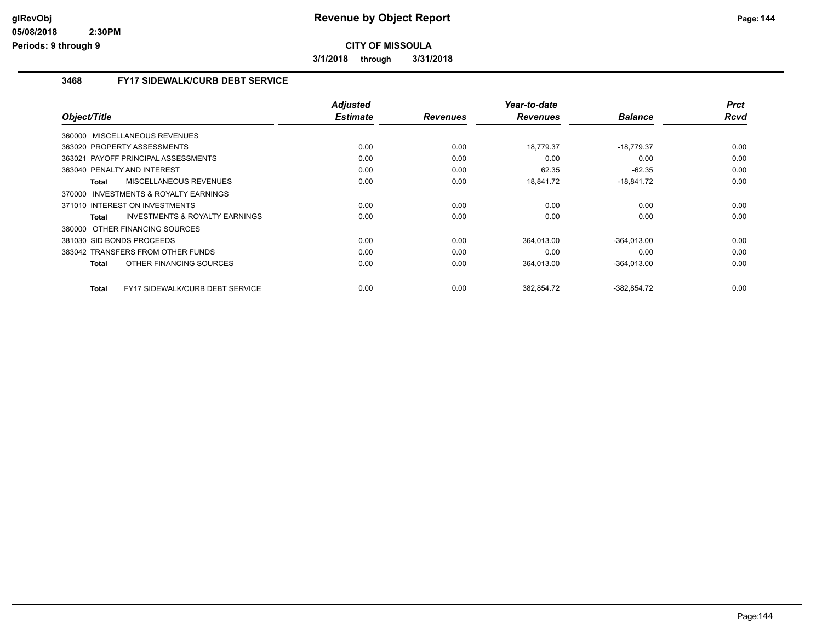**3/1/2018 through 3/31/2018**

### **3468 FY17 SIDEWALK/CURB DEBT SERVICE**

| Object/Title                                           | <b>Adjusted</b><br><b>Estimate</b> | <b>Revenues</b> | Year-to-date<br><b>Revenues</b> | <b>Balance</b> | <b>Prct</b><br>Rcvd |
|--------------------------------------------------------|------------------------------------|-----------------|---------------------------------|----------------|---------------------|
| 360000 MISCELLANEOUS REVENUES                          |                                    |                 |                                 |                |                     |
| 363020 PROPERTY ASSESSMENTS                            | 0.00                               | 0.00            | 18,779.37                       | $-18,779.37$   | 0.00                |
| 363021 PAYOFF PRINCIPAL ASSESSMENTS                    | 0.00                               | 0.00            | 0.00                            | 0.00           | 0.00                |
| 363040 PENALTY AND INTEREST                            | 0.00                               | 0.00            | 62.35                           | $-62.35$       | 0.00                |
| <b>MISCELLANEOUS REVENUES</b><br>Total                 | 0.00                               | 0.00            | 18.841.72                       | $-18,841.72$   | 0.00                |
| 370000 INVESTMENTS & ROYALTY EARNINGS                  |                                    |                 |                                 |                |                     |
| 371010 INTEREST ON INVESTMENTS                         | 0.00                               | 0.00            | 0.00                            | 0.00           | 0.00                |
| <b>INVESTMENTS &amp; ROYALTY EARNINGS</b><br>Total     | 0.00                               | 0.00            | 0.00                            | 0.00           | 0.00                |
| 380000 OTHER FINANCING SOURCES                         |                                    |                 |                                 |                |                     |
| 381030 SID BONDS PROCEEDS                              | 0.00                               | 0.00            | 364,013.00                      | $-364,013.00$  | 0.00                |
| 383042 TRANSFERS FROM OTHER FUNDS                      | 0.00                               | 0.00            | 0.00                            | 0.00           | 0.00                |
| OTHER FINANCING SOURCES<br>Total                       | 0.00                               | 0.00            | 364,013.00                      | $-364,013.00$  | 0.00                |
|                                                        |                                    |                 |                                 |                |                     |
| <b>FY17 SIDEWALK/CURB DEBT SERVICE</b><br><b>Total</b> | 0.00                               | 0.00            | 382,854.72                      | $-382.854.72$  | 0.00                |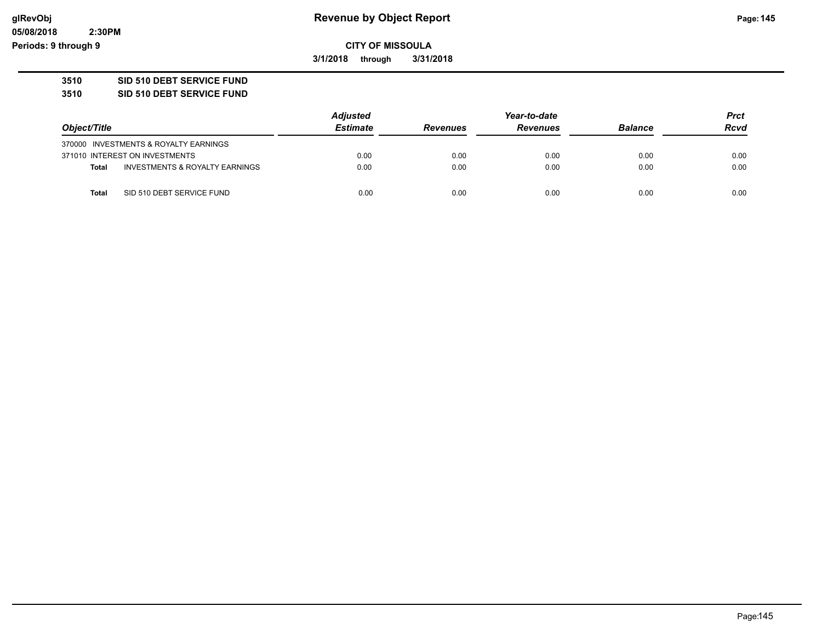**05/08/2018 2:30PM Periods: 9 through 9**

# **CITY OF MISSOULA**

**3/1/2018 through 3/31/2018**

# **3510 SID 510 DEBT SERVICE FUND**

**3510 SID 510 DEBT SERVICE FUND**

|              |                                           | <b>Adjusted</b> | Year-to-date    |                 |                | Prct |
|--------------|-------------------------------------------|-----------------|-----------------|-----------------|----------------|------|
| Object/Title |                                           | <b>Estimate</b> | <b>Revenues</b> | <b>Revenues</b> | <b>Balance</b> | Rcvd |
|              | 370000 INVESTMENTS & ROYALTY EARNINGS     |                 |                 |                 |                |      |
|              | 371010 INTEREST ON INVESTMENTS            | 0.00            | 0.00            | 0.00            | 0.00           | 0.00 |
| <b>Total</b> | <b>INVESTMENTS &amp; ROYALTY EARNINGS</b> | 0.00            | 0.00            | 0.00            | 0.00           | 0.00 |
| Total        | SID 510 DEBT SERVICE FUND                 | 0.00            | 0.00            | 0.00            | 0.00           | 0.00 |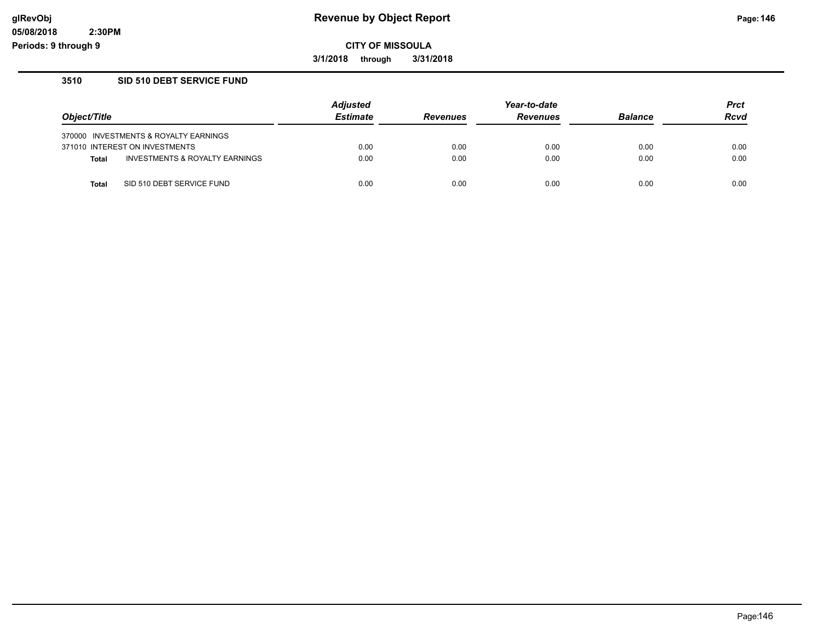**3/1/2018 through 3/31/2018**

## **3510 SID 510 DEBT SERVICE FUND**

|              |                                       | <b>Adjusted</b> |                 | Year-to-date    |                | <b>Prct</b> |
|--------------|---------------------------------------|-----------------|-----------------|-----------------|----------------|-------------|
| Object/Title |                                       | <b>Estimate</b> | <b>Revenues</b> | <b>Revenues</b> | <b>Balance</b> | Rcvd        |
|              | 370000 INVESTMENTS & ROYALTY EARNINGS |                 |                 |                 |                |             |
|              | 371010 INTEREST ON INVESTMENTS        | 0.00            | 0.00            | 0.00            | 0.00           | 0.00        |
| <b>Total</b> | INVESTMENTS & ROYALTY EARNINGS        | 0.00            | 0.00            | 0.00            | 0.00           | 0.00        |
|              |                                       |                 |                 |                 |                |             |
| Total        | SID 510 DEBT SERVICE FUND             | 0.00            | 0.00            | 0.00            | 0.00           | 0.00        |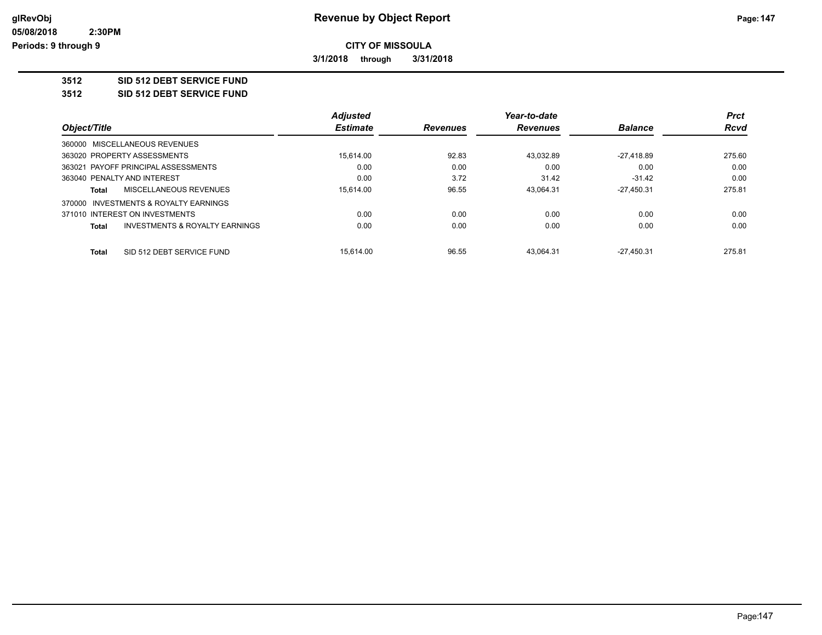**3/1/2018 through 3/31/2018**

**3512 SID 512 DEBT SERVICE FUND**

**3512 SID 512 DEBT SERVICE FUND**

|              |                                       | <b>Adjusted</b> |                 | Year-to-date    |                | <b>Prct</b> |
|--------------|---------------------------------------|-----------------|-----------------|-----------------|----------------|-------------|
| Object/Title |                                       | <b>Estimate</b> | <b>Revenues</b> | <b>Revenues</b> | <b>Balance</b> | Rcvd        |
|              | 360000 MISCELLANEOUS REVENUES         |                 |                 |                 |                |             |
|              | 363020 PROPERTY ASSESSMENTS           | 15.614.00       | 92.83           | 43,032.89       | $-27.418.89$   | 275.60      |
|              | 363021 PAYOFF PRINCIPAL ASSESSMENTS   | 0.00            | 0.00            | 0.00            | 0.00           | 0.00        |
|              | 363040 PENALTY AND INTEREST           | 0.00            | 3.72            | 31.42           | $-31.42$       | 0.00        |
| Total        | MISCELLANEOUS REVENUES                | 15.614.00       | 96.55           | 43.064.31       | $-27.450.31$   | 275.81      |
|              | 370000 INVESTMENTS & ROYALTY EARNINGS |                 |                 |                 |                |             |
|              | 371010 INTEREST ON INVESTMENTS        | 0.00            | 0.00            | 0.00            | 0.00           | 0.00        |
| <b>Total</b> | INVESTMENTS & ROYALTY EARNINGS        | 0.00            | 0.00            | 0.00            | 0.00           | 0.00        |
| <b>Total</b> | SID 512 DEBT SERVICE FUND             | 15.614.00       | 96.55           | 43.064.31       | $-27.450.31$   | 275.81      |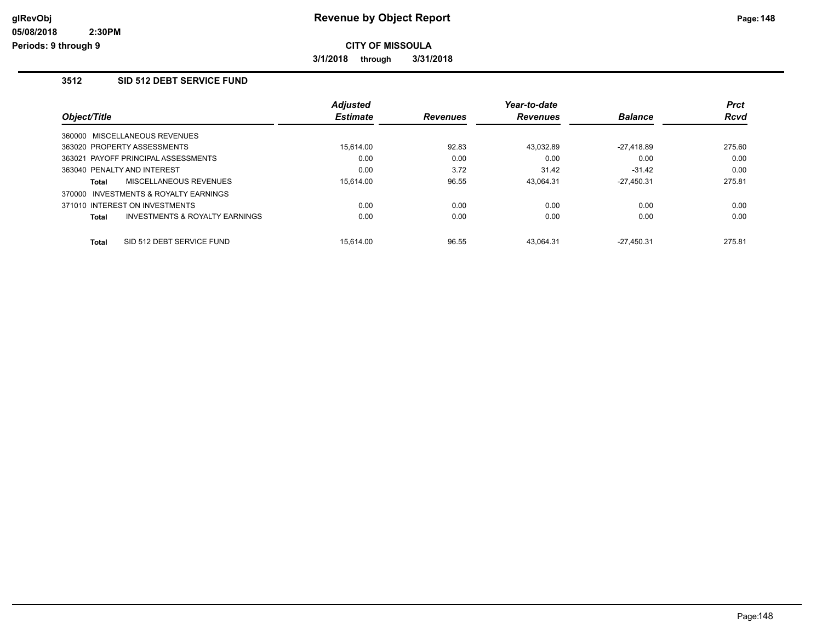**3/1/2018 through 3/31/2018**

#### **3512 SID 512 DEBT SERVICE FUND**

|              |                                     | <b>Adjusted</b> |                 | Year-to-date    |                | <b>Prct</b> |
|--------------|-------------------------------------|-----------------|-----------------|-----------------|----------------|-------------|
| Object/Title |                                     | <b>Estimate</b> | <b>Revenues</b> | <b>Revenues</b> | <b>Balance</b> | <b>Rcvd</b> |
|              | 360000 MISCELLANEOUS REVENUES       |                 |                 |                 |                |             |
|              | 363020 PROPERTY ASSESSMENTS         | 15.614.00       | 92.83           | 43.032.89       | $-27,418.89$   | 275.60      |
|              | 363021 PAYOFF PRINCIPAL ASSESSMENTS | 0.00            | 0.00            | 0.00            | 0.00           | 0.00        |
|              | 363040 PENALTY AND INTEREST         | 0.00            | 3.72            | 31.42           | $-31.42$       | 0.00        |
| Total        | MISCELLANEOUS REVENUES              | 15.614.00       | 96.55           | 43.064.31       | $-27.450.31$   | 275.81      |
| 370000       | INVESTMENTS & ROYALTY EARNINGS      |                 |                 |                 |                |             |
|              | 371010 INTEREST ON INVESTMENTS      | 0.00            | 0.00            | 0.00            | 0.00           | 0.00        |
| <b>Total</b> | INVESTMENTS & ROYALTY EARNINGS      | 0.00            | 0.00            | 0.00            | 0.00           | 0.00        |
| <b>Total</b> | SID 512 DEBT SERVICE FUND           | 15.614.00       | 96.55           | 43.064.31       | $-27.450.31$   | 275.81      |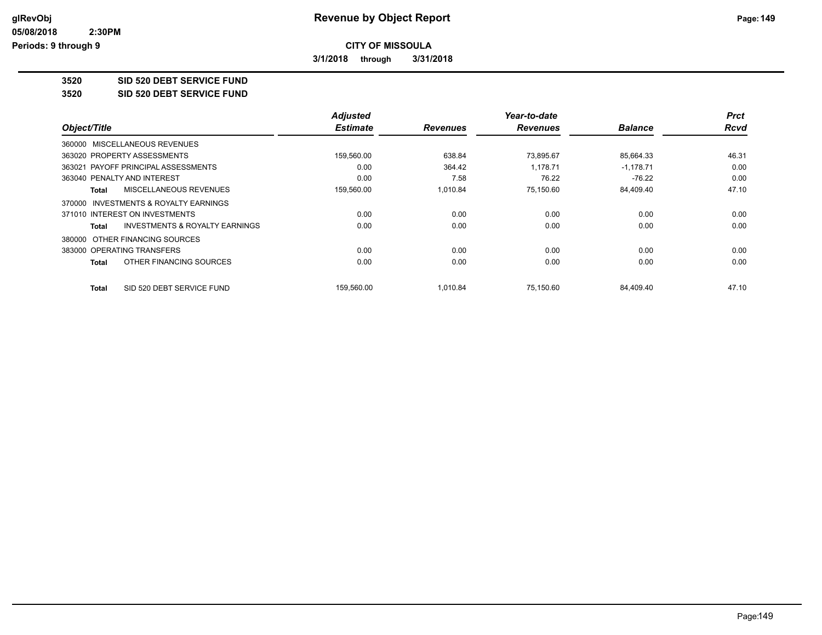**3/1/2018 through 3/31/2018**

**3520 SID 520 DEBT SERVICE FUND**

**3520 SID 520 DEBT SERVICE FUND**

|                                         | <b>Adjusted</b> |                 | Year-to-date    |                | <b>Prct</b> |
|-----------------------------------------|-----------------|-----------------|-----------------|----------------|-------------|
| Object/Title                            | <b>Estimate</b> | <b>Revenues</b> | <b>Revenues</b> | <b>Balance</b> | <b>Rcvd</b> |
| 360000 MISCELLANEOUS REVENUES           |                 |                 |                 |                |             |
| 363020 PROPERTY ASSESSMENTS             | 159,560.00      | 638.84          | 73,895.67       | 85,664.33      | 46.31       |
| 363021 PAYOFF PRINCIPAL ASSESSMENTS     | 0.00            | 364.42          | 1,178.71        | $-1,178.71$    | 0.00        |
| 363040 PENALTY AND INTEREST             | 0.00            | 7.58            | 76.22           | $-76.22$       | 0.00        |
| MISCELLANEOUS REVENUES<br>Total         | 159,560.00      | 1.010.84        | 75,150.60       | 84,409.40      | 47.10       |
| 370000 INVESTMENTS & ROYALTY EARNINGS   |                 |                 |                 |                |             |
| 371010 INTEREST ON INVESTMENTS          | 0.00            | 0.00            | 0.00            | 0.00           | 0.00        |
| INVESTMENTS & ROYALTY EARNINGS<br>Total | 0.00            | 0.00            | 0.00            | 0.00           | 0.00        |
| 380000 OTHER FINANCING SOURCES          |                 |                 |                 |                |             |
| 383000 OPERATING TRANSFERS              | 0.00            | 0.00            | 0.00            | 0.00           | 0.00        |
| OTHER FINANCING SOURCES<br>Total        | 0.00            | 0.00            | 0.00            | 0.00           | 0.00        |
| SID 520 DEBT SERVICE FUND<br>Total      | 159.560.00      | 1.010.84        | 75.150.60       | 84.409.40      | 47.10       |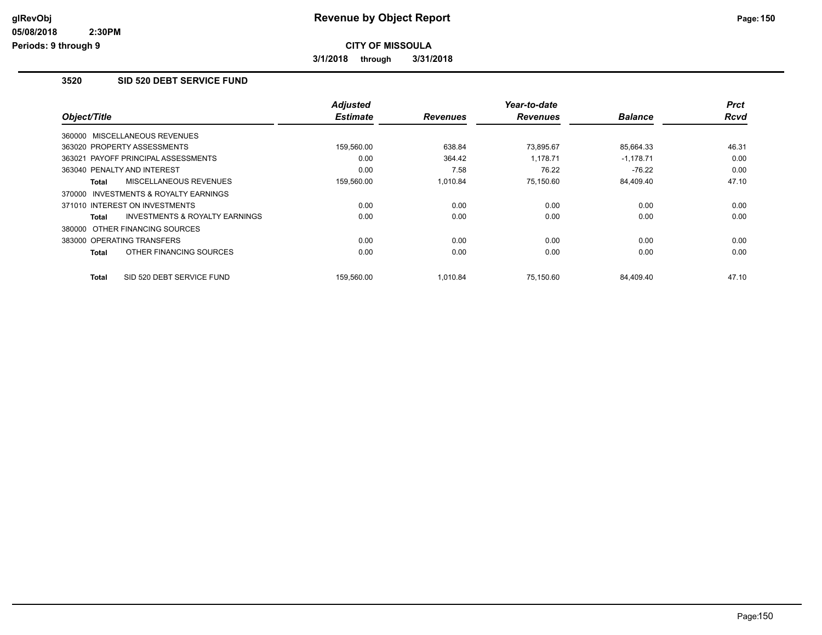**3/1/2018 through 3/31/2018**

## **3520 SID 520 DEBT SERVICE FUND**

| Object/Title                              | <b>Adjusted</b><br><b>Estimate</b> | <b>Revenues</b> | Year-to-date<br><b>Revenues</b> | <b>Balance</b> | <b>Prct</b><br><b>Rcvd</b> |
|-------------------------------------------|------------------------------------|-----------------|---------------------------------|----------------|----------------------------|
| 360000 MISCELLANEOUS REVENUES             |                                    |                 |                                 |                |                            |
| 363020 PROPERTY ASSESSMENTS               | 159,560.00                         | 638.84          | 73,895.67                       | 85,664.33      | 46.31                      |
| 363021 PAYOFF PRINCIPAL ASSESSMENTS       | 0.00                               | 364.42          | 1.178.71                        | $-1.178.71$    | 0.00                       |
| 363040 PENALTY AND INTEREST               | 0.00                               | 7.58            | 76.22                           | $-76.22$       | 0.00                       |
| MISCELLANEOUS REVENUES<br>Total           | 159,560.00                         | 1,010.84        | 75,150.60                       | 84,409.40      | 47.10                      |
| INVESTMENTS & ROYALTY EARNINGS<br>370000  |                                    |                 |                                 |                |                            |
| 371010 INTEREST ON INVESTMENTS            | 0.00                               | 0.00            | 0.00                            | 0.00           | 0.00                       |
| Total<br>INVESTMENTS & ROYALTY EARNINGS   | 0.00                               | 0.00            | 0.00                            | 0.00           | 0.00                       |
| 380000 OTHER FINANCING SOURCES            |                                    |                 |                                 |                |                            |
| 383000 OPERATING TRANSFERS                | 0.00                               | 0.00            | 0.00                            | 0.00           | 0.00                       |
| OTHER FINANCING SOURCES<br><b>Total</b>   | 0.00                               | 0.00            | 0.00                            | 0.00           | 0.00                       |
| SID 520 DEBT SERVICE FUND<br><b>Total</b> | 159.560.00                         | 1.010.84        | 75.150.60                       | 84.409.40      | 47.10                      |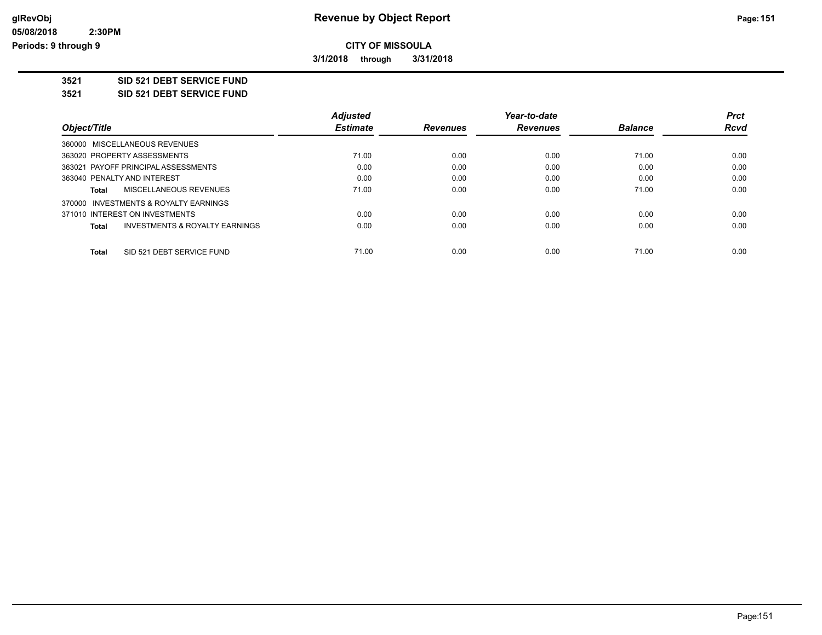**3/1/2018 through 3/31/2018**

**3521 SID 521 DEBT SERVICE FUND**

**3521 SID 521 DEBT SERVICE FUND**

|                                                    | <b>Adjusted</b> |                 | Year-to-date    |                | <b>Prct</b> |
|----------------------------------------------------|-----------------|-----------------|-----------------|----------------|-------------|
| Object/Title                                       | <b>Estimate</b> | <b>Revenues</b> | <b>Revenues</b> | <b>Balance</b> | <b>Rcvd</b> |
| 360000 MISCELLANEOUS REVENUES                      |                 |                 |                 |                |             |
| 363020 PROPERTY ASSESSMENTS                        | 71.00           | 0.00            | 0.00            | 71.00          | 0.00        |
| 363021 PAYOFF PRINCIPAL ASSESSMENTS                | 0.00            | 0.00            | 0.00            | 0.00           | 0.00        |
| 363040 PENALTY AND INTEREST                        | 0.00            | 0.00            | 0.00            | 0.00           | 0.00        |
| <b>MISCELLANEOUS REVENUES</b><br>Total             | 71.00           | 0.00            | 0.00            | 71.00          | 0.00        |
| 370000 INVESTMENTS & ROYALTY EARNINGS              |                 |                 |                 |                |             |
| 371010 INTEREST ON INVESTMENTS                     | 0.00            | 0.00            | 0.00            | 0.00           | 0.00        |
| <b>INVESTMENTS &amp; ROYALTY EARNINGS</b><br>Total | 0.00            | 0.00            | 0.00            | 0.00           | 0.00        |
| SID 521 DEBT SERVICE FUND<br>Total                 | 71.00           | 0.00            | 0.00            | 71.00          | 0.00        |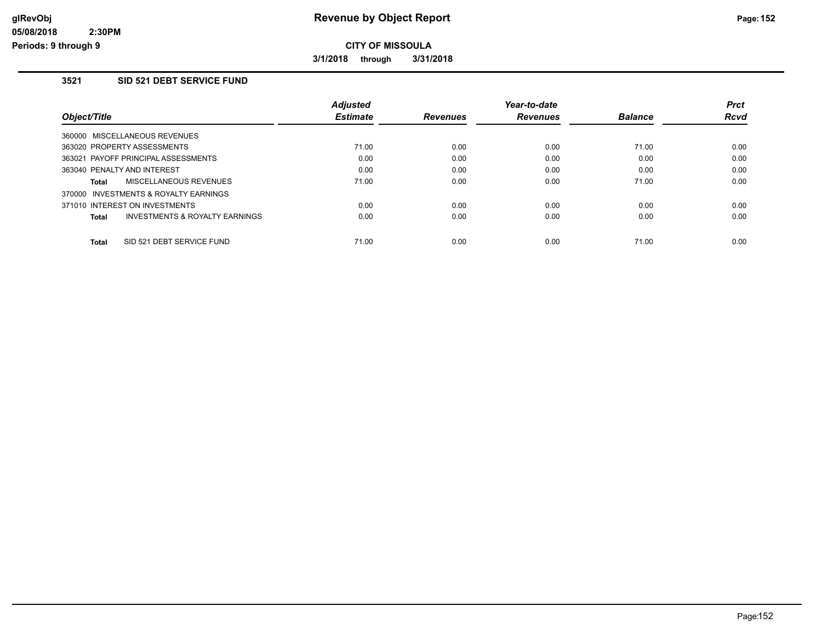**3/1/2018 through 3/31/2018**

#### **3521 SID 521 DEBT SERVICE FUND**

|              |                                       | Adjusted        |                 | Year-to-date    |                | <b>Prct</b> |
|--------------|---------------------------------------|-----------------|-----------------|-----------------|----------------|-------------|
| Object/Title |                                       | <b>Estimate</b> | <b>Revenues</b> | <b>Revenues</b> | <b>Balance</b> | <b>Rcvd</b> |
|              | 360000 MISCELLANEOUS REVENUES         |                 |                 |                 |                |             |
|              | 363020 PROPERTY ASSESSMENTS           | 71.00           | 0.00            | 0.00            | 71.00          | 0.00        |
|              | 363021 PAYOFF PRINCIPAL ASSESSMENTS   | 0.00            | 0.00            | 0.00            | 0.00           | 0.00        |
|              | 363040 PENALTY AND INTEREST           | 0.00            | 0.00            | 0.00            | 0.00           | 0.00        |
| Total        | MISCELLANEOUS REVENUES                | 71.00           | 0.00            | 0.00            | 71.00          | 0.00        |
|              | 370000 INVESTMENTS & ROYALTY EARNINGS |                 |                 |                 |                |             |
|              | 371010 INTEREST ON INVESTMENTS        | 0.00            | 0.00            | 0.00            | 0.00           | 0.00        |
| Total        | INVESTMENTS & ROYALTY EARNINGS        | 0.00            | 0.00            | 0.00            | 0.00           | 0.00        |
| <b>Total</b> | SID 521 DEBT SERVICE FUND             | 71.00           | 0.00            | 0.00            | 71.00          | 0.00        |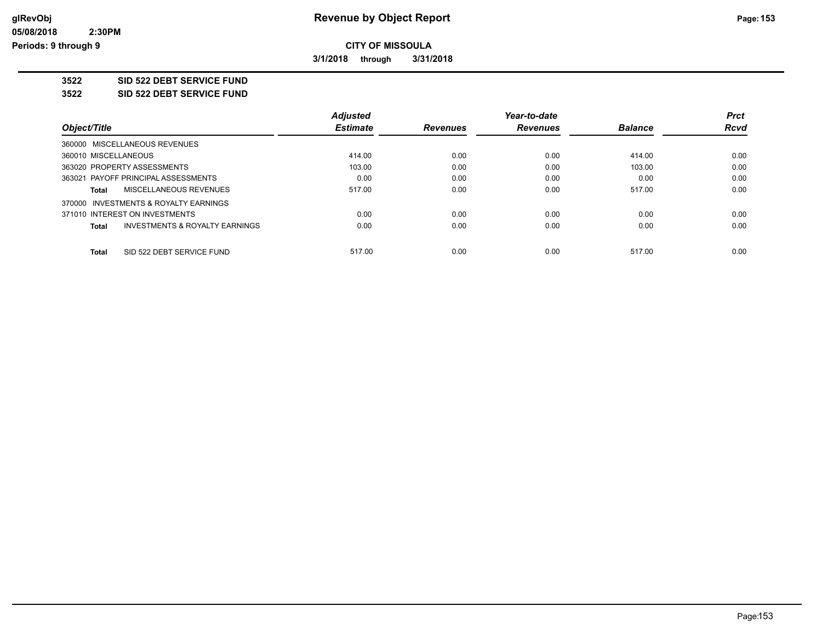**3/1/2018 through 3/31/2018**

**3522 SID 522 DEBT SERVICE FUND**

**3522 SID 522 DEBT SERVICE FUND**

|                                                    | <b>Adjusted</b> |                 | Year-to-date    |                | <b>Prct</b> |
|----------------------------------------------------|-----------------|-----------------|-----------------|----------------|-------------|
| Object/Title                                       | <b>Estimate</b> | <b>Revenues</b> | <b>Revenues</b> | <b>Balance</b> | Rcvd        |
| 360000 MISCELLANEOUS REVENUES                      |                 |                 |                 |                |             |
| 360010 MISCELLANEOUS                               | 414.00          | 0.00            | 0.00            | 414.00         | 0.00        |
| 363020 PROPERTY ASSESSMENTS                        | 103.00          | 0.00            | 0.00            | 103.00         | 0.00        |
| 363021 PAYOFF PRINCIPAL ASSESSMENTS                | 0.00            | 0.00            | 0.00            | 0.00           | 0.00        |
| <b>MISCELLANEOUS REVENUES</b><br>Total             | 517.00          | 0.00            | 0.00            | 517.00         | 0.00        |
| 370000 INVESTMENTS & ROYALTY EARNINGS              |                 |                 |                 |                |             |
| 371010 INTEREST ON INVESTMENTS                     | 0.00            | 0.00            | 0.00            | 0.00           | 0.00        |
| <b>INVESTMENTS &amp; ROYALTY EARNINGS</b><br>Total | 0.00            | 0.00            | 0.00            | 0.00           | 0.00        |
| SID 522 DEBT SERVICE FUND<br>Total                 | 517.00          | 0.00            | 0.00            | 517.00         | 0.00        |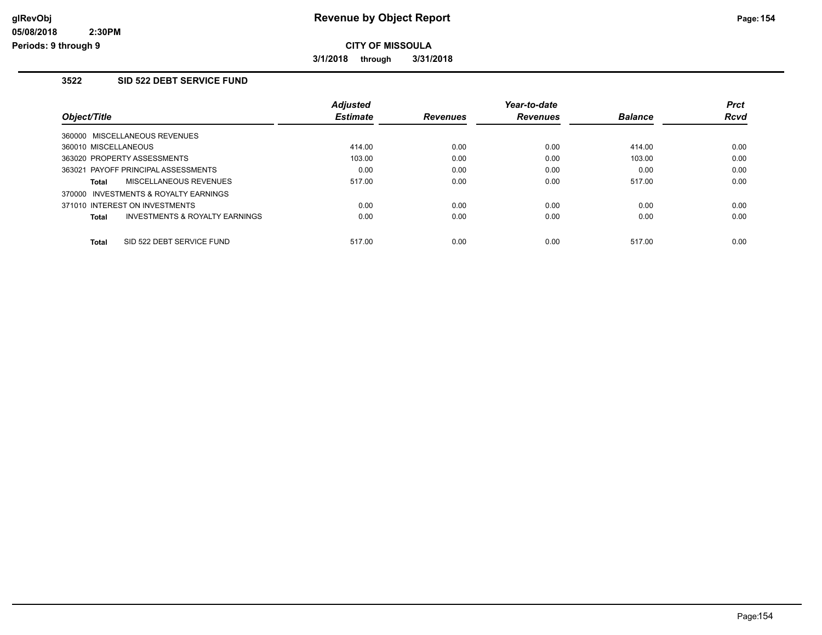**3/1/2018 through 3/31/2018**

#### **3522 SID 522 DEBT SERVICE FUND**

|                                                    | <b>Adjusted</b> |                 | Year-to-date    |                | <b>Prct</b> |
|----------------------------------------------------|-----------------|-----------------|-----------------|----------------|-------------|
| Object/Title                                       | <b>Estimate</b> | <b>Revenues</b> | <b>Revenues</b> | <b>Balance</b> | Rcvd        |
| 360000 MISCELLANEOUS REVENUES                      |                 |                 |                 |                |             |
| 360010 MISCELLANEOUS                               | 414.00          | 0.00            | 0.00            | 414.00         | 0.00        |
| 363020 PROPERTY ASSESSMENTS                        | 103.00          | 0.00            | 0.00            | 103.00         | 0.00        |
| 363021 PAYOFF PRINCIPAL ASSESSMENTS                | 0.00            | 0.00            | 0.00            | 0.00           | 0.00        |
| MISCELLANEOUS REVENUES<br>Total                    | 517.00          | 0.00            | 0.00            | 517.00         | 0.00        |
| 370000 INVESTMENTS & ROYALTY EARNINGS              |                 |                 |                 |                |             |
| 371010 INTEREST ON INVESTMENTS                     | 0.00            | 0.00            | 0.00            | 0.00           | 0.00        |
| <b>INVESTMENTS &amp; ROYALTY EARNINGS</b><br>Total | 0.00            | 0.00            | 0.00            | 0.00           | 0.00        |
| SID 522 DEBT SERVICE FUND<br>Total                 | 517.00          | 0.00            | 0.00            | 517.00         | 0.00        |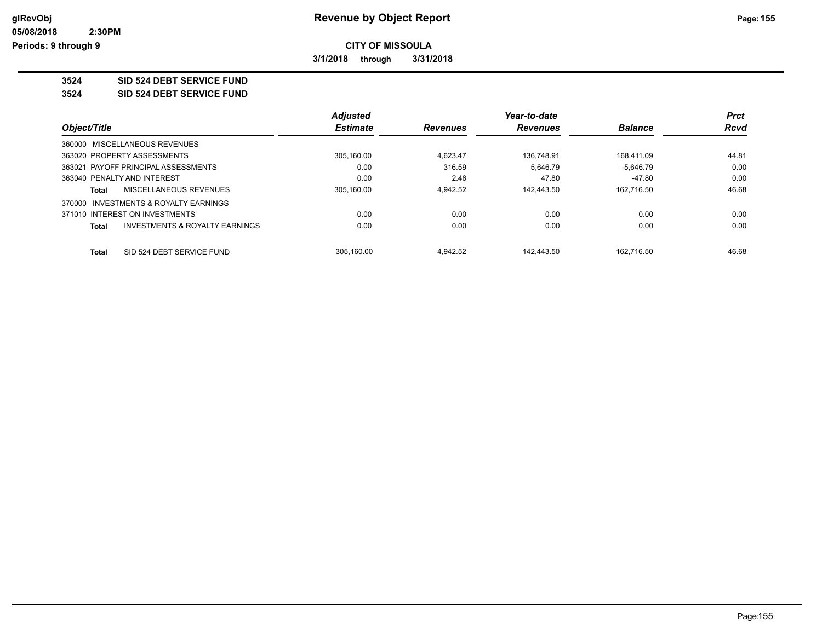**3/1/2018 through 3/31/2018**

**3524 SID 524 DEBT SERVICE FUND**

**3524 SID 524 DEBT SERVICE FUND**

|              |                                       | <b>Adjusted</b> |                 | Year-to-date    |                | <b>Prct</b> |
|--------------|---------------------------------------|-----------------|-----------------|-----------------|----------------|-------------|
| Object/Title |                                       | <b>Estimate</b> | <b>Revenues</b> | <b>Revenues</b> | <b>Balance</b> | Rcvd        |
|              | 360000 MISCELLANEOUS REVENUES         |                 |                 |                 |                |             |
|              | 363020 PROPERTY ASSESSMENTS           | 305,160.00      | 4.623.47        | 136,748.91      | 168.411.09     | 44.81       |
|              | 363021 PAYOFF PRINCIPAL ASSESSMENTS   | 0.00            | 316.59          | 5.646.79        | $-5.646.79$    | 0.00        |
|              | 363040 PENALTY AND INTEREST           | 0.00            | 2.46            | 47.80           | $-47.80$       | 0.00        |
| Total        | MISCELLANEOUS REVENUES                | 305,160.00      | 4.942.52        | 142.443.50      | 162.716.50     | 46.68       |
|              | 370000 INVESTMENTS & ROYALTY EARNINGS |                 |                 |                 |                |             |
|              | 371010 INTEREST ON INVESTMENTS        | 0.00            | 0.00            | 0.00            | 0.00           | 0.00        |
| <b>Total</b> | INVESTMENTS & ROYALTY EARNINGS        | 0.00            | 0.00            | 0.00            | 0.00           | 0.00        |
| <b>Total</b> | SID 524 DEBT SERVICE FUND             | 305.160.00      | 4.942.52        | 142.443.50      | 162.716.50     | 46.68       |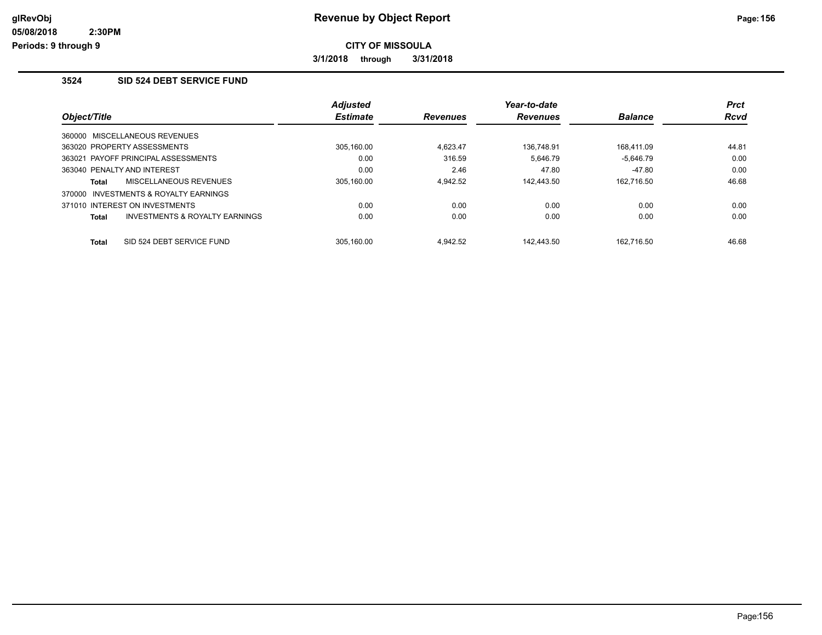**3/1/2018 through 3/31/2018**

## **3524 SID 524 DEBT SERVICE FUND**

|                     |                                     | <b>Adjusted</b> |                 | Year-to-date    |                | <b>Prct</b> |
|---------------------|-------------------------------------|-----------------|-----------------|-----------------|----------------|-------------|
| <b>Object/Title</b> |                                     | <b>Estimate</b> | <b>Revenues</b> | <b>Revenues</b> | <b>Balance</b> | <b>Rcvd</b> |
|                     | 360000 MISCELLANEOUS REVENUES       |                 |                 |                 |                |             |
|                     | 363020 PROPERTY ASSESSMENTS         | 305,160.00      | 4.623.47        | 136.748.91      | 168.411.09     | 44.81       |
|                     | 363021 PAYOFF PRINCIPAL ASSESSMENTS | 0.00            | 316.59          | 5.646.79        | $-5.646.79$    | 0.00        |
|                     | 363040 PENALTY AND INTEREST         | 0.00            | 2.46            | 47.80           | $-47.80$       | 0.00        |
| Total               | MISCELLANEOUS REVENUES              | 305.160.00      | 4.942.52        | 142.443.50      | 162.716.50     | 46.68       |
| 370000              | INVESTMENTS & ROYALTY EARNINGS      |                 |                 |                 |                |             |
|                     | 371010 INTEREST ON INVESTMENTS      | 0.00            | 0.00            | 0.00            | 0.00           | 0.00        |
| <b>Total</b>        | INVESTMENTS & ROYALTY EARNINGS      | 0.00            | 0.00            | 0.00            | 0.00           | 0.00        |
| <b>Total</b>        | SID 524 DEBT SERVICE FUND           | 305.160.00      | 4.942.52        | 142.443.50      | 162.716.50     | 46.68       |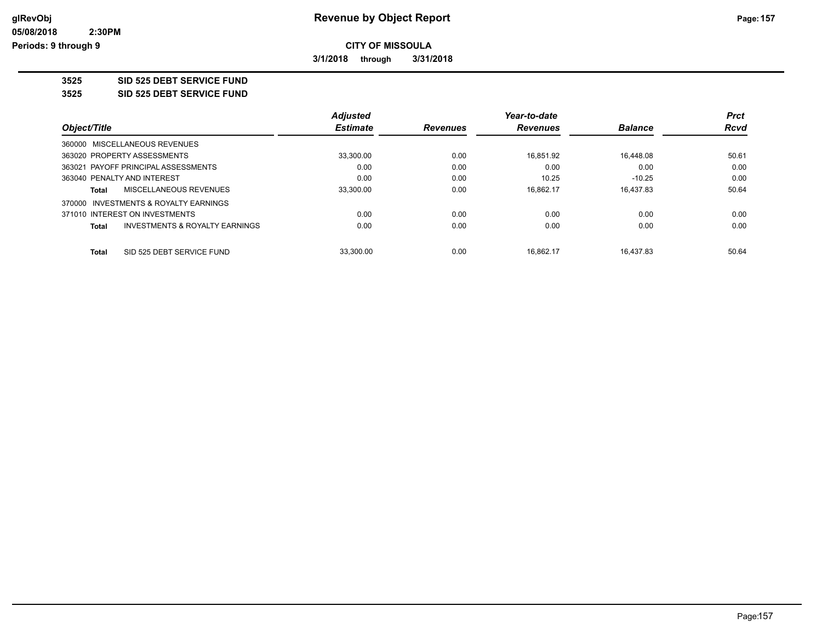**3/1/2018 through 3/31/2018**

**3525 SID 525 DEBT SERVICE FUND**

**3525 SID 525 DEBT SERVICE FUND**

|                                                           | <b>Adjusted</b> |                 | Year-to-date    |                | <b>Prct</b> |
|-----------------------------------------------------------|-----------------|-----------------|-----------------|----------------|-------------|
| Object/Title                                              | <b>Estimate</b> | <b>Revenues</b> | <b>Revenues</b> | <b>Balance</b> | Rcvd        |
| 360000 MISCELLANEOUS REVENUES                             |                 |                 |                 |                |             |
| 363020 PROPERTY ASSESSMENTS                               | 33.300.00       | 0.00            | 16.851.92       | 16.448.08      | 50.61       |
| 363021 PAYOFF PRINCIPAL ASSESSMENTS                       | 0.00            | 0.00            | 0.00            | 0.00           | 0.00        |
| 363040 PENALTY AND INTEREST                               | 0.00            | 0.00            | 10.25           | $-10.25$       | 0.00        |
| <b>MISCELLANEOUS REVENUES</b><br>Total                    | 33,300.00       | 0.00            | 16.862.17       | 16.437.83      | 50.64       |
| 370000 INVESTMENTS & ROYALTY EARNINGS                     |                 |                 |                 |                |             |
| 371010 INTEREST ON INVESTMENTS                            | 0.00            | 0.00            | 0.00            | 0.00           | 0.00        |
| <b>INVESTMENTS &amp; ROYALTY EARNINGS</b><br><b>Total</b> | 0.00            | 0.00            | 0.00            | 0.00           | 0.00        |
| SID 525 DEBT SERVICE FUND<br><b>Total</b>                 | 33.300.00       | 0.00            | 16.862.17       | 16.437.83      | 50.64       |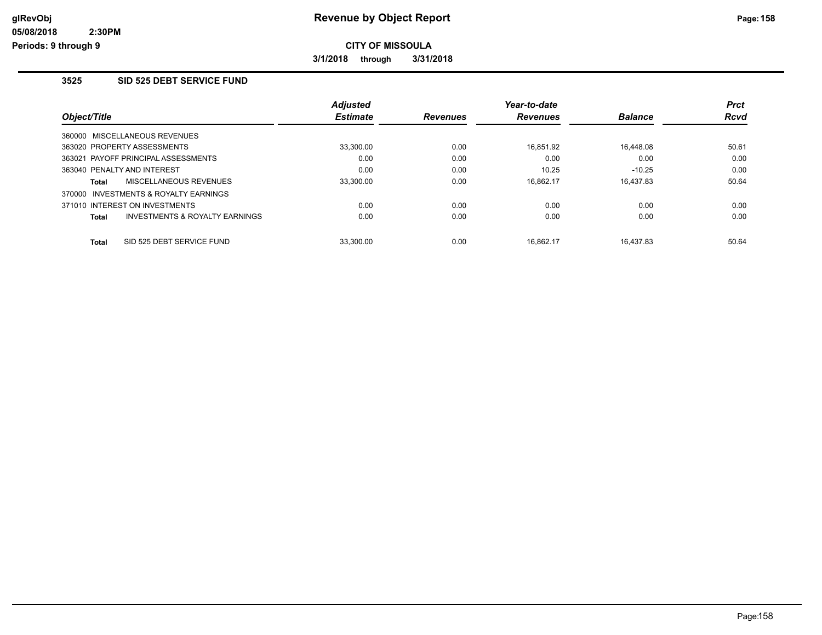**3/1/2018 through 3/31/2018**

#### **3525 SID 525 DEBT SERVICE FUND**

|              |                                           | <b>Adjusted</b> |                 | Year-to-date    |                | <b>Prct</b> |
|--------------|-------------------------------------------|-----------------|-----------------|-----------------|----------------|-------------|
| Object/Title |                                           | <b>Estimate</b> | <b>Revenues</b> | <b>Revenues</b> | <b>Balance</b> | <b>Rcvd</b> |
|              | 360000 MISCELLANEOUS REVENUES             |                 |                 |                 |                |             |
|              | 363020 PROPERTY ASSESSMENTS               | 33,300.00       | 0.00            | 16.851.92       | 16.448.08      | 50.61       |
|              | 363021 PAYOFF PRINCIPAL ASSESSMENTS       | 0.00            | 0.00            | 0.00            | 0.00           | 0.00        |
|              | 363040 PENALTY AND INTEREST               | 0.00            | 0.00            | 10.25           | $-10.25$       | 0.00        |
| Total        | MISCELLANEOUS REVENUES                    | 33.300.00       | 0.00            | 16.862.17       | 16.437.83      | 50.64       |
| 370000       | INVESTMENTS & ROYALTY EARNINGS            |                 |                 |                 |                |             |
|              | 371010 INTEREST ON INVESTMENTS            | 0.00            | 0.00            | 0.00            | 0.00           | 0.00        |
| Total        | <b>INVESTMENTS &amp; ROYALTY EARNINGS</b> | 0.00            | 0.00            | 0.00            | 0.00           | 0.00        |
| <b>Total</b> | SID 525 DEBT SERVICE FUND                 | 33.300.00       | 0.00            | 16.862.17       | 16.437.83      | 50.64       |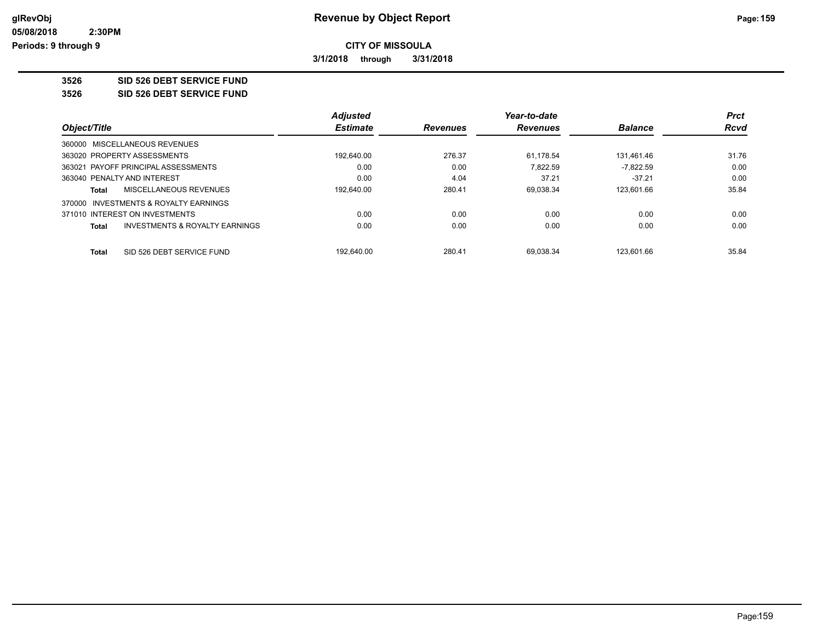**3/1/2018 through 3/31/2018**

**3526 SID 526 DEBT SERVICE FUND**

**3526 SID 526 DEBT SERVICE FUND**

|                                                           | <b>Adjusted</b> |                 | Year-to-date    |                | <b>Prct</b> |
|-----------------------------------------------------------|-----------------|-----------------|-----------------|----------------|-------------|
| Object/Title                                              | <b>Estimate</b> | <b>Revenues</b> | <b>Revenues</b> | <b>Balance</b> | Rcvd        |
| 360000 MISCELLANEOUS REVENUES                             |                 |                 |                 |                |             |
| 363020 PROPERTY ASSESSMENTS                               | 192.640.00      | 276.37          | 61.178.54       | 131.461.46     | 31.76       |
| 363021 PAYOFF PRINCIPAL ASSESSMENTS                       | 0.00            | 0.00            | 7.822.59        | $-7.822.59$    | 0.00        |
| 363040 PENALTY AND INTEREST                               | 0.00            | 4.04            | 37.21           | $-37.21$       | 0.00        |
| <b>MISCELLANEOUS REVENUES</b><br><b>Total</b>             | 192.640.00      | 280.41          | 69.038.34       | 123.601.66     | 35.84       |
| 370000 INVESTMENTS & ROYALTY EARNINGS                     |                 |                 |                 |                |             |
| 371010 INTEREST ON INVESTMENTS                            | 0.00            | 0.00            | 0.00            | 0.00           | 0.00        |
| <b>INVESTMENTS &amp; ROYALTY EARNINGS</b><br><b>Total</b> | 0.00            | 0.00            | 0.00            | 0.00           | 0.00        |
| SID 526 DEBT SERVICE FUND<br><b>Total</b>                 | 192.640.00      | 280.41          | 69.038.34       | 123.601.66     | 35.84       |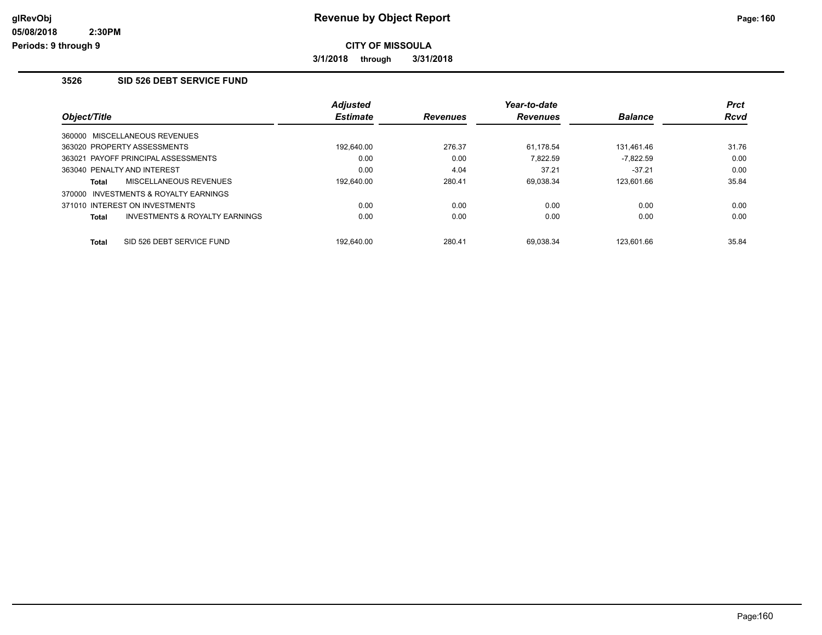**3/1/2018 through 3/31/2018**

#### **3526 SID 526 DEBT SERVICE FUND**

|              |                                       | <b>Adjusted</b> |                 | Year-to-date    |                | <b>Prct</b> |
|--------------|---------------------------------------|-----------------|-----------------|-----------------|----------------|-------------|
| Object/Title |                                       | <b>Estimate</b> | <b>Revenues</b> | <b>Revenues</b> | <b>Balance</b> | Rcvd        |
|              | 360000 MISCELLANEOUS REVENUES         |                 |                 |                 |                |             |
|              | 363020 PROPERTY ASSESSMENTS           | 192.640.00      | 276.37          | 61.178.54       | 131,461.46     | 31.76       |
|              | 363021 PAYOFF PRINCIPAL ASSESSMENTS   | 0.00            | 0.00            | 7.822.59        | $-7.822.59$    | 0.00        |
|              | 363040 PENALTY AND INTEREST           | 0.00            | 4.04            | 37.21           | $-37.21$       | 0.00        |
| <b>Total</b> | MISCELLANEOUS REVENUES                | 192.640.00      | 280.41          | 69.038.34       | 123.601.66     | 35.84       |
|              | 370000 INVESTMENTS & ROYALTY EARNINGS |                 |                 |                 |                |             |
|              | 371010 INTEREST ON INVESTMENTS        | 0.00            | 0.00            | 0.00            | 0.00           | 0.00        |
| <b>Total</b> | INVESTMENTS & ROYALTY EARNINGS        | 0.00            | 0.00            | 0.00            | 0.00           | 0.00        |
| <b>Total</b> | SID 526 DEBT SERVICE FUND             | 192.640.00      | 280.41          | 69.038.34       | 123.601.66     | 35.84       |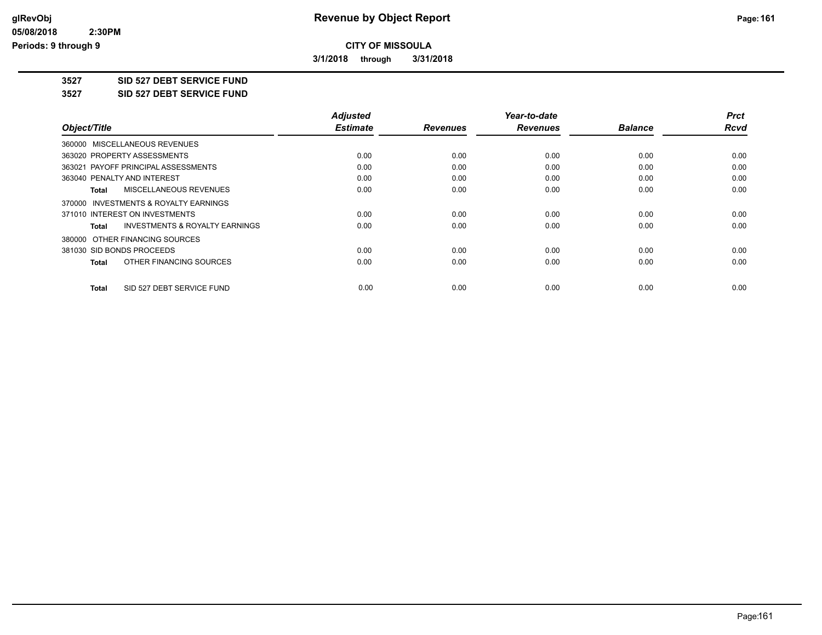**3/1/2018 through 3/31/2018**

**3527 SID 527 DEBT SERVICE FUND**

**3527 SID 527 DEBT SERVICE FUND**

|                                         | <b>Adjusted</b> |                 | Year-to-date    |                | <b>Prct</b> |
|-----------------------------------------|-----------------|-----------------|-----------------|----------------|-------------|
| Object/Title                            | <b>Estimate</b> | <b>Revenues</b> | <b>Revenues</b> | <b>Balance</b> | <b>Rcvd</b> |
| 360000 MISCELLANEOUS REVENUES           |                 |                 |                 |                |             |
| 363020 PROPERTY ASSESSMENTS             | 0.00            | 0.00            | 0.00            | 0.00           | 0.00        |
| 363021 PAYOFF PRINCIPAL ASSESSMENTS     | 0.00            | 0.00            | 0.00            | 0.00           | 0.00        |
| 363040 PENALTY AND INTEREST             | 0.00            | 0.00            | 0.00            | 0.00           | 0.00        |
| MISCELLANEOUS REVENUES<br>Total         | 0.00            | 0.00            | 0.00            | 0.00           | 0.00        |
| 370000 INVESTMENTS & ROYALTY EARNINGS   |                 |                 |                 |                |             |
| 371010 INTEREST ON INVESTMENTS          | 0.00            | 0.00            | 0.00            | 0.00           | 0.00        |
| INVESTMENTS & ROYALTY EARNINGS<br>Total | 0.00            | 0.00            | 0.00            | 0.00           | 0.00        |
| 380000 OTHER FINANCING SOURCES          |                 |                 |                 |                |             |
| 381030 SID BONDS PROCEEDS               | 0.00            | 0.00            | 0.00            | 0.00           | 0.00        |
| OTHER FINANCING SOURCES<br>Total        | 0.00            | 0.00            | 0.00            | 0.00           | 0.00        |
| SID 527 DEBT SERVICE FUND<br>Total      | 0.00            | 0.00            | 0.00            | 0.00           | 0.00        |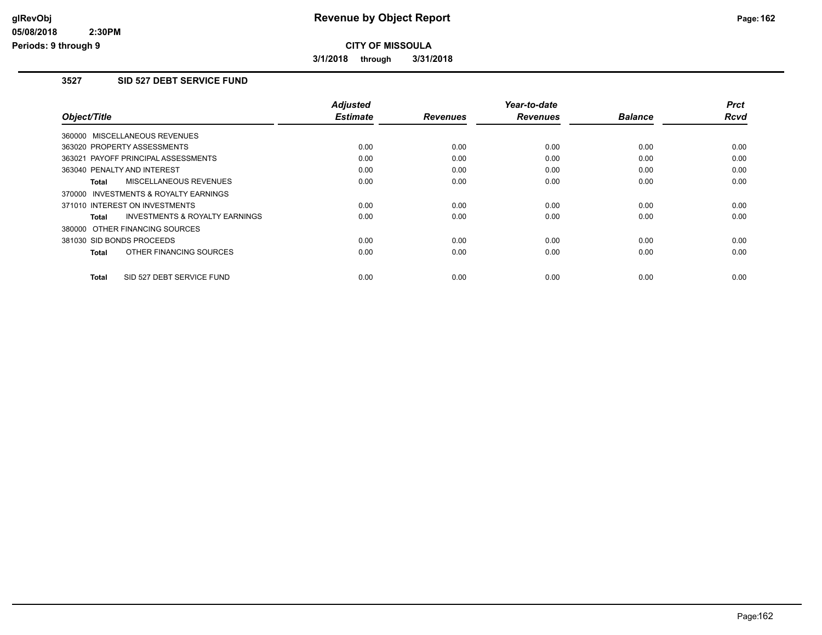**3/1/2018 through 3/31/2018**

#### **3527 SID 527 DEBT SERVICE FUND**

| Object/Title                                       | <b>Adjusted</b><br><b>Estimate</b> | <b>Revenues</b> | Year-to-date<br><b>Revenues</b> | <b>Balance</b> | <b>Prct</b><br>Rcvd |
|----------------------------------------------------|------------------------------------|-----------------|---------------------------------|----------------|---------------------|
| 360000 MISCELLANEOUS REVENUES                      |                                    |                 |                                 |                |                     |
| 363020 PROPERTY ASSESSMENTS                        | 0.00                               | 0.00            | 0.00                            | 0.00           | 0.00                |
| 363021 PAYOFF PRINCIPAL ASSESSMENTS                | 0.00                               | 0.00            | 0.00                            | 0.00           | 0.00                |
| 363040 PENALTY AND INTEREST                        | 0.00                               | 0.00            | 0.00                            | 0.00           | 0.00                |
| <b>MISCELLANEOUS REVENUES</b><br>Total             | 0.00                               | 0.00            | 0.00                            | 0.00           | 0.00                |
| 370000 INVESTMENTS & ROYALTY EARNINGS              |                                    |                 |                                 |                |                     |
| 371010 INTEREST ON INVESTMENTS                     | 0.00                               | 0.00            | 0.00                            | 0.00           | 0.00                |
| <b>INVESTMENTS &amp; ROYALTY EARNINGS</b><br>Total | 0.00                               | 0.00            | 0.00                            | 0.00           | 0.00                |
| 380000 OTHER FINANCING SOURCES                     |                                    |                 |                                 |                |                     |
| 381030 SID BONDS PROCEEDS                          | 0.00                               | 0.00            | 0.00                            | 0.00           | 0.00                |
| OTHER FINANCING SOURCES<br><b>Total</b>            | 0.00                               | 0.00            | 0.00                            | 0.00           | 0.00                |
| SID 527 DEBT SERVICE FUND<br><b>Total</b>          | 0.00                               | 0.00            | 0.00                            | 0.00           | 0.00                |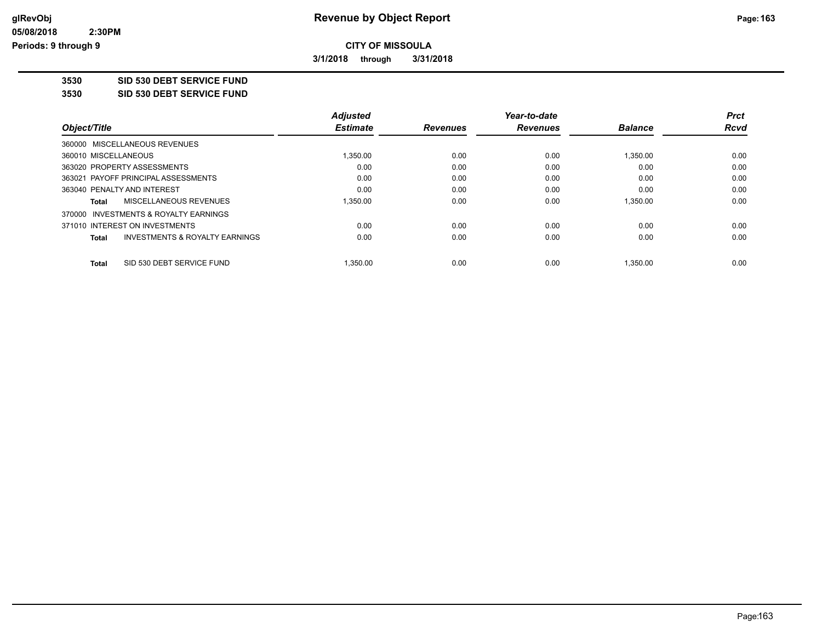**3/1/2018 through 3/31/2018**

**3530 SID 530 DEBT SERVICE FUND**

**3530 SID 530 DEBT SERVICE FUND**

|                                                    | <b>Adjusted</b> |                 | Year-to-date    |                | <b>Prct</b> |
|----------------------------------------------------|-----------------|-----------------|-----------------|----------------|-------------|
| Object/Title                                       | <b>Estimate</b> | <b>Revenues</b> | <b>Revenues</b> | <b>Balance</b> | <b>Rcvd</b> |
| 360000 MISCELLANEOUS REVENUES                      |                 |                 |                 |                |             |
| 360010 MISCELLANEOUS                               | 1.350.00        | 0.00            | 0.00            | 1.350.00       | 0.00        |
| 363020 PROPERTY ASSESSMENTS                        | 0.00            | 0.00            | 0.00            | 0.00           | 0.00        |
| 363021 PAYOFF PRINCIPAL ASSESSMENTS                | 0.00            | 0.00            | 0.00            | 0.00           | 0.00        |
| 363040 PENALTY AND INTEREST                        | 0.00            | 0.00            | 0.00            | 0.00           | 0.00        |
| <b>MISCELLANEOUS REVENUES</b><br>Total             | 1,350.00        | 0.00            | 0.00            | 1,350.00       | 0.00        |
| 370000 INVESTMENTS & ROYALTY EARNINGS              |                 |                 |                 |                |             |
| 371010 INTEREST ON INVESTMENTS                     | 0.00            | 0.00            | 0.00            | 0.00           | 0.00        |
| <b>INVESTMENTS &amp; ROYALTY EARNINGS</b><br>Total | 0.00            | 0.00            | 0.00            | 0.00           | 0.00        |
| SID 530 DEBT SERVICE FUND<br>Total                 | 1.350.00        | 0.00            | 0.00            | 1.350.00       | 0.00        |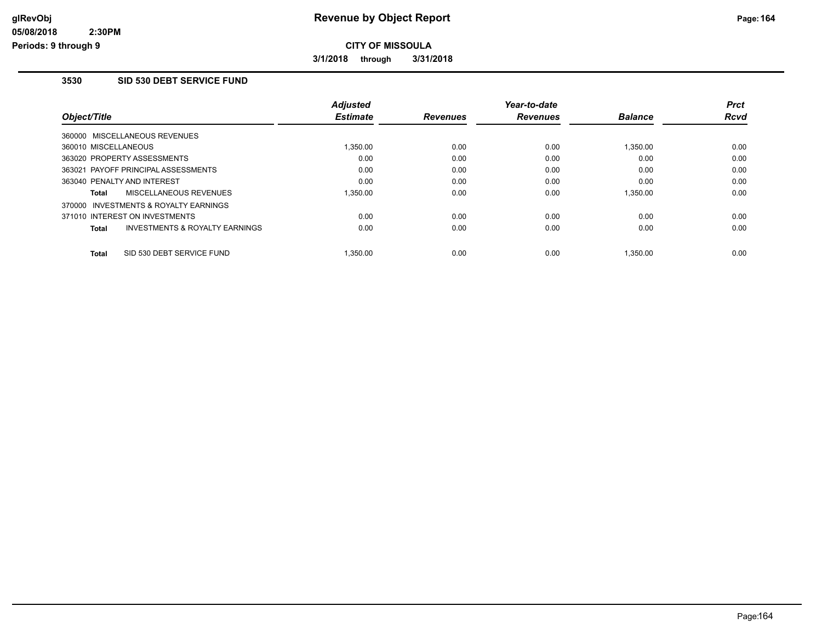**3/1/2018 through 3/31/2018**

#### **3530 SID 530 DEBT SERVICE FUND**

| Object/Title                                   | <b>Adjusted</b><br><b>Estimate</b> | <b>Revenues</b> | Year-to-date<br><b>Revenues</b> | <b>Balance</b> | <b>Prct</b><br><b>Rcvd</b> |
|------------------------------------------------|------------------------------------|-----------------|---------------------------------|----------------|----------------------------|
| 360000 MISCELLANEOUS REVENUES                  |                                    |                 |                                 |                |                            |
| 360010 MISCELLANEOUS                           | 1.350.00                           | 0.00            | 0.00                            | 1.350.00       | 0.00                       |
| 363020 PROPERTY ASSESSMENTS                    | 0.00                               | 0.00            | 0.00                            | 0.00           | 0.00                       |
| 363021 PAYOFF PRINCIPAL ASSESSMENTS            | 0.00                               | 0.00            | 0.00                            | 0.00           | 0.00                       |
| 363040 PENALTY AND INTEREST                    | 0.00                               | 0.00            | 0.00                            | 0.00           | 0.00                       |
| MISCELLANEOUS REVENUES<br><b>Total</b>         | 1.350.00                           | 0.00            | 0.00                            | 1.350.00       | 0.00                       |
| 370000 INVESTMENTS & ROYALTY EARNINGS          |                                    |                 |                                 |                |                            |
| 371010 INTEREST ON INVESTMENTS                 | 0.00                               | 0.00            | 0.00                            | 0.00           | 0.00                       |
| INVESTMENTS & ROYALTY EARNINGS<br><b>Total</b> | 0.00                               | 0.00            | 0.00                            | 0.00           | 0.00                       |
| SID 530 DEBT SERVICE FUND<br><b>Total</b>      | 1.350.00                           | 0.00            | 0.00                            | 1.350.00       | 0.00                       |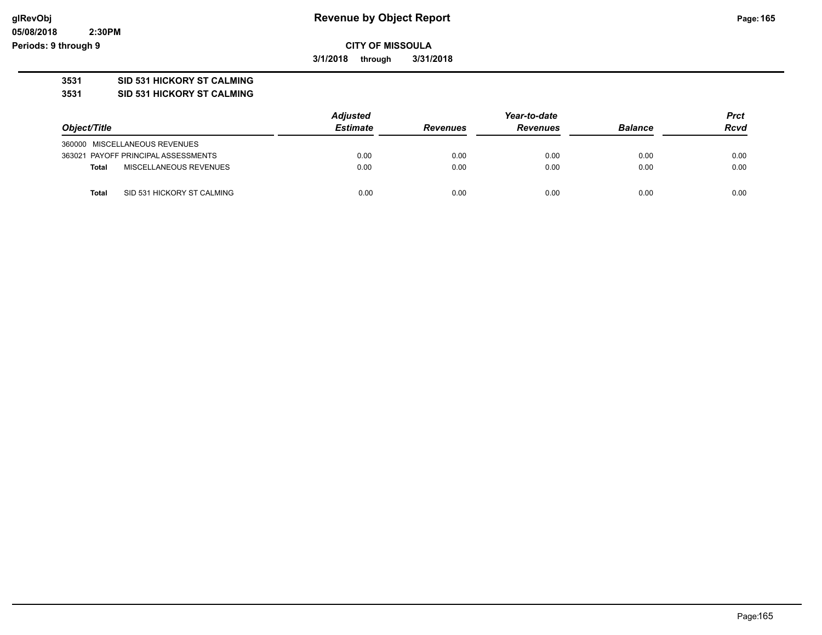**05/08/2018 2:30PM Periods: 9 through 9**

**CITY OF MISSOULA**

**3/1/2018 through 3/31/2018**

# **3531 SID 531 HICKORY ST CALMING**

**3531 SID 531 HICKORY ST CALMING**

|                                            | <b>Adjusted</b> |                 | Year-to-date    |                | Prct |
|--------------------------------------------|-----------------|-----------------|-----------------|----------------|------|
| Object/Title                               | <b>Estimate</b> | <b>Revenues</b> | <b>Revenues</b> | <b>Balance</b> | Rcvd |
| 360000 MISCELLANEOUS REVENUES              |                 |                 |                 |                |      |
| 363021 PAYOFF PRINCIPAL ASSESSMENTS        | 0.00            | 0.00            | 0.00            | 0.00           | 0.00 |
| MISCELLANEOUS REVENUES<br><b>Total</b>     | 0.00            | 0.00            | 0.00            | 0.00           | 0.00 |
| SID 531 HICKORY ST CALMING<br><b>Total</b> | 0.00            | 0.00            | 0.00            | 0.00           | 0.00 |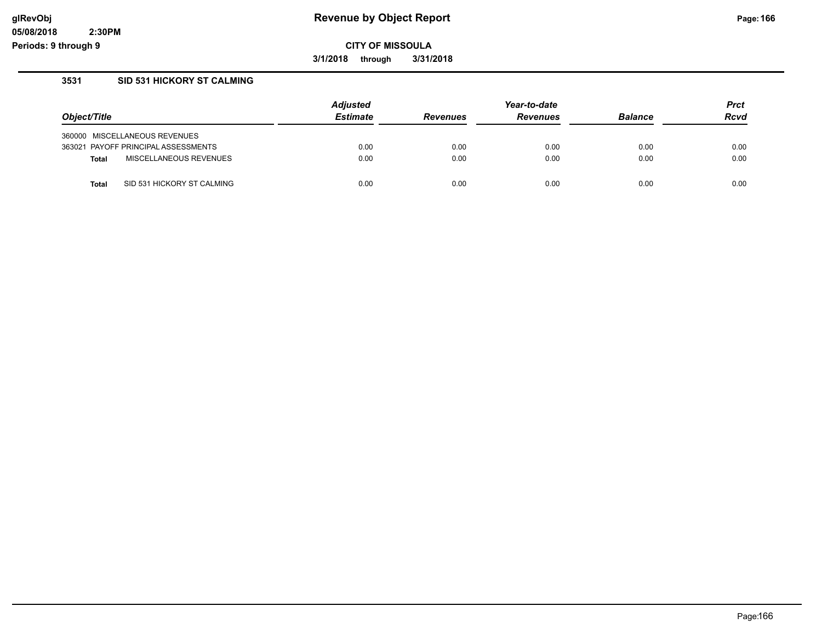**3/1/2018 through 3/31/2018**

## **3531 SID 531 HICKORY ST CALMING**

|                                            | <b>Adjusted</b> |                 | Year-to-date    |                | <b>Prct</b> |
|--------------------------------------------|-----------------|-----------------|-----------------|----------------|-------------|
| Object/Title                               | <b>Estimate</b> | <b>Revenues</b> | <b>Revenues</b> | <b>Balance</b> | <b>Rcvd</b> |
| 360000 MISCELLANEOUS REVENUES              |                 |                 |                 |                |             |
| 363021 PAYOFF PRINCIPAL ASSESSMENTS        | 0.00            | 0.00            | 0.00            | 0.00           | 0.00        |
| MISCELLANEOUS REVENUES<br><b>Total</b>     | 0.00            | 0.00            | 0.00            | 0.00           | 0.00        |
|                                            |                 |                 |                 |                |             |
| SID 531 HICKORY ST CALMING<br><b>Total</b> | 0.00            | 0.00            | 0.00            | 0.00           | 0.00        |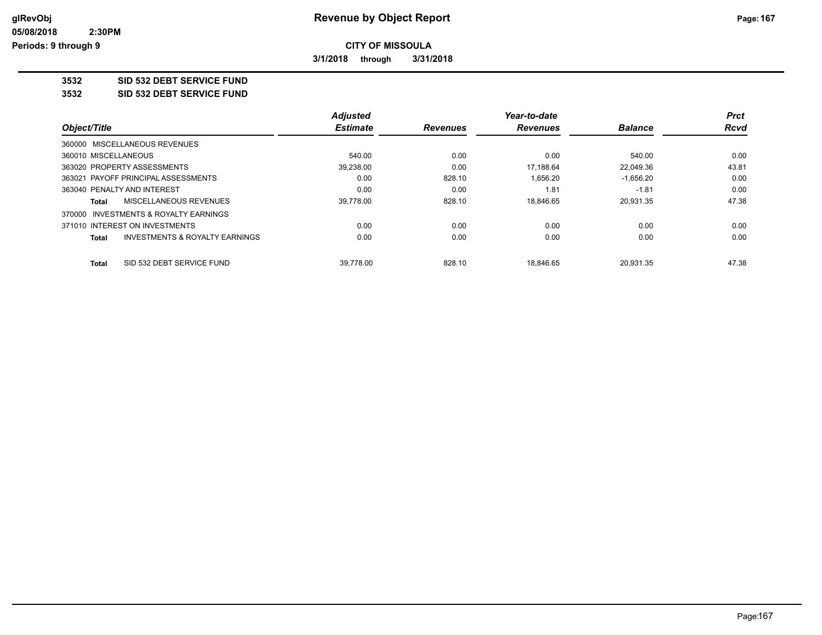**3/1/2018 through 3/31/2018**

**3532 SID 532 DEBT SERVICE FUND**

**3532 SID 532 DEBT SERVICE FUND**

|                                                           | <b>Adjusted</b> |                 | Year-to-date    |                | <b>Prct</b> |
|-----------------------------------------------------------|-----------------|-----------------|-----------------|----------------|-------------|
| Object/Title                                              | <b>Estimate</b> | <b>Revenues</b> | <b>Revenues</b> | <b>Balance</b> | Rcvd        |
| 360000 MISCELLANEOUS REVENUES                             |                 |                 |                 |                |             |
| 360010 MISCELLANEOUS                                      | 540.00          | 0.00            | 0.00            | 540.00         | 0.00        |
| 363020 PROPERTY ASSESSMENTS                               | 39,238.00       | 0.00            | 17.188.64       | 22.049.36      | 43.81       |
| 363021 PAYOFF PRINCIPAL ASSESSMENTS                       | 0.00            | 828.10          | 1.656.20        | $-1.656.20$    | 0.00        |
| 363040 PENALTY AND INTEREST                               | 0.00            | 0.00            | 1.81            | $-1.81$        | 0.00        |
| MISCELLANEOUS REVENUES<br>Total                           | 39.778.00       | 828.10          | 18.846.65       | 20.931.35      | 47.38       |
| 370000 INVESTMENTS & ROYALTY EARNINGS                     |                 |                 |                 |                |             |
| 371010 INTEREST ON INVESTMENTS                            | 0.00            | 0.00            | 0.00            | 0.00           | 0.00        |
| <b>INVESTMENTS &amp; ROYALTY EARNINGS</b><br><b>Total</b> | 0.00            | 0.00            | 0.00            | 0.00           | 0.00        |
| SID 532 DEBT SERVICE FUND<br><b>Total</b>                 | 39.778.00       | 828.10          | 18.846.65       | 20.931.35      | 47.38       |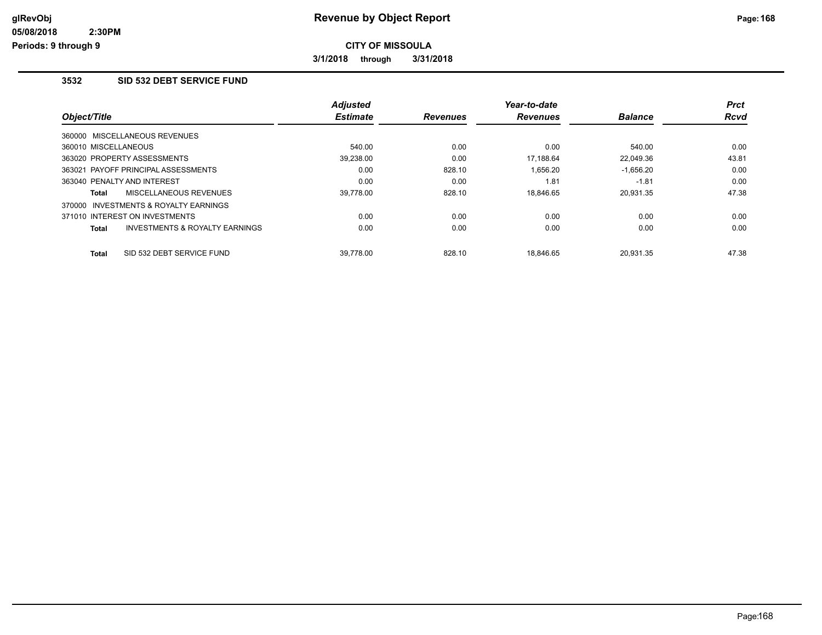**3/1/2018 through 3/31/2018**

#### **3532 SID 532 DEBT SERVICE FUND**

| Object/Title                                       | <b>Adjusted</b><br><b>Estimate</b> | <b>Revenues</b> | Year-to-date<br><b>Revenues</b> | <b>Balance</b> | <b>Prct</b><br><b>Rcvd</b> |
|----------------------------------------------------|------------------------------------|-----------------|---------------------------------|----------------|----------------------------|
| 360000 MISCELLANEOUS REVENUES                      |                                    |                 |                                 |                |                            |
| 360010 MISCELLANEOUS                               | 540.00                             | 0.00            | 0.00                            | 540.00         | 0.00                       |
| 363020 PROPERTY ASSESSMENTS                        | 39,238.00                          | 0.00            | 17.188.64                       | 22.049.36      | 43.81                      |
| 363021 PAYOFF PRINCIPAL ASSESSMENTS                | 0.00                               | 828.10          | 1,656.20                        | $-1,656.20$    | 0.00                       |
| 363040 PENALTY AND INTEREST                        | 0.00                               | 0.00            | 1.81                            | $-1.81$        | 0.00                       |
| MISCELLANEOUS REVENUES<br>Total                    | 39.778.00                          | 828.10          | 18.846.65                       | 20.931.35      | 47.38                      |
| 370000 INVESTMENTS & ROYALTY EARNINGS              |                                    |                 |                                 |                |                            |
| 371010 INTEREST ON INVESTMENTS                     | 0.00                               | 0.00            | 0.00                            | 0.00           | 0.00                       |
| <b>INVESTMENTS &amp; ROYALTY EARNINGS</b><br>Total | 0.00                               | 0.00            | 0.00                            | 0.00           | 0.00                       |
| SID 532 DEBT SERVICE FUND<br>Total                 | 39.778.00                          | 828.10          | 18.846.65                       | 20.931.35      | 47.38                      |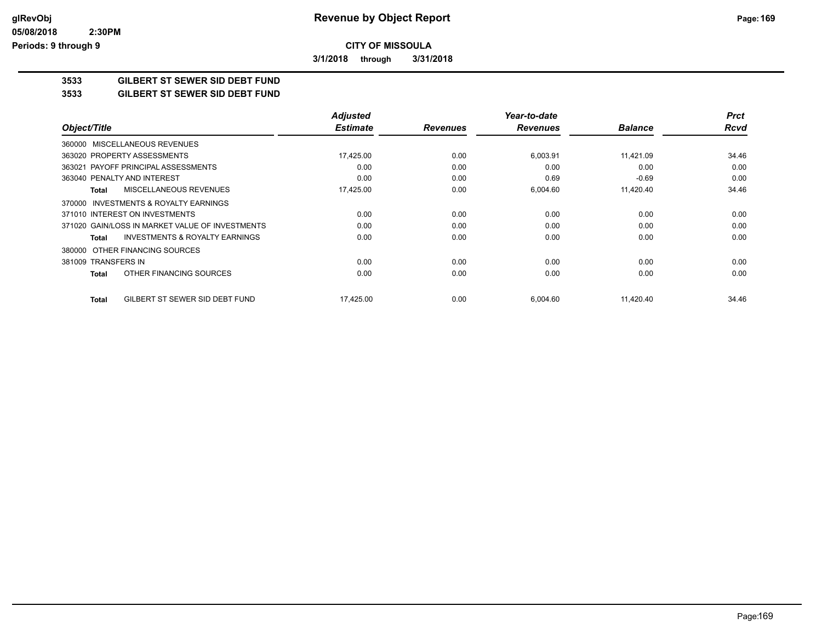**3/1/2018 through 3/31/2018**

## **3533 GILBERT ST SEWER SID DEBT FUND**

#### **3533 GILBERT ST SEWER SID DEBT FUND**

|                                                    | <b>Adjusted</b> |                 | Year-to-date    |                | <b>Prct</b> |
|----------------------------------------------------|-----------------|-----------------|-----------------|----------------|-------------|
| Object/Title                                       | <b>Estimate</b> | <b>Revenues</b> | <b>Revenues</b> | <b>Balance</b> | <b>Rcvd</b> |
| 360000 MISCELLANEOUS REVENUES                      |                 |                 |                 |                |             |
| 363020 PROPERTY ASSESSMENTS                        | 17,425.00       | 0.00            | 6,003.91        | 11,421.09      | 34.46       |
| 363021 PAYOFF PRINCIPAL ASSESSMENTS                | 0.00            | 0.00            | 0.00            | 0.00           | 0.00        |
| 363040 PENALTY AND INTEREST                        | 0.00            | 0.00            | 0.69            | $-0.69$        | 0.00        |
| MISCELLANEOUS REVENUES<br><b>Total</b>             | 17,425.00       | 0.00            | 6,004.60        | 11,420.40      | 34.46       |
| 370000 INVESTMENTS & ROYALTY EARNINGS              |                 |                 |                 |                |             |
| 371010 INTEREST ON INVESTMENTS                     | 0.00            | 0.00            | 0.00            | 0.00           | 0.00        |
| 371020 GAIN/LOSS IN MARKET VALUE OF INVESTMENTS    | 0.00            | 0.00            | 0.00            | 0.00           | 0.00        |
| <b>INVESTMENTS &amp; ROYALTY EARNINGS</b><br>Total | 0.00            | 0.00            | 0.00            | 0.00           | 0.00        |
| 380000 OTHER FINANCING SOURCES                     |                 |                 |                 |                |             |
| 381009 TRANSFERS IN                                | 0.00            | 0.00            | 0.00            | 0.00           | 0.00        |
| OTHER FINANCING SOURCES<br><b>Total</b>            | 0.00            | 0.00            | 0.00            | 0.00           | 0.00        |
| GILBERT ST SEWER SID DEBT FUND<br>Total            | 17.425.00       | 0.00            | 6.004.60        | 11.420.40      | 34.46       |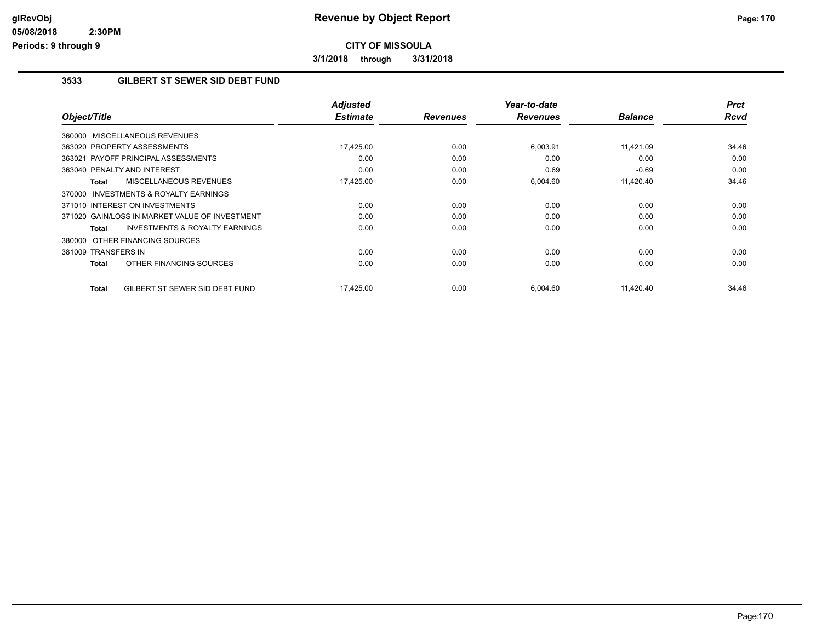**3/1/2018 through 3/31/2018**

## **3533 GILBERT ST SEWER SID DEBT FUND**

| Object/Title                                       | <b>Adjusted</b><br><b>Estimate</b> | <b>Revenues</b> | Year-to-date<br><b>Revenues</b> | <b>Balance</b> | <b>Prct</b><br>Rcvd |
|----------------------------------------------------|------------------------------------|-----------------|---------------------------------|----------------|---------------------|
|                                                    |                                    |                 |                                 |                |                     |
| 360000 MISCELLANEOUS REVENUES                      |                                    |                 |                                 |                |                     |
| 363020 PROPERTY ASSESSMENTS                        | 17,425.00                          | 0.00            | 6,003.91                        | 11,421.09      | 34.46               |
| 363021 PAYOFF PRINCIPAL ASSESSMENTS                | 0.00                               | 0.00            | 0.00                            | 0.00           | 0.00                |
| 363040 PENALTY AND INTEREST                        | 0.00                               | 0.00            | 0.69                            | $-0.69$        | 0.00                |
| <b>MISCELLANEOUS REVENUES</b><br>Total             | 17,425.00                          | 0.00            | 6.004.60                        | 11,420.40      | 34.46               |
| 370000 INVESTMENTS & ROYALTY EARNINGS              |                                    |                 |                                 |                |                     |
| 371010 INTEREST ON INVESTMENTS                     | 0.00                               | 0.00            | 0.00                            | 0.00           | 0.00                |
| 371020 GAIN/LOSS IN MARKET VALUE OF INVESTMENT     | 0.00                               | 0.00            | 0.00                            | 0.00           | 0.00                |
| <b>INVESTMENTS &amp; ROYALTY EARNINGS</b><br>Total | 0.00                               | 0.00            | 0.00                            | 0.00           | 0.00                |
| 380000 OTHER FINANCING SOURCES                     |                                    |                 |                                 |                |                     |
| 381009 TRANSFERS IN                                | 0.00                               | 0.00            | 0.00                            | 0.00           | 0.00                |
| OTHER FINANCING SOURCES<br>Total                   | 0.00                               | 0.00            | 0.00                            | 0.00           | 0.00                |
| GILBERT ST SEWER SID DEBT FUND<br>Total            | 17,425.00                          | 0.00            | 6,004.60                        | 11,420.40      | 34.46               |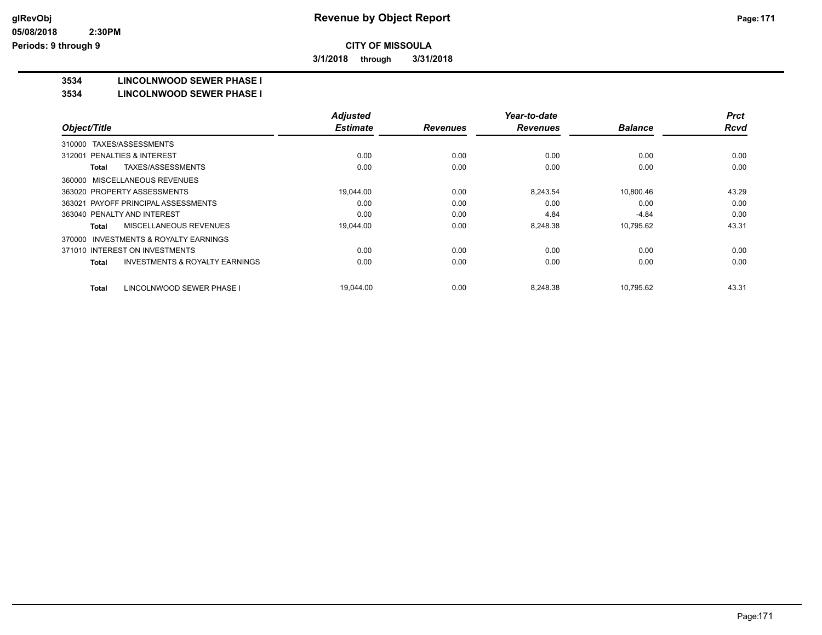**3/1/2018 through 3/31/2018**

#### **3534 LINCOLNWOOD SEWER PHASE I**

#### **3534 LINCOLNWOOD SEWER PHASE I**

|                                                           | <b>Adjusted</b> |                 | Year-to-date    |                | <b>Prct</b> |
|-----------------------------------------------------------|-----------------|-----------------|-----------------|----------------|-------------|
| Object/Title                                              | <b>Estimate</b> | <b>Revenues</b> | <b>Revenues</b> | <b>Balance</b> | <b>Rcvd</b> |
| TAXES/ASSESSMENTS<br>310000                               |                 |                 |                 |                |             |
| <b>PENALTIES &amp; INTEREST</b><br>312001                 | 0.00            | 0.00            | 0.00            | 0.00           | 0.00        |
| TAXES/ASSESSMENTS<br><b>Total</b>                         | 0.00            | 0.00            | 0.00            | 0.00           | 0.00        |
| 360000 MISCELLANEOUS REVENUES                             |                 |                 |                 |                |             |
| 363020 PROPERTY ASSESSMENTS                               | 19.044.00       | 0.00            | 8.243.54        | 10,800.46      | 43.29       |
| PAYOFF PRINCIPAL ASSESSMENTS<br>363021                    | 0.00            | 0.00            | 0.00            | 0.00           | 0.00        |
| 363040 PENALTY AND INTEREST                               | 0.00            | 0.00            | 4.84            | $-4.84$        | 0.00        |
| MISCELLANEOUS REVENUES<br><b>Total</b>                    | 19,044.00       | 0.00            | 8.248.38        | 10,795.62      | 43.31       |
| 370000 INVESTMENTS & ROYALTY EARNINGS                     |                 |                 |                 |                |             |
| 371010 INTEREST ON INVESTMENTS                            | 0.00            | 0.00            | 0.00            | 0.00           | 0.00        |
| <b>INVESTMENTS &amp; ROYALTY EARNINGS</b><br><b>Total</b> | 0.00            | 0.00            | 0.00            | 0.00           | 0.00        |
| LINCOLNWOOD SEWER PHASE I<br>Total                        | 19.044.00       | 0.00            | 8.248.38        | 10.795.62      | 43.31       |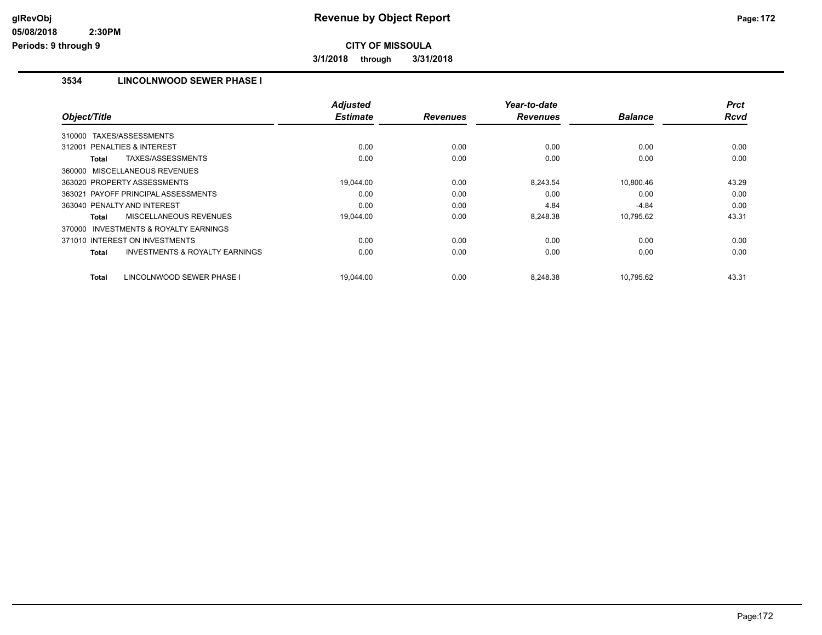**3/1/2018 through 3/31/2018**

## **3534 LINCOLNWOOD SEWER PHASE I**

| Object/Title                                       | <b>Adjusted</b><br><b>Estimate</b> | <b>Revenues</b> | Year-to-date<br><b>Revenues</b> | <b>Balance</b> | <b>Prct</b><br>Rcvd |
|----------------------------------------------------|------------------------------------|-----------------|---------------------------------|----------------|---------------------|
|                                                    |                                    |                 |                                 |                |                     |
| 310000 TAXES/ASSESSMENTS                           |                                    |                 |                                 |                |                     |
| <b>PENALTIES &amp; INTEREST</b><br>312001          | 0.00                               | 0.00            | 0.00                            | 0.00           | 0.00                |
| TAXES/ASSESSMENTS<br>Total                         | 0.00                               | 0.00            | 0.00                            | 0.00           | 0.00                |
| 360000 MISCELLANEOUS REVENUES                      |                                    |                 |                                 |                |                     |
| 363020 PROPERTY ASSESSMENTS                        | 19.044.00                          | 0.00            | 8,243.54                        | 10,800.46      | 43.29               |
| 363021 PAYOFF PRINCIPAL ASSESSMENTS                | 0.00                               | 0.00            | 0.00                            | 0.00           | 0.00                |
| 363040 PENALTY AND INTEREST                        | 0.00                               | 0.00            | 4.84                            | $-4.84$        | 0.00                |
| MISCELLANEOUS REVENUES<br>Total                    | 19,044.00                          | 0.00            | 8,248.38                        | 10,795.62      | 43.31               |
| 370000 INVESTMENTS & ROYALTY EARNINGS              |                                    |                 |                                 |                |                     |
| 371010 INTEREST ON INVESTMENTS                     | 0.00                               | 0.00            | 0.00                            | 0.00           | 0.00                |
| <b>INVESTMENTS &amp; ROYALTY EARNINGS</b><br>Total | 0.00                               | 0.00            | 0.00                            | 0.00           | 0.00                |
| LINCOLNWOOD SEWER PHASE I<br>Total                 | 19.044.00                          | 0.00            | 8.248.38                        | 10.795.62      | 43.31               |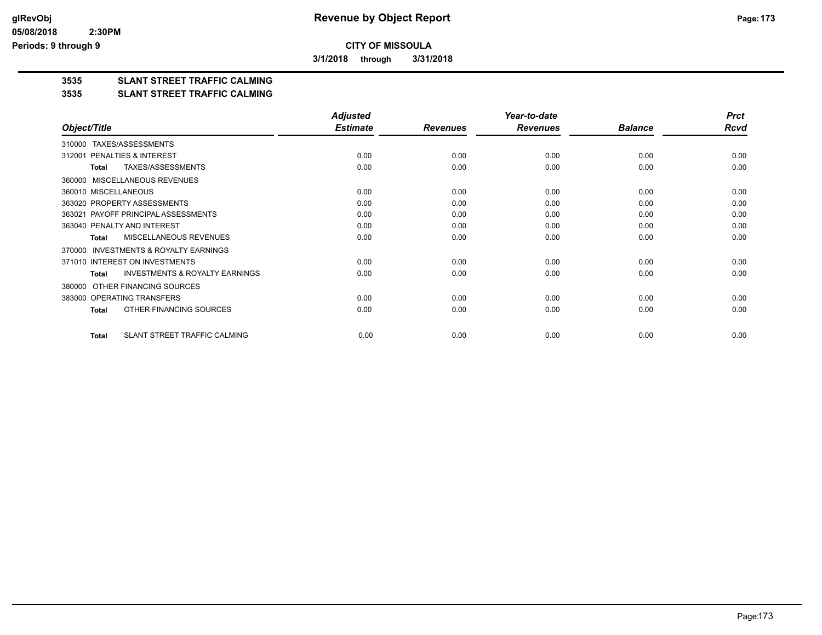**3/1/2018 through 3/31/2018**

## **3535 SLANT STREET TRAFFIC CALMING**

#### **3535 SLANT STREET TRAFFIC CALMING**

|                                                           | <b>Adjusted</b> |                 | Year-to-date    |                | <b>Prct</b> |
|-----------------------------------------------------------|-----------------|-----------------|-----------------|----------------|-------------|
| Object/Title                                              | <b>Estimate</b> | <b>Revenues</b> | <b>Revenues</b> | <b>Balance</b> | <b>Rcvd</b> |
| TAXES/ASSESSMENTS<br>310000                               |                 |                 |                 |                |             |
| 312001 PENALTIES & INTEREST                               | 0.00            | 0.00            | 0.00            | 0.00           | 0.00        |
| TAXES/ASSESSMENTS<br><b>Total</b>                         | 0.00            | 0.00            | 0.00            | 0.00           | 0.00        |
| MISCELLANEOUS REVENUES<br>360000                          |                 |                 |                 |                |             |
| 360010 MISCELLANEOUS                                      | 0.00            | 0.00            | 0.00            | 0.00           | 0.00        |
| 363020 PROPERTY ASSESSMENTS                               | 0.00            | 0.00            | 0.00            | 0.00           | 0.00        |
| 363021 PAYOFF PRINCIPAL ASSESSMENTS                       | 0.00            | 0.00            | 0.00            | 0.00           | 0.00        |
| 363040 PENALTY AND INTEREST                               | 0.00            | 0.00            | 0.00            | 0.00           | 0.00        |
| <b>MISCELLANEOUS REVENUES</b><br><b>Total</b>             | 0.00            | 0.00            | 0.00            | 0.00           | 0.00        |
| <b>INVESTMENTS &amp; ROYALTY EARNINGS</b><br>370000       |                 |                 |                 |                |             |
| 371010 INTEREST ON INVESTMENTS                            | 0.00            | 0.00            | 0.00            | 0.00           | 0.00        |
| <b>INVESTMENTS &amp; ROYALTY EARNINGS</b><br><b>Total</b> | 0.00            | 0.00            | 0.00            | 0.00           | 0.00        |
| OTHER FINANCING SOURCES<br>380000                         |                 |                 |                 |                |             |
| 383000 OPERATING TRANSFERS                                | 0.00            | 0.00            | 0.00            | 0.00           | 0.00        |
| OTHER FINANCING SOURCES<br><b>Total</b>                   | 0.00            | 0.00            | 0.00            | 0.00           | 0.00        |
| SLANT STREET TRAFFIC CALMING<br>Total                     | 0.00            | 0.00            | 0.00            | 0.00           | 0.00        |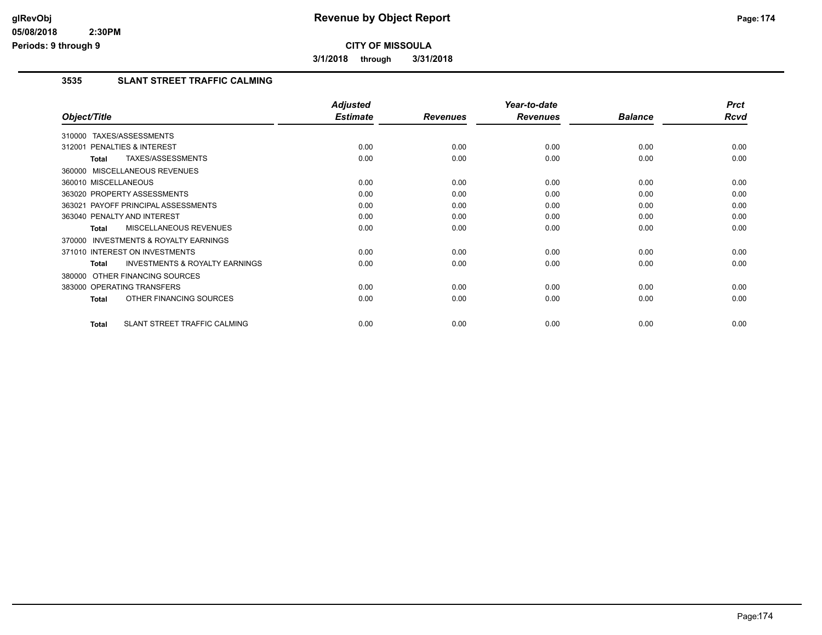**3/1/2018 through 3/31/2018**

## **3535 SLANT STREET TRAFFIC CALMING**

|                                                     | <b>Adjusted</b> |                 | Year-to-date    |                | <b>Prct</b> |
|-----------------------------------------------------|-----------------|-----------------|-----------------|----------------|-------------|
| Object/Title                                        | <b>Estimate</b> | <b>Revenues</b> | <b>Revenues</b> | <b>Balance</b> | Rcvd        |
| TAXES/ASSESSMENTS<br>310000                         |                 |                 |                 |                |             |
| 312001 PENALTIES & INTEREST                         | 0.00            | 0.00            | 0.00            | 0.00           | 0.00        |
| TAXES/ASSESSMENTS<br>Total                          | 0.00            | 0.00            | 0.00            | 0.00           | 0.00        |
| 360000 MISCELLANEOUS REVENUES                       |                 |                 |                 |                |             |
| 360010 MISCELLANEOUS                                | 0.00            | 0.00            | 0.00            | 0.00           | 0.00        |
| 363020 PROPERTY ASSESSMENTS                         | 0.00            | 0.00            | 0.00            | 0.00           | 0.00        |
| 363021 PAYOFF PRINCIPAL ASSESSMENTS                 | 0.00            | 0.00            | 0.00            | 0.00           | 0.00        |
| 363040 PENALTY AND INTEREST                         | 0.00            | 0.00            | 0.00            | 0.00           | 0.00        |
| MISCELLANEOUS REVENUES<br>Total                     | 0.00            | 0.00            | 0.00            | 0.00           | 0.00        |
| <b>INVESTMENTS &amp; ROYALTY EARNINGS</b><br>370000 |                 |                 |                 |                |             |
| 371010 INTEREST ON INVESTMENTS                      | 0.00            | 0.00            | 0.00            | 0.00           | 0.00        |
| <b>INVESTMENTS &amp; ROYALTY EARNINGS</b><br>Total  | 0.00            | 0.00            | 0.00            | 0.00           | 0.00        |
| OTHER FINANCING SOURCES<br>380000                   |                 |                 |                 |                |             |
| 383000 OPERATING TRANSFERS                          | 0.00            | 0.00            | 0.00            | 0.00           | 0.00        |
| OTHER FINANCING SOURCES<br><b>Total</b>             | 0.00            | 0.00            | 0.00            | 0.00           | 0.00        |
| <b>SLANT STREET TRAFFIC CALMING</b><br><b>Total</b> | 0.00            | 0.00            | 0.00            | 0.00           | 0.00        |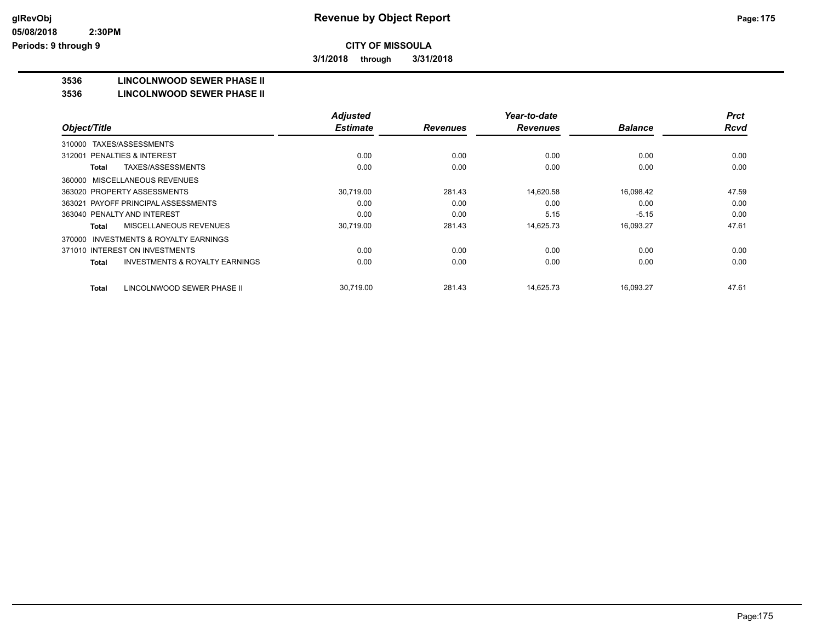**3/1/2018 through 3/31/2018**

## **3536 LINCOLNWOOD SEWER PHASE II**

#### **3536 LINCOLNWOOD SEWER PHASE II**

|                                                           | <b>Adjusted</b> |                 | Year-to-date    |                | <b>Prct</b> |
|-----------------------------------------------------------|-----------------|-----------------|-----------------|----------------|-------------|
| Object/Title                                              | <b>Estimate</b> | <b>Revenues</b> | <b>Revenues</b> | <b>Balance</b> | <b>Rcvd</b> |
| TAXES/ASSESSMENTS<br>310000                               |                 |                 |                 |                |             |
| 312001 PENALTIES & INTEREST                               | 0.00            | 0.00            | 0.00            | 0.00           | 0.00        |
| TAXES/ASSESSMENTS<br>Total                                | 0.00            | 0.00            | 0.00            | 0.00           | 0.00        |
| MISCELLANEOUS REVENUES<br>360000                          |                 |                 |                 |                |             |
| 363020 PROPERTY ASSESSMENTS                               | 30.719.00       | 281.43          | 14.620.58       | 16.098.42      | 47.59       |
| 363021 PAYOFF PRINCIPAL ASSESSMENTS                       | 0.00            | 0.00            | 0.00            | 0.00           | 0.00        |
| 363040 PENALTY AND INTEREST                               | 0.00            | 0.00            | 5.15            | $-5.15$        | 0.00        |
| MISCELLANEOUS REVENUES<br><b>Total</b>                    | 30.719.00       | 281.43          | 14.625.73       | 16.093.27      | 47.61       |
| <b>INVESTMENTS &amp; ROYALTY EARNINGS</b><br>370000       |                 |                 |                 |                |             |
| 371010 INTEREST ON INVESTMENTS                            | 0.00            | 0.00            | 0.00            | 0.00           | 0.00        |
| <b>INVESTMENTS &amp; ROYALTY EARNINGS</b><br><b>Total</b> | 0.00            | 0.00            | 0.00            | 0.00           | 0.00        |
| LINCOLNWOOD SEWER PHASE II<br><b>Total</b>                | 30.719.00       | 281.43          | 14.625.73       | 16.093.27      | 47.61       |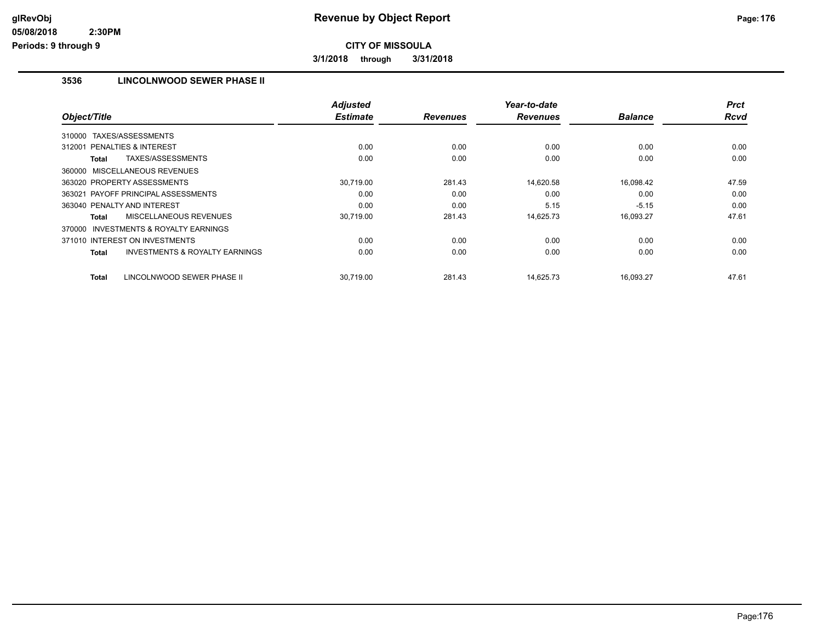**3/1/2018 through 3/31/2018**

## **3536 LINCOLNWOOD SEWER PHASE II**

| Object/Title                                              | <b>Adjusted</b><br><b>Estimate</b> | <b>Revenues</b> | Year-to-date<br><b>Revenues</b> | <b>Balance</b> | <b>Prct</b><br><b>Rcvd</b> |
|-----------------------------------------------------------|------------------------------------|-----------------|---------------------------------|----------------|----------------------------|
|                                                           |                                    |                 |                                 |                |                            |
| 310000 TAXES/ASSESSMENTS                                  |                                    |                 |                                 |                |                            |
| 312001 PENALTIES & INTEREST                               | 0.00                               | 0.00            | 0.00                            | 0.00           | 0.00                       |
| TAXES/ASSESSMENTS<br>Total                                | 0.00                               | 0.00            | 0.00                            | 0.00           | 0.00                       |
| 360000 MISCELLANEOUS REVENUES                             |                                    |                 |                                 |                |                            |
| 363020 PROPERTY ASSESSMENTS                               | 30,719.00                          | 281.43          | 14,620.58                       | 16,098.42      | 47.59                      |
| 363021 PAYOFF PRINCIPAL ASSESSMENTS                       | 0.00                               | 0.00            | 0.00                            | 0.00           | 0.00                       |
| 363040 PENALTY AND INTEREST                               | 0.00                               | 0.00            | 5.15                            | $-5.15$        | 0.00                       |
| Total<br>MISCELLANEOUS REVENUES                           | 30,719.00                          | 281.43          | 14,625.73                       | 16,093.27      | 47.61                      |
| <b>INVESTMENTS &amp; ROYALTY EARNINGS</b><br>370000       |                                    |                 |                                 |                |                            |
| 371010 INTEREST ON INVESTMENTS                            | 0.00                               | 0.00            | 0.00                            | 0.00           | 0.00                       |
| <b>INVESTMENTS &amp; ROYALTY EARNINGS</b><br><b>Total</b> | 0.00                               | 0.00            | 0.00                            | 0.00           | 0.00                       |
| LINCOLNWOOD SEWER PHASE II<br><b>Total</b>                | 30.719.00                          | 281.43          | 14.625.73                       | 16.093.27      | 47.61                      |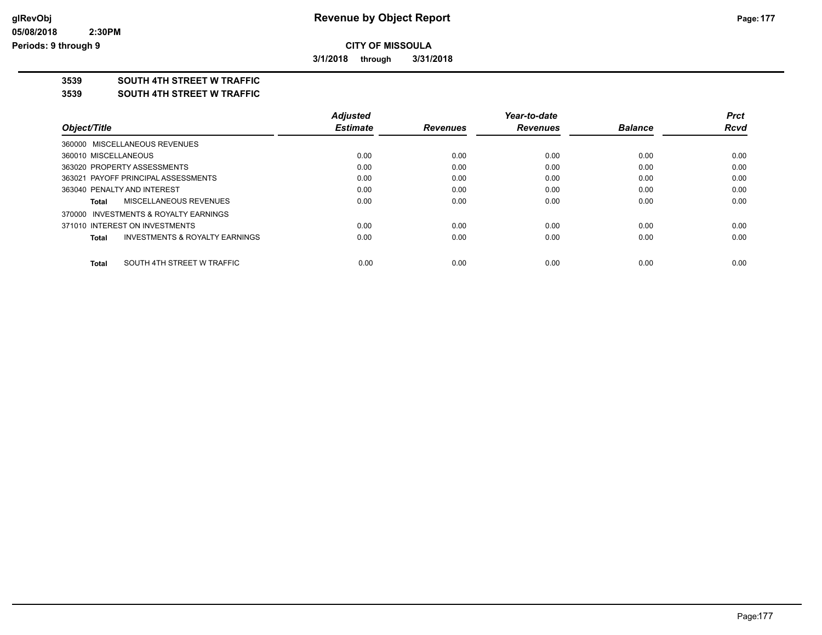**3/1/2018 through 3/31/2018**

## **3539 SOUTH 4TH STREET W TRAFFIC**

#### **3539 SOUTH 4TH STREET W TRAFFIC**

|                                         | <b>Adjusted</b> |                 | Year-to-date    |                | <b>Prct</b> |
|-----------------------------------------|-----------------|-----------------|-----------------|----------------|-------------|
| Object/Title                            | <b>Estimate</b> | <b>Revenues</b> | <b>Revenues</b> | <b>Balance</b> | Rcvd        |
| 360000 MISCELLANEOUS REVENUES           |                 |                 |                 |                |             |
| 360010 MISCELLANEOUS                    | 0.00            | 0.00            | 0.00            | 0.00           | 0.00        |
| 363020 PROPERTY ASSESSMENTS             | 0.00            | 0.00            | 0.00            | 0.00           | 0.00        |
| 363021 PAYOFF PRINCIPAL ASSESSMENTS     | 0.00            | 0.00            | 0.00            | 0.00           | 0.00        |
| 363040 PENALTY AND INTEREST             | 0.00            | 0.00            | 0.00            | 0.00           | 0.00        |
| MISCELLANEOUS REVENUES<br>Total         | 0.00            | 0.00            | 0.00            | 0.00           | 0.00        |
| 370000 INVESTMENTS & ROYALTY EARNINGS   |                 |                 |                 |                |             |
| 371010 INTEREST ON INVESTMENTS          | 0.00            | 0.00            | 0.00            | 0.00           | 0.00        |
| INVESTMENTS & ROYALTY EARNINGS<br>Total | 0.00            | 0.00            | 0.00            | 0.00           | 0.00        |
| SOUTH 4TH STREET W TRAFFIC<br>Total     | 0.00            | 0.00            | 0.00            | 0.00           | 0.00        |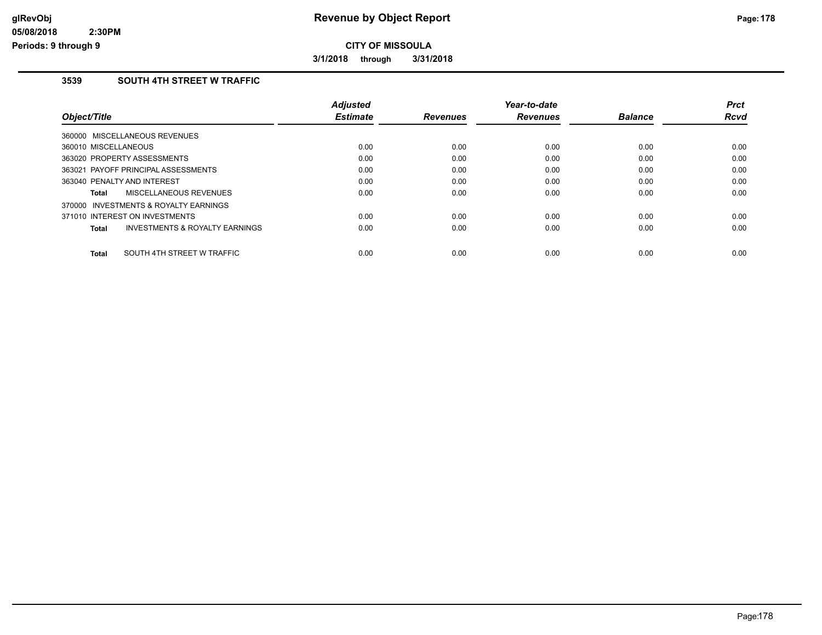**3/1/2018 through 3/31/2018**

#### **3539 SOUTH 4TH STREET W TRAFFIC**

| Object/Title                                              | <b>Adjusted</b><br><b>Estimate</b> | <b>Revenues</b> | Year-to-date<br><b>Revenues</b> | <b>Balance</b> | <b>Prct</b><br><b>Rcvd</b> |
|-----------------------------------------------------------|------------------------------------|-----------------|---------------------------------|----------------|----------------------------|
| 360000 MISCELLANEOUS REVENUES                             |                                    |                 |                                 |                |                            |
| 360010 MISCELLANEOUS                                      | 0.00                               | 0.00            | 0.00                            | 0.00           | 0.00                       |
| 363020 PROPERTY ASSESSMENTS                               | 0.00                               | 0.00            | 0.00                            | 0.00           | 0.00                       |
| 363021 PAYOFF PRINCIPAL ASSESSMENTS                       | 0.00                               | 0.00            | 0.00                            | 0.00           | 0.00                       |
| 363040 PENALTY AND INTEREST                               | 0.00                               | 0.00            | 0.00                            | 0.00           | 0.00                       |
| MISCELLANEOUS REVENUES<br>Total                           | 0.00                               | 0.00            | 0.00                            | 0.00           | 0.00                       |
| 370000 INVESTMENTS & ROYALTY EARNINGS                     |                                    |                 |                                 |                |                            |
| 371010 INTEREST ON INVESTMENTS                            | 0.00                               | 0.00            | 0.00                            | 0.00           | 0.00                       |
| <b>INVESTMENTS &amp; ROYALTY EARNINGS</b><br><b>Total</b> | 0.00                               | 0.00            | 0.00                            | 0.00           | 0.00                       |
| SOUTH 4TH STREET W TRAFFIC<br>Total                       | 0.00                               | 0.00            | 0.00                            | 0.00           | 0.00                       |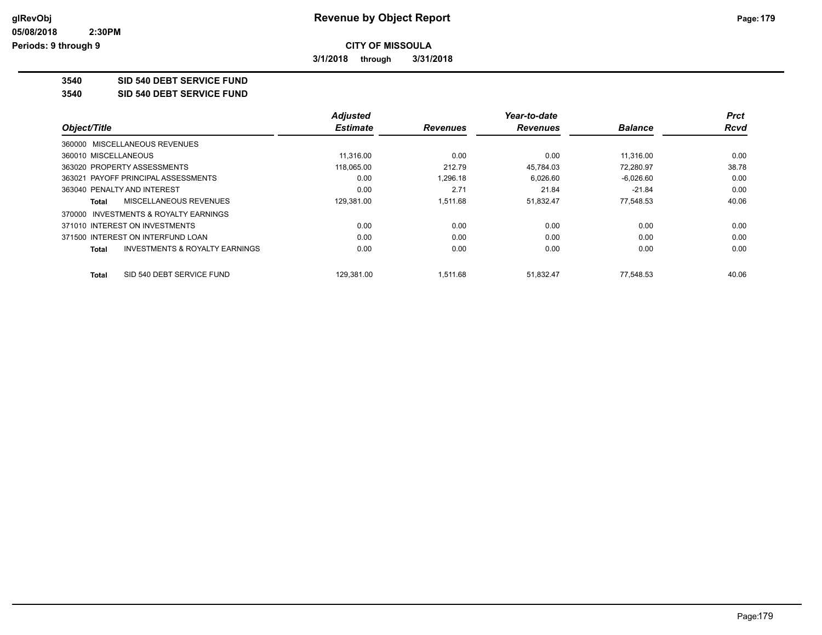**3/1/2018 through 3/31/2018**

**3540 SID 540 DEBT SERVICE FUND**

**3540 SID 540 DEBT SERVICE FUND**

|                                                    | <b>Adjusted</b> |                 | Year-to-date    |                | <b>Prct</b> |
|----------------------------------------------------|-----------------|-----------------|-----------------|----------------|-------------|
| Object/Title                                       | <b>Estimate</b> | <b>Revenues</b> | <b>Revenues</b> | <b>Balance</b> | <b>Rcvd</b> |
| 360000 MISCELLANEOUS REVENUES                      |                 |                 |                 |                |             |
| 360010 MISCELLANEOUS                               | 11.316.00       | 0.00            | 0.00            | 11.316.00      | 0.00        |
| 363020 PROPERTY ASSESSMENTS                        | 118.065.00      | 212.79          | 45.784.03       | 72.280.97      | 38.78       |
| 363021 PAYOFF PRINCIPAL ASSESSMENTS                | 0.00            | 1,296.18        | 6.026.60        | $-6.026.60$    | 0.00        |
| 363040 PENALTY AND INTEREST                        | 0.00            | 2.71            | 21.84           | $-21.84$       | 0.00        |
| MISCELLANEOUS REVENUES<br>Total                    | 129,381.00      | 1.511.68        | 51,832.47       | 77,548.53      | 40.06       |
| 370000 INVESTMENTS & ROYALTY EARNINGS              |                 |                 |                 |                |             |
| 371010 INTEREST ON INVESTMENTS                     | 0.00            | 0.00            | 0.00            | 0.00           | 0.00        |
| 371500 INTEREST ON INTERFUND LOAN                  | 0.00            | 0.00            | 0.00            | 0.00           | 0.00        |
| <b>INVESTMENTS &amp; ROYALTY EARNINGS</b><br>Total | 0.00            | 0.00            | 0.00            | 0.00           | 0.00        |
| SID 540 DEBT SERVICE FUND<br><b>Total</b>          | 129.381.00      | 1.511.68        | 51.832.47       | 77.548.53      | 40.06       |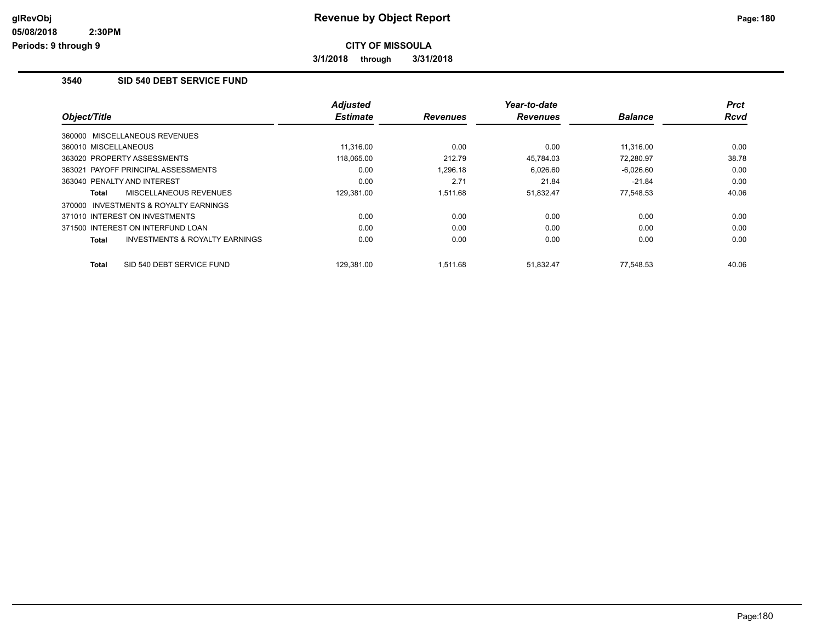**3/1/2018 through 3/31/2018**

#### **3540 SID 540 DEBT SERVICE FUND**

|                                                    | <b>Adjusted</b> |                 | Year-to-date    |                | <b>Prct</b> |
|----------------------------------------------------|-----------------|-----------------|-----------------|----------------|-------------|
| Object/Title                                       | <b>Estimate</b> | <b>Revenues</b> | <b>Revenues</b> | <b>Balance</b> | Rcvd        |
| 360000 MISCELLANEOUS REVENUES                      |                 |                 |                 |                |             |
| 360010 MISCELLANEOUS                               | 11.316.00       | 0.00            | 0.00            | 11.316.00      | 0.00        |
| 363020 PROPERTY ASSESSMENTS                        | 118.065.00      | 212.79          | 45.784.03       | 72.280.97      | 38.78       |
| 363021 PAYOFF PRINCIPAL ASSESSMENTS                | 0.00            | 1,296.18        | 6,026.60        | $-6,026.60$    | 0.00        |
| 363040 PENALTY AND INTEREST                        | 0.00            | 2.71            | 21.84           | $-21.84$       | 0.00        |
| MISCELLANEOUS REVENUES<br>Total                    | 129,381.00      | 1.511.68        | 51,832.47       | 77,548.53      | 40.06       |
| INVESTMENTS & ROYALTY EARNINGS<br>370000           |                 |                 |                 |                |             |
| 371010 INTEREST ON INVESTMENTS                     | 0.00            | 0.00            | 0.00            | 0.00           | 0.00        |
| 371500 INTEREST ON INTERFUND LOAN                  | 0.00            | 0.00            | 0.00            | 0.00           | 0.00        |
| <b>INVESTMENTS &amp; ROYALTY EARNINGS</b><br>Total | 0.00            | 0.00            | 0.00            | 0.00           | 0.00        |
| SID 540 DEBT SERVICE FUND<br>Total                 | 129.381.00      | 1.511.68        | 51,832.47       | 77.548.53      | 40.06       |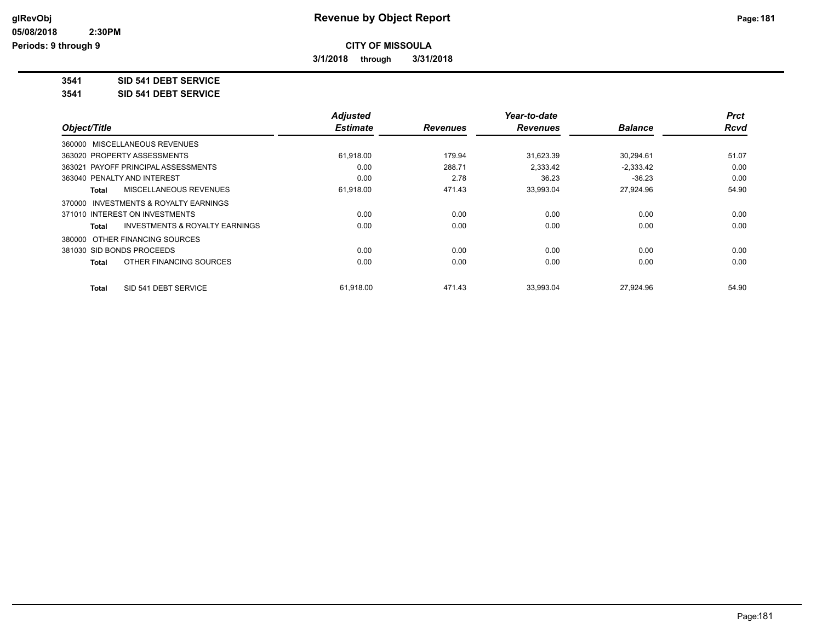**3/1/2018 through 3/31/2018**

**3541 SID 541 DEBT SERVICE**

**3541 SID 541 DEBT SERVICE**

|                                                    | <b>Adjusted</b> |                 | Year-to-date    |                | <b>Prct</b> |
|----------------------------------------------------|-----------------|-----------------|-----------------|----------------|-------------|
| Object/Title                                       | <b>Estimate</b> | <b>Revenues</b> | <b>Revenues</b> | <b>Balance</b> | <b>Rcvd</b> |
| 360000 MISCELLANEOUS REVENUES                      |                 |                 |                 |                |             |
| 363020 PROPERTY ASSESSMENTS                        | 61,918.00       | 179.94          | 31,623.39       | 30,294.61      | 51.07       |
| PAYOFF PRINCIPAL ASSESSMENTS<br>363021             | 0.00            | 288.71          | 2,333.42        | $-2,333.42$    | 0.00        |
| 363040 PENALTY AND INTEREST                        | 0.00            | 2.78            | 36.23           | $-36.23$       | 0.00        |
| MISCELLANEOUS REVENUES<br><b>Total</b>             | 61,918.00       | 471.43          | 33,993.04       | 27,924.96      | 54.90       |
| 370000 INVESTMENTS & ROYALTY EARNINGS              |                 |                 |                 |                |             |
| 371010 INTEREST ON INVESTMENTS                     | 0.00            | 0.00            | 0.00            | 0.00           | 0.00        |
| <b>INVESTMENTS &amp; ROYALTY EARNINGS</b><br>Total | 0.00            | 0.00            | 0.00            | 0.00           | 0.00        |
| 380000 OTHER FINANCING SOURCES                     |                 |                 |                 |                |             |
| 381030 SID BONDS PROCEEDS                          | 0.00            | 0.00            | 0.00            | 0.00           | 0.00        |
| OTHER FINANCING SOURCES<br><b>Total</b>            | 0.00            | 0.00            | 0.00            | 0.00           | 0.00        |
| SID 541 DEBT SERVICE<br>Total                      | 61.918.00       | 471.43          | 33.993.04       | 27.924.96      | 54.90       |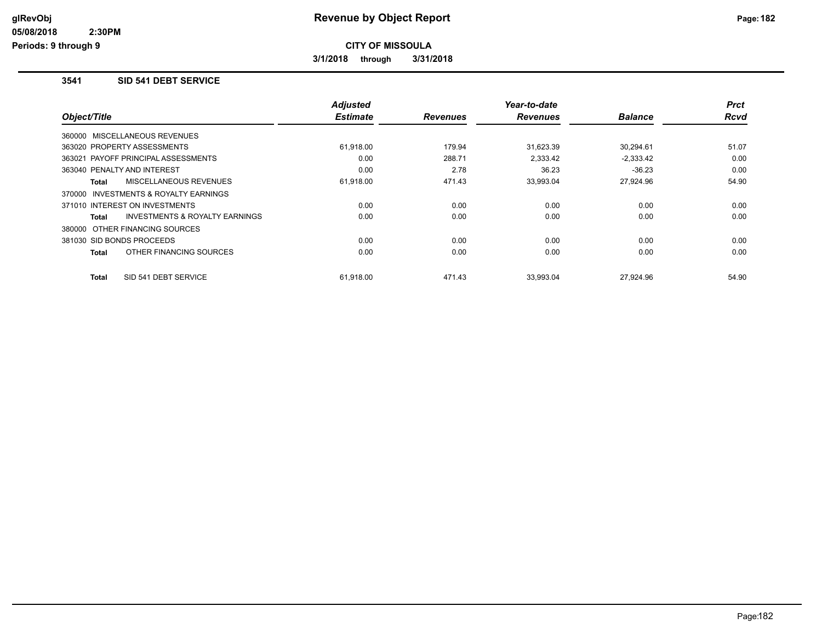**3/1/2018 through 3/31/2018**

#### **3541 SID 541 DEBT SERVICE**

| Object/Title                                       | <b>Adjusted</b><br><b>Estimate</b> | <b>Revenues</b> | Year-to-date<br><b>Revenues</b> | <b>Balance</b> | <b>Prct</b><br>Rcvd |
|----------------------------------------------------|------------------------------------|-----------------|---------------------------------|----------------|---------------------|
|                                                    |                                    |                 |                                 |                |                     |
| 360000 MISCELLANEOUS REVENUES                      |                                    |                 |                                 |                |                     |
| 363020 PROPERTY ASSESSMENTS                        | 61,918.00                          | 179.94          | 31,623.39                       | 30.294.61      | 51.07               |
| 363021 PAYOFF PRINCIPAL ASSESSMENTS                | 0.00                               | 288.71          | 2,333.42                        | $-2,333.42$    | 0.00                |
| 363040 PENALTY AND INTEREST                        | 0.00                               | 2.78            | 36.23                           | $-36.23$       | 0.00                |
| <b>MISCELLANEOUS REVENUES</b><br>Total             | 61,918.00                          | 471.43          | 33,993.04                       | 27.924.96      | 54.90               |
| 370000 INVESTMENTS & ROYALTY EARNINGS              |                                    |                 |                                 |                |                     |
| 371010 INTEREST ON INVESTMENTS                     | 0.00                               | 0.00            | 0.00                            | 0.00           | 0.00                |
| <b>INVESTMENTS &amp; ROYALTY EARNINGS</b><br>Total | 0.00                               | 0.00            | 0.00                            | 0.00           | 0.00                |
| 380000 OTHER FINANCING SOURCES                     |                                    |                 |                                 |                |                     |
| 381030 SID BONDS PROCEEDS                          | 0.00                               | 0.00            | 0.00                            | 0.00           | 0.00                |
| OTHER FINANCING SOURCES<br>Total                   | 0.00                               | 0.00            | 0.00                            | 0.00           | 0.00                |
| SID 541 DEBT SERVICE<br>Total                      | 61.918.00                          | 471.43          | 33.993.04                       | 27.924.96      | 54.90               |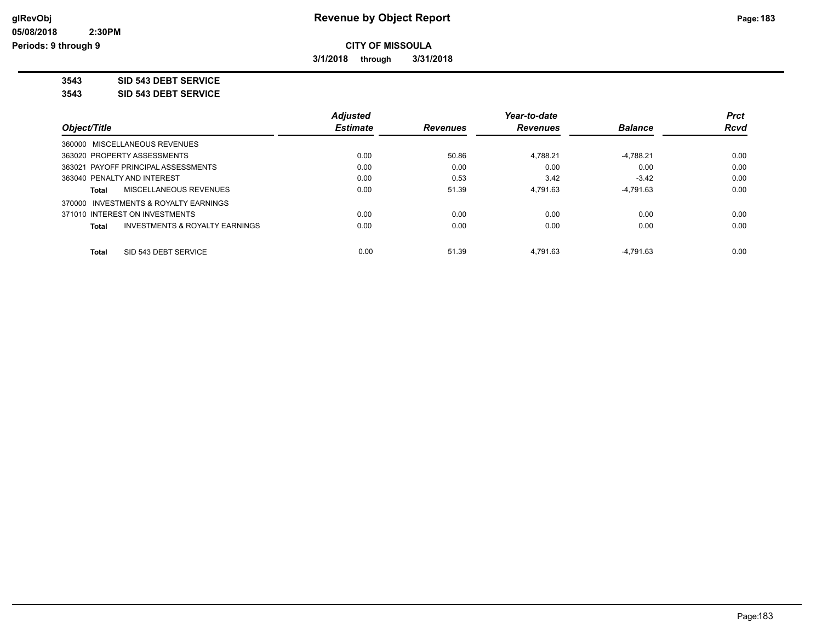**3/1/2018 through 3/31/2018**

**3543 SID 543 DEBT SERVICE**

**3543 SID 543 DEBT SERVICE**

|                                         | <b>Adjusted</b> |                 | Year-to-date    |                | <b>Prct</b> |
|-----------------------------------------|-----------------|-----------------|-----------------|----------------|-------------|
| Object/Title                            | <b>Estimate</b> | <b>Revenues</b> | <b>Revenues</b> | <b>Balance</b> | Rcvd        |
| 360000 MISCELLANEOUS REVENUES           |                 |                 |                 |                |             |
| 363020 PROPERTY ASSESSMENTS             | 0.00            | 50.86           | 4.788.21        | $-4.788.21$    | 0.00        |
| 363021 PAYOFF PRINCIPAL ASSESSMENTS     | 0.00            | 0.00            | 0.00            | 0.00           | 0.00        |
| 363040 PENALTY AND INTEREST             | 0.00            | 0.53            | 3.42            | $-3.42$        | 0.00        |
| MISCELLANEOUS REVENUES<br>Total         | 0.00            | 51.39           | 4.791.63        | $-4.791.63$    | 0.00        |
| 370000 INVESTMENTS & ROYALTY EARNINGS   |                 |                 |                 |                |             |
| 371010 INTEREST ON INVESTMENTS          | 0.00            | 0.00            | 0.00            | 0.00           | 0.00        |
| INVESTMENTS & ROYALTY EARNINGS<br>Total | 0.00            | 0.00            | 0.00            | 0.00           | 0.00        |
| SID 543 DEBT SERVICE<br><b>Total</b>    | 0.00            | 51.39           | 4.791.63        | $-4.791.63$    | 0.00        |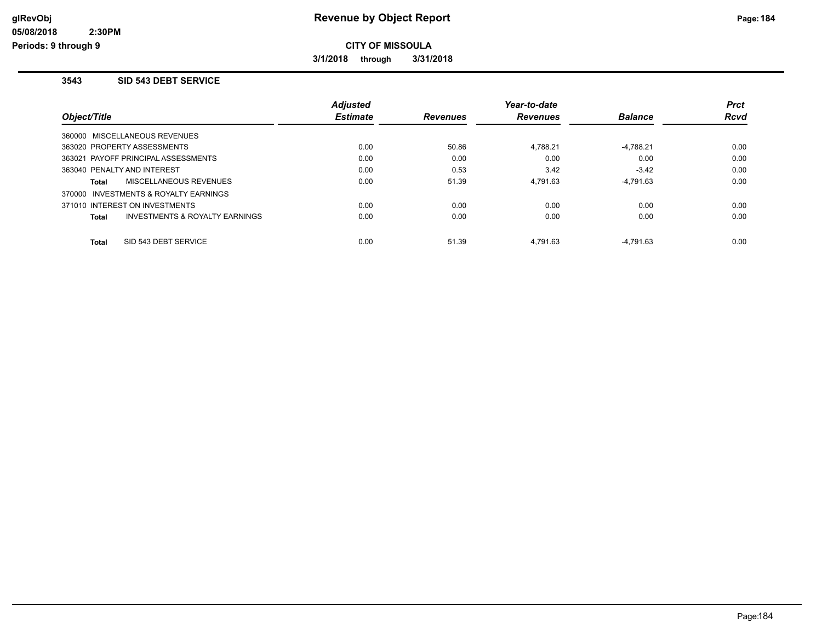**3/1/2018 through 3/31/2018**

#### **3543 SID 543 DEBT SERVICE**

|                             |                                     | Adjusted        |                 | Year-to-date    |                | <b>Prct</b> |
|-----------------------------|-------------------------------------|-----------------|-----------------|-----------------|----------------|-------------|
| Object/Title                |                                     | <b>Estimate</b> | <b>Revenues</b> | <b>Revenues</b> | <b>Balance</b> | <b>Rcvd</b> |
|                             | 360000 MISCELLANEOUS REVENUES       |                 |                 |                 |                |             |
|                             | 363020 PROPERTY ASSESSMENTS         | 0.00            | 50.86           | 4.788.21        | $-4,788.21$    | 0.00        |
|                             | 363021 PAYOFF PRINCIPAL ASSESSMENTS | 0.00            | 0.00            | 0.00            | 0.00           | 0.00        |
| 363040 PENALTY AND INTEREST |                                     | 0.00            | 0.53            | 3.42            | $-3.42$        | 0.00        |
| Total                       | MISCELLANEOUS REVENUES              | 0.00            | 51.39           | 4.791.63        | $-4.791.63$    | 0.00        |
| 370000                      | INVESTMENTS & ROYALTY EARNINGS      |                 |                 |                 |                |             |
|                             | 371010 INTEREST ON INVESTMENTS      | 0.00            | 0.00            | 0.00            | 0.00           | 0.00        |
| Total                       | INVESTMENTS & ROYALTY EARNINGS      | 0.00            | 0.00            | 0.00            | 0.00           | 0.00        |
| <b>Total</b>                | SID 543 DEBT SERVICE                | 0.00            | 51.39           | 4.791.63        | $-4.791.63$    | 0.00        |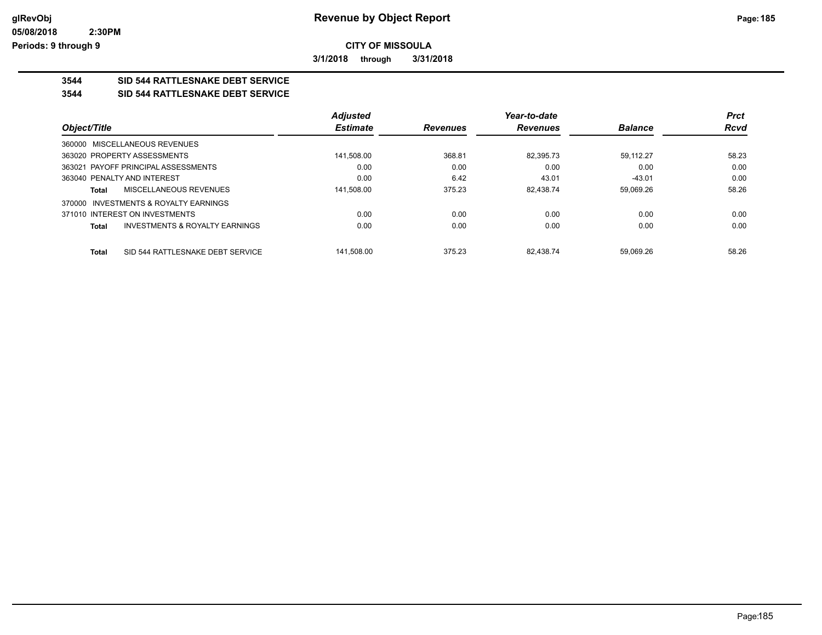**3/1/2018 through 3/31/2018**

# **3544 SID 544 RATTLESNAKE DEBT SERVICE**

# **3544 SID 544 RATTLESNAKE DEBT SERVICE**

|                                |                                           | <b>Adjusted</b> |                 | Year-to-date    |                | <b>Prct</b> |
|--------------------------------|-------------------------------------------|-----------------|-----------------|-----------------|----------------|-------------|
| Object/Title                   |                                           | <b>Estimate</b> | <b>Revenues</b> | <b>Revenues</b> | <b>Balance</b> | <b>Rcvd</b> |
|                                | 360000 MISCELLANEOUS REVENUES             |                 |                 |                 |                |             |
| 363020 PROPERTY ASSESSMENTS    |                                           | 141,508.00      | 368.81          | 82,395.73       | 59,112.27      | 58.23       |
|                                | 363021 PAYOFF PRINCIPAL ASSESSMENTS       | 0.00            | 0.00            | 0.00            | 0.00           | 0.00        |
| 363040 PENALTY AND INTEREST    |                                           | 0.00            | 6.42            | 43.01           | $-43.01$       | 0.00        |
| Total                          | <b>MISCELLANEOUS REVENUES</b>             | 141,508.00      | 375.23          | 82.438.74       | 59,069.26      | 58.26       |
| 370000                         | INVESTMENTS & ROYALTY EARNINGS            |                 |                 |                 |                |             |
| 371010 INTEREST ON INVESTMENTS |                                           | 0.00            | 0.00            | 0.00            | 0.00           | 0.00        |
| Total                          | <b>INVESTMENTS &amp; ROYALTY EARNINGS</b> | 0.00            | 0.00            | 0.00            | 0.00           | 0.00        |
| <b>Total</b>                   | SID 544 RATTLESNAKE DEBT SERVICE          | 141.508.00      | 375.23          | 82.438.74       | 59.069.26      | 58.26       |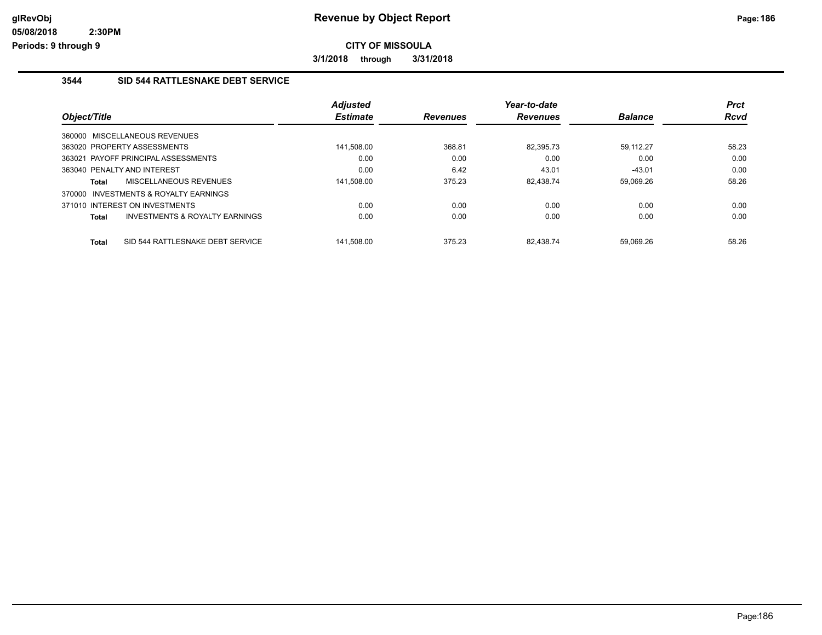**3/1/2018 through 3/31/2018**

## **3544 SID 544 RATTLESNAKE DEBT SERVICE**

|                                          |                                  | <b>Adjusted</b> |                 | Year-to-date    |                | <b>Prct</b> |
|------------------------------------------|----------------------------------|-----------------|-----------------|-----------------|----------------|-------------|
| Object/Title                             |                                  | <b>Estimate</b> | <b>Revenues</b> | <b>Revenues</b> | <b>Balance</b> | <b>Rcvd</b> |
| 360000 MISCELLANEOUS REVENUES            |                                  |                 |                 |                 |                |             |
| 363020 PROPERTY ASSESSMENTS              |                                  | 141,508.00      | 368.81          | 82.395.73       | 59.112.27      | 58.23       |
| 363021 PAYOFF PRINCIPAL ASSESSMENTS      |                                  | 0.00            | 0.00            | 0.00            | 0.00           | 0.00        |
| 363040 PENALTY AND INTEREST              |                                  | 0.00            | 6.42            | 43.01           | $-43.01$       | 0.00        |
| MISCELLANEOUS REVENUES<br><b>Total</b>   |                                  | 141.508.00      | 375.23          | 82.438.74       | 59.069.26      | 58.26       |
| INVESTMENTS & ROYALTY EARNINGS<br>370000 |                                  |                 |                 |                 |                |             |
| 371010 INTEREST ON INVESTMENTS           |                                  | 0.00            | 0.00            | 0.00            | 0.00           | 0.00        |
| <b>Total</b>                             | INVESTMENTS & ROYALTY EARNINGS   | 0.00            | 0.00            | 0.00            | 0.00           | 0.00        |
| <b>Total</b>                             | SID 544 RATTLESNAKE DEBT SERVICE | 141.508.00      | 375.23          | 82.438.74       | 59.069.26      | 58.26       |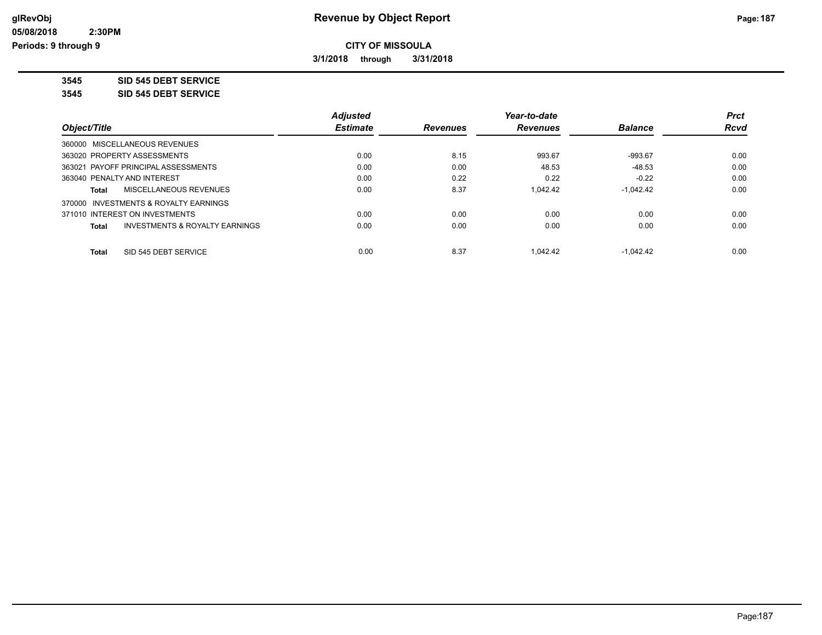**3/1/2018 through 3/31/2018**

**3545 SID 545 DEBT SERVICE**

**3545 SID 545 DEBT SERVICE**

| <b>Rcvd</b> |
|-------------|
|             |
| 0.00        |
| 0.00        |
| 0.00        |
| 0.00        |
|             |
| 0.00        |
| 0.00        |
| 0.00        |
|             |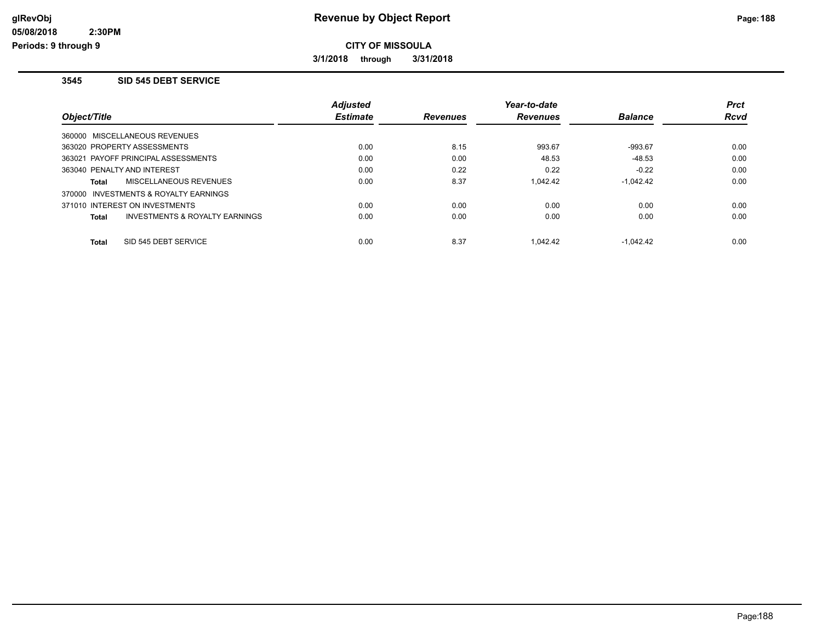**3/1/2018 through 3/31/2018**

#### **3545 SID 545 DEBT SERVICE**

|                                |                                     | <b>Adjusted</b> |                 | Year-to-date    |                | <b>Prct</b> |
|--------------------------------|-------------------------------------|-----------------|-----------------|-----------------|----------------|-------------|
| Object/Title                   |                                     | <b>Estimate</b> | <b>Revenues</b> | <b>Revenues</b> | <b>Balance</b> | <b>Rcvd</b> |
| 360000 MISCELLANEOUS REVENUES  |                                     |                 |                 |                 |                |             |
| 363020 PROPERTY ASSESSMENTS    |                                     | 0.00            | 8.15            | 993.67          | $-993.67$      | 0.00        |
|                                | 363021 PAYOFF PRINCIPAL ASSESSMENTS | 0.00            | 0.00            | 48.53           | $-48.53$       | 0.00        |
| 363040 PENALTY AND INTEREST    |                                     | 0.00            | 0.22            | 0.22            | $-0.22$        | 0.00        |
| Total                          | MISCELLANEOUS REVENUES              | 0.00            | 8.37            | 1.042.42        | $-1.042.42$    | 0.00        |
| 370000                         | INVESTMENTS & ROYALTY EARNINGS      |                 |                 |                 |                |             |
| 371010 INTEREST ON INVESTMENTS |                                     | 0.00            | 0.00            | 0.00            | 0.00           | 0.00        |
| Total                          | INVESTMENTS & ROYALTY EARNINGS      | 0.00            | 0.00            | 0.00            | 0.00           | 0.00        |
| <b>Total</b>                   | SID 545 DEBT SERVICE                | 0.00            | 8.37            | 1.042.42        | $-1.042.42$    | 0.00        |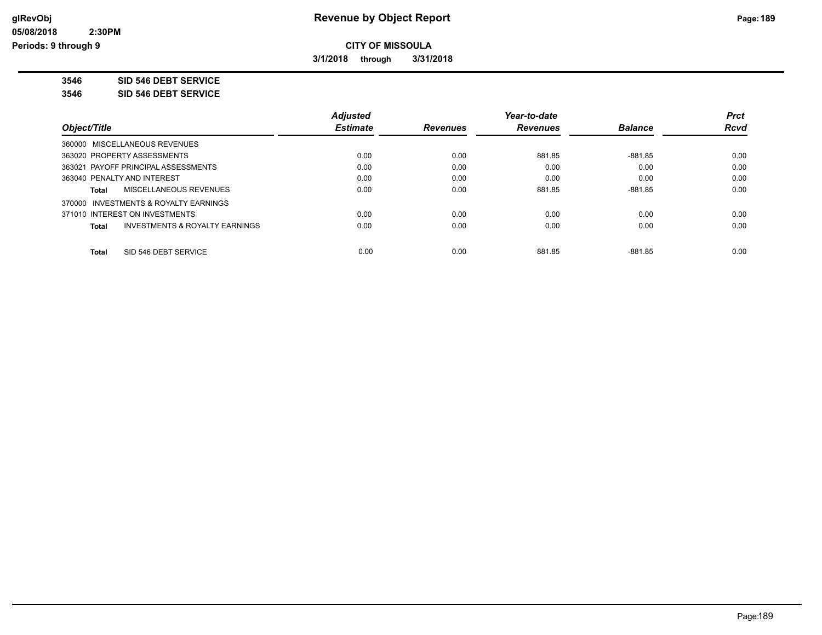**3/1/2018 through 3/31/2018**

**3546 SID 546 DEBT SERVICE**

**3546 SID 546 DEBT SERVICE**

|                                                    | <b>Adjusted</b> |                 | Year-to-date    |                | <b>Prct</b> |
|----------------------------------------------------|-----------------|-----------------|-----------------|----------------|-------------|
| Object/Title                                       | <b>Estimate</b> | <b>Revenues</b> | <b>Revenues</b> | <b>Balance</b> | <b>Rcvd</b> |
| 360000 MISCELLANEOUS REVENUES                      |                 |                 |                 |                |             |
| 363020 PROPERTY ASSESSMENTS                        | 0.00            | 0.00            | 881.85          | -881.85        | 0.00        |
| 363021 PAYOFF PRINCIPAL ASSESSMENTS                | 0.00            | 0.00            | 0.00            | 0.00           | 0.00        |
| 363040 PENALTY AND INTEREST                        | 0.00            | 0.00            | 0.00            | 0.00           | 0.00        |
| MISCELLANEOUS REVENUES<br>Total                    | 0.00            | 0.00            | 881.85          | $-881.85$      | 0.00        |
| 370000 INVESTMENTS & ROYALTY EARNINGS              |                 |                 |                 |                |             |
| 371010 INTEREST ON INVESTMENTS                     | 0.00            | 0.00            | 0.00            | 0.00           | 0.00        |
| <b>INVESTMENTS &amp; ROYALTY EARNINGS</b><br>Total | 0.00            | 0.00            | 0.00            | 0.00           | 0.00        |
| SID 546 DEBT SERVICE<br>Total                      | 0.00            | 0.00            | 881.85          | $-881.85$      | 0.00        |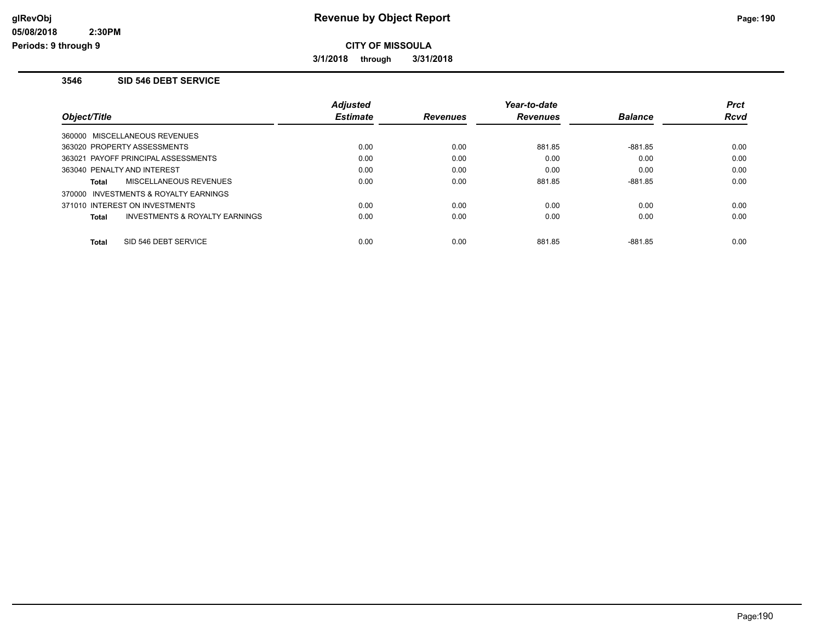**3/1/2018 through 3/31/2018**

#### **3546 SID 546 DEBT SERVICE**

|                                                     | <b>Adjusted</b> |                 | Year-to-date    |                | <b>Prct</b> |
|-----------------------------------------------------|-----------------|-----------------|-----------------|----------------|-------------|
| Object/Title                                        | <b>Estimate</b> | <b>Revenues</b> | <b>Revenues</b> | <b>Balance</b> | Rcvd        |
| 360000 MISCELLANEOUS REVENUES                       |                 |                 |                 |                |             |
| 363020 PROPERTY ASSESSMENTS                         | 0.00            | 0.00            | 881.85          | -881.85        | 0.00        |
| 363021 PAYOFF PRINCIPAL ASSESSMENTS                 | 0.00            | 0.00            | 0.00            | 0.00           | 0.00        |
| 363040 PENALTY AND INTEREST                         | 0.00            | 0.00            | 0.00            | 0.00           | 0.00        |
| MISCELLANEOUS REVENUES<br>Total                     | 0.00            | 0.00            | 881.85          | $-881.85$      | 0.00        |
| <b>INVESTMENTS &amp; ROYALTY EARNINGS</b><br>370000 |                 |                 |                 |                |             |
| 371010 INTEREST ON INVESTMENTS                      | 0.00            | 0.00            | 0.00            | 0.00           | 0.00        |
| INVESTMENTS & ROYALTY EARNINGS<br>Total             | 0.00            | 0.00            | 0.00            | 0.00           | 0.00        |
| SID 546 DEBT SERVICE<br><b>Total</b>                | 0.00            | 0.00            | 881.85          | $-881.85$      | 0.00        |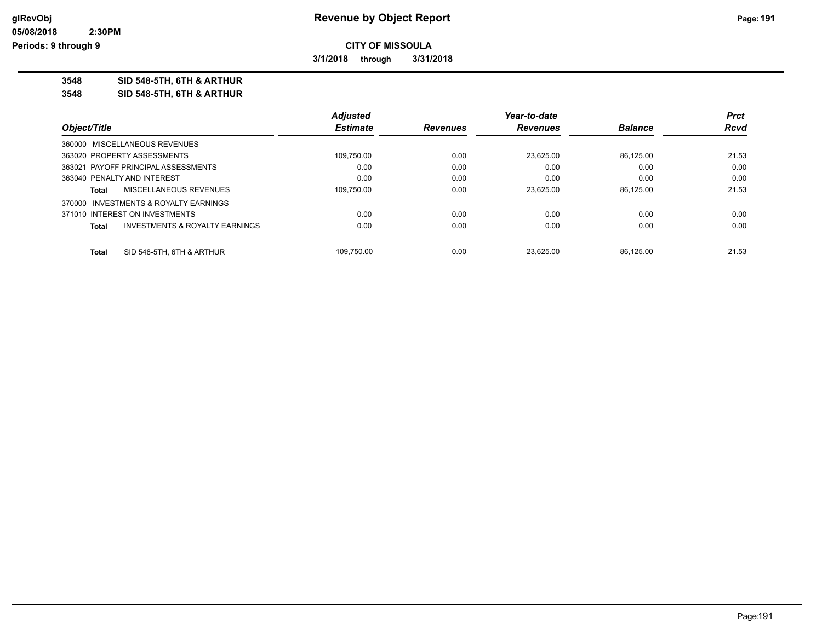**3/1/2018 through 3/31/2018**

**3548 SID 548-5TH, 6TH & ARTHUR**

**3548 SID 548-5TH, 6TH & ARTHUR**

|                                           |                                | <b>Adjusted</b> |                 | Year-to-date    |                | <b>Prct</b> |
|-------------------------------------------|--------------------------------|-----------------|-----------------|-----------------|----------------|-------------|
| Object/Title                              |                                | <b>Estimate</b> | <b>Revenues</b> | <b>Revenues</b> | <b>Balance</b> | <b>Rcvd</b> |
| 360000 MISCELLANEOUS REVENUES             |                                |                 |                 |                 |                |             |
| 363020 PROPERTY ASSESSMENTS               |                                | 109.750.00      | 0.00            | 23.625.00       | 86.125.00      | 21.53       |
| 363021 PAYOFF PRINCIPAL ASSESSMENTS       |                                | 0.00            | 0.00            | 0.00            | 0.00           | 0.00        |
| 363040 PENALTY AND INTEREST               |                                | 0.00            | 0.00            | 0.00            | 0.00           | 0.00        |
| MISCELLANEOUS REVENUES<br>Total           |                                | 109,750.00      | 0.00            | 23.625.00       | 86.125.00      | 21.53       |
| 370000 INVESTMENTS & ROYALTY EARNINGS     |                                |                 |                 |                 |                |             |
| 371010 INTEREST ON INVESTMENTS            |                                | 0.00            | 0.00            | 0.00            | 0.00           | 0.00        |
| Total                                     | INVESTMENTS & ROYALTY EARNINGS | 0.00            | 0.00            | 0.00            | 0.00           | 0.00        |
| SID 548-5TH, 6TH & ARTHUR<br><b>Total</b> |                                | 109.750.00      | 0.00            | 23.625.00       | 86.125.00      | 21.53       |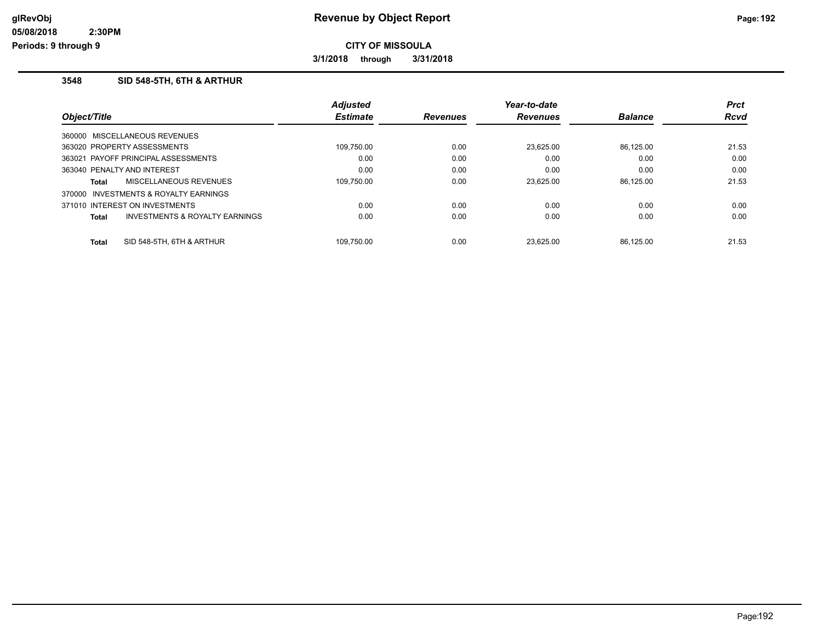**3/1/2018 through 3/31/2018**

## **3548 SID 548-5TH, 6TH & ARTHUR**

|              |                                       | <b>Adjusted</b> |                 | Year-to-date    |                | <b>Prct</b> |
|--------------|---------------------------------------|-----------------|-----------------|-----------------|----------------|-------------|
| Object/Title |                                       | <b>Estimate</b> | <b>Revenues</b> | <b>Revenues</b> | <b>Balance</b> | <b>Rcvd</b> |
|              | 360000 MISCELLANEOUS REVENUES         |                 |                 |                 |                |             |
|              | 363020 PROPERTY ASSESSMENTS           | 109,750.00      | 0.00            | 23.625.00       | 86,125.00      | 21.53       |
|              | 363021 PAYOFF PRINCIPAL ASSESSMENTS   | 0.00            | 0.00            | 0.00            | 0.00           | 0.00        |
|              | 363040 PENALTY AND INTEREST           | 0.00            | 0.00            | 0.00            | 0.00           | 0.00        |
| <b>Total</b> | MISCELLANEOUS REVENUES                | 109.750.00      | 0.00            | 23.625.00       | 86.125.00      | 21.53       |
|              | 370000 INVESTMENTS & ROYALTY EARNINGS |                 |                 |                 |                |             |
|              | 371010 INTEREST ON INVESTMENTS        | 0.00            | 0.00            | 0.00            | 0.00           | 0.00        |
| <b>Total</b> | INVESTMENTS & ROYALTY EARNINGS        | 0.00            | 0.00            | 0.00            | 0.00           | 0.00        |
| <b>Total</b> | SID 548-5TH, 6TH & ARTHUR             | 109.750.00      | 0.00            | 23.625.00       | 86.125.00      | 21.53       |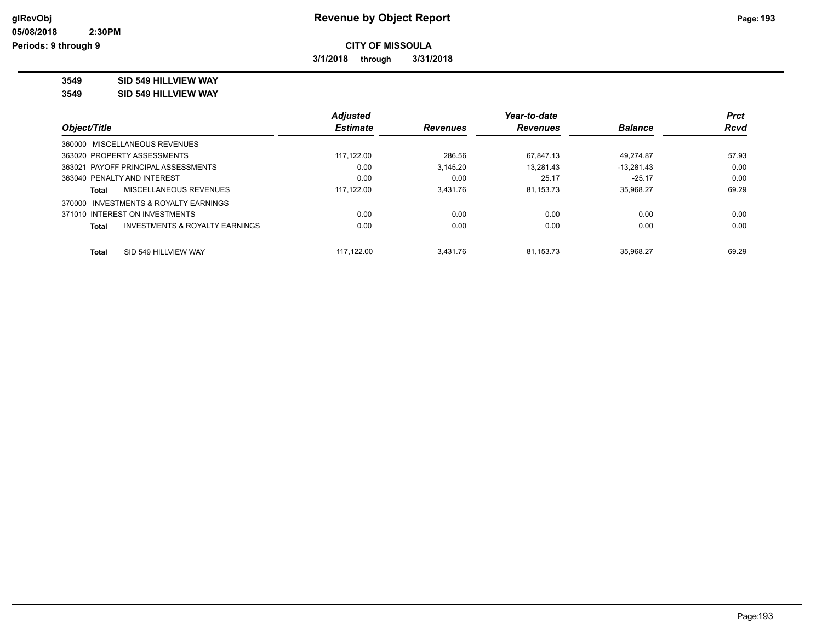**3/1/2018 through 3/31/2018**

#### **3549 SID 549 HILLVIEW WAY**

#### **3549 SID 549 HILLVIEW WAY**

|                                                           | <b>Adjusted</b> |                 | Year-to-date    |                | <b>Prct</b> |
|-----------------------------------------------------------|-----------------|-----------------|-----------------|----------------|-------------|
| Object/Title                                              | <b>Estimate</b> | <b>Revenues</b> | <b>Revenues</b> | <b>Balance</b> | <b>Rcvd</b> |
| 360000 MISCELLANEOUS REVENUES                             |                 |                 |                 |                |             |
| 363020 PROPERTY ASSESSMENTS                               | 117.122.00      | 286.56          | 67.847.13       | 49.274.87      | 57.93       |
| 363021 PAYOFF PRINCIPAL ASSESSMENTS                       | 0.00            | 3.145.20        | 13.281.43       | $-13,281.43$   | 0.00        |
| 363040 PENALTY AND INTEREST                               | 0.00            | 0.00            | 25.17           | $-25.17$       | 0.00        |
| MISCELLANEOUS REVENUES<br>Total                           | 117.122.00      | 3.431.76        | 81.153.73       | 35.968.27      | 69.29       |
| 370000 INVESTMENTS & ROYALTY EARNINGS                     |                 |                 |                 |                |             |
| 371010 INTEREST ON INVESTMENTS                            | 0.00            | 0.00            | 0.00            | 0.00           | 0.00        |
| <b>INVESTMENTS &amp; ROYALTY EARNINGS</b><br><b>Total</b> | 0.00            | 0.00            | 0.00            | 0.00           | 0.00        |
|                                                           |                 |                 |                 |                |             |
| SID 549 HILLVIEW WAY<br><b>Total</b>                      | 117.122.00      | 3.431.76        | 81.153.73       | 35.968.27      | 69.29       |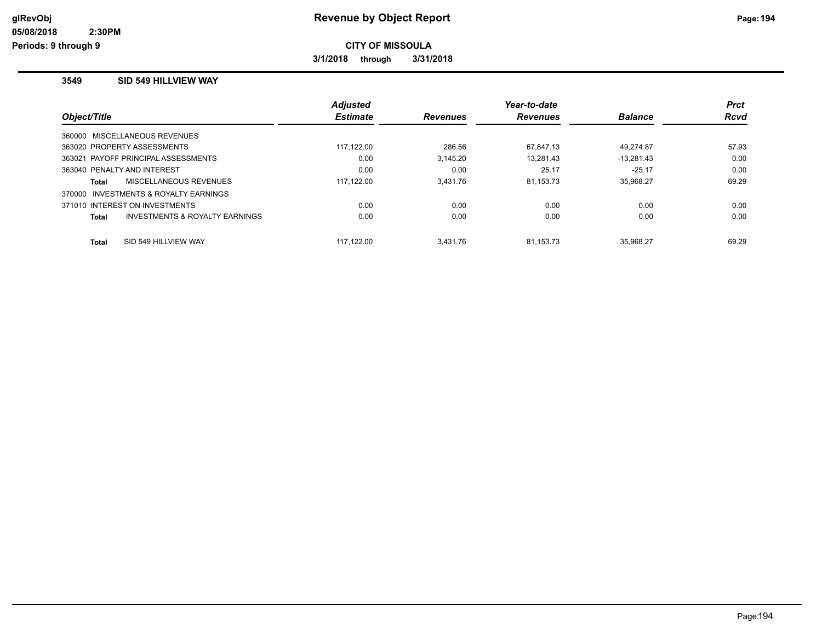**3/1/2018 through 3/31/2018**

#### **3549 SID 549 HILLVIEW WAY**

|                                                     | <b>Adjusted</b> |                 | Year-to-date    |                | <b>Prct</b> |
|-----------------------------------------------------|-----------------|-----------------|-----------------|----------------|-------------|
| Object/Title                                        | <b>Estimate</b> | <b>Revenues</b> | <b>Revenues</b> | <b>Balance</b> | Rcvd        |
| 360000 MISCELLANEOUS REVENUES                       |                 |                 |                 |                |             |
| 363020 PROPERTY ASSESSMENTS                         | 117.122.00      | 286.56          | 67.847.13       | 49.274.87      | 57.93       |
| 363021 PAYOFF PRINCIPAL ASSESSMENTS                 | 0.00            | 3.145.20        | 13.281.43       | $-13.281.43$   | 0.00        |
| 363040 PENALTY AND INTEREST                         | 0.00            | 0.00            | 25.17           | $-25.17$       | 0.00        |
| MISCELLANEOUS REVENUES<br>Total                     | 117.122.00      | 3.431.76        | 81.153.73       | 35.968.27      | 69.29       |
| <b>INVESTMENTS &amp; ROYALTY EARNINGS</b><br>370000 |                 |                 |                 |                |             |
| 371010 INTEREST ON INVESTMENTS                      | 0.00            | 0.00            | 0.00            | 0.00           | 0.00        |
| <b>Total</b><br>INVESTMENTS & ROYALTY EARNINGS      | 0.00            | 0.00            | 0.00            | 0.00           | 0.00        |
| SID 549 HILLVIEW WAY<br><b>Total</b>                | 117.122.00      | 3.431.76        | 81.153.73       | 35.968.27      | 69.29       |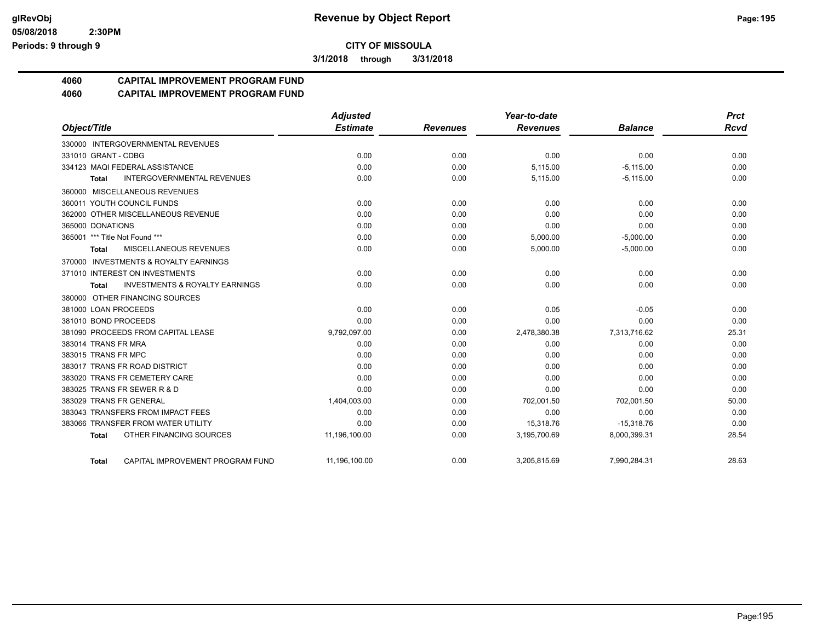**3/1/2018 through 3/31/2018**

# **4060 CAPITAL IMPROVEMENT PROGRAM FUND**

# **4060 CAPITAL IMPROVEMENT PROGRAM FUND**

|                                                     | <b>Adjusted</b> |                 | Year-to-date    |                | <b>Prct</b> |
|-----------------------------------------------------|-----------------|-----------------|-----------------|----------------|-------------|
| Object/Title                                        | <b>Estimate</b> | <b>Revenues</b> | <b>Revenues</b> | <b>Balance</b> | <b>Rcvd</b> |
| 330000 INTERGOVERNMENTAL REVENUES                   |                 |                 |                 |                |             |
| 331010 GRANT - CDBG                                 | 0.00            | 0.00            | 0.00            | 0.00           | 0.00        |
| 334123 MAQI FEDERAL ASSISTANCE                      | 0.00            | 0.00            | 5,115.00        | $-5,115.00$    | 0.00        |
| <b>INTERGOVERNMENTAL REVENUES</b><br><b>Total</b>   | 0.00            | 0.00            | 5,115.00        | $-5,115.00$    | 0.00        |
| 360000 MISCELLANEOUS REVENUES                       |                 |                 |                 |                |             |
| 360011 YOUTH COUNCIL FUNDS                          | 0.00            | 0.00            | 0.00            | 0.00           | 0.00        |
| 362000 OTHER MISCELLANEOUS REVENUE                  | 0.00            | 0.00            | 0.00            | 0.00           | 0.00        |
| 365000 DONATIONS                                    | 0.00            | 0.00            | 0.00            | 0.00           | 0.00        |
| 365001 *** Title Not Found ***                      | 0.00            | 0.00            | 5,000.00        | $-5,000.00$    | 0.00        |
| MISCELLANEOUS REVENUES<br><b>Total</b>              | 0.00            | 0.00            | 5,000.00        | $-5,000.00$    | 0.00        |
| <b>INVESTMENTS &amp; ROYALTY EARNINGS</b><br>370000 |                 |                 |                 |                |             |
| 371010 INTEREST ON INVESTMENTS                      | 0.00            | 0.00            | 0.00            | 0.00           | 0.00        |
| <b>INVESTMENTS &amp; ROYALTY EARNINGS</b><br>Total  | 0.00            | 0.00            | 0.00            | 0.00           | 0.00        |
| 380000 OTHER FINANCING SOURCES                      |                 |                 |                 |                |             |
| 381000 LOAN PROCEEDS                                | 0.00            | 0.00            | 0.05            | $-0.05$        | 0.00        |
| 381010 BOND PROCEEDS                                | 0.00            | 0.00            | 0.00            | 0.00           | 0.00        |
| 381090 PROCEEDS FROM CAPITAL LEASE                  | 9,792,097.00    | 0.00            | 2,478,380.38    | 7,313,716.62   | 25.31       |
| 383014 TRANS FR MRA                                 | 0.00            | 0.00            | 0.00            | 0.00           | 0.00        |
| 383015 TRANS FR MPC                                 | 0.00            | 0.00            | 0.00            | 0.00           | 0.00        |
| 383017 TRANS FR ROAD DISTRICT                       | 0.00            | 0.00            | 0.00            | 0.00           | 0.00        |
| 383020 TRANS FR CEMETERY CARE                       | 0.00            | 0.00            | 0.00            | 0.00           | 0.00        |
| 383025 TRANS FR SEWER R & D                         | 0.00            | 0.00            | 0.00            | 0.00           | 0.00        |
| 383029 TRANS FR GENERAL                             | 1,404,003.00    | 0.00            | 702,001.50      | 702,001.50     | 50.00       |
| 383043 TRANSFERS FROM IMPACT FEES                   | 0.00            | 0.00            | 0.00            | 0.00           | 0.00        |
| 383066 TRANSFER FROM WATER UTILITY                  | 0.00            | 0.00            | 15,318.76       | $-15,318.76$   | 0.00        |
| OTHER FINANCING SOURCES<br><b>Total</b>             | 11,196,100.00   | 0.00            | 3,195,700.69    | 8,000,399.31   | 28.54       |
| CAPITAL IMPROVEMENT PROGRAM FUND<br>Total           | 11,196,100.00   | 0.00            | 3,205,815.69    | 7,990,284.31   | 28.63       |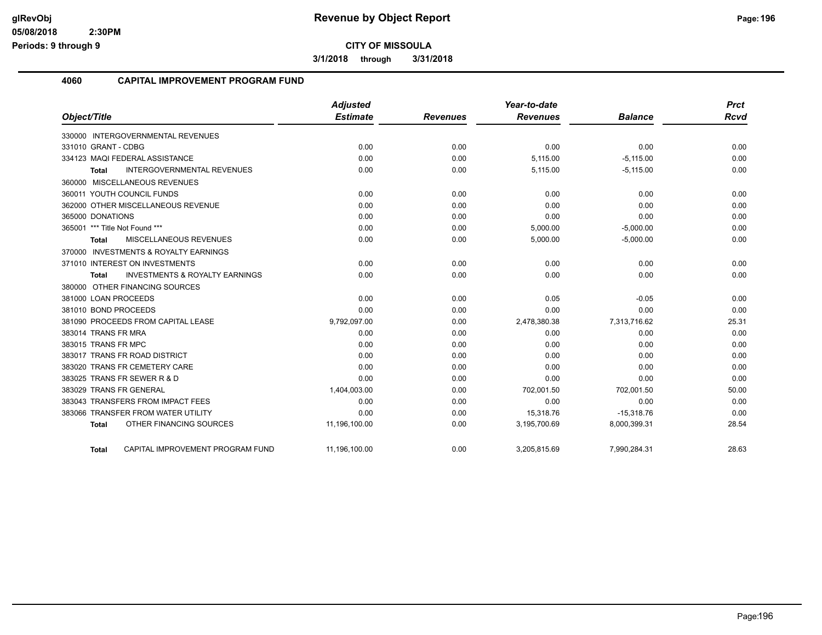**3/1/2018 through 3/31/2018**

#### **4060 CAPITAL IMPROVEMENT PROGRAM FUND**

|                                                    | <b>Adjusted</b> |                 | Year-to-date    |                | <b>Prct</b> |
|----------------------------------------------------|-----------------|-----------------|-----------------|----------------|-------------|
| Object/Title                                       | <b>Estimate</b> | <b>Revenues</b> | <b>Revenues</b> | <b>Balance</b> | <b>Rcvd</b> |
| 330000 INTERGOVERNMENTAL REVENUES                  |                 |                 |                 |                |             |
| 331010 GRANT - CDBG                                | 0.00            | 0.00            | 0.00            | 0.00           | 0.00        |
| 334123 MAQI FEDERAL ASSISTANCE                     | 0.00            | 0.00            | 5,115.00        | $-5,115.00$    | 0.00        |
| <b>INTERGOVERNMENTAL REVENUES</b><br>Total         | 0.00            | 0.00            | 5,115.00        | $-5,115.00$    | 0.00        |
| 360000 MISCELLANEOUS REVENUES                      |                 |                 |                 |                |             |
| 360011 YOUTH COUNCIL FUNDS                         | 0.00            | 0.00            | 0.00            | 0.00           | 0.00        |
| 362000 OTHER MISCELLANEOUS REVENUE                 | 0.00            | 0.00            | 0.00            | 0.00           | 0.00        |
| 365000 DONATIONS                                   | 0.00            | 0.00            | 0.00            | 0.00           | 0.00        |
| 365001 *** Title Not Found ***                     | 0.00            | 0.00            | 5,000.00        | $-5,000.00$    | 0.00        |
| MISCELLANEOUS REVENUES<br>Total                    | 0.00            | 0.00            | 5,000.00        | $-5,000.00$    | 0.00        |
| 370000 INVESTMENTS & ROYALTY EARNINGS              |                 |                 |                 |                |             |
| 371010 INTEREST ON INVESTMENTS                     | 0.00            | 0.00            | 0.00            | 0.00           | 0.00        |
| <b>INVESTMENTS &amp; ROYALTY EARNINGS</b><br>Total | 0.00            | 0.00            | 0.00            | 0.00           | 0.00        |
| 380000 OTHER FINANCING SOURCES                     |                 |                 |                 |                |             |
| 381000 LOAN PROCEEDS                               | 0.00            | 0.00            | 0.05            | $-0.05$        | 0.00        |
| 381010 BOND PROCEEDS                               | 0.00            | 0.00            | 0.00            | 0.00           | 0.00        |
| 381090 PROCEEDS FROM CAPITAL LEASE                 | 9,792,097.00    | 0.00            | 2,478,380.38    | 7,313,716.62   | 25.31       |
| 383014 TRANS FR MRA                                | 0.00            | 0.00            | 0.00            | 0.00           | 0.00        |
| 383015 TRANS FR MPC                                | 0.00            | 0.00            | 0.00            | 0.00           | 0.00        |
| 383017 TRANS FR ROAD DISTRICT                      | 0.00            | 0.00            | 0.00            | 0.00           | 0.00        |
| 383020 TRANS FR CEMETERY CARE                      | 0.00            | 0.00            | 0.00            | 0.00           | 0.00        |
| 383025 TRANS FR SEWER R & D                        | 0.00            | 0.00            | 0.00            | 0.00           | 0.00        |
| 383029 TRANS FR GENERAL                            | 1,404,003.00    | 0.00            | 702,001.50      | 702,001.50     | 50.00       |
| 383043 TRANSFERS FROM IMPACT FEES                  | 0.00            | 0.00            | 0.00            | 0.00           | 0.00        |
| 383066 TRANSFER FROM WATER UTILITY                 | 0.00            | 0.00            | 15,318.76       | $-15,318.76$   | 0.00        |
| OTHER FINANCING SOURCES<br><b>Total</b>            | 11,196,100.00   | 0.00            | 3,195,700.69    | 8,000,399.31   | 28.54       |
| CAPITAL IMPROVEMENT PROGRAM FUND<br><b>Total</b>   | 11,196,100.00   | 0.00            | 3,205,815.69    | 7,990,284.31   | 28.63       |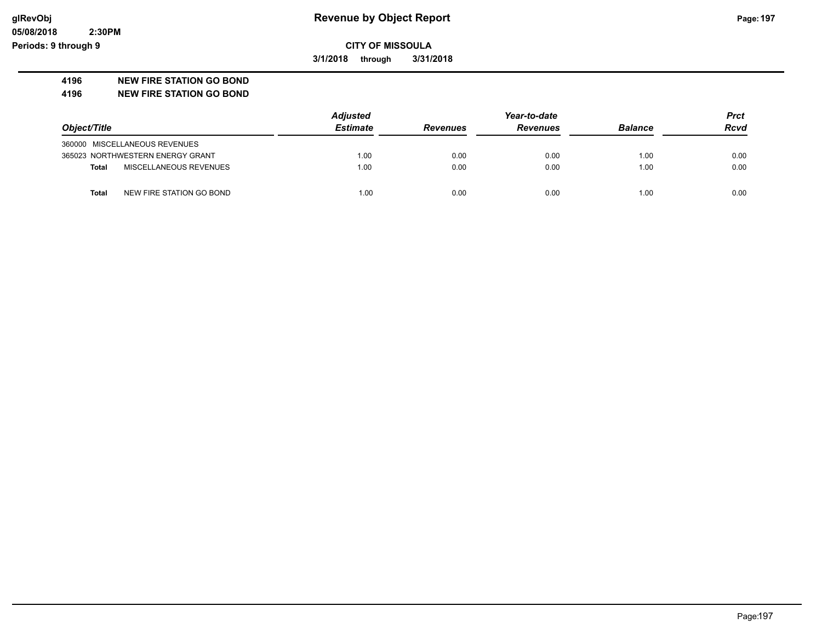**05/08/2018 2:30PM Periods: 9 through 9**

# **CITY OF MISSOULA**

**3/1/2018 through 3/31/2018**

## **4196 NEW FIRE STATION GO BOND**

#### **4196 NEW FIRE STATION GO BOND**

|              |                                  | <b>Adjusted</b> |                 | <b>Prct</b>     |                |             |
|--------------|----------------------------------|-----------------|-----------------|-----------------|----------------|-------------|
| Object/Title |                                  | <b>Estimate</b> | <b>Revenues</b> | <b>Revenues</b> | <b>Balance</b> | <b>Rcvd</b> |
|              | 360000 MISCELLANEOUS REVENUES    |                 |                 |                 |                |             |
|              | 365023 NORTHWESTERN ENERGY GRANT | 1.00            | 0.00            | 0.00            | 1.00           | 0.00        |
| Total        | <b>MISCELLANEOUS REVENUES</b>    | 1.00            | 0.00            | 0.00            | 1.00           | 0.00        |
| <b>Total</b> | NEW FIRE STATION GO BOND         | 1.00            | 0.00            | 0.00            | 1.00           | 0.00        |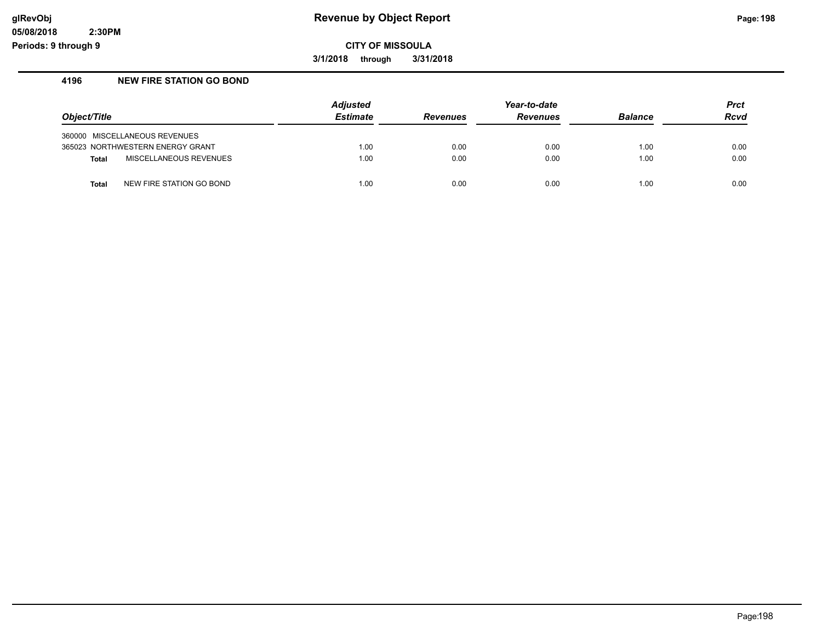**3/1/2018 through 3/31/2018**

#### **4196 NEW FIRE STATION GO BOND**

| Object/Title                             | <b>Adjusted</b><br><b>Estimate</b> | <b>Revenues</b> | Year-to-date<br><b>Revenues</b> | <b>Balance</b> | Prct<br><b>Rcvd</b> |
|------------------------------------------|------------------------------------|-----------------|---------------------------------|----------------|---------------------|
|                                          |                                    |                 |                                 |                |                     |
| 360000 MISCELLANEOUS REVENUES            |                                    |                 |                                 |                |                     |
| 365023 NORTHWESTERN ENERGY GRANT         | 1.00                               | 0.00            | 0.00                            | 1.00           | 0.00                |
| MISCELLANEOUS REVENUES<br><b>Total</b>   | 1.00                               | 0.00            | 0.00                            | 1.00           | 0.00                |
|                                          |                                    |                 |                                 |                |                     |
| <b>Total</b><br>NEW FIRE STATION GO BOND | 1.00                               | 0.00            | 0.00                            | 1.00           | 0.00                |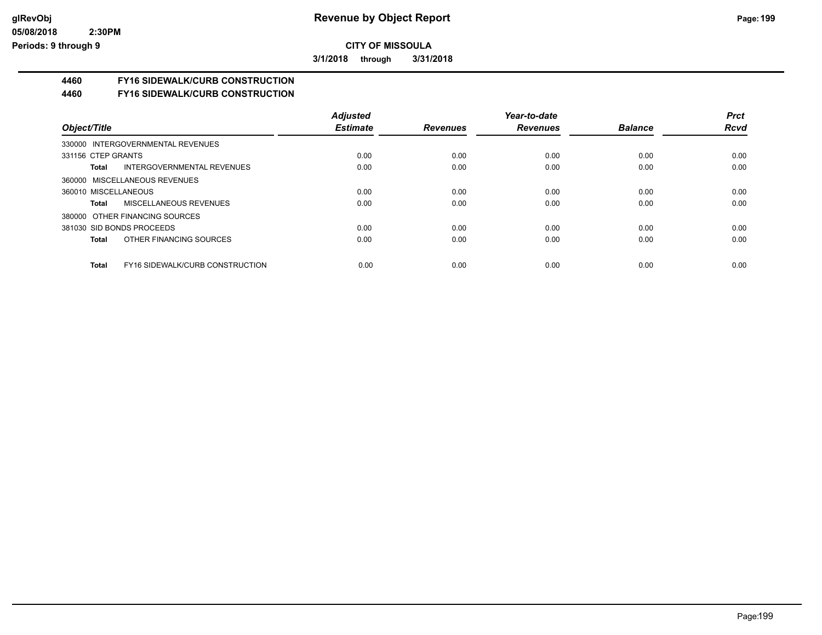# **05/08/2018**

**Periods: 9 through 9**

 **2:30PM**

**CITY OF MISSOULA**

**3/1/2018 through 3/31/2018**

# **4460 FY16 SIDEWALK/CURB CONSTRUCTION**

**4460 FY16 SIDEWALK/CURB CONSTRUCTION**

|                                          | <b>Adjusted</b> |                 | Year-to-date    |                | <b>Prct</b> |
|------------------------------------------|-----------------|-----------------|-----------------|----------------|-------------|
| Object/Title                             | <b>Estimate</b> | <b>Revenues</b> | <b>Revenues</b> | <b>Balance</b> | <b>Rcvd</b> |
| 330000 INTERGOVERNMENTAL REVENUES        |                 |                 |                 |                |             |
| 331156 CTEP GRANTS                       | 0.00            | 0.00            | 0.00            | 0.00           | 0.00        |
| INTERGOVERNMENTAL REVENUES<br>Total      | 0.00            | 0.00            | 0.00            | 0.00           | 0.00        |
| 360000 MISCELLANEOUS REVENUES            |                 |                 |                 |                |             |
| 360010 MISCELLANEOUS                     | 0.00            | 0.00            | 0.00            | 0.00           | 0.00        |
| <b>MISCELLANEOUS REVENUES</b><br>Total   | 0.00            | 0.00            | 0.00            | 0.00           | 0.00        |
| 380000 OTHER FINANCING SOURCES           |                 |                 |                 |                |             |
| 381030 SID BONDS PROCEEDS                | 0.00            | 0.00            | 0.00            | 0.00           | 0.00        |
| OTHER FINANCING SOURCES<br>Total         | 0.00            | 0.00            | 0.00            | 0.00           | 0.00        |
| FY16 SIDEWALK/CURB CONSTRUCTION<br>Total | 0.00            | 0.00            | 0.00            | 0.00           | 0.00        |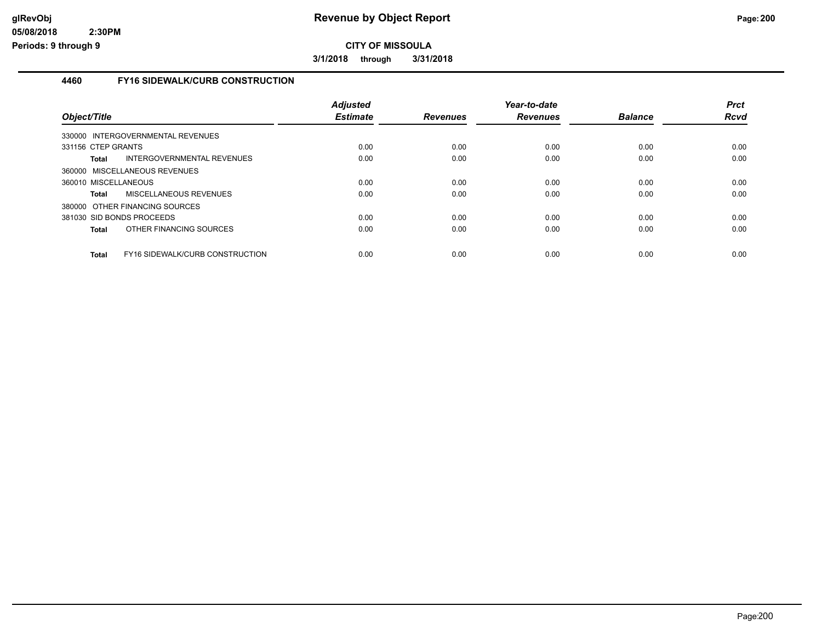**Periods: 9 through 9**

**CITY OF MISSOULA**

**3/1/2018 through 3/31/2018**

## **4460 FY16 SIDEWALK/CURB CONSTRUCTION**

| Object/Title                                    | <b>Adjusted</b><br><b>Estimate</b> | <b>Revenues</b> | Year-to-date<br><b>Revenues</b> | <b>Balance</b> | <b>Prct</b><br><b>Rcvd</b> |
|-------------------------------------------------|------------------------------------|-----------------|---------------------------------|----------------|----------------------------|
| 330000 INTERGOVERNMENTAL REVENUES               |                                    |                 |                                 |                |                            |
| 331156 CTEP GRANTS                              | 0.00                               | 0.00            | 0.00                            | 0.00           | 0.00                       |
| INTERGOVERNMENTAL REVENUES<br><b>Total</b>      | 0.00                               | 0.00            | 0.00                            | 0.00           | 0.00                       |
| 360000 MISCELLANEOUS REVENUES                   |                                    |                 |                                 |                |                            |
| 360010 MISCELLANEOUS                            | 0.00                               | 0.00            | 0.00                            | 0.00           | 0.00                       |
| MISCELLANEOUS REVENUES<br><b>Total</b>          | 0.00                               | 0.00            | 0.00                            | 0.00           | 0.00                       |
| 380000 OTHER FINANCING SOURCES                  |                                    |                 |                                 |                |                            |
| 381030 SID BONDS PROCEEDS                       | 0.00                               | 0.00            | 0.00                            | 0.00           | 0.00                       |
| OTHER FINANCING SOURCES<br><b>Total</b>         | 0.00                               | 0.00            | 0.00                            | 0.00           | 0.00                       |
| FY16 SIDEWALK/CURB CONSTRUCTION<br><b>Total</b> | 0.00                               | 0.00            | 0.00                            | 0.00           | 0.00                       |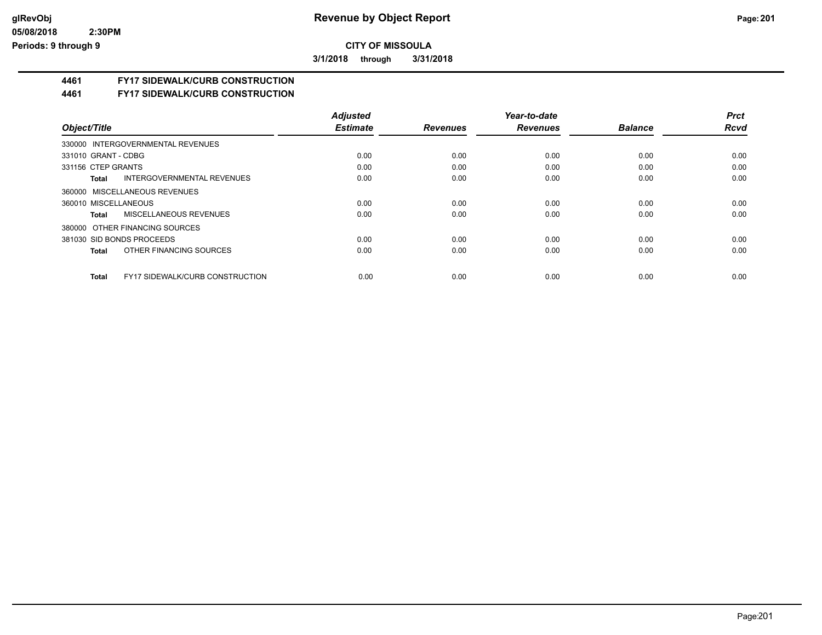#### **05/08/2018 2:30PM Periods: 9 through 9**

**CITY OF MISSOULA**

**3/1/2018 through 3/31/2018**

# **4461 FY17 SIDEWALK/CURB CONSTRUCTION**

**4461 FY17 SIDEWALK/CURB CONSTRUCTION**

|                                            | <b>Adjusted</b> |                 | Year-to-date    |                | <b>Prct</b> |
|--------------------------------------------|-----------------|-----------------|-----------------|----------------|-------------|
| Object/Title                               | <b>Estimate</b> | <b>Revenues</b> | <b>Revenues</b> | <b>Balance</b> | <b>Rcvd</b> |
| 330000 INTERGOVERNMENTAL REVENUES          |                 |                 |                 |                |             |
| 331010 GRANT - CDBG                        | 0.00            | 0.00            | 0.00            | 0.00           | 0.00        |
| 331156 CTEP GRANTS                         | 0.00            | 0.00            | 0.00            | 0.00           | 0.00        |
| <b>INTERGOVERNMENTAL REVENUES</b><br>Total | 0.00            | 0.00            | 0.00            | 0.00           | 0.00        |
| 360000 MISCELLANEOUS REVENUES              |                 |                 |                 |                |             |
| 360010 MISCELLANEOUS                       | 0.00            | 0.00            | 0.00            | 0.00           | 0.00        |
| MISCELLANEOUS REVENUES<br>Total            | 0.00            | 0.00            | 0.00            | 0.00           | 0.00        |
| 380000 OTHER FINANCING SOURCES             |                 |                 |                 |                |             |
| 381030 SID BONDS PROCEEDS                  | 0.00            | 0.00            | 0.00            | 0.00           | 0.00        |
| OTHER FINANCING SOURCES<br>Total           | 0.00            | 0.00            | 0.00            | 0.00           | 0.00        |
| FY17 SIDEWALK/CURB CONSTRUCTION<br>Total   | 0.00            | 0.00            | 0.00            | 0.00           | 0.00        |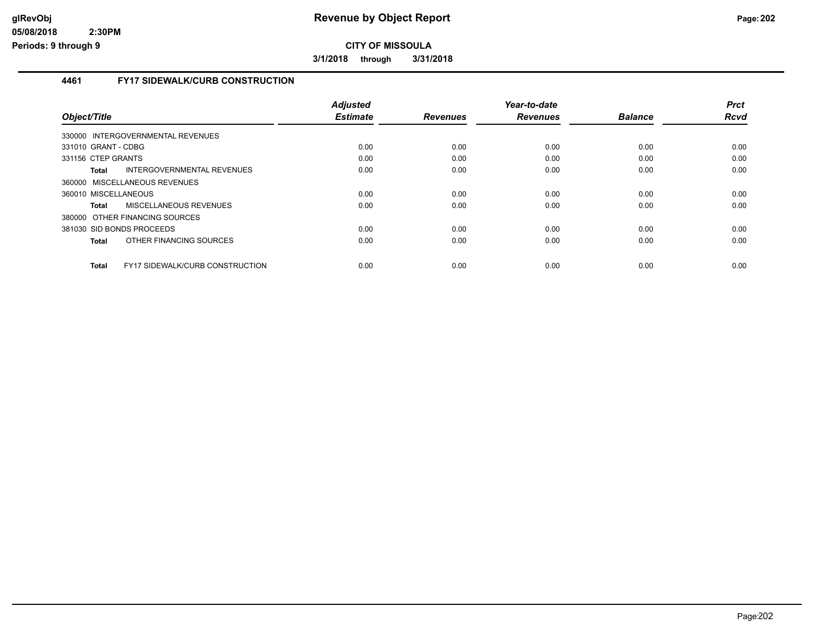**3/1/2018 through 3/31/2018**

#### **4461 FY17 SIDEWALK/CURB CONSTRUCTION**

|                                                        | <b>Adjusted</b> |                 | Year-to-date    |                | <b>Prct</b> |
|--------------------------------------------------------|-----------------|-----------------|-----------------|----------------|-------------|
| Object/Title                                           | <b>Estimate</b> | <b>Revenues</b> | <b>Revenues</b> | <b>Balance</b> | <b>Rcvd</b> |
| 330000 INTERGOVERNMENTAL REVENUES                      |                 |                 |                 |                |             |
| 331010 GRANT - CDBG                                    | 0.00            | 0.00            | 0.00            | 0.00           | 0.00        |
| 331156 CTEP GRANTS                                     | 0.00            | 0.00            | 0.00            | 0.00           | 0.00        |
| INTERGOVERNMENTAL REVENUES<br>Total                    | 0.00            | 0.00            | 0.00            | 0.00           | 0.00        |
| 360000 MISCELLANEOUS REVENUES                          |                 |                 |                 |                |             |
| 360010 MISCELLANEOUS                                   | 0.00            | 0.00            | 0.00            | 0.00           | 0.00        |
| <b>MISCELLANEOUS REVENUES</b><br>Total                 | 0.00            | 0.00            | 0.00            | 0.00           | 0.00        |
| 380000 OTHER FINANCING SOURCES                         |                 |                 |                 |                |             |
| 381030 SID BONDS PROCEEDS                              | 0.00            | 0.00            | 0.00            | 0.00           | 0.00        |
| OTHER FINANCING SOURCES<br>Total                       | 0.00            | 0.00            | 0.00            | 0.00           | 0.00        |
| <b>Total</b><br><b>FY17 SIDEWALK/CURB CONSTRUCTION</b> | 0.00            | 0.00            | 0.00            | 0.00           | 0.00        |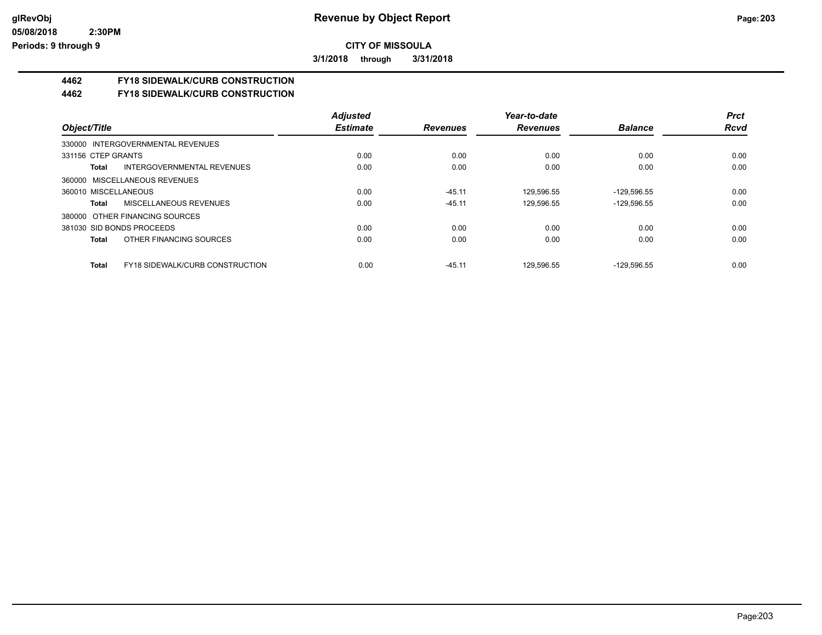**Periods: 9 through 9**

**CITY OF MISSOULA**

**3/1/2018 through 3/31/2018**

# **4462 FY18 SIDEWALK/CURB CONSTRUCTION**

**4462 FY18 SIDEWALK/CURB CONSTRUCTION**

|                                                 | <b>Adjusted</b> |                 | Year-to-date    |                | <b>Prct</b> |
|-------------------------------------------------|-----------------|-----------------|-----------------|----------------|-------------|
| Object/Title                                    | <b>Estimate</b> | <b>Revenues</b> | <b>Revenues</b> | <b>Balance</b> | <b>Rcvd</b> |
| 330000 INTERGOVERNMENTAL REVENUES               |                 |                 |                 |                |             |
| 331156 CTEP GRANTS                              | 0.00            | 0.00            | 0.00            | 0.00           | 0.00        |
| <b>INTERGOVERNMENTAL REVENUES</b><br>Total      | 0.00            | 0.00            | 0.00            | 0.00           | 0.00        |
| 360000 MISCELLANEOUS REVENUES                   |                 |                 |                 |                |             |
| 360010 MISCELLANEOUS                            | 0.00            | $-45.11$        | 129.596.55      | $-129.596.55$  | 0.00        |
| <b>MISCELLANEOUS REVENUES</b><br>Total          | 0.00            | $-45.11$        | 129,596.55      | $-129,596.55$  | 0.00        |
| 380000 OTHER FINANCING SOURCES                  |                 |                 |                 |                |             |
| 381030 SID BONDS PROCEEDS                       | 0.00            | 0.00            | 0.00            | 0.00           | 0.00        |
| OTHER FINANCING SOURCES<br>Total                | 0.00            | 0.00            | 0.00            | 0.00           | 0.00        |
| <b>FY18 SIDEWALK/CURB CONSTRUCTION</b><br>Total | 0.00            | $-45.11$        | 129.596.55      | $-129.596.55$  | 0.00        |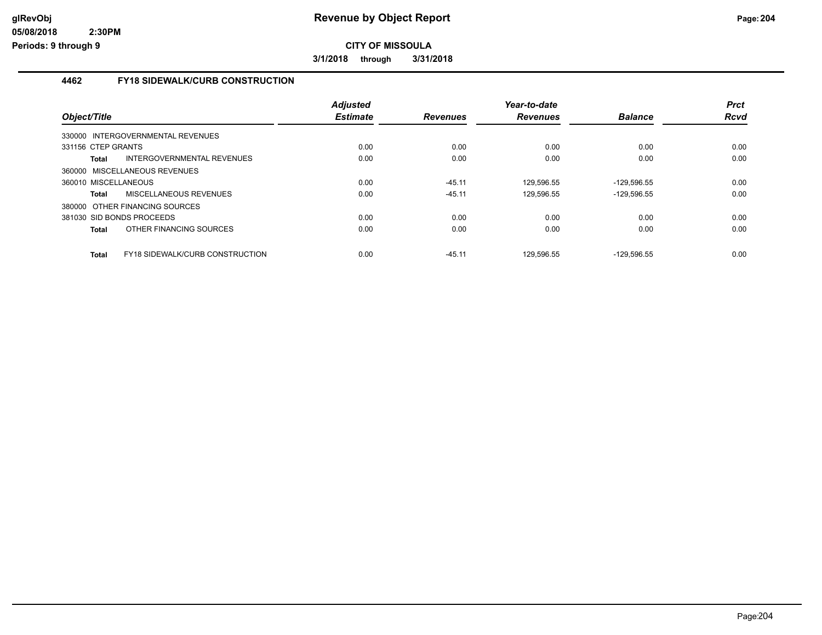**3/1/2018 through 3/31/2018**

## **4462 FY18 SIDEWALK/CURB CONSTRUCTION**

| Object/Title                                    | <b>Adjusted</b><br><b>Estimate</b> | <b>Revenues</b> | Year-to-date<br><b>Revenues</b> | <b>Balance</b> | <b>Prct</b><br><b>Rcvd</b> |
|-------------------------------------------------|------------------------------------|-----------------|---------------------------------|----------------|----------------------------|
| 330000 INTERGOVERNMENTAL REVENUES               |                                    |                 |                                 |                |                            |
| 331156 CTEP GRANTS                              | 0.00                               | 0.00            | 0.00                            | 0.00           | 0.00                       |
| INTERGOVERNMENTAL REVENUES<br><b>Total</b>      | 0.00                               | 0.00            | 0.00                            | 0.00           | 0.00                       |
| 360000 MISCELLANEOUS REVENUES                   |                                    |                 |                                 |                |                            |
| 360010 MISCELLANEOUS                            | 0.00                               | $-45.11$        | 129.596.55                      | -129.596.55    | 0.00                       |
| <b>MISCELLANEOUS REVENUES</b><br><b>Total</b>   | 0.00                               | $-45.11$        | 129,596.55                      | $-129,596.55$  | 0.00                       |
| 380000 OTHER FINANCING SOURCES                  |                                    |                 |                                 |                |                            |
| 381030 SID BONDS PROCEEDS                       | 0.00                               | 0.00            | 0.00                            | 0.00           | 0.00                       |
| OTHER FINANCING SOURCES<br><b>Total</b>         | 0.00                               | 0.00            | 0.00                            | 0.00           | 0.00                       |
| FY18 SIDEWALK/CURB CONSTRUCTION<br><b>Total</b> | 0.00                               | $-45.11$        | 129.596.55                      | $-129.596.55$  | 0.00                       |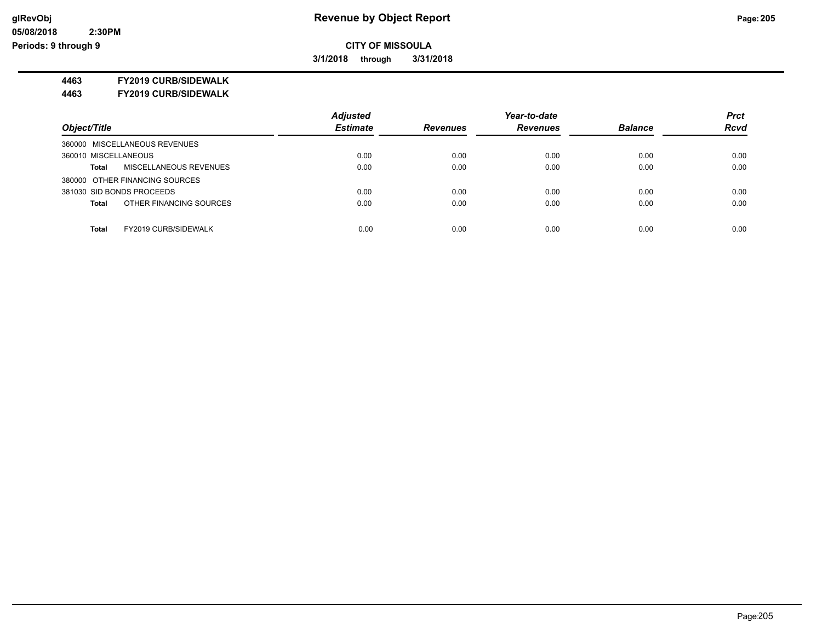**3/1/2018 through 3/31/2018**

**4463 FY2019 CURB/SIDEWALK**

**4463 FY2019 CURB/SIDEWALK**

|                                               | <b>Adjusted</b> |                 | Year-to-date    |                | <b>Prct</b> |
|-----------------------------------------------|-----------------|-----------------|-----------------|----------------|-------------|
| Object/Title                                  | <b>Estimate</b> | <b>Revenues</b> | <b>Revenues</b> | <b>Balance</b> | <b>Rcvd</b> |
| 360000 MISCELLANEOUS REVENUES                 |                 |                 |                 |                |             |
| 360010 MISCELLANEOUS                          | 0.00            | 0.00            | 0.00            | 0.00           | 0.00        |
| <b>MISCELLANEOUS REVENUES</b><br><b>Total</b> | 0.00            | 0.00            | 0.00            | 0.00           | 0.00        |
| 380000 OTHER FINANCING SOURCES                |                 |                 |                 |                |             |
| 381030 SID BONDS PROCEEDS                     | 0.00            | 0.00            | 0.00            | 0.00           | 0.00        |
| OTHER FINANCING SOURCES<br><b>Total</b>       | 0.00            | 0.00            | 0.00            | 0.00           | 0.00        |
|                                               |                 |                 |                 |                |             |
| <b>FY2019 CURB/SIDEWALK</b><br><b>Total</b>   | 0.00            | 0.00            | 0.00            | 0.00           | 0.00        |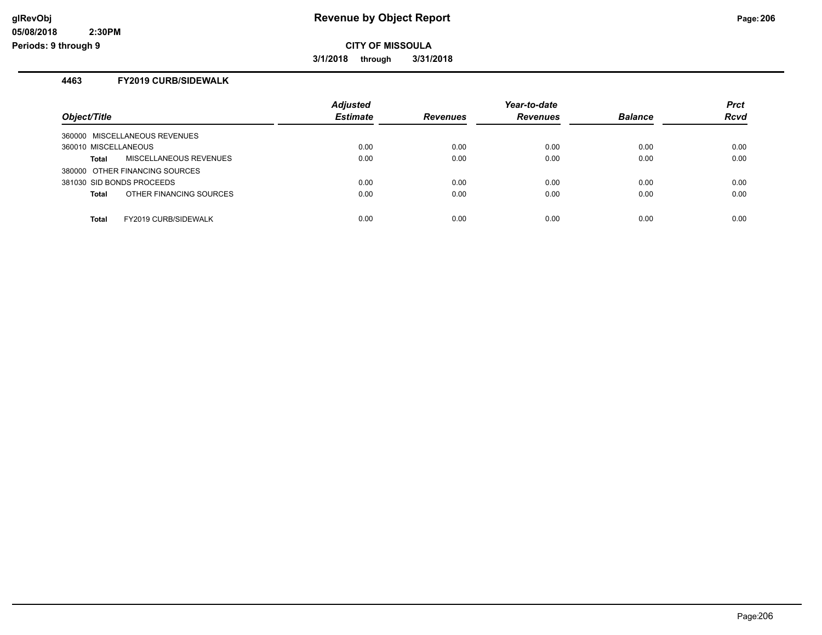**3/1/2018 through 3/31/2018**

#### **4463 FY2019 CURB/SIDEWALK**

|                                             | <b>Adjusted</b> |                 | Year-to-date    |                | <b>Prct</b> |
|---------------------------------------------|-----------------|-----------------|-----------------|----------------|-------------|
| Object/Title                                | <b>Estimate</b> | <b>Revenues</b> | <b>Revenues</b> | <b>Balance</b> | <b>Rcvd</b> |
| 360000 MISCELLANEOUS REVENUES               |                 |                 |                 |                |             |
| 360010 MISCELLANEOUS                        | 0.00            | 0.00            | 0.00            | 0.00           | 0.00        |
| MISCELLANEOUS REVENUES<br>Total             | 0.00            | 0.00            | 0.00            | 0.00           | 0.00        |
| 380000 OTHER FINANCING SOURCES              |                 |                 |                 |                |             |
| 381030 SID BONDS PROCEEDS                   | 0.00            | 0.00            | 0.00            | 0.00           | 0.00        |
| OTHER FINANCING SOURCES<br><b>Total</b>     | 0.00            | 0.00            | 0.00            | 0.00           | 0.00        |
|                                             |                 |                 |                 |                |             |
| <b>FY2019 CURB/SIDEWALK</b><br><b>Total</b> | 0.00            | 0.00            | 0.00            | 0.00           | 0.00        |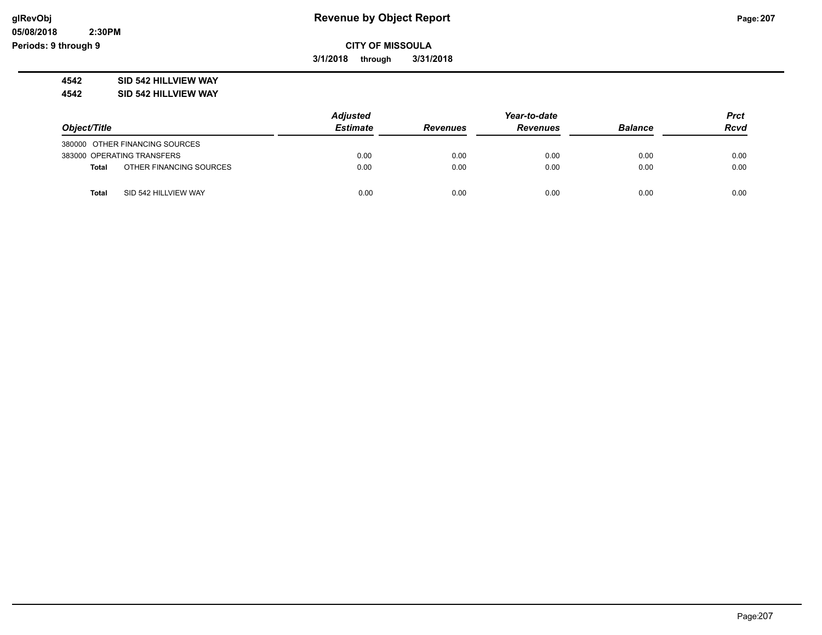**3/1/2018 through 3/31/2018**

## **4542 SID 542 HILLVIEW WAY**

**4542 SID 542 HILLVIEW WAY**

|              |                                | <b>Adjusted</b> |                 | Year-to-date    |                | Prct |
|--------------|--------------------------------|-----------------|-----------------|-----------------|----------------|------|
| Object/Title |                                | <b>Estimate</b> | <b>Revenues</b> | <b>Revenues</b> | <b>Balance</b> | Rcvd |
|              | 380000 OTHER FINANCING SOURCES |                 |                 |                 |                |      |
|              | 383000 OPERATING TRANSFERS     | 0.00            | 0.00            | 0.00            | 0.00           | 0.00 |
| Total        | OTHER FINANCING SOURCES        | 0.00            | 0.00            | 0.00            | 0.00           | 0.00 |
| <b>Total</b> | SID 542 HILLVIEW WAY           | 0.00            | 0.00            | 0.00            | 0.00           | 0.00 |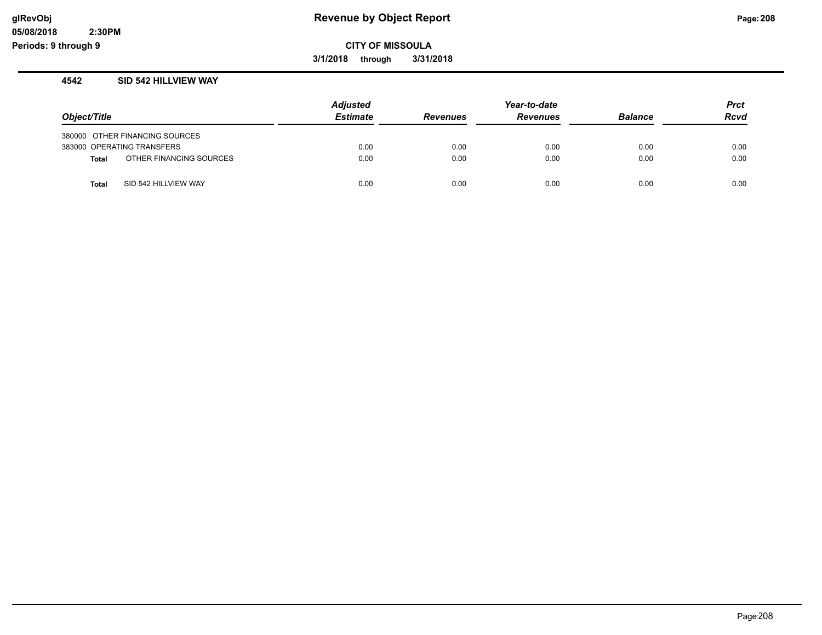**3/1/2018 through 3/31/2018**

#### **4542 SID 542 HILLVIEW WAY**

| Object/Title |                                | <b>Adjusted</b><br><b>Estimate</b> | <b>Revenues</b> | Year-to-date<br><b>Revenues</b> | <b>Balance</b> | <b>Prct</b><br><b>Rcvd</b> |
|--------------|--------------------------------|------------------------------------|-----------------|---------------------------------|----------------|----------------------------|
|              | 380000 OTHER FINANCING SOURCES |                                    |                 |                                 |                |                            |
|              | 383000 OPERATING TRANSFERS     | 0.00                               | 0.00            | 0.00                            | 0.00           | 0.00                       |
| <b>Total</b> | OTHER FINANCING SOURCES        | 0.00                               | 0.00            | 0.00                            | 0.00           | 0.00                       |
| <b>Total</b> | SID 542 HILLVIEW WAY           | 0.00                               | 0.00            | 0.00                            | 0.00           | 0.00                       |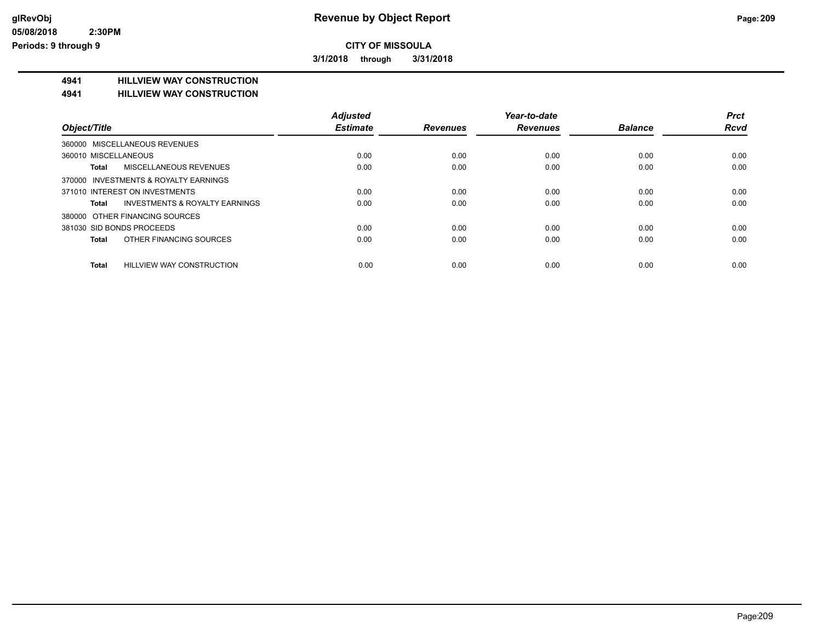**3/1/2018 through 3/31/2018**

#### **4941 HILLVIEW WAY CONSTRUCTION**

#### **4941 HILLVIEW WAY CONSTRUCTION**

|                                           | <b>Adjusted</b> |                 | Year-to-date    |                | <b>Prct</b> |
|-------------------------------------------|-----------------|-----------------|-----------------|----------------|-------------|
| Object/Title                              | <b>Estimate</b> | <b>Revenues</b> | <b>Revenues</b> | <b>Balance</b> | <b>Rcvd</b> |
| 360000 MISCELLANEOUS REVENUES             |                 |                 |                 |                |             |
| 360010 MISCELLANEOUS                      | 0.00            | 0.00            | 0.00            | 0.00           | 0.00        |
| <b>MISCELLANEOUS REVENUES</b><br>Total    | 0.00            | 0.00            | 0.00            | 0.00           | 0.00        |
| 370000 INVESTMENTS & ROYALTY EARNINGS     |                 |                 |                 |                |             |
| 371010 INTEREST ON INVESTMENTS            | 0.00            | 0.00            | 0.00            | 0.00           | 0.00        |
| INVESTMENTS & ROYALTY EARNINGS<br>Total   | 0.00            | 0.00            | 0.00            | 0.00           | 0.00        |
| 380000 OTHER FINANCING SOURCES            |                 |                 |                 |                |             |
| 381030 SID BONDS PROCEEDS                 | 0.00            | 0.00            | 0.00            | 0.00           | 0.00        |
| OTHER FINANCING SOURCES<br>Total          | 0.00            | 0.00            | 0.00            | 0.00           | 0.00        |
|                                           |                 |                 |                 |                |             |
| <b>HILLVIEW WAY CONSTRUCTION</b><br>Total | 0.00            | 0.00            | 0.00            | 0.00           | 0.00        |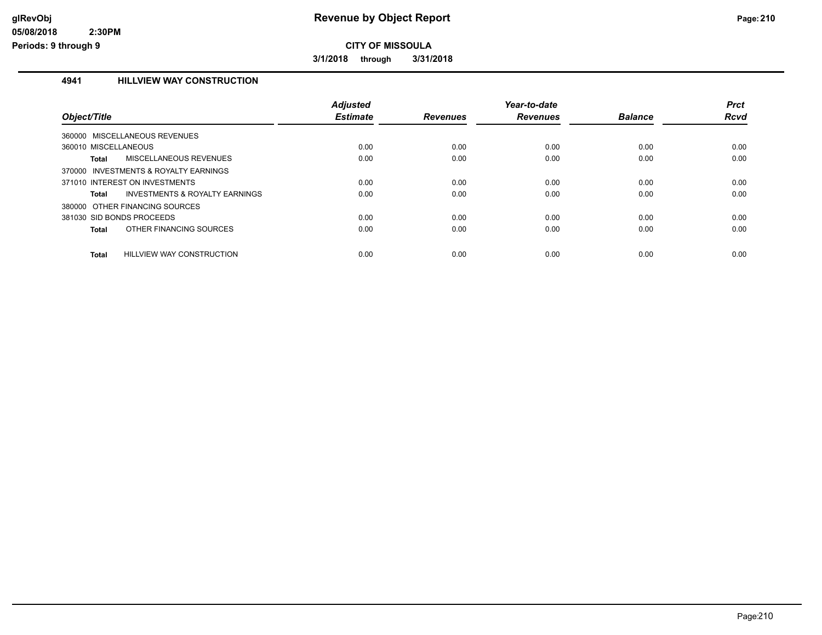**3/1/2018 through 3/31/2018**

## **4941 HILLVIEW WAY CONSTRUCTION**

| Object/Title                                       | <b>Adjusted</b><br><b>Estimate</b> | <b>Revenues</b> | Year-to-date<br><b>Revenues</b> | <b>Balance</b> | <b>Prct</b><br><b>Rcvd</b> |
|----------------------------------------------------|------------------------------------|-----------------|---------------------------------|----------------|----------------------------|
| 360000 MISCELLANEOUS REVENUES                      |                                    |                 |                                 |                |                            |
| 360010 MISCELLANEOUS                               | 0.00                               | 0.00            | 0.00                            | 0.00           | 0.00                       |
| MISCELLANEOUS REVENUES<br>Total                    | 0.00                               | 0.00            | 0.00                            | 0.00           | 0.00                       |
| 370000 INVESTMENTS & ROYALTY EARNINGS              |                                    |                 |                                 |                |                            |
| 371010 INTEREST ON INVESTMENTS                     | 0.00                               | 0.00            | 0.00                            | 0.00           | 0.00                       |
| <b>INVESTMENTS &amp; ROYALTY EARNINGS</b><br>Total | 0.00                               | 0.00            | 0.00                            | 0.00           | 0.00                       |
| 380000 OTHER FINANCING SOURCES                     |                                    |                 |                                 |                |                            |
| 381030 SID BONDS PROCEEDS                          | 0.00                               | 0.00            | 0.00                            | 0.00           | 0.00                       |
| OTHER FINANCING SOURCES<br>Total                   | 0.00                               | 0.00            | 0.00                            | 0.00           | 0.00                       |
| HILLVIEW WAY CONSTRUCTION<br>Total                 | 0.00                               | 0.00            | 0.00                            | 0.00           | 0.00                       |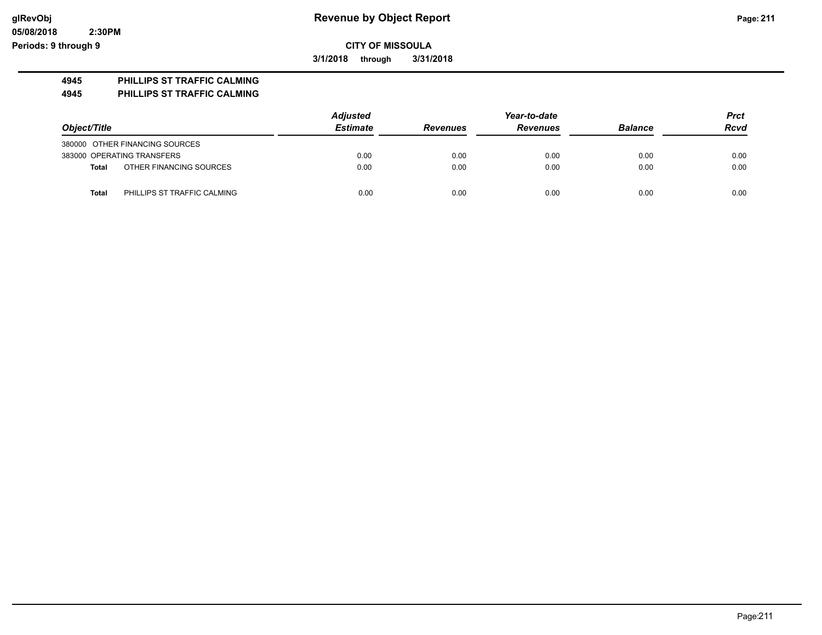**05/08/2018 2:30PM Periods: 9 through 9**

# **CITY OF MISSOULA**

**3/1/2018 through 3/31/2018**

# **4945 PHILLIPS ST TRAFFIC CALMING**

**4945 PHILLIPS ST TRAFFIC CALMING**

|                                             | <b>Adjusted</b> |                 | Year-to-date    |                | <b>Prct</b> |
|---------------------------------------------|-----------------|-----------------|-----------------|----------------|-------------|
| Object/Title                                | <b>Estimate</b> | <b>Revenues</b> | <b>Revenues</b> | <b>Balance</b> | <b>Rcvd</b> |
| 380000 OTHER FINANCING SOURCES              |                 |                 |                 |                |             |
| 383000 OPERATING TRANSFERS                  | 0.00            | 0.00            | 0.00            | 0.00           | 0.00        |
| OTHER FINANCING SOURCES<br>Total            | 0.00            | 0.00            | 0.00            | 0.00           | 0.00        |
| PHILLIPS ST TRAFFIC CALMING<br><b>Total</b> | 0.00            | 0.00            | 0.00            | 0.00           | 0.00        |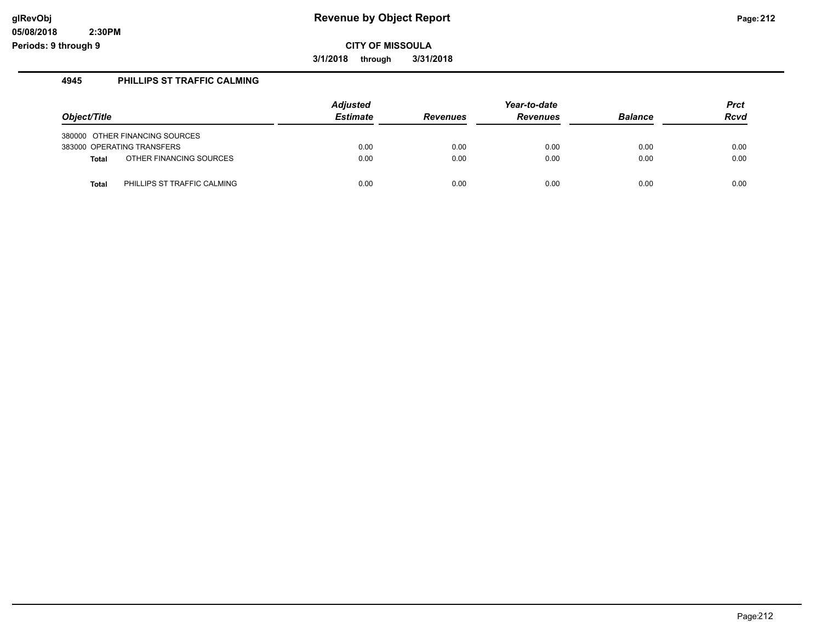**Periods: 9 through 9**

 **2:30PM**

**CITY OF MISSOULA**

**3/1/2018 through 3/31/2018**

#### **4945 PHILLIPS ST TRAFFIC CALMING**

|              |                                | <b>Adjusted</b> |                 | Year-to-date    |                | <b>Prct</b> |
|--------------|--------------------------------|-----------------|-----------------|-----------------|----------------|-------------|
| Object/Title |                                | <b>Estimate</b> | <b>Revenues</b> | <b>Revenues</b> | <b>Balance</b> | <b>Rcvd</b> |
|              | 380000 OTHER FINANCING SOURCES |                 |                 |                 |                |             |
|              | 383000 OPERATING TRANSFERS     | 0.00            | 0.00            | 0.00            | 0.00           | 0.00        |
| <b>Total</b> | OTHER FINANCING SOURCES        | 0.00            | 0.00            | 0.00            | 0.00           | 0.00        |
|              |                                |                 |                 |                 |                |             |
| <b>Total</b> | PHILLIPS ST TRAFFIC CALMING    | 0.00            | 0.00            | 0.00            | 0.00           | 0.00        |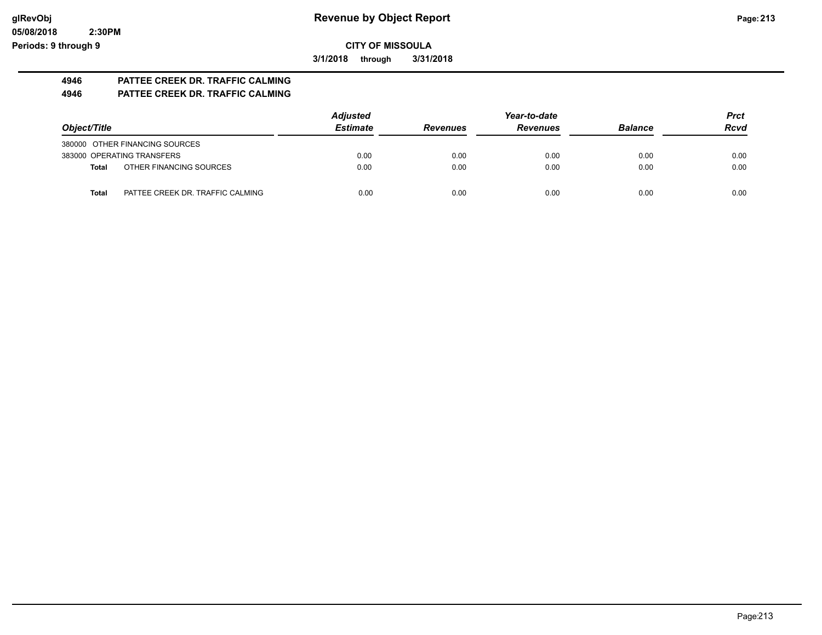#### **05/08/2018 2:30PM Periods: 9 through 9**

# **CITY OF MISSOULA**

**3/1/2018 through 3/31/2018**

#### **4946 PATTEE CREEK DR. TRAFFIC CALMING 4946 PATTEE CREEK DR. TRAFFIC CALMING**

|              |                                  | <b>Adjusted</b> |                 | Year-to-date    |                | <b>Prct</b> |
|--------------|----------------------------------|-----------------|-----------------|-----------------|----------------|-------------|
| Object/Title |                                  | <b>Estimate</b> | <b>Revenues</b> | <b>Revenues</b> | <b>Balance</b> | <b>Rcvd</b> |
|              | 380000 OTHER FINANCING SOURCES   |                 |                 |                 |                |             |
|              | 383000 OPERATING TRANSFERS       | 0.00            | 0.00            | 0.00            | 0.00           | 0.00        |
| <b>Total</b> | OTHER FINANCING SOURCES          | 0.00            | 0.00            | 0.00            | 0.00           | 0.00        |
| <b>Total</b> | PATTEE CREEK DR. TRAFFIC CALMING | 0.00            | 0.00            | 0.00            | 0.00           | 0.00        |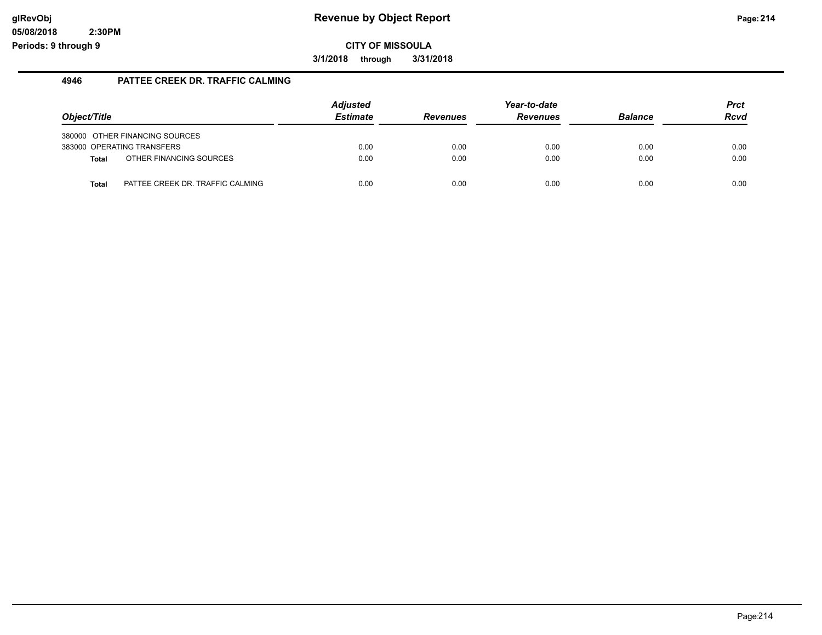**3/1/2018 through 3/31/2018**

#### **4946 PATTEE CREEK DR. TRAFFIC CALMING**

| Object/Title |                                                              | Adjusted<br><b>Estimate</b> | <b>Revenues</b> | Year-to-date<br><b>Revenues</b> | <b>Balance</b> | <b>Prct</b><br><b>Rcvd</b> |
|--------------|--------------------------------------------------------------|-----------------------------|-----------------|---------------------------------|----------------|----------------------------|
|              | 380000 OTHER FINANCING SOURCES<br>383000 OPERATING TRANSFERS |                             |                 |                                 |                | 0.00                       |
| <b>Total</b> | OTHER FINANCING SOURCES                                      | 0.00<br>0.00                | 0.00<br>0.00    | 0.00<br>0.00                    | 0.00<br>0.00   | 0.00                       |
| <b>Total</b> | PATTEE CREEK DR. TRAFFIC CALMING                             | 0.00                        | 0.00            | 0.00                            | 0.00           | 0.00                       |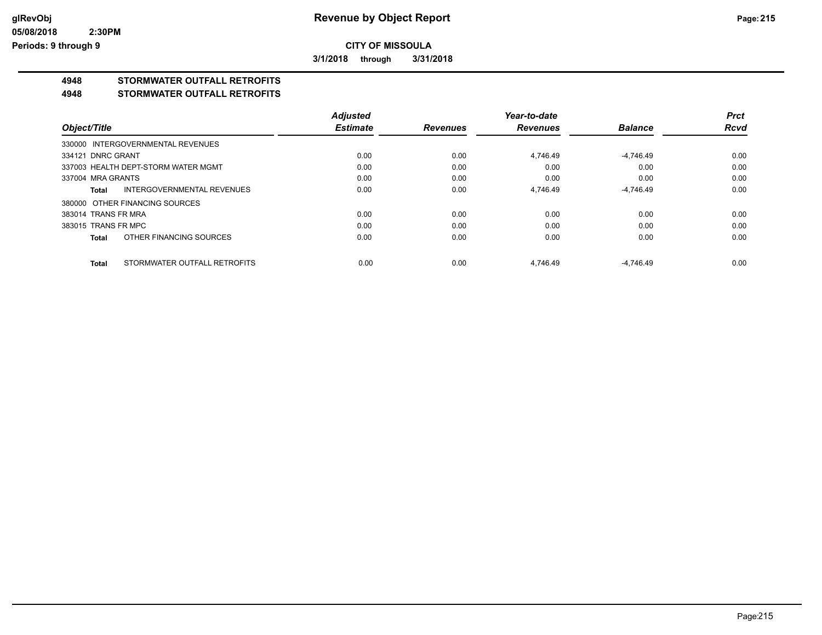**3/1/2018 through 3/31/2018**

# **4948 STORMWATER OUTFALL RETROFITS**

## **4948 STORMWATER OUTFALL RETROFITS**

|                     |                                     | <b>Adjusted</b> |                 | Year-to-date    |                | <b>Prct</b> |
|---------------------|-------------------------------------|-----------------|-----------------|-----------------|----------------|-------------|
| Object/Title        |                                     | <b>Estimate</b> | <b>Revenues</b> | <b>Revenues</b> | <b>Balance</b> | Rcvd        |
|                     | 330000 INTERGOVERNMENTAL REVENUES   |                 |                 |                 |                |             |
| 334121 DNRC GRANT   |                                     | 0.00            | 0.00            | 4.746.49        | $-4.746.49$    | 0.00        |
|                     | 337003 HEALTH DEPT-STORM WATER MGMT | 0.00            | 0.00            | 0.00            | 0.00           | 0.00        |
| 337004 MRA GRANTS   |                                     | 0.00            | 0.00            | 0.00            | 0.00           | 0.00        |
| Total               | <b>INTERGOVERNMENTAL REVENUES</b>   | 0.00            | 0.00            | 4.746.49        | $-4,746.49$    | 0.00        |
|                     | 380000 OTHER FINANCING SOURCES      |                 |                 |                 |                |             |
| 383014 TRANS FR MRA |                                     | 0.00            | 0.00            | 0.00            | 0.00           | 0.00        |
| 383015 TRANS FR MPC |                                     | 0.00            | 0.00            | 0.00            | 0.00           | 0.00        |
| Total               | OTHER FINANCING SOURCES             | 0.00            | 0.00            | 0.00            | 0.00           | 0.00        |
| <b>Total</b>        | STORMWATER OUTFALL RETROFITS        | 0.00            | 0.00            | 4.746.49        | $-4.746.49$    | 0.00        |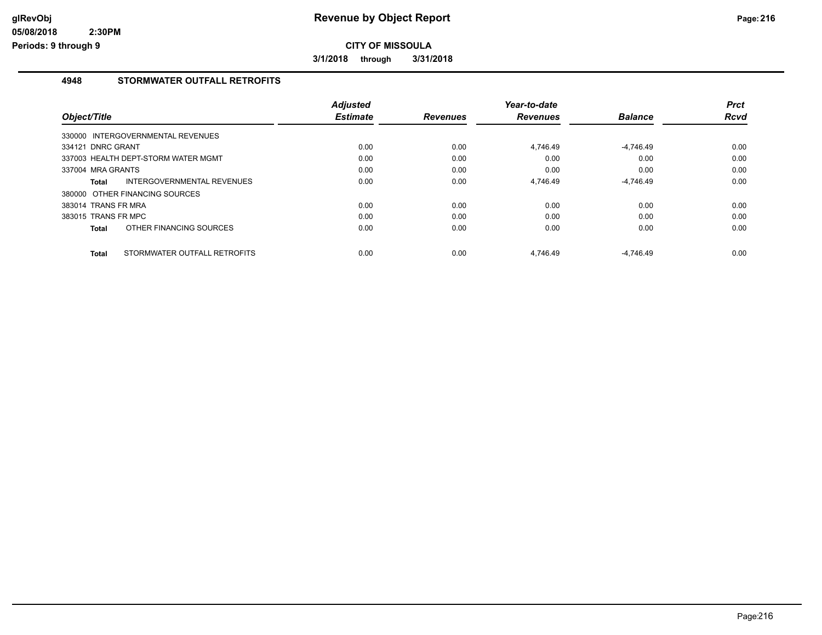**3/1/2018 through 3/31/2018**

## **4948 STORMWATER OUTFALL RETROFITS**

| Object/Title                          | <b>Adjusted</b><br><b>Estimate</b> | <b>Revenues</b> | Year-to-date<br><b>Revenues</b> | <b>Balance</b> | <b>Prct</b><br>Rcvd |
|---------------------------------------|------------------------------------|-----------------|---------------------------------|----------------|---------------------|
| 330000 INTERGOVERNMENTAL REVENUES     |                                    |                 |                                 |                |                     |
| 334121 DNRC GRANT                     | 0.00                               | 0.00            | 4.746.49                        | -4,746.49      | 0.00                |
| 337003 HEALTH DEPT-STORM WATER MGMT   | 0.00                               | 0.00            | 0.00                            | 0.00           | 0.00                |
| 337004 MRA GRANTS                     | 0.00                               | 0.00            | 0.00                            | 0.00           | 0.00                |
| INTERGOVERNMENTAL REVENUES<br>Total   | 0.00                               | 0.00            | 4.746.49                        | $-4.746.49$    | 0.00                |
| 380000 OTHER FINANCING SOURCES        |                                    |                 |                                 |                |                     |
| 383014 TRANS FR MRA                   | 0.00                               | 0.00            | 0.00                            | 0.00           | 0.00                |
| 383015 TRANS FR MPC                   | 0.00                               | 0.00            | 0.00                            | 0.00           | 0.00                |
| OTHER FINANCING SOURCES<br>Total      | 0.00                               | 0.00            | 0.00                            | 0.00           | 0.00                |
| STORMWATER OUTFALL RETROFITS<br>Total | 0.00                               | 0.00            | 4.746.49                        | $-4.746.49$    | 0.00                |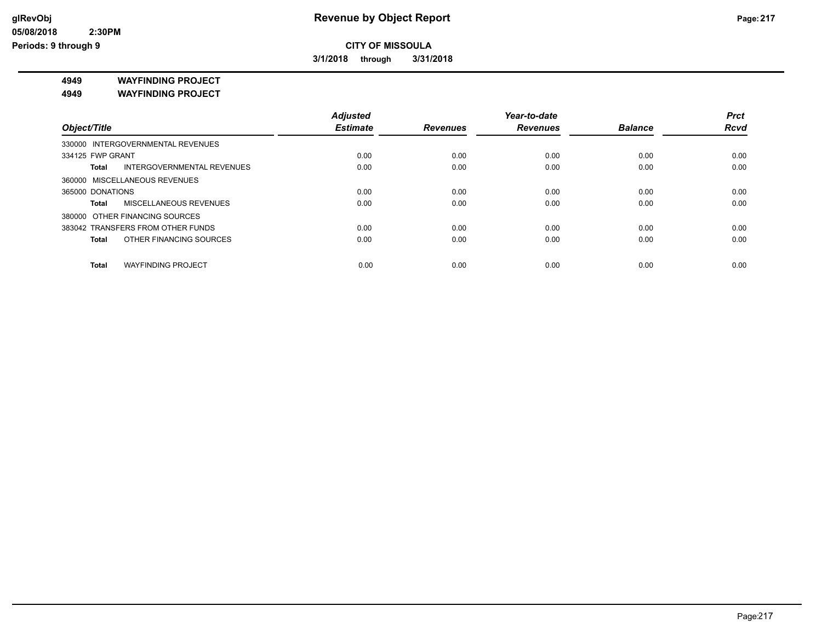**3/1/2018 through 3/31/2018**

**4949 WAYFINDING PROJECT**

**4949 WAYFINDING PROJECT**

|                                            | <b>Adjusted</b> |                 | Year-to-date    |                | <b>Prct</b> |
|--------------------------------------------|-----------------|-----------------|-----------------|----------------|-------------|
| Object/Title                               | <b>Estimate</b> | <b>Revenues</b> | <b>Revenues</b> | <b>Balance</b> | <b>Rcvd</b> |
| 330000 INTERGOVERNMENTAL REVENUES          |                 |                 |                 |                |             |
| 334125 FWP GRANT                           | 0.00            | 0.00            | 0.00            | 0.00           | 0.00        |
| <b>INTERGOVERNMENTAL REVENUES</b><br>Total | 0.00            | 0.00            | 0.00            | 0.00           | 0.00        |
| 360000 MISCELLANEOUS REVENUES              |                 |                 |                 |                |             |
| 365000 DONATIONS                           | 0.00            | 0.00            | 0.00            | 0.00           | 0.00        |
| <b>MISCELLANEOUS REVENUES</b><br>Total     | 0.00            | 0.00            | 0.00            | 0.00           | 0.00        |
| 380000 OTHER FINANCING SOURCES             |                 |                 |                 |                |             |
| 383042 TRANSFERS FROM OTHER FUNDS          | 0.00            | 0.00            | 0.00            | 0.00           | 0.00        |
| OTHER FINANCING SOURCES<br>Total           | 0.00            | 0.00            | 0.00            | 0.00           | 0.00        |
| <b>WAYFINDING PROJECT</b><br>Total         | 0.00            | 0.00            | 0.00            | 0.00           | 0.00        |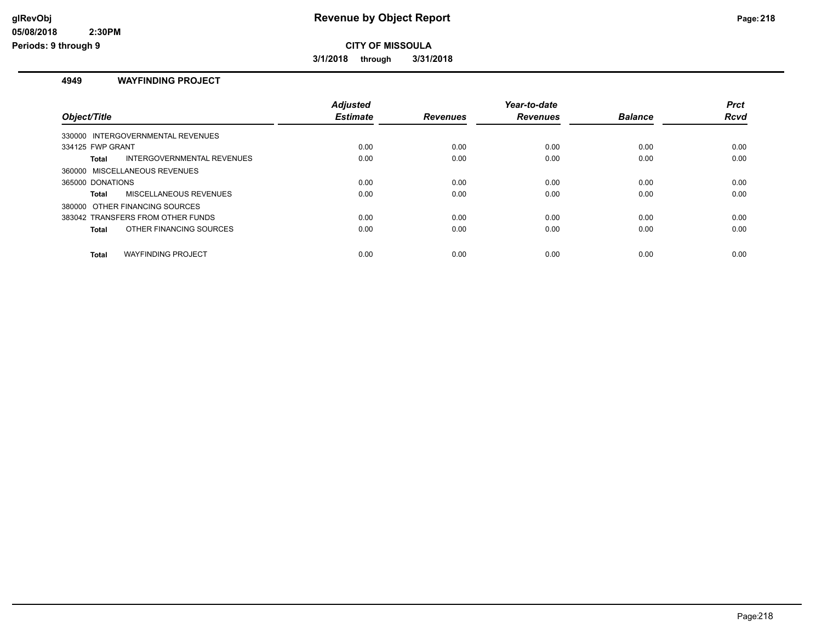**3/1/2018 through 3/31/2018**

## **4949 WAYFINDING PROJECT**

| Object/Title                              | <b>Adjusted</b><br><b>Estimate</b> | <b>Revenues</b> | Year-to-date<br><b>Revenues</b> | <b>Balance</b> | <b>Prct</b><br><b>Rcvd</b> |
|-------------------------------------------|------------------------------------|-----------------|---------------------------------|----------------|----------------------------|
| 330000 INTERGOVERNMENTAL REVENUES         |                                    |                 |                                 |                |                            |
| 334125 FWP GRANT                          | 0.00                               | 0.00            | 0.00                            | 0.00           | 0.00                       |
| INTERGOVERNMENTAL REVENUES<br>Total       | 0.00                               | 0.00            | 0.00                            | 0.00           | 0.00                       |
| 360000 MISCELLANEOUS REVENUES             |                                    |                 |                                 |                |                            |
| 365000 DONATIONS                          | 0.00                               | 0.00            | 0.00                            | 0.00           | 0.00                       |
| MISCELLANEOUS REVENUES<br>Total           | 0.00                               | 0.00            | 0.00                            | 0.00           | 0.00                       |
| 380000 OTHER FINANCING SOURCES            |                                    |                 |                                 |                |                            |
| 383042 TRANSFERS FROM OTHER FUNDS         | 0.00                               | 0.00            | 0.00                            | 0.00           | 0.00                       |
| OTHER FINANCING SOURCES<br><b>Total</b>   | 0.00                               | 0.00            | 0.00                            | 0.00           | 0.00                       |
| <b>WAYFINDING PROJECT</b><br><b>Total</b> | 0.00                               | 0.00            | 0.00                            | 0.00           | 0.00                       |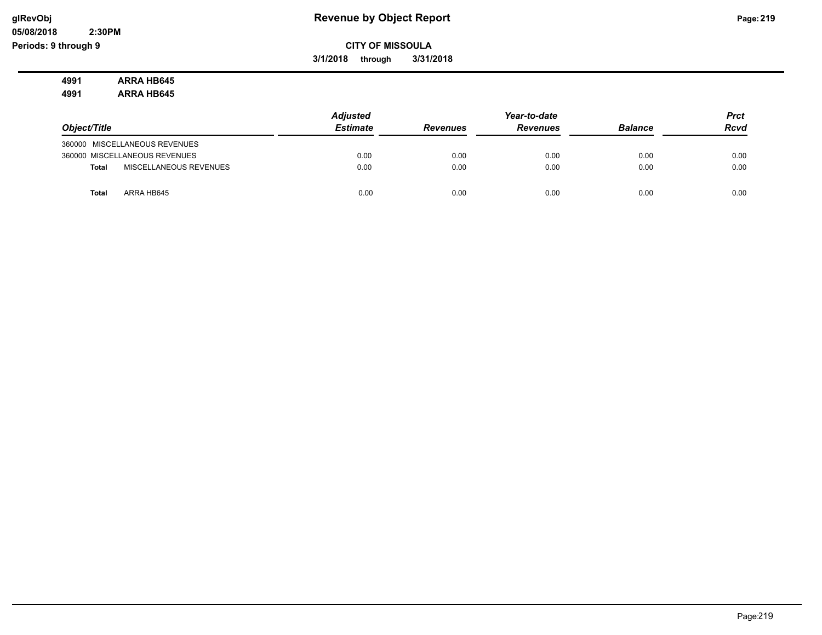**05/08/2018 2:30PM**

**Periods: 9 through 9**

**CITY OF MISSOULA**

**3/1/2018 through 3/31/2018**

## **4991 ARRA HB645 4991 ARRA HB645**

|                                        | <b>Adjusted</b> |                 | Year-to-date    |                | Prct        |
|----------------------------------------|-----------------|-----------------|-----------------|----------------|-------------|
| Object/Title                           | <b>Estimate</b> | <b>Revenues</b> | <b>Revenues</b> | <b>Balance</b> | <b>Rcvd</b> |
| 360000 MISCELLANEOUS REVENUES          |                 |                 |                 |                |             |
| 360000 MISCELLANEOUS REVENUES          | 0.00            | 0.00            | 0.00            | 0.00           | 0.00        |
| MISCELLANEOUS REVENUES<br><b>Total</b> | 0.00            | 0.00            | 0.00            | 0.00           | 0.00        |
| ARRA HB645<br><b>Total</b>             | 0.00            | 0.00            | 0.00            | 0.00           | 0.00        |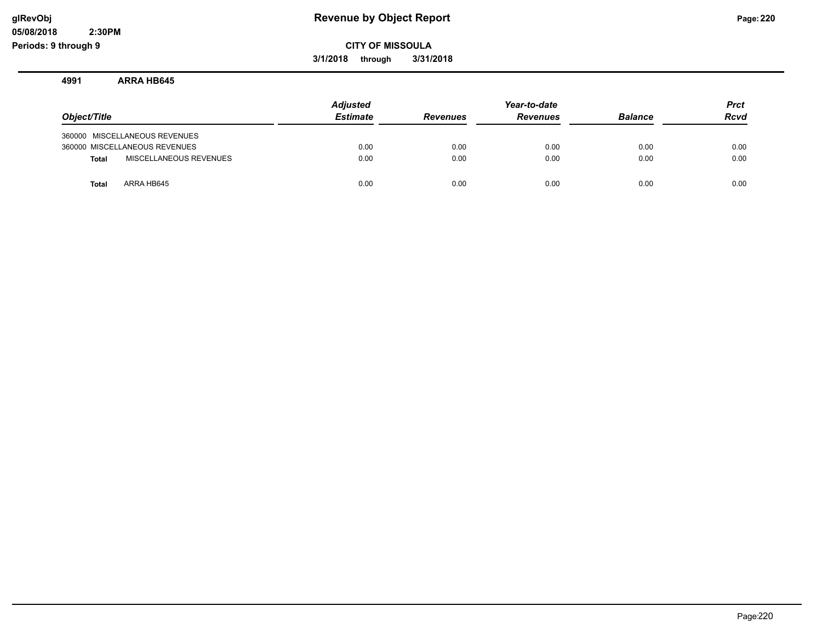**Periods: 9 through 9**

**CITY OF MISSOULA**

**3/1/2018 through 3/31/2018**

**4991 ARRA HB645**

 **2:30PM**

|                                        | <b>Adjusted</b> |                 | Year-to-date    |                | Prct        |
|----------------------------------------|-----------------|-----------------|-----------------|----------------|-------------|
| Object/Title                           | <b>Estimate</b> | <b>Revenues</b> | <b>Revenues</b> | <b>Balance</b> | <b>Rcvd</b> |
| 360000 MISCELLANEOUS REVENUES          |                 |                 |                 |                |             |
| 360000 MISCELLANEOUS REVENUES          | 0.00            | 0.00            | 0.00            | 0.00           | 0.00        |
| MISCELLANEOUS REVENUES<br><b>Total</b> | 0.00            | 0.00            | 0.00            | 0.00           | 0.00        |
| ARRA HB645<br><b>Total</b>             | 0.00            | 0.00            | 0.00            | 0.00           | 0.00        |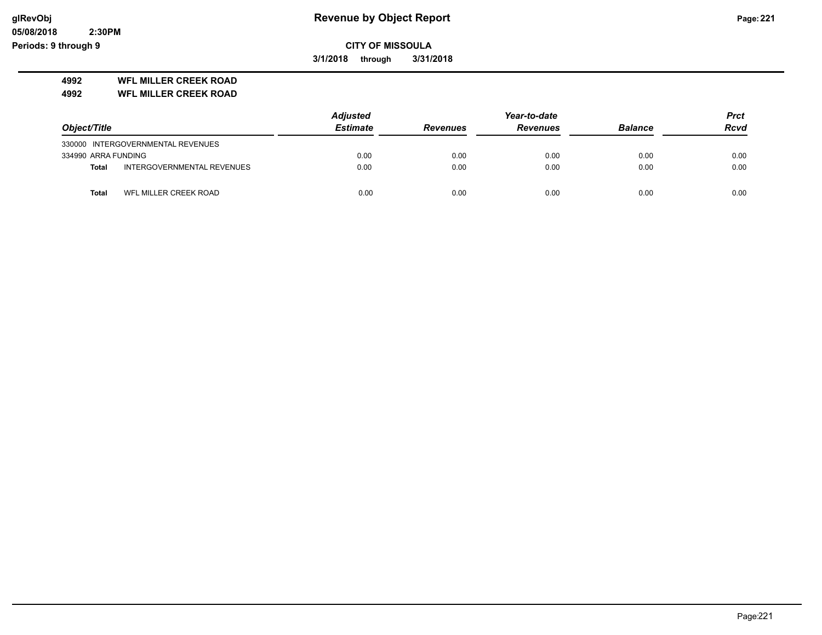**05/08/2018 2:30PM Periods: 9 through 9**

**CITY OF MISSOULA**

**3/1/2018 through 3/31/2018**

## **4992 WFL MILLER CREEK ROAD**

**4992 WFL MILLER CREEK ROAD**

| Object/Title        |                                   | <b>Adjusted</b> |                 | <b>Prct</b>     |                |             |
|---------------------|-----------------------------------|-----------------|-----------------|-----------------|----------------|-------------|
|                     |                                   | <b>Estimate</b> | <b>Revenues</b> | <b>Revenues</b> | <b>Balance</b> | <b>Rcvd</b> |
|                     | 330000 INTERGOVERNMENTAL REVENUES |                 |                 |                 |                |             |
| 334990 ARRA FUNDING |                                   | 0.00            | 0.00            | 0.00            | 0.00           | 0.00        |
| <b>Total</b>        | INTERGOVERNMENTAL REVENUES        | 0.00            | 0.00            | 0.00            | 0.00           | 0.00        |
| <b>Total</b>        | WFL MILLER CREEK ROAD             | 0.00            | 0.00            | 0.00            | 0.00           | 0.00        |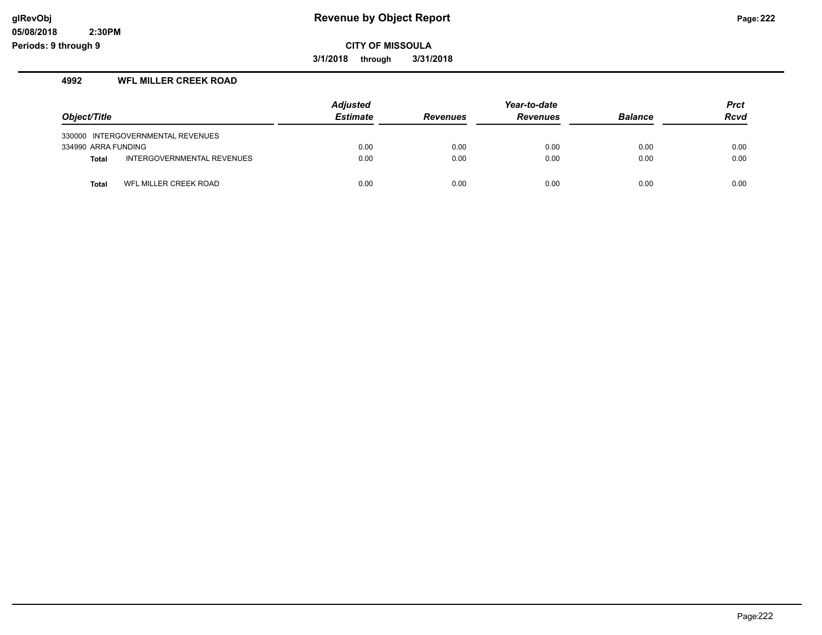**3/1/2018 through 3/31/2018**

## **4992 WFL MILLER CREEK ROAD**

|                     |                                   | Adjusted        | Year-to-date    |                 |                | <b>Prct</b> |
|---------------------|-----------------------------------|-----------------|-----------------|-----------------|----------------|-------------|
| Object/Title        |                                   | <b>Estimate</b> | <b>Revenues</b> | <b>Revenues</b> | <b>Balance</b> | <b>Rcvd</b> |
|                     | 330000 INTERGOVERNMENTAL REVENUES |                 |                 |                 |                |             |
| 334990 ARRA FUNDING |                                   | 0.00            | 0.00            | 0.00            | 0.00           | 0.00        |
| <b>Total</b>        | INTERGOVERNMENTAL REVENUES        | 0.00            | 0.00            | 0.00            | 0.00           | 0.00        |
| Total               | WFL MILLER CREEK ROAD             | 0.00            | 0.00            | 0.00            | 0.00           | 0.00        |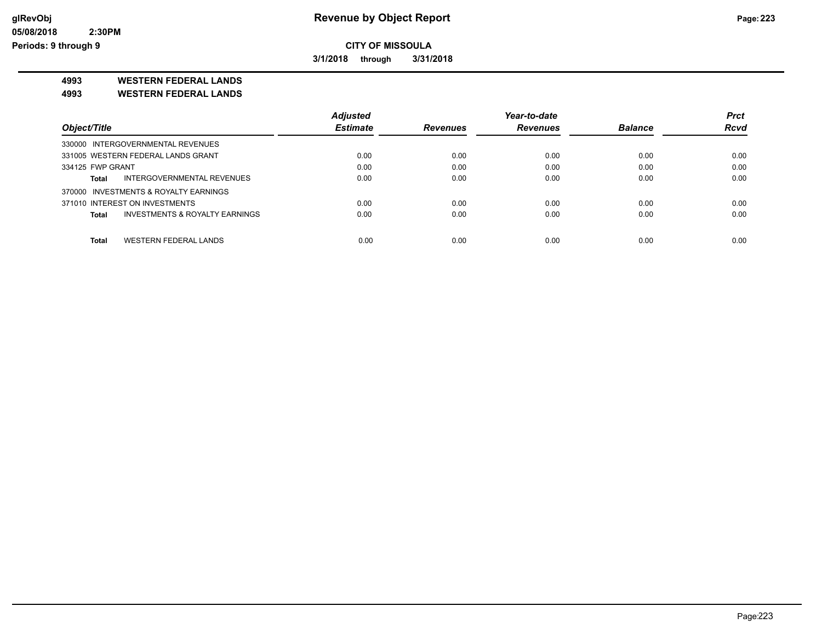**3/1/2018 through 3/31/2018**

**4993 WESTERN FEDERAL LANDS**

**4993 WESTERN FEDERAL LANDS**

|                                                | <b>Adjusted</b> |                 | Year-to-date    |                | <b>Prct</b> |
|------------------------------------------------|-----------------|-----------------|-----------------|----------------|-------------|
| Object/Title                                   | <b>Estimate</b> | <b>Revenues</b> | <b>Revenues</b> | <b>Balance</b> | <b>Rcvd</b> |
| 330000 INTERGOVERNMENTAL REVENUES              |                 |                 |                 |                |             |
| 331005 WESTERN FEDERAL LANDS GRANT             | 0.00            | 0.00            | 0.00            | 0.00           | 0.00        |
| 334125 FWP GRANT                               | 0.00            | 0.00            | 0.00            | 0.00           | 0.00        |
| INTERGOVERNMENTAL REVENUES<br><b>Total</b>     | 0.00            | 0.00            | 0.00            | 0.00           | 0.00        |
| 370000 INVESTMENTS & ROYALTY EARNINGS          |                 |                 |                 |                |             |
| 371010 INTEREST ON INVESTMENTS                 | 0.00            | 0.00            | 0.00            | 0.00           | 0.00        |
| INVESTMENTS & ROYALTY EARNINGS<br><b>Total</b> | 0.00            | 0.00            | 0.00            | 0.00           | 0.00        |
|                                                |                 |                 |                 |                |             |
| <b>WESTERN FEDERAL LANDS</b><br><b>Total</b>   | 0.00            | 0.00            | 0.00            | 0.00           | 0.00        |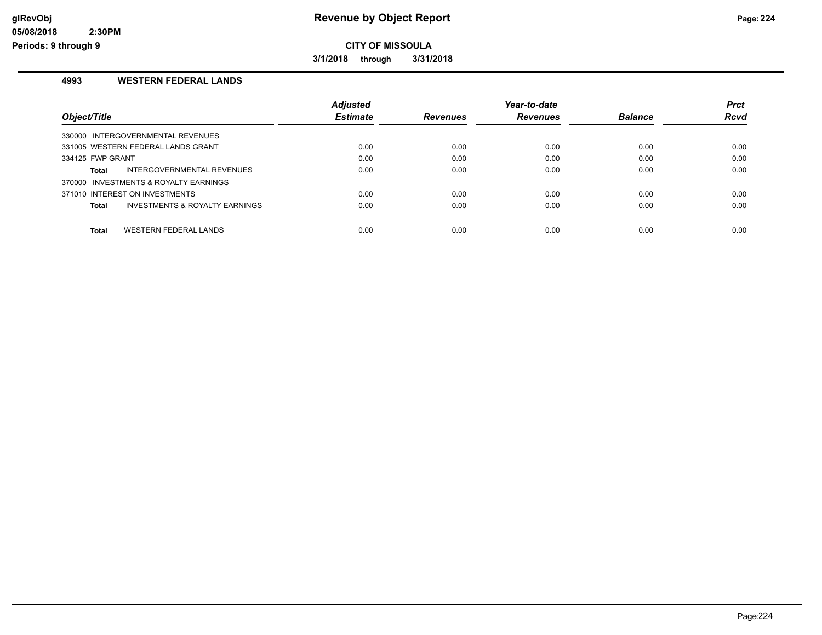**3/1/2018 through 3/31/2018**

## **4993 WESTERN FEDERAL LANDS**

|                                                | <b>Adiusted</b> |                 | Year-to-date    |                | <b>Prct</b> |
|------------------------------------------------|-----------------|-----------------|-----------------|----------------|-------------|
| Object/Title                                   | <b>Estimate</b> | <b>Revenues</b> | <b>Revenues</b> | <b>Balance</b> | <b>Rcvd</b> |
| 330000 INTERGOVERNMENTAL REVENUES              |                 |                 |                 |                |             |
| 331005 WESTERN FEDERAL LANDS GRANT             | 0.00            | 0.00            | 0.00            | 0.00           | 0.00        |
| 334125 FWP GRANT                               | 0.00            | 0.00            | 0.00            | 0.00           | 0.00        |
| INTERGOVERNMENTAL REVENUES<br><b>Total</b>     | 0.00            | 0.00            | 0.00            | 0.00           | 0.00        |
| 370000 INVESTMENTS & ROYALTY EARNINGS          |                 |                 |                 |                |             |
| 371010 INTEREST ON INVESTMENTS                 | 0.00            | 0.00            | 0.00            | 0.00           | 0.00        |
| INVESTMENTS & ROYALTY EARNINGS<br><b>Total</b> | 0.00            | 0.00            | 0.00            | 0.00           | 0.00        |
|                                                |                 |                 |                 |                |             |
| <b>Total</b><br><b>WESTERN FEDERAL LANDS</b>   | 0.00            | 0.00            | 0.00            | 0.00           | 0.00        |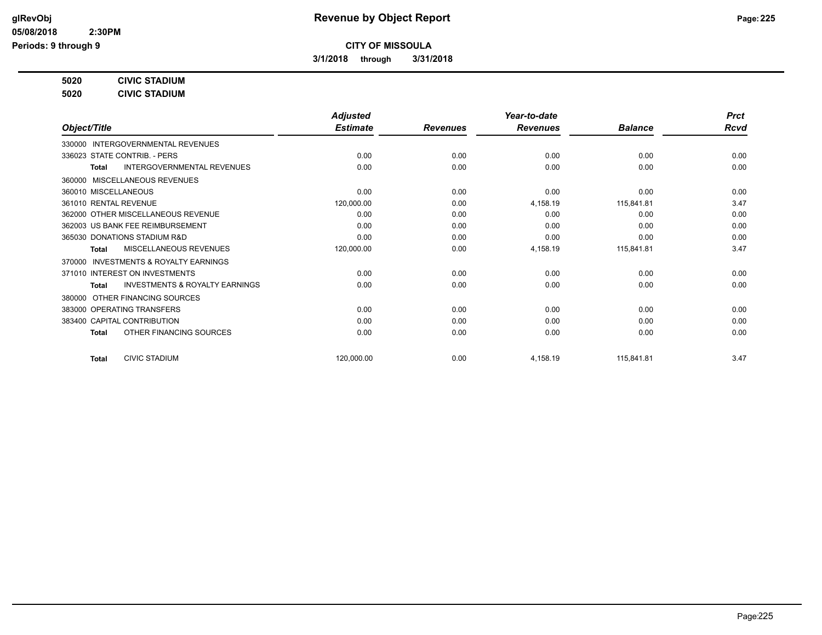**3/1/2018 through 3/31/2018**

## **5020 CIVIC STADIUM**

**5020 CIVIC STADIUM**

|                                                           | <b>Adjusted</b> |                 | Year-to-date    |                | <b>Prct</b> |
|-----------------------------------------------------------|-----------------|-----------------|-----------------|----------------|-------------|
| Object/Title                                              | <b>Estimate</b> | <b>Revenues</b> | <b>Revenues</b> | <b>Balance</b> | <b>Rcvd</b> |
| INTERGOVERNMENTAL REVENUES<br>330000                      |                 |                 |                 |                |             |
| 336023 STATE CONTRIB. - PERS                              | 0.00            | 0.00            | 0.00            | 0.00           | 0.00        |
| <b>INTERGOVERNMENTAL REVENUES</b><br><b>Total</b>         | 0.00            | 0.00            | 0.00            | 0.00           | 0.00        |
| MISCELLANEOUS REVENUES<br>360000                          |                 |                 |                 |                |             |
| 360010 MISCELLANEOUS                                      | 0.00            | 0.00            | 0.00            | 0.00           | 0.00        |
| 361010 RENTAL REVENUE                                     | 120,000.00      | 0.00            | 4,158.19        | 115,841.81     | 3.47        |
| 362000 OTHER MISCELLANEOUS REVENUE                        | 0.00            | 0.00            | 0.00            | 0.00           | 0.00        |
| 362003 US BANK FEE REIMBURSEMENT                          | 0.00            | 0.00            | 0.00            | 0.00           | 0.00        |
| 365030 DONATIONS STADIUM R&D                              | 0.00            | 0.00            | 0.00            | 0.00           | 0.00        |
| MISCELLANEOUS REVENUES<br><b>Total</b>                    | 120,000.00      | 0.00            | 4,158.19        | 115,841.81     | 3.47        |
| <b>INVESTMENTS &amp; ROYALTY EARNINGS</b><br>370000       |                 |                 |                 |                |             |
| 371010 INTEREST ON INVESTMENTS                            | 0.00            | 0.00            | 0.00            | 0.00           | 0.00        |
| <b>INVESTMENTS &amp; ROYALTY EARNINGS</b><br><b>Total</b> | 0.00            | 0.00            | 0.00            | 0.00           | 0.00        |
| OTHER FINANCING SOURCES<br>380000                         |                 |                 |                 |                |             |
| 383000 OPERATING TRANSFERS                                | 0.00            | 0.00            | 0.00            | 0.00           | 0.00        |
| 383400 CAPITAL CONTRIBUTION                               | 0.00            | 0.00            | 0.00            | 0.00           | 0.00        |
| OTHER FINANCING SOURCES<br><b>Total</b>                   | 0.00            | 0.00            | 0.00            | 0.00           | 0.00        |
| <b>CIVIC STADIUM</b><br><b>Total</b>                      | 120,000.00      | 0.00            | 4,158.19        | 115,841.81     | 3.47        |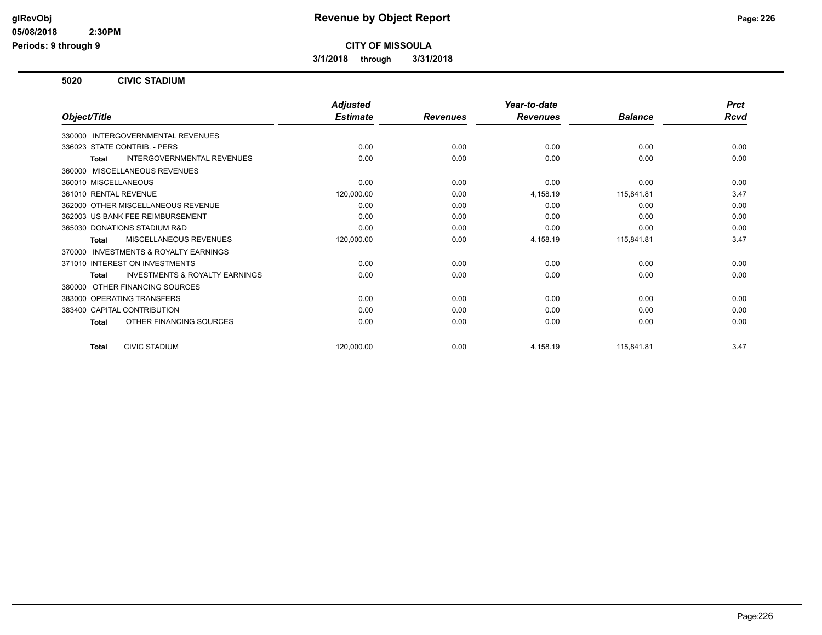**3/1/2018 through 3/31/2018**

#### **5020 CIVIC STADIUM**

|                                                           | <b>Adjusted</b> |                 | Year-to-date    |                | <b>Prct</b> |
|-----------------------------------------------------------|-----------------|-----------------|-----------------|----------------|-------------|
| Object/Title                                              | <b>Estimate</b> | <b>Revenues</b> | <b>Revenues</b> | <b>Balance</b> | Rcvd        |
| 330000 INTERGOVERNMENTAL REVENUES                         |                 |                 |                 |                |             |
| 336023 STATE CONTRIB. - PERS                              | 0.00            | 0.00            | 0.00            | 0.00           | 0.00        |
| <b>INTERGOVERNMENTAL REVENUES</b><br>Total                | 0.00            | 0.00            | 0.00            | 0.00           | 0.00        |
| 360000 MISCELLANEOUS REVENUES                             |                 |                 |                 |                |             |
| 360010 MISCELLANEOUS                                      | 0.00            | 0.00            | 0.00            | 0.00           | 0.00        |
| 361010 RENTAL REVENUE                                     | 120,000.00      | 0.00            | 4,158.19        | 115,841.81     | 3.47        |
| 362000 OTHER MISCELLANEOUS REVENUE                        | 0.00            | 0.00            | 0.00            | 0.00           | 0.00        |
| 362003 US BANK FEE REIMBURSEMENT                          | 0.00            | 0.00            | 0.00            | 0.00           | 0.00        |
| 365030 DONATIONS STADIUM R&D                              | 0.00            | 0.00            | 0.00            | 0.00           | 0.00        |
| MISCELLANEOUS REVENUES<br>Total                           | 120,000.00      | 0.00            | 4,158.19        | 115,841.81     | 3.47        |
| 370000 INVESTMENTS & ROYALTY EARNINGS                     |                 |                 |                 |                |             |
| 371010 INTEREST ON INVESTMENTS                            | 0.00            | 0.00            | 0.00            | 0.00           | 0.00        |
| <b>INVESTMENTS &amp; ROYALTY EARNINGS</b><br><b>Total</b> | 0.00            | 0.00            | 0.00            | 0.00           | 0.00        |
| 380000 OTHER FINANCING SOURCES                            |                 |                 |                 |                |             |
| 383000 OPERATING TRANSFERS                                | 0.00            | 0.00            | 0.00            | 0.00           | 0.00        |
| 383400 CAPITAL CONTRIBUTION                               | 0.00            | 0.00            | 0.00            | 0.00           | 0.00        |
| OTHER FINANCING SOURCES<br>Total                          | 0.00            | 0.00            | 0.00            | 0.00           | 0.00        |
| <b>CIVIC STADIUM</b><br><b>Total</b>                      | 120,000.00      | 0.00            | 4.158.19        | 115,841.81     | 3.47        |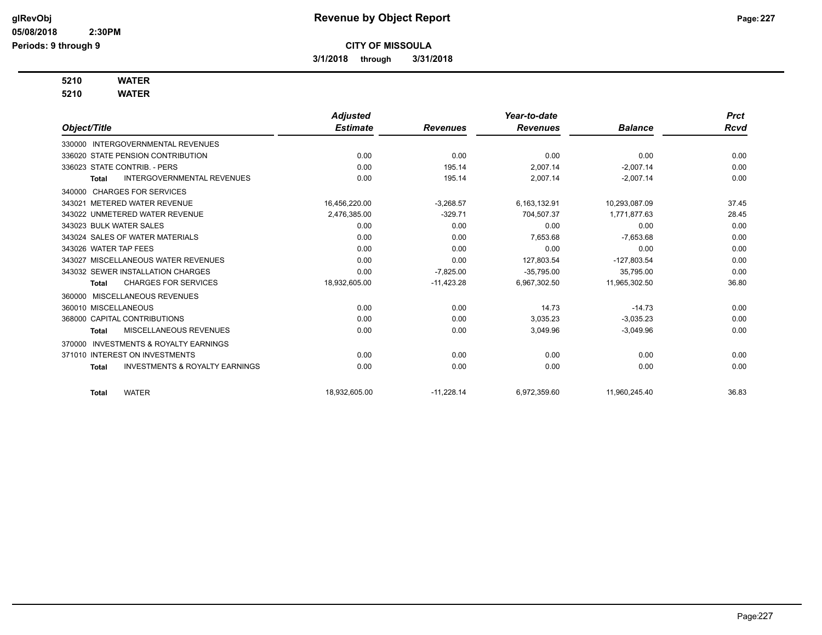**3/1/2018 through 3/31/2018**

## **5210 WATER**

**5210 WATER**

| <b>Adjusted</b> |                 | Year-to-date    |                | <b>Prct</b>   |
|-----------------|-----------------|-----------------|----------------|---------------|
| <b>Estimate</b> | <b>Revenues</b> | <b>Revenues</b> | <b>Balance</b> | Rcvd          |
|                 |                 |                 |                |               |
| 0.00            | 0.00            | 0.00            | 0.00           | 0.00          |
| 0.00            | 195.14          | 2,007.14        | $-2,007.14$    | 0.00          |
| 0.00            | 195.14          | 2,007.14        | $-2,007.14$    | 0.00          |
|                 |                 |                 |                |               |
| 16,456,220.00   | $-3,268.57$     | 6,163,132.91    | 10.293.087.09  | 37.45         |
| 2,476,385.00    | $-329.71$       | 704,507.37      | 1,771,877.63   | 28.45         |
| 0.00            | 0.00            | 0.00            | 0.00           | 0.00          |
| 0.00            | 0.00            | 7,653.68        | $-7,653.68$    | 0.00          |
| 0.00            | 0.00            | 0.00            | 0.00           | 0.00          |
| 0.00            | 0.00            | 127,803.54      | $-127,803.54$  | 0.00          |
| 0.00            | $-7,825.00$     | $-35,795.00$    | 35,795.00      | 0.00          |
| 18,932,605.00   | $-11,423.28$    | 6,967,302.50    | 11,965,302.50  | 36.80         |
|                 |                 |                 |                |               |
| 0.00            | 0.00            | 14.73           | $-14.73$       | 0.00          |
| 0.00            | 0.00            | 3.035.23        | $-3,035.23$    | 0.00          |
| 0.00            | 0.00            | 3,049.96        | $-3,049.96$    | 0.00          |
|                 |                 |                 |                |               |
| 0.00            | 0.00            | 0.00            | 0.00           | 0.00          |
| 0.00            | 0.00            | 0.00            | 0.00           | 0.00          |
|                 |                 |                 |                | 36.83         |
|                 | 18,932,605.00   | $-11,228.14$    | 6,972,359.60   | 11,960,245.40 |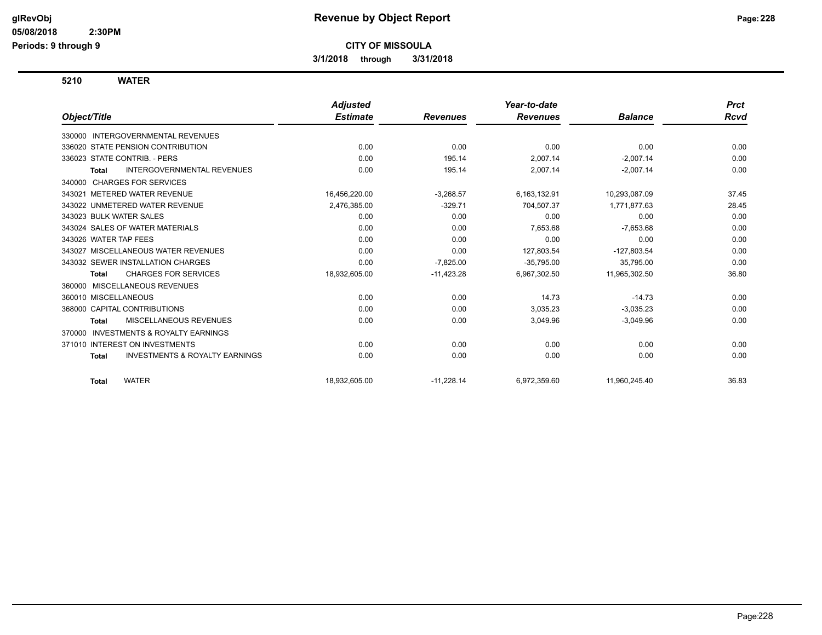**3/1/2018 through 3/31/2018**

**5210 WATER**

|                                                           | <b>Adjusted</b> |                 | Year-to-date    |                | <b>Prct</b> |
|-----------------------------------------------------------|-----------------|-----------------|-----------------|----------------|-------------|
| Object/Title                                              | <b>Estimate</b> | <b>Revenues</b> | <b>Revenues</b> | <b>Balance</b> | Rcvd        |
| <b>INTERGOVERNMENTAL REVENUES</b><br>330000               |                 |                 |                 |                |             |
| 336020 STATE PENSION CONTRIBUTION                         | 0.00            | 0.00            | 0.00            | 0.00           | 0.00        |
| 336023 STATE CONTRIB. - PERS                              | 0.00            | 195.14          | 2,007.14        | $-2,007.14$    | 0.00        |
| <b>INTERGOVERNMENTAL REVENUES</b><br>Total                | 0.00            | 195.14          | 2,007.14        | $-2,007.14$    | 0.00        |
| <b>CHARGES FOR SERVICES</b><br>340000                     |                 |                 |                 |                |             |
| 343021 METERED WATER REVENUE                              | 16,456,220.00   | $-3,268.57$     | 6,163,132.91    | 10,293,087.09  | 37.45       |
| 343022 UNMETERED WATER REVENUE                            | 2,476,385.00    | $-329.71$       | 704.507.37      | 1,771,877.63   | 28.45       |
| 343023 BULK WATER SALES                                   | 0.00            | 0.00            | 0.00            | 0.00           | 0.00        |
| 343024 SALES OF WATER MATERIALS                           | 0.00            | 0.00            | 7,653.68        | $-7,653.68$    | 0.00        |
| 343026 WATER TAP FEES                                     | 0.00            | 0.00            | 0.00            | 0.00           | 0.00        |
| 343027 MISCELLANEOUS WATER REVENUES                       | 0.00            | 0.00            | 127,803.54      | $-127,803.54$  | 0.00        |
| 343032 SEWER INSTALLATION CHARGES                         | 0.00            | $-7,825.00$     | $-35,795.00$    | 35,795.00      | 0.00        |
| <b>CHARGES FOR SERVICES</b><br><b>Total</b>               | 18,932,605.00   | $-11,423.28$    | 6,967,302.50    | 11,965,302.50  | 36.80       |
| <b>MISCELLANEOUS REVENUES</b><br>360000                   |                 |                 |                 |                |             |
| 360010 MISCELLANEOUS                                      | 0.00            | 0.00            | 14.73           | $-14.73$       | 0.00        |
| 368000 CAPITAL CONTRIBUTIONS                              | 0.00            | 0.00            | 3,035.23        | $-3,035.23$    | 0.00        |
| <b>MISCELLANEOUS REVENUES</b><br>Total                    | 0.00            | 0.00            | 3,049.96        | $-3,049.96$    | 0.00        |
| <b>INVESTMENTS &amp; ROYALTY EARNINGS</b><br>370000       |                 |                 |                 |                |             |
| 371010 INTEREST ON INVESTMENTS                            | 0.00            | 0.00            | 0.00            | 0.00           | 0.00        |
| <b>INVESTMENTS &amp; ROYALTY EARNINGS</b><br><b>Total</b> | 0.00            | 0.00            | 0.00            | 0.00           | 0.00        |
| <b>WATER</b><br><b>Total</b>                              | 18.932.605.00   | $-11,228.14$    | 6,972,359.60    | 11.960.245.40  | 36.83       |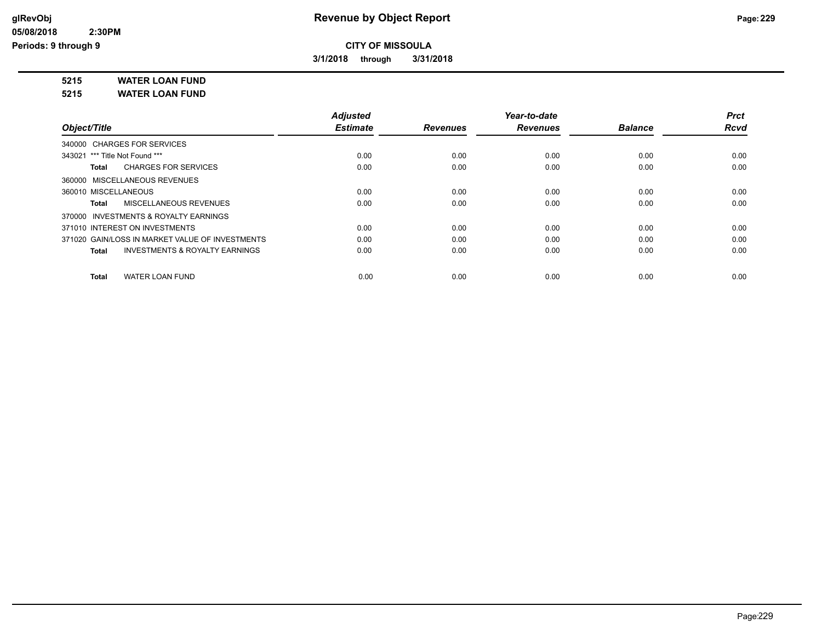**3/1/2018 through 3/31/2018**

**5215 WATER LOAN FUND**

**5215 WATER LOAN FUND**

|                                                    | <b>Adjusted</b> |                 | Year-to-date    |                | <b>Prct</b> |
|----------------------------------------------------|-----------------|-----------------|-----------------|----------------|-------------|
| Object/Title                                       | <b>Estimate</b> | <b>Revenues</b> | <b>Revenues</b> | <b>Balance</b> | <b>Rcvd</b> |
| 340000 CHARGES FOR SERVICES                        |                 |                 |                 |                |             |
| 343021 *** Title Not Found ***                     | 0.00            | 0.00            | 0.00            | 0.00           | 0.00        |
| <b>CHARGES FOR SERVICES</b><br>Total               | 0.00            | 0.00            | 0.00            | 0.00           | 0.00        |
| 360000 MISCELLANEOUS REVENUES                      |                 |                 |                 |                |             |
| 360010 MISCELLANEOUS                               | 0.00            | 0.00            | 0.00            | 0.00           | 0.00        |
| <b>MISCELLANEOUS REVENUES</b><br>Total             | 0.00            | 0.00            | 0.00            | 0.00           | 0.00        |
| 370000 INVESTMENTS & ROYALTY EARNINGS              |                 |                 |                 |                |             |
| 371010 INTEREST ON INVESTMENTS                     | 0.00            | 0.00            | 0.00            | 0.00           | 0.00        |
| 371020 GAIN/LOSS IN MARKET VALUE OF INVESTMENTS    | 0.00            | 0.00            | 0.00            | 0.00           | 0.00        |
| <b>INVESTMENTS &amp; ROYALTY EARNINGS</b><br>Total | 0.00            | 0.00            | 0.00            | 0.00           | 0.00        |
| <b>WATER LOAN FUND</b><br><b>Total</b>             | 0.00            | 0.00            | 0.00            | 0.00           | 0.00        |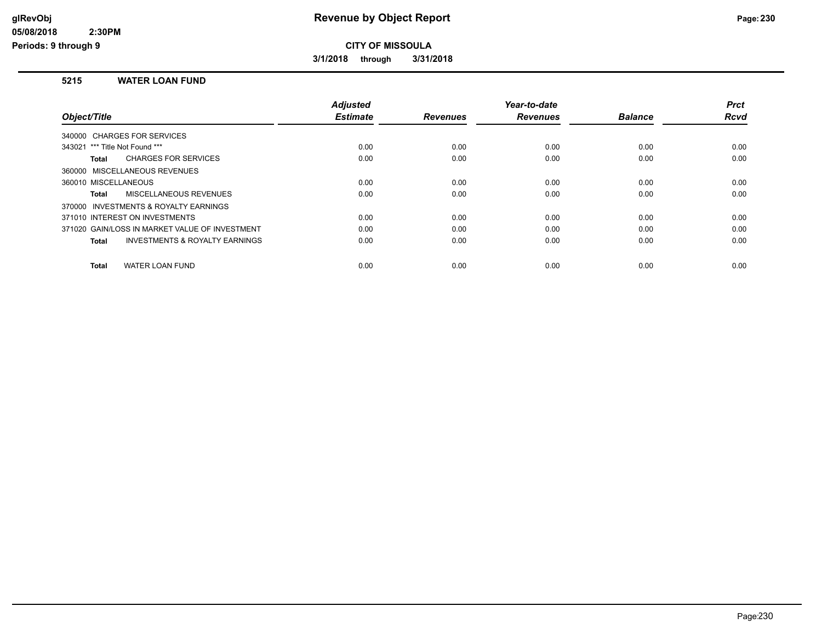**3/1/2018 through 3/31/2018**

#### **5215 WATER LOAN FUND**

|                                                    | <b>Adjusted</b> |                 | Year-to-date    |                | <b>Prct</b> |
|----------------------------------------------------|-----------------|-----------------|-----------------|----------------|-------------|
| Object/Title                                       | <b>Estimate</b> | <b>Revenues</b> | <b>Revenues</b> | <b>Balance</b> | <b>Rcvd</b> |
| 340000 CHARGES FOR SERVICES                        |                 |                 |                 |                |             |
| 343021 *** Title Not Found ***                     | 0.00            | 0.00            | 0.00            | 0.00           | 0.00        |
| <b>CHARGES FOR SERVICES</b><br>Total               | 0.00            | 0.00            | 0.00            | 0.00           | 0.00        |
| 360000 MISCELLANEOUS REVENUES                      |                 |                 |                 |                |             |
| 360010 MISCELLANEOUS                               | 0.00            | 0.00            | 0.00            | 0.00           | 0.00        |
| <b>MISCELLANEOUS REVENUES</b><br>Total             | 0.00            | 0.00            | 0.00            | 0.00           | 0.00        |
| 370000 INVESTMENTS & ROYALTY EARNINGS              |                 |                 |                 |                |             |
| 371010 INTEREST ON INVESTMENTS                     | 0.00            | 0.00            | 0.00            | 0.00           | 0.00        |
| 371020 GAIN/LOSS IN MARKET VALUE OF INVESTMENT     | 0.00            | 0.00            | 0.00            | 0.00           | 0.00        |
| <b>INVESTMENTS &amp; ROYALTY EARNINGS</b><br>Total | 0.00            | 0.00            | 0.00            | 0.00           | 0.00        |
|                                                    |                 |                 |                 |                |             |
| <b>WATER LOAN FUND</b><br><b>Total</b>             | 0.00            | 0.00            | 0.00            | 0.00           | 0.00        |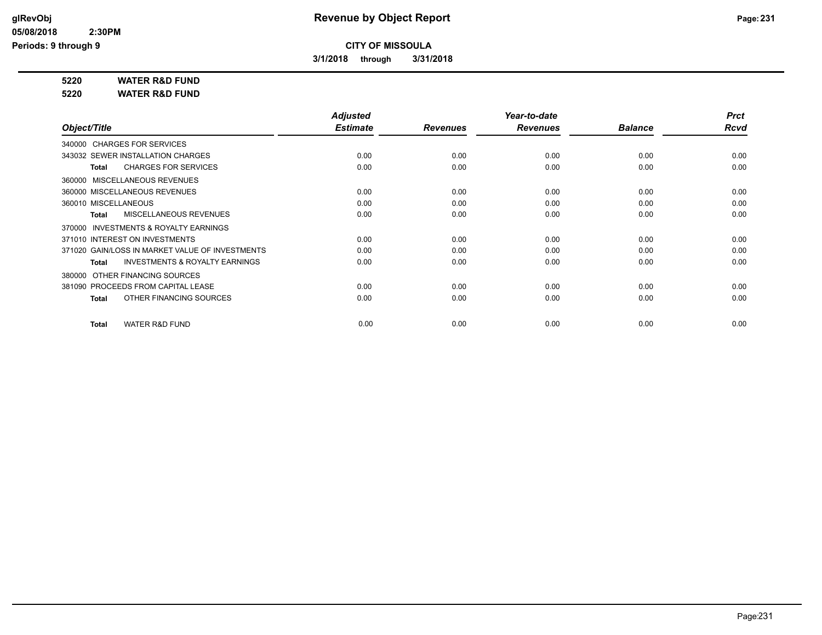**3/1/2018 through 3/31/2018**

**5220 WATER R&D FUND**

**5220 WATER R&D FUND**

|                                                           | <b>Adjusted</b> |                 | Year-to-date    |                | <b>Prct</b> |
|-----------------------------------------------------------|-----------------|-----------------|-----------------|----------------|-------------|
| Object/Title                                              | <b>Estimate</b> | <b>Revenues</b> | <b>Revenues</b> | <b>Balance</b> | Rcvd        |
| 340000 CHARGES FOR SERVICES                               |                 |                 |                 |                |             |
| 343032 SEWER INSTALLATION CHARGES                         | 0.00            | 0.00            | 0.00            | 0.00           | 0.00        |
| <b>CHARGES FOR SERVICES</b><br><b>Total</b>               | 0.00            | 0.00            | 0.00            | 0.00           | 0.00        |
| 360000 MISCELLANEOUS REVENUES                             |                 |                 |                 |                |             |
| 360000 MISCELLANEOUS REVENUES                             | 0.00            | 0.00            | 0.00            | 0.00           | 0.00        |
| 360010 MISCELLANEOUS                                      | 0.00            | 0.00            | 0.00            | 0.00           | 0.00        |
| MISCELLANEOUS REVENUES<br>Total                           | 0.00            | 0.00            | 0.00            | 0.00           | 0.00        |
| 370000 INVESTMENTS & ROYALTY EARNINGS                     |                 |                 |                 |                |             |
| 371010 INTEREST ON INVESTMENTS                            | 0.00            | 0.00            | 0.00            | 0.00           | 0.00        |
| 371020 GAIN/LOSS IN MARKET VALUE OF INVESTMENTS           | 0.00            | 0.00            | 0.00            | 0.00           | 0.00        |
| <b>INVESTMENTS &amp; ROYALTY EARNINGS</b><br><b>Total</b> | 0.00            | 0.00            | 0.00            | 0.00           | 0.00        |
| 380000 OTHER FINANCING SOURCES                            |                 |                 |                 |                |             |
| 381090 PROCEEDS FROM CAPITAL LEASE                        | 0.00            | 0.00            | 0.00            | 0.00           | 0.00        |
| OTHER FINANCING SOURCES<br><b>Total</b>                   | 0.00            | 0.00            | 0.00            | 0.00           | 0.00        |
|                                                           |                 |                 |                 |                |             |
| <b>WATER R&amp;D FUND</b><br><b>Total</b>                 | 0.00            | 0.00            | 0.00            | 0.00           | 0.00        |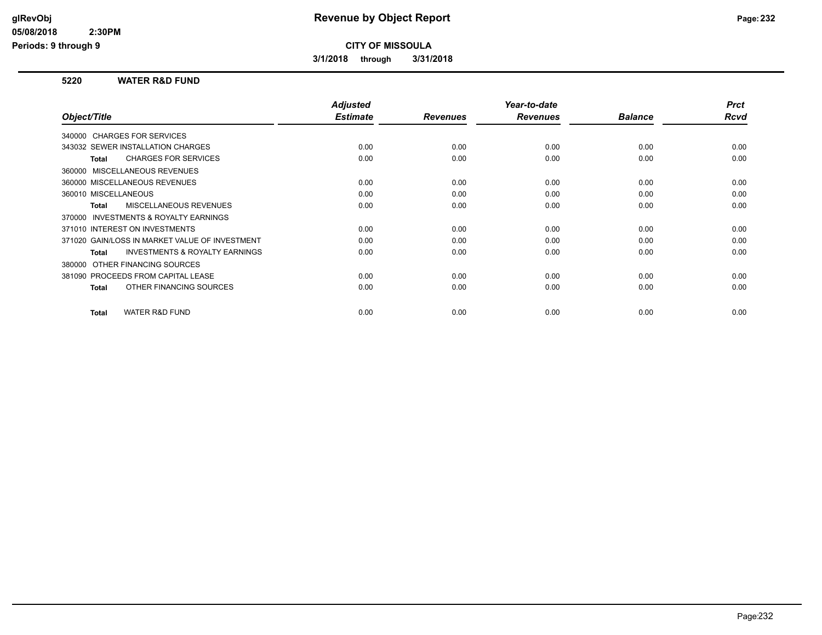**3/1/2018 through 3/31/2018**

#### **5220 WATER R&D FUND**

|                                                    | <b>Adjusted</b> |                 | Year-to-date    |                | <b>Prct</b> |
|----------------------------------------------------|-----------------|-----------------|-----------------|----------------|-------------|
| Object/Title                                       | <b>Estimate</b> | <b>Revenues</b> | <b>Revenues</b> | <b>Balance</b> | <b>Rcvd</b> |
| 340000 CHARGES FOR SERVICES                        |                 |                 |                 |                |             |
| 343032 SEWER INSTALLATION CHARGES                  | 0.00            | 0.00            | 0.00            | 0.00           | 0.00        |
| <b>CHARGES FOR SERVICES</b><br>Total               | 0.00            | 0.00            | 0.00            | 0.00           | 0.00        |
| 360000 MISCELLANEOUS REVENUES                      |                 |                 |                 |                |             |
| 360000 MISCELLANEOUS REVENUES                      | 0.00            | 0.00            | 0.00            | 0.00           | 0.00        |
| 360010 MISCELLANEOUS                               | 0.00            | 0.00            | 0.00            | 0.00           | 0.00        |
| MISCELLANEOUS REVENUES<br>Total                    | 0.00            | 0.00            | 0.00            | 0.00           | 0.00        |
| INVESTMENTS & ROYALTY EARNINGS<br>370000           |                 |                 |                 |                |             |
| 371010 INTEREST ON INVESTMENTS                     | 0.00            | 0.00            | 0.00            | 0.00           | 0.00        |
| 371020 GAIN/LOSS IN MARKET VALUE OF INVESTMENT     | 0.00            | 0.00            | 0.00            | 0.00           | 0.00        |
| <b>INVESTMENTS &amp; ROYALTY EARNINGS</b><br>Total | 0.00            | 0.00            | 0.00            | 0.00           | 0.00        |
| OTHER FINANCING SOURCES<br>380000                  |                 |                 |                 |                |             |
| 381090 PROCEEDS FROM CAPITAL LEASE                 | 0.00            | 0.00            | 0.00            | 0.00           | 0.00        |
| OTHER FINANCING SOURCES<br>Total                   | 0.00            | 0.00            | 0.00            | 0.00           | 0.00        |
|                                                    |                 |                 |                 |                |             |
| <b>WATER R&amp;D FUND</b><br><b>Total</b>          | 0.00            | 0.00            | 0.00            | 0.00           | 0.00        |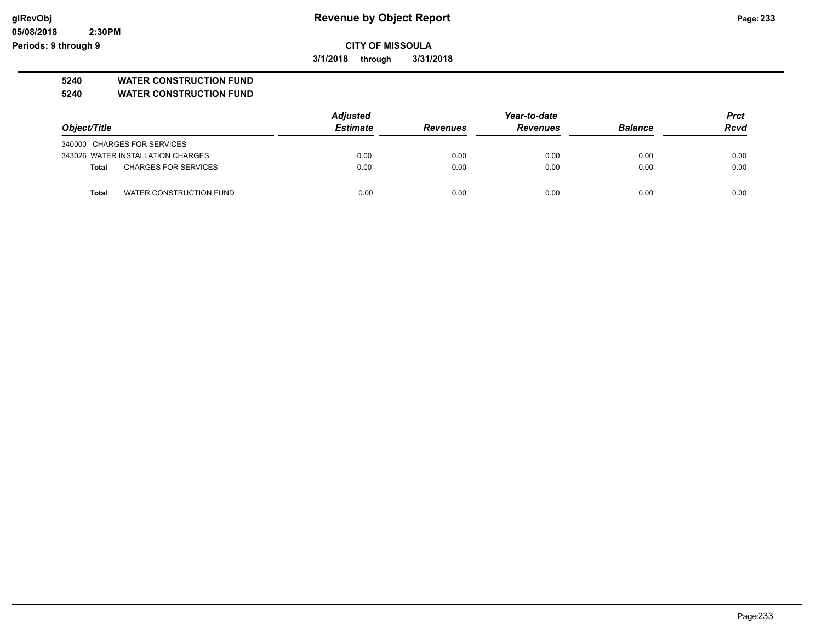**05/08/2018 2:30PM Periods: 9 through 9**

**CITY OF MISSOULA**

**3/1/2018 through 3/31/2018**

## **5240 WATER CONSTRUCTION FUND**

**5240 WATER CONSTRUCTION FUND**

|                                             | <b>Adjusted</b> |                 | Year-to-date    |                | Prct        |
|---------------------------------------------|-----------------|-----------------|-----------------|----------------|-------------|
| Object/Title                                | <b>Estimate</b> | <b>Revenues</b> | <b>Revenues</b> | <b>Balance</b> | <b>Rcvd</b> |
| 340000 CHARGES FOR SERVICES                 |                 |                 |                 |                |             |
| 343026 WATER INSTALLATION CHARGES           | 0.00            | 0.00            | 0.00            | 0.00           | 0.00        |
| <b>CHARGES FOR SERVICES</b><br><b>Total</b> | 0.00            | 0.00            | 0.00            | 0.00           | 0.00        |
| WATER CONSTRUCTION FUND<br><b>Total</b>     | 0.00            | 0.00            | 0.00            | 0.00           | 0.00        |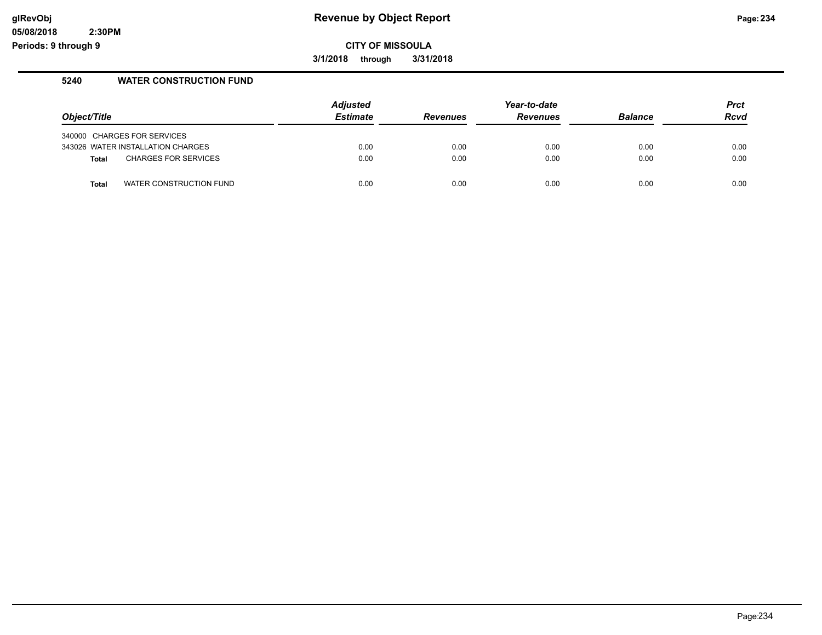**3/1/2018 through 3/31/2018**

## **5240 WATER CONSTRUCTION FUND**

|              |                                   | <b>Adjusted</b> | Year-to-date    |                 |                | Prct        |
|--------------|-----------------------------------|-----------------|-----------------|-----------------|----------------|-------------|
| Object/Title |                                   | <b>Estimate</b> | <b>Revenues</b> | <b>Revenues</b> | <b>Balance</b> | <b>Rcvd</b> |
|              | 340000 CHARGES FOR SERVICES       |                 |                 |                 |                |             |
|              | 343026 WATER INSTALLATION CHARGES | 0.00            | 0.00            | 0.00            | 0.00           | 0.00        |
| <b>Total</b> | <b>CHARGES FOR SERVICES</b>       | 0.00            | 0.00            | 0.00            | 0.00           | 0.00        |
| <b>Total</b> | WATER CONSTRUCTION FUND           | 0.00            | 0.00            | 0.00            | 0.00           | 0.00        |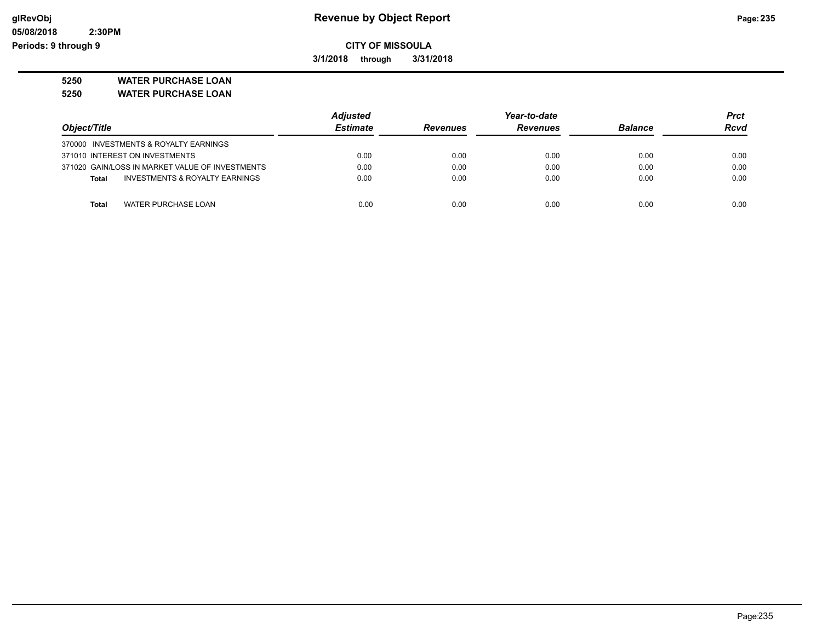**3/1/2018 through 3/31/2018**

## **5250 WATER PURCHASE LOAN**

**5250 WATER PURCHASE LOAN**

| Object/Title                                              | <b>Adjusted</b> |                 | Year-to-date    |                | Prct |
|-----------------------------------------------------------|-----------------|-----------------|-----------------|----------------|------|
|                                                           | <b>Estimate</b> | <b>Revenues</b> | <b>Revenues</b> | <b>Balance</b> | Rcvd |
| 370000 INVESTMENTS & ROYALTY EARNINGS                     |                 |                 |                 |                |      |
| 371010 INTEREST ON INVESTMENTS                            | 0.00            | 0.00            | 0.00            | 0.00           | 0.00 |
| 371020 GAIN/LOSS IN MARKET VALUE OF INVESTMENTS           | 0.00            | 0.00            | 0.00            | 0.00           | 0.00 |
| <b>INVESTMENTS &amp; ROYALTY EARNINGS</b><br><b>Total</b> | 0.00            | 0.00            | 0.00            | 0.00           | 0.00 |
|                                                           |                 |                 |                 |                |      |
| <b>Total</b><br>WATER PURCHASE LOAN                       | 0.00            | 0.00            | 0.00            | 0.00           | 0.00 |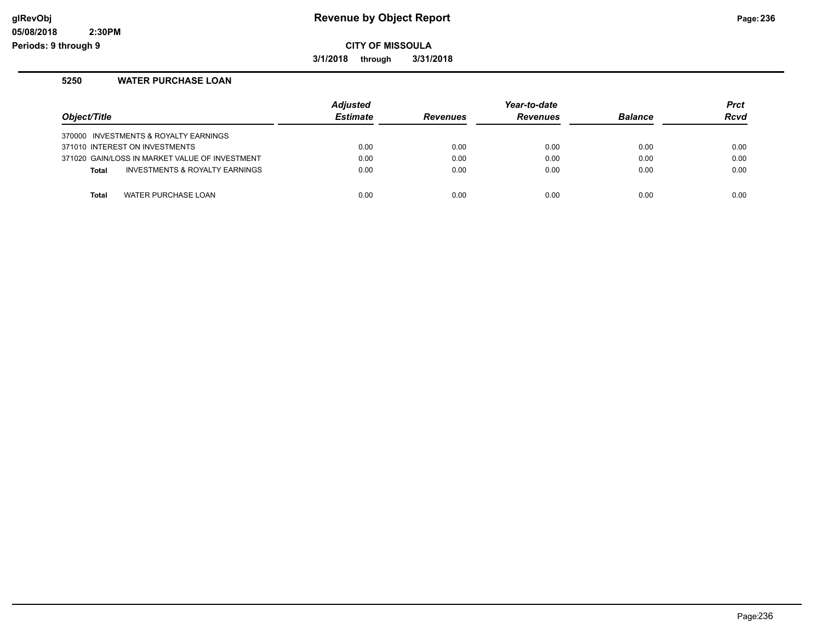**Periods: 9 through 9**

**CITY OF MISSOULA**

**3/1/2018 through 3/31/2018**

## **5250 WATER PURCHASE LOAN**

 **2:30PM**

| Object/Title |                                                | <b>Adjusted</b><br><b>Estimate</b> | <b>Revenues</b> | Year-to-date<br><b>Revenues</b> | <b>Balance</b> | <b>Prct</b><br>Rcvd |
|--------------|------------------------------------------------|------------------------------------|-----------------|---------------------------------|----------------|---------------------|
|              | 370000 INVESTMENTS & ROYALTY EARNINGS          |                                    |                 |                                 |                |                     |
|              | 371010 INTEREST ON INVESTMENTS                 | 0.00                               | 0.00            | 0.00                            | 0.00           | 0.00                |
|              | 371020 GAIN/LOSS IN MARKET VALUE OF INVESTMENT | 0.00                               | 0.00            | 0.00                            | 0.00           | 0.00                |
| <b>Total</b> | INVESTMENTS & ROYALTY EARNINGS                 | 0.00                               | 0.00            | 0.00                            | 0.00           | 0.00                |
|              |                                                |                                    |                 |                                 |                |                     |
| Total        | WATER PURCHASE LOAN                            | 0.00                               | 0.00            | 0.00                            | 0.00           | 0.00                |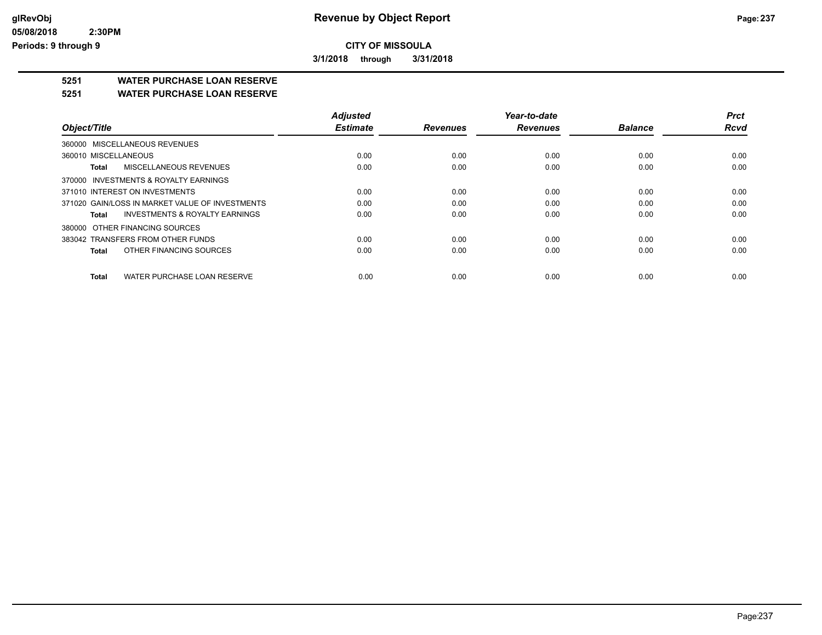**3/1/2018 through 3/31/2018**

## **5251 WATER PURCHASE LOAN RESERVE**

## **5251 WATER PURCHASE LOAN RESERVE**

|                                                    | <b>Adjusted</b> |                 | Year-to-date    |                | <b>Prct</b> |
|----------------------------------------------------|-----------------|-----------------|-----------------|----------------|-------------|
| Object/Title                                       | <b>Estimate</b> | <b>Revenues</b> | <b>Revenues</b> | <b>Balance</b> | <b>Rcvd</b> |
| 360000 MISCELLANEOUS REVENUES                      |                 |                 |                 |                |             |
| 360010 MISCELLANEOUS                               | 0.00            | 0.00            | 0.00            | 0.00           | 0.00        |
| MISCELLANEOUS REVENUES<br>Total                    | 0.00            | 0.00            | 0.00            | 0.00           | 0.00        |
| 370000 INVESTMENTS & ROYALTY EARNINGS              |                 |                 |                 |                |             |
| 371010 INTEREST ON INVESTMENTS                     | 0.00            | 0.00            | 0.00            | 0.00           | 0.00        |
| 371020 GAIN/LOSS IN MARKET VALUE OF INVESTMENTS    | 0.00            | 0.00            | 0.00            | 0.00           | 0.00        |
| <b>INVESTMENTS &amp; ROYALTY EARNINGS</b><br>Total | 0.00            | 0.00            | 0.00            | 0.00           | 0.00        |
| 380000 OTHER FINANCING SOURCES                     |                 |                 |                 |                |             |
| 383042 TRANSFERS FROM OTHER FUNDS                  | 0.00            | 0.00            | 0.00            | 0.00           | 0.00        |
| OTHER FINANCING SOURCES<br>Total                   | 0.00            | 0.00            | 0.00            | 0.00           | 0.00        |
| WATER PURCHASE LOAN RESERVE<br>Total               | 0.00            | 0.00            | 0.00            | 0.00           | 0.00        |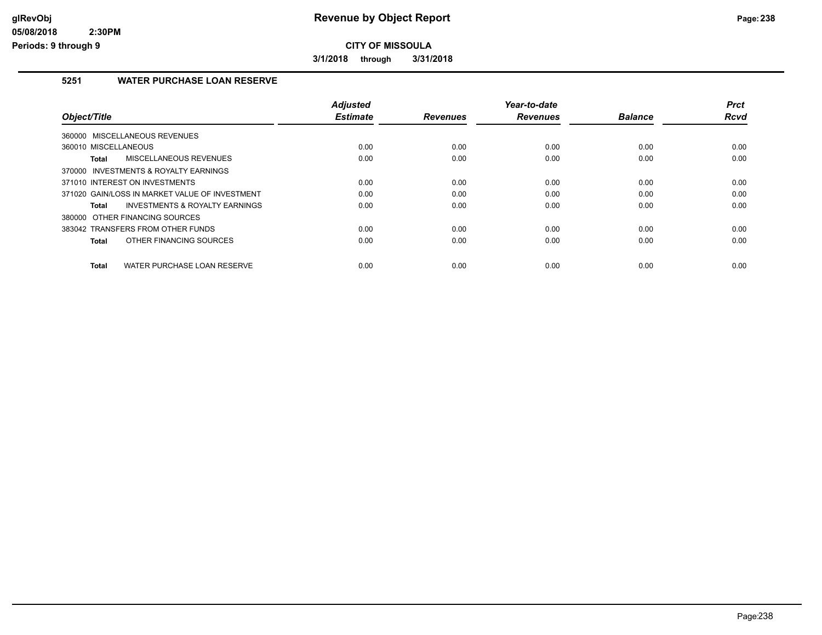**3/1/2018 through 3/31/2018**

## **5251 WATER PURCHASE LOAN RESERVE**

|                                                    | <b>Adjusted</b> |                 | Year-to-date    |                | <b>Prct</b> |
|----------------------------------------------------|-----------------|-----------------|-----------------|----------------|-------------|
| Object/Title                                       | <b>Estimate</b> | <b>Revenues</b> | <b>Revenues</b> | <b>Balance</b> | <b>Rcvd</b> |
| 360000 MISCELLANEOUS REVENUES                      |                 |                 |                 |                |             |
| 360010 MISCELLANEOUS                               | 0.00            | 0.00            | 0.00            | 0.00           | 0.00        |
| MISCELLANEOUS REVENUES<br>Total                    | 0.00            | 0.00            | 0.00            | 0.00           | 0.00        |
| 370000 INVESTMENTS & ROYALTY EARNINGS              |                 |                 |                 |                |             |
| 371010 INTEREST ON INVESTMENTS                     | 0.00            | 0.00            | 0.00            | 0.00           | 0.00        |
| 371020 GAIN/LOSS IN MARKET VALUE OF INVESTMENT     | 0.00            | 0.00            | 0.00            | 0.00           | 0.00        |
| <b>INVESTMENTS &amp; ROYALTY EARNINGS</b><br>Total | 0.00            | 0.00            | 0.00            | 0.00           | 0.00        |
| 380000 OTHER FINANCING SOURCES                     |                 |                 |                 |                |             |
| 383042 TRANSFERS FROM OTHER FUNDS                  | 0.00            | 0.00            | 0.00            | 0.00           | 0.00        |
| OTHER FINANCING SOURCES<br><b>Total</b>            | 0.00            | 0.00            | 0.00            | 0.00           | 0.00        |
| <b>Total</b><br>WATER PURCHASE LOAN RESERVE        | 0.00            | 0.00            | 0.00            | 0.00           | 0.00        |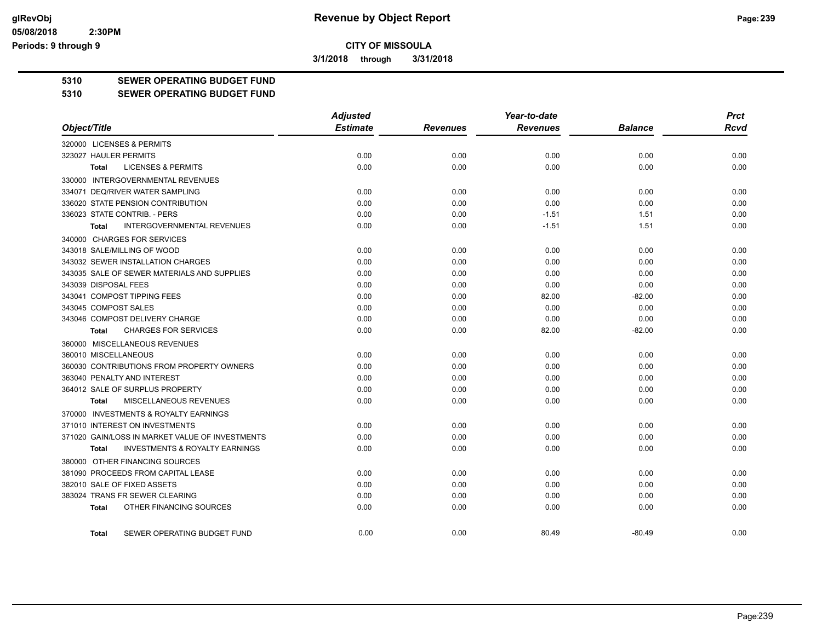**3/1/2018 through 3/31/2018**

## **5310 SEWER OPERATING BUDGET FUND**

#### **5310 SEWER OPERATING BUDGET FUND**

|                                                    | <b>Adjusted</b> |                 | Year-to-date    |                | <b>Prct</b> |
|----------------------------------------------------|-----------------|-----------------|-----------------|----------------|-------------|
| Object/Title                                       | <b>Estimate</b> | <b>Revenues</b> | <b>Revenues</b> | <b>Balance</b> | <b>Rcvd</b> |
| 320000 LICENSES & PERMITS                          |                 |                 |                 |                |             |
| 323027 HAULER PERMITS                              | 0.00            | 0.00            | 0.00            | 0.00           | 0.00        |
| <b>LICENSES &amp; PERMITS</b><br><b>Total</b>      | 0.00            | 0.00            | 0.00            | 0.00           | 0.00        |
| 330000 INTERGOVERNMENTAL REVENUES                  |                 |                 |                 |                |             |
| 334071 DEQ/RIVER WATER SAMPLING                    | 0.00            | 0.00            | 0.00            | 0.00           | 0.00        |
| 336020 STATE PENSION CONTRIBUTION                  | 0.00            | 0.00            | 0.00            | 0.00           | 0.00        |
| 336023 STATE CONTRIB. - PERS                       | 0.00            | 0.00            | $-1.51$         | 1.51           | 0.00        |
| <b>INTERGOVERNMENTAL REVENUES</b><br><b>Total</b>  | 0.00            | 0.00            | $-1.51$         | 1.51           | 0.00        |
| 340000 CHARGES FOR SERVICES                        |                 |                 |                 |                |             |
| 343018 SALE/MILLING OF WOOD                        | 0.00            | 0.00            | 0.00            | 0.00           | 0.00        |
| 343032 SEWER INSTALLATION CHARGES                  | 0.00            | 0.00            | 0.00            | 0.00           | 0.00        |
| 343035 SALE OF SEWER MATERIALS AND SUPPLIES        | 0.00            | 0.00            | 0.00            | 0.00           | 0.00        |
| 343039 DISPOSAL FEES                               | 0.00            | 0.00            | 0.00            | 0.00           | 0.00        |
| 343041 COMPOST TIPPING FEES                        | 0.00            | 0.00            | 82.00           | $-82.00$       | 0.00        |
| 343045 COMPOST SALES                               | 0.00            | 0.00            | 0.00            | 0.00           | 0.00        |
| 343046 COMPOST DELIVERY CHARGE                     | 0.00            | 0.00            | 0.00            | 0.00           | 0.00        |
| <b>CHARGES FOR SERVICES</b><br><b>Total</b>        | 0.00            | 0.00            | 82.00           | $-82.00$       | 0.00        |
| 360000 MISCELLANEOUS REVENUES                      |                 |                 |                 |                |             |
| 360010 MISCELLANEOUS                               | 0.00            | 0.00            | 0.00            | 0.00           | 0.00        |
| 360030 CONTRIBUTIONS FROM PROPERTY OWNERS          | 0.00            | 0.00            | 0.00            | 0.00           | 0.00        |
| 363040 PENALTY AND INTEREST                        | 0.00            | 0.00            | 0.00            | 0.00           | 0.00        |
| 364012 SALE OF SURPLUS PROPERTY                    | 0.00            | 0.00            | 0.00            | 0.00           | 0.00        |
| MISCELLANEOUS REVENUES<br>Total                    | 0.00            | 0.00            | 0.00            | 0.00           | 0.00        |
| 370000 INVESTMENTS & ROYALTY EARNINGS              |                 |                 |                 |                |             |
| 371010 INTEREST ON INVESTMENTS                     | 0.00            | 0.00            | 0.00            | 0.00           | 0.00        |
| 371020 GAIN/LOSS IN MARKET VALUE OF INVESTMENTS    | 0.00            | 0.00            | 0.00            | 0.00           | 0.00        |
| <b>INVESTMENTS &amp; ROYALTY EARNINGS</b><br>Total | 0.00            | 0.00            | 0.00            | 0.00           | 0.00        |
| 380000 OTHER FINANCING SOURCES                     |                 |                 |                 |                |             |
| 381090 PROCEEDS FROM CAPITAL LEASE                 | 0.00            | 0.00            | 0.00            | 0.00           | 0.00        |
| 382010 SALE OF FIXED ASSETS                        | 0.00            | 0.00            | 0.00            | 0.00           | 0.00        |
| 383024 TRANS FR SEWER CLEARING                     | 0.00            | 0.00            | 0.00            | 0.00           | 0.00        |
| OTHER FINANCING SOURCES<br>Total                   | 0.00            | 0.00            | 0.00            | 0.00           | 0.00        |
| SEWER OPERATING BUDGET FUND<br>Total               | 0.00            | 0.00            | 80.49           | $-80.49$       | 0.00        |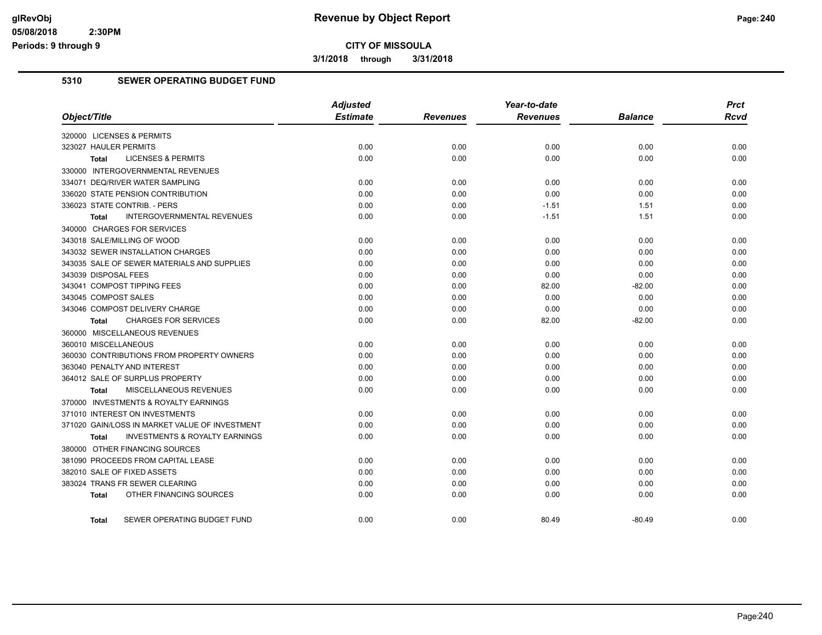**3/1/2018 through 3/31/2018**

## **5310 SEWER OPERATING BUDGET FUND**

|                                                           | <b>Adjusted</b> |                 | Year-to-date    | <b>Prct</b>    |             |
|-----------------------------------------------------------|-----------------|-----------------|-----------------|----------------|-------------|
| Object/Title                                              | <b>Estimate</b> | <b>Revenues</b> | <b>Revenues</b> | <b>Balance</b> | <b>Rcvd</b> |
| 320000 LICENSES & PERMITS                                 |                 |                 |                 |                |             |
| 323027 HAULER PERMITS                                     | 0.00            | 0.00            | 0.00            | 0.00           | 0.00        |
| <b>LICENSES &amp; PERMITS</b><br><b>Total</b>             | 0.00            | 0.00            | 0.00            | 0.00           | 0.00        |
| 330000 INTERGOVERNMENTAL REVENUES                         |                 |                 |                 |                |             |
| 334071 DEQ/RIVER WATER SAMPLING                           | 0.00            | 0.00            | 0.00            | 0.00           | 0.00        |
| 336020 STATE PENSION CONTRIBUTION                         | 0.00            | 0.00            | 0.00            | 0.00           | 0.00        |
| 336023 STATE CONTRIB. - PERS                              | 0.00            | 0.00            | $-1.51$         | 1.51           | 0.00        |
| <b>Total</b><br><b>INTERGOVERNMENTAL REVENUES</b>         | 0.00            | 0.00            | $-1.51$         | 1.51           | 0.00        |
| 340000 CHARGES FOR SERVICES                               |                 |                 |                 |                |             |
| 343018 SALE/MILLING OF WOOD                               | 0.00            | 0.00            | 0.00            | 0.00           | 0.00        |
| 343032 SEWER INSTALLATION CHARGES                         | 0.00            | 0.00            | 0.00            | 0.00           | 0.00        |
| 343035 SALE OF SEWER MATERIALS AND SUPPLIES               | 0.00            | 0.00            | 0.00            | 0.00           | 0.00        |
| 343039 DISPOSAL FEES                                      | 0.00            | 0.00            | 0.00            | 0.00           | 0.00        |
| 343041 COMPOST TIPPING FEES                               | 0.00            | 0.00            | 82.00           | $-82.00$       | 0.00        |
| 343045 COMPOST SALES                                      | 0.00            | 0.00            | 0.00            | 0.00           | 0.00        |
| 343046 COMPOST DELIVERY CHARGE                            | 0.00            | 0.00            | 0.00            | 0.00           | 0.00        |
| <b>CHARGES FOR SERVICES</b><br><b>Total</b>               | 0.00            | 0.00            | 82.00           | $-82.00$       | 0.00        |
| 360000 MISCELLANEOUS REVENUES                             |                 |                 |                 |                |             |
| 360010 MISCELLANEOUS                                      | 0.00            | 0.00            | 0.00            | 0.00           | 0.00        |
| 360030 CONTRIBUTIONS FROM PROPERTY OWNERS                 | 0.00            | 0.00            | 0.00            | 0.00           | 0.00        |
| 363040 PENALTY AND INTEREST                               | 0.00            | 0.00            | 0.00            | 0.00           | 0.00        |
| 364012 SALE OF SURPLUS PROPERTY                           | 0.00            | 0.00            | 0.00            | 0.00           | 0.00        |
| MISCELLANEOUS REVENUES<br><b>Total</b>                    | 0.00            | 0.00            | 0.00            | 0.00           | 0.00        |
| 370000 INVESTMENTS & ROYALTY EARNINGS                     |                 |                 |                 |                |             |
| 371010 INTEREST ON INVESTMENTS                            | 0.00            | 0.00            | 0.00            | 0.00           | 0.00        |
| 371020 GAIN/LOSS IN MARKET VALUE OF INVESTMENT            | 0.00            | 0.00            | 0.00            | 0.00           | 0.00        |
| <b>INVESTMENTS &amp; ROYALTY EARNINGS</b><br><b>Total</b> | 0.00            | 0.00            | 0.00            | 0.00           | 0.00        |
| 380000 OTHER FINANCING SOURCES                            |                 |                 |                 |                |             |
| 381090 PROCEEDS FROM CAPITAL LEASE                        | 0.00            | 0.00            | 0.00            | 0.00           | 0.00        |
| 382010 SALE OF FIXED ASSETS                               | 0.00            | 0.00            | 0.00            | 0.00           | 0.00        |
| 383024 TRANS FR SEWER CLEARING                            | 0.00            | 0.00            | 0.00            | 0.00           | 0.00        |
| OTHER FINANCING SOURCES<br><b>Total</b>                   | 0.00            | 0.00            | 0.00            | 0.00           | 0.00        |
| SEWER OPERATING BUDGET FUND<br><b>Total</b>               | 0.00            | 0.00            | 80.49           | $-80.49$       | 0.00        |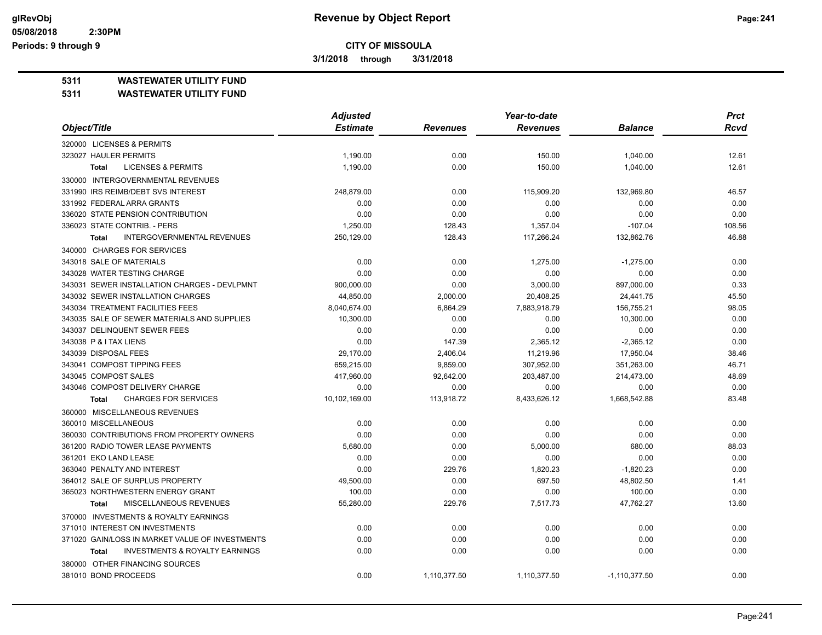**3/1/2018 through 3/31/2018**

**5311 WASTEWATER UTILITY FUND**

|                                                           | <b>Adjusted</b> |                 | Year-to-date    |                 | <b>Prct</b> |
|-----------------------------------------------------------|-----------------|-----------------|-----------------|-----------------|-------------|
| Object/Title                                              | <b>Estimate</b> | <b>Revenues</b> | <b>Revenues</b> | <b>Balance</b>  | <b>Rcvd</b> |
| 320000 LICENSES & PERMITS                                 |                 |                 |                 |                 |             |
| 323027 HAULER PERMITS                                     | 1,190.00        | 0.00            | 150.00          | 1,040.00        | 12.61       |
| <b>LICENSES &amp; PERMITS</b><br><b>Total</b>             | 1,190.00        | 0.00            | 150.00          | 1,040.00        | 12.61       |
| 330000 INTERGOVERNMENTAL REVENUES                         |                 |                 |                 |                 |             |
| 331990 IRS REIMB/DEBT SVS INTEREST                        | 248,879.00      | 0.00            | 115,909.20      | 132,969.80      | 46.57       |
| 331992 FEDERAL ARRA GRANTS                                | 0.00            | 0.00            | 0.00            | 0.00            | 0.00        |
| 336020 STATE PENSION CONTRIBUTION                         | 0.00            | 0.00            | 0.00            | 0.00            | 0.00        |
| 336023 STATE CONTRIB. - PERS                              | 1,250.00        | 128.43          | 1,357.04        | $-107.04$       | 108.56      |
| <b>INTERGOVERNMENTAL REVENUES</b><br><b>Total</b>         | 250,129.00      | 128.43          | 117,266.24      | 132,862.76      | 46.88       |
| 340000 CHARGES FOR SERVICES                               |                 |                 |                 |                 |             |
| 343018 SALE OF MATERIALS                                  | 0.00            | 0.00            | 1,275.00        | $-1,275.00$     | 0.00        |
| 343028 WATER TESTING CHARGE                               | 0.00            | 0.00            | 0.00            | 0.00            | 0.00        |
| 343031 SEWER INSTALLATION CHARGES - DEVLPMNT              | 900,000.00      | 0.00            | 3,000.00        | 897,000.00      | 0.33        |
| 343032 SEWER INSTALLATION CHARGES                         | 44,850.00       | 2,000.00        | 20,408.25       | 24,441.75       | 45.50       |
| 343034 TREATMENT FACILITIES FEES                          | 8,040,674.00    | 6,864.29        | 7,883,918.79    | 156,755.21      | 98.05       |
| 343035 SALE OF SEWER MATERIALS AND SUPPLIES               | 10,300.00       | 0.00            | 0.00            | 10,300.00       | 0.00        |
| 343037 DELINQUENT SEWER FEES                              | 0.00            | 0.00            | 0.00            | 0.00            | 0.00        |
| 343038 P & I TAX LIENS                                    | 0.00            | 147.39          | 2,365.12        | $-2,365.12$     | 0.00        |
| 343039 DISPOSAL FEES                                      | 29,170.00       | 2,406.04        | 11,219.96       | 17,950.04       | 38.46       |
| 343041 COMPOST TIPPING FEES                               | 659,215.00      | 9,859.00        | 307,952.00      | 351,263.00      | 46.71       |
| 343045 COMPOST SALES                                      | 417,960.00      | 92,642.00       | 203,487.00      | 214,473.00      | 48.69       |
| 343046 COMPOST DELIVERY CHARGE                            | 0.00            | 0.00            | 0.00            | 0.00            | 0.00        |
| <b>CHARGES FOR SERVICES</b><br><b>Total</b>               | 10,102,169.00   | 113,918.72      | 8,433,626.12    | 1,668,542.88    | 83.48       |
| 360000 MISCELLANEOUS REVENUES                             |                 |                 |                 |                 |             |
| 360010 MISCELLANEOUS                                      | 0.00            | 0.00            | 0.00            | 0.00            | 0.00        |
| 360030 CONTRIBUTIONS FROM PROPERTY OWNERS                 | 0.00            | 0.00            | 0.00            | 0.00            | 0.00        |
| 361200 RADIO TOWER LEASE PAYMENTS                         | 5,680.00        | 0.00            | 5,000.00        | 680.00          | 88.03       |
| 361201 EKO LAND LEASE                                     | 0.00            | 0.00            | 0.00            | 0.00            | 0.00        |
| 363040 PENALTY AND INTEREST                               | 0.00            | 229.76          | 1,820.23        | $-1,820.23$     | 0.00        |
| 364012 SALE OF SURPLUS PROPERTY                           | 49,500.00       | 0.00            | 697.50          | 48,802.50       | 1.41        |
| 365023 NORTHWESTERN ENERGY GRANT                          | 100.00          | 0.00            | 0.00            | 100.00          | 0.00        |
| MISCELLANEOUS REVENUES<br><b>Total</b>                    | 55,280.00       | 229.76          | 7.517.73        | 47,762.27       | 13.60       |
| 370000 INVESTMENTS & ROYALTY EARNINGS                     |                 |                 |                 |                 |             |
| 371010 INTEREST ON INVESTMENTS                            | 0.00            | 0.00            | 0.00            | 0.00            | 0.00        |
| 371020 GAIN/LOSS IN MARKET VALUE OF INVESTMENTS           | 0.00            | 0.00            | 0.00            | 0.00            | 0.00        |
| <b>INVESTMENTS &amp; ROYALTY EARNINGS</b><br><b>Total</b> | 0.00            | 0.00            | 0.00            | 0.00            | 0.00        |
| 380000 OTHER FINANCING SOURCES                            |                 |                 |                 |                 |             |
| 381010 BOND PROCEEDS                                      | 0.00            | 1,110,377.50    | 1,110,377.50    | $-1,110,377.50$ | 0.00        |
|                                                           |                 |                 |                 |                 |             |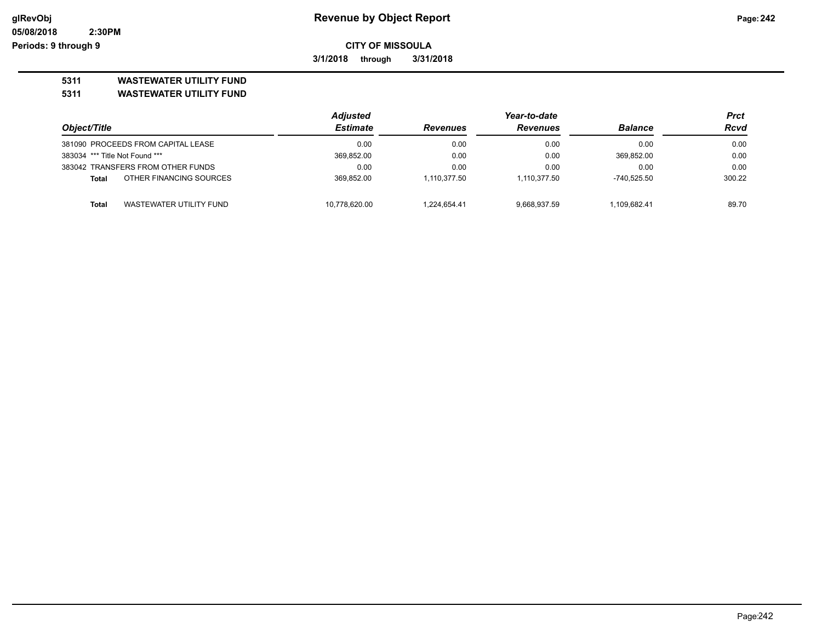**3/1/2018 through 3/31/2018**

## **5311 WASTEWATER UTILITY FUND**

|                                |                                    | <b>Adjusted</b> |                 |                 | Prct           |        |
|--------------------------------|------------------------------------|-----------------|-----------------|-----------------|----------------|--------|
| Object/Title                   |                                    | <b>Estimate</b> | <b>Revenues</b> | <b>Revenues</b> | <b>Balance</b> | Rcvd   |
|                                | 381090 PROCEEDS FROM CAPITAL LEASE | 0.00            | 0.00            | 0.00            | 0.00           | 0.00   |
| 383034 *** Title Not Found *** |                                    | 369,852.00      | 0.00            | 0.00            | 369.852.00     | 0.00   |
|                                | 383042 TRANSFERS FROM OTHER FUNDS  | 0.00            | 0.00            | 0.00            | 0.00           | 0.00   |
| Total                          | OTHER FINANCING SOURCES            | 369,852.00      | 1,110,377.50    | 1.110.377.50    | $-740.525.50$  | 300.22 |
| Total                          | WASTEWATER UTILITY FUND            | 10.778.620.00   | 1.224.654.41    | 9.668.937.59    | 1.109.682.41   | 89.70  |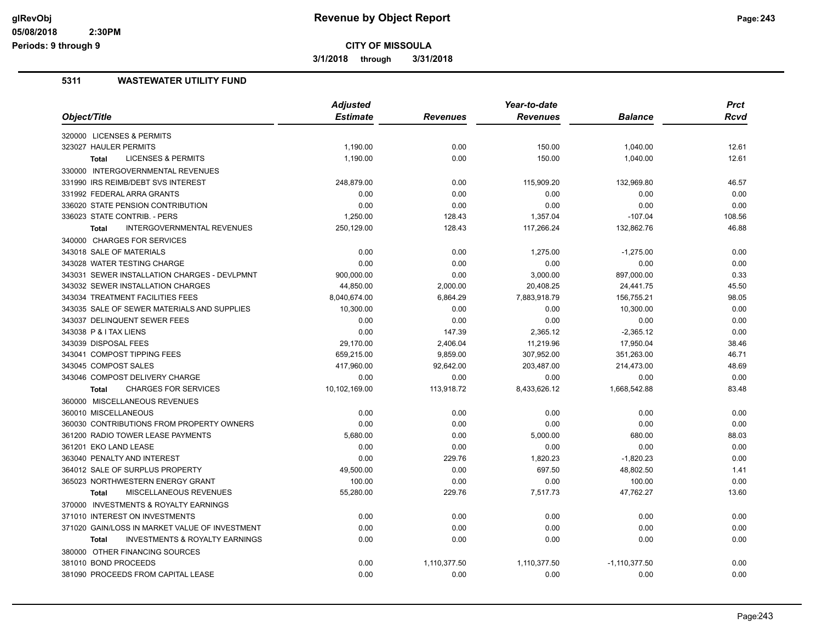**3/1/2018 through 3/31/2018**

| Object/Title<br><b>Estimate</b><br><b>Revenues</b><br><b>Revenues</b><br><b>Balance</b>               | Rcvd   |
|-------------------------------------------------------------------------------------------------------|--------|
|                                                                                                       |        |
| 320000 LICENSES & PERMITS                                                                             |        |
| 323027 HAULER PERMITS<br>1,190.00<br>0.00<br>150.00<br>1,040.00                                       | 12.61  |
| <b>LICENSES &amp; PERMITS</b><br>1,190.00<br>0.00<br>150.00<br>1,040.00<br><b>Total</b>               | 12.61  |
| 330000 INTERGOVERNMENTAL REVENUES                                                                     |        |
| 331990 IRS REIMB/DEBT SVS INTEREST<br>248,879.00<br>0.00<br>115,909.20<br>132,969.80                  | 46.57  |
| 331992 FEDERAL ARRA GRANTS<br>0.00<br>0.00<br>0.00<br>0.00                                            | 0.00   |
| 0.00<br>336020 STATE PENSION CONTRIBUTION<br>0.00<br>0.00<br>0.00                                     | 0.00   |
| 336023 STATE CONTRIB. - PERS<br>1,250.00<br>128.43<br>1,357.04<br>$-107.04$                           | 108.56 |
| 128.43<br>117,266.24<br><b>INTERGOVERNMENTAL REVENUES</b><br>250,129.00<br>132,862.76<br><b>Total</b> | 46.88  |
| 340000 CHARGES FOR SERVICES                                                                           |        |
| 343018 SALE OF MATERIALS<br>0.00<br>0.00<br>1.275.00<br>$-1.275.00$                                   | 0.00   |
| 343028 WATER TESTING CHARGE<br>0.00<br>0.00<br>0.00<br>0.00                                           | 0.00   |
| 343031 SEWER INSTALLATION CHARGES - DEVLPMNT<br>900,000.00<br>0.00<br>3,000.00<br>897,000.00          | 0.33   |
| 343032 SEWER INSTALLATION CHARGES<br>44,850.00<br>2,000.00<br>20,408.25<br>24,441.75                  | 45.50  |
| 343034 TREATMENT FACILITIES FEES<br>8,040,674.00<br>6,864.29<br>7,883,918.79<br>156,755.21            | 98.05  |
| 343035 SALE OF SEWER MATERIALS AND SUPPLIES<br>10,300.00<br>0.00<br>0.00<br>10,300.00                 | 0.00   |
| 343037 DELINQUENT SEWER FEES<br>0.00<br>0.00<br>0.00<br>0.00                                          | 0.00   |
| 343038 P & I TAX LIENS<br>0.00<br>147.39<br>2,365.12<br>$-2,365.12$                                   | 0.00   |
| 343039 DISPOSAL FEES<br>29,170.00<br>2,406.04<br>11,219.96<br>17,950.04                               | 38.46  |
| 343041 COMPOST TIPPING FEES<br>659,215.00<br>9,859.00<br>307,952.00<br>351,263.00                     | 46.71  |
| 343045 COMPOST SALES<br>417,960.00<br>203,487.00<br>214,473.00<br>92,642.00                           | 48.69  |
| 343046 COMPOST DELIVERY CHARGE<br>0.00<br>0.00<br>0.00<br>0.00                                        | 0.00   |
| 10,102,169.00<br>113,918.72<br>8,433,626.12<br>1,668,542.88<br><b>CHARGES FOR SERVICES</b><br>Total   | 83.48  |
| 360000 MISCELLANEOUS REVENUES                                                                         |        |
| 360010 MISCELLANEOUS<br>0.00<br>0.00<br>0.00<br>0.00                                                  | 0.00   |
| 360030 CONTRIBUTIONS FROM PROPERTY OWNERS<br>0.00<br>0.00<br>0.00<br>0.00                             | 0.00   |
| 361200 RADIO TOWER LEASE PAYMENTS<br>0.00<br>5,680.00<br>5,000.00<br>680.00                           | 88.03  |
| 361201 EKO LAND LEASE<br>0.00<br>0.00<br>0.00<br>0.00                                                 | 0.00   |
| 363040 PENALTY AND INTEREST<br>0.00<br>229.76<br>1,820.23<br>$-1,820.23$                              | 0.00   |
| 364012 SALE OF SURPLUS PROPERTY<br>49,500.00<br>0.00<br>697.50<br>48,802.50                           | 1.41   |
| 100.00<br>365023 NORTHWESTERN ENERGY GRANT<br>0.00<br>0.00<br>100.00                                  | 0.00   |
| <b>MISCELLANEOUS REVENUES</b><br>229.76<br>55,280.00<br>7,517.73<br>47,762.27<br><b>Total</b>         | 13.60  |
| 370000 INVESTMENTS & ROYALTY EARNINGS                                                                 |        |
| 371010 INTEREST ON INVESTMENTS<br>0.00<br>0.00<br>0.00<br>0.00                                        | 0.00   |
| 371020 GAIN/LOSS IN MARKET VALUE OF INVESTMENT<br>0.00<br>0.00<br>0.00<br>0.00                        | 0.00   |
| <b>INVESTMENTS &amp; ROYALTY EARNINGS</b><br>0.00<br>0.00<br>0.00<br>0.00<br><b>Total</b>             | 0.00   |
| 380000 OTHER FINANCING SOURCES                                                                        |        |
| 381010 BOND PROCEEDS<br>0.00<br>1,110,377.50<br>1,110,377.50<br>$-1,110,377.50$                       | 0.00   |
| 381090 PROCEEDS FROM CAPITAL LEASE<br>0.00<br>0.00<br>0.00<br>0.00                                    | 0.00   |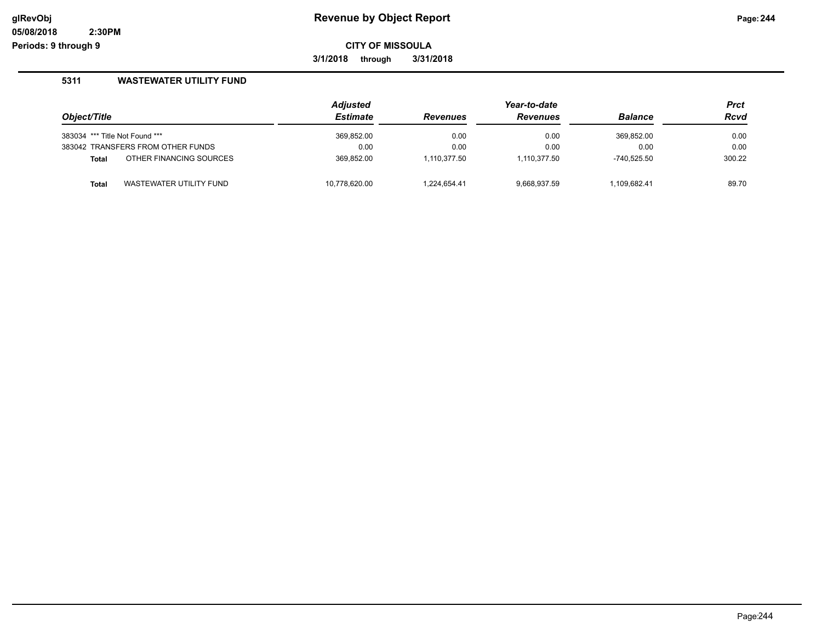**3/1/2018 through 3/31/2018**

|                                |                                   | <b>Adjusted</b> |                 | <b>Prct</b>     |                |             |
|--------------------------------|-----------------------------------|-----------------|-----------------|-----------------|----------------|-------------|
| Object/Title                   |                                   | <b>Estimate</b> | <b>Revenues</b> | <b>Revenues</b> | <b>Balance</b> | <b>Rcvd</b> |
| 383034 *** Title Not Found *** |                                   | 369,852.00      | 0.00            | 0.00            | 369.852.00     | 0.00        |
|                                | 383042 TRANSFERS FROM OTHER FUNDS | 0.00            | 0.00            | 0.00            | 0.00           | 0.00        |
| <b>Total</b>                   | OTHER FINANCING SOURCES           | 369,852.00      | 1,110,377.50    | 1,110,377.50    | -740.525.50    | 300.22      |
| <b>Total</b>                   | WASTEWATER UTILITY FUND           | 10,778,620.00   | 1,224,654.41    | 9,668,937.59    | 1,109,682.41   | 89.70       |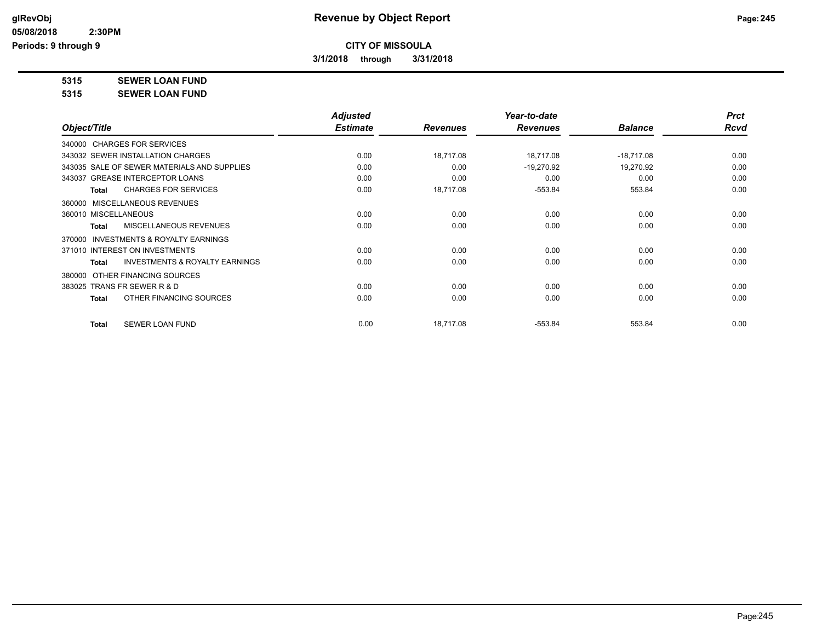**3/1/2018 through 3/31/2018**

## **5315 SEWER LOAN FUND**

#### **5315 SEWER LOAN FUND**

|                                                           | <b>Adjusted</b> |                 | Year-to-date    |                | <b>Prct</b> |
|-----------------------------------------------------------|-----------------|-----------------|-----------------|----------------|-------------|
| Object/Title                                              | <b>Estimate</b> | <b>Revenues</b> | <b>Revenues</b> | <b>Balance</b> | <b>Rcvd</b> |
| 340000 CHARGES FOR SERVICES                               |                 |                 |                 |                |             |
| 343032 SEWER INSTALLATION CHARGES                         | 0.00            | 18,717.08       | 18,717.08       | $-18,717.08$   | 0.00        |
| 343035 SALE OF SEWER MATERIALS AND SUPPLIES               | 0.00            | 0.00            | $-19,270.92$    | 19.270.92      | 0.00        |
| 343037 GREASE INTERCEPTOR LOANS                           | 0.00            | 0.00            | 0.00            | 0.00           | 0.00        |
| <b>CHARGES FOR SERVICES</b><br><b>Total</b>               | 0.00            | 18,717.08       | $-553.84$       | 553.84         | 0.00        |
| MISCELLANEOUS REVENUES<br>360000                          |                 |                 |                 |                |             |
| 360010 MISCELLANEOUS                                      | 0.00            | 0.00            | 0.00            | 0.00           | 0.00        |
| MISCELLANEOUS REVENUES<br><b>Total</b>                    | 0.00            | 0.00            | 0.00            | 0.00           | 0.00        |
| <b>INVESTMENTS &amp; ROYALTY EARNINGS</b><br>370000       |                 |                 |                 |                |             |
| 371010 INTEREST ON INVESTMENTS                            | 0.00            | 0.00            | 0.00            | 0.00           | 0.00        |
| <b>INVESTMENTS &amp; ROYALTY EARNINGS</b><br><b>Total</b> | 0.00            | 0.00            | 0.00            | 0.00           | 0.00        |
| OTHER FINANCING SOURCES<br>380000                         |                 |                 |                 |                |             |
| 383025 TRANS FR SEWER R & D                               | 0.00            | 0.00            | 0.00            | 0.00           | 0.00        |
| OTHER FINANCING SOURCES<br><b>Total</b>                   | 0.00            | 0.00            | 0.00            | 0.00           | 0.00        |
| <b>SEWER LOAN FUND</b><br><b>Total</b>                    | 0.00            | 18.717.08       | $-553.84$       | 553.84         | 0.00        |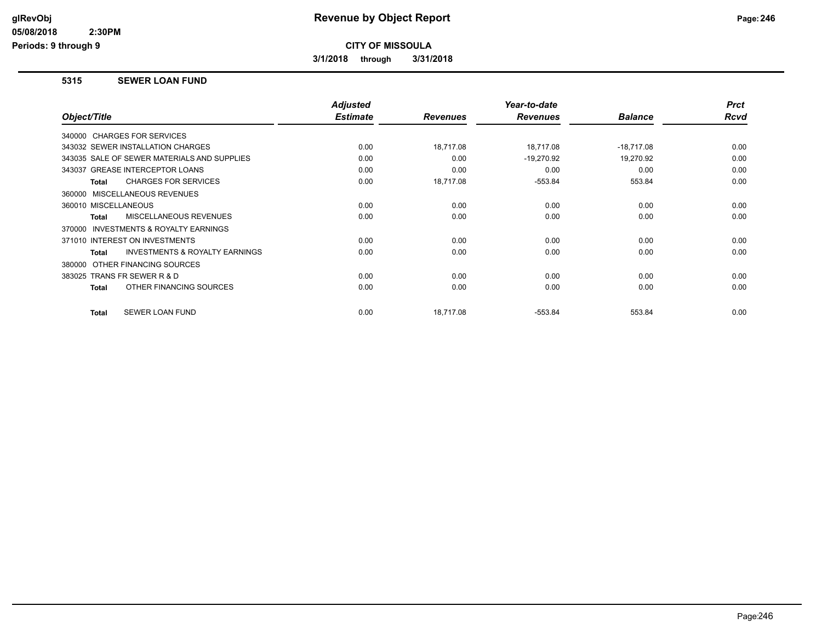**3/1/2018 through 3/31/2018**

#### **5315 SEWER LOAN FUND**

|                                                     | <b>Adjusted</b> |                 | Year-to-date    |                | <b>Prct</b> |
|-----------------------------------------------------|-----------------|-----------------|-----------------|----------------|-------------|
| Object/Title                                        | <b>Estimate</b> | <b>Revenues</b> | <b>Revenues</b> | <b>Balance</b> | <b>Rcvd</b> |
| 340000 CHARGES FOR SERVICES                         |                 |                 |                 |                |             |
| 343032 SEWER INSTALLATION CHARGES                   | 0.00            | 18,717.08       | 18,717.08       | $-18,717.08$   | 0.00        |
| 343035 SALE OF SEWER MATERIALS AND SUPPLIES         | 0.00            | 0.00            | $-19,270.92$    | 19.270.92      | 0.00        |
| 343037 GREASE INTERCEPTOR LOANS                     | 0.00            | 0.00            | 0.00            | 0.00           | 0.00        |
| <b>CHARGES FOR SERVICES</b><br><b>Total</b>         | 0.00            | 18,717.08       | $-553.84$       | 553.84         | 0.00        |
| 360000 MISCELLANEOUS REVENUES                       |                 |                 |                 |                |             |
| 360010 MISCELLANEOUS                                | 0.00            | 0.00            | 0.00            | 0.00           | 0.00        |
| MISCELLANEOUS REVENUES<br><b>Total</b>              | 0.00            | 0.00            | 0.00            | 0.00           | 0.00        |
| <b>INVESTMENTS &amp; ROYALTY EARNINGS</b><br>370000 |                 |                 |                 |                |             |
| 371010 INTEREST ON INVESTMENTS                      | 0.00            | 0.00            | 0.00            | 0.00           | 0.00        |
| <b>INVESTMENTS &amp; ROYALTY EARNINGS</b><br>Total  | 0.00            | 0.00            | 0.00            | 0.00           | 0.00        |
| OTHER FINANCING SOURCES<br>380000                   |                 |                 |                 |                |             |
| 383025 TRANS FR SEWER R & D                         | 0.00            | 0.00            | 0.00            | 0.00           | 0.00        |
| OTHER FINANCING SOURCES<br><b>Total</b>             | 0.00            | 0.00            | 0.00            | 0.00           | 0.00        |
|                                                     |                 |                 |                 |                |             |
| <b>SEWER LOAN FUND</b><br><b>Total</b>              | 0.00            | 18.717.08       | $-553.84$       | 553.84         | 0.00        |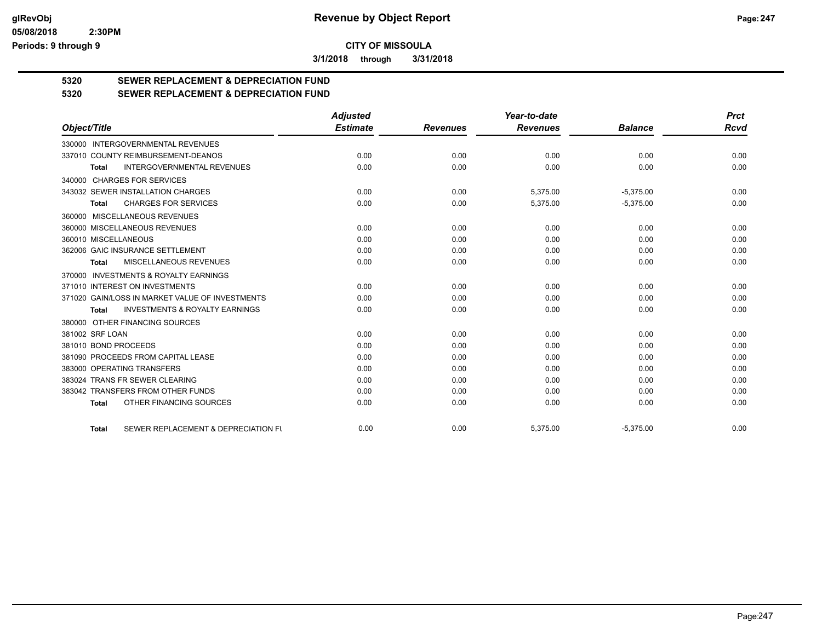**3/1/2018 through 3/31/2018**

# **5320 SEWER REPLACEMENT & DEPRECIATION FUND**

## **5320 SEWER REPLACEMENT & DEPRECIATION FUND**

|                                                           | <b>Adjusted</b> |                 | Year-to-date    |                | <b>Prct</b> |
|-----------------------------------------------------------|-----------------|-----------------|-----------------|----------------|-------------|
| Object/Title                                              | <b>Estimate</b> | <b>Revenues</b> | <b>Revenues</b> | <b>Balance</b> | <b>Rcvd</b> |
| 330000 INTERGOVERNMENTAL REVENUES                         |                 |                 |                 |                |             |
| 337010 COUNTY REIMBURSEMENT-DEANOS                        | 0.00            | 0.00            | 0.00            | 0.00           | 0.00        |
| <b>INTERGOVERNMENTAL REVENUES</b><br><b>Total</b>         | 0.00            | 0.00            | 0.00            | 0.00           | 0.00        |
| 340000 CHARGES FOR SERVICES                               |                 |                 |                 |                |             |
| 343032 SEWER INSTALLATION CHARGES                         | 0.00            | 0.00            | 5,375.00        | $-5,375.00$    | 0.00        |
| <b>CHARGES FOR SERVICES</b><br><b>Total</b>               | 0.00            | 0.00            | 5,375.00        | $-5,375.00$    | 0.00        |
| 360000 MISCELLANEOUS REVENUES                             |                 |                 |                 |                |             |
| 360000 MISCELLANEOUS REVENUES                             | 0.00            | 0.00            | 0.00            | 0.00           | 0.00        |
| 360010 MISCELLANEOUS                                      | 0.00            | 0.00            | 0.00            | 0.00           | 0.00        |
| 362006 GAIC INSURANCE SETTLEMENT                          | 0.00            | 0.00            | 0.00            | 0.00           | 0.00        |
| MISCELLANEOUS REVENUES<br><b>Total</b>                    | 0.00            | 0.00            | 0.00            | 0.00           | 0.00        |
| <b>INVESTMENTS &amp; ROYALTY EARNINGS</b><br>370000       |                 |                 |                 |                |             |
| 371010 INTEREST ON INVESTMENTS                            | 0.00            | 0.00            | 0.00            | 0.00           | 0.00        |
| 371020 GAIN/LOSS IN MARKET VALUE OF INVESTMENTS           | 0.00            | 0.00            | 0.00            | 0.00           | 0.00        |
| <b>INVESTMENTS &amp; ROYALTY EARNINGS</b><br><b>Total</b> | 0.00            | 0.00            | 0.00            | 0.00           | 0.00        |
| 380000 OTHER FINANCING SOURCES                            |                 |                 |                 |                |             |
| 381002 SRF LOAN                                           | 0.00            | 0.00            | 0.00            | 0.00           | 0.00        |
| 381010 BOND PROCEEDS                                      | 0.00            | 0.00            | 0.00            | 0.00           | 0.00        |
| 381090 PROCEEDS FROM CAPITAL LEASE                        | 0.00            | 0.00            | 0.00            | 0.00           | 0.00        |
| 383000 OPERATING TRANSFERS                                | 0.00            | 0.00            | 0.00            | 0.00           | 0.00        |
| 383024 TRANS FR SEWER CLEARING                            | 0.00            | 0.00            | 0.00            | 0.00           | 0.00        |
| 383042 TRANSFERS FROM OTHER FUNDS                         | 0.00            | 0.00            | 0.00            | 0.00           | 0.00        |
| OTHER FINANCING SOURCES<br><b>Total</b>                   | 0.00            | 0.00            | 0.00            | 0.00           | 0.00        |
| SEWER REPLACEMENT & DEPRECIATION FU<br><b>Total</b>       | 0.00            | 0.00            | 5,375.00        | $-5,375.00$    | 0.00        |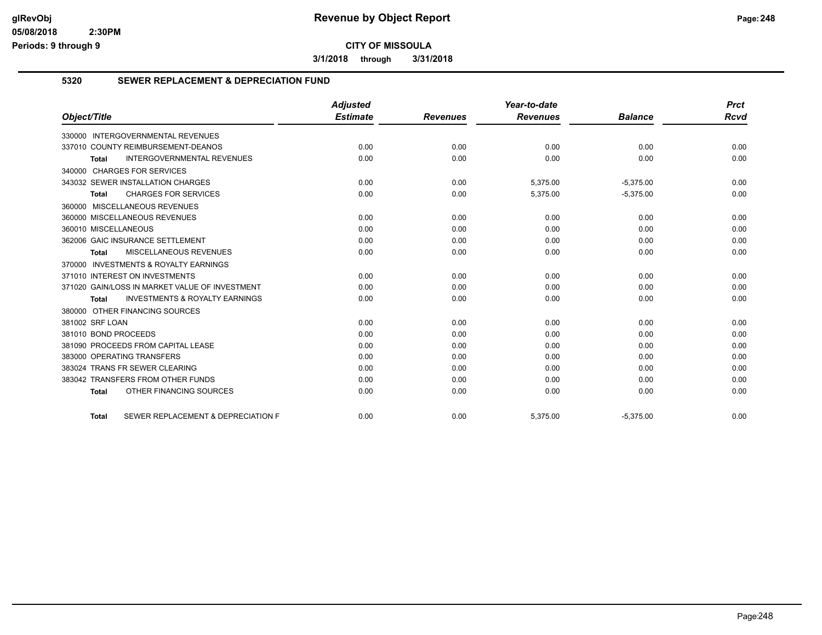**3/1/2018 through 3/31/2018**

## **5320 SEWER REPLACEMENT & DEPRECIATION FUND**

|                                                           | <b>Adjusted</b> |                 | Year-to-date    |                | <b>Prct</b> |
|-----------------------------------------------------------|-----------------|-----------------|-----------------|----------------|-------------|
| Object/Title                                              | <b>Estimate</b> | <b>Revenues</b> | <b>Revenues</b> | <b>Balance</b> | <b>Rcvd</b> |
| 330000 INTERGOVERNMENTAL REVENUES                         |                 |                 |                 |                |             |
| 337010 COUNTY REIMBURSEMENT-DEANOS                        | 0.00            | 0.00            | 0.00            | 0.00           | 0.00        |
| INTERGOVERNMENTAL REVENUES<br><b>Total</b>                | 0.00            | 0.00            | 0.00            | 0.00           | 0.00        |
| 340000 CHARGES FOR SERVICES                               |                 |                 |                 |                |             |
| 343032 SEWER INSTALLATION CHARGES                         | 0.00            | 0.00            | 5,375.00        | $-5,375.00$    | 0.00        |
| <b>CHARGES FOR SERVICES</b><br><b>Total</b>               | 0.00            | 0.00            | 5,375.00        | $-5,375.00$    | 0.00        |
| 360000 MISCELLANEOUS REVENUES                             |                 |                 |                 |                |             |
| 360000 MISCELLANEOUS REVENUES                             | 0.00            | 0.00            | 0.00            | 0.00           | 0.00        |
| 360010 MISCELLANEOUS                                      | 0.00            | 0.00            | 0.00            | 0.00           | 0.00        |
| 362006 GAIC INSURANCE SETTLEMENT                          | 0.00            | 0.00            | 0.00            | 0.00           | 0.00        |
| <b>MISCELLANEOUS REVENUES</b><br><b>Total</b>             | 0.00            | 0.00            | 0.00            | 0.00           | 0.00        |
| 370000 INVESTMENTS & ROYALTY EARNINGS                     |                 |                 |                 |                |             |
| 371010 INTEREST ON INVESTMENTS                            | 0.00            | 0.00            | 0.00            | 0.00           | 0.00        |
| 371020 GAIN/LOSS IN MARKET VALUE OF INVESTMENT            | 0.00            | 0.00            | 0.00            | 0.00           | 0.00        |
| <b>INVESTMENTS &amp; ROYALTY EARNINGS</b><br><b>Total</b> | 0.00            | 0.00            | 0.00            | 0.00           | 0.00        |
| 380000 OTHER FINANCING SOURCES                            |                 |                 |                 |                |             |
| 381002 SRF LOAN                                           | 0.00            | 0.00            | 0.00            | 0.00           | 0.00        |
| 381010 BOND PROCEEDS                                      | 0.00            | 0.00            | 0.00            | 0.00           | 0.00        |
| 381090 PROCEEDS FROM CAPITAL LEASE                        | 0.00            | 0.00            | 0.00            | 0.00           | 0.00        |
| 383000 OPERATING TRANSFERS                                | 0.00            | 0.00            | 0.00            | 0.00           | 0.00        |
| 383024 TRANS FR SEWER CLEARING                            | 0.00            | 0.00            | 0.00            | 0.00           | 0.00        |
| 383042 TRANSFERS FROM OTHER FUNDS                         | 0.00            | 0.00            | 0.00            | 0.00           | 0.00        |
| OTHER FINANCING SOURCES<br><b>Total</b>                   | 0.00            | 0.00            | 0.00            | 0.00           | 0.00        |
| SEWER REPLACEMENT & DEPRECIATION F<br><b>Total</b>        | 0.00            | 0.00            | 5.375.00        | $-5.375.00$    | 0.00        |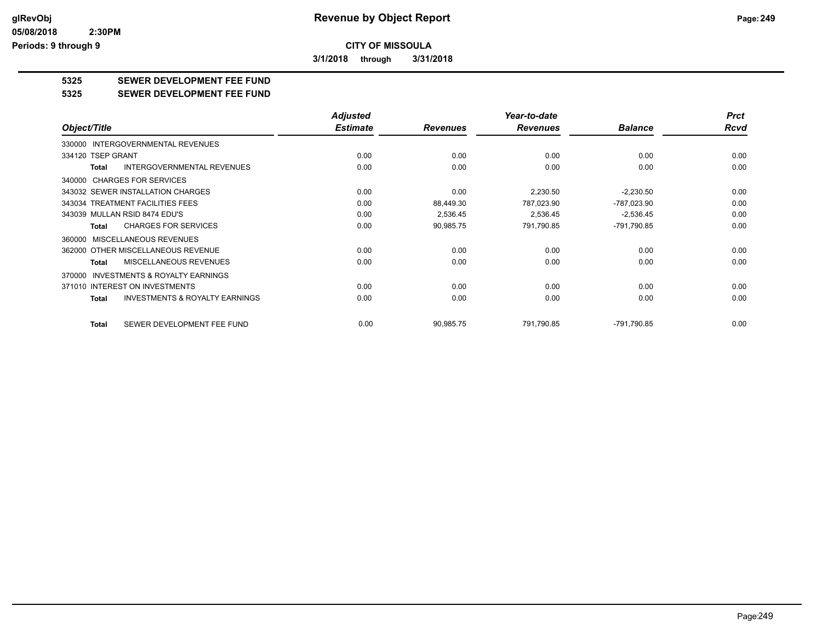**3/1/2018 through 3/31/2018**

## **5325 SEWER DEVELOPMENT FEE FUND**

## **5325 SEWER DEVELOPMENT FEE FUND**

|                                                           | <b>Adjusted</b> |                 | Year-to-date    |                | <b>Prct</b> |
|-----------------------------------------------------------|-----------------|-----------------|-----------------|----------------|-------------|
| Object/Title                                              | <b>Estimate</b> | <b>Revenues</b> | <b>Revenues</b> | <b>Balance</b> | <b>Rcvd</b> |
| 330000 INTERGOVERNMENTAL REVENUES                         |                 |                 |                 |                |             |
| 334120 TSEP GRANT                                         | 0.00            | 0.00            | 0.00            | 0.00           | 0.00        |
| INTERGOVERNMENTAL REVENUES<br>Total                       | 0.00            | 0.00            | 0.00            | 0.00           | 0.00        |
| 340000 CHARGES FOR SERVICES                               |                 |                 |                 |                |             |
| 343032 SEWER INSTALLATION CHARGES                         | 0.00            | 0.00            | 2,230.50        | $-2,230.50$    | 0.00        |
| 343034 TREATMENT FACILITIES FEES                          | 0.00            | 88,449.30       | 787,023.90      | -787,023.90    | 0.00        |
| 343039 MULLAN RSID 8474 EDU'S                             | 0.00            | 2,536.45        | 2,536.45        | $-2,536.45$    | 0.00        |
| <b>CHARGES FOR SERVICES</b><br><b>Total</b>               | 0.00            | 90,985.75       | 791,790.85      | -791,790.85    | 0.00        |
| 360000 MISCELLANEOUS REVENUES                             |                 |                 |                 |                |             |
| 362000 OTHER MISCELLANEOUS REVENUE                        | 0.00            | 0.00            | 0.00            | 0.00           | 0.00        |
| MISCELLANEOUS REVENUES<br><b>Total</b>                    | 0.00            | 0.00            | 0.00            | 0.00           | 0.00        |
| INVESTMENTS & ROYALTY EARNINGS<br>370000                  |                 |                 |                 |                |             |
| 371010 INTEREST ON INVESTMENTS                            | 0.00            | 0.00            | 0.00            | 0.00           | 0.00        |
| <b>INVESTMENTS &amp; ROYALTY EARNINGS</b><br><b>Total</b> | 0.00            | 0.00            | 0.00            | 0.00           | 0.00        |
|                                                           |                 |                 |                 |                |             |
| SEWER DEVELOPMENT FEE FUND<br><b>Total</b>                | 0.00            | 90,985.75       | 791,790.85      | -791,790.85    | 0.00        |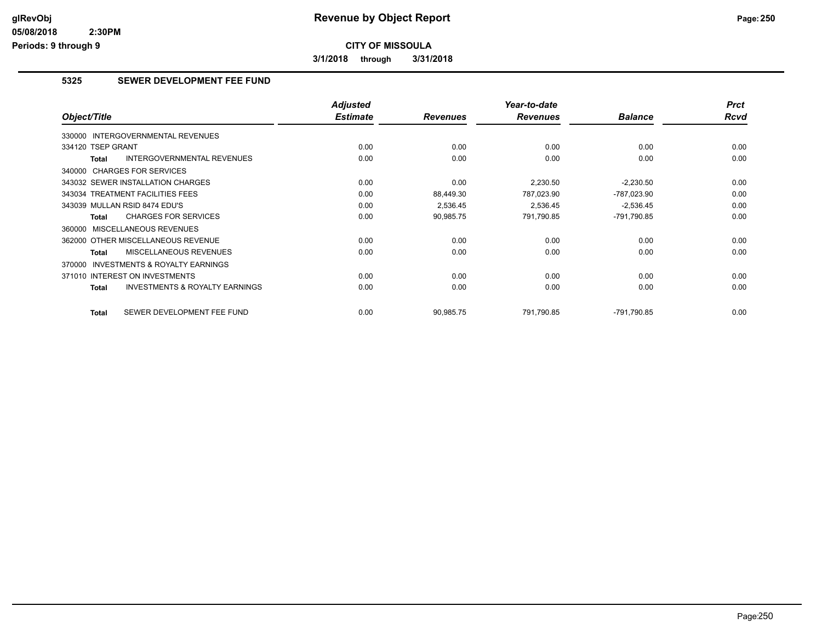**3/1/2018 through 3/31/2018**

## **5325 SEWER DEVELOPMENT FEE FUND**

|                                                           | <b>Adjusted</b> |                 | Year-to-date    |                | <b>Prct</b> |
|-----------------------------------------------------------|-----------------|-----------------|-----------------|----------------|-------------|
| Object/Title                                              | <b>Estimate</b> | <b>Revenues</b> | <b>Revenues</b> | <b>Balance</b> | <b>Rcvd</b> |
| 330000 INTERGOVERNMENTAL REVENUES                         |                 |                 |                 |                |             |
| 334120 TSEP GRANT                                         | 0.00            | 0.00            | 0.00            | 0.00           | 0.00        |
| <b>INTERGOVERNMENTAL REVENUES</b><br><b>Total</b>         | 0.00            | 0.00            | 0.00            | 0.00           | 0.00        |
| 340000 CHARGES FOR SERVICES                               |                 |                 |                 |                |             |
| 343032 SEWER INSTALLATION CHARGES                         | 0.00            | 0.00            | 2,230.50        | $-2,230.50$    | 0.00        |
| 343034 TREATMENT FACILITIES FEES                          | 0.00            | 88,449.30       | 787,023.90      | -787,023.90    | 0.00        |
| 343039 MULLAN RSID 8474 EDU'S                             | 0.00            | 2,536.45        | 2,536.45        | $-2,536.45$    | 0.00        |
| <b>CHARGES FOR SERVICES</b><br><b>Total</b>               | 0.00            | 90,985.75       | 791,790.85      | -791,790.85    | 0.00        |
| 360000 MISCELLANEOUS REVENUES                             |                 |                 |                 |                |             |
| 362000 OTHER MISCELLANEOUS REVENUE                        | 0.00            | 0.00            | 0.00            | 0.00           | 0.00        |
| <b>MISCELLANEOUS REVENUES</b><br><b>Total</b>             | 0.00            | 0.00            | 0.00            | 0.00           | 0.00        |
| <b>INVESTMENTS &amp; ROYALTY EARNINGS</b><br>370000       |                 |                 |                 |                |             |
| 371010 INTEREST ON INVESTMENTS                            | 0.00            | 0.00            | 0.00            | 0.00           | 0.00        |
| <b>INVESTMENTS &amp; ROYALTY EARNINGS</b><br><b>Total</b> | 0.00            | 0.00            | 0.00            | 0.00           | 0.00        |
| SEWER DEVELOPMENT FEE FUND<br><b>Total</b>                | 0.00            | 90,985.75       | 791,790.85      | -791,790.85    | 0.00        |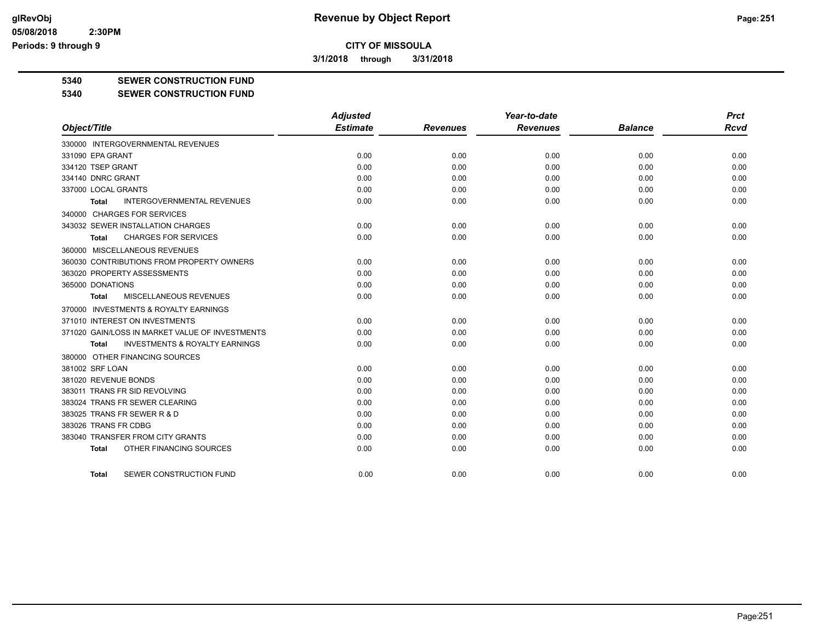**3/1/2018 through 3/31/2018**

**5340 SEWER CONSTRUCTION FUND**

**5340 SEWER CONSTRUCTION FUND**

|                                                    | <b>Adjusted</b> |                 | Year-to-date    |                | <b>Prct</b> |
|----------------------------------------------------|-----------------|-----------------|-----------------|----------------|-------------|
| Object/Title                                       | <b>Estimate</b> | <b>Revenues</b> | <b>Revenues</b> | <b>Balance</b> | <b>Rcvd</b> |
| 330000 INTERGOVERNMENTAL REVENUES                  |                 |                 |                 |                |             |
| 331090 EPA GRANT                                   | 0.00            | 0.00            | 0.00            | 0.00           | 0.00        |
| 334120 TSEP GRANT                                  | 0.00            | 0.00            | 0.00            | 0.00           | 0.00        |
| 334140 DNRC GRANT                                  | 0.00            | 0.00            | 0.00            | 0.00           | 0.00        |
| 337000 LOCAL GRANTS                                | 0.00            | 0.00            | 0.00            | 0.00           | 0.00        |
| <b>INTERGOVERNMENTAL REVENUES</b><br>Total         | 0.00            | 0.00            | 0.00            | 0.00           | 0.00        |
| 340000 CHARGES FOR SERVICES                        |                 |                 |                 |                |             |
| 343032 SEWER INSTALLATION CHARGES                  | 0.00            | 0.00            | 0.00            | 0.00           | 0.00        |
| <b>CHARGES FOR SERVICES</b><br>Total               | 0.00            | 0.00            | 0.00            | 0.00           | 0.00        |
| 360000 MISCELLANEOUS REVENUES                      |                 |                 |                 |                |             |
| 360030 CONTRIBUTIONS FROM PROPERTY OWNERS          | 0.00            | 0.00            | 0.00            | 0.00           | 0.00        |
| 363020 PROPERTY ASSESSMENTS                        | 0.00            | 0.00            | 0.00            | 0.00           | 0.00        |
| 365000 DONATIONS                                   | 0.00            | 0.00            | 0.00            | 0.00           | 0.00        |
| <b>MISCELLANEOUS REVENUES</b><br><b>Total</b>      | 0.00            | 0.00            | 0.00            | 0.00           | 0.00        |
| 370000 INVESTMENTS & ROYALTY EARNINGS              |                 |                 |                 |                |             |
| 371010 INTEREST ON INVESTMENTS                     | 0.00            | 0.00            | 0.00            | 0.00           | 0.00        |
| 371020 GAIN/LOSS IN MARKET VALUE OF INVESTMENTS    | 0.00            | 0.00            | 0.00            | 0.00           | 0.00        |
| <b>INVESTMENTS &amp; ROYALTY EARNINGS</b><br>Total | 0.00            | 0.00            | 0.00            | 0.00           | 0.00        |
| 380000 OTHER FINANCING SOURCES                     |                 |                 |                 |                |             |
| 381002 SRF LOAN                                    | 0.00            | 0.00            | 0.00            | 0.00           | 0.00        |
| 381020 REVENUE BONDS                               | 0.00            | 0.00            | 0.00            | 0.00           | 0.00        |
| 383011 TRANS FR SID REVOLVING                      | 0.00            | 0.00            | 0.00            | 0.00           | 0.00        |
| 383024 TRANS FR SEWER CLEARING                     | 0.00            | 0.00            | 0.00            | 0.00           | 0.00        |
| 383025 TRANS FR SEWER R & D                        | 0.00            | 0.00            | 0.00            | 0.00           | 0.00        |
| 383026 TRANS FR CDBG                               | 0.00            | 0.00            | 0.00            | 0.00           | 0.00        |
| 383040 TRANSFER FROM CITY GRANTS                   | 0.00            | 0.00            | 0.00            | 0.00           | 0.00        |
| OTHER FINANCING SOURCES<br><b>Total</b>            | 0.00            | 0.00            | 0.00            | 0.00           | 0.00        |
| SEWER CONSTRUCTION FUND<br>Total                   | 0.00            | 0.00            | 0.00            | 0.00           | 0.00        |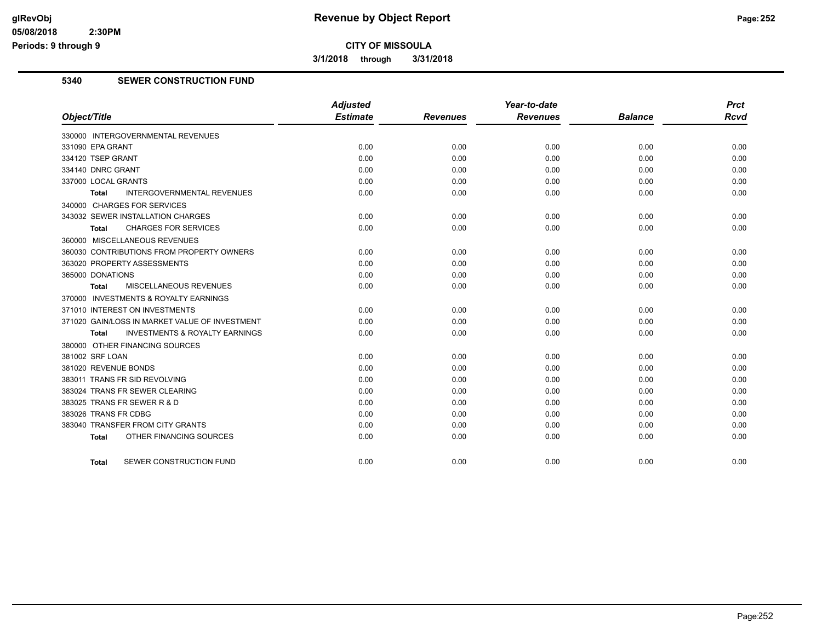**3/1/2018 through 3/31/2018**

## **5340 SEWER CONSTRUCTION FUND**

|                                                    | <b>Adjusted</b> |                 | Year-to-date    |                | <b>Prct</b> |
|----------------------------------------------------|-----------------|-----------------|-----------------|----------------|-------------|
| Object/Title                                       | <b>Estimate</b> | <b>Revenues</b> | <b>Revenues</b> | <b>Balance</b> | <b>Rcvd</b> |
| 330000 INTERGOVERNMENTAL REVENUES                  |                 |                 |                 |                |             |
| 331090 EPA GRANT                                   | 0.00            | 0.00            | 0.00            | 0.00           | 0.00        |
| 334120 TSEP GRANT                                  | 0.00            | 0.00            | 0.00            | 0.00           | 0.00        |
| 334140 DNRC GRANT                                  | 0.00            | 0.00            | 0.00            | 0.00           | 0.00        |
| 337000 LOCAL GRANTS                                | 0.00            | 0.00            | 0.00            | 0.00           | 0.00        |
| <b>INTERGOVERNMENTAL REVENUES</b><br><b>Total</b>  | 0.00            | 0.00            | 0.00            | 0.00           | 0.00        |
| 340000 CHARGES FOR SERVICES                        |                 |                 |                 |                |             |
| 343032 SEWER INSTALLATION CHARGES                  | 0.00            | 0.00            | 0.00            | 0.00           | 0.00        |
| <b>CHARGES FOR SERVICES</b><br>Total               | 0.00            | 0.00            | 0.00            | 0.00           | 0.00        |
| 360000 MISCELLANEOUS REVENUES                      |                 |                 |                 |                |             |
| 360030 CONTRIBUTIONS FROM PROPERTY OWNERS          | 0.00            | 0.00            | 0.00            | 0.00           | 0.00        |
| 363020 PROPERTY ASSESSMENTS                        | 0.00            | 0.00            | 0.00            | 0.00           | 0.00        |
| 365000 DONATIONS                                   | 0.00            | 0.00            | 0.00            | 0.00           | 0.00        |
| MISCELLANEOUS REVENUES<br>Total                    | 0.00            | 0.00            | 0.00            | 0.00           | 0.00        |
| 370000 INVESTMENTS & ROYALTY EARNINGS              |                 |                 |                 |                |             |
| 371010 INTEREST ON INVESTMENTS                     | 0.00            | 0.00            | 0.00            | 0.00           | 0.00        |
| 371020 GAIN/LOSS IN MARKET VALUE OF INVESTMENT     | 0.00            | 0.00            | 0.00            | 0.00           | 0.00        |
| <b>INVESTMENTS &amp; ROYALTY EARNINGS</b><br>Total | 0.00            | 0.00            | 0.00            | 0.00           | 0.00        |
| 380000 OTHER FINANCING SOURCES                     |                 |                 |                 |                |             |
| 381002 SRF LOAN                                    | 0.00            | 0.00            | 0.00            | 0.00           | 0.00        |
| 381020 REVENUE BONDS                               | 0.00            | 0.00            | 0.00            | 0.00           | 0.00        |
| 383011 TRANS FR SID REVOLVING                      | 0.00            | 0.00            | 0.00            | 0.00           | 0.00        |
| 383024 TRANS FR SEWER CLEARING                     | 0.00            | 0.00            | 0.00            | 0.00           | 0.00        |
| 383025 TRANS FR SEWER R & D                        | 0.00            | 0.00            | 0.00            | 0.00           | 0.00        |
| 383026 TRANS FR CDBG                               | 0.00            | 0.00            | 0.00            | 0.00           | 0.00        |
| 383040 TRANSFER FROM CITY GRANTS                   | 0.00            | 0.00            | 0.00            | 0.00           | 0.00        |
| OTHER FINANCING SOURCES<br><b>Total</b>            | 0.00            | 0.00            | 0.00            | 0.00           | 0.00        |
| SEWER CONSTRUCTION FUND<br>Total                   | 0.00            | 0.00            | 0.00            | 0.00           | 0.00        |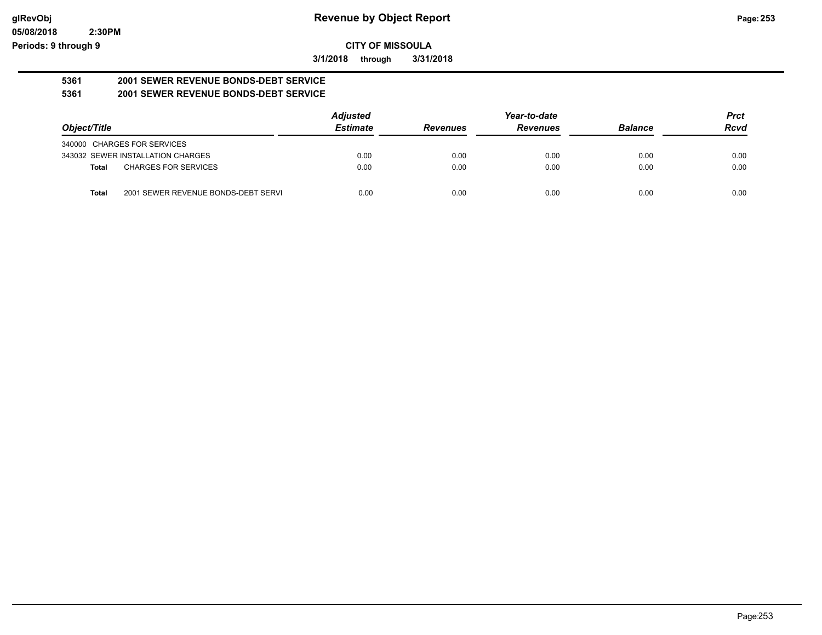**CITY OF MISSOULA**

**3/1/2018 through 3/31/2018**

#### **5361 2001 SEWER REVENUE BONDS-DEBT SERVICE 5361 2001 SEWER REVENUE BONDS-DEBT SERVICE**

| Object/Title                |                                     | <b>Adjusted</b> |                 | Year-to-date    |                | Prct |
|-----------------------------|-------------------------------------|-----------------|-----------------|-----------------|----------------|------|
|                             |                                     | <b>Estimate</b> | <b>Revenues</b> | <b>Revenues</b> | <b>Balance</b> | Rcvd |
| 340000 CHARGES FOR SERVICES |                                     |                 |                 |                 |                |      |
|                             | 343032 SEWER INSTALLATION CHARGES   | 0.00            | 0.00            | 0.00            | 0.00           | 0.00 |
| Total                       | <b>CHARGES FOR SERVICES</b>         | 0.00            | 0.00            | 0.00            | 0.00           | 0.00 |
| <b>Total</b>                | 2001 SEWER REVENUE BONDS-DEBT SERVI | 0.00            | 0.00            | 0.00            | 0.00           | 0.00 |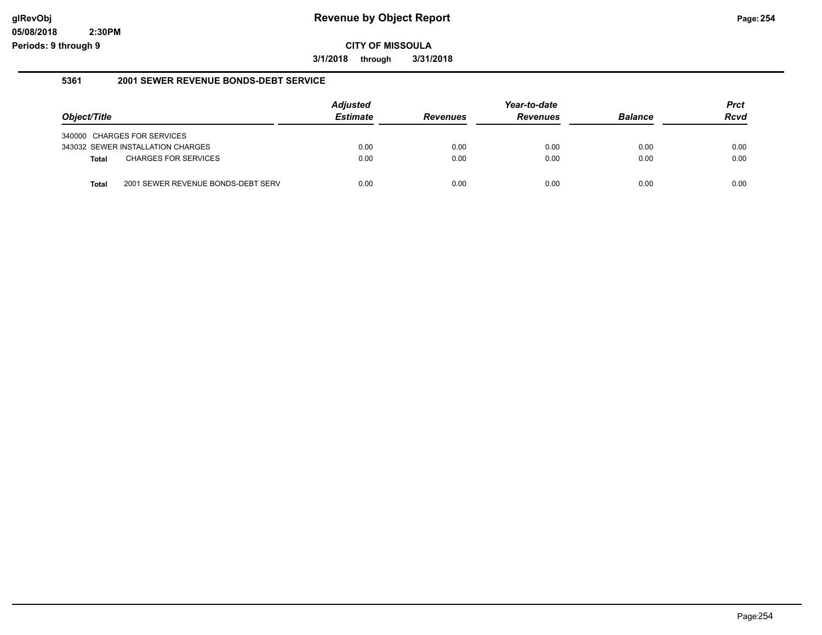**3/1/2018 through 3/31/2018**

#### **5361 2001 SEWER REVENUE BONDS-DEBT SERVICE**

|              |                                    | <b>Adjusted</b> |                 | Year-to-date    |                | <b>Prct</b> |
|--------------|------------------------------------|-----------------|-----------------|-----------------|----------------|-------------|
| Object/Title |                                    | <b>Estimate</b> | <b>Revenues</b> | <b>Revenues</b> | <b>Balance</b> | <b>Rcvd</b> |
|              | 340000 CHARGES FOR SERVICES        |                 |                 |                 |                |             |
|              | 343032 SEWER INSTALLATION CHARGES  | 0.00            | 0.00            | 0.00            | 0.00           | 0.00        |
| <b>Total</b> | <b>CHARGES FOR SERVICES</b>        | 0.00            | 0.00            | 0.00            | 0.00           | 0.00        |
|              |                                    |                 |                 |                 |                |             |
| Total        | 2001 SEWER REVENUE BONDS-DEBT SERV | 0.00            | 0.00            | 0.00            | 0.00           | 0.00        |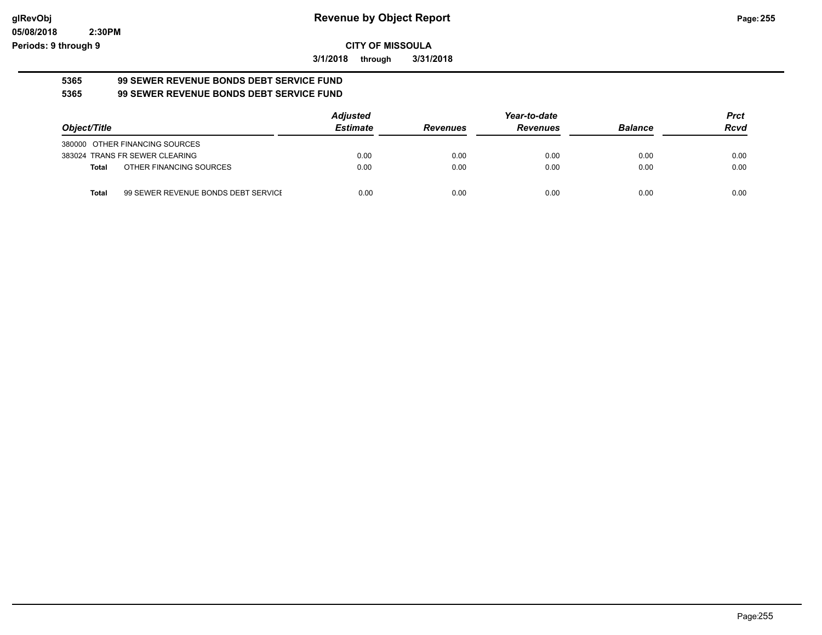**CITY OF MISSOULA**

**3/1/2018 through 3/31/2018**

#### **5365 99 SEWER REVENUE BONDS DEBT SERVICE FUND 5365 99 SEWER REVENUE BONDS DEBT SERVICE FUND**

| Object/Title |                                     | <b>Adjusted</b> |                 | Year-to-date    |                | Prct |
|--------------|-------------------------------------|-----------------|-----------------|-----------------|----------------|------|
|              |                                     | <b>Estimate</b> | <b>Revenues</b> | <b>Revenues</b> | <b>Balance</b> | Rcvd |
|              | 380000 OTHER FINANCING SOURCES      |                 |                 |                 |                |      |
|              | 383024 TRANS FR SEWER CLEARING      | 0.00            | 0.00            | 0.00            | 0.00           | 0.00 |
| <b>Total</b> | OTHER FINANCING SOURCES             | 0.00            | 0.00            | 0.00            | 0.00           | 0.00 |
| <b>Total</b> | 99 SEWER REVENUE BONDS DEBT SERVICE | 0.00            | 0.00            | 0.00            | 0.00           | 0.00 |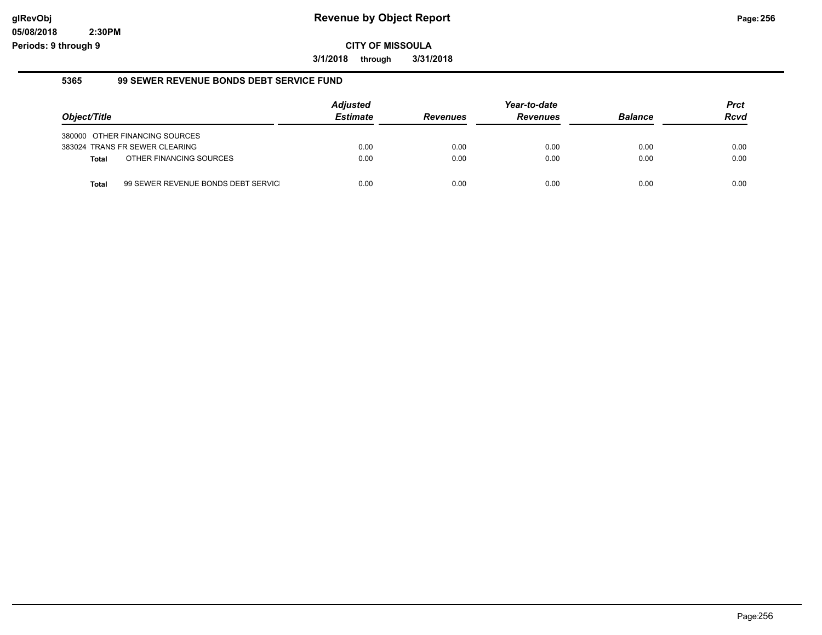**3/1/2018 through 3/31/2018**

#### **5365 99 SEWER REVENUE BONDS DEBT SERVICE FUND**

| Object/Title |                                    | <b>Adjusted</b><br><b>Estimate</b> | <b>Revenues</b> | Year-to-date<br><b>Revenues</b> | <b>Balance</b> | <b>Prct</b><br><b>Rcvd</b> |
|--------------|------------------------------------|------------------------------------|-----------------|---------------------------------|----------------|----------------------------|
|              |                                    |                                    |                 |                                 |                |                            |
|              | 380000 OTHER FINANCING SOURCES     |                                    |                 |                                 |                |                            |
|              | 383024 TRANS FR SEWER CLEARING     | 0.00                               | 0.00            | 0.00                            | 0.00           | 0.00                       |
| Total        | OTHER FINANCING SOURCES            | 0.00                               | 0.00            | 0.00                            | 0.00           | 0.00                       |
|              |                                    |                                    |                 |                                 |                |                            |
| <b>Total</b> | 99 SEWER REVENUE BONDS DEBT SERVIC | 0.00                               | 0.00            | 0.00                            | 0.00           | 0.00                       |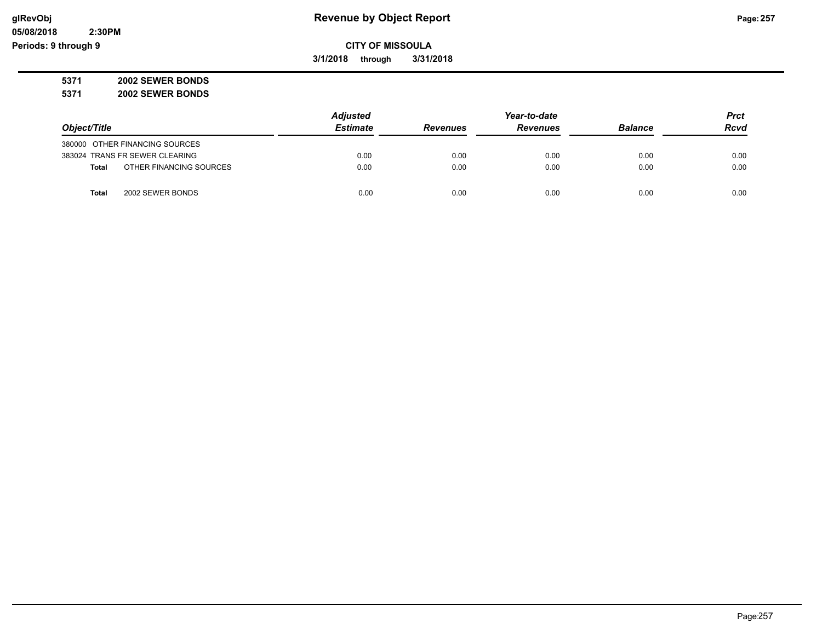**3/1/2018 through 3/31/2018**

**5371 2002 SEWER BONDS**

**5371 2002 SEWER BONDS**

|                                  | <b>Adjusted</b> |                 | Year-to-date    |                | <b>Prct</b> |  |
|----------------------------------|-----------------|-----------------|-----------------|----------------|-------------|--|
| Object/Title                     | <b>Estimate</b> | <b>Revenues</b> | <b>Revenues</b> | <b>Balance</b> | <b>Rcvd</b> |  |
| 380000 OTHER FINANCING SOURCES   |                 |                 |                 |                |             |  |
| 383024 TRANS FR SEWER CLEARING   | 0.00            | 0.00            | 0.00            | 0.00           | 0.00        |  |
| OTHER FINANCING SOURCES<br>Total | 0.00            | 0.00            | 0.00            | 0.00           | 0.00        |  |
| 2002 SEWER BONDS<br><b>Total</b> | 0.00            | 0.00            | 0.00            | 0.00           | 0.00        |  |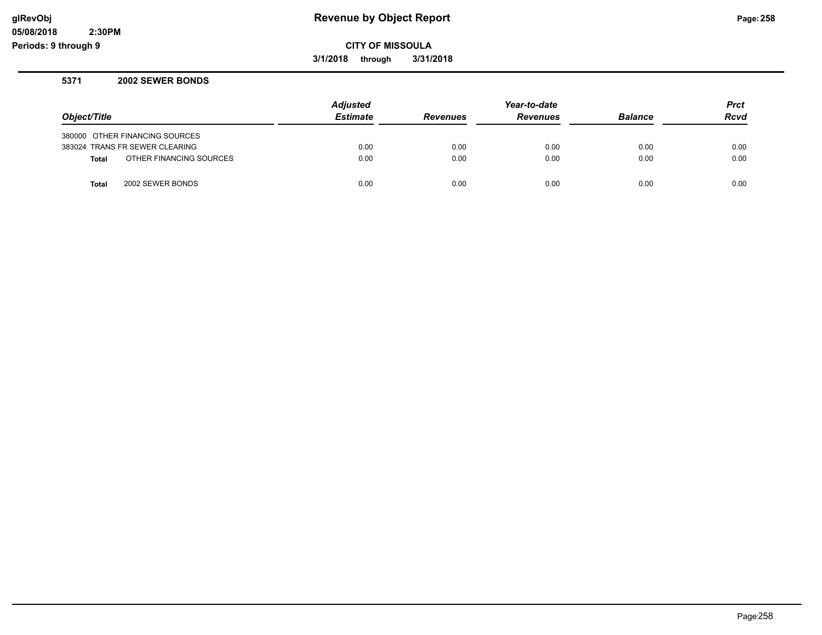**3/1/2018 through 3/31/2018**

#### **5371 2002 SEWER BONDS**

| Object/Title |                                | <b>Adjusted</b><br><b>Estimate</b> | <b>Revenues</b> | Year-to-date<br><b>Revenues</b> | <b>Balance</b> | <b>Prct</b><br><b>Rcvd</b> |
|--------------|--------------------------------|------------------------------------|-----------------|---------------------------------|----------------|----------------------------|
|              | 380000 OTHER FINANCING SOURCES |                                    |                 |                                 |                |                            |
|              | 383024 TRANS FR SEWER CLEARING | 0.00                               | 0.00            | 0.00                            | 0.00           | 0.00                       |
| <b>Total</b> | OTHER FINANCING SOURCES        | 0.00                               | 0.00            | 0.00                            | 0.00           | 0.00                       |
| Total        | 2002 SEWER BONDS               | 0.00                               | 0.00            | 0.00                            | 0.00           | 0.00                       |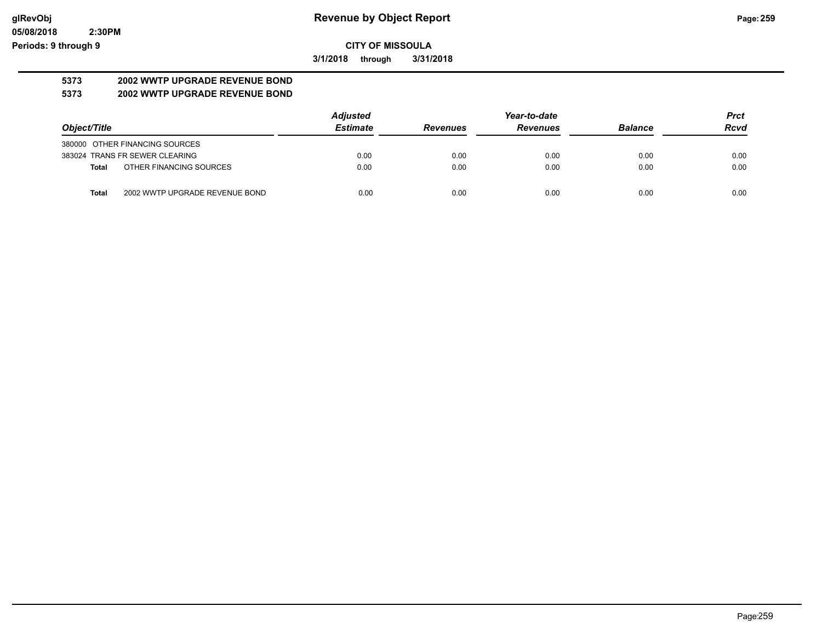**3/1/2018 through 3/31/2018**

# **5373 2002 WWTP UPGRADE REVENUE BOND**

## **5373 2002 WWTP UPGRADE REVENUE BOND**

| Object/Title |                                | <b>Adjusted</b> |                 | Year-to-date    |                | <b>Prct</b> |  |
|--------------|--------------------------------|-----------------|-----------------|-----------------|----------------|-------------|--|
|              |                                | <b>Estimate</b> | <b>Revenues</b> | <b>Revenues</b> | <b>Balance</b> | <b>Rcvd</b> |  |
|              | 380000 OTHER FINANCING SOURCES |                 |                 |                 |                |             |  |
|              | 383024 TRANS FR SEWER CLEARING | 0.00            | 0.00            | 0.00            | 0.00           | 0.00        |  |
| Total        | OTHER FINANCING SOURCES        | 0.00            | 0.00            | 0.00            | 0.00           | 0.00        |  |
| Total        | 2002 WWTP UPGRADE REVENUE BOND | 0.00            | 0.00            | 0.00            | 0.00           | 0.00        |  |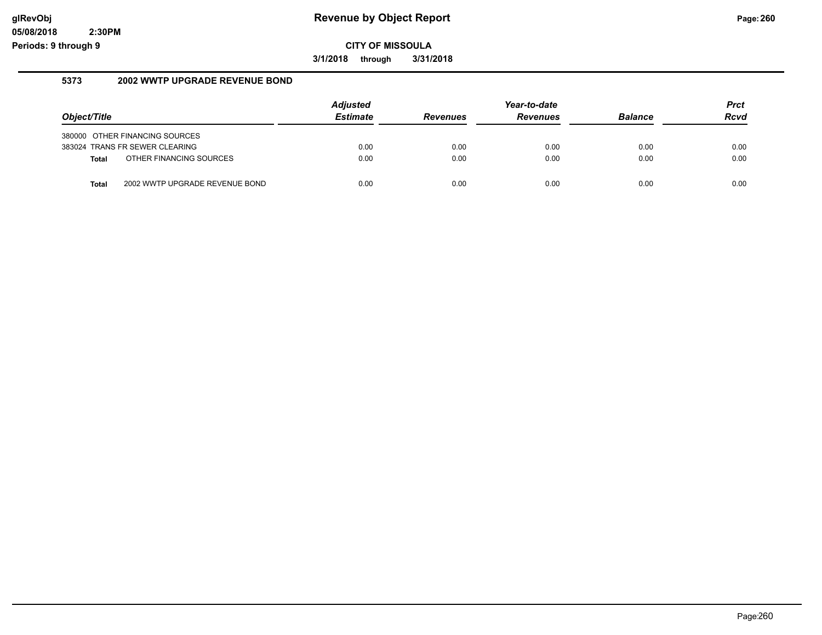**3/1/2018 through 3/31/2018**

#### **5373 2002 WWTP UPGRADE REVENUE BOND**

| Object/Title |                                | <b>Adjusted</b><br><b>Estimate</b> | <b>Revenues</b> | Year-to-date<br><b>Revenues</b> | <b>Balance</b> | Prct<br><b>Rcvd</b> |
|--------------|--------------------------------|------------------------------------|-----------------|---------------------------------|----------------|---------------------|
|              | 380000 OTHER FINANCING SOURCES |                                    |                 |                                 |                |                     |
|              | 383024 TRANS FR SEWER CLEARING | 0.00                               | 0.00            | 0.00                            | 0.00           | 0.00                |
| Total        | OTHER FINANCING SOURCES        | 0.00                               | 0.00            | 0.00                            | 0.00           | 0.00                |
| <b>Total</b> | 2002 WWTP UPGRADE REVENUE BOND | 0.00                               | 0.00            | 0.00                            | 0.00           | 0.00                |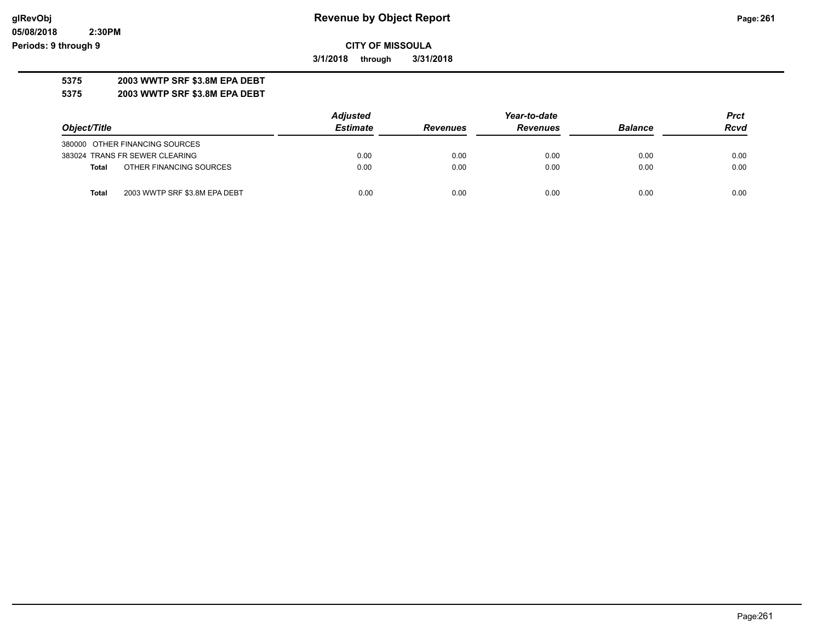**CITY OF MISSOULA**

**3/1/2018 through 3/31/2018**

## **5375 2003 WWTP SRF \$3.8M EPA DEBT**

**5375 2003 WWTP SRF \$3.8M EPA DEBT**

|                                               | <b>Adjusted</b> |                                    | Year-to-date |                | <b>Prct</b> |  |
|-----------------------------------------------|-----------------|------------------------------------|--------------|----------------|-------------|--|
| Object/Title                                  | <b>Estimate</b> | <b>Revenues</b><br><b>Revenues</b> |              | <b>Balance</b> | <b>Rcvd</b> |  |
| 380000 OTHER FINANCING SOURCES                |                 |                                    |              |                |             |  |
| 383024 TRANS FR SEWER CLEARING                | 0.00            | 0.00                               | 0.00         | 0.00           | 0.00        |  |
| OTHER FINANCING SOURCES<br><b>Total</b>       | 0.00            | 0.00                               | 0.00         | 0.00           | 0.00        |  |
| 2003 WWTP SRF \$3.8M EPA DEBT<br><b>Total</b> | 0.00            | 0.00                               | 0.00         | 0.00           | 0.00        |  |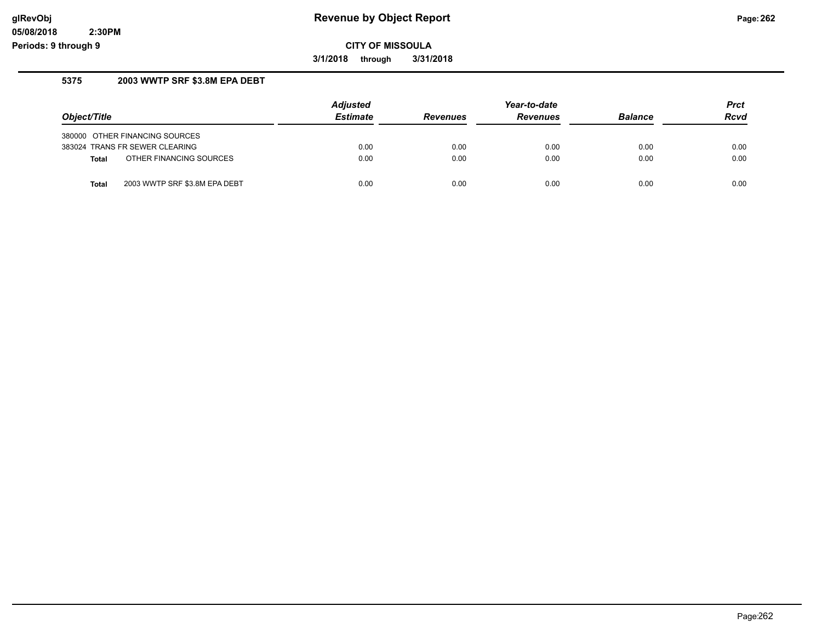**3/1/2018 through 3/31/2018**

#### **5375 2003 WWTP SRF \$3.8M EPA DEBT**

| Object/Title |                                | <b>Adjusted</b><br><b>Estimate</b> | <b>Revenues</b> | Year-to-date<br><b>Revenues</b> | <b>Balance</b> | <b>Prct</b><br><b>Rcvd</b> |
|--------------|--------------------------------|------------------------------------|-----------------|---------------------------------|----------------|----------------------------|
|              | 380000 OTHER FINANCING SOURCES |                                    |                 |                                 |                |                            |
|              | 383024 TRANS FR SEWER CLEARING | 0.00                               | 0.00            | 0.00                            | 0.00           | 0.00                       |
| <b>Total</b> | OTHER FINANCING SOURCES        | 0.00                               | 0.00            | 0.00                            | 0.00           | 0.00                       |
|              |                                |                                    |                 |                                 |                |                            |
| <b>Total</b> | 2003 WWTP SRF \$3.8M EPA DEBT  | 0.00                               | 0.00            | 0.00                            | 0.00           | 0.00                       |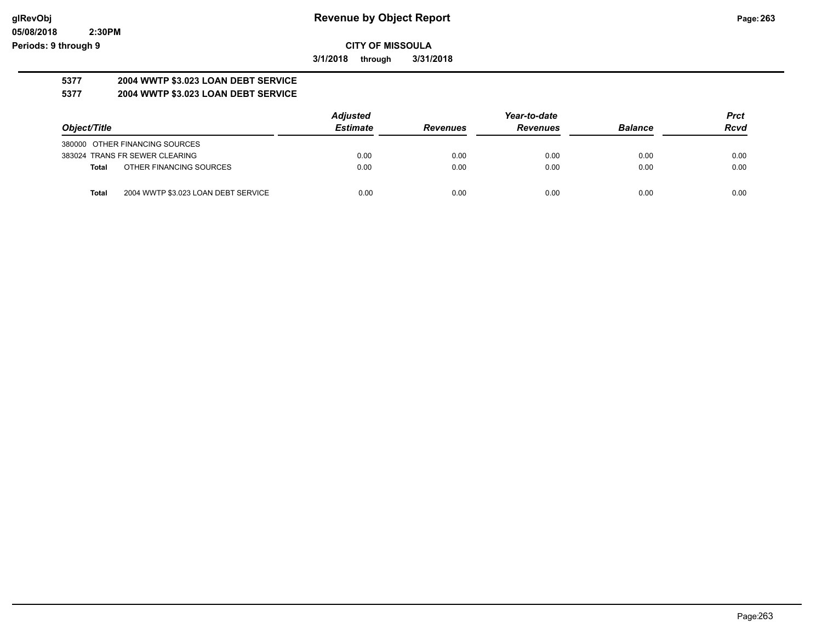**3/1/2018 through 3/31/2018**

#### **5377 2004 WWTP \$3.023 LOAN DEBT SERVICE 5377 2004 WWTP \$3.023 LOAN DEBT SERVICE**

|                                                     | <b>Adjusted</b> |                 | Year-to-date    |                | Prct |
|-----------------------------------------------------|-----------------|-----------------|-----------------|----------------|------|
| Object/Title                                        | <b>Estimate</b> | <b>Revenues</b> | <b>Revenues</b> | <b>Balance</b> |      |
| 380000 OTHER FINANCING SOURCES                      |                 |                 |                 |                |      |
| 383024 TRANS FR SEWER CLEARING                      | 0.00            | 0.00            | 0.00            | 0.00           | 0.00 |
| OTHER FINANCING SOURCES<br>Total                    | 0.00            | 0.00            | 0.00            | 0.00           | 0.00 |
| 2004 WWTP \$3.023 LOAN DEBT SERVICE<br><b>Total</b> | 0.00            | 0.00            | 0.00            | 0.00           | 0.00 |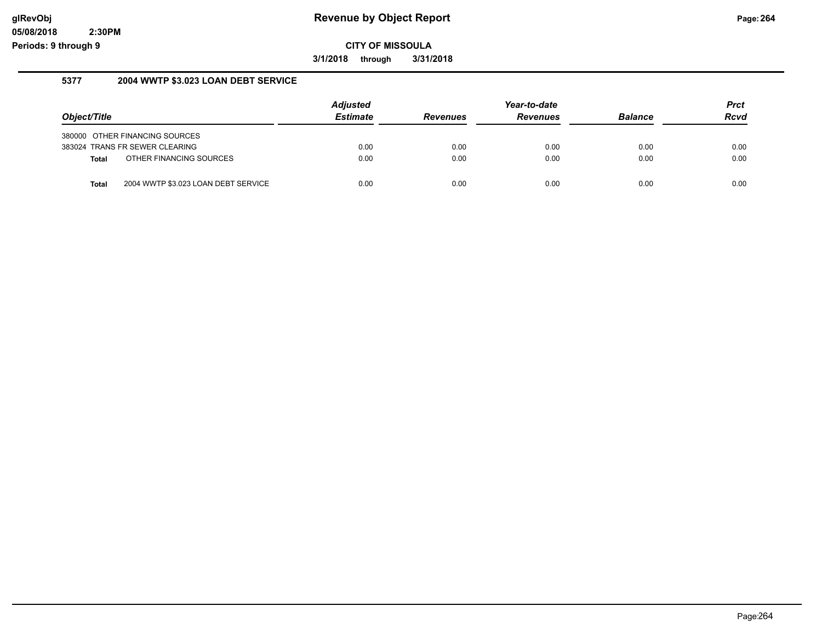**3/1/2018 through 3/31/2018**

#### **5377 2004 WWTP \$3.023 LOAN DEBT SERVICE**

| Object/Title |                                     | <b>Adjusted</b><br><b>Estimate</b> | <b>Revenues</b> | Year-to-date<br><b>Revenues</b> | <b>Balance</b> | Prct<br><b>Rcvd</b> |
|--------------|-------------------------------------|------------------------------------|-----------------|---------------------------------|----------------|---------------------|
|              | 380000 OTHER FINANCING SOURCES      |                                    |                 |                                 |                |                     |
|              | 383024 TRANS FR SEWER CLEARING      | 0.00                               | 0.00            | 0.00                            | 0.00           | 0.00                |
| Total        | OTHER FINANCING SOURCES             | 0.00                               | 0.00            | 0.00                            | 0.00           | 0.00                |
| <b>Total</b> | 2004 WWTP \$3.023 LOAN DEBT SERVICE | 0.00                               | 0.00            | 0.00                            | 0.00           | 0.00                |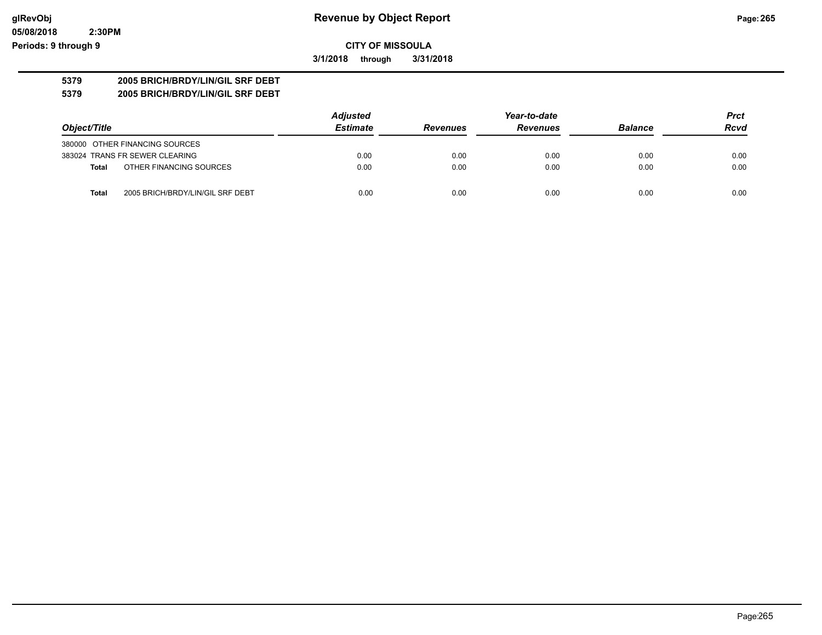# **CITY OF MISSOULA**

**3/1/2018 through 3/31/2018**

# **5379 2005 BRICH/BRDY/LIN/GIL SRF DEBT**

**5379 2005 BRICH/BRDY/LIN/GIL SRF DEBT**

|                                                  | <b>Adjusted</b> |                 | Year-to-date    |                |      |  |
|--------------------------------------------------|-----------------|-----------------|-----------------|----------------|------|--|
| Object/Title                                     | <b>Estimate</b> | <b>Revenues</b> | <b>Revenues</b> | <b>Balance</b> | Rcvd |  |
| 380000 OTHER FINANCING SOURCES                   |                 |                 |                 |                |      |  |
| 383024 TRANS FR SEWER CLEARING                   | 0.00            | 0.00            | 0.00            | 0.00           | 0.00 |  |
| OTHER FINANCING SOURCES<br>Total                 | 0.00            | 0.00            | 0.00            | 0.00           | 0.00 |  |
| 2005 BRICH/BRDY/LIN/GIL SRF DEBT<br><b>Total</b> | 0.00            | 0.00            | 0.00            | 0.00           | 0.00 |  |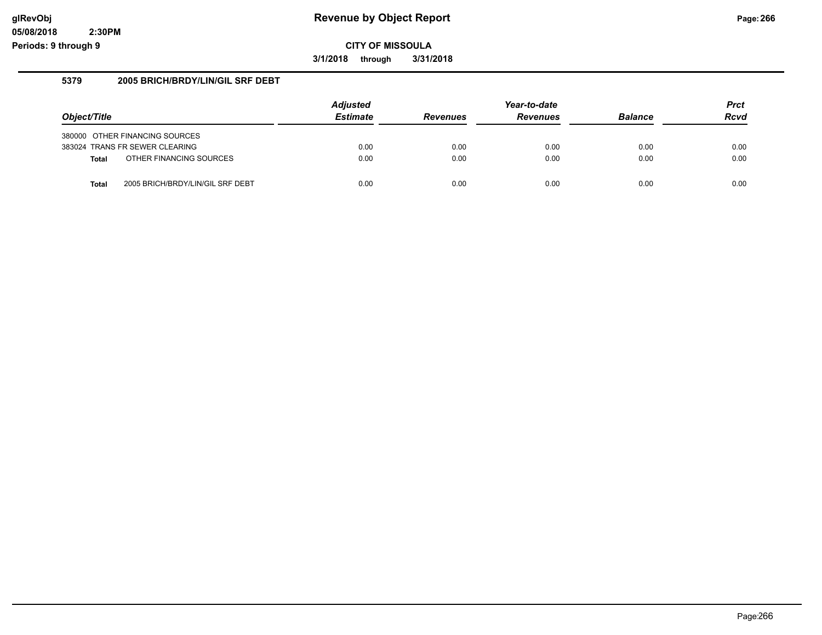**3/1/2018 through 3/31/2018**

#### **5379 2005 BRICH/BRDY/LIN/GIL SRF DEBT**

| Object/Title |                                  | <b>Adjusted</b><br><b>Estimate</b> | <b>Revenues</b> | Year-to-date<br><b>Revenues</b> | <b>Balance</b> | <b>Prct</b><br>Rcvd |
|--------------|----------------------------------|------------------------------------|-----------------|---------------------------------|----------------|---------------------|
|              | 380000 OTHER FINANCING SOURCES   |                                    |                 |                                 |                |                     |
|              | 383024 TRANS FR SEWER CLEARING   | 0.00                               | 0.00            | 0.00                            | 0.00           | 0.00                |
| <b>Total</b> | OTHER FINANCING SOURCES          | 0.00                               | 0.00            | 0.00                            | 0.00           | 0.00                |
|              |                                  |                                    |                 |                                 |                |                     |
| <b>Total</b> | 2005 BRICH/BRDY/LIN/GIL SRF DEBT | 0.00                               | 0.00            | 0.00                            | 0.00           | 0.00                |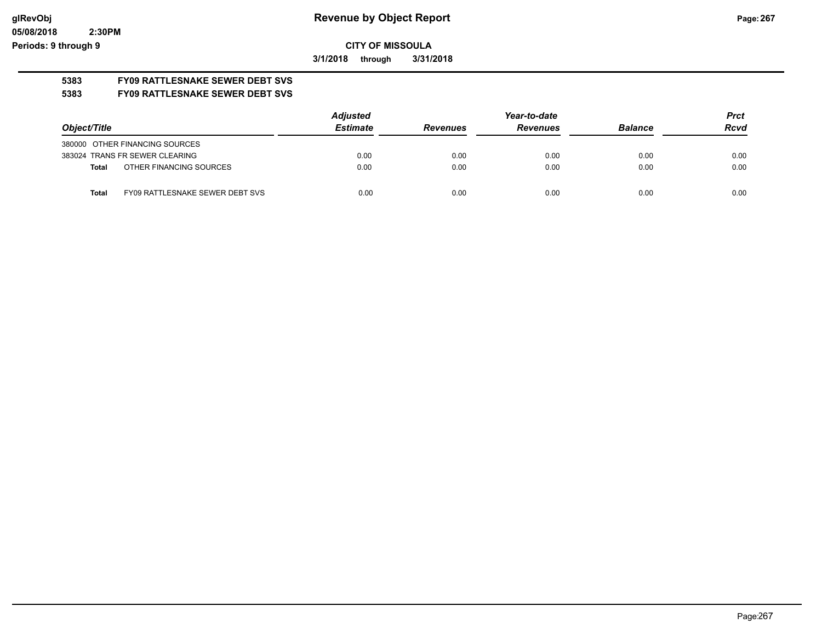### **CITY OF MISSOULA**

**3/1/2018 through 3/31/2018**

# **5383 FY09 RATTLESNAKE SEWER DEBT SVS**

## **5383 FY09 RATTLESNAKE SEWER DEBT SVS**

|                                          | <b>Adjusted</b> |                 | Year-to-date    |                | <b>Prct</b> |
|------------------------------------------|-----------------|-----------------|-----------------|----------------|-------------|
| Object/Title                             | <b>Estimate</b> | <b>Revenues</b> | <b>Revenues</b> | <b>Balance</b> | <b>Rcvd</b> |
| 380000 OTHER FINANCING SOURCES           |                 |                 |                 |                |             |
| 383024 TRANS FR SEWER CLEARING           | 0.00            | 0.00            | 0.00            | 0.00           | 0.00        |
| OTHER FINANCING SOURCES<br>Total         | 0.00            | 0.00            | 0.00            | 0.00           | 0.00        |
| FY09 RATTLESNAKE SEWER DEBT SVS<br>Total | 0.00            | 0.00            | 0.00            | 0.00           | 0.00        |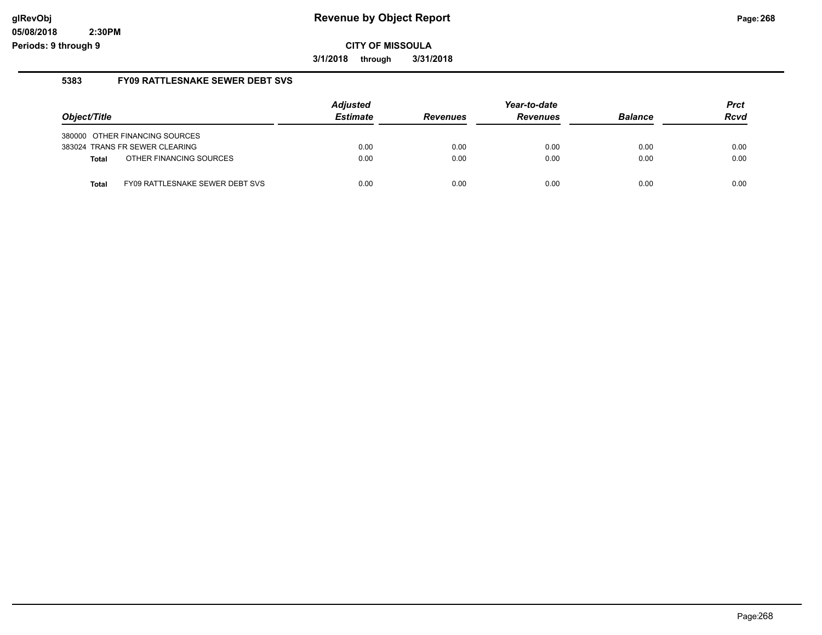**3/1/2018 through 3/31/2018**

#### **5383 FY09 RATTLESNAKE SEWER DEBT SVS**

| Object/Title |                                 | <b>Adjusted</b><br><b>Estimate</b> | <b>Revenues</b> | Year-to-date<br><b>Revenues</b> | <b>Balance</b> | <b>Prct</b><br>Rcvd |
|--------------|---------------------------------|------------------------------------|-----------------|---------------------------------|----------------|---------------------|
|              |                                 |                                    |                 |                                 |                |                     |
|              | 380000 OTHER FINANCING SOURCES  |                                    |                 |                                 |                |                     |
|              | 383024 TRANS FR SEWER CLEARING  | 0.00                               | 0.00            | 0.00                            | 0.00           | 0.00                |
| Total        | OTHER FINANCING SOURCES         | 0.00                               | 0.00            | 0.00                            | 0.00           | 0.00                |
|              |                                 |                                    |                 |                                 |                |                     |
| <b>Total</b> | FY09 RATTLESNAKE SEWER DEBT SVS | 0.00                               | 0.00            | 0.00                            | 0.00           | 0.00                |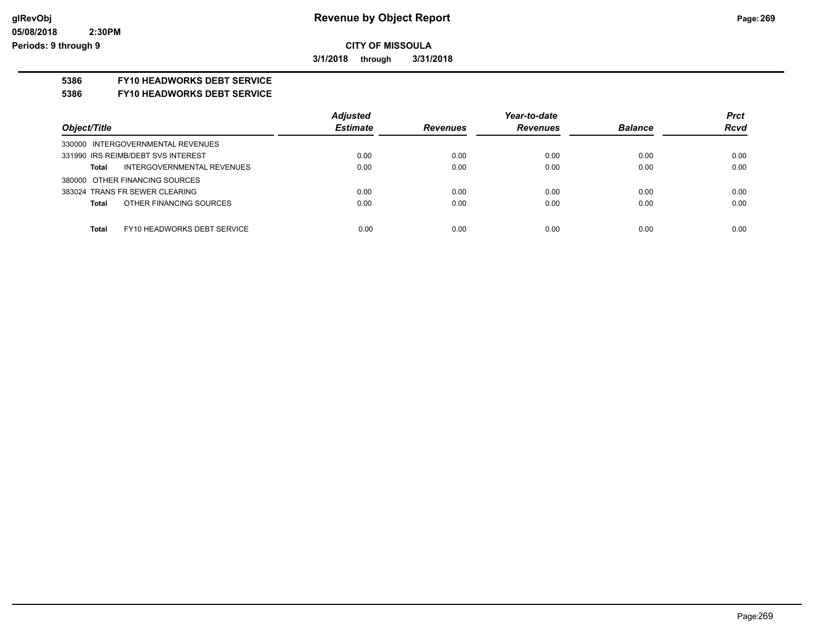**3/1/2018 through 3/31/2018**

### **5386 FY10 HEADWORKS DEBT SERVICE**

#### **5386 FY10 HEADWORKS DEBT SERVICE**

|                                             | <b>Adjusted</b> |                 | Year-to-date    |                | <b>Prct</b> |
|---------------------------------------------|-----------------|-----------------|-----------------|----------------|-------------|
| Object/Title                                | <b>Estimate</b> | <b>Revenues</b> | <b>Revenues</b> | <b>Balance</b> | <b>Rcvd</b> |
| 330000 INTERGOVERNMENTAL REVENUES           |                 |                 |                 |                |             |
| 331990 IRS REIMB/DEBT SVS INTEREST          | 0.00            | 0.00            | 0.00            | 0.00           | 0.00        |
| INTERGOVERNMENTAL REVENUES<br><b>Total</b>  | 0.00            | 0.00            | 0.00            | 0.00           | 0.00        |
| 380000 OTHER FINANCING SOURCES              |                 |                 |                 |                |             |
| 383024 TRANS FR SEWER CLEARING              | 0.00            | 0.00            | 0.00            | 0.00           | 0.00        |
| OTHER FINANCING SOURCES<br><b>Total</b>     | 0.00            | 0.00            | 0.00            | 0.00           | 0.00        |
|                                             |                 |                 |                 |                |             |
| FY10 HEADWORKS DEBT SERVICE<br><b>Total</b> | 0.00            | 0.00            | 0.00            | 0.00           | 0.00        |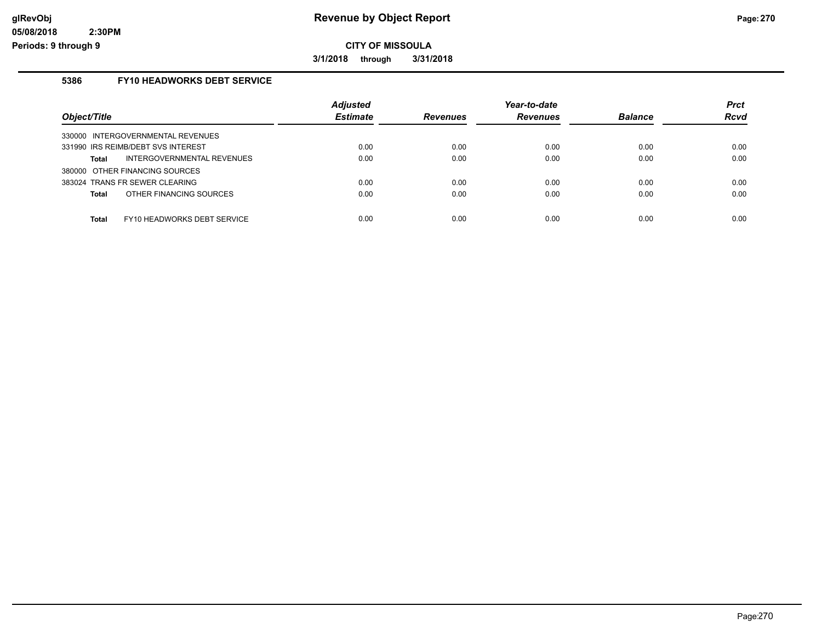**3/1/2018 through 3/31/2018**

#### **5386 FY10 HEADWORKS DEBT SERVICE**

| Object/Title                            | <b>Adjusted</b><br><b>Estimate</b> | <b>Revenues</b> | Year-to-date<br><b>Revenues</b> | <b>Balance</b> | <b>Prct</b><br><b>Rcvd</b> |
|-----------------------------------------|------------------------------------|-----------------|---------------------------------|----------------|----------------------------|
| 330000 INTERGOVERNMENTAL REVENUES       |                                    |                 |                                 |                |                            |
| 331990 IRS REIMB/DEBT SVS INTEREST      | 0.00                               | 0.00            | 0.00                            | 0.00           | 0.00                       |
| INTERGOVERNMENTAL REVENUES<br>Total     | 0.00                               | 0.00            | 0.00                            | 0.00           | 0.00                       |
| 380000 OTHER FINANCING SOURCES          |                                    |                 |                                 |                |                            |
| 383024 TRANS FR SEWER CLEARING          | 0.00                               | 0.00            | 0.00                            | 0.00           | 0.00                       |
| OTHER FINANCING SOURCES<br><b>Total</b> | 0.00                               | 0.00            | 0.00                            | 0.00           | 0.00                       |
| FY10 HEADWORKS DEBT SERVICE<br>Total    | 0.00                               | 0.00            | 0.00                            | 0.00           | 0.00                       |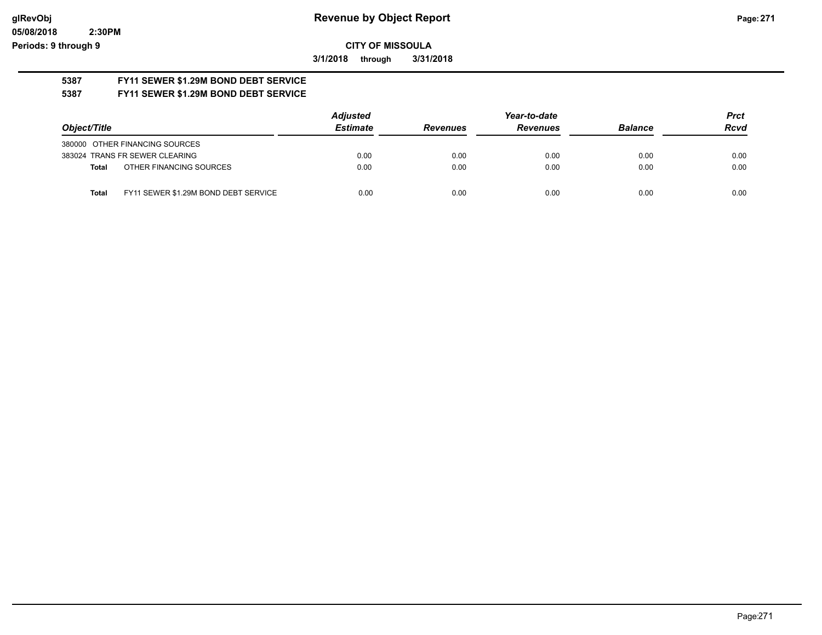**CITY OF MISSOULA**

**3/1/2018 through 3/31/2018**

#### **5387 FY11 SEWER \$1.29M BOND DEBT SERVICE 5387 FY11 SEWER \$1.29M BOND DEBT SERVICE**

|              |                                      | <b>Adjusted</b> |                 | Year-to-date    |                | <b>Prct</b> |
|--------------|--------------------------------------|-----------------|-----------------|-----------------|----------------|-------------|
| Object/Title |                                      | <b>Estimate</b> | <b>Revenues</b> | <b>Revenues</b> | <b>Balance</b> | <b>Rcvd</b> |
|              | 380000 OTHER FINANCING SOURCES       |                 |                 |                 |                |             |
|              | 383024 TRANS FR SEWER CLEARING       | 0.00            | 0.00            | 0.00            | 0.00           | 0.00        |
| Total        | OTHER FINANCING SOURCES              | 0.00            | 0.00            | 0.00            | 0.00           | 0.00        |
| <b>Total</b> | FY11 SEWER \$1.29M BOND DEBT SERVICE | 0.00            | 0.00            | 0.00            | 0.00           | 0.00        |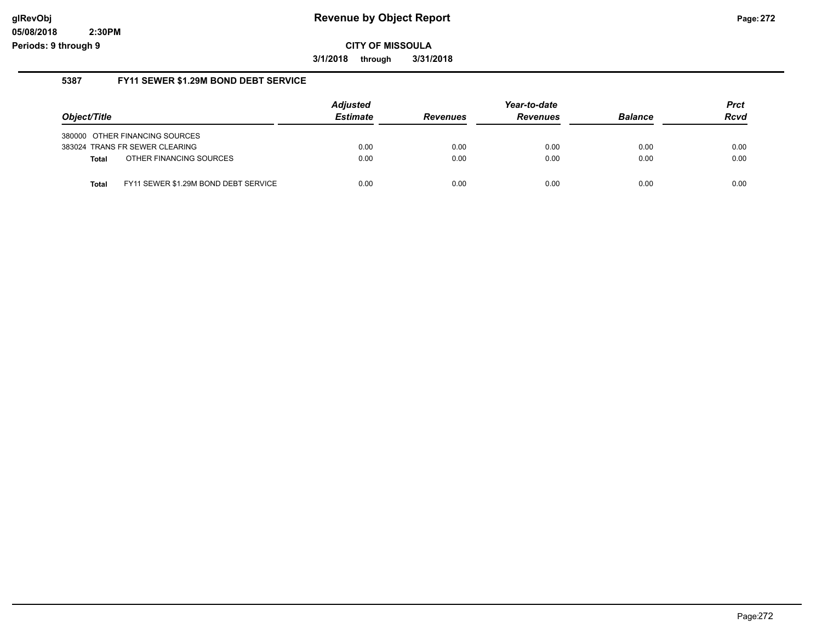**3/1/2018 through 3/31/2018**

#### **5387 FY11 SEWER \$1.29M BOND DEBT SERVICE**

| Object/Title |                                      | Adjusted<br><b>Estimate</b> | <b>Revenues</b> | Year-to-date<br><b>Revenues</b> | <b>Balance</b> | <b>Prct</b><br><b>Rcvd</b> |
|--------------|--------------------------------------|-----------------------------|-----------------|---------------------------------|----------------|----------------------------|
|              | 380000 OTHER FINANCING SOURCES       |                             |                 |                                 |                |                            |
|              | 383024 TRANS FR SEWER CLEARING       | 0.00                        | 0.00            | 0.00                            | 0.00           | 0.00                       |
| <b>Total</b> | OTHER FINANCING SOURCES              | 0.00                        | 0.00            | 0.00                            | 0.00           | 0.00                       |
| <b>Total</b> | FY11 SEWER \$1.29M BOND DEBT SERVICE | 0.00                        | 0.00            | 0.00                            | 0.00           | 0.00                       |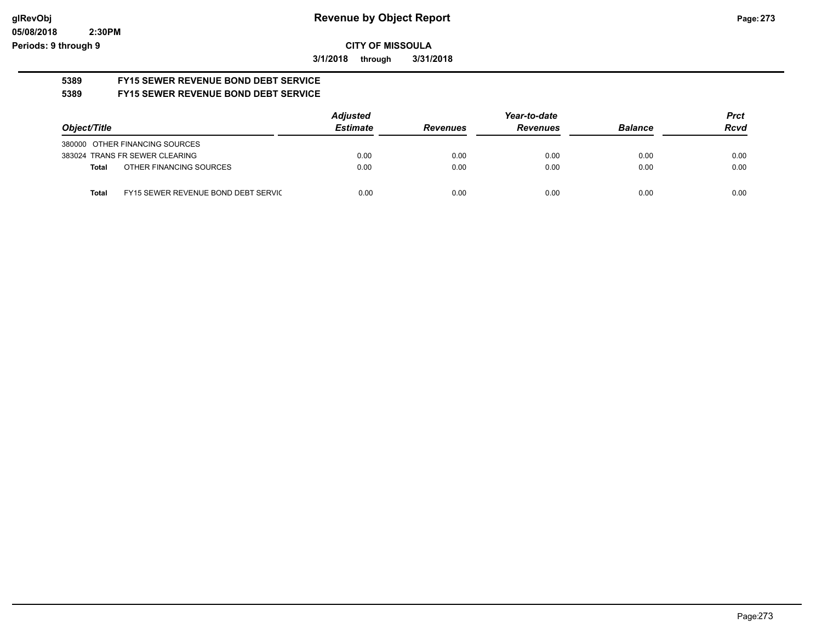**CITY OF MISSOULA**

**3/1/2018 through 3/31/2018**

#### **5389 FY15 SEWER REVENUE BOND DEBT SERVICE 5389 FY15 SEWER REVENUE BOND DEBT SERVICE**

|                                                     | <b>Adjusted</b> |                 | Year-to-date    |                | Prct |
|-----------------------------------------------------|-----------------|-----------------|-----------------|----------------|------|
| Object/Title                                        | <b>Estimate</b> | <b>Revenues</b> | <b>Revenues</b> | <b>Balance</b> | Rcvd |
| 380000 OTHER FINANCING SOURCES                      |                 |                 |                 |                |      |
| 383024 TRANS FR SEWER CLEARING                      | 0.00            | 0.00            | 0.00            | 0.00           | 0.00 |
| OTHER FINANCING SOURCES<br><b>Total</b>             | 0.00            | 0.00            | 0.00            | 0.00           | 0.00 |
| FY15 SEWER REVENUE BOND DEBT SERVIC<br><b>Total</b> | 0.00            | 0.00            | 0.00            | 0.00           | 0.00 |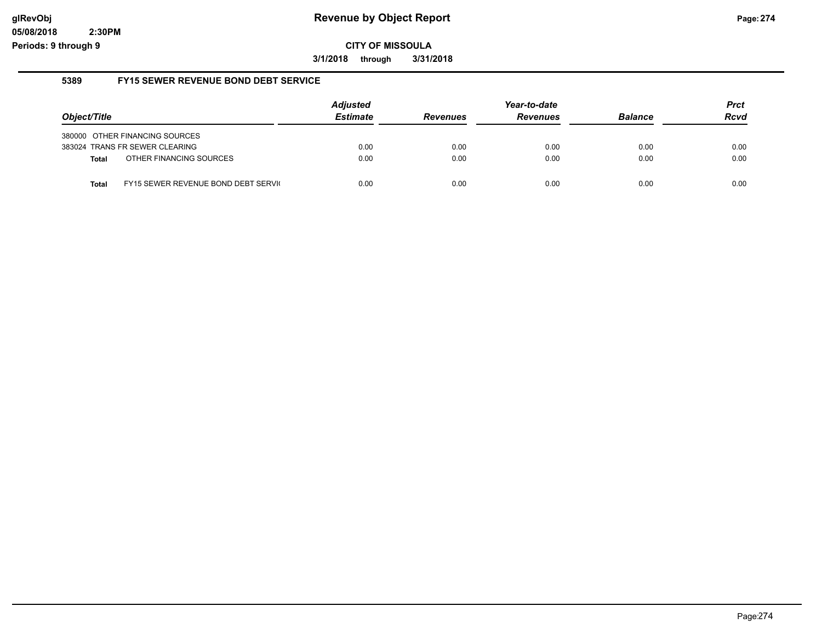**3/1/2018 through 3/31/2018**

#### **5389 FY15 SEWER REVENUE BOND DEBT SERVICE**

| Object/Title |                                     | Adjusted<br><b>Estimate</b> | <b>Revenues</b> | Year-to-date<br><b>Revenues</b> | <b>Balance</b> | <b>Prct</b><br><b>Rcvd</b> |
|--------------|-------------------------------------|-----------------------------|-----------------|---------------------------------|----------------|----------------------------|
|              | 380000 OTHER FINANCING SOURCES      |                             |                 |                                 |                |                            |
|              | 383024 TRANS FR SEWER CLEARING      | 0.00                        | 0.00            | 0.00                            | 0.00           | 0.00                       |
| Total        | OTHER FINANCING SOURCES             | 0.00                        | 0.00            | 0.00                            | 0.00           | 0.00                       |
| Total        | FY15 SEWER REVENUE BOND DEBT SERVIC | 0.00                        | 0.00            | 0.00                            | 0.00           | 0.00                       |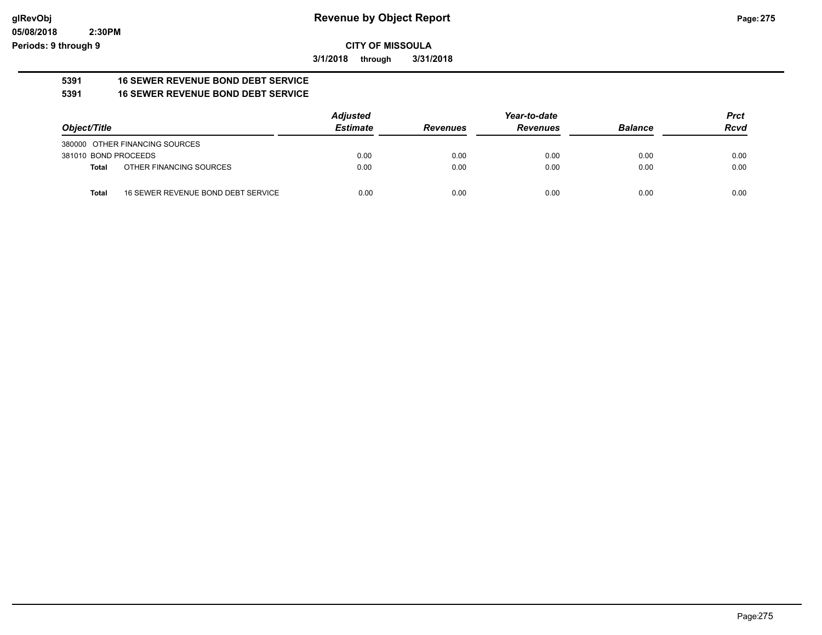**CITY OF MISSOULA**

**3/1/2018 through 3/31/2018**

#### **5391 16 SEWER REVENUE BOND DEBT SERVICE 5391 16 SEWER REVENUE BOND DEBT SERVICE**

|                      |                                    | <b>Adjusted</b> |                 | Year-to-date    |                | Prct |
|----------------------|------------------------------------|-----------------|-----------------|-----------------|----------------|------|
| Object/Title         |                                    | <b>Estimate</b> | <b>Revenues</b> | <b>Revenues</b> | <b>Balance</b> | Rcvd |
|                      | 380000 OTHER FINANCING SOURCES     |                 |                 |                 |                |      |
| 381010 BOND PROCEEDS |                                    | 0.00            | 0.00            | 0.00            | 0.00           | 0.00 |
| <b>Total</b>         | OTHER FINANCING SOURCES            | 0.00            | 0.00            | 0.00            | 0.00           | 0.00 |
| <b>Total</b>         | 16 SEWER REVENUE BOND DEBT SERVICE | 0.00            | 0.00            | 0.00            | 0.00           | 0.00 |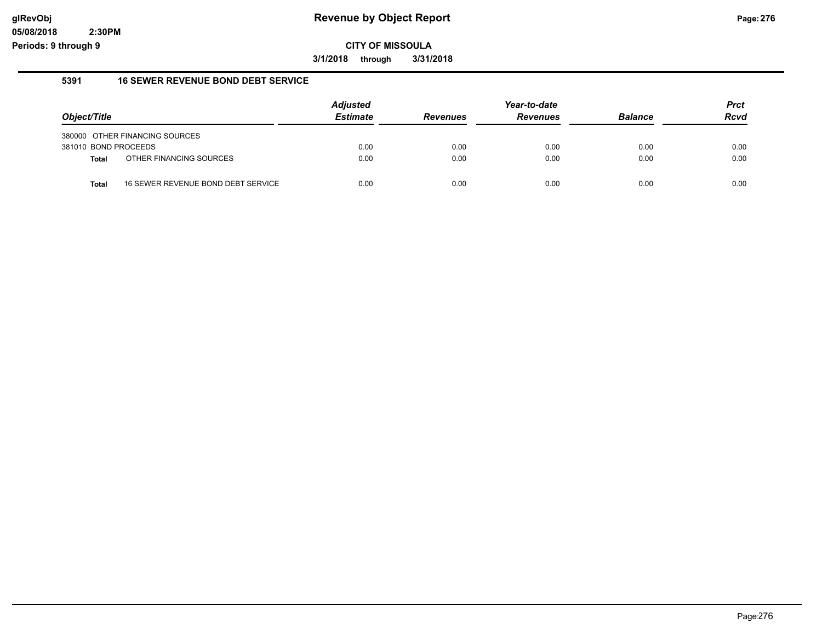**3/1/2018 through 3/31/2018**

#### **5391 16 SEWER REVENUE BOND DEBT SERVICE**

|                      |                                    | <b>Adjusted</b> |                 | Year-to-date    |                | <b>Prct</b> |
|----------------------|------------------------------------|-----------------|-----------------|-----------------|----------------|-------------|
| Object/Title         |                                    | <b>Estimate</b> | <b>Revenues</b> | <b>Revenues</b> | <b>Balance</b> | Rcvd        |
|                      | 380000 OTHER FINANCING SOURCES     |                 |                 |                 |                |             |
| 381010 BOND PROCEEDS |                                    | 0.00            | 0.00            | 0.00            | 0.00           | 0.00        |
| <b>Total</b>         | OTHER FINANCING SOURCES            | 0.00            | 0.00            | 0.00            | 0.00           | 0.00        |
| <b>Total</b>         | 16 SEWER REVENUE BOND DEBT SERVICE | 0.00            | 0.00            | 0.00            | 0.00           | 0.00        |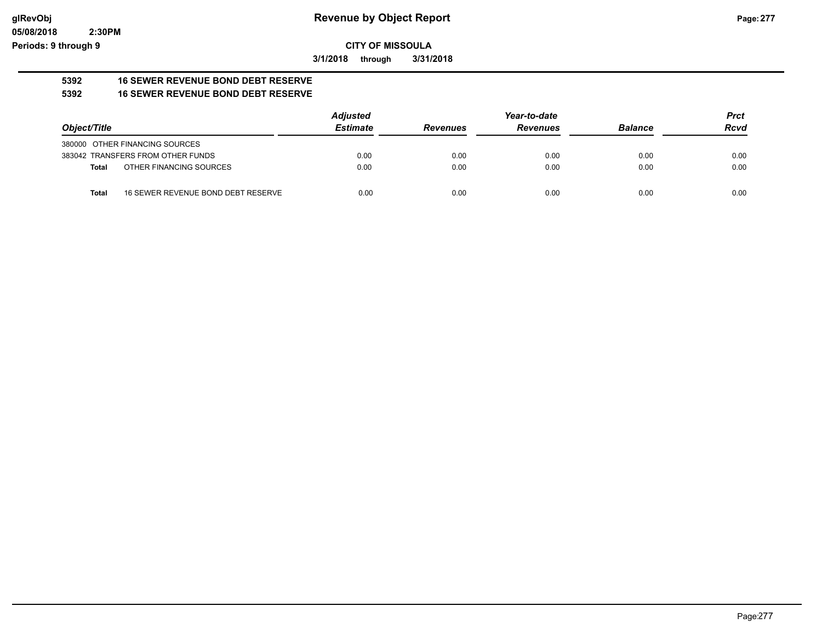#### **CITY OF MISSOULA**

**3/1/2018 through 3/31/2018**

#### **5392 16 SEWER REVENUE BOND DEBT RESERVE 5392 16 SEWER REVENUE BOND DEBT RESERVE**

|              |                                    |                 |                 | Year-to-date    |                | <b>Prct</b> |
|--------------|------------------------------------|-----------------|-----------------|-----------------|----------------|-------------|
| Object/Title |                                    | <b>Estimate</b> | <b>Revenues</b> | <b>Revenues</b> | <b>Balance</b> | <b>Rcvd</b> |
|              | 380000 OTHER FINANCING SOURCES     |                 |                 |                 |                |             |
|              | 383042 TRANSFERS FROM OTHER FUNDS  | 0.00            | 0.00            | 0.00            | 0.00           | 0.00        |
| Total        | OTHER FINANCING SOURCES            | 0.00            | 0.00            | 0.00            | 0.00           | 0.00        |
| <b>Total</b> | 16 SEWER REVENUE BOND DEBT RESERVE | 0.00            | 0.00            | 0.00            | 0.00           | 0.00        |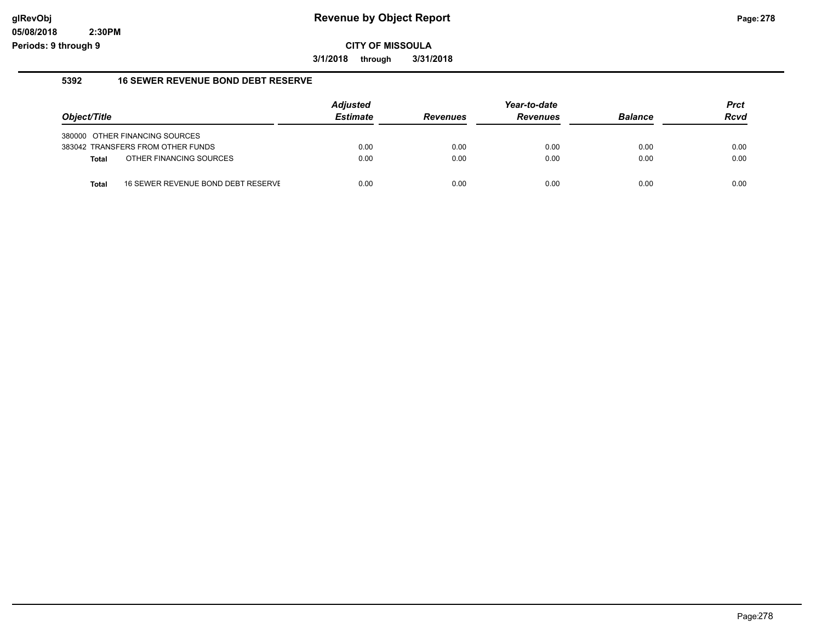**3/1/2018 through 3/31/2018**

#### **5392 16 SEWER REVENUE BOND DEBT RESERVE**

|              |                                    | <b>Adjusted</b> |                 | Year-to-date    |                | <b>Prct</b> |
|--------------|------------------------------------|-----------------|-----------------|-----------------|----------------|-------------|
| Object/Title |                                    | <b>Estimate</b> | <b>Revenues</b> | <b>Revenues</b> | <b>Balance</b> | Rcvd        |
|              | 380000 OTHER FINANCING SOURCES     |                 |                 |                 |                |             |
|              | 383042 TRANSFERS FROM OTHER FUNDS  | 0.00            | 0.00            | 0.00            | 0.00           | 0.00        |
| Total        | OTHER FINANCING SOURCES            | 0.00            | 0.00            | 0.00            | 0.00           | 0.00        |
| <b>Total</b> | 16 SEWER REVENUE BOND DEBT RESERVE | 0.00            | 0.00            | 0.00            | 0.00           | 0.00        |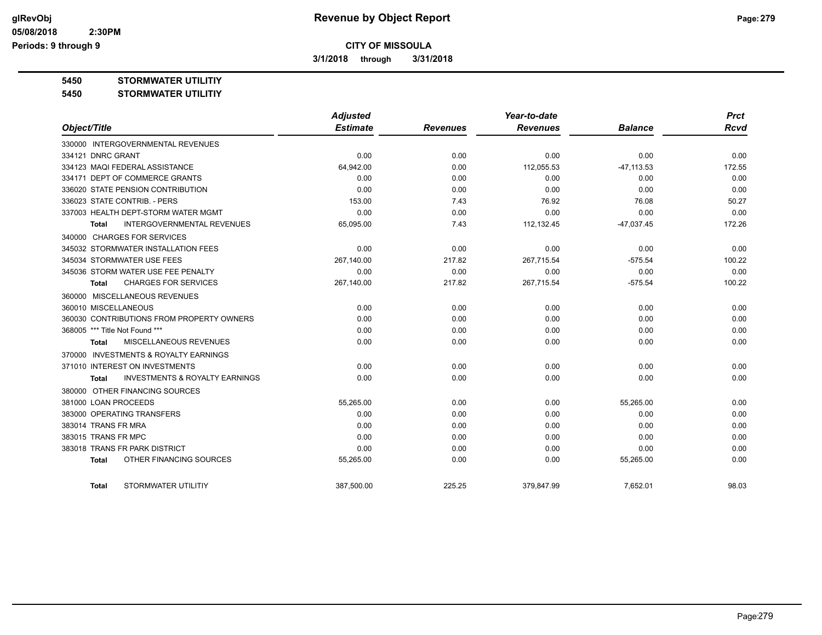**3/1/2018 through 3/31/2018**

**5450 STORMWATER UTILITIY**

**5450 STORMWATER UTILITIY**

|                                                     | <b>Adjusted</b> |                 | Year-to-date    |                | <b>Prct</b> |
|-----------------------------------------------------|-----------------|-----------------|-----------------|----------------|-------------|
| Object/Title                                        | <b>Estimate</b> | <b>Revenues</b> | <b>Revenues</b> | <b>Balance</b> | Rcvd        |
| 330000 INTERGOVERNMENTAL REVENUES                   |                 |                 |                 |                |             |
| 334121 DNRC GRANT                                   | 0.00            | 0.00            | 0.00            | 0.00           | 0.00        |
| 334123 MAQI FEDERAL ASSISTANCE                      | 64,942.00       | 0.00            | 112.055.53      | $-47, 113.53$  | 172.55      |
| 334171 DEPT OF COMMERCE GRANTS                      | 0.00            | 0.00            | 0.00            | 0.00           | 0.00        |
| 336020 STATE PENSION CONTRIBUTION                   | 0.00            | 0.00            | 0.00            | 0.00           | 0.00        |
| 336023 STATE CONTRIB. - PERS                        | 153.00          | 7.43            | 76.92           | 76.08          | 50.27       |
| 337003 HEALTH DEPT-STORM WATER MGMT                 | 0.00            | 0.00            | 0.00            | 0.00           | 0.00        |
| <b>INTERGOVERNMENTAL REVENUES</b><br>Total          | 65,095.00       | 7.43            | 112,132.45      | $-47,037.45$   | 172.26      |
| 340000 CHARGES FOR SERVICES                         |                 |                 |                 |                |             |
| 345032 STORMWATER INSTALLATION FEES                 | 0.00            | 0.00            | 0.00            | 0.00           | 0.00        |
| 345034 STORMWATER USE FEES                          | 267,140.00      | 217.82          | 267,715.54      | $-575.54$      | 100.22      |
| 345036 STORM WATER USE FEE PENALTY                  | 0.00            | 0.00            | 0.00            | 0.00           | 0.00        |
| <b>CHARGES FOR SERVICES</b><br>Total                | 267,140.00      | 217.82          | 267,715.54      | $-575.54$      | 100.22      |
| 360000 MISCELLANEOUS REVENUES                       |                 |                 |                 |                |             |
| 360010 MISCELLANEOUS                                | 0.00            | 0.00            | 0.00            | 0.00           | 0.00        |
| 360030 CONTRIBUTIONS FROM PROPERTY OWNERS           | 0.00            | 0.00            | 0.00            | 0.00           | 0.00        |
| 368005 *** Title Not Found ***                      | 0.00            | 0.00            | 0.00            | 0.00           | 0.00        |
| MISCELLANEOUS REVENUES<br>Total                     | 0.00            | 0.00            | 0.00            | 0.00           | 0.00        |
| <b>INVESTMENTS &amp; ROYALTY EARNINGS</b><br>370000 |                 |                 |                 |                |             |
| 371010 INTEREST ON INVESTMENTS                      | 0.00            | 0.00            | 0.00            | 0.00           | 0.00        |
| <b>INVESTMENTS &amp; ROYALTY EARNINGS</b><br>Total  | 0.00            | 0.00            | 0.00            | 0.00           | 0.00        |
| 380000 OTHER FINANCING SOURCES                      |                 |                 |                 |                |             |
| 381000 LOAN PROCEEDS                                | 55,265.00       | 0.00            | 0.00            | 55,265.00      | 0.00        |
| 383000 OPERATING TRANSFERS                          | 0.00            | 0.00            | 0.00            | 0.00           | 0.00        |
| 383014 TRANS FR MRA                                 | 0.00            | 0.00            | 0.00            | 0.00           | 0.00        |
| 383015 TRANS FR MPC                                 | 0.00            | 0.00            | 0.00            | 0.00           | 0.00        |
| 383018 TRANS FR PARK DISTRICT                       | 0.00            | 0.00            | 0.00            | 0.00           | 0.00        |
| OTHER FINANCING SOURCES<br><b>Total</b>             | 55,265.00       | 0.00            | 0.00            | 55,265.00      | 0.00        |
| STORMWATER UTILITIY<br><b>Total</b>                 | 387.500.00      | 225.25          | 379.847.99      | 7.652.01       | 98.03       |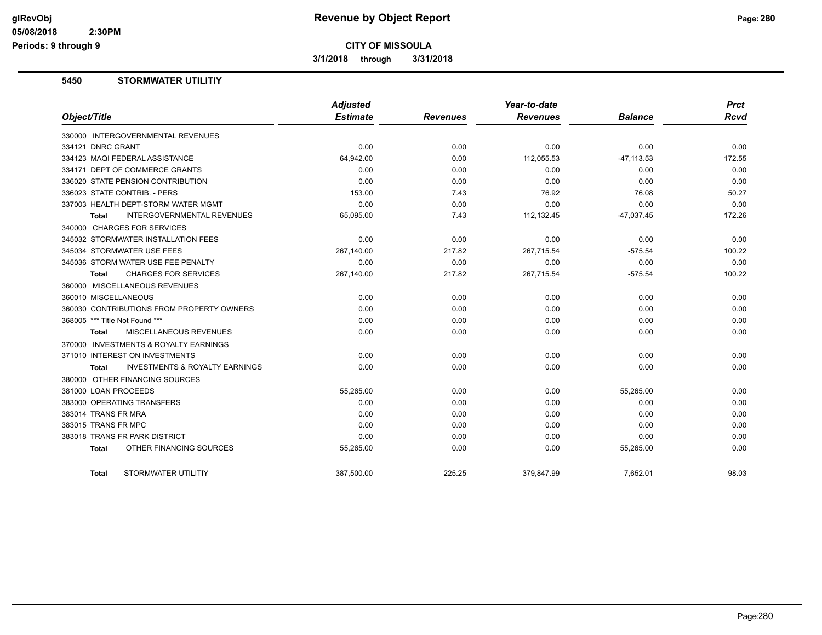**3/1/2018 through 3/31/2018**

#### **5450 STORMWATER UTILITIY**

|                                                    | <b>Adjusted</b> |                 | Year-to-date    |                | <b>Prct</b> |
|----------------------------------------------------|-----------------|-----------------|-----------------|----------------|-------------|
| Object/Title                                       | <b>Estimate</b> | <b>Revenues</b> | <b>Revenues</b> | <b>Balance</b> | <b>Rcvd</b> |
| 330000 INTERGOVERNMENTAL REVENUES                  |                 |                 |                 |                |             |
| 334121 DNRC GRANT                                  | 0.00            | 0.00            | 0.00            | 0.00           | 0.00        |
| 334123 MAQI FEDERAL ASSISTANCE                     | 64,942.00       | 0.00            | 112,055.53      | $-47, 113.53$  | 172.55      |
| 334171 DEPT OF COMMERCE GRANTS                     | 0.00            | 0.00            | 0.00            | 0.00           | 0.00        |
| 336020 STATE PENSION CONTRIBUTION                  | 0.00            | 0.00            | 0.00            | 0.00           | 0.00        |
| 336023 STATE CONTRIB. - PERS                       | 153.00          | 7.43            | 76.92           | 76.08          | 50.27       |
| 337003 HEALTH DEPT-STORM WATER MGMT                | 0.00            | 0.00            | 0.00            | 0.00           | 0.00        |
| <b>INTERGOVERNMENTAL REVENUES</b><br>Total         | 65,095.00       | 7.43            | 112,132.45      | $-47,037.45$   | 172.26      |
| 340000 CHARGES FOR SERVICES                        |                 |                 |                 |                |             |
| 345032 STORMWATER INSTALLATION FEES                | 0.00            | 0.00            | 0.00            | 0.00           | 0.00        |
| 345034 STORMWATER USE FEES                         | 267,140.00      | 217.82          | 267,715.54      | $-575.54$      | 100.22      |
| 345036 STORM WATER USE FEE PENALTY                 | 0.00            | 0.00            | 0.00            | 0.00           | 0.00        |
| <b>CHARGES FOR SERVICES</b><br>Total               | 267,140.00      | 217.82          | 267,715.54      | $-575.54$      | 100.22      |
| 360000 MISCELLANEOUS REVENUES                      |                 |                 |                 |                |             |
| 360010 MISCELLANEOUS                               | 0.00            | 0.00            | 0.00            | 0.00           | 0.00        |
| 360030 CONTRIBUTIONS FROM PROPERTY OWNERS          | 0.00            | 0.00            | 0.00            | 0.00           | 0.00        |
| 368005 *** Title Not Found ***                     | 0.00            | 0.00            | 0.00            | 0.00           | 0.00        |
| MISCELLANEOUS REVENUES<br>Total                    | 0.00            | 0.00            | 0.00            | 0.00           | 0.00        |
| 370000 INVESTMENTS & ROYALTY EARNINGS              |                 |                 |                 |                |             |
| 371010 INTEREST ON INVESTMENTS                     | 0.00            | 0.00            | 0.00            | 0.00           | 0.00        |
| <b>INVESTMENTS &amp; ROYALTY EARNINGS</b><br>Total | 0.00            | 0.00            | 0.00            | 0.00           | 0.00        |
| 380000 OTHER FINANCING SOURCES                     |                 |                 |                 |                |             |
| 381000 LOAN PROCEEDS                               | 55,265.00       | 0.00            | 0.00            | 55,265.00      | 0.00        |
| 383000 OPERATING TRANSFERS                         | 0.00            | 0.00            | 0.00            | 0.00           | 0.00        |
| 383014 TRANS FR MRA                                | 0.00            | 0.00            | 0.00            | 0.00           | 0.00        |
| 383015 TRANS FR MPC                                | 0.00            | 0.00            | 0.00            | 0.00           | 0.00        |
| 383018 TRANS FR PARK DISTRICT                      | 0.00            | 0.00            | 0.00            | 0.00           | 0.00        |
| OTHER FINANCING SOURCES<br><b>Total</b>            | 55,265.00       | 0.00            | 0.00            | 55,265.00      | 0.00        |
| STORMWATER UTILITIY<br><b>Total</b>                | 387,500.00      | 225.25          | 379,847.99      | 7.652.01       | 98.03       |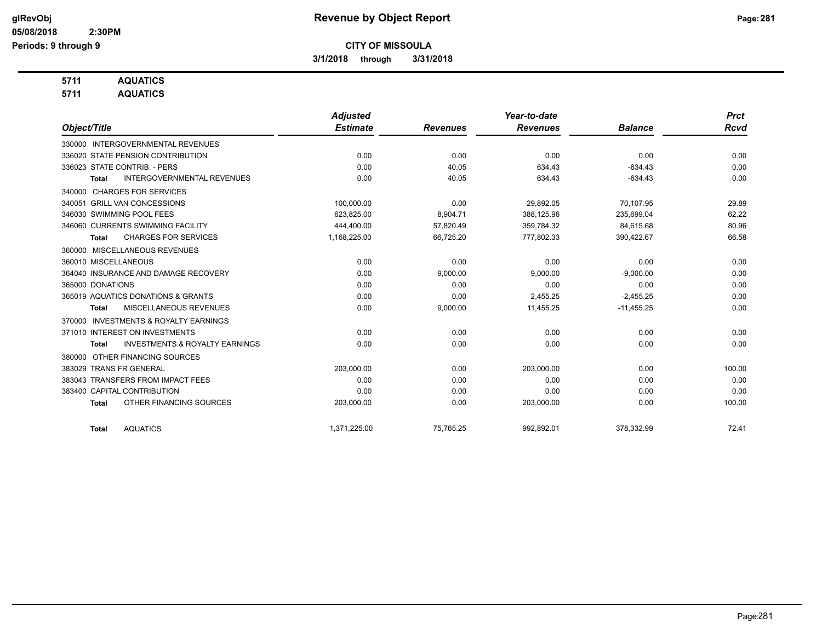**3/1/2018 through 3/31/2018**

# **5711 AQUATICS**

**5711 AQUATICS**

|                                                           | <b>Adjusted</b> |                 | Year-to-date    |                | <b>Prct</b> |
|-----------------------------------------------------------|-----------------|-----------------|-----------------|----------------|-------------|
| Object/Title                                              | <b>Estimate</b> | <b>Revenues</b> | <b>Revenues</b> | <b>Balance</b> | <b>Rcvd</b> |
| 330000 INTERGOVERNMENTAL REVENUES                         |                 |                 |                 |                |             |
| 336020 STATE PENSION CONTRIBUTION                         | 0.00            | 0.00            | 0.00            | 0.00           | 0.00        |
| 336023 STATE CONTRIB. - PERS                              | 0.00            | 40.05           | 634.43          | $-634.43$      | 0.00        |
| <b>INTERGOVERNMENTAL REVENUES</b><br><b>Total</b>         | 0.00            | 40.05           | 634.43          | $-634.43$      | 0.00        |
| <b>CHARGES FOR SERVICES</b><br>340000                     |                 |                 |                 |                |             |
| 340051 GRILL VAN CONCESSIONS                              | 100.000.00      | 0.00            | 29.892.05       | 70.107.95      | 29.89       |
| 346030 SWIMMING POOL FEES                                 | 623,825.00      | 8,904.71        | 388,125.96      | 235,699.04     | 62.22       |
| 346060 CURRENTS SWIMMING FACILITY                         | 444,400.00      | 57,820.49       | 359,784.32      | 84,615.68      | 80.96       |
| <b>CHARGES FOR SERVICES</b><br><b>Total</b>               | 1,168,225.00    | 66,725.20       | 777,802.33      | 390,422.67     | 66.58       |
| MISCELLANEOUS REVENUES<br>360000                          |                 |                 |                 |                |             |
| 360010 MISCELLANEOUS                                      | 0.00            | 0.00            | 0.00            | 0.00           | 0.00        |
| 364040 INSURANCE AND DAMAGE RECOVERY                      | 0.00            | 9,000.00        | 9,000.00        | $-9,000.00$    | 0.00        |
| 365000 DONATIONS                                          | 0.00            | 0.00            | 0.00            | 0.00           | 0.00        |
| 365019 AQUATICS DONATIONS & GRANTS                        | 0.00            | 0.00            | 2,455.25        | $-2,455.25$    | 0.00        |
| MISCELLANEOUS REVENUES<br><b>Total</b>                    | 0.00            | 9,000.00        | 11,455.25       | $-11,455.25$   | 0.00        |
| 370000 INVESTMENTS & ROYALTY EARNINGS                     |                 |                 |                 |                |             |
| 371010 INTEREST ON INVESTMENTS                            | 0.00            | 0.00            | 0.00            | 0.00           | 0.00        |
| <b>INVESTMENTS &amp; ROYALTY EARNINGS</b><br><b>Total</b> | 0.00            | 0.00            | 0.00            | 0.00           | 0.00        |
| OTHER FINANCING SOURCES<br>380000                         |                 |                 |                 |                |             |
| 383029 TRANS FR GENERAL                                   | 203.000.00      | 0.00            | 203,000.00      | 0.00           | 100.00      |
| 383043 TRANSFERS FROM IMPACT FEES                         | 0.00            | 0.00            | 0.00            | 0.00           | 0.00        |
| 383400 CAPITAL CONTRIBUTION                               | 0.00            | 0.00            | 0.00            | 0.00           | 0.00        |
| OTHER FINANCING SOURCES<br><b>Total</b>                   | 203,000.00      | 0.00            | 203,000.00      | 0.00           | 100.00      |
|                                                           |                 |                 |                 |                |             |
| <b>AQUATICS</b><br><b>Total</b>                           | 1,371,225.00    | 75,765.25       | 992,892.01      | 378,332.99     | 72.41       |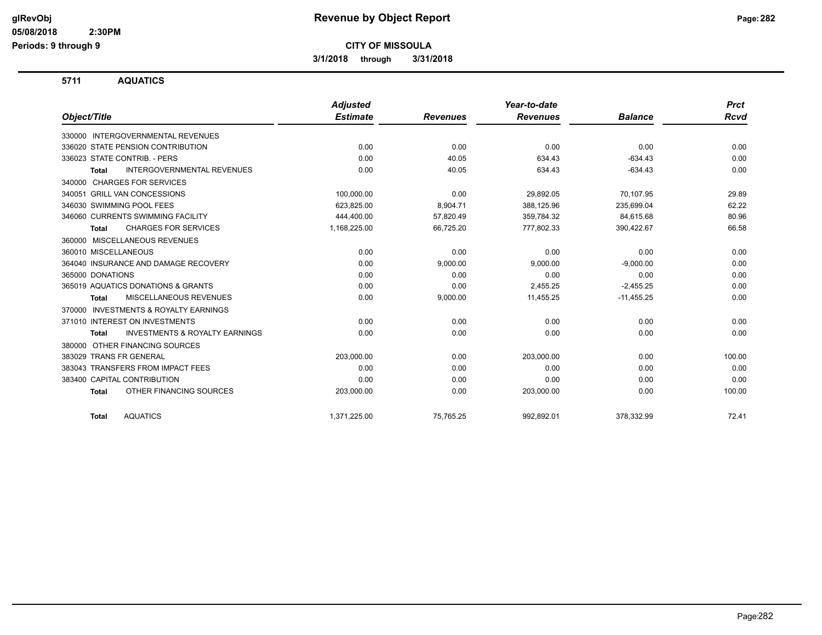**3/1/2018 through 3/31/2018**

**5711 AQUATICS**

|                                                           | <b>Adjusted</b> |                 | Year-to-date    |                | <b>Prct</b> |
|-----------------------------------------------------------|-----------------|-----------------|-----------------|----------------|-------------|
| Object/Title                                              | <b>Estimate</b> | <b>Revenues</b> | <b>Revenues</b> | <b>Balance</b> | <b>Rcvd</b> |
| <b>INTERGOVERNMENTAL REVENUES</b><br>330000               |                 |                 |                 |                |             |
| 336020 STATE PENSION CONTRIBUTION                         | 0.00            | 0.00            | 0.00            | 0.00           | 0.00        |
| 336023 STATE CONTRIB. - PERS                              | 0.00            | 40.05           | 634.43          | $-634.43$      | 0.00        |
| <b>INTERGOVERNMENTAL REVENUES</b><br><b>Total</b>         | 0.00            | 40.05           | 634.43          | $-634.43$      | 0.00        |
| 340000 CHARGES FOR SERVICES                               |                 |                 |                 |                |             |
| <b>GRILL VAN CONCESSIONS</b><br>340051                    | 100,000.00      | 0.00            | 29,892.05       | 70,107.95      | 29.89       |
| 346030 SWIMMING POOL FEES                                 | 623.825.00      | 8,904.71        | 388.125.96      | 235,699.04     | 62.22       |
| 346060 CURRENTS SWIMMING FACILITY                         | 444.400.00      | 57,820.49       | 359.784.32      | 84.615.68      | 80.96       |
| <b>CHARGES FOR SERVICES</b><br><b>Total</b>               | 1,168,225.00    | 66,725.20       | 777,802.33      | 390,422.67     | 66.58       |
| MISCELLANEOUS REVENUES<br>360000                          |                 |                 |                 |                |             |
| 360010 MISCELLANEOUS                                      | 0.00            | 0.00            | 0.00            | 0.00           | 0.00        |
| 364040 INSURANCE AND DAMAGE RECOVERY                      | 0.00            | 9,000.00        | 9,000.00        | $-9,000.00$    | 0.00        |
| 365000 DONATIONS                                          | 0.00            | 0.00            | 0.00            | 0.00           | 0.00        |
| 365019 AQUATICS DONATIONS & GRANTS                        | 0.00            | 0.00            | 2,455.25        | $-2,455.25$    | 0.00        |
| MISCELLANEOUS REVENUES<br><b>Total</b>                    | 0.00            | 9,000.00        | 11,455.25       | $-11,455.25$   | 0.00        |
| <b>INVESTMENTS &amp; ROYALTY EARNINGS</b><br>370000       |                 |                 |                 |                |             |
| 371010 INTEREST ON INVESTMENTS                            | 0.00            | 0.00            | 0.00            | 0.00           | 0.00        |
| <b>INVESTMENTS &amp; ROYALTY EARNINGS</b><br><b>Total</b> | 0.00            | 0.00            | 0.00            | 0.00           | 0.00        |
| OTHER FINANCING SOURCES<br>380000                         |                 |                 |                 |                |             |
| 383029 TRANS FR GENERAL                                   | 203,000.00      | 0.00            | 203,000.00      | 0.00           | 100.00      |
| 383043 TRANSFERS FROM IMPACT FEES                         | 0.00            | 0.00            | 0.00            | 0.00           | 0.00        |
| 383400 CAPITAL CONTRIBUTION                               | 0.00            | 0.00            | 0.00            | 0.00           | 0.00        |
| OTHER FINANCING SOURCES<br><b>Total</b>                   | 203,000.00      | 0.00            | 203,000.00      | 0.00           | 100.00      |
| <b>AQUATICS</b><br><b>Total</b>                           | 1,371,225.00    | 75.765.25       | 992,892.01      | 378.332.99     | 72.41       |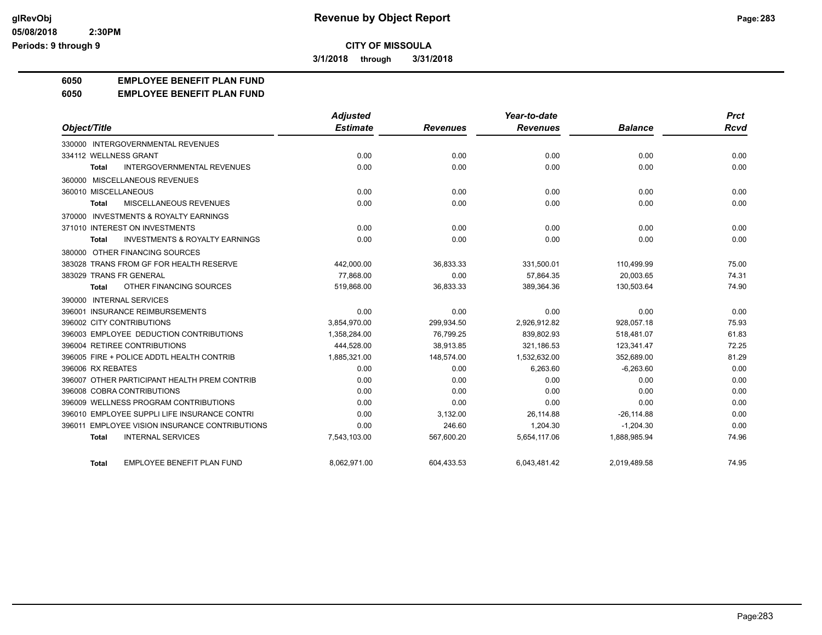**3/1/2018 through 3/31/2018**

### **6050 EMPLOYEE BENEFIT PLAN FUND**

#### **6050 EMPLOYEE BENEFIT PLAN FUND**

|                                                           | <b>Adjusted</b> |                 | Year-to-date    |                | <b>Prct</b> |
|-----------------------------------------------------------|-----------------|-----------------|-----------------|----------------|-------------|
| Object/Title                                              | <b>Estimate</b> | <b>Revenues</b> | <b>Revenues</b> | <b>Balance</b> | Rcvd        |
| 330000 INTERGOVERNMENTAL REVENUES                         |                 |                 |                 |                |             |
| 334112 WELLNESS GRANT                                     | 0.00            | 0.00            | 0.00            | 0.00           | 0.00        |
| <b>INTERGOVERNMENTAL REVENUES</b><br><b>Total</b>         | 0.00            | 0.00            | 0.00            | 0.00           | 0.00        |
| 360000 MISCELLANEOUS REVENUES                             |                 |                 |                 |                |             |
| 360010 MISCELLANEOUS                                      | 0.00            | 0.00            | 0.00            | 0.00           | 0.00        |
| MISCELLANEOUS REVENUES<br><b>Total</b>                    | 0.00            | 0.00            | 0.00            | 0.00           | 0.00        |
| 370000 INVESTMENTS & ROYALTY EARNINGS                     |                 |                 |                 |                |             |
| 371010 INTEREST ON INVESTMENTS                            | 0.00            | 0.00            | 0.00            | 0.00           | 0.00        |
| <b>INVESTMENTS &amp; ROYALTY EARNINGS</b><br><b>Total</b> | 0.00            | 0.00            | 0.00            | 0.00           | 0.00        |
| 380000 OTHER FINANCING SOURCES                            |                 |                 |                 |                |             |
| 383028 TRANS FROM GF FOR HEALTH RESERVE                   | 442,000.00      | 36,833.33       | 331,500.01      | 110,499.99     | 75.00       |
| 383029 TRANS FR GENERAL                                   | 77,868.00       | 0.00            | 57,864.35       | 20,003.65      | 74.31       |
| OTHER FINANCING SOURCES<br><b>Total</b>                   | 519,868.00      | 36,833.33       | 389,364.36      | 130,503.64     | 74.90       |
| 390000 INTERNAL SERVICES                                  |                 |                 |                 |                |             |
| 396001 INSURANCE REIMBURSEMENTS                           | 0.00            | 0.00            | 0.00            | 0.00           | 0.00        |
| 396002 CITY CONTRIBUTIONS                                 | 3,854,970.00    | 299,934.50      | 2.926.912.82    | 928.057.18     | 75.93       |
| 396003 EMPLOYEE DEDUCTION CONTRIBUTIONS                   | 1,358,284.00    | 76,799.25       | 839,802.93      | 518,481.07     | 61.83       |
| 396004 RETIREE CONTRIBUTIONS                              | 444,528.00      | 38,913.85       | 321,186.53      | 123,341.47     | 72.25       |
| 396005 FIRE + POLICE ADDTL HEALTH CONTRIB                 | 1,885,321.00    | 148,574.00      | 1,532,632.00    | 352,689.00     | 81.29       |
| 396006 RX REBATES                                         | 0.00            | 0.00            | 6,263.60        | $-6,263.60$    | 0.00        |
| 396007 OTHER PARTICIPANT HEALTH PREM CONTRIB              | 0.00            | 0.00            | 0.00            | 0.00           | 0.00        |
| 396008 COBRA CONTRIBUTIONS                                | 0.00            | 0.00            | 0.00            | 0.00           | 0.00        |
| 396009 WELLNESS PROGRAM CONTRIBUTIONS                     | 0.00            | 0.00            | 0.00            | 0.00           | 0.00        |
| 396010 EMPLOYEE SUPPLI LIFE INSURANCE CONTRI              | 0.00            | 3,132.00        | 26,114.88       | $-26, 114.88$  | 0.00        |
| <b>EMPLOYEE VISION INSURANCE CONTRIBUTIONS</b><br>396011  | 0.00            | 246.60          | 1,204.30        | $-1,204.30$    | 0.00        |
| <b>INTERNAL SERVICES</b><br><b>Total</b>                  | 7,543,103.00    | 567,600.20      | 5,654,117.06    | 1,888,985.94   | 74.96       |
| <b>EMPLOYEE BENEFIT PLAN FUND</b><br><b>Total</b>         | 8,062,971.00    | 604,433.53      | 6,043,481.42    | 2,019,489.58   | 74.95       |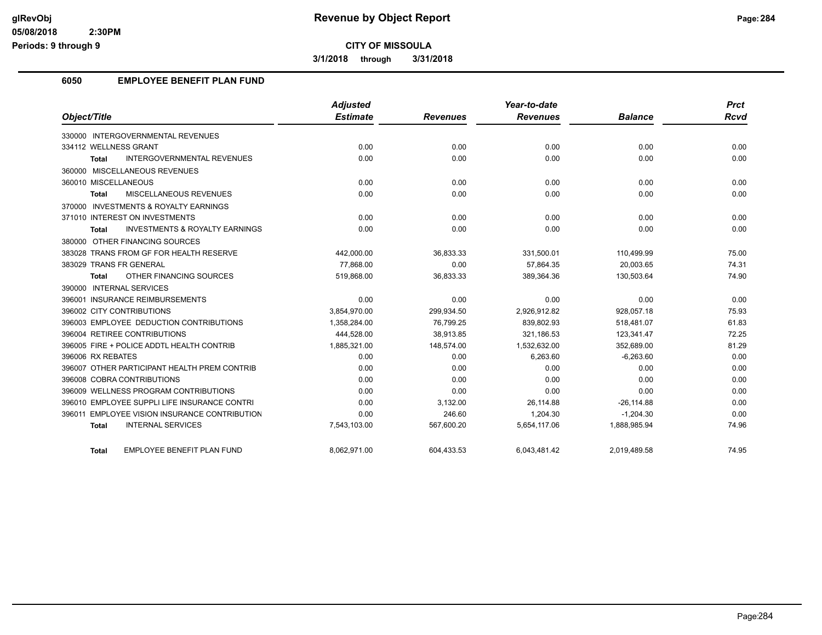**3/1/2018 through 3/31/2018**

### **6050 EMPLOYEE BENEFIT PLAN FUND**

|                                                           | Adjusted        |                 | Year-to-date    |                | <b>Prct</b> |
|-----------------------------------------------------------|-----------------|-----------------|-----------------|----------------|-------------|
| Object/Title                                              | <b>Estimate</b> | <b>Revenues</b> | <b>Revenues</b> | <b>Balance</b> | Rcvd        |
| 330000 INTERGOVERNMENTAL REVENUES                         |                 |                 |                 |                |             |
| 334112 WELLNESS GRANT                                     | 0.00            | 0.00            | 0.00            | 0.00           | 0.00        |
| <b>INTERGOVERNMENTAL REVENUES</b><br><b>Total</b>         | 0.00            | 0.00            | 0.00            | 0.00           | 0.00        |
| 360000 MISCELLANEOUS REVENUES                             |                 |                 |                 |                |             |
| 360010 MISCELLANEOUS                                      | 0.00            | 0.00            | 0.00            | 0.00           | 0.00        |
| MISCELLANEOUS REVENUES<br><b>Total</b>                    | 0.00            | 0.00            | 0.00            | 0.00           | 0.00        |
| 370000 INVESTMENTS & ROYALTY EARNINGS                     |                 |                 |                 |                |             |
| 371010 INTEREST ON INVESTMENTS                            | 0.00            | 0.00            | 0.00            | 0.00           | 0.00        |
| <b>INVESTMENTS &amp; ROYALTY EARNINGS</b><br><b>Total</b> | 0.00            | 0.00            | 0.00            | 0.00           | 0.00        |
| 380000 OTHER FINANCING SOURCES                            |                 |                 |                 |                |             |
| 383028 TRANS FROM GF FOR HEALTH RESERVE                   | 442,000.00      | 36,833.33       | 331,500.01      | 110,499.99     | 75.00       |
| 383029 TRANS FR GENERAL                                   | 77.868.00       | 0.00            | 57.864.35       | 20,003.65      | 74.31       |
| OTHER FINANCING SOURCES<br><b>Total</b>                   | 519,868.00      | 36,833.33       | 389,364.36      | 130,503.64     | 74.90       |
| 390000 INTERNAL SERVICES                                  |                 |                 |                 |                |             |
| 396001 INSURANCE REIMBURSEMENTS                           | 0.00            | 0.00            | 0.00            | 0.00           | 0.00        |
| 396002 CITY CONTRIBUTIONS                                 | 3,854,970.00    | 299,934.50      | 2,926,912.82    | 928,057.18     | 75.93       |
| 396003 EMPLOYEE DEDUCTION CONTRIBUTIONS                   | 1,358,284.00    | 76,799.25       | 839,802.93      | 518,481.07     | 61.83       |
| 396004 RETIREE CONTRIBUTIONS                              | 444,528.00      | 38,913.85       | 321,186.53      | 123,341.47     | 72.25       |
| 396005 FIRE + POLICE ADDTL HEALTH CONTRIB                 | 1,885,321.00    | 148,574.00      | 1,532,632.00    | 352,689.00     | 81.29       |
| 396006 RX REBATES                                         | 0.00            | 0.00            | 6,263.60        | $-6,263.60$    | 0.00        |
| 396007 OTHER PARTICIPANT HEALTH PREM CONTRIB              | 0.00            | 0.00            | 0.00            | 0.00           | 0.00        |
| 396008 COBRA CONTRIBUTIONS                                | 0.00            | 0.00            | 0.00            | 0.00           | 0.00        |
| 396009 WELLNESS PROGRAM CONTRIBUTIONS                     | 0.00            | 0.00            | 0.00            | 0.00           | 0.00        |
| 396010 EMPLOYEE SUPPLI LIFE INSURANCE CONTRI              | 0.00            | 3,132.00        | 26,114.88       | $-26, 114.88$  | 0.00        |
| 396011 EMPLOYEE VISION INSURANCE CONTRIBUTION             | 0.00            | 246.60          | 1,204.30        | $-1,204.30$    | 0.00        |
| <b>INTERNAL SERVICES</b><br><b>Total</b>                  | 7,543,103.00    | 567,600.20      | 5,654,117.06    | 1,888,985.94   | 74.96       |
| EMPLOYEE BENEFIT PLAN FUND<br><b>Total</b>                | 8,062,971.00    | 604,433.53      | 6,043,481.42    | 2,019,489.58   | 74.95       |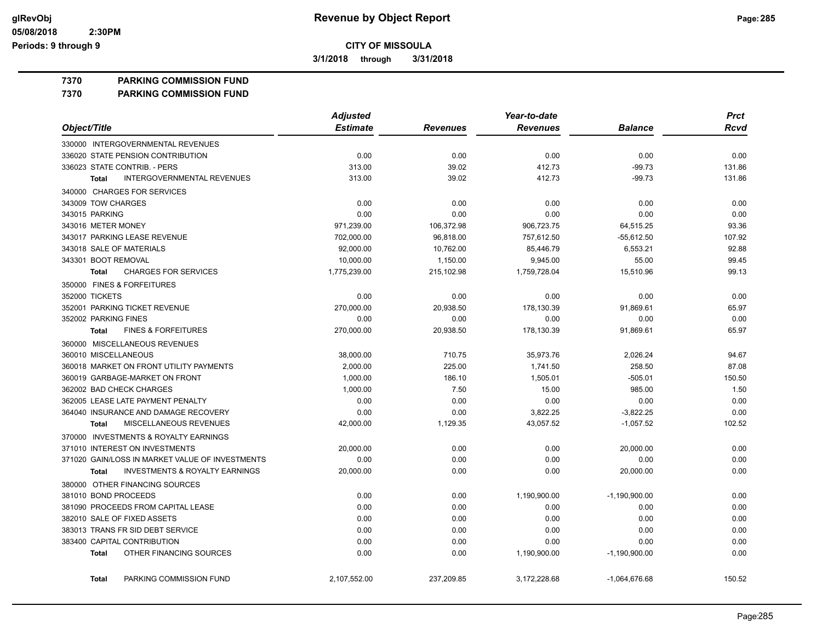**3/1/2018 through 3/31/2018**

**7370 PARKING COMMISSION FUND**

**7370 PARKING COMMISSION FUND**

|                                                    | <b>Adjusted</b> |                 | Year-to-date    |                 | <b>Prct</b> |
|----------------------------------------------------|-----------------|-----------------|-----------------|-----------------|-------------|
| Object/Title                                       | <b>Estimate</b> | <b>Revenues</b> | <b>Revenues</b> | <b>Balance</b>  | Rcvd        |
| 330000 INTERGOVERNMENTAL REVENUES                  |                 |                 |                 |                 |             |
| 336020 STATE PENSION CONTRIBUTION                  | 0.00            | 0.00            | 0.00            | 0.00            | 0.00        |
| 336023 STATE CONTRIB. - PERS                       | 313.00          | 39.02           | 412.73          | $-99.73$        | 131.86      |
| <b>INTERGOVERNMENTAL REVENUES</b><br><b>Total</b>  | 313.00          | 39.02           | 412.73          | $-99.73$        | 131.86      |
| 340000 CHARGES FOR SERVICES                        |                 |                 |                 |                 |             |
| 343009 TOW CHARGES                                 | 0.00            | 0.00            | 0.00            | 0.00            | 0.00        |
| 343015 PARKING                                     | 0.00            | 0.00            | 0.00            | 0.00            | 0.00        |
| 343016 METER MONEY                                 | 971,239.00      | 106,372.98      | 906,723.75      | 64,515.25       | 93.36       |
| 343017 PARKING LEASE REVENUE                       | 702,000.00      | 96,818.00       | 757,612.50      | $-55,612.50$    | 107.92      |
| 343018 SALE OF MATERIALS                           | 92,000.00       | 10,762.00       | 85,446.79       | 6,553.21        | 92.88       |
| 343301 BOOT REMOVAL                                | 10,000.00       | 1,150.00        | 9,945.00        | 55.00           | 99.45       |
| <b>CHARGES FOR SERVICES</b><br><b>Total</b>        | 1,775,239.00    | 215,102.98      | 1,759,728.04    | 15,510.96       | 99.13       |
| 350000 FINES & FORFEITURES                         |                 |                 |                 |                 |             |
| 352000 TICKETS                                     | 0.00            | 0.00            | 0.00            | 0.00            | 0.00        |
| 352001 PARKING TICKET REVENUE                      | 270,000.00      | 20,938.50       | 178,130.39      | 91,869.61       | 65.97       |
| 352002 PARKING FINES                               | 0.00            | 0.00            | 0.00            | 0.00            | 0.00        |
| <b>FINES &amp; FORFEITURES</b><br><b>Total</b>     | 270,000.00      | 20,938.50       | 178,130.39      | 91,869.61       | 65.97       |
| 360000 MISCELLANEOUS REVENUES                      |                 |                 |                 |                 |             |
| 360010 MISCELLANEOUS                               | 38,000.00       | 710.75          | 35,973.76       | 2,026.24        | 94.67       |
| 360018 MARKET ON FRONT UTILITY PAYMENTS            | 2,000.00        | 225.00          | 1,741.50        | 258.50          | 87.08       |
| 360019 GARBAGE-MARKET ON FRONT                     | 1,000.00        | 186.10          | 1,505.01        | $-505.01$       | 150.50      |
| 362002 BAD CHECK CHARGES                           | 1,000.00        | 7.50            | 15.00           | 985.00          | 1.50        |
| 362005 LEASE LATE PAYMENT PENALTY                  | 0.00            | 0.00            | 0.00            | 0.00            | 0.00        |
| 364040 INSURANCE AND DAMAGE RECOVERY               | 0.00            | 0.00            | 3,822.25        | $-3,822.25$     | 0.00        |
| MISCELLANEOUS REVENUES<br><b>Total</b>             | 42,000.00       | 1,129.35        | 43,057.52       | $-1,057.52$     | 102.52      |
| 370000 INVESTMENTS & ROYALTY EARNINGS              |                 |                 |                 |                 |             |
| 371010 INTEREST ON INVESTMENTS                     | 20,000.00       | 0.00            | 0.00            | 20,000.00       | 0.00        |
| 371020 GAIN/LOSS IN MARKET VALUE OF INVESTMENTS    | 0.00            | 0.00            | 0.00            | 0.00            | 0.00        |
| <b>INVESTMENTS &amp; ROYALTY EARNINGS</b><br>Total | 20,000.00       | 0.00            | 0.00            | 20,000.00       | 0.00        |
| 380000 OTHER FINANCING SOURCES                     |                 |                 |                 |                 |             |
| 381010 BOND PROCEEDS                               | 0.00            | 0.00            | 1,190,900.00    | $-1,190,900.00$ | 0.00        |
| 381090 PROCEEDS FROM CAPITAL LEASE                 | 0.00            | 0.00            | 0.00            | 0.00            | 0.00        |
| 382010 SALE OF FIXED ASSETS                        | 0.00            | 0.00            | 0.00            | 0.00            | 0.00        |
| 383013 TRANS FR SID DEBT SERVICE                   | 0.00            | 0.00            | 0.00            | 0.00            | 0.00        |
| 383400 CAPITAL CONTRIBUTION                        | 0.00            | 0.00            | 0.00            | 0.00            | 0.00        |
| OTHER FINANCING SOURCES<br><b>Total</b>            | 0.00            | 0.00            | 1,190,900.00    | $-1,190,900.00$ | 0.00        |
| PARKING COMMISSION FUND<br><b>Total</b>            | 2,107,552.00    | 237,209.85      | 3,172,228.68    | $-1,064,676.68$ | 150.52      |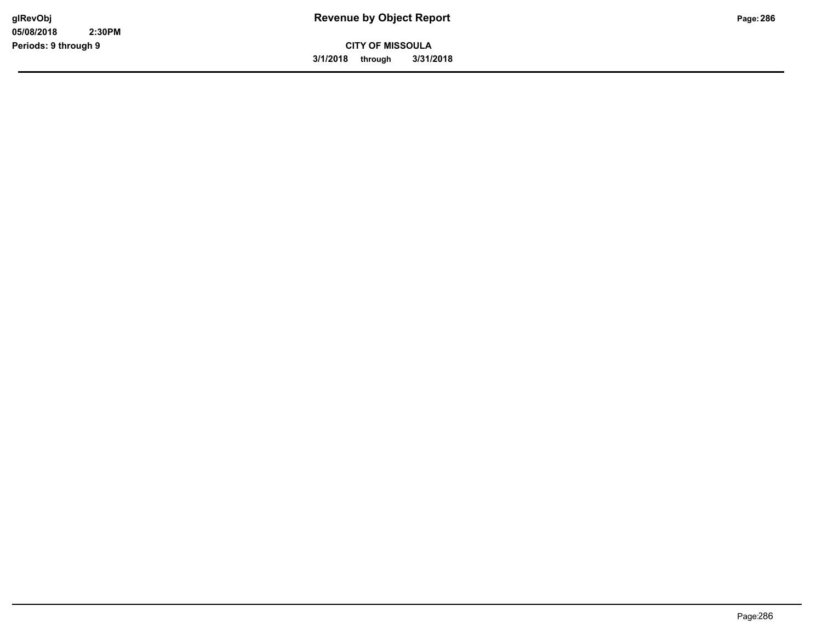**CITY OF MISSOULA 3/1/2018 through 3/31/2018**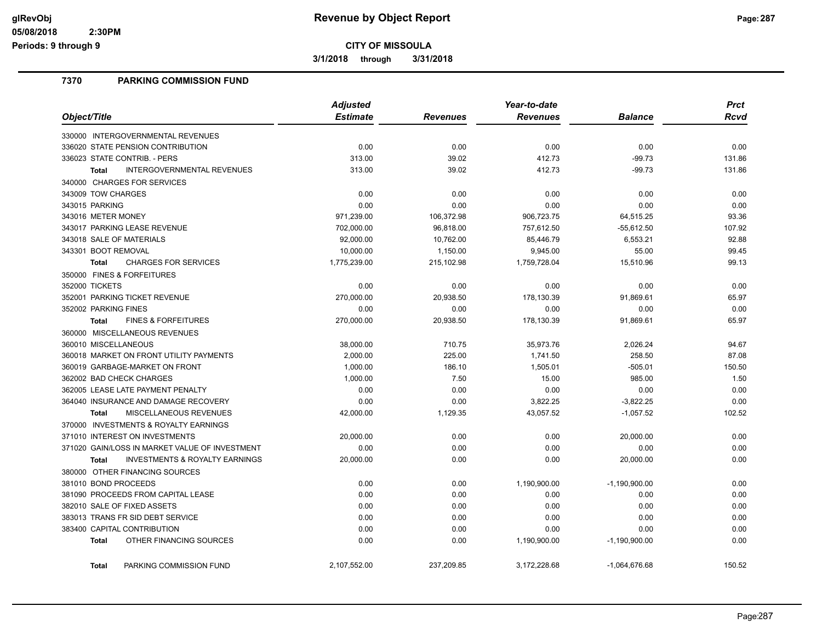**3/1/2018 through 3/31/2018**

#### **7370 PARKING COMMISSION FUND**

|                                                           | <b>Adjusted</b> |                 | Year-to-date    |                 | <b>Prct</b> |
|-----------------------------------------------------------|-----------------|-----------------|-----------------|-----------------|-------------|
| Object/Title                                              | <b>Estimate</b> | <b>Revenues</b> | <b>Revenues</b> | <b>Balance</b>  | Rcvd        |
| 330000 INTERGOVERNMENTAL REVENUES                         |                 |                 |                 |                 |             |
| 336020 STATE PENSION CONTRIBUTION                         | 0.00            | 0.00            | 0.00            | 0.00            | 0.00        |
| 336023 STATE CONTRIB. - PERS                              | 313.00          | 39.02           | 412.73          | $-99.73$        | 131.86      |
| <b>INTERGOVERNMENTAL REVENUES</b><br><b>Total</b>         | 313.00          | 39.02           | 412.73          | $-99.73$        | 131.86      |
| 340000 CHARGES FOR SERVICES                               |                 |                 |                 |                 |             |
| 343009 TOW CHARGES                                        | 0.00            | 0.00            | 0.00            | 0.00            | 0.00        |
| 343015 PARKING                                            | 0.00            | 0.00            | 0.00            | 0.00            | 0.00        |
| 343016 METER MONEY                                        | 971,239.00      | 106,372.98      | 906,723.75      | 64,515.25       | 93.36       |
| 343017 PARKING LEASE REVENUE                              | 702,000.00      | 96,818.00       | 757,612.50      | $-55,612.50$    | 107.92      |
| 343018 SALE OF MATERIALS                                  | 92,000.00       | 10,762.00       | 85,446.79       | 6,553.21        | 92.88       |
| 343301 BOOT REMOVAL                                       | 10.000.00       | 1,150.00        | 9,945.00        | 55.00           | 99.45       |
| <b>CHARGES FOR SERVICES</b><br>Total                      | 1,775,239.00    | 215,102.98      | 1,759,728.04    | 15,510.96       | 99.13       |
| 350000 FINES & FORFEITURES                                |                 |                 |                 |                 |             |
| 352000 TICKETS                                            | 0.00            | 0.00            | 0.00            | 0.00            | 0.00        |
| 352001 PARKING TICKET REVENUE                             | 270,000.00      | 20,938.50       | 178,130.39      | 91,869.61       | 65.97       |
| 352002 PARKING FINES                                      | 0.00            | 0.00            | 0.00            | 0.00            | 0.00        |
| <b>FINES &amp; FORFEITURES</b><br><b>Total</b>            | 270,000.00      | 20,938.50       | 178,130.39      | 91,869.61       | 65.97       |
| 360000 MISCELLANEOUS REVENUES                             |                 |                 |                 |                 |             |
| 360010 MISCELLANEOUS                                      | 38,000.00       | 710.75          | 35,973.76       | 2,026.24        | 94.67       |
| 360018 MARKET ON FRONT UTILITY PAYMENTS                   | 2,000.00        | 225.00          | 1,741.50        | 258.50          | 87.08       |
| 360019 GARBAGE-MARKET ON FRONT                            | 1,000.00        | 186.10          | 1,505.01        | $-505.01$       | 150.50      |
| 362002 BAD CHECK CHARGES                                  | 1,000.00        | 7.50            | 15.00           | 985.00          | 1.50        |
| 362005 LEASE LATE PAYMENT PENALTY                         | 0.00            | 0.00            | 0.00            | 0.00            | 0.00        |
| 364040 INSURANCE AND DAMAGE RECOVERY                      | 0.00            | 0.00            | 3,822.25        | $-3,822.25$     | 0.00        |
| MISCELLANEOUS REVENUES<br><b>Total</b>                    | 42,000.00       | 1,129.35        | 43,057.52       | $-1,057.52$     | 102.52      |
| 370000 INVESTMENTS & ROYALTY EARNINGS                     |                 |                 |                 |                 |             |
| 371010 INTEREST ON INVESTMENTS                            | 20,000.00       | 0.00            | 0.00            | 20,000.00       | 0.00        |
| 371020 GAIN/LOSS IN MARKET VALUE OF INVESTMENT            | 0.00            | 0.00            | 0.00            | 0.00            | 0.00        |
| <b>INVESTMENTS &amp; ROYALTY EARNINGS</b><br><b>Total</b> | 20,000.00       | 0.00            | 0.00            | 20,000.00       | 0.00        |
| 380000 OTHER FINANCING SOURCES                            |                 |                 |                 |                 |             |
| 381010 BOND PROCEEDS                                      | 0.00            | 0.00            | 1,190,900.00    | $-1,190,900.00$ | 0.00        |
| 381090 PROCEEDS FROM CAPITAL LEASE                        | 0.00            | 0.00            | 0.00            | 0.00            | 0.00        |
| 382010 SALE OF FIXED ASSETS                               | 0.00            | 0.00            | 0.00            | 0.00            | 0.00        |
| 383013 TRANS FR SID DEBT SERVICE                          | 0.00            | 0.00            | 0.00            | 0.00            | 0.00        |
| 383400 CAPITAL CONTRIBUTION                               | 0.00            | 0.00            | 0.00            | 0.00            | 0.00        |
| OTHER FINANCING SOURCES<br><b>Total</b>                   | 0.00            | 0.00            | 1,190,900.00    | $-1,190,900.00$ | 0.00        |
| PARKING COMMISSION FUND<br>Total                          | 2,107,552.00    | 237,209.85      | 3,172,228.68    | $-1,064,676.68$ | 150.52      |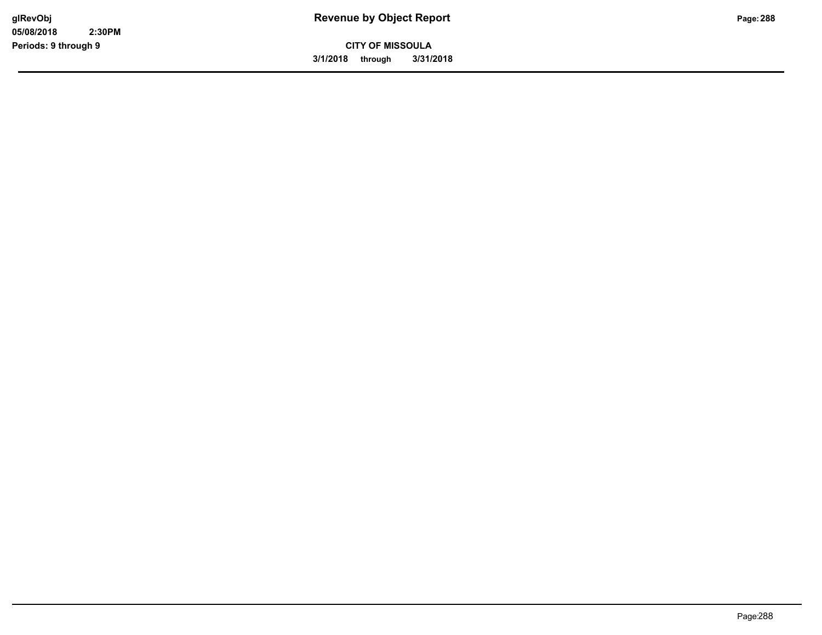**CITY OF MISSOULA 3/1/2018 through 3/31/2018**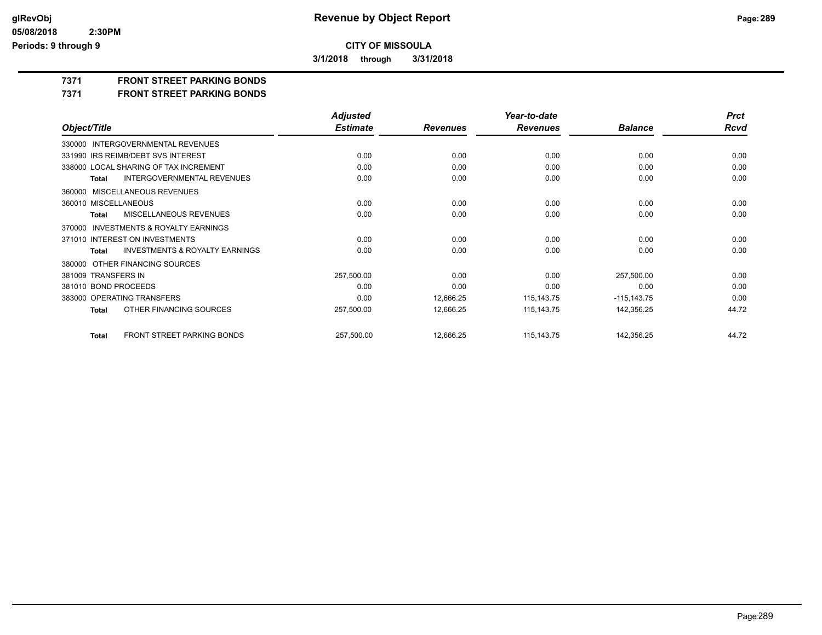**3/1/2018 through 3/31/2018**

## **7371 FRONT STREET PARKING BONDS**

**7371 FRONT STREET PARKING BONDS**

|                                                     | <b>Adjusted</b> |                 | Year-to-date    |                | <b>Prct</b> |
|-----------------------------------------------------|-----------------|-----------------|-----------------|----------------|-------------|
| Object/Title                                        | <b>Estimate</b> | <b>Revenues</b> | <b>Revenues</b> | <b>Balance</b> | <b>Rcvd</b> |
| 330000 INTERGOVERNMENTAL REVENUES                   |                 |                 |                 |                |             |
| 331990 IRS REIMB/DEBT SVS INTEREST                  | 0.00            | 0.00            | 0.00            | 0.00           | 0.00        |
| 338000 LOCAL SHARING OF TAX INCREMENT               | 0.00            | 0.00            | 0.00            | 0.00           | 0.00        |
| <b>INTERGOVERNMENTAL REVENUES</b><br>Total          | 0.00            | 0.00            | 0.00            | 0.00           | 0.00        |
| 360000 MISCELLANEOUS REVENUES                       |                 |                 |                 |                |             |
| 360010 MISCELLANEOUS                                | 0.00            | 0.00            | 0.00            | 0.00           | 0.00        |
| MISCELLANEOUS REVENUES<br>Total                     | 0.00            | 0.00            | 0.00            | 0.00           | 0.00        |
| <b>INVESTMENTS &amp; ROYALTY EARNINGS</b><br>370000 |                 |                 |                 |                |             |
| 371010 INTEREST ON INVESTMENTS                      | 0.00            | 0.00            | 0.00            | 0.00           | 0.00        |
| <b>INVESTMENTS &amp; ROYALTY EARNINGS</b><br>Total  | 0.00            | 0.00            | 0.00            | 0.00           | 0.00        |
| 380000 OTHER FINANCING SOURCES                      |                 |                 |                 |                |             |
| 381009 TRANSFERS IN                                 | 257,500.00      | 0.00            | 0.00            | 257,500.00     | 0.00        |
| 381010 BOND PROCEEDS                                | 0.00            | 0.00            | 0.00            | 0.00           | 0.00        |
| 383000 OPERATING TRANSFERS                          | 0.00            | 12,666.25       | 115, 143. 75    | $-115, 143.75$ | 0.00        |
| OTHER FINANCING SOURCES<br>Total                    | 257,500.00      | 12,666.25       | 115, 143. 75    | 142,356.25     | 44.72       |
| FRONT STREET PARKING BONDS<br>Total                 | 257,500.00      | 12,666.25       | 115, 143. 75    | 142,356.25     | 44.72       |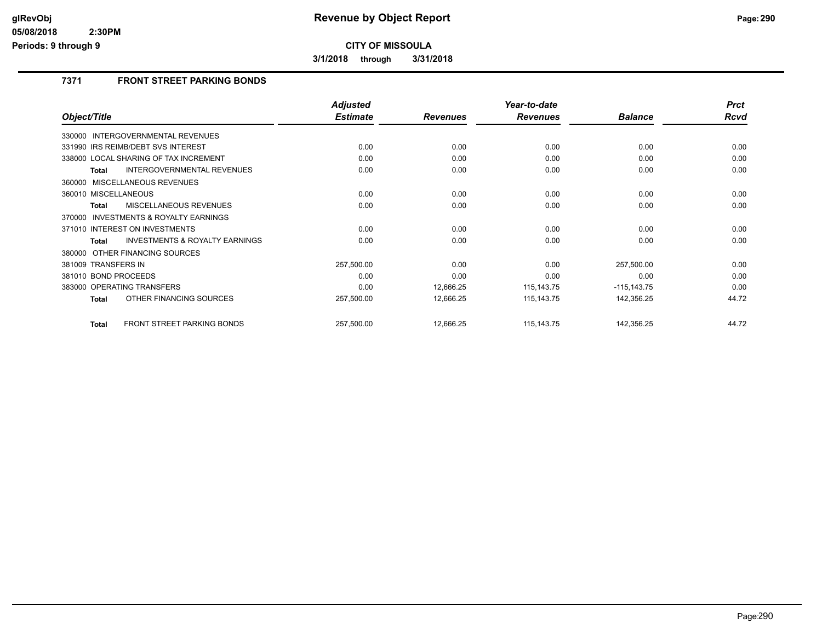**3/1/2018 through 3/31/2018**

## **7371 FRONT STREET PARKING BONDS**

|                                                           | <b>Adjusted</b> |                 | Year-to-date    |                | <b>Prct</b> |
|-----------------------------------------------------------|-----------------|-----------------|-----------------|----------------|-------------|
| Object/Title                                              | <b>Estimate</b> | <b>Revenues</b> | <b>Revenues</b> | <b>Balance</b> | Rcvd        |
| INTERGOVERNMENTAL REVENUES<br>330000                      |                 |                 |                 |                |             |
| 331990 IRS REIMB/DEBT SVS INTEREST                        | 0.00            | 0.00            | 0.00            | 0.00           | 0.00        |
| 338000 LOCAL SHARING OF TAX INCREMENT                     | 0.00            | 0.00            | 0.00            | 0.00           | 0.00        |
| <b>INTERGOVERNMENTAL REVENUES</b><br><b>Total</b>         | 0.00            | 0.00            | 0.00            | 0.00           | 0.00        |
| 360000 MISCELLANEOUS REVENUES                             |                 |                 |                 |                |             |
| 360010 MISCELLANEOUS                                      | 0.00            | 0.00            | 0.00            | 0.00           | 0.00        |
| <b>MISCELLANEOUS REVENUES</b><br>Total                    | 0.00            | 0.00            | 0.00            | 0.00           | 0.00        |
| <b>INVESTMENTS &amp; ROYALTY EARNINGS</b><br>370000       |                 |                 |                 |                |             |
| 371010 INTEREST ON INVESTMENTS                            | 0.00            | 0.00            | 0.00            | 0.00           | 0.00        |
| <b>INVESTMENTS &amp; ROYALTY EARNINGS</b><br><b>Total</b> | 0.00            | 0.00            | 0.00            | 0.00           | 0.00        |
| 380000 OTHER FINANCING SOURCES                            |                 |                 |                 |                |             |
| 381009 TRANSFERS IN                                       | 257,500.00      | 0.00            | 0.00            | 257,500.00     | 0.00        |
| 381010 BOND PROCEEDS                                      | 0.00            | 0.00            | 0.00            | 0.00           | 0.00        |
| 383000 OPERATING TRANSFERS                                | 0.00            | 12,666.25       | 115, 143. 75    | $-115, 143.75$ | 0.00        |
| OTHER FINANCING SOURCES<br>Total                          | 257,500.00      | 12,666.25       | 115, 143. 75    | 142,356.25     | 44.72       |
| FRONT STREET PARKING BONDS<br><b>Total</b>                | 257,500.00      | 12,666.25       | 115, 143. 75    | 142,356.25     | 44.72       |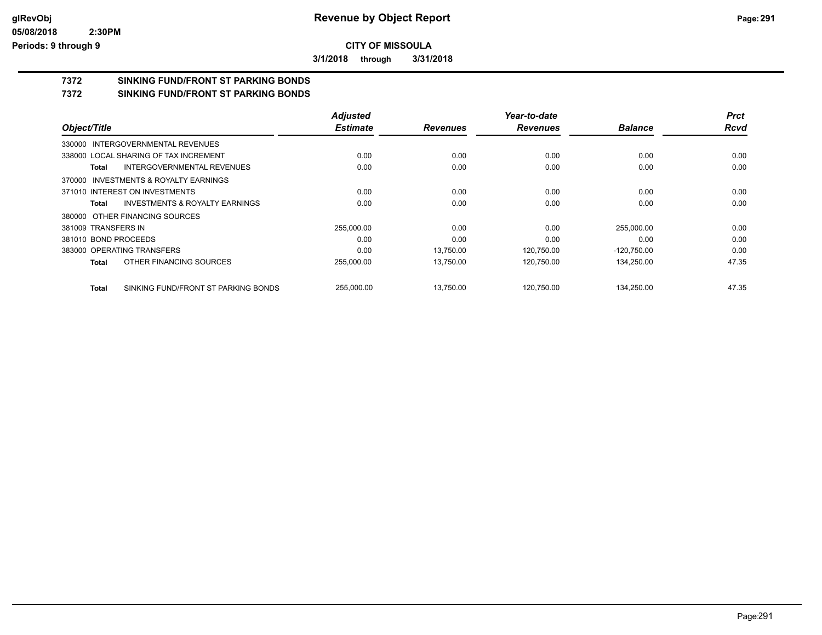**3/1/2018 through 3/31/2018**

# **7372 SINKING FUND/FRONT ST PARKING BONDS**

## **7372 SINKING FUND/FRONT ST PARKING BONDS**

|                                                    | <b>Adjusted</b> |                 | Year-to-date    |                | <b>Prct</b> |
|----------------------------------------------------|-----------------|-----------------|-----------------|----------------|-------------|
| Object/Title                                       | <b>Estimate</b> | <b>Revenues</b> | <b>Revenues</b> | <b>Balance</b> | Rcvd        |
| 330000 INTERGOVERNMENTAL REVENUES                  |                 |                 |                 |                |             |
| 338000 LOCAL SHARING OF TAX INCREMENT              | 0.00            | 0.00            | 0.00            | 0.00           | 0.00        |
| INTERGOVERNMENTAL REVENUES<br>Total                | 0.00            | 0.00            | 0.00            | 0.00           | 0.00        |
| 370000 INVESTMENTS & ROYALTY EARNINGS              |                 |                 |                 |                |             |
| 371010 INTEREST ON INVESTMENTS                     | 0.00            | 0.00            | 0.00            | 0.00           | 0.00        |
| <b>INVESTMENTS &amp; ROYALTY EARNINGS</b><br>Total | 0.00            | 0.00            | 0.00            | 0.00           | 0.00        |
| 380000 OTHER FINANCING SOURCES                     |                 |                 |                 |                |             |
| 381009 TRANSFERS IN                                | 255,000.00      | 0.00            | 0.00            | 255,000.00     | 0.00        |
| 381010 BOND PROCEEDS                               | 0.00            | 0.00            | 0.00            | 0.00           | 0.00        |
| 383000 OPERATING TRANSFERS                         | 0.00            | 13,750.00       | 120,750.00      | $-120,750.00$  | 0.00        |
| OTHER FINANCING SOURCES<br><b>Total</b>            | 255,000.00      | 13,750.00       | 120,750.00      | 134,250.00     | 47.35       |
| SINKING FUND/FRONT ST PARKING BONDS<br>Total       | 255.000.00      | 13.750.00       | 120.750.00      | 134.250.00     | 47.35       |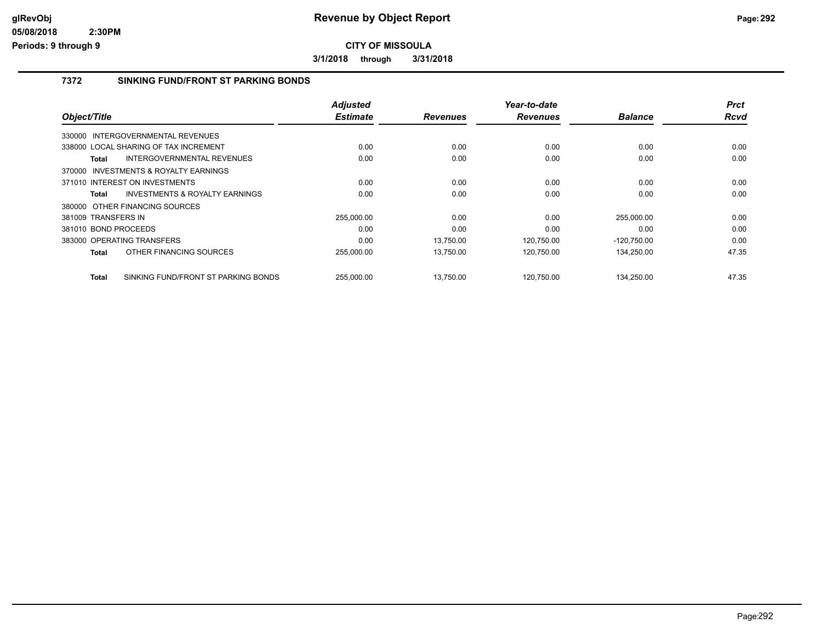**3/1/2018 through 3/31/2018**

#### **7372 SINKING FUND/FRONT ST PARKING BONDS**

| Object/Title                                              | <b>Adjusted</b><br><b>Estimate</b> | <b>Revenues</b> | Year-to-date<br><b>Revenues</b> | <b>Balance</b> | <b>Prct</b><br>Rcvd |
|-----------------------------------------------------------|------------------------------------|-----------------|---------------------------------|----------------|---------------------|
|                                                           |                                    |                 |                                 |                |                     |
| 330000 INTERGOVERNMENTAL REVENUES                         |                                    |                 |                                 |                |                     |
| 338000 LOCAL SHARING OF TAX INCREMENT                     | 0.00                               | 0.00            | 0.00                            | 0.00           | 0.00                |
| INTERGOVERNMENTAL REVENUES<br><b>Total</b>                | 0.00                               | 0.00            | 0.00                            | 0.00           | 0.00                |
| 370000 INVESTMENTS & ROYALTY EARNINGS                     |                                    |                 |                                 |                |                     |
| 371010 INTEREST ON INVESTMENTS                            | 0.00                               | 0.00            | 0.00                            | 0.00           | 0.00                |
| <b>INVESTMENTS &amp; ROYALTY EARNINGS</b><br><b>Total</b> | 0.00                               | 0.00            | 0.00                            | 0.00           | 0.00                |
| 380000 OTHER FINANCING SOURCES                            |                                    |                 |                                 |                |                     |
| 381009 TRANSFERS IN                                       | 255.000.00                         | 0.00            | 0.00                            | 255,000.00     | 0.00                |
| 381010 BOND PROCEEDS                                      | 0.00                               | 0.00            | 0.00                            | 0.00           | 0.00                |
| 383000 OPERATING TRANSFERS                                | 0.00                               | 13,750.00       | 120,750.00                      | $-120,750.00$  | 0.00                |
| OTHER FINANCING SOURCES<br><b>Total</b>                   | 255,000.00                         | 13.750.00       | 120.750.00                      | 134,250.00     | 47.35               |
| SINKING FUND/FRONT ST PARKING BONDS<br>Total              | 255,000.00                         | 13,750.00       | 120,750.00                      | 134,250.00     | 47.35               |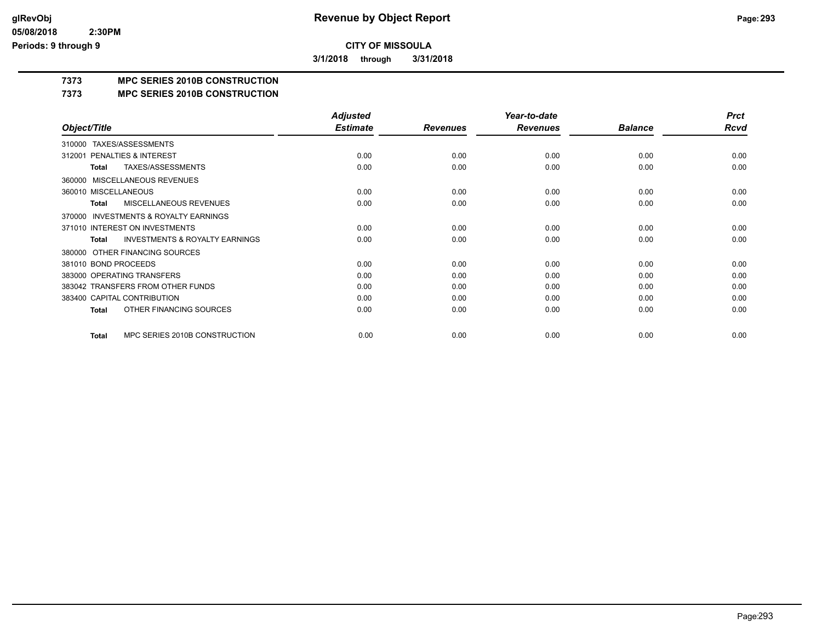**3/1/2018 through 3/31/2018**

## **7373 MPC SERIES 2010B CONSTRUCTION**

#### **7373 MPC SERIES 2010B CONSTRUCTION**

|                                                     | <b>Adjusted</b> |                 | Year-to-date    |                | <b>Prct</b> |
|-----------------------------------------------------|-----------------|-----------------|-----------------|----------------|-------------|
| Object/Title                                        | <b>Estimate</b> | <b>Revenues</b> | <b>Revenues</b> | <b>Balance</b> | <b>Rcvd</b> |
| TAXES/ASSESSMENTS<br>310000                         |                 |                 |                 |                |             |
| PENALTIES & INTEREST<br>312001                      | 0.00            | 0.00            | 0.00            | 0.00           | 0.00        |
| TAXES/ASSESSMENTS<br><b>Total</b>                   | 0.00            | 0.00            | 0.00            | 0.00           | 0.00        |
| MISCELLANEOUS REVENUES<br>360000                    |                 |                 |                 |                |             |
| 360010 MISCELLANEOUS                                | 0.00            | 0.00            | 0.00            | 0.00           | 0.00        |
| <b>MISCELLANEOUS REVENUES</b><br>Total              | 0.00            | 0.00            | 0.00            | 0.00           | 0.00        |
| <b>INVESTMENTS &amp; ROYALTY EARNINGS</b><br>370000 |                 |                 |                 |                |             |
| 371010 INTEREST ON INVESTMENTS                      | 0.00            | 0.00            | 0.00            | 0.00           | 0.00        |
| <b>INVESTMENTS &amp; ROYALTY EARNINGS</b><br>Total  | 0.00            | 0.00            | 0.00            | 0.00           | 0.00        |
| OTHER FINANCING SOURCES<br>380000                   |                 |                 |                 |                |             |
| 381010 BOND PROCEEDS                                | 0.00            | 0.00            | 0.00            | 0.00           | 0.00        |
| 383000 OPERATING TRANSFERS                          | 0.00            | 0.00            | 0.00            | 0.00           | 0.00        |
| 383042 TRANSFERS FROM OTHER FUNDS                   | 0.00            | 0.00            | 0.00            | 0.00           | 0.00        |
| 383400 CAPITAL CONTRIBUTION                         | 0.00            | 0.00            | 0.00            | 0.00           | 0.00        |
| OTHER FINANCING SOURCES<br><b>Total</b>             | 0.00            | 0.00            | 0.00            | 0.00           | 0.00        |
|                                                     |                 |                 |                 |                |             |
| MPC SERIES 2010B CONSTRUCTION<br><b>Total</b>       | 0.00            | 0.00            | 0.00            | 0.00           | 0.00        |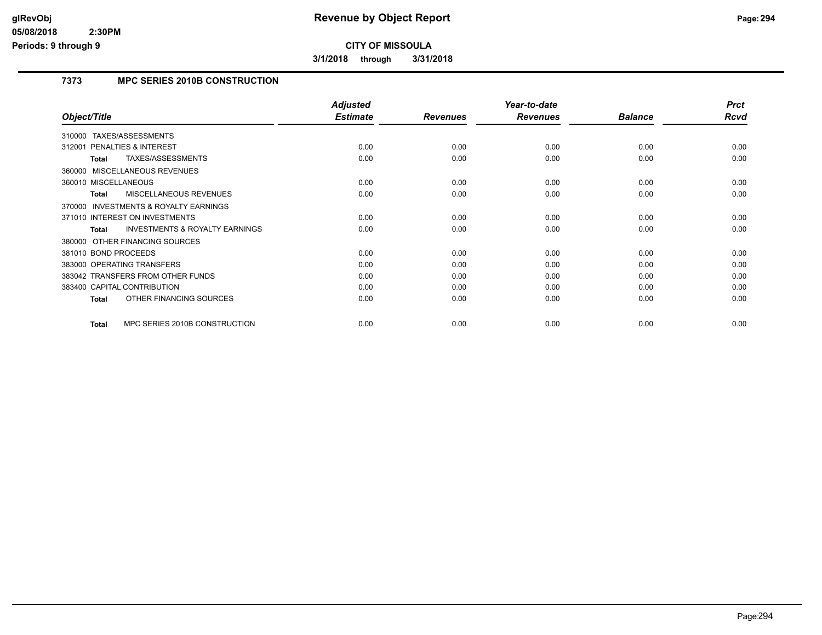**3/1/2018 through 3/31/2018**

## **7373 MPC SERIES 2010B CONSTRUCTION**

|                                                    | <b>Adjusted</b> |                 | Year-to-date    |                | <b>Prct</b> |
|----------------------------------------------------|-----------------|-----------------|-----------------|----------------|-------------|
| Object/Title                                       | <b>Estimate</b> | <b>Revenues</b> | <b>Revenues</b> | <b>Balance</b> | <b>Rcvd</b> |
| 310000 TAXES/ASSESSMENTS                           |                 |                 |                 |                |             |
| PENALTIES & INTEREST<br>312001                     | 0.00            | 0.00            | 0.00            | 0.00           | 0.00        |
| TAXES/ASSESSMENTS<br>Total                         | 0.00            | 0.00            | 0.00            | 0.00           | 0.00        |
| 360000 MISCELLANEOUS REVENUES                      |                 |                 |                 |                |             |
| 360010 MISCELLANEOUS                               | 0.00            | 0.00            | 0.00            | 0.00           | 0.00        |
| MISCELLANEOUS REVENUES<br><b>Total</b>             | 0.00            | 0.00            | 0.00            | 0.00           | 0.00        |
| 370000 INVESTMENTS & ROYALTY EARNINGS              |                 |                 |                 |                |             |
| 371010 INTEREST ON INVESTMENTS                     | 0.00            | 0.00            | 0.00            | 0.00           | 0.00        |
| <b>INVESTMENTS &amp; ROYALTY EARNINGS</b><br>Total | 0.00            | 0.00            | 0.00            | 0.00           | 0.00        |
| 380000 OTHER FINANCING SOURCES                     |                 |                 |                 |                |             |
| 381010 BOND PROCEEDS                               | 0.00            | 0.00            | 0.00            | 0.00           | 0.00        |
| 383000 OPERATING TRANSFERS                         | 0.00            | 0.00            | 0.00            | 0.00           | 0.00        |
| 383042 TRANSFERS FROM OTHER FUNDS                  | 0.00            | 0.00            | 0.00            | 0.00           | 0.00        |
| 383400 CAPITAL CONTRIBUTION                        | 0.00            | 0.00            | 0.00            | 0.00           | 0.00        |
| OTHER FINANCING SOURCES<br>Total                   | 0.00            | 0.00            | 0.00            | 0.00           | 0.00        |
|                                                    |                 |                 |                 |                |             |
| MPC SERIES 2010B CONSTRUCTION<br><b>Total</b>      | 0.00            | 0.00            | 0.00            | 0.00           | 0.00        |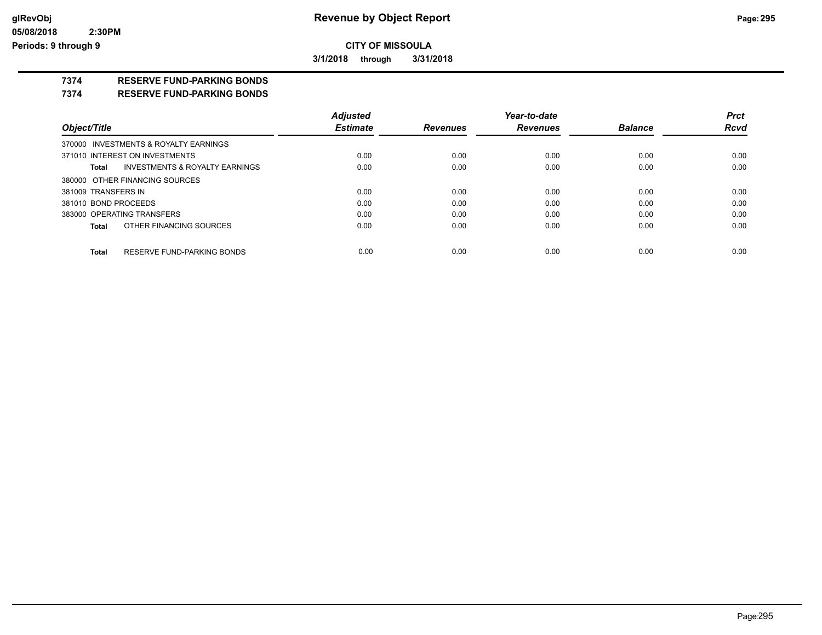**3/1/2018 through 3/31/2018**

## **7374 RESERVE FUND-PARKING BONDS**

#### **7374 RESERVE FUND-PARKING BONDS**

|                      |                                       | <b>Adjusted</b> |                 | Year-to-date    |                | Prct        |
|----------------------|---------------------------------------|-----------------|-----------------|-----------------|----------------|-------------|
| Object/Title         |                                       | <b>Estimate</b> | <b>Revenues</b> | <b>Revenues</b> | <b>Balance</b> | <b>Rcvd</b> |
|                      | 370000 INVESTMENTS & ROYALTY EARNINGS |                 |                 |                 |                |             |
|                      | 371010 INTEREST ON INVESTMENTS        | 0.00            | 0.00            | 0.00            | 0.00           | 0.00        |
| Total                | INVESTMENTS & ROYALTY EARNINGS        | 0.00            | 0.00            | 0.00            | 0.00           | 0.00        |
|                      | 380000 OTHER FINANCING SOURCES        |                 |                 |                 |                |             |
| 381009 TRANSFERS IN  |                                       | 0.00            | 0.00            | 0.00            | 0.00           | 0.00        |
| 381010 BOND PROCEEDS |                                       | 0.00            | 0.00            | 0.00            | 0.00           | 0.00        |
|                      | 383000 OPERATING TRANSFERS            | 0.00            | 0.00            | 0.00            | 0.00           | 0.00        |
| Total                | OTHER FINANCING SOURCES               | 0.00            | 0.00            | 0.00            | 0.00           | 0.00        |
| Total                | RESERVE FUND-PARKING BONDS            | 0.00            | 0.00            | 0.00            | 0.00           | 0.00        |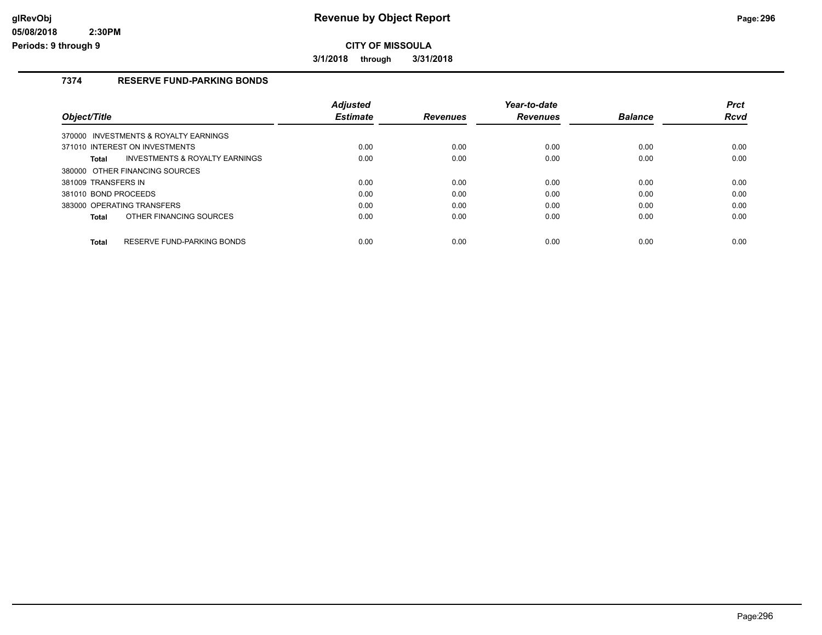**3/1/2018 through 3/31/2018**

### **7374 RESERVE FUND-PARKING BONDS**

|                                                   | <b>Adjusted</b> |                 | Year-to-date    |                | <b>Prct</b> |
|---------------------------------------------------|-----------------|-----------------|-----------------|----------------|-------------|
| Object/Title                                      | <b>Estimate</b> | <b>Revenues</b> | <b>Revenues</b> | <b>Balance</b> | <b>Rcvd</b> |
| 370000 INVESTMENTS & ROYALTY EARNINGS             |                 |                 |                 |                |             |
| 371010 INTEREST ON INVESTMENTS                    | 0.00            | 0.00            | 0.00            | 0.00           | 0.00        |
| INVESTMENTS & ROYALTY EARNINGS<br><b>Total</b>    | 0.00            | 0.00            | 0.00            | 0.00           | 0.00        |
| 380000 OTHER FINANCING SOURCES                    |                 |                 |                 |                |             |
| 381009 TRANSFERS IN                               | 0.00            | 0.00            | 0.00            | 0.00           | 0.00        |
| 381010 BOND PROCEEDS                              | 0.00            | 0.00            | 0.00            | 0.00           | 0.00        |
| 383000 OPERATING TRANSFERS                        | 0.00            | 0.00            | 0.00            | 0.00           | 0.00        |
| OTHER FINANCING SOURCES<br>Total                  | 0.00            | 0.00            | 0.00            | 0.00           | 0.00        |
| <b>RESERVE FUND-PARKING BONDS</b><br><b>Total</b> | 0.00            | 0.00            | 0.00            | 0.00           | 0.00        |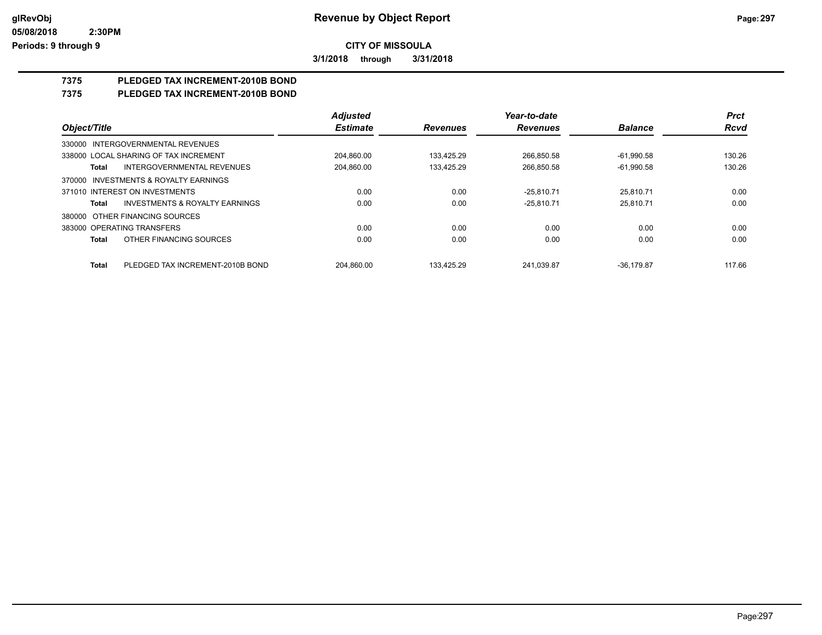**3/1/2018 through 3/31/2018**

# **7375 PLEDGED TAX INCREMENT-2010B BOND**

## **7375 PLEDGED TAX INCREMENT-2010B BOND**

|                                                    | <b>Adjusted</b> |                 | Year-to-date    |                | <b>Prct</b> |
|----------------------------------------------------|-----------------|-----------------|-----------------|----------------|-------------|
| Object/Title                                       | <b>Estimate</b> | <b>Revenues</b> | <b>Revenues</b> | <b>Balance</b> | <b>Rcvd</b> |
| INTERGOVERNMENTAL REVENUES<br>330000               |                 |                 |                 |                |             |
| 338000 LOCAL SHARING OF TAX INCREMENT              | 204.860.00      | 133.425.29      | 266.850.58      | $-61.990.58$   | 130.26      |
| INTERGOVERNMENTAL REVENUES<br>Total                | 204.860.00      | 133.425.29      | 266.850.58      | $-61.990.58$   | 130.26      |
| 370000 INVESTMENTS & ROYALTY EARNINGS              |                 |                 |                 |                |             |
| 371010 INTEREST ON INVESTMENTS                     | 0.00            | 0.00            | $-25.810.71$    | 25.810.71      | 0.00        |
| <b>INVESTMENTS &amp; ROYALTY EARNINGS</b><br>Total | 0.00            | 0.00            | $-25.810.71$    | 25.810.71      | 0.00        |
| OTHER FINANCING SOURCES<br>380000                  |                 |                 |                 |                |             |
| 383000 OPERATING TRANSFERS                         | 0.00            | 0.00            | 0.00            | 0.00           | 0.00        |
| OTHER FINANCING SOURCES<br><b>Total</b>            | 0.00            | 0.00            | 0.00            | 0.00           | 0.00        |
| PLEDGED TAX INCREMENT-2010B BOND<br><b>Total</b>   | 204.860.00      | 133.425.29      | 241.039.87      | $-36.179.87$   | 117.66      |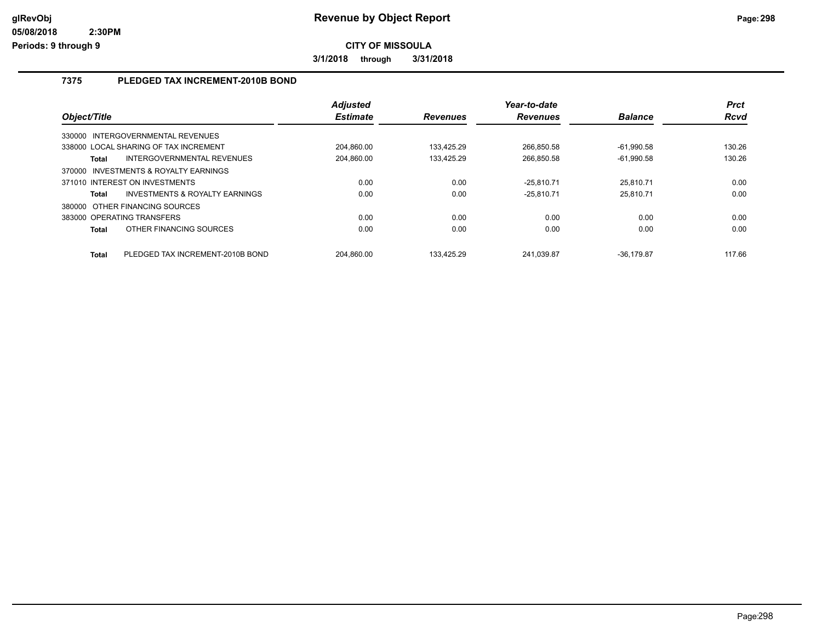**3/1/2018 through 3/31/2018**

### **7375 PLEDGED TAX INCREMENT-2010B BOND**

|              |                                       | <b>Adjusted</b> |                 | Year-to-date    |                | <b>Prct</b> |
|--------------|---------------------------------------|-----------------|-----------------|-----------------|----------------|-------------|
| Object/Title |                                       | <b>Estimate</b> | <b>Revenues</b> | <b>Revenues</b> | <b>Balance</b> | <b>Rcvd</b> |
|              | 330000 INTERGOVERNMENTAL REVENUES     |                 |                 |                 |                |             |
|              | 338000 LOCAL SHARING OF TAX INCREMENT | 204.860.00      | 133.425.29      | 266.850.58      | $-61.990.58$   | 130.26      |
| Total        | INTERGOVERNMENTAL REVENUES            | 204,860.00      | 133.425.29      | 266,850.58      | $-61,990.58$   | 130.26      |
|              | 370000 INVESTMENTS & ROYALTY EARNINGS |                 |                 |                 |                |             |
|              | 371010 INTEREST ON INVESTMENTS        | 0.00            | 0.00            | $-25.810.71$    | 25.810.71      | 0.00        |
| <b>Total</b> | INVESTMENTS & ROYALTY EARNINGS        | 0.00            | 0.00            | $-25.810.71$    | 25.810.71      | 0.00        |
|              | 380000 OTHER FINANCING SOURCES        |                 |                 |                 |                |             |
|              | 383000 OPERATING TRANSFERS            | 0.00            | 0.00            | 0.00            | 0.00           | 0.00        |
| <b>Total</b> | OTHER FINANCING SOURCES               | 0.00            | 0.00            | 0.00            | 0.00           | 0.00        |
| <b>Total</b> | PLEDGED TAX INCREMENT-2010B BOND      | 204.860.00      | 133.425.29      | 241.039.87      | $-36.179.87$   | 117.66      |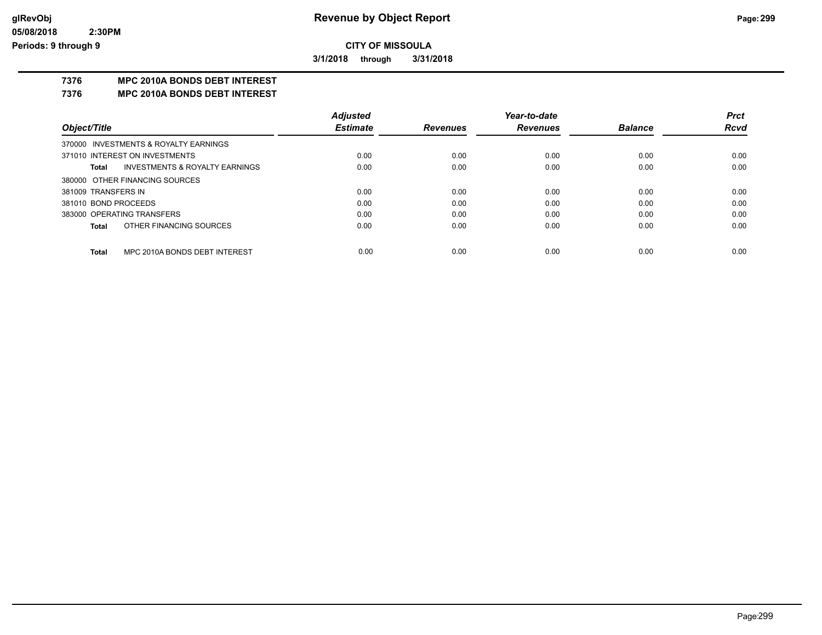**3/1/2018 through 3/31/2018**

## **7376 MPC 2010A BONDS DEBT INTEREST**

#### **7376 MPC 2010A BONDS DEBT INTEREST**

|                      |                                       | <b>Adjusted</b> |                 | Year-to-date    |                | <b>Prct</b> |
|----------------------|---------------------------------------|-----------------|-----------------|-----------------|----------------|-------------|
| Object/Title         |                                       | <b>Estimate</b> | <b>Revenues</b> | <b>Revenues</b> | <b>Balance</b> | <b>Rcvd</b> |
|                      | 370000 INVESTMENTS & ROYALTY EARNINGS |                 |                 |                 |                |             |
|                      | 371010 INTEREST ON INVESTMENTS        | 0.00            | 0.00            | 0.00            | 0.00           | 0.00        |
| Total                | INVESTMENTS & ROYALTY EARNINGS        | 0.00            | 0.00            | 0.00            | 0.00           | 0.00        |
|                      | 380000 OTHER FINANCING SOURCES        |                 |                 |                 |                |             |
| 381009 TRANSFERS IN  |                                       | 0.00            | 0.00            | 0.00            | 0.00           | 0.00        |
| 381010 BOND PROCEEDS |                                       | 0.00            | 0.00            | 0.00            | 0.00           | 0.00        |
|                      | 383000 OPERATING TRANSFERS            | 0.00            | 0.00            | 0.00            | 0.00           | 0.00        |
| Total                | OTHER FINANCING SOURCES               | 0.00            | 0.00            | 0.00            | 0.00           | 0.00        |
| Total                | MPC 2010A BONDS DEBT INTEREST         | 0.00            | 0.00            | 0.00            | 0.00           | 0.00        |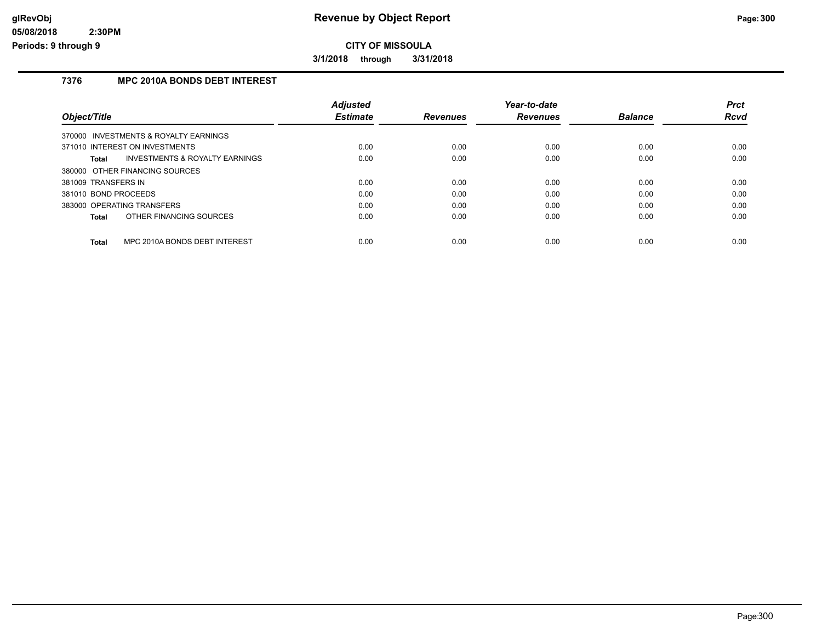**3/1/2018 through 3/31/2018**

## **7376 MPC 2010A BONDS DEBT INTEREST**

|                                                    | <b>Adjusted</b> |                 | Year-to-date    |                | <b>Prct</b> |
|----------------------------------------------------|-----------------|-----------------|-----------------|----------------|-------------|
| Object/Title                                       | <b>Estimate</b> | <b>Revenues</b> | <b>Revenues</b> | <b>Balance</b> | <b>Rcvd</b> |
| 370000 INVESTMENTS & ROYALTY EARNINGS              |                 |                 |                 |                |             |
| 371010 INTEREST ON INVESTMENTS                     | 0.00            | 0.00            | 0.00            | 0.00           | 0.00        |
| <b>INVESTMENTS &amp; ROYALTY EARNINGS</b><br>Total | 0.00            | 0.00            | 0.00            | 0.00           | 0.00        |
| 380000 OTHER FINANCING SOURCES                     |                 |                 |                 |                |             |
| 381009 TRANSFERS IN                                | 0.00            | 0.00            | 0.00            | 0.00           | 0.00        |
| 381010 BOND PROCEEDS                               | 0.00            | 0.00            | 0.00            | 0.00           | 0.00        |
| 383000 OPERATING TRANSFERS                         | 0.00            | 0.00            | 0.00            | 0.00           | 0.00        |
| OTHER FINANCING SOURCES<br>Total                   | 0.00            | 0.00            | 0.00            | 0.00           | 0.00        |
| MPC 2010A BONDS DEBT INTEREST<br><b>Total</b>      | 0.00            | 0.00            | 0.00            | 0.00           | 0.00        |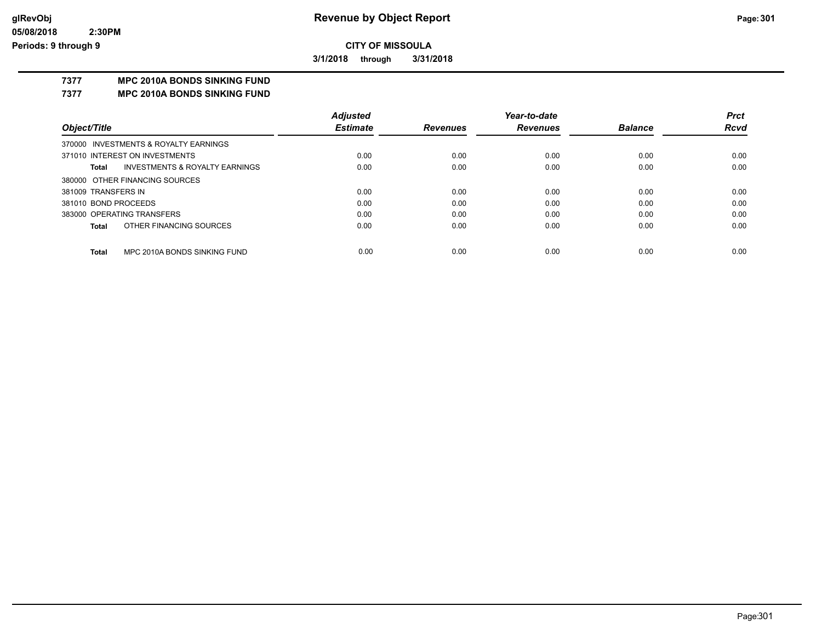**3/1/2018 through 3/31/2018**

## **7377 MPC 2010A BONDS SINKING FUND**

**7377 MPC 2010A BONDS SINKING FUND**

|                      |                                           | <b>Adjusted</b> |                 | Year-to-date    |                | <b>Prct</b> |
|----------------------|-------------------------------------------|-----------------|-----------------|-----------------|----------------|-------------|
| Object/Title         |                                           | <b>Estimate</b> | <b>Revenues</b> | <b>Revenues</b> | <b>Balance</b> | Rcvd        |
|                      | 370000 INVESTMENTS & ROYALTY EARNINGS     |                 |                 |                 |                |             |
|                      | 371010 INTEREST ON INVESTMENTS            | 0.00            | 0.00            | 0.00            | 0.00           | 0.00        |
| <b>Total</b>         | <b>INVESTMENTS &amp; ROYALTY EARNINGS</b> | 0.00            | 0.00            | 0.00            | 0.00           | 0.00        |
|                      | 380000 OTHER FINANCING SOURCES            |                 |                 |                 |                |             |
| 381009 TRANSFERS IN  |                                           | 0.00            | 0.00            | 0.00            | 0.00           | 0.00        |
| 381010 BOND PROCEEDS |                                           | 0.00            | 0.00            | 0.00            | 0.00           | 0.00        |
|                      | 383000 OPERATING TRANSFERS                | 0.00            | 0.00            | 0.00            | 0.00           | 0.00        |
| <b>Total</b>         | OTHER FINANCING SOURCES                   | 0.00            | 0.00            | 0.00            | 0.00           | 0.00        |
| <b>Total</b>         | MPC 2010A BONDS SINKING FUND              | 0.00            | 0.00            | 0.00            | 0.00           | 0.00        |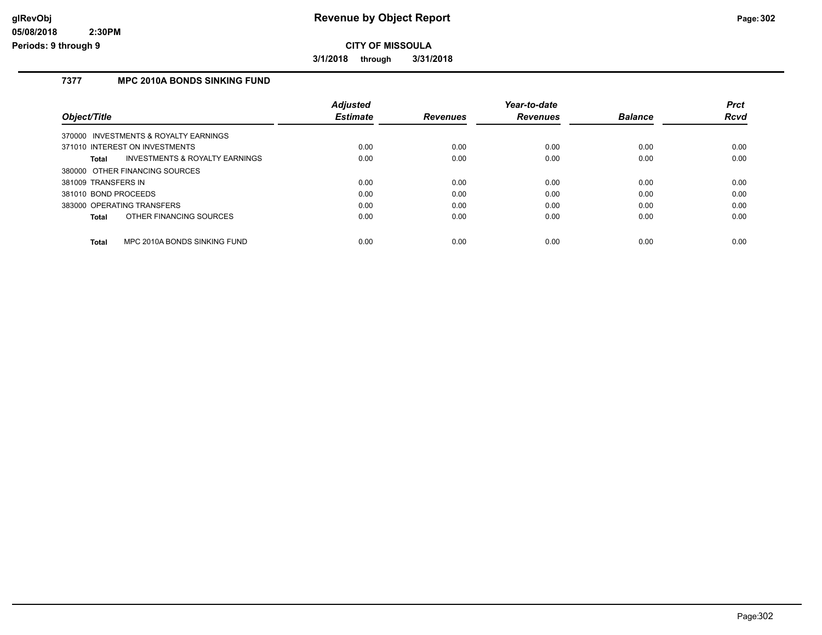**3/1/2018 through 3/31/2018**

## **7377 MPC 2010A BONDS SINKING FUND**

|                                                    | <b>Adjusted</b> |                 | Year-to-date    |                | <b>Prct</b> |
|----------------------------------------------------|-----------------|-----------------|-----------------|----------------|-------------|
| Object/Title                                       | <b>Estimate</b> | <b>Revenues</b> | <b>Revenues</b> | <b>Balance</b> | <b>Rcvd</b> |
| 370000 INVESTMENTS & ROYALTY EARNINGS              |                 |                 |                 |                |             |
| 371010 INTEREST ON INVESTMENTS                     | 0.00            | 0.00            | 0.00            | 0.00           | 0.00        |
| <b>INVESTMENTS &amp; ROYALTY EARNINGS</b><br>Total | 0.00            | 0.00            | 0.00            | 0.00           | 0.00        |
| 380000 OTHER FINANCING SOURCES                     |                 |                 |                 |                |             |
| 381009 TRANSFERS IN                                | 0.00            | 0.00            | 0.00            | 0.00           | 0.00        |
| 381010 BOND PROCEEDS                               | 0.00            | 0.00            | 0.00            | 0.00           | 0.00        |
| 383000 OPERATING TRANSFERS                         | 0.00            | 0.00            | 0.00            | 0.00           | 0.00        |
| OTHER FINANCING SOURCES<br><b>Total</b>            | 0.00            | 0.00            | 0.00            | 0.00           | 0.00        |
| MPC 2010A BONDS SINKING FUND<br><b>Total</b>       | 0.00            | 0.00            | 0.00            | 0.00           | 0.00        |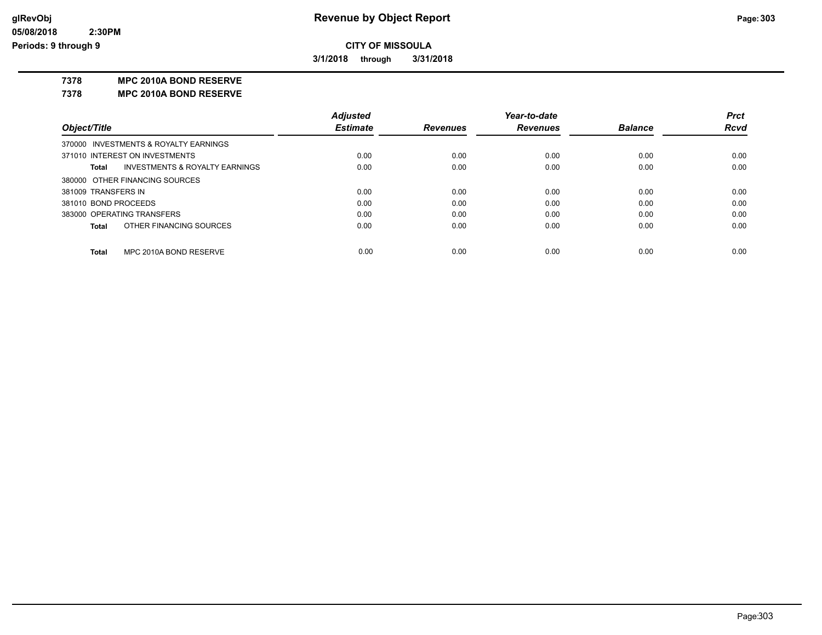**3/1/2018 through 3/31/2018**

**7378 MPC 2010A BOND RESERVE**

**7378 MPC 2010A BOND RESERVE**

|                      |                                           | <b>Adjusted</b> |                 | Year-to-date    |                | <b>Prct</b> |
|----------------------|-------------------------------------------|-----------------|-----------------|-----------------|----------------|-------------|
| Object/Title         |                                           | <b>Estimate</b> | <b>Revenues</b> | <b>Revenues</b> | <b>Balance</b> | <b>Rcvd</b> |
|                      | 370000 INVESTMENTS & ROYALTY EARNINGS     |                 |                 |                 |                |             |
|                      | 371010 INTEREST ON INVESTMENTS            | 0.00            | 0.00            | 0.00            | 0.00           | 0.00        |
| Total                | <b>INVESTMENTS &amp; ROYALTY EARNINGS</b> | 0.00            | 0.00            | 0.00            | 0.00           | 0.00        |
|                      | 380000 OTHER FINANCING SOURCES            |                 |                 |                 |                |             |
| 381009 TRANSFERS IN  |                                           | 0.00            | 0.00            | 0.00            | 0.00           | 0.00        |
| 381010 BOND PROCEEDS |                                           | 0.00            | 0.00            | 0.00            | 0.00           | 0.00        |
|                      | 383000 OPERATING TRANSFERS                | 0.00            | 0.00            | 0.00            | 0.00           | 0.00        |
| Total                | OTHER FINANCING SOURCES                   | 0.00            | 0.00            | 0.00            | 0.00           | 0.00        |
| <b>Total</b>         | MPC 2010A BOND RESERVE                    | 0.00            | 0.00            | 0.00            | 0.00           | 0.00        |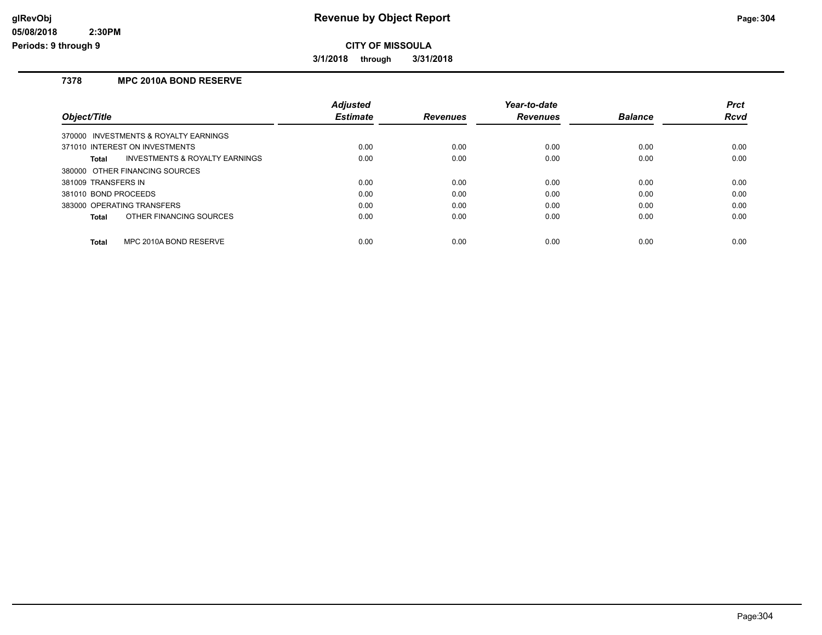**3/1/2018 through 3/31/2018**

### **7378 MPC 2010A BOND RESERVE**

|                                        |                                | <b>Adjusted</b> |                 | Year-to-date    |                | <b>Prct</b> |
|----------------------------------------|--------------------------------|-----------------|-----------------|-----------------|----------------|-------------|
| Object/Title                           |                                | <b>Estimate</b> | <b>Revenues</b> | <b>Revenues</b> | <b>Balance</b> | <b>Rcvd</b> |
| 370000 INVESTMENTS & ROYALTY EARNINGS  |                                |                 |                 |                 |                |             |
| 371010 INTEREST ON INVESTMENTS         |                                | 0.00            | 0.00            | 0.00            | 0.00           | 0.00        |
| Total                                  | INVESTMENTS & ROYALTY EARNINGS | 0.00            | 0.00            | 0.00            | 0.00           | 0.00        |
| 380000 OTHER FINANCING SOURCES         |                                |                 |                 |                 |                |             |
| 381009 TRANSFERS IN                    |                                | 0.00            | 0.00            | 0.00            | 0.00           | 0.00        |
| 381010 BOND PROCEEDS                   |                                | 0.00            | 0.00            | 0.00            | 0.00           | 0.00        |
| 383000 OPERATING TRANSFERS             |                                | 0.00            | 0.00            | 0.00            | 0.00           | 0.00        |
| OTHER FINANCING SOURCES<br>Total       |                                | 0.00            | 0.00            | 0.00            | 0.00           | 0.00        |
| MPC 2010A BOND RESERVE<br><b>Total</b> |                                | 0.00            | 0.00            | 0.00            | 0.00           | 0.00        |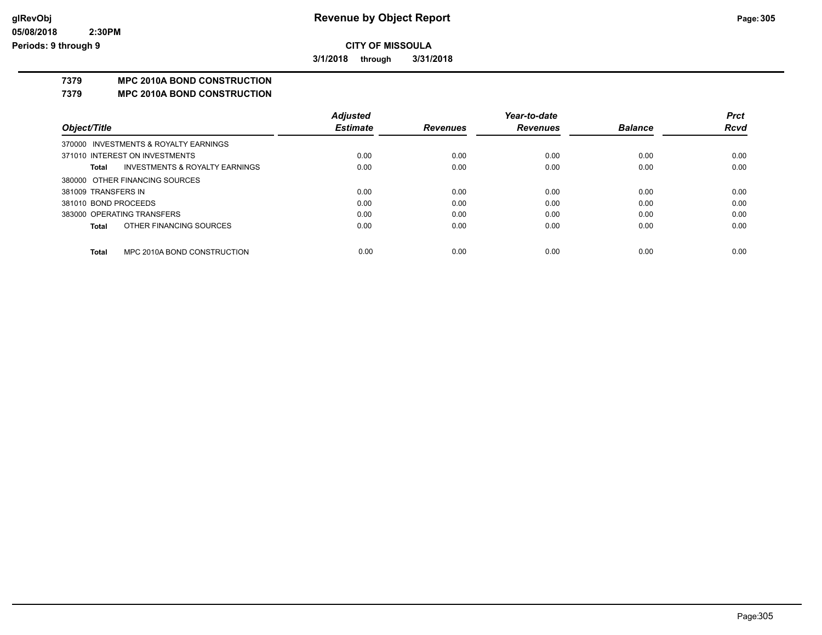**3/1/2018 through 3/31/2018**

## **7379 MPC 2010A BOND CONSTRUCTION**

#### **7379 MPC 2010A BOND CONSTRUCTION**

|                                                    | <b>Adjusted</b> |                 | Year-to-date    |                | <b>Prct</b> |
|----------------------------------------------------|-----------------|-----------------|-----------------|----------------|-------------|
| Object/Title                                       | <b>Estimate</b> | <b>Revenues</b> | <b>Revenues</b> | <b>Balance</b> | <b>Rcvd</b> |
| 370000 INVESTMENTS & ROYALTY EARNINGS              |                 |                 |                 |                |             |
| 371010 INTEREST ON INVESTMENTS                     | 0.00            | 0.00            | 0.00            | 0.00           | 0.00        |
| <b>INVESTMENTS &amp; ROYALTY EARNINGS</b><br>Total | 0.00            | 0.00            | 0.00            | 0.00           | 0.00        |
| 380000 OTHER FINANCING SOURCES                     |                 |                 |                 |                |             |
| 381009 TRANSFERS IN                                | 0.00            | 0.00            | 0.00            | 0.00           | 0.00        |
| 381010 BOND PROCEEDS                               | 0.00            | 0.00            | 0.00            | 0.00           | 0.00        |
| 383000 OPERATING TRANSFERS                         | 0.00            | 0.00            | 0.00            | 0.00           | 0.00        |
| OTHER FINANCING SOURCES<br>Total                   | 0.00            | 0.00            | 0.00            | 0.00           | 0.00        |
| MPC 2010A BOND CONSTRUCTION<br>Total               | 0.00            | 0.00            | 0.00            | 0.00           | 0.00        |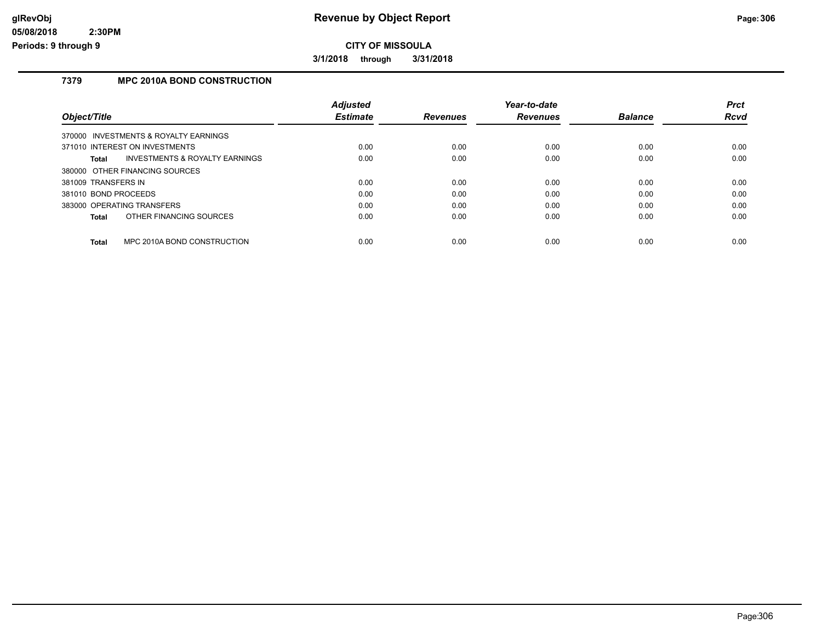**3/1/2018 through 3/31/2018**

## **7379 MPC 2010A BOND CONSTRUCTION**

|                            |                                           | <b>Adjusted</b> |                 | Year-to-date    |                | <b>Prct</b> |
|----------------------------|-------------------------------------------|-----------------|-----------------|-----------------|----------------|-------------|
| Object/Title               |                                           | <b>Estimate</b> | <b>Revenues</b> | <b>Revenues</b> | <b>Balance</b> | <b>Rcvd</b> |
|                            | 370000 INVESTMENTS & ROYALTY EARNINGS     |                 |                 |                 |                |             |
|                            | 371010 INTEREST ON INVESTMENTS            | 0.00            | 0.00            | 0.00            | 0.00           | 0.00        |
| Total                      | <b>INVESTMENTS &amp; ROYALTY EARNINGS</b> | 0.00            | 0.00            | 0.00            | 0.00           | 0.00        |
|                            | 380000 OTHER FINANCING SOURCES            |                 |                 |                 |                |             |
| 381009 TRANSFERS IN        |                                           | 0.00            | 0.00            | 0.00            | 0.00           | 0.00        |
| 381010 BOND PROCEEDS       |                                           | 0.00            | 0.00            | 0.00            | 0.00           | 0.00        |
| 383000 OPERATING TRANSFERS |                                           | 0.00            | 0.00            | 0.00            | 0.00           | 0.00        |
| Total                      | OTHER FINANCING SOURCES                   | 0.00            | 0.00            | 0.00            | 0.00           | 0.00        |
| <b>Total</b>               | MPC 2010A BOND CONSTRUCTION               | 0.00            | 0.00            | 0.00            | 0.00           | 0.00        |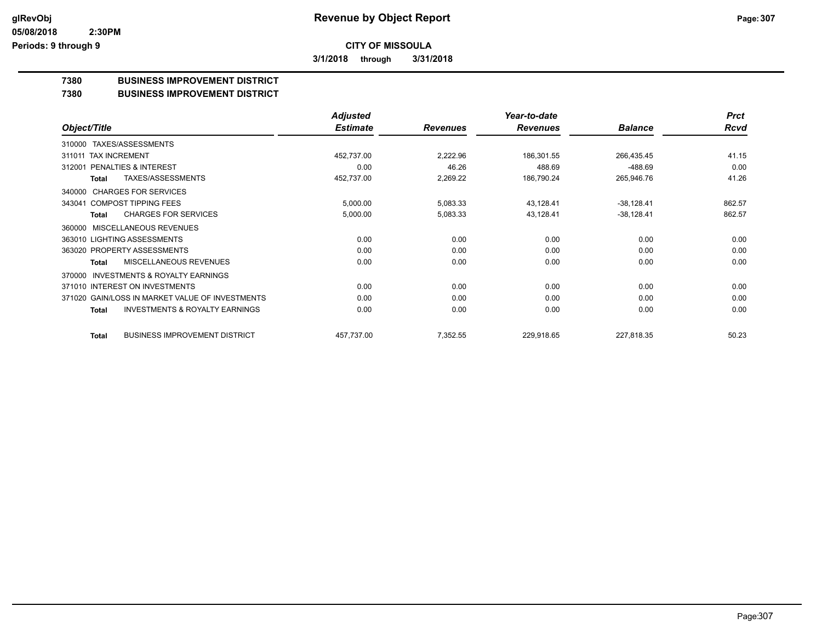**3/1/2018 through 3/31/2018**

## **7380 BUSINESS IMPROVEMENT DISTRICT**

#### **7380 BUSINESS IMPROVEMENT DISTRICT**

|                                                     | <b>Adjusted</b> |                 | Year-to-date    |                | <b>Prct</b> |
|-----------------------------------------------------|-----------------|-----------------|-----------------|----------------|-------------|
| Object/Title                                        | <b>Estimate</b> | <b>Revenues</b> | <b>Revenues</b> | <b>Balance</b> | <b>Rcvd</b> |
| TAXES/ASSESSMENTS<br>310000                         |                 |                 |                 |                |             |
| <b>TAX INCREMENT</b><br>311011                      | 452,737.00      | 2,222.96        | 186,301.55      | 266,435.45     | 41.15       |
| PENALTIES & INTEREST<br>312001                      | 0.00            | 46.26           | 488.69          | $-488.69$      | 0.00        |
| TAXES/ASSESSMENTS<br>Total                          | 452,737.00      | 2,269.22        | 186,790.24      | 265,946.76     | 41.26       |
| <b>CHARGES FOR SERVICES</b><br>340000               |                 |                 |                 |                |             |
| <b>COMPOST TIPPING FEES</b><br>343041               | 5,000.00        | 5,083.33        | 43,128.41       | $-38,128.41$   | 862.57      |
| <b>CHARGES FOR SERVICES</b><br><b>Total</b>         | 5,000.00        | 5,083.33        | 43,128.41       | $-38,128.41$   | 862.57      |
| <b>MISCELLANEOUS REVENUES</b><br>360000             |                 |                 |                 |                |             |
| 363010 LIGHTING ASSESSMENTS                         | 0.00            | 0.00            | 0.00            | 0.00           | 0.00        |
| 363020 PROPERTY ASSESSMENTS                         | 0.00            | 0.00            | 0.00            | 0.00           | 0.00        |
| <b>MISCELLANEOUS REVENUES</b><br>Total              | 0.00            | 0.00            | 0.00            | 0.00           | 0.00        |
| <b>INVESTMENTS &amp; ROYALTY EARNINGS</b><br>370000 |                 |                 |                 |                |             |
| 371010 INTEREST ON INVESTMENTS                      | 0.00            | 0.00            | 0.00            | 0.00           | 0.00        |
| 371020 GAIN/LOSS IN MARKET VALUE OF INVESTMENTS     | 0.00            | 0.00            | 0.00            | 0.00           | 0.00        |
| <b>INVESTMENTS &amp; ROYALTY EARNINGS</b><br>Total  | 0.00            | 0.00            | 0.00            | 0.00           | 0.00        |
| <b>BUSINESS IMPROVEMENT DISTRICT</b><br>Total       | 457,737.00      | 7,352.55        | 229,918.65      | 227,818.35     | 50.23       |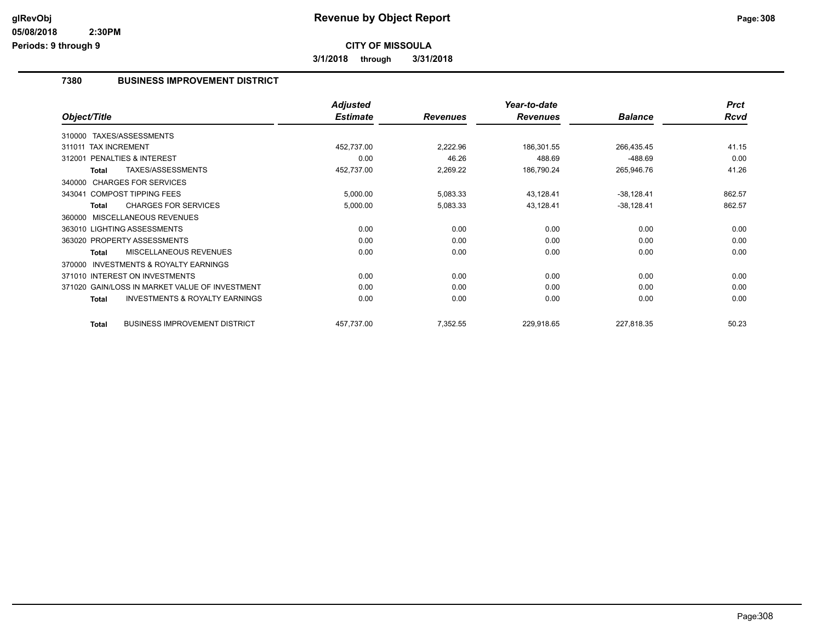**3/1/2018 through 3/31/2018**

#### **7380 BUSINESS IMPROVEMENT DISTRICT**

|                                                           | <b>Adjusted</b> |                 | Year-to-date    |                | <b>Prct</b> |
|-----------------------------------------------------------|-----------------|-----------------|-----------------|----------------|-------------|
| Object/Title                                              | <b>Estimate</b> | <b>Revenues</b> | <b>Revenues</b> | <b>Balance</b> | <b>Rcvd</b> |
| TAXES/ASSESSMENTS<br>310000                               |                 |                 |                 |                |             |
| <b>TAX INCREMENT</b><br>311011                            | 452,737.00      | 2,222.96        | 186,301.55      | 266,435.45     | 41.15       |
| <b>PENALTIES &amp; INTEREST</b><br>312001                 | 0.00            | 46.26           | 488.69          | $-488.69$      | 0.00        |
| TAXES/ASSESSMENTS<br>Total                                | 452,737.00      | 2,269.22        | 186,790.24      | 265,946.76     | 41.26       |
| <b>CHARGES FOR SERVICES</b><br>340000                     |                 |                 |                 |                |             |
| <b>COMPOST TIPPING FEES</b><br>343041                     | 5,000.00        | 5,083.33        | 43,128.41       | $-38,128.41$   | 862.57      |
| <b>CHARGES FOR SERVICES</b><br><b>Total</b>               | 5,000.00        | 5,083.33        | 43,128.41       | $-38,128.41$   | 862.57      |
| MISCELLANEOUS REVENUES<br>360000                          |                 |                 |                 |                |             |
| 363010 LIGHTING ASSESSMENTS                               | 0.00            | 0.00            | 0.00            | 0.00           | 0.00        |
| 363020 PROPERTY ASSESSMENTS                               | 0.00            | 0.00            | 0.00            | 0.00           | 0.00        |
| MISCELLANEOUS REVENUES<br>Total                           | 0.00            | 0.00            | 0.00            | 0.00           | 0.00        |
| INVESTMENTS & ROYALTY EARNINGS<br>370000                  |                 |                 |                 |                |             |
| 371010 INTEREST ON INVESTMENTS                            | 0.00            | 0.00            | 0.00            | 0.00           | 0.00        |
| 371020 GAIN/LOSS IN MARKET VALUE OF INVESTMENT            | 0.00            | 0.00            | 0.00            | 0.00           | 0.00        |
| <b>INVESTMENTS &amp; ROYALTY EARNINGS</b><br><b>Total</b> | 0.00            | 0.00            | 0.00            | 0.00           | 0.00        |
| <b>BUSINESS IMPROVEMENT DISTRICT</b><br><b>Total</b>      | 457,737.00      | 7,352.55        | 229,918.65      | 227,818.35     | 50.23       |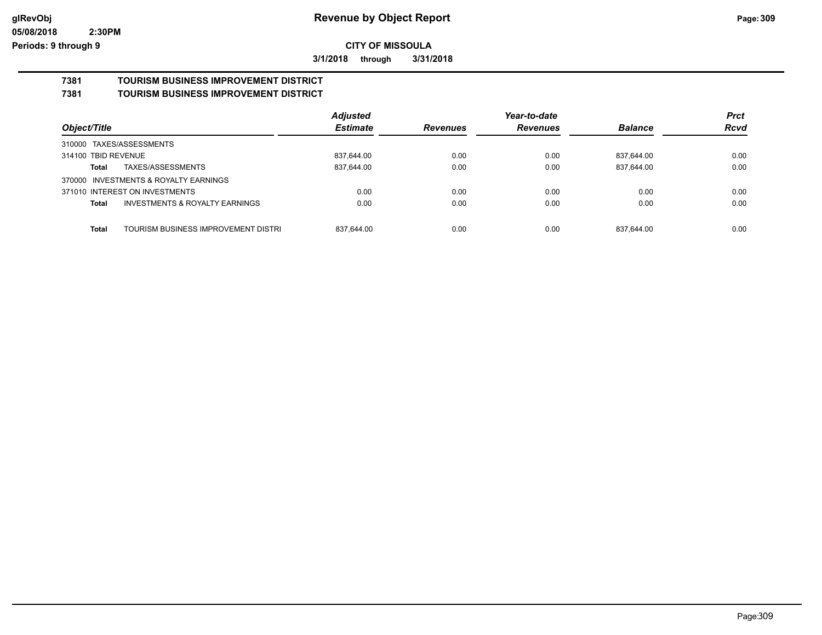**3/1/2018 through 3/31/2018**

# **7381 TOURISM BUSINESS IMPROVEMENT DISTRICT**

# **7381 TOURISM BUSINESS IMPROVEMENT DISTRICT**

|                                                     | <b>Adjusted</b> |                 | Year-to-date    |                | <b>Prct</b> |
|-----------------------------------------------------|-----------------|-----------------|-----------------|----------------|-------------|
| Object/Title                                        | <b>Estimate</b> | <b>Revenues</b> | <b>Revenues</b> | <b>Balance</b> | <b>Rcvd</b> |
| 310000 TAXES/ASSESSMENTS                            |                 |                 |                 |                |             |
| 314100 TBID REVENUE                                 | 837,644.00      | 0.00            | 0.00            | 837,644.00     | 0.00        |
| TAXES/ASSESSMENTS<br>Total                          | 837,644.00      | 0.00            | 0.00            | 837,644.00     | 0.00        |
| 370000 INVESTMENTS & ROYALTY EARNINGS               |                 |                 |                 |                |             |
| 371010 INTEREST ON INVESTMENTS                      | 0.00            | 0.00            | 0.00            | 0.00           | 0.00        |
| <b>INVESTMENTS &amp; ROYALTY EARNINGS</b><br>Total  | 0.00            | 0.00            | 0.00            | 0.00           | 0.00        |
| TOURISM BUSINESS IMPROVEMENT DISTRI<br><b>Total</b> | 837.644.00      | 0.00            | 0.00            | 837.644.00     | 0.00        |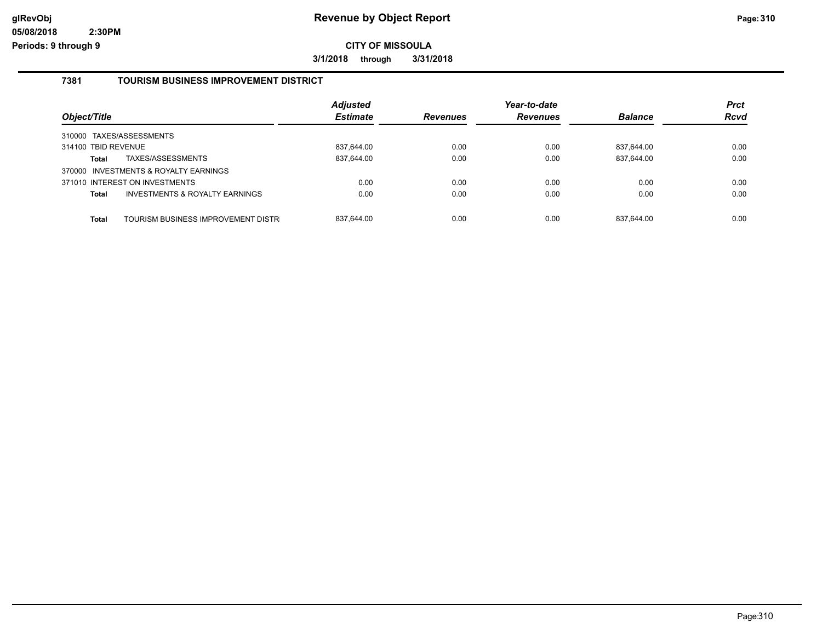**3/1/2018 through 3/31/2018**

### **7381 TOURISM BUSINESS IMPROVEMENT DISTRICT**

| Object/Title                                       | <b>Adjusted</b><br><b>Estimate</b> | <b>Revenues</b> | Year-to-date<br><b>Revenues</b> | <b>Balance</b> | <b>Prct</b><br><b>Rcvd</b> |
|----------------------------------------------------|------------------------------------|-----------------|---------------------------------|----------------|----------------------------|
| 310000 TAXES/ASSESSMENTS                           |                                    |                 |                                 |                |                            |
| 314100 TBID REVENUE                                | 837,644.00                         | 0.00            | 0.00                            | 837,644.00     | 0.00                       |
| TAXES/ASSESSMENTS<br><b>Total</b>                  | 837,644.00                         | 0.00            | 0.00                            | 837,644.00     | 0.00                       |
| 370000 INVESTMENTS & ROYALTY EARNINGS              |                                    |                 |                                 |                |                            |
| 371010 INTEREST ON INVESTMENTS                     | 0.00                               | 0.00            | 0.00                            | 0.00           | 0.00                       |
| INVESTMENTS & ROYALTY EARNINGS<br><b>Total</b>     | 0.00                               | 0.00            | 0.00                            | 0.00           | 0.00                       |
|                                                    |                                    |                 |                                 |                |                            |
| TOURISM BUSINESS IMPROVEMENT DISTR<br><b>Total</b> | 837.644.00                         | 0.00            | 0.00                            | 837.644.00     | 0.00                       |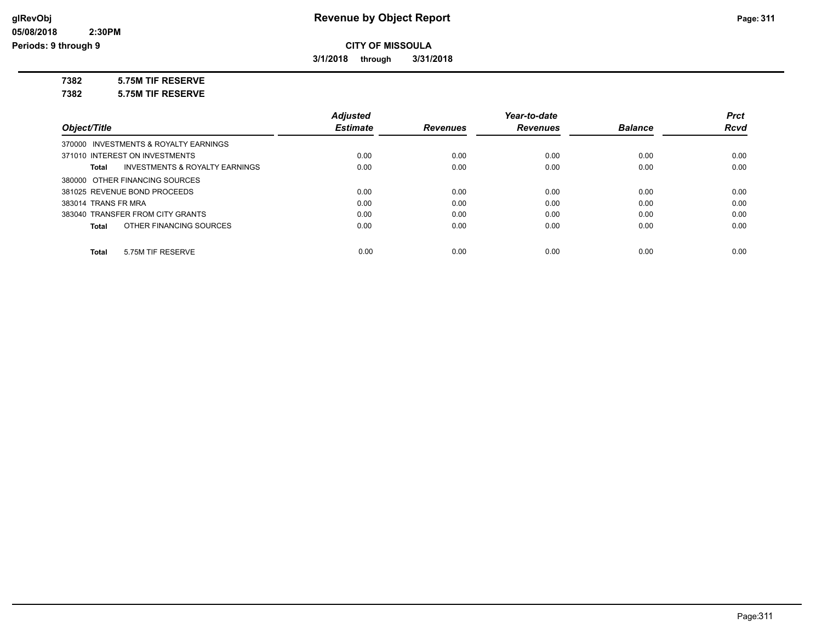**3/1/2018 through 3/31/2018**

**7382 5.75M TIF RESERVE**

**7382 5.75M TIF RESERVE**

|                                         | <b>Adjusted</b> |                 | Year-to-date    |                | <b>Prct</b> |
|-----------------------------------------|-----------------|-----------------|-----------------|----------------|-------------|
| Object/Title                            | <b>Estimate</b> | <b>Revenues</b> | <b>Revenues</b> | <b>Balance</b> | <b>Rcvd</b> |
| 370000 INVESTMENTS & ROYALTY EARNINGS   |                 |                 |                 |                |             |
| 371010 INTEREST ON INVESTMENTS          | 0.00            | 0.00            | 0.00            | 0.00           | 0.00        |
| INVESTMENTS & ROYALTY EARNINGS<br>Total | 0.00            | 0.00            | 0.00            | 0.00           | 0.00        |
| 380000 OTHER FINANCING SOURCES          |                 |                 |                 |                |             |
| 381025 REVENUE BOND PROCEEDS            | 0.00            | 0.00            | 0.00            | 0.00           | 0.00        |
| 383014 TRANS FR MRA                     | 0.00            | 0.00            | 0.00            | 0.00           | 0.00        |
| 383040 TRANSFER FROM CITY GRANTS        | 0.00            | 0.00            | 0.00            | 0.00           | 0.00        |
| OTHER FINANCING SOURCES<br>Total        | 0.00            | 0.00            | 0.00            | 0.00           | 0.00        |
| 5.75M TIF RESERVE<br><b>Total</b>       | 0.00            | 0.00            | 0.00            | 0.00           | 0.00        |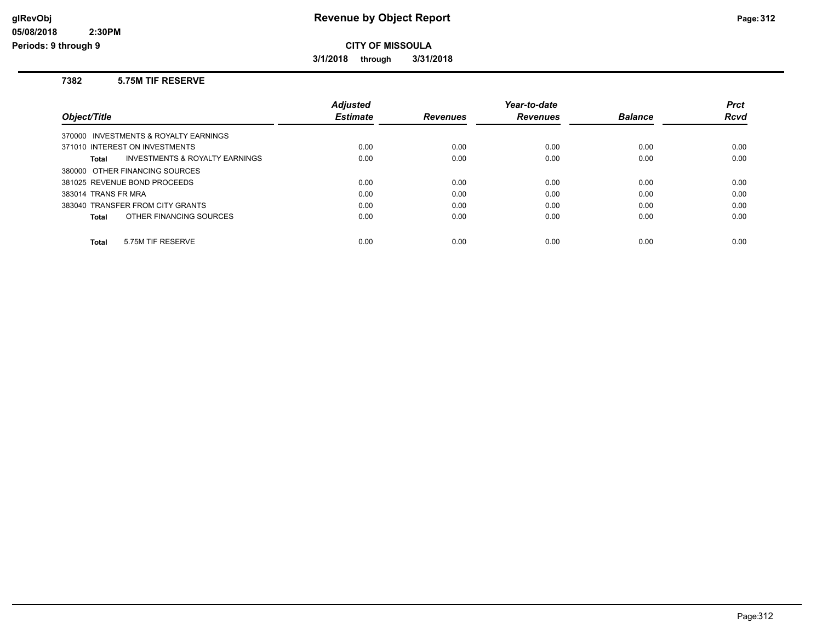**3/1/2018 through 3/31/2018**

#### **7382 5.75M TIF RESERVE**

|                                         | <b>Adjusted</b> |                 | Year-to-date    |                | <b>Prct</b> |
|-----------------------------------------|-----------------|-----------------|-----------------|----------------|-------------|
| Object/Title                            | <b>Estimate</b> | <b>Revenues</b> | <b>Revenues</b> | <b>Balance</b> | <b>Rcvd</b> |
| 370000 INVESTMENTS & ROYALTY EARNINGS   |                 |                 |                 |                |             |
| 371010 INTEREST ON INVESTMENTS          | 0.00            | 0.00            | 0.00            | 0.00           | 0.00        |
| INVESTMENTS & ROYALTY EARNINGS<br>Total | 0.00            | 0.00            | 0.00            | 0.00           | 0.00        |
| 380000 OTHER FINANCING SOURCES          |                 |                 |                 |                |             |
| 381025 REVENUE BOND PROCEEDS            | 0.00            | 0.00            | 0.00            | 0.00           | 0.00        |
| 383014 TRANS FR MRA                     | 0.00            | 0.00            | 0.00            | 0.00           | 0.00        |
| 383040 TRANSFER FROM CITY GRANTS        | 0.00            | 0.00            | 0.00            | 0.00           | 0.00        |
| OTHER FINANCING SOURCES<br>Total        | 0.00            | 0.00            | 0.00            | 0.00           | 0.00        |
| 5.75M TIF RESERVE<br><b>Total</b>       | 0.00            | 0.00            | 0.00            | 0.00           | 0.00        |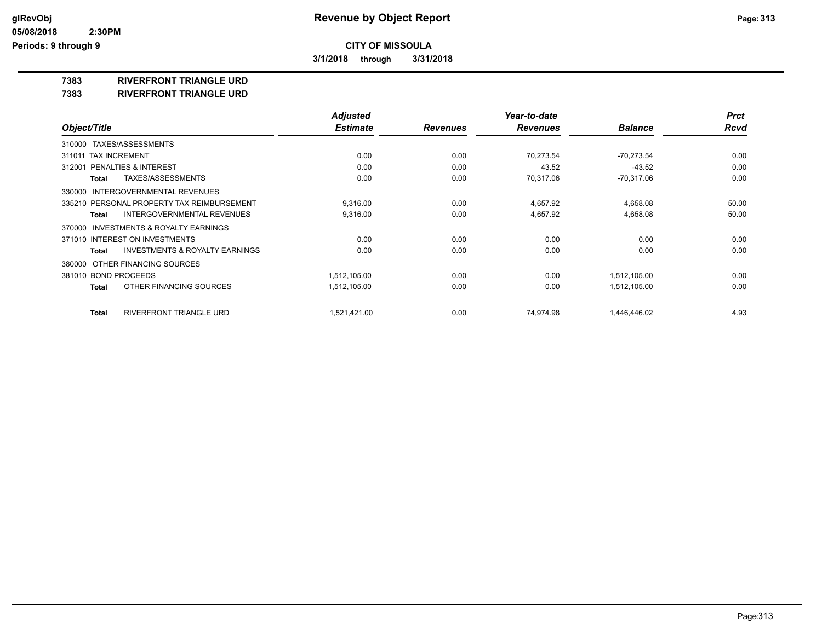**3/1/2018 through 3/31/2018**

**7383 RIVERFRONT TRIANGLE URD**

**7383 RIVERFRONT TRIANGLE URD**

|                                                           | <b>Adjusted</b> |                 | Year-to-date    |                | <b>Prct</b> |
|-----------------------------------------------------------|-----------------|-----------------|-----------------|----------------|-------------|
| Object/Title                                              | <b>Estimate</b> | <b>Revenues</b> | <b>Revenues</b> | <b>Balance</b> | <b>Rcvd</b> |
| TAXES/ASSESSMENTS<br>310000                               |                 |                 |                 |                |             |
| 311011 TAX INCREMENT                                      | 0.00            | 0.00            | 70,273.54       | $-70,273.54$   | 0.00        |
| 312001 PENALTIES & INTEREST                               | 0.00            | 0.00            | 43.52           | $-43.52$       | 0.00        |
| TAXES/ASSESSMENTS<br><b>Total</b>                         | 0.00            | 0.00            | 70,317.06       | $-70,317.06$   | 0.00        |
| INTERGOVERNMENTAL REVENUES<br>330000                      |                 |                 |                 |                |             |
| 335210 PERSONAL PROPERTY TAX REIMBURSEMENT                | 9,316.00        | 0.00            | 4,657.92        | 4,658.08       | 50.00       |
| INTERGOVERNMENTAL REVENUES<br><b>Total</b>                | 9,316.00        | 0.00            | 4,657.92        | 4,658.08       | 50.00       |
| INVESTMENTS & ROYALTY EARNINGS<br>370000                  |                 |                 |                 |                |             |
| 371010 INTEREST ON INVESTMENTS                            | 0.00            | 0.00            | 0.00            | 0.00           | 0.00        |
| <b>INVESTMENTS &amp; ROYALTY EARNINGS</b><br><b>Total</b> | 0.00            | 0.00            | 0.00            | 0.00           | 0.00        |
| OTHER FINANCING SOURCES<br>380000                         |                 |                 |                 |                |             |
| 381010 BOND PROCEEDS                                      | 1,512,105.00    | 0.00            | 0.00            | 1,512,105.00   | 0.00        |
| OTHER FINANCING SOURCES<br><b>Total</b>                   | 1,512,105.00    | 0.00            | 0.00            | 1,512,105.00   | 0.00        |
| RIVERFRONT TRIANGLE URD<br><b>Total</b>                   | 1,521,421.00    | 0.00            | 74,974.98       | 1,446,446.02   | 4.93        |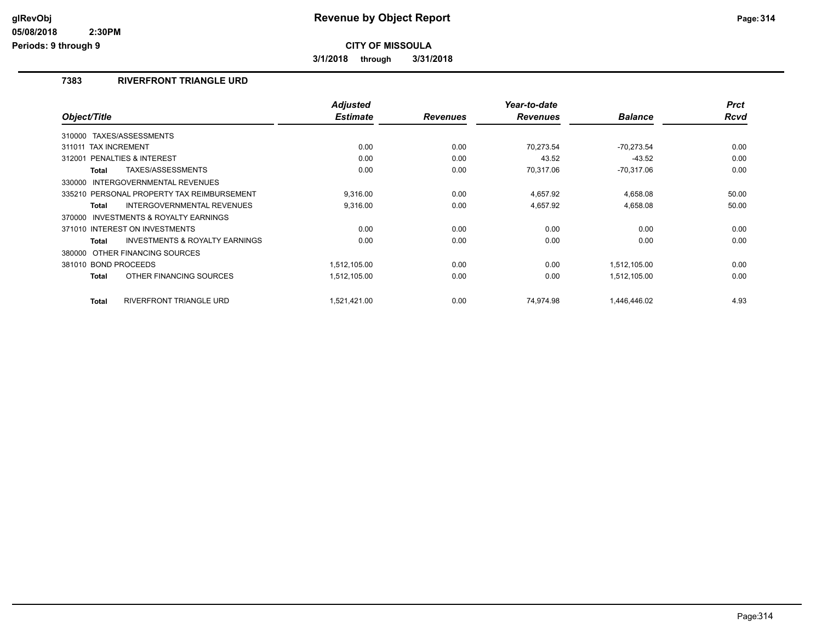**3/1/2018 through 3/31/2018**

## **7383 RIVERFRONT TRIANGLE URD**

|                                                     | <b>Adjusted</b> |                 | Year-to-date    |                | <b>Prct</b> |
|-----------------------------------------------------|-----------------|-----------------|-----------------|----------------|-------------|
| Object/Title                                        | <b>Estimate</b> | <b>Revenues</b> | <b>Revenues</b> | <b>Balance</b> | <b>Rcvd</b> |
| TAXES/ASSESSMENTS<br>310000                         |                 |                 |                 |                |             |
| 311011 TAX INCREMENT                                | 0.00            | 0.00            | 70.273.54       | $-70,273.54$   | 0.00        |
| 312001 PENALTIES & INTEREST                         | 0.00            | 0.00            | 43.52           | $-43.52$       | 0.00        |
| TAXES/ASSESSMENTS<br>Total                          | 0.00            | 0.00            | 70,317.06       | $-70,317.06$   | 0.00        |
| <b>INTERGOVERNMENTAL REVENUES</b><br>330000         |                 |                 |                 |                |             |
| 335210 PERSONAL PROPERTY TAX REIMBURSEMENT          | 9.316.00        | 0.00            | 4.657.92        | 4,658.08       | 50.00       |
| <b>INTERGOVERNMENTAL REVENUES</b><br>Total          | 9,316.00        | 0.00            | 4,657.92        | 4,658.08       | 50.00       |
| <b>INVESTMENTS &amp; ROYALTY EARNINGS</b><br>370000 |                 |                 |                 |                |             |
| 371010 INTEREST ON INVESTMENTS                      | 0.00            | 0.00            | 0.00            | 0.00           | 0.00        |
| <b>INVESTMENTS &amp; ROYALTY EARNINGS</b><br>Total  | 0.00            | 0.00            | 0.00            | 0.00           | 0.00        |
| 380000 OTHER FINANCING SOURCES                      |                 |                 |                 |                |             |
| 381010 BOND PROCEEDS                                | 1,512,105.00    | 0.00            | 0.00            | 1,512,105.00   | 0.00        |
| OTHER FINANCING SOURCES<br>Total                    | 1,512,105.00    | 0.00            | 0.00            | 1,512,105.00   | 0.00        |
| <b>RIVERFRONT TRIANGLE URD</b><br><b>Total</b>      | 1,521,421.00    | 0.00            | 74,974.98       | 1,446,446.02   | 4.93        |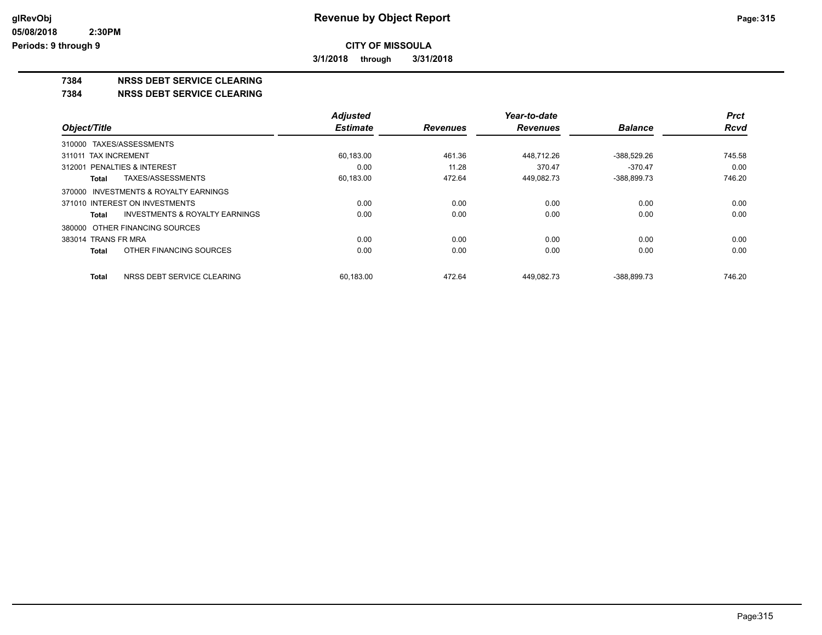**3/1/2018 through 3/31/2018**

## **7384 NRSS DEBT SERVICE CLEARING**

**7384 NRSS DEBT SERVICE CLEARING**

|                                                    | <b>Adjusted</b> |                 | Year-to-date    |                | <b>Prct</b> |
|----------------------------------------------------|-----------------|-----------------|-----------------|----------------|-------------|
| Object/Title                                       | <b>Estimate</b> | <b>Revenues</b> | <b>Revenues</b> | <b>Balance</b> | <b>Rcvd</b> |
| 310000 TAXES/ASSESSMENTS                           |                 |                 |                 |                |             |
| 311011 TAX INCREMENT                               | 60,183.00       | 461.36          | 448.712.26      | -388,529.26    | 745.58      |
| 312001 PENALTIES & INTEREST                        | 0.00            | 11.28           | 370.47          | $-370.47$      | 0.00        |
| TAXES/ASSESSMENTS<br>Total                         | 60,183.00       | 472.64          | 449.082.73      | -388.899.73    | 746.20      |
| 370000 INVESTMENTS & ROYALTY EARNINGS              |                 |                 |                 |                |             |
| 371010 INTEREST ON INVESTMENTS                     | 0.00            | 0.00            | 0.00            | 0.00           | 0.00        |
| <b>INVESTMENTS &amp; ROYALTY EARNINGS</b><br>Total | 0.00            | 0.00            | 0.00            | 0.00           | 0.00        |
| 380000 OTHER FINANCING SOURCES                     |                 |                 |                 |                |             |
| 383014 TRANS FR MRA                                | 0.00            | 0.00            | 0.00            | 0.00           | 0.00        |
| OTHER FINANCING SOURCES<br>Total                   | 0.00            | 0.00            | 0.00            | 0.00           | 0.00        |
| NRSS DEBT SERVICE CLEARING<br><b>Total</b>         | 60.183.00       | 472.64          | 449.082.73      | -388.899.73    | 746.20      |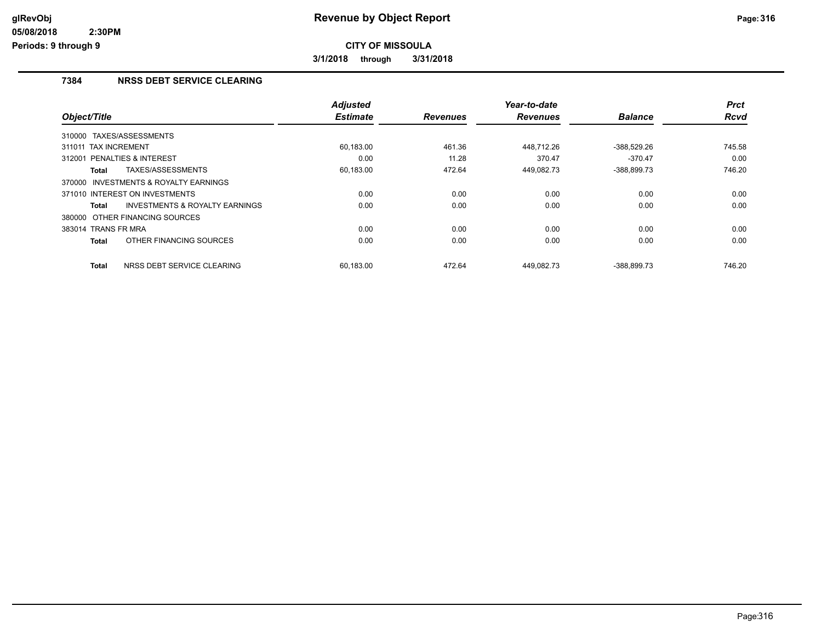**3/1/2018 through 3/31/2018**

## **7384 NRSS DEBT SERVICE CLEARING**

|                                                     | <b>Adjusted</b> |                 | Year-to-date    |                | <b>Prct</b> |
|-----------------------------------------------------|-----------------|-----------------|-----------------|----------------|-------------|
| Object/Title                                        | <b>Estimate</b> | <b>Revenues</b> | <b>Revenues</b> | <b>Balance</b> | <b>Rcvd</b> |
| 310000 TAXES/ASSESSMENTS                            |                 |                 |                 |                |             |
| 311011 TAX INCREMENT                                | 60,183.00       | 461.36          | 448.712.26      | $-388,529.26$  | 745.58      |
| 312001 PENALTIES & INTEREST                         | 0.00            | 11.28           | 370.47          | $-370.47$      | 0.00        |
| TAXES/ASSESSMENTS<br>Total                          | 60,183.00       | 472.64          | 449,082.73      | $-388,899.73$  | 746.20      |
| <b>INVESTMENTS &amp; ROYALTY EARNINGS</b><br>370000 |                 |                 |                 |                |             |
| 371010 INTEREST ON INVESTMENTS                      | 0.00            | 0.00            | 0.00            | 0.00           | 0.00        |
| INVESTMENTS & ROYALTY EARNINGS<br>Total             | 0.00            | 0.00            | 0.00            | 0.00           | 0.00        |
| 380000 OTHER FINANCING SOURCES                      |                 |                 |                 |                |             |
| 383014 TRANS FR MRA                                 | 0.00            | 0.00            | 0.00            | 0.00           | 0.00        |
| OTHER FINANCING SOURCES<br>Total                    | 0.00            | 0.00            | 0.00            | 0.00           | 0.00        |
| NRSS DEBT SERVICE CLEARING<br><b>Total</b>          | 60.183.00       | 472.64          | 449.082.73      | -388.899.73    | 746.20      |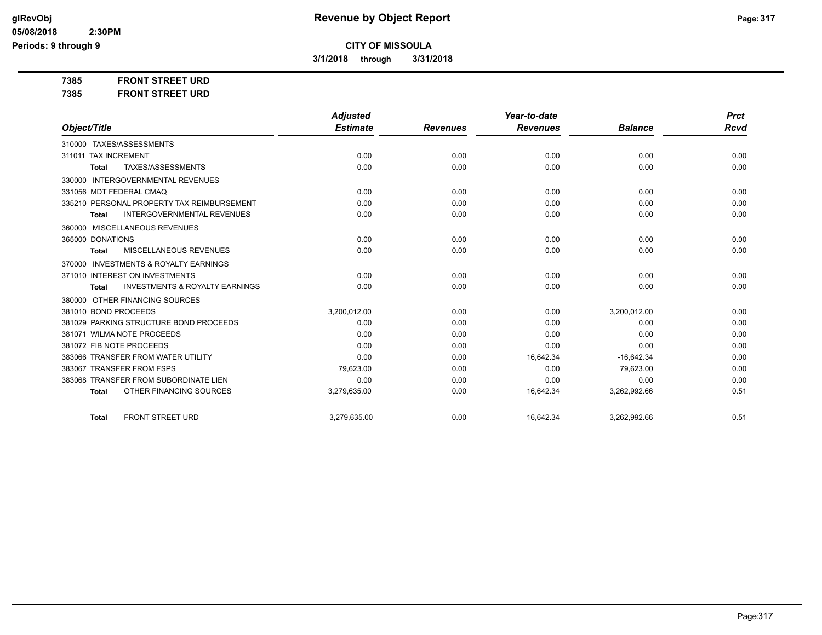**3/1/2018 through 3/31/2018**

**7385 FRONT STREET URD**

**7385 FRONT STREET URD**

|                                                    | <b>Adjusted</b> |                 | Year-to-date    |                | <b>Prct</b> |
|----------------------------------------------------|-----------------|-----------------|-----------------|----------------|-------------|
| Object/Title                                       | <b>Estimate</b> | <b>Revenues</b> | <b>Revenues</b> | <b>Balance</b> | <b>Rcvd</b> |
| 310000 TAXES/ASSESSMENTS                           |                 |                 |                 |                |             |
| 311011 TAX INCREMENT                               | 0.00            | 0.00            | 0.00            | 0.00           | 0.00        |
| TAXES/ASSESSMENTS<br><b>Total</b>                  | 0.00            | 0.00            | 0.00            | 0.00           | 0.00        |
| <b>INTERGOVERNMENTAL REVENUES</b><br>330000        |                 |                 |                 |                |             |
| 331056 MDT FEDERAL CMAQ                            | 0.00            | 0.00            | 0.00            | 0.00           | 0.00        |
| 335210 PERSONAL PROPERTY TAX REIMBURSEMENT         | 0.00            | 0.00            | 0.00            | 0.00           | 0.00        |
| <b>INTERGOVERNMENTAL REVENUES</b><br><b>Total</b>  | 0.00            | 0.00            | 0.00            | 0.00           | 0.00        |
| 360000 MISCELLANEOUS REVENUES                      |                 |                 |                 |                |             |
| 365000 DONATIONS                                   | 0.00            | 0.00            | 0.00            | 0.00           | 0.00        |
| <b>MISCELLANEOUS REVENUES</b><br>Total             | 0.00            | 0.00            | 0.00            | 0.00           | 0.00        |
| 370000 INVESTMENTS & ROYALTY EARNINGS              |                 |                 |                 |                |             |
| 371010 INTEREST ON INVESTMENTS                     | 0.00            | 0.00            | 0.00            | 0.00           | 0.00        |
| <b>INVESTMENTS &amp; ROYALTY EARNINGS</b><br>Total | 0.00            | 0.00            | 0.00            | 0.00           | 0.00        |
| 380000 OTHER FINANCING SOURCES                     |                 |                 |                 |                |             |
| 381010 BOND PROCEEDS                               | 3,200,012.00    | 0.00            | 0.00            | 3,200,012.00   | 0.00        |
| 381029 PARKING STRUCTURE BOND PROCEEDS             | 0.00            | 0.00            | 0.00            | 0.00           | 0.00        |
| 381071 WILMA NOTE PROCEEDS                         | 0.00            | 0.00            | 0.00            | 0.00           | 0.00        |
| 381072 FIB NOTE PROCEEDS                           | 0.00            | 0.00            | 0.00            | 0.00           | 0.00        |
| 383066 TRANSFER FROM WATER UTILITY                 | 0.00            | 0.00            | 16,642.34       | $-16,642.34$   | 0.00        |
| 383067 TRANSFER FROM FSPS                          | 79,623.00       | 0.00            | 0.00            | 79,623.00      | 0.00        |
| 383068 TRANSFER FROM SUBORDINATE LIEN              | 0.00            | 0.00            | 0.00            | 0.00           | 0.00        |
| OTHER FINANCING SOURCES<br><b>Total</b>            | 3,279,635.00    | 0.00            | 16,642.34       | 3,262,992.66   | 0.51        |
| <b>FRONT STREET URD</b><br><b>Total</b>            | 3,279,635.00    | 0.00            | 16,642.34       | 3,262,992.66   | 0.51        |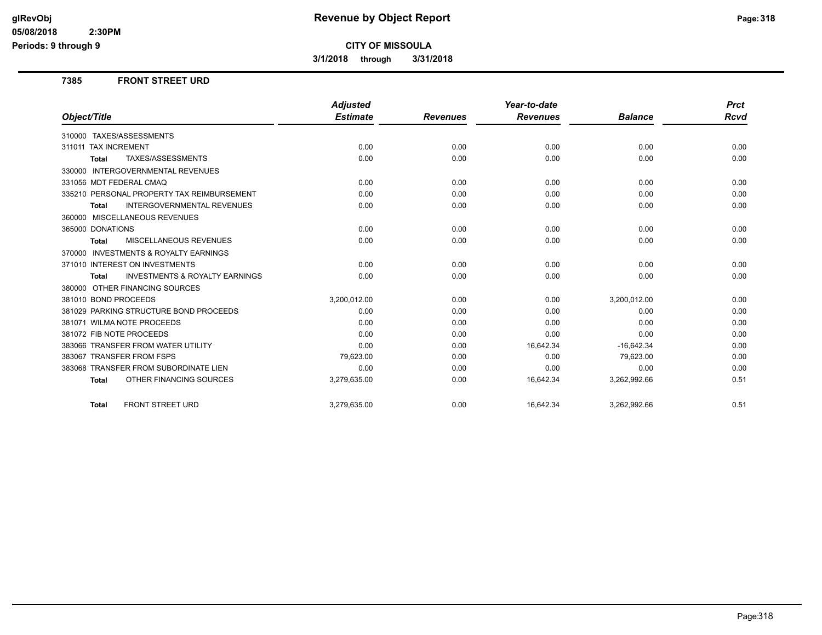**Periods: 9 through 9**

**CITY OF MISSOULA**

**3/1/2018 through 3/31/2018**

#### **7385 FRONT STREET URD**

|                                                           | <b>Adjusted</b> |                 | Year-to-date    |                | <b>Prct</b> |
|-----------------------------------------------------------|-----------------|-----------------|-----------------|----------------|-------------|
| Object/Title                                              | <b>Estimate</b> | <b>Revenues</b> | <b>Revenues</b> | <b>Balance</b> | <b>Rcvd</b> |
| 310000 TAXES/ASSESSMENTS                                  |                 |                 |                 |                |             |
| 311011 TAX INCREMENT                                      | 0.00            | 0.00            | 0.00            | 0.00           | 0.00        |
| TAXES/ASSESSMENTS<br>Total                                | 0.00            | 0.00            | 0.00            | 0.00           | 0.00        |
| 330000 INTERGOVERNMENTAL REVENUES                         |                 |                 |                 |                |             |
| 331056 MDT FEDERAL CMAQ                                   | 0.00            | 0.00            | 0.00            | 0.00           | 0.00        |
| 335210 PERSONAL PROPERTY TAX REIMBURSEMENT                | 0.00            | 0.00            | 0.00            | 0.00           | 0.00        |
| <b>INTERGOVERNMENTAL REVENUES</b><br><b>Total</b>         | 0.00            | 0.00            | 0.00            | 0.00           | 0.00        |
| 360000 MISCELLANEOUS REVENUES                             |                 |                 |                 |                |             |
| 365000 DONATIONS                                          | 0.00            | 0.00            | 0.00            | 0.00           | 0.00        |
| <b>MISCELLANEOUS REVENUES</b><br>Total                    | 0.00            | 0.00            | 0.00            | 0.00           | 0.00        |
| 370000 INVESTMENTS & ROYALTY EARNINGS                     |                 |                 |                 |                |             |
| 371010 INTEREST ON INVESTMENTS                            | 0.00            | 0.00            | 0.00            | 0.00           | 0.00        |
| <b>INVESTMENTS &amp; ROYALTY EARNINGS</b><br><b>Total</b> | 0.00            | 0.00            | 0.00            | 0.00           | 0.00        |
| 380000 OTHER FINANCING SOURCES                            |                 |                 |                 |                |             |
| 381010 BOND PROCEEDS                                      | 3,200,012.00    | 0.00            | 0.00            | 3,200,012.00   | 0.00        |
| 381029 PARKING STRUCTURE BOND PROCEEDS                    | 0.00            | 0.00            | 0.00            | 0.00           | 0.00        |
| 381071 WILMA NOTE PROCEEDS                                | 0.00            | 0.00            | 0.00            | 0.00           | 0.00        |
| 381072 FIB NOTE PROCEEDS                                  | 0.00            | 0.00            | 0.00            | 0.00           | 0.00        |
| 383066 TRANSFER FROM WATER UTILITY                        | 0.00            | 0.00            | 16,642.34       | $-16,642.34$   | 0.00        |
| 383067 TRANSFER FROM FSPS                                 | 79,623.00       | 0.00            | 0.00            | 79,623.00      | 0.00        |
| 383068 TRANSFER FROM SUBORDINATE LIEN                     | 0.00            | 0.00            | 0.00            | 0.00           | 0.00        |
| OTHER FINANCING SOURCES<br><b>Total</b>                   | 3,279,635.00    | 0.00            | 16,642.34       | 3,262,992.66   | 0.51        |
| <b>FRONT STREET URD</b><br><b>Total</b>                   | 3.279.635.00    | 0.00            | 16.642.34       | 3,262,992.66   | 0.51        |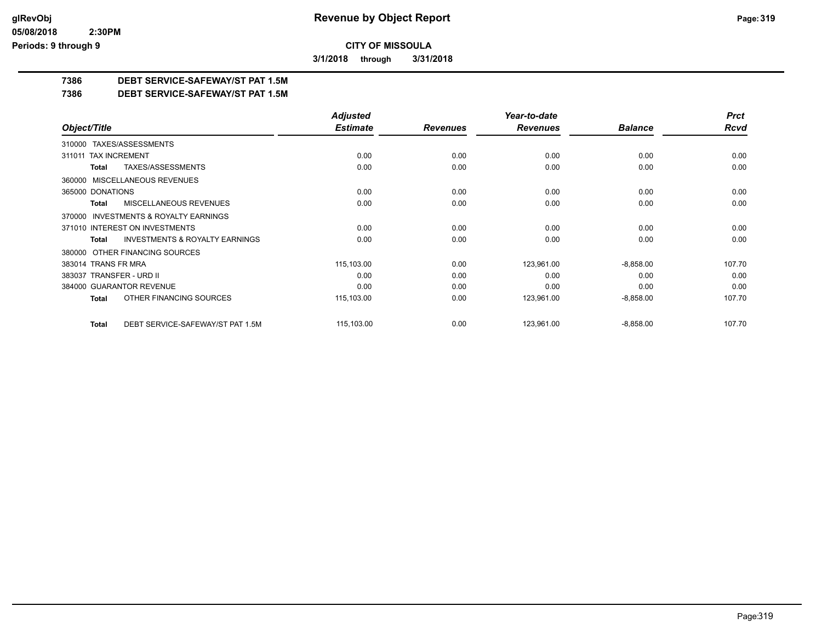**3/1/2018 through 3/31/2018**

## **7386 DEBT SERVICE-SAFEWAY/ST PAT 1.5M**

### **7386 DEBT SERVICE-SAFEWAY/ST PAT 1.5M**

|                                                     | <b>Adjusted</b> |                 | Year-to-date    |                | <b>Prct</b> |
|-----------------------------------------------------|-----------------|-----------------|-----------------|----------------|-------------|
| Object/Title                                        | <b>Estimate</b> | <b>Revenues</b> | <b>Revenues</b> | <b>Balance</b> | <b>Rcvd</b> |
| TAXES/ASSESSMENTS<br>310000                         |                 |                 |                 |                |             |
| 311011 TAX INCREMENT                                | 0.00            | 0.00            | 0.00            | 0.00           | 0.00        |
| TAXES/ASSESSMENTS<br>Total                          | 0.00            | 0.00            | 0.00            | 0.00           | 0.00        |
| MISCELLANEOUS REVENUES<br>360000                    |                 |                 |                 |                |             |
| 365000 DONATIONS                                    | 0.00            | 0.00            | 0.00            | 0.00           | 0.00        |
| <b>MISCELLANEOUS REVENUES</b><br><b>Total</b>       | 0.00            | 0.00            | 0.00            | 0.00           | 0.00        |
| <b>INVESTMENTS &amp; ROYALTY EARNINGS</b><br>370000 |                 |                 |                 |                |             |
| 371010 INTEREST ON INVESTMENTS                      | 0.00            | 0.00            | 0.00            | 0.00           | 0.00        |
| <b>INVESTMENTS &amp; ROYALTY EARNINGS</b><br>Total  | 0.00            | 0.00            | 0.00            | 0.00           | 0.00        |
| OTHER FINANCING SOURCES<br>380000                   |                 |                 |                 |                |             |
| 383014 TRANS FR MRA                                 | 115,103.00      | 0.00            | 123,961.00      | $-8,858.00$    | 107.70      |
| 383037 TRANSFER - URD II                            | 0.00            | 0.00            | 0.00            | 0.00           | 0.00        |
| 384000 GUARANTOR REVENUE                            | 0.00            | 0.00            | 0.00            | 0.00           | 0.00        |
| OTHER FINANCING SOURCES<br>Total                    | 115,103.00      | 0.00            | 123,961.00      | $-8,858.00$    | 107.70      |
| DEBT SERVICE-SAFEWAY/ST PAT 1.5M<br><b>Total</b>    | 115,103.00      | 0.00            | 123,961.00      | $-8,858.00$    | 107.70      |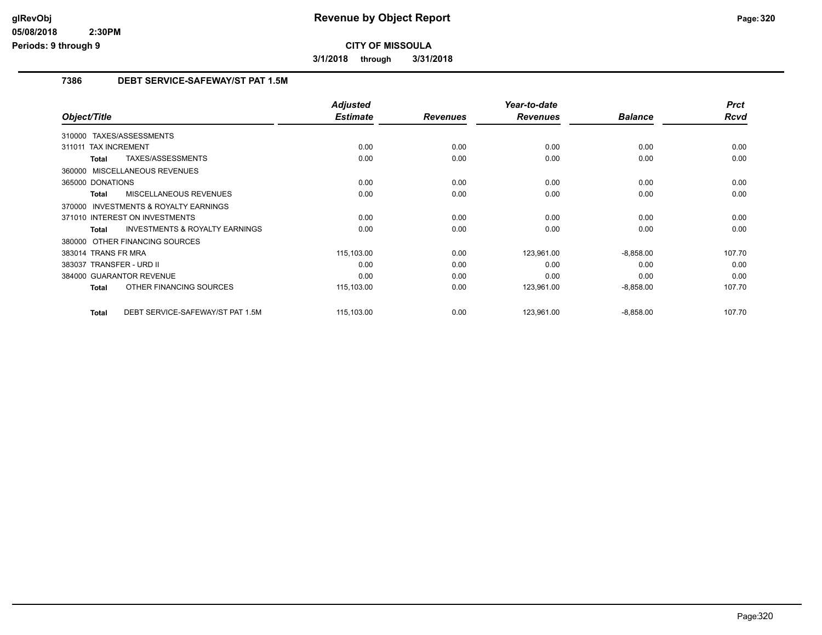**3/1/2018 through 3/31/2018**

## **7386 DEBT SERVICE-SAFEWAY/ST PAT 1.5M**

|                                                     | <b>Adjusted</b> |                 | Year-to-date    |                | <b>Prct</b> |
|-----------------------------------------------------|-----------------|-----------------|-----------------|----------------|-------------|
| Object/Title                                        | <b>Estimate</b> | <b>Revenues</b> | <b>Revenues</b> | <b>Balance</b> | <b>Rcvd</b> |
| 310000 TAXES/ASSESSMENTS                            |                 |                 |                 |                |             |
| 311011 TAX INCREMENT                                | 0.00            | 0.00            | 0.00            | 0.00           | 0.00        |
| TAXES/ASSESSMENTS<br>Total                          | 0.00            | 0.00            | 0.00            | 0.00           | 0.00        |
| 360000 MISCELLANEOUS REVENUES                       |                 |                 |                 |                |             |
| 365000 DONATIONS                                    | 0.00            | 0.00            | 0.00            | 0.00           | 0.00        |
| MISCELLANEOUS REVENUES<br>Total                     | 0.00            | 0.00            | 0.00            | 0.00           | 0.00        |
| <b>INVESTMENTS &amp; ROYALTY EARNINGS</b><br>370000 |                 |                 |                 |                |             |
| 371010 INTEREST ON INVESTMENTS                      | 0.00            | 0.00            | 0.00            | 0.00           | 0.00        |
| <b>INVESTMENTS &amp; ROYALTY EARNINGS</b><br>Total  | 0.00            | 0.00            | 0.00            | 0.00           | 0.00        |
| 380000 OTHER FINANCING SOURCES                      |                 |                 |                 |                |             |
| 383014 TRANS FR MRA                                 | 115,103.00      | 0.00            | 123,961.00      | $-8,858.00$    | 107.70      |
| 383037 TRANSFER - URD II                            | 0.00            | 0.00            | 0.00            | 0.00           | 0.00        |
| 384000 GUARANTOR REVENUE                            | 0.00            | 0.00            | 0.00            | 0.00           | 0.00        |
| OTHER FINANCING SOURCES<br>Total                    | 115,103.00      | 0.00            | 123,961.00      | $-8,858.00$    | 107.70      |
| DEBT SERVICE-SAFEWAY/ST PAT 1.5M<br>Total           | 115,103.00      | 0.00            | 123,961.00      | $-8,858.00$    | 107.70      |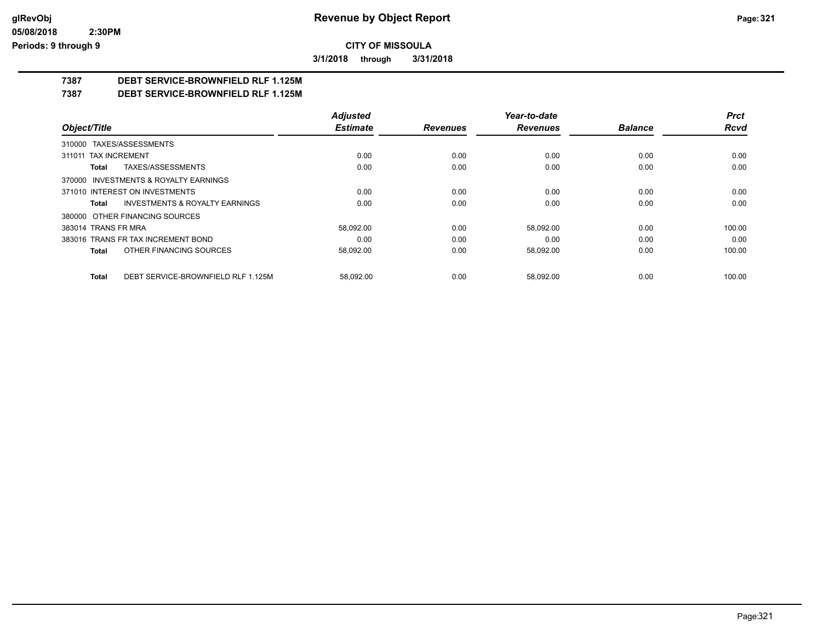**3/1/2018 through 3/31/2018**

# **7387 DEBT SERVICE-BROWNFIELD RLF 1.125M**

**7387 DEBT SERVICE-BROWNFIELD RLF 1.125M**

|                                                    | <b>Adjusted</b> |                 | Year-to-date    |                | <b>Prct</b> |
|----------------------------------------------------|-----------------|-----------------|-----------------|----------------|-------------|
| Object/Title                                       | <b>Estimate</b> | <b>Revenues</b> | <b>Revenues</b> | <b>Balance</b> | <b>Rcvd</b> |
| 310000 TAXES/ASSESSMENTS                           |                 |                 |                 |                |             |
| 311011 TAX INCREMENT                               | 0.00            | 0.00            | 0.00            | 0.00           | 0.00        |
| TAXES/ASSESSMENTS<br>Total                         | 0.00            | 0.00            | 0.00            | 0.00           | 0.00        |
| 370000 INVESTMENTS & ROYALTY EARNINGS              |                 |                 |                 |                |             |
| 371010 INTEREST ON INVESTMENTS                     | 0.00            | 0.00            | 0.00            | 0.00           | 0.00        |
| <b>INVESTMENTS &amp; ROYALTY EARNINGS</b><br>Total | 0.00            | 0.00            | 0.00            | 0.00           | 0.00        |
| 380000 OTHER FINANCING SOURCES                     |                 |                 |                 |                |             |
| 383014 TRANS FR MRA                                | 58,092.00       | 0.00            | 58.092.00       | 0.00           | 100.00      |
| 383016 TRANS FR TAX INCREMENT BOND                 | 0.00            | 0.00            | 0.00            | 0.00           | 0.00        |
| OTHER FINANCING SOURCES<br>Total                   | 58,092.00       | 0.00            | 58.092.00       | 0.00           | 100.00      |
| DEBT SERVICE-BROWNFIELD RLF 1.125M<br><b>Total</b> | 58.092.00       | 0.00            | 58.092.00       | 0.00           | 100.00      |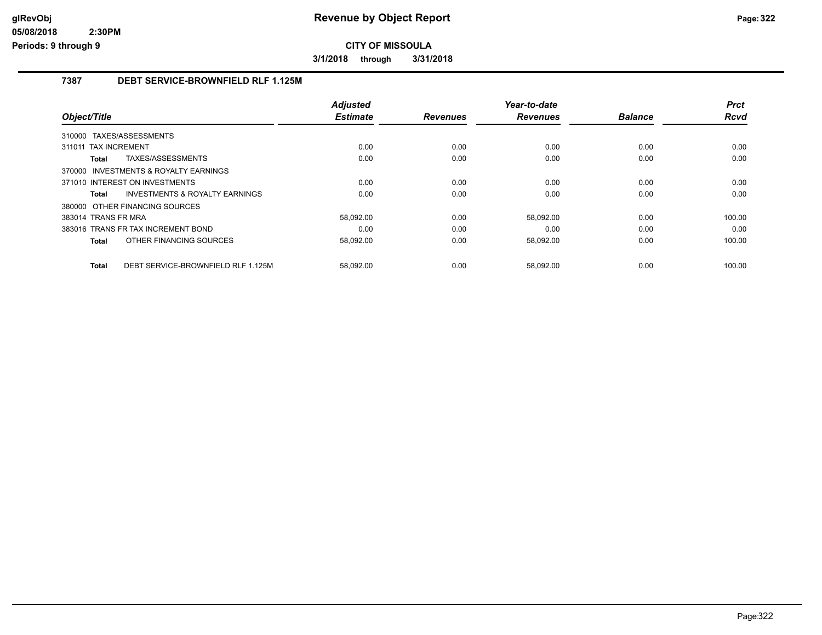**3/1/2018 through 3/31/2018**

#### **7387 DEBT SERVICE-BROWNFIELD RLF 1.125M**

|                                                    | <b>Adjusted</b> |                 | Year-to-date    |                | <b>Prct</b> |
|----------------------------------------------------|-----------------|-----------------|-----------------|----------------|-------------|
| Object/Title                                       | <b>Estimate</b> | <b>Revenues</b> | <b>Revenues</b> | <b>Balance</b> | <b>Rcvd</b> |
| 310000 TAXES/ASSESSMENTS                           |                 |                 |                 |                |             |
| <b>TAX INCREMENT</b><br>311011                     | 0.00            | 0.00            | 0.00            | 0.00           | 0.00        |
| TAXES/ASSESSMENTS<br>Total                         | 0.00            | 0.00            | 0.00            | 0.00           | 0.00        |
| 370000 INVESTMENTS & ROYALTY EARNINGS              |                 |                 |                 |                |             |
| 371010 INTEREST ON INVESTMENTS                     | 0.00            | 0.00            | 0.00            | 0.00           | 0.00        |
| <b>INVESTMENTS &amp; ROYALTY EARNINGS</b><br>Total | 0.00            | 0.00            | 0.00            | 0.00           | 0.00        |
| 380000 OTHER FINANCING SOURCES                     |                 |                 |                 |                |             |
| 383014 TRANS FR MRA                                | 58.092.00       | 0.00            | 58.092.00       | 0.00           | 100.00      |
| 383016 TRANS FR TAX INCREMENT BOND                 | 0.00            | 0.00            | 0.00            | 0.00           | 0.00        |
| OTHER FINANCING SOURCES<br>Total                   | 58,092.00       | 0.00            | 58,092.00       | 0.00           | 100.00      |
|                                                    |                 |                 |                 |                |             |
| DEBT SERVICE-BROWNFIELD RLF 1.125M<br><b>Total</b> | 58,092.00       | 0.00            | 58.092.00       | 0.00           | 100.00      |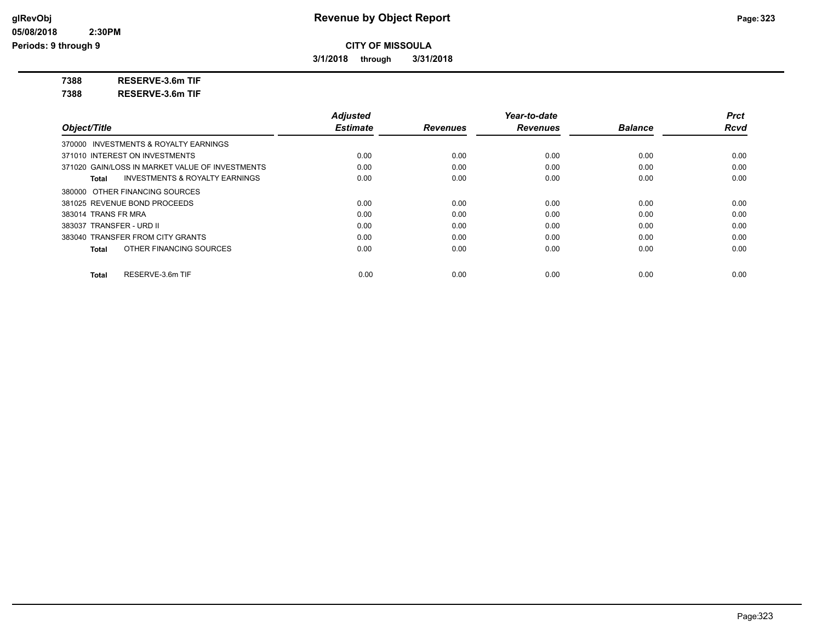**3/1/2018 through 3/31/2018**

**7388 RESERVE-3.6m TIF**

**7388 RESERVE-3.6m TIF**

|                                                    | <b>Adjusted</b> |                 | Year-to-date    |                | <b>Prct</b> |
|----------------------------------------------------|-----------------|-----------------|-----------------|----------------|-------------|
| Object/Title                                       | <b>Estimate</b> | <b>Revenues</b> | <b>Revenues</b> | <b>Balance</b> | <b>Rcvd</b> |
| 370000 INVESTMENTS & ROYALTY EARNINGS              |                 |                 |                 |                |             |
| 371010 INTEREST ON INVESTMENTS                     | 0.00            | 0.00            | 0.00            | 0.00           | 0.00        |
| 371020 GAIN/LOSS IN MARKET VALUE OF INVESTMENTS    | 0.00            | 0.00            | 0.00            | 0.00           | 0.00        |
| <b>INVESTMENTS &amp; ROYALTY EARNINGS</b><br>Total | 0.00            | 0.00            | 0.00            | 0.00           | 0.00        |
| 380000 OTHER FINANCING SOURCES                     |                 |                 |                 |                |             |
| 381025 REVENUE BOND PROCEEDS                       | 0.00            | 0.00            | 0.00            | 0.00           | 0.00        |
| 383014 TRANS FR MRA                                | 0.00            | 0.00            | 0.00            | 0.00           | 0.00        |
| 383037 TRANSFER - URD II                           | 0.00            | 0.00            | 0.00            | 0.00           | 0.00        |
| 383040 TRANSFER FROM CITY GRANTS                   | 0.00            | 0.00            | 0.00            | 0.00           | 0.00        |
| OTHER FINANCING SOURCES<br>Total                   | 0.00            | 0.00            | 0.00            | 0.00           | 0.00        |
|                                                    |                 |                 |                 |                |             |
| RESERVE-3.6m TIF<br>Total                          | 0.00            | 0.00            | 0.00            | 0.00           | 0.00        |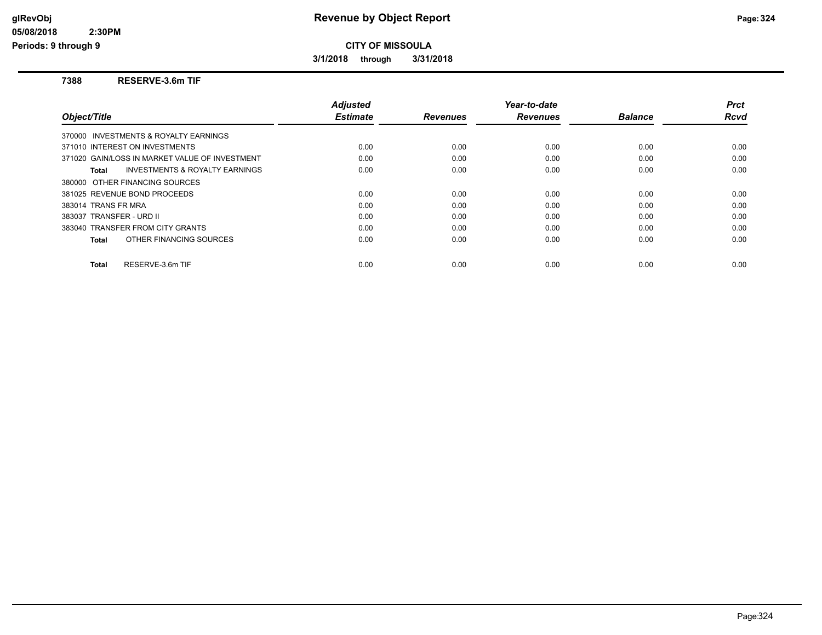**3/1/2018 through 3/31/2018**

#### **7388 RESERVE-3.6m TIF**

|                                                           | <b>Adjusted</b> |                 | Year-to-date    |                | <b>Prct</b> |
|-----------------------------------------------------------|-----------------|-----------------|-----------------|----------------|-------------|
| Object/Title                                              | <b>Estimate</b> | <b>Revenues</b> | <b>Revenues</b> | <b>Balance</b> | <b>Rcvd</b> |
| 370000 INVESTMENTS & ROYALTY EARNINGS                     |                 |                 |                 |                |             |
| 371010 INTEREST ON INVESTMENTS                            | 0.00            | 0.00            | 0.00            | 0.00           | 0.00        |
| 371020 GAIN/LOSS IN MARKET VALUE OF INVESTMENT            | 0.00            | 0.00            | 0.00            | 0.00           | 0.00        |
| <b>INVESTMENTS &amp; ROYALTY EARNINGS</b><br><b>Total</b> | 0.00            | 0.00            | 0.00            | 0.00           | 0.00        |
| 380000 OTHER FINANCING SOURCES                            |                 |                 |                 |                |             |
| 381025 REVENUE BOND PROCEEDS                              | 0.00            | 0.00            | 0.00            | 0.00           | 0.00        |
| 383014 TRANS FR MRA                                       | 0.00            | 0.00            | 0.00            | 0.00           | 0.00        |
| 383037 TRANSFER - URD II                                  | 0.00            | 0.00            | 0.00            | 0.00           | 0.00        |
| 383040 TRANSFER FROM CITY GRANTS                          | 0.00            | 0.00            | 0.00            | 0.00           | 0.00        |
| OTHER FINANCING SOURCES<br><b>Total</b>                   | 0.00            | 0.00            | 0.00            | 0.00           | 0.00        |
| RESERVE-3.6m TIF<br><b>Total</b>                          | 0.00            | 0.00            | 0.00            | 0.00           | 0.00        |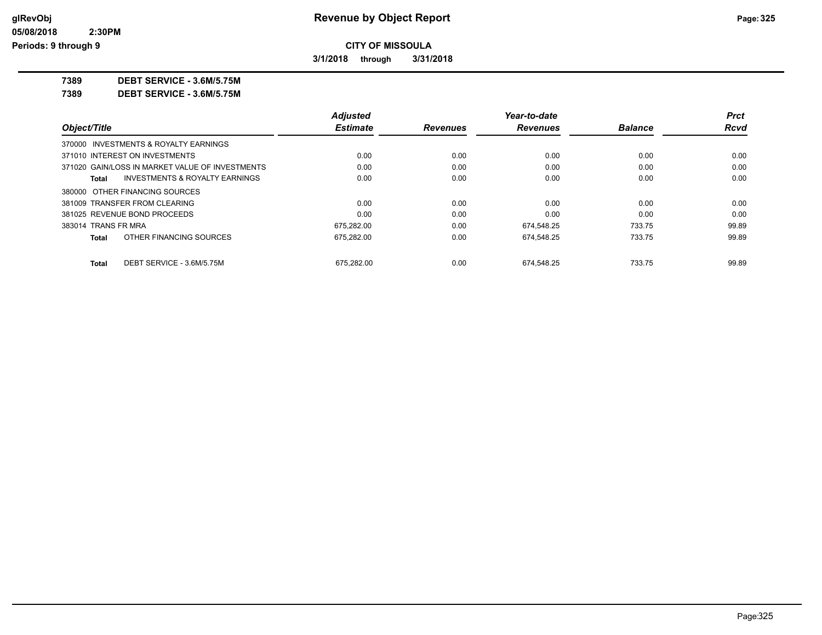**3/1/2018 through 3/31/2018**

**7389 DEBT SERVICE - 3.6M/5.75M**

**7389 DEBT SERVICE - 3.6M/5.75M**

|                     |                                                 | <b>Adjusted</b> |                 | Year-to-date    |                | <b>Prct</b> |
|---------------------|-------------------------------------------------|-----------------|-----------------|-----------------|----------------|-------------|
| Object/Title        |                                                 | <b>Estimate</b> | <b>Revenues</b> | <b>Revenues</b> | <b>Balance</b> | <b>Rcvd</b> |
|                     | 370000 INVESTMENTS & ROYALTY EARNINGS           |                 |                 |                 |                |             |
|                     | 371010 INTEREST ON INVESTMENTS                  | 0.00            | 0.00            | 0.00            | 0.00           | 0.00        |
|                     | 371020 GAIN/LOSS IN MARKET VALUE OF INVESTMENTS | 0.00            | 0.00            | 0.00            | 0.00           | 0.00        |
| Total               | INVESTMENTS & ROYALTY EARNINGS                  | 0.00            | 0.00            | 0.00            | 0.00           | 0.00        |
|                     | 380000 OTHER FINANCING SOURCES                  |                 |                 |                 |                |             |
|                     | 381009 TRANSFER FROM CLEARING                   | 0.00            | 0.00            | 0.00            | 0.00           | 0.00        |
|                     | 381025 REVENUE BOND PROCEEDS                    | 0.00            | 0.00            | 0.00            | 0.00           | 0.00        |
| 383014 TRANS FR MRA |                                                 | 675.282.00      | 0.00            | 674.548.25      | 733.75         | 99.89       |
| Total               | OTHER FINANCING SOURCES                         | 675,282.00      | 0.00            | 674.548.25      | 733.75         | 99.89       |
| Total               | DEBT SERVICE - 3.6M/5.75M                       | 675.282.00      | 0.00            | 674.548.25      | 733.75         | 99.89       |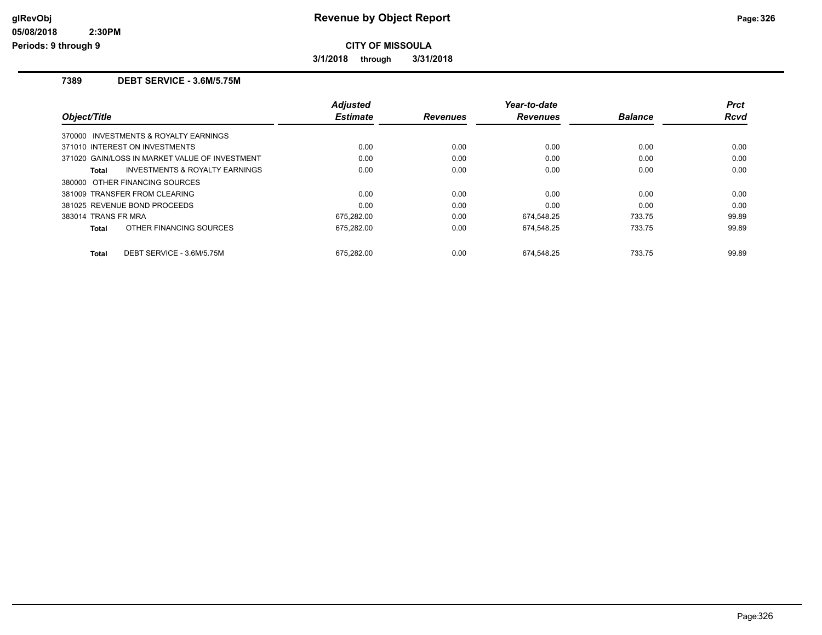**Periods: 9 through 9**

**CITY OF MISSOULA**

**3/1/2018 through 3/31/2018**

### **7389 DEBT SERVICE - 3.6M/5.75M**

 **2:30PM**

| Object/Title                                       | <b>Adjusted</b><br><b>Estimate</b> | <b>Revenues</b> | Year-to-date<br><b>Revenues</b> | <b>Balance</b> | <b>Prct</b><br><b>Rcvd</b> |
|----------------------------------------------------|------------------------------------|-----------------|---------------------------------|----------------|----------------------------|
| 370000 INVESTMENTS & ROYALTY EARNINGS              |                                    |                 |                                 |                |                            |
| 371010 INTEREST ON INVESTMENTS                     | 0.00                               | 0.00            | 0.00                            | 0.00           | 0.00                       |
| 371020 GAIN/LOSS IN MARKET VALUE OF INVESTMENT     | 0.00                               | 0.00            | 0.00                            | 0.00           | 0.00                       |
| <b>INVESTMENTS &amp; ROYALTY EARNINGS</b><br>Total | 0.00                               | 0.00            | 0.00                            | 0.00           | 0.00                       |
| 380000 OTHER FINANCING SOURCES                     |                                    |                 |                                 |                |                            |
| 381009 TRANSFER FROM CLEARING                      | 0.00                               | 0.00            | 0.00                            | 0.00           | 0.00                       |
| 381025 REVENUE BOND PROCEEDS                       | 0.00                               | 0.00            | 0.00                            | 0.00           | 0.00                       |
| 383014 TRANS FR MRA                                | 675,282.00                         | 0.00            | 674,548.25                      | 733.75         | 99.89                      |
| OTHER FINANCING SOURCES<br><b>Total</b>            | 675.282.00                         | 0.00            | 674,548.25                      | 733.75         | 99.89                      |
| DEBT SERVICE - 3.6M/5.75M<br><b>Total</b>          | 675.282.00                         | 0.00            | 674.548.25                      | 733.75         | 99.89                      |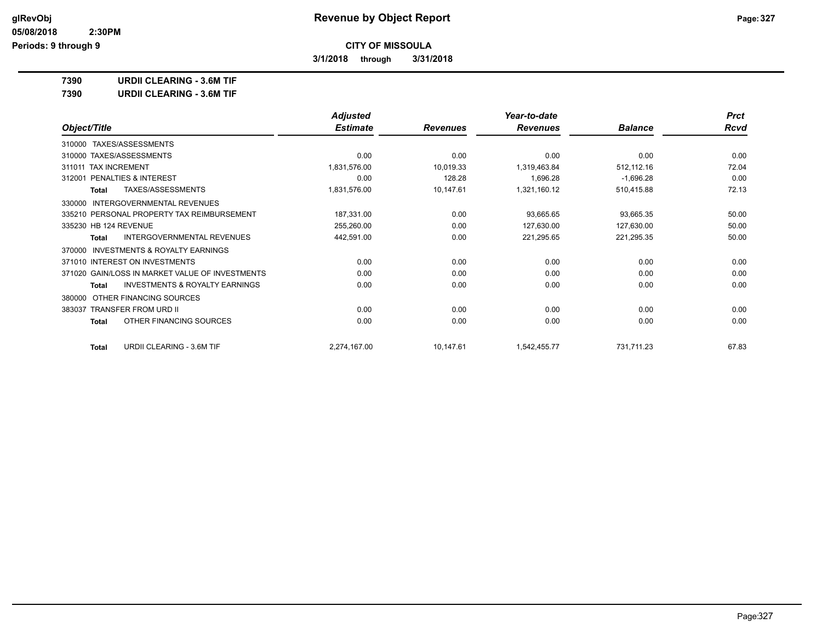**3/1/2018 through 3/31/2018**

**7390 URDII CLEARING - 3.6M TIF**

**7390 URDII CLEARING - 3.6M TIF**

|                                                           | <b>Adjusted</b> |                 | Year-to-date    |                | <b>Prct</b> |
|-----------------------------------------------------------|-----------------|-----------------|-----------------|----------------|-------------|
| Object/Title                                              | <b>Estimate</b> | <b>Revenues</b> | <b>Revenues</b> | <b>Balance</b> | Rcvd        |
| 310000 TAXES/ASSESSMENTS                                  |                 |                 |                 |                |             |
| 310000 TAXES/ASSESSMENTS                                  | 0.00            | 0.00            | 0.00            | 0.00           | 0.00        |
| 311011 TAX INCREMENT                                      | 1,831,576.00    | 10,019.33       | 1,319,463.84    | 512,112.16     | 72.04       |
| PENALTIES & INTEREST<br>312001                            | 0.00            | 128.28          | 1,696.28        | $-1,696.28$    | 0.00        |
| TAXES/ASSESSMENTS<br><b>Total</b>                         | 1,831,576.00    | 10,147.61       | 1,321,160.12    | 510,415.88     | 72.13       |
| <b>INTERGOVERNMENTAL REVENUES</b><br>330000               |                 |                 |                 |                |             |
| 335210 PERSONAL PROPERTY TAX REIMBURSEMENT                | 187,331.00      | 0.00            | 93,665.65       | 93,665.35      | 50.00       |
| 335230 HB 124 REVENUE                                     | 255,260.00      | 0.00            | 127,630.00      | 127,630.00     | 50.00       |
| INTERGOVERNMENTAL REVENUES<br><b>Total</b>                | 442,591.00      | 0.00            | 221,295.65      | 221,295.35     | 50.00       |
| <b>INVESTMENTS &amp; ROYALTY EARNINGS</b><br>370000       |                 |                 |                 |                |             |
| 371010 INTEREST ON INVESTMENTS                            | 0.00            | 0.00            | 0.00            | 0.00           | 0.00        |
| 371020 GAIN/LOSS IN MARKET VALUE OF INVESTMENTS           | 0.00            | 0.00            | 0.00            | 0.00           | 0.00        |
| <b>INVESTMENTS &amp; ROYALTY EARNINGS</b><br><b>Total</b> | 0.00            | 0.00            | 0.00            | 0.00           | 0.00        |
| OTHER FINANCING SOURCES<br>380000                         |                 |                 |                 |                |             |
| 383037 TRANSFER FROM URD II                               | 0.00            | 0.00            | 0.00            | 0.00           | 0.00        |
| OTHER FINANCING SOURCES<br><b>Total</b>                   | 0.00            | 0.00            | 0.00            | 0.00           | 0.00        |
| <b>URDII CLEARING - 3.6M TIF</b><br><b>Total</b>          | 2,274,167.00    | 10,147.61       | 1,542,455.77    | 731,711.23     | 67.83       |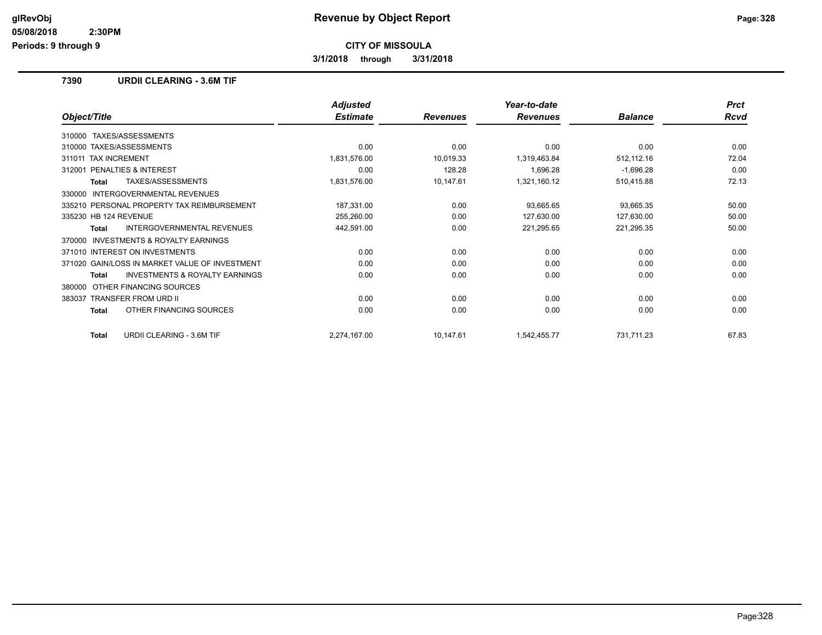**Periods: 9 through 9**

**CITY OF MISSOULA**

**3/1/2018 through 3/31/2018**

### **7390 URDII CLEARING - 3.6M TIF**

|                                                    | <b>Adjusted</b> |                 | Year-to-date    |                | <b>Prct</b> |
|----------------------------------------------------|-----------------|-----------------|-----------------|----------------|-------------|
| Object/Title                                       | <b>Estimate</b> | <b>Revenues</b> | <b>Revenues</b> | <b>Balance</b> | Rcvd        |
| TAXES/ASSESSMENTS<br>310000                        |                 |                 |                 |                |             |
| 310000 TAXES/ASSESSMENTS                           | 0.00            | 0.00            | 0.00            | 0.00           | 0.00        |
| <b>TAX INCREMENT</b><br>311011                     | 1,831,576.00    | 10,019.33       | 1,319,463.84    | 512,112.16     | 72.04       |
| <b>PENALTIES &amp; INTEREST</b><br>312001          | 0.00            | 128.28          | 1,696.28        | $-1,696.28$    | 0.00        |
| TAXES/ASSESSMENTS<br>Total                         | 1,831,576.00    | 10,147.61       | 1,321,160.12    | 510,415.88     | 72.13       |
| INTERGOVERNMENTAL REVENUES<br>330000               |                 |                 |                 |                |             |
| 335210 PERSONAL PROPERTY TAX REIMBURSEMENT         | 187,331.00      | 0.00            | 93,665.65       | 93,665.35      | 50.00       |
| 335230 HB 124 REVENUE                              | 255,260.00      | 0.00            | 127,630.00      | 127,630.00     | 50.00       |
| <b>INTERGOVERNMENTAL REVENUES</b><br>Total         | 442,591.00      | 0.00            | 221,295.65      | 221,295.35     | 50.00       |
| 370000 INVESTMENTS & ROYALTY EARNINGS              |                 |                 |                 |                |             |
| 371010 INTEREST ON INVESTMENTS                     | 0.00            | 0.00            | 0.00            | 0.00           | 0.00        |
| 371020 GAIN/LOSS IN MARKET VALUE OF INVESTMENT     | 0.00            | 0.00            | 0.00            | 0.00           | 0.00        |
| <b>INVESTMENTS &amp; ROYALTY EARNINGS</b><br>Total | 0.00            | 0.00            | 0.00            | 0.00           | 0.00        |
| OTHER FINANCING SOURCES<br>380000                  |                 |                 |                 |                |             |
| <b>TRANSFER FROM URD II</b><br>383037              | 0.00            | 0.00            | 0.00            | 0.00           | 0.00        |
| OTHER FINANCING SOURCES<br><b>Total</b>            | 0.00            | 0.00            | 0.00            | 0.00           | 0.00        |
| <b>URDII CLEARING - 3.6M TIF</b><br><b>Total</b>   | 2,274,167.00    | 10,147.61       | 1,542,455.77    | 731,711.23     | 67.83       |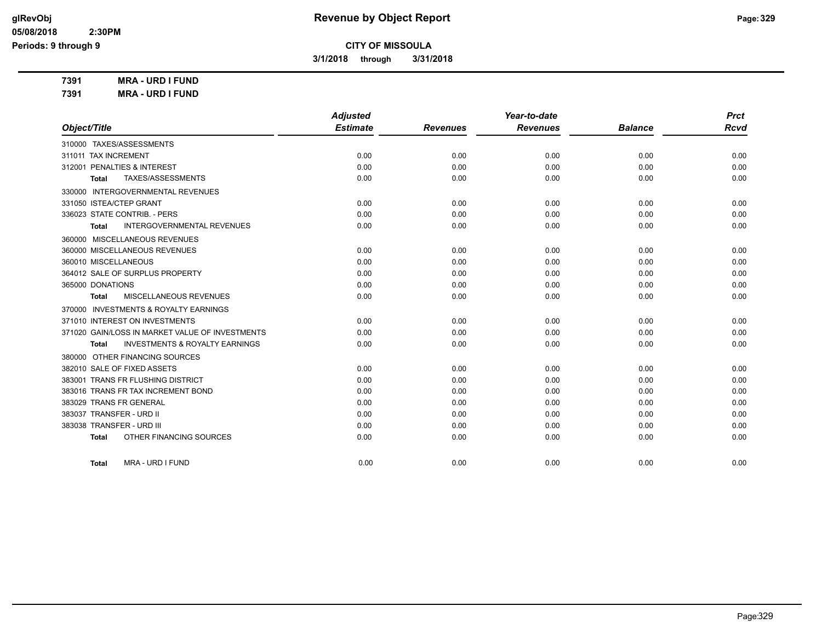**3/1/2018 through 3/31/2018**

**7391 MRA - URD I FUND**

**7391 MRA - URD I FUND**

|                                                           | <b>Adjusted</b> |                 | Year-to-date    |                | <b>Prct</b> |
|-----------------------------------------------------------|-----------------|-----------------|-----------------|----------------|-------------|
| Object/Title                                              | <b>Estimate</b> | <b>Revenues</b> | <b>Revenues</b> | <b>Balance</b> | <b>Rcvd</b> |
| 310000 TAXES/ASSESSMENTS                                  |                 |                 |                 |                |             |
| 311011 TAX INCREMENT                                      | 0.00            | 0.00            | 0.00            | 0.00           | 0.00        |
| 312001 PENALTIES & INTEREST                               | 0.00            | 0.00            | 0.00            | 0.00           | 0.00        |
| TAXES/ASSESSMENTS<br><b>Total</b>                         | 0.00            | 0.00            | 0.00            | 0.00           | 0.00        |
| 330000 INTERGOVERNMENTAL REVENUES                         |                 |                 |                 |                |             |
| 331050 ISTEA/CTEP GRANT                                   | 0.00            | 0.00            | 0.00            | 0.00           | 0.00        |
| 336023 STATE CONTRIB. - PERS                              | 0.00            | 0.00            | 0.00            | 0.00           | 0.00        |
| <b>INTERGOVERNMENTAL REVENUES</b><br><b>Total</b>         | 0.00            | 0.00            | 0.00            | 0.00           | 0.00        |
| 360000 MISCELLANEOUS REVENUES                             |                 |                 |                 |                |             |
| 360000 MISCELLANEOUS REVENUES                             | 0.00            | 0.00            | 0.00            | 0.00           | 0.00        |
| 360010 MISCELLANEOUS                                      | 0.00            | 0.00            | 0.00            | 0.00           | 0.00        |
| 364012 SALE OF SURPLUS PROPERTY                           | 0.00            | 0.00            | 0.00            | 0.00           | 0.00        |
| 365000 DONATIONS                                          | 0.00            | 0.00            | 0.00            | 0.00           | 0.00        |
| MISCELLANEOUS REVENUES<br><b>Total</b>                    | 0.00            | 0.00            | 0.00            | 0.00           | 0.00        |
| 370000 INVESTMENTS & ROYALTY EARNINGS                     |                 |                 |                 |                |             |
| 371010 INTEREST ON INVESTMENTS                            | 0.00            | 0.00            | 0.00            | 0.00           | 0.00        |
| 371020 GAIN/LOSS IN MARKET VALUE OF INVESTMENTS           | 0.00            | 0.00            | 0.00            | 0.00           | 0.00        |
| <b>INVESTMENTS &amp; ROYALTY EARNINGS</b><br><b>Total</b> | 0.00            | 0.00            | 0.00            | 0.00           | 0.00        |
| 380000 OTHER FINANCING SOURCES                            |                 |                 |                 |                |             |
| 382010 SALE OF FIXED ASSETS                               | 0.00            | 0.00            | 0.00            | 0.00           | 0.00        |
| 383001 TRANS FR FLUSHING DISTRICT                         | 0.00            | 0.00            | 0.00            | 0.00           | 0.00        |
| 383016 TRANS FR TAX INCREMENT BOND                        | 0.00            | 0.00            | 0.00            | 0.00           | 0.00        |
| 383029 TRANS FR GENERAL                                   | 0.00            | 0.00            | 0.00            | 0.00           | 0.00        |
| 383037 TRANSFER - URD II                                  | 0.00            | 0.00            | 0.00            | 0.00           | 0.00        |
| 383038 TRANSFER - URD III                                 | 0.00            | 0.00            | 0.00            | 0.00           | 0.00        |
| OTHER FINANCING SOURCES<br><b>Total</b>                   | 0.00            | 0.00            | 0.00            | 0.00           | 0.00        |
| MRA - URD I FUND<br><b>Total</b>                          | 0.00            | 0.00            | 0.00            | 0.00           | 0.00        |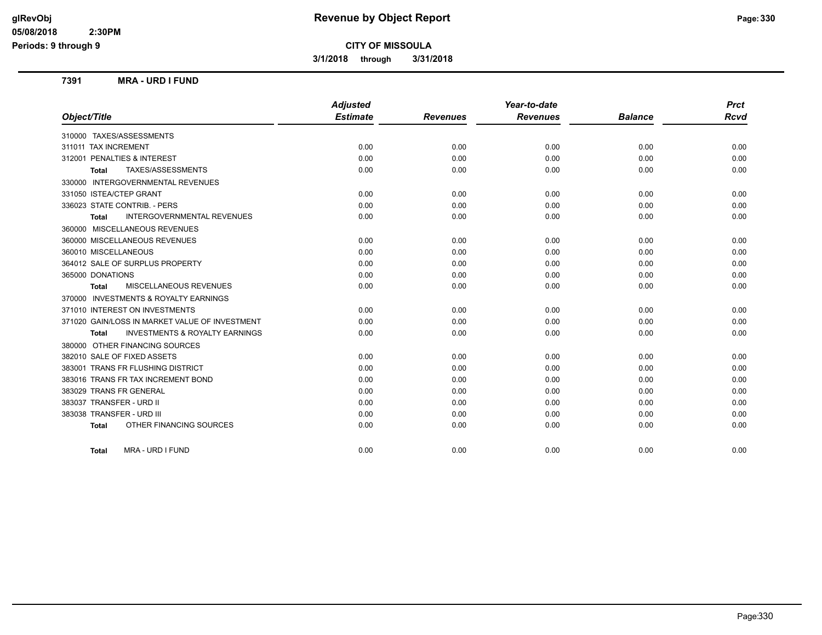**3/1/2018 through 3/31/2018**

### **7391 MRA - URD I FUND**

|                                                           | <b>Adjusted</b> |                 | Year-to-date    |                | <b>Prct</b> |
|-----------------------------------------------------------|-----------------|-----------------|-----------------|----------------|-------------|
| Object/Title                                              | <b>Estimate</b> | <b>Revenues</b> | <b>Revenues</b> | <b>Balance</b> | <b>Rcvd</b> |
| 310000 TAXES/ASSESSMENTS                                  |                 |                 |                 |                |             |
| 311011 TAX INCREMENT                                      | 0.00            | 0.00            | 0.00            | 0.00           | 0.00        |
| 312001 PENALTIES & INTEREST                               | 0.00            | 0.00            | 0.00            | 0.00           | 0.00        |
| TAXES/ASSESSMENTS<br><b>Total</b>                         | 0.00            | 0.00            | 0.00            | 0.00           | 0.00        |
| 330000 INTERGOVERNMENTAL REVENUES                         |                 |                 |                 |                |             |
| 331050 ISTEA/CTEP GRANT                                   | 0.00            | 0.00            | 0.00            | 0.00           | 0.00        |
| 336023 STATE CONTRIB. - PERS                              | 0.00            | 0.00            | 0.00            | 0.00           | 0.00        |
| <b>INTERGOVERNMENTAL REVENUES</b><br><b>Total</b>         | 0.00            | 0.00            | 0.00            | 0.00           | 0.00        |
| 360000 MISCELLANEOUS REVENUES                             |                 |                 |                 |                |             |
| 360000 MISCELLANEOUS REVENUES                             | 0.00            | 0.00            | 0.00            | 0.00           | 0.00        |
| 360010 MISCELLANEOUS                                      | 0.00            | 0.00            | 0.00            | 0.00           | 0.00        |
| 364012 SALE OF SURPLUS PROPERTY                           | 0.00            | 0.00            | 0.00            | 0.00           | 0.00        |
| 365000 DONATIONS                                          | 0.00            | 0.00            | 0.00            | 0.00           | 0.00        |
| MISCELLANEOUS REVENUES<br><b>Total</b>                    | 0.00            | 0.00            | 0.00            | 0.00           | 0.00        |
| 370000 INVESTMENTS & ROYALTY EARNINGS                     |                 |                 |                 |                |             |
| 371010 INTEREST ON INVESTMENTS                            | 0.00            | 0.00            | 0.00            | 0.00           | 0.00        |
| 371020 GAIN/LOSS IN MARKET VALUE OF INVESTMENT            | 0.00            | 0.00            | 0.00            | 0.00           | 0.00        |
| <b>INVESTMENTS &amp; ROYALTY EARNINGS</b><br><b>Total</b> | 0.00            | 0.00            | 0.00            | 0.00           | 0.00        |
| 380000 OTHER FINANCING SOURCES                            |                 |                 |                 |                |             |
| 382010 SALE OF FIXED ASSETS                               | 0.00            | 0.00            | 0.00            | 0.00           | 0.00        |
| 383001 TRANS FR FLUSHING DISTRICT                         | 0.00            | 0.00            | 0.00            | 0.00           | 0.00        |
| 383016 TRANS FR TAX INCREMENT BOND                        | 0.00            | 0.00            | 0.00            | 0.00           | 0.00        |
| 383029 TRANS FR GENERAL                                   | 0.00            | 0.00            | 0.00            | 0.00           | 0.00        |
| 383037 TRANSFER - URD II                                  | 0.00            | 0.00            | 0.00            | 0.00           | 0.00        |
| 383038 TRANSFER - URD III                                 | 0.00            | 0.00            | 0.00            | 0.00           | 0.00        |
| OTHER FINANCING SOURCES<br><b>Total</b>                   | 0.00            | 0.00            | 0.00            | 0.00           | 0.00        |
| MRA - URD I FUND<br>Total                                 | 0.00            | 0.00            | 0.00            | 0.00           | 0.00        |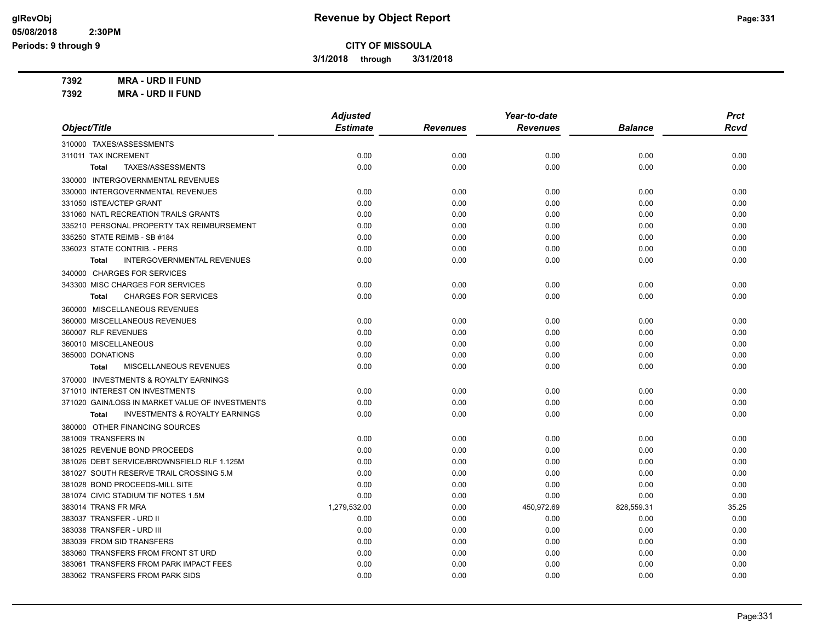**3/1/2018 through 3/31/2018**

**7392 MRA - URD II FUND**

**7392 MRA - URD II FUND**

|                                                           | <b>Adjusted</b> |                 | Year-to-date    |                | <b>Prct</b> |
|-----------------------------------------------------------|-----------------|-----------------|-----------------|----------------|-------------|
| Object/Title                                              | <b>Estimate</b> | <b>Revenues</b> | <b>Revenues</b> | <b>Balance</b> | Rcvd        |
| 310000 TAXES/ASSESSMENTS                                  |                 |                 |                 |                |             |
| 311011 TAX INCREMENT                                      | 0.00            | 0.00            | 0.00            | 0.00           | 0.00        |
| TAXES/ASSESSMENTS<br><b>Total</b>                         | 0.00            | 0.00            | 0.00            | 0.00           | 0.00        |
| 330000 INTERGOVERNMENTAL REVENUES                         |                 |                 |                 |                |             |
| 330000 INTERGOVERNMENTAL REVENUES                         | 0.00            | 0.00            | 0.00            | 0.00           | 0.00        |
| 331050 ISTEA/CTEP GRANT                                   | 0.00            | 0.00            | 0.00            | 0.00           | 0.00        |
| 331060 NATL RECREATION TRAILS GRANTS                      | 0.00            | 0.00            | 0.00            | 0.00           | 0.00        |
| 335210 PERSONAL PROPERTY TAX REIMBURSEMENT                | 0.00            | 0.00            | 0.00            | 0.00           | 0.00        |
| 335250 STATE REIMB - SB #184                              | 0.00            | 0.00            | 0.00            | 0.00           | 0.00        |
| 336023 STATE CONTRIB. - PERS                              | 0.00            | 0.00            | 0.00            | 0.00           | 0.00        |
| <b>INTERGOVERNMENTAL REVENUES</b><br><b>Total</b>         | 0.00            | 0.00            | 0.00            | 0.00           | 0.00        |
| 340000 CHARGES FOR SERVICES                               |                 |                 |                 |                |             |
| 343300 MISC CHARGES FOR SERVICES                          | 0.00            | 0.00            | 0.00            | 0.00           | 0.00        |
| <b>CHARGES FOR SERVICES</b><br>Total                      | 0.00            | 0.00            | 0.00            | 0.00           | 0.00        |
| 360000 MISCELLANEOUS REVENUES                             |                 |                 |                 |                |             |
| 360000 MISCELLANEOUS REVENUES                             | 0.00            | 0.00            | 0.00            | 0.00           | 0.00        |
| 360007 RLF REVENUES                                       | 0.00            | 0.00            | 0.00            | 0.00           | 0.00        |
| 360010 MISCELLANEOUS                                      | 0.00            | 0.00            | 0.00            | 0.00           | 0.00        |
| 365000 DONATIONS                                          | 0.00            | 0.00            | 0.00            | 0.00           | 0.00        |
| MISCELLANEOUS REVENUES<br><b>Total</b>                    | 0.00            | 0.00            | 0.00            | 0.00           | 0.00        |
| 370000 INVESTMENTS & ROYALTY EARNINGS                     |                 |                 |                 |                |             |
| 371010 INTEREST ON INVESTMENTS                            | 0.00            | 0.00            | 0.00            | 0.00           | 0.00        |
| 371020 GAIN/LOSS IN MARKET VALUE OF INVESTMENTS           | 0.00            | 0.00            | 0.00            | 0.00           | 0.00        |
| <b>INVESTMENTS &amp; ROYALTY EARNINGS</b><br><b>Total</b> | 0.00            | 0.00            | 0.00            | 0.00           | 0.00        |
| 380000 OTHER FINANCING SOURCES                            |                 |                 |                 |                |             |
| 381009 TRANSFERS IN                                       | 0.00            | 0.00            | 0.00            | 0.00           | 0.00        |
| 381025 REVENUE BOND PROCEEDS                              | 0.00            | 0.00            | 0.00            | 0.00           | 0.00        |
| 381026 DEBT SERVICE/BROWNSFIELD RLF 1.125M                | 0.00            | 0.00            | 0.00            | 0.00           | 0.00        |
| 381027 SOUTH RESERVE TRAIL CROSSING 5.M                   | 0.00            | 0.00            | 0.00            | 0.00           | 0.00        |
| 381028 BOND PROCEEDS-MILL SITE                            | 0.00            | 0.00            | 0.00            | 0.00           | 0.00        |
| 381074 CIVIC STADIUM TIF NOTES 1.5M                       | 0.00            | 0.00            | 0.00            | 0.00           | 0.00        |
| 383014 TRANS FR MRA                                       | 1,279,532.00    | 0.00            | 450,972.69      | 828,559.31     | 35.25       |
| 383037 TRANSFER - URD II                                  | 0.00            | 0.00            | 0.00            | 0.00           | 0.00        |
| 383038 TRANSFER - URD III                                 | 0.00            | 0.00            | 0.00            | 0.00           | 0.00        |
| 383039 FROM SID TRANSFERS                                 | 0.00            | 0.00            | 0.00            | 0.00           | 0.00        |
| 383060 TRANSFERS FROM FRONT ST URD                        | 0.00            | 0.00            | 0.00            | 0.00           | 0.00        |
| 383061 TRANSFERS FROM PARK IMPACT FEES                    | 0.00            | 0.00            | 0.00            | 0.00           | 0.00        |
| 383062 TRANSFERS FROM PARK SIDS                           | 0.00            | 0.00            | 0.00            | 0.00           | 0.00        |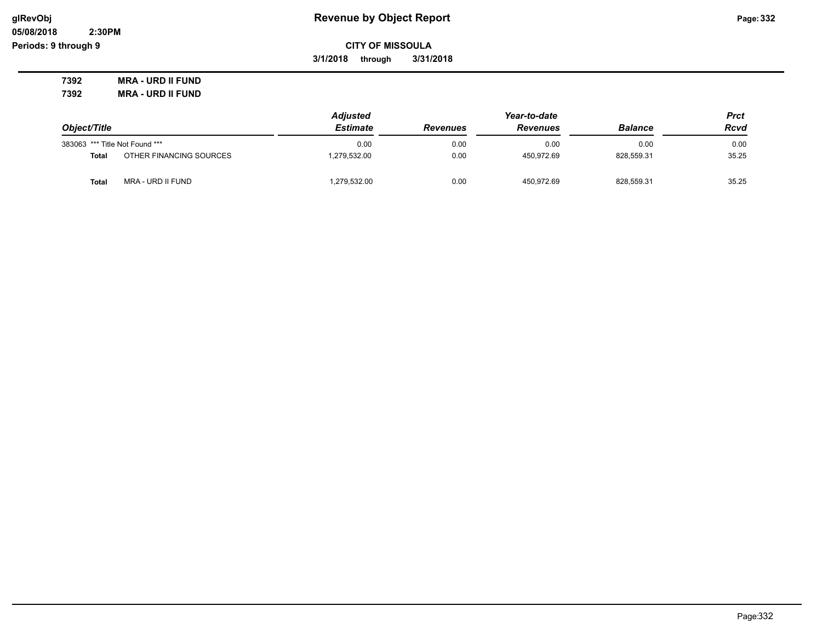**05/08/2018 2:30PM Periods: 9 through 9**

# **CITY OF MISSOULA**

**3/1/2018 through 3/31/2018**

**7392 MRA - URD II FUND 7392 MRA - URD II FUND**

| Object/Title                   |                         | <b>Adjusted</b> | Year-to-date    |                 |                | Prct  |
|--------------------------------|-------------------------|-----------------|-----------------|-----------------|----------------|-------|
|                                |                         | <b>Estimate</b> | <b>Revenues</b> | <b>Revenues</b> | <b>Balance</b> | Rcvd  |
| 383063 *** Title Not Found *** |                         | 0.00            | 0.00            | 0.00            | 0.00           | 0.00  |
| <b>Total</b>                   | OTHER FINANCING SOURCES | 1,279,532.00    | 0.00            | 450.972.69      | 828,559.31     | 35.25 |
| <b>Total</b>                   | MRA - URD II FUND       | 1,279,532.00    | 0.00            | 450,972.69      | 828,559.31     | 35.25 |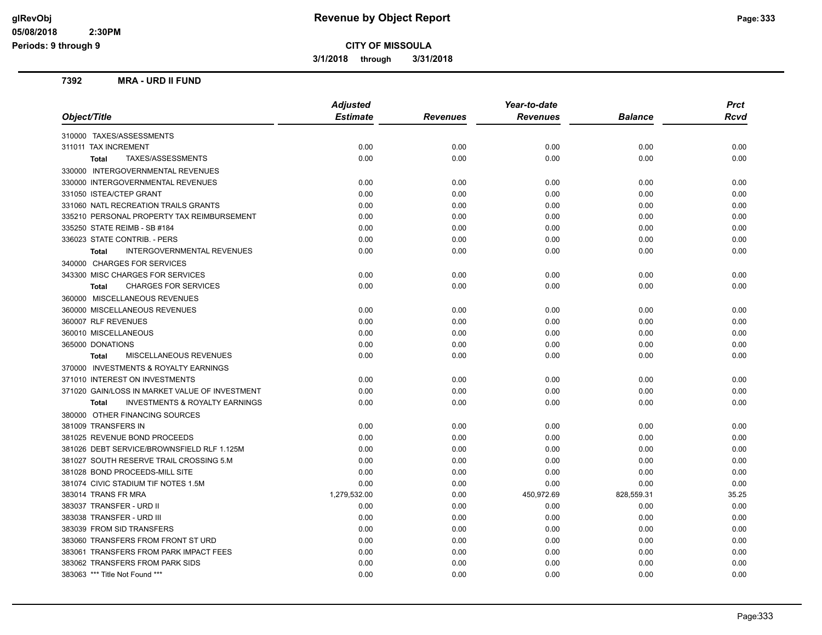**3/1/2018 through 3/31/2018**

### **7392 MRA - URD II FUND**

|                                                           | <b>Adjusted</b> |                 | Year-to-date    |                | <b>Prct</b> |
|-----------------------------------------------------------|-----------------|-----------------|-----------------|----------------|-------------|
| Object/Title                                              | <b>Estimate</b> | <b>Revenues</b> | <b>Revenues</b> | <b>Balance</b> | <b>Rcvd</b> |
| 310000 TAXES/ASSESSMENTS                                  |                 |                 |                 |                |             |
| 311011 TAX INCREMENT                                      | 0.00            | 0.00            | 0.00            | 0.00           | 0.00        |
| TAXES/ASSESSMENTS<br><b>Total</b>                         | 0.00            | 0.00            | 0.00            | 0.00           | 0.00        |
| 330000 INTERGOVERNMENTAL REVENUES                         |                 |                 |                 |                |             |
| 330000 INTERGOVERNMENTAL REVENUES                         | 0.00            | 0.00            | 0.00            | 0.00           | 0.00        |
| 331050 ISTEA/CTEP GRANT                                   | 0.00            | 0.00            | 0.00            | 0.00           | 0.00        |
| 331060 NATL RECREATION TRAILS GRANTS                      | 0.00            | 0.00            | 0.00            | 0.00           | 0.00        |
| 335210 PERSONAL PROPERTY TAX REIMBURSEMENT                | 0.00            | 0.00            | 0.00            | 0.00           | 0.00        |
| 335250 STATE REIMB - SB #184                              | 0.00            | 0.00            | 0.00            | 0.00           | 0.00        |
| 336023 STATE CONTRIB. - PERS                              | 0.00            | 0.00            | 0.00            | 0.00           | 0.00        |
| INTERGOVERNMENTAL REVENUES<br>Total                       | 0.00            | 0.00            | 0.00            | 0.00           | 0.00        |
| 340000 CHARGES FOR SERVICES                               |                 |                 |                 |                |             |
| 343300 MISC CHARGES FOR SERVICES                          | 0.00            | 0.00            | 0.00            | 0.00           | 0.00        |
| <b>CHARGES FOR SERVICES</b><br><b>Total</b>               | 0.00            | 0.00            | 0.00            | 0.00           | 0.00        |
| 360000 MISCELLANEOUS REVENUES                             |                 |                 |                 |                |             |
| 360000 MISCELLANEOUS REVENUES                             | 0.00            | 0.00            | 0.00            | 0.00           | 0.00        |
| 360007 RLF REVENUES                                       | 0.00            | 0.00            | 0.00            | 0.00           | 0.00        |
| 360010 MISCELLANEOUS                                      | 0.00            | 0.00            | 0.00            | 0.00           | 0.00        |
| 365000 DONATIONS                                          | 0.00            | 0.00            | 0.00            | 0.00           | 0.00        |
| MISCELLANEOUS REVENUES<br><b>Total</b>                    | 0.00            | 0.00            | 0.00            | 0.00           | 0.00        |
| 370000 INVESTMENTS & ROYALTY EARNINGS                     |                 |                 |                 |                |             |
| 371010 INTEREST ON INVESTMENTS                            | 0.00            | 0.00            | 0.00            | 0.00           | 0.00        |
| 371020 GAIN/LOSS IN MARKET VALUE OF INVESTMENT            | 0.00            | 0.00            | 0.00            | 0.00           | 0.00        |
| <b>INVESTMENTS &amp; ROYALTY EARNINGS</b><br><b>Total</b> | 0.00            | 0.00            | 0.00            | 0.00           | 0.00        |
| 380000 OTHER FINANCING SOURCES                            |                 |                 |                 |                |             |
| 381009 TRANSFERS IN                                       | 0.00            | 0.00            | 0.00            | 0.00           | 0.00        |
| 381025 REVENUE BOND PROCEEDS                              | 0.00            | 0.00            | 0.00            | 0.00           | 0.00        |
| 381026 DEBT SERVICE/BROWNSFIELD RLF 1.125M                | 0.00            | 0.00            | 0.00            | 0.00           | 0.00        |
| 381027 SOUTH RESERVE TRAIL CROSSING 5.M                   | 0.00            | 0.00            | 0.00            | 0.00           | 0.00        |
| 381028 BOND PROCEEDS-MILL SITE                            | 0.00            | 0.00            | 0.00            | 0.00           | 0.00        |
| 381074 CIVIC STADIUM TIF NOTES 1.5M                       | 0.00            | 0.00            | 0.00            | 0.00           | 0.00        |
| 383014 TRANS FR MRA                                       | 1,279,532.00    | 0.00            | 450,972.69      | 828,559.31     | 35.25       |
| 383037 TRANSFER - URD II                                  | 0.00            | 0.00            | 0.00            | 0.00           | 0.00        |
| 383038 TRANSFER - URD III                                 | 0.00            | 0.00            | 0.00            | 0.00           | 0.00        |
| 383039 FROM SID TRANSFERS                                 | 0.00            | 0.00            | 0.00            | 0.00           | 0.00        |
| 383060 TRANSFERS FROM FRONT ST URD                        | 0.00            | 0.00            | 0.00            | 0.00           | 0.00        |
| 383061 TRANSFERS FROM PARK IMPACT FEES                    | 0.00            | 0.00            | 0.00            | 0.00           | 0.00        |
| 383062 TRANSFERS FROM PARK SIDS                           | 0.00            | 0.00            | 0.00            | 0.00           | 0.00        |
| 383063 *** Title Not Found ***                            | 0.00            | 0.00            | 0.00            | 0.00           | 0.00        |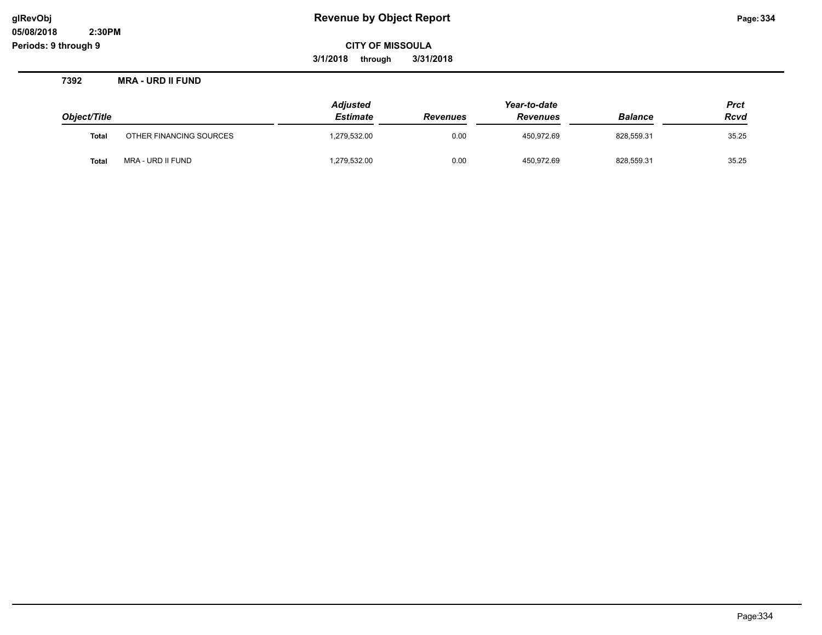**05/08/2018 2:30PM Periods: 9 through 9**

**CITY OF MISSOULA**

**3/1/2018 through 3/31/2018**

**7392 MRA - URD II FUND**

| Object/Title |                         | <b>Adjusted</b> |                 | Year-to-date    |                |       |
|--------------|-------------------------|-----------------|-----------------|-----------------|----------------|-------|
|              |                         | Estimate        | <b>Revenues</b> | <b>Revenues</b> | <b>Balance</b> | Rcvd  |
| <b>Total</b> | OTHER FINANCING SOURCES | 1,279,532.00    | 0.00            | 450.972.69      | 828.559.31     | 35.25 |
| <b>Total</b> | MRA - URD II FUND       | 1,279,532.00    | 0.00            | 450,972.69      | 828,559.31     | 35.25 |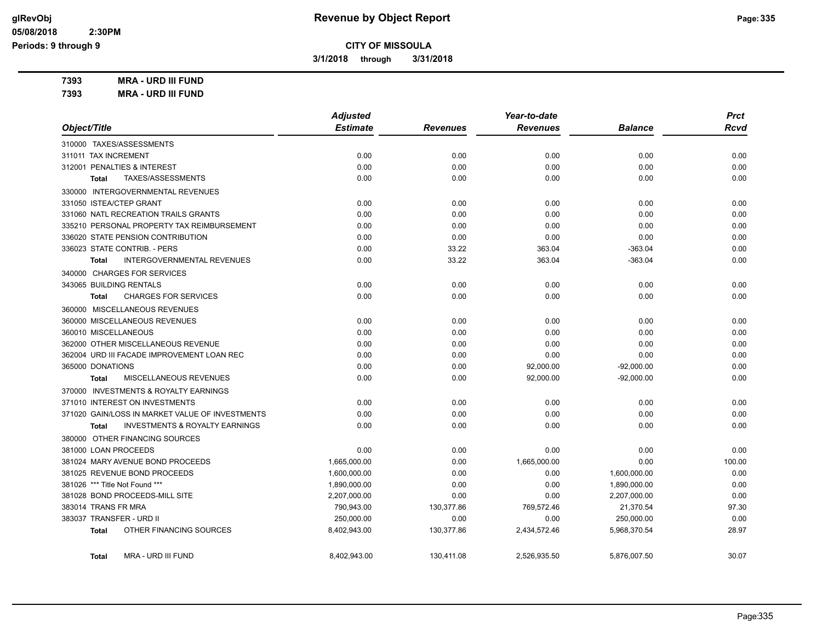**3/1/2018 through 3/31/2018**

**7393 MRA - URD III FUND**

**7393 MRA - URD III FUND**

|                                                           | <b>Adjusted</b> |                 | Year-to-date    |                | <b>Prct</b> |
|-----------------------------------------------------------|-----------------|-----------------|-----------------|----------------|-------------|
| Object/Title                                              | <b>Estimate</b> | <b>Revenues</b> | <b>Revenues</b> | <b>Balance</b> | <b>Rcvd</b> |
| 310000 TAXES/ASSESSMENTS                                  |                 |                 |                 |                |             |
| 311011 TAX INCREMENT                                      | 0.00            | 0.00            | 0.00            | 0.00           | 0.00        |
| 312001 PENALTIES & INTEREST                               | 0.00            | 0.00            | 0.00            | 0.00           | 0.00        |
| TAXES/ASSESSMENTS<br><b>Total</b>                         | 0.00            | 0.00            | 0.00            | 0.00           | 0.00        |
| 330000 INTERGOVERNMENTAL REVENUES                         |                 |                 |                 |                |             |
| 331050 ISTEA/CTEP GRANT                                   | 0.00            | 0.00            | 0.00            | 0.00           | 0.00        |
| 331060 NATL RECREATION TRAILS GRANTS                      | 0.00            | 0.00            | 0.00            | 0.00           | 0.00        |
| 335210 PERSONAL PROPERTY TAX REIMBURSEMENT                | 0.00            | 0.00            | 0.00            | 0.00           | 0.00        |
| 336020 STATE PENSION CONTRIBUTION                         | 0.00            | 0.00            | 0.00            | 0.00           | 0.00        |
| 336023 STATE CONTRIB. - PERS                              | 0.00            | 33.22           | 363.04          | $-363.04$      | 0.00        |
| <b>INTERGOVERNMENTAL REVENUES</b><br><b>Total</b>         | 0.00            | 33.22           | 363.04          | $-363.04$      | 0.00        |
| 340000 CHARGES FOR SERVICES                               |                 |                 |                 |                |             |
| 343065 BUILDING RENTALS                                   | 0.00            | 0.00            | 0.00            | 0.00           | 0.00        |
| <b>CHARGES FOR SERVICES</b><br><b>Total</b>               | 0.00            | 0.00            | 0.00            | 0.00           | 0.00        |
| 360000 MISCELLANEOUS REVENUES                             |                 |                 |                 |                |             |
| 360000 MISCELLANEOUS REVENUES                             | 0.00            | 0.00            | 0.00            | 0.00           | 0.00        |
| 360010 MISCELLANEOUS                                      | 0.00            | 0.00            | 0.00            | 0.00           | 0.00        |
| 362000 OTHER MISCELLANEOUS REVENUE                        | 0.00            | 0.00            | 0.00            | 0.00           | 0.00        |
| 362004 URD III FACADE IMPROVEMENT LOAN REC                | 0.00            | 0.00            | 0.00            | 0.00           | 0.00        |
| 365000 DONATIONS                                          | 0.00            | 0.00            | 92,000.00       | $-92,000.00$   | 0.00        |
| MISCELLANEOUS REVENUES<br><b>Total</b>                    | 0.00            | 0.00            | 92,000.00       | $-92,000.00$   | 0.00        |
| 370000 INVESTMENTS & ROYALTY EARNINGS                     |                 |                 |                 |                |             |
| 371010 INTEREST ON INVESTMENTS                            | 0.00            | 0.00            | 0.00            | 0.00           | 0.00        |
| 371020 GAIN/LOSS IN MARKET VALUE OF INVESTMENTS           | 0.00            | 0.00            | 0.00            | 0.00           | 0.00        |
| <b>INVESTMENTS &amp; ROYALTY EARNINGS</b><br><b>Total</b> | 0.00            | 0.00            | 0.00            | 0.00           | 0.00        |
| 380000 OTHER FINANCING SOURCES                            |                 |                 |                 |                |             |
| 381000 LOAN PROCEEDS                                      | 0.00            | 0.00            | 0.00            | 0.00           | 0.00        |
| 381024 MARY AVENUE BOND PROCEEDS                          | 1,665,000.00    | 0.00            | 1,665,000.00    | 0.00           | 100.00      |
| 381025 REVENUE BOND PROCEEDS                              | 1,600,000.00    | 0.00            | 0.00            | 1,600,000.00   | 0.00        |
| 381026 *** Title Not Found ***                            | 1,890,000.00    | 0.00            | 0.00            | 1,890,000.00   | 0.00        |
| 381028 BOND PROCEEDS-MILL SITE                            | 2,207,000.00    | 0.00            | 0.00            | 2,207,000.00   | 0.00        |
| 383014 TRANS FR MRA                                       | 790,943.00      | 130,377.86      | 769,572.46      | 21,370.54      | 97.30       |
| 383037 TRANSFER - URD II                                  | 250,000.00      | 0.00            | 0.00            | 250,000.00     | 0.00        |
| OTHER FINANCING SOURCES<br><b>Total</b>                   | 8,402,943.00    | 130,377.86      | 2,434,572.46    | 5,968,370.54   | 28.97       |
| MRA - URD III FUND<br><b>Total</b>                        | 8,402,943.00    | 130,411.08      | 2,526,935.50    | 5,876,007.50   | 30.07       |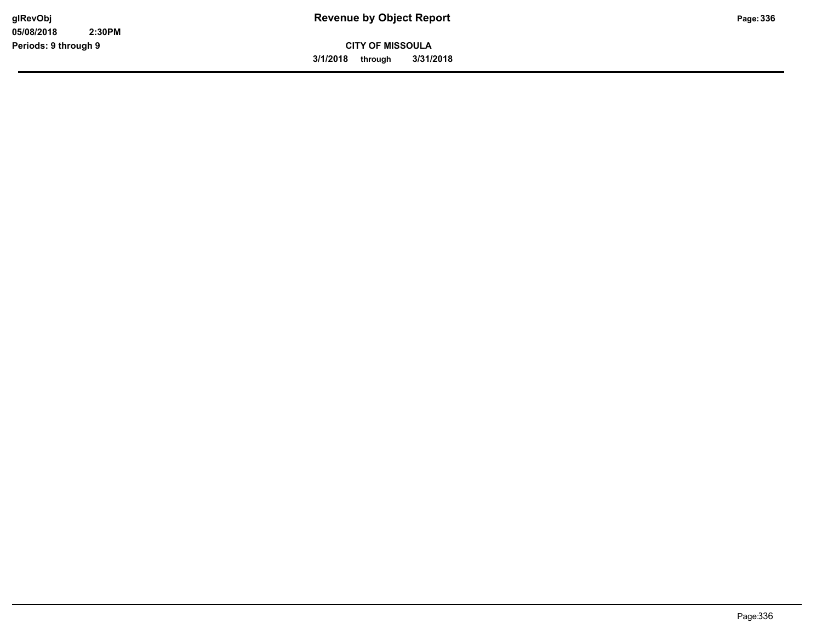**CITY OF MISSOULA 3/1/2018 through 3/31/2018**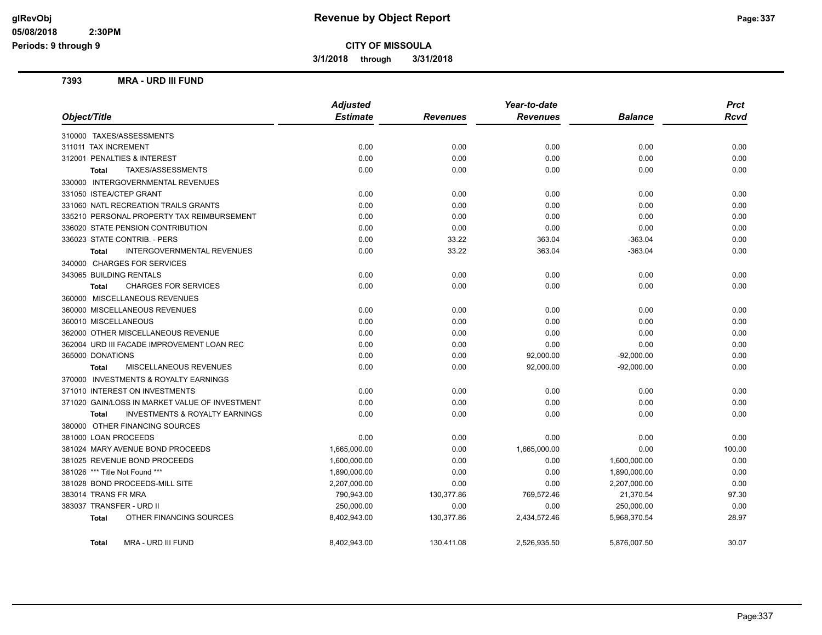**Periods: 9 through 9**

**CITY OF MISSOULA**

**3/1/2018 through 3/31/2018**

### **7393 MRA - URD III FUND**

 **2:30PM**

|                                                    | <b>Adjusted</b> |                 | Year-to-date    |                | <b>Prct</b> |
|----------------------------------------------------|-----------------|-----------------|-----------------|----------------|-------------|
| Object/Title                                       | <b>Estimate</b> | <b>Revenues</b> | <b>Revenues</b> | <b>Balance</b> | <b>Rcvd</b> |
| 310000 TAXES/ASSESSMENTS                           |                 |                 |                 |                |             |
| 311011 TAX INCREMENT                               | 0.00            | 0.00            | 0.00            | 0.00           | 0.00        |
| 312001 PENALTIES & INTEREST                        | 0.00            | 0.00            | 0.00            | 0.00           | 0.00        |
| TAXES/ASSESSMENTS<br><b>Total</b>                  | 0.00            | 0.00            | 0.00            | 0.00           | 0.00        |
| 330000 INTERGOVERNMENTAL REVENUES                  |                 |                 |                 |                |             |
| 331050 ISTEA/CTEP GRANT                            | 0.00            | 0.00            | 0.00            | 0.00           | 0.00        |
| 331060 NATL RECREATION TRAILS GRANTS               | 0.00            | 0.00            | 0.00            | 0.00           | 0.00        |
| 335210 PERSONAL PROPERTY TAX REIMBURSEMENT         | 0.00            | 0.00            | 0.00            | 0.00           | 0.00        |
| 336020 STATE PENSION CONTRIBUTION                  | 0.00            | 0.00            | 0.00            | 0.00           | 0.00        |
| 336023 STATE CONTRIB. - PERS                       | 0.00            | 33.22           | 363.04          | -363.04        | 0.00        |
| <b>INTERGOVERNMENTAL REVENUES</b><br><b>Total</b>  | 0.00            | 33.22           | 363.04          | $-363.04$      | 0.00        |
| 340000 CHARGES FOR SERVICES                        |                 |                 |                 |                |             |
| 343065 BUILDING RENTALS                            | 0.00            | 0.00            | 0.00            | 0.00           | 0.00        |
| <b>CHARGES FOR SERVICES</b><br><b>Total</b>        | 0.00            | 0.00            | 0.00            | 0.00           | 0.00        |
| 360000 MISCELLANEOUS REVENUES                      |                 |                 |                 |                |             |
| 360000 MISCELLANEOUS REVENUES                      | 0.00            | 0.00            | 0.00            | 0.00           | 0.00        |
| 360010 MISCELLANEOUS                               | 0.00            | 0.00            | 0.00            | 0.00           | 0.00        |
| 362000 OTHER MISCELLANEOUS REVENUE                 | 0.00            | 0.00            | 0.00            | 0.00           | 0.00        |
| 362004 URD III FACADE IMPROVEMENT LOAN REC         | 0.00            | 0.00            | 0.00            | 0.00           | 0.00        |
| 365000 DONATIONS                                   | 0.00            | 0.00            | 92,000.00       | $-92,000.00$   | 0.00        |
| MISCELLANEOUS REVENUES<br>Total                    | 0.00            | 0.00            | 92,000.00       | $-92,000.00$   | 0.00        |
| 370000 INVESTMENTS & ROYALTY EARNINGS              |                 |                 |                 |                |             |
| 371010 INTEREST ON INVESTMENTS                     | 0.00            | 0.00            | 0.00            | 0.00           | 0.00        |
| 371020 GAIN/LOSS IN MARKET VALUE OF INVESTMENT     | 0.00            | 0.00            | 0.00            | 0.00           | 0.00        |
| <b>INVESTMENTS &amp; ROYALTY EARNINGS</b><br>Total | 0.00            | 0.00            | 0.00            | 0.00           | 0.00        |
| 380000 OTHER FINANCING SOURCES                     |                 |                 |                 |                |             |
| 381000 LOAN PROCEEDS                               | 0.00            | 0.00            | 0.00            | 0.00           | 0.00        |
| 381024 MARY AVENUE BOND PROCEEDS                   | 1,665,000.00    | 0.00            | 1,665,000.00    | 0.00           | 100.00      |
| 381025 REVENUE BOND PROCEEDS                       | 1,600,000.00    | 0.00            | 0.00            | 1,600,000.00   | 0.00        |
| 381026 *** Title Not Found ***                     | 1,890,000.00    | 0.00            | 0.00            | 1,890,000.00   | 0.00        |
| 381028 BOND PROCEEDS-MILL SITE                     | 2,207,000.00    | 0.00            | 0.00            | 2,207,000.00   | 0.00        |
| 383014 TRANS FR MRA                                | 790,943.00      | 130,377.86      | 769,572.46      | 21,370.54      | 97.30       |
| 383037 TRANSFER - URD II                           | 250,000.00      | 0.00            | 0.00            | 250,000.00     | 0.00        |
| OTHER FINANCING SOURCES<br><b>Total</b>            | 8,402,943.00    | 130,377.86      | 2,434,572.46    | 5,968,370.54   | 28.97       |
| MRA - URD III FUND<br><b>Total</b>                 | 8,402,943.00    | 130,411.08      | 2,526,935.50    | 5,876,007.50   | 30.07       |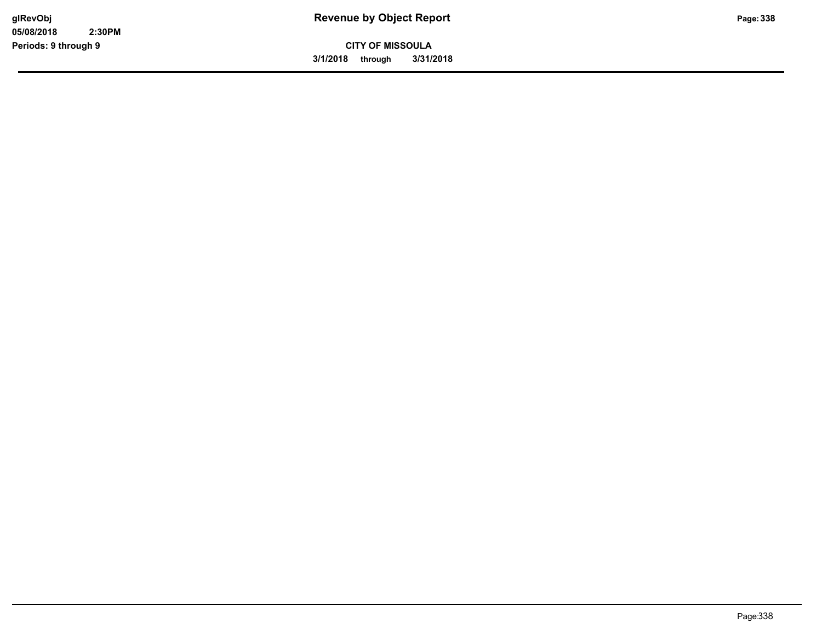**CITY OF MISSOULA 3/1/2018 through 3/31/2018**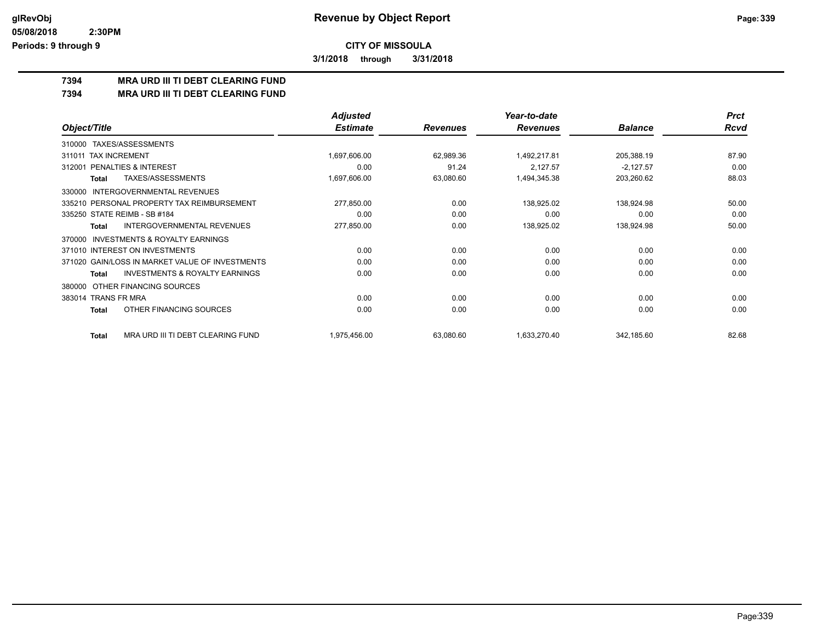**3/1/2018 through 3/31/2018**

# **7394 MRA URD III TI DEBT CLEARING FUND**

**7394 MRA URD III TI DEBT CLEARING FUND**

|                                                     | <b>Adjusted</b> |                 | Year-to-date    |                | <b>Prct</b> |
|-----------------------------------------------------|-----------------|-----------------|-----------------|----------------|-------------|
| Object/Title                                        | <b>Estimate</b> | <b>Revenues</b> | <b>Revenues</b> | <b>Balance</b> | <b>Rcvd</b> |
| TAXES/ASSESSMENTS<br>310000                         |                 |                 |                 |                |             |
| <b>TAX INCREMENT</b><br>311011                      | 1,697,606.00    | 62,989.36       | 1,492,217.81    | 205,388.19     | 87.90       |
| <b>PENALTIES &amp; INTEREST</b><br>312001           | 0.00            | 91.24           | 2,127.57        | $-2,127.57$    | 0.00        |
| TAXES/ASSESSMENTS<br>Total                          | 1,697,606.00    | 63,080.60       | 1,494,345.38    | 203,260.62     | 88.03       |
| <b>INTERGOVERNMENTAL REVENUES</b><br>330000         |                 |                 |                 |                |             |
| 335210 PERSONAL PROPERTY TAX REIMBURSEMENT          | 277,850.00      | 0.00            | 138,925.02      | 138,924.98     | 50.00       |
| 335250 STATE REIMB - SB #184                        | 0.00            | 0.00            | 0.00            | 0.00           | 0.00        |
| INTERGOVERNMENTAL REVENUES<br>Total                 | 277,850.00      | 0.00            | 138,925.02      | 138,924.98     | 50.00       |
| <b>INVESTMENTS &amp; ROYALTY EARNINGS</b><br>370000 |                 |                 |                 |                |             |
| 371010 INTEREST ON INVESTMENTS                      | 0.00            | 0.00            | 0.00            | 0.00           | 0.00        |
| 371020 GAIN/LOSS IN MARKET VALUE OF INVESTMENTS     | 0.00            | 0.00            | 0.00            | 0.00           | 0.00        |
| <b>INVESTMENTS &amp; ROYALTY EARNINGS</b><br>Total  | 0.00            | 0.00            | 0.00            | 0.00           | 0.00        |
| OTHER FINANCING SOURCES<br>380000                   |                 |                 |                 |                |             |
| 383014 TRANS FR MRA                                 | 0.00            | 0.00            | 0.00            | 0.00           | 0.00        |
| OTHER FINANCING SOURCES<br><b>Total</b>             | 0.00            | 0.00            | 0.00            | 0.00           | 0.00        |
| MRA URD III TI DEBT CLEARING FUND<br><b>Total</b>   | 1,975,456.00    | 63,080.60       | 1,633,270.40    | 342,185.60     | 82.68       |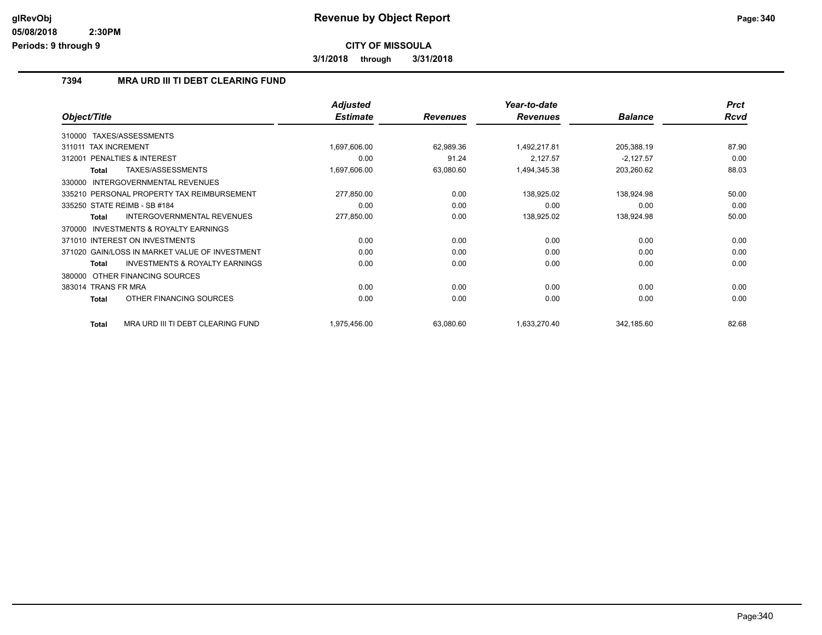**3/1/2018 through 3/31/2018**

### **7394 MRA URD III TI DEBT CLEARING FUND**

|                                                           | <b>Adjusted</b> |                 | Year-to-date    |                | <b>Prct</b> |
|-----------------------------------------------------------|-----------------|-----------------|-----------------|----------------|-------------|
| Object/Title                                              | <b>Estimate</b> | <b>Revenues</b> | <b>Revenues</b> | <b>Balance</b> | <b>Rcvd</b> |
| 310000 TAXES/ASSESSMENTS                                  |                 |                 |                 |                |             |
| 311011 TAX INCREMENT                                      | 1,697,606.00    | 62,989.36       | 1,492,217.81    | 205,388.19     | 87.90       |
| 312001 PENALTIES & INTEREST                               | 0.00            | 91.24           | 2,127.57        | $-2,127.57$    | 0.00        |
| TAXES/ASSESSMENTS<br><b>Total</b>                         | 1,697,606.00    | 63,080.60       | 1,494,345.38    | 203,260.62     | 88.03       |
| INTERGOVERNMENTAL REVENUES<br>330000                      |                 |                 |                 |                |             |
| 335210 PERSONAL PROPERTY TAX REIMBURSEMENT                | 277,850.00      | 0.00            | 138,925.02      | 138,924.98     | 50.00       |
| 335250 STATE REIMB - SB #184                              | 0.00            | 0.00            | 0.00            | 0.00           | 0.00        |
| <b>INTERGOVERNMENTAL REVENUES</b><br><b>Total</b>         | 277,850.00      | 0.00            | 138,925.02      | 138,924.98     | 50.00       |
| INVESTMENTS & ROYALTY EARNINGS<br>370000                  |                 |                 |                 |                |             |
| 371010 INTEREST ON INVESTMENTS                            | 0.00            | 0.00            | 0.00            | 0.00           | 0.00        |
| 371020 GAIN/LOSS IN MARKET VALUE OF INVESTMENT            | 0.00            | 0.00            | 0.00            | 0.00           | 0.00        |
| <b>INVESTMENTS &amp; ROYALTY EARNINGS</b><br><b>Total</b> | 0.00            | 0.00            | 0.00            | 0.00           | 0.00        |
| OTHER FINANCING SOURCES<br>380000                         |                 |                 |                 |                |             |
| 383014 TRANS FR MRA                                       | 0.00            | 0.00            | 0.00            | 0.00           | 0.00        |
| OTHER FINANCING SOURCES<br><b>Total</b>                   | 0.00            | 0.00            | 0.00            | 0.00           | 0.00        |
| MRA URD III TI DEBT CLEARING FUND<br>Total                | 1,975,456.00    | 63,080.60       | 1,633,270.40    | 342,185.60     | 82.68       |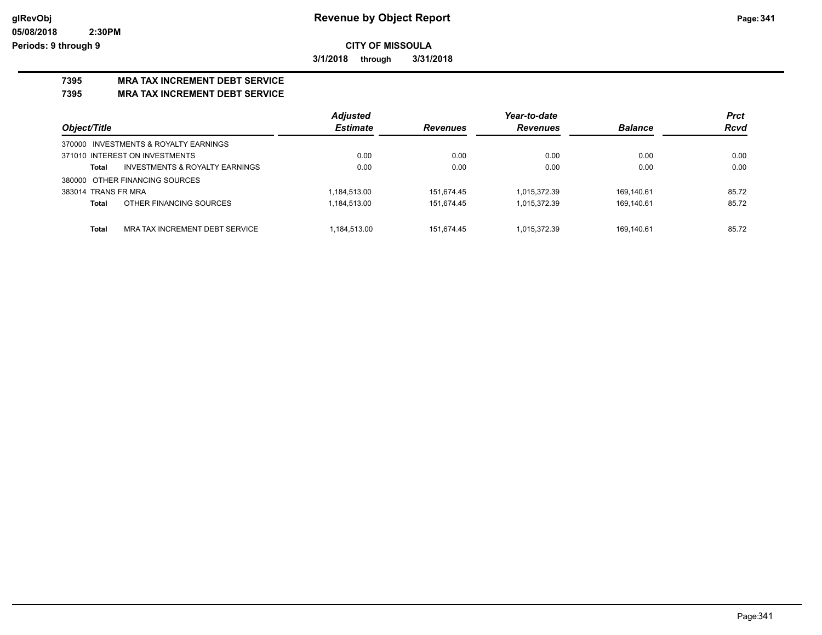**3/1/2018 through 3/31/2018**

# **7395 MRA TAX INCREMENT DEBT SERVICE**

# **7395 MRA TAX INCREMENT DEBT SERVICE**

|                                                    | <b>Adjusted</b> |                 | Year-to-date    |                | <b>Prct</b> |
|----------------------------------------------------|-----------------|-----------------|-----------------|----------------|-------------|
| Object/Title                                       | <b>Estimate</b> | <b>Revenues</b> | <b>Revenues</b> | <b>Balance</b> | <b>Rcvd</b> |
| 370000 INVESTMENTS & ROYALTY EARNINGS              |                 |                 |                 |                |             |
| 371010 INTEREST ON INVESTMENTS                     | 0.00            | 0.00            | 0.00            | 0.00           | 0.00        |
| <b>INVESTMENTS &amp; ROYALTY EARNINGS</b><br>Total | 0.00            | 0.00            | 0.00            | 0.00           | 0.00        |
| 380000 OTHER FINANCING SOURCES                     |                 |                 |                 |                |             |
| 383014 TRANS FR MRA                                | 1.184.513.00    | 151.674.45      | 1.015.372.39    | 169.140.61     | 85.72       |
| OTHER FINANCING SOURCES<br><b>Total</b>            | 1.184.513.00    | 151,674.45      | 1.015.372.39    | 169.140.61     | 85.72       |
| MRA TAX INCREMENT DEBT SERVICE<br><b>Total</b>     | 1.184.513.00    | 151.674.45      | 1.015.372.39    | 169.140.61     | 85.72       |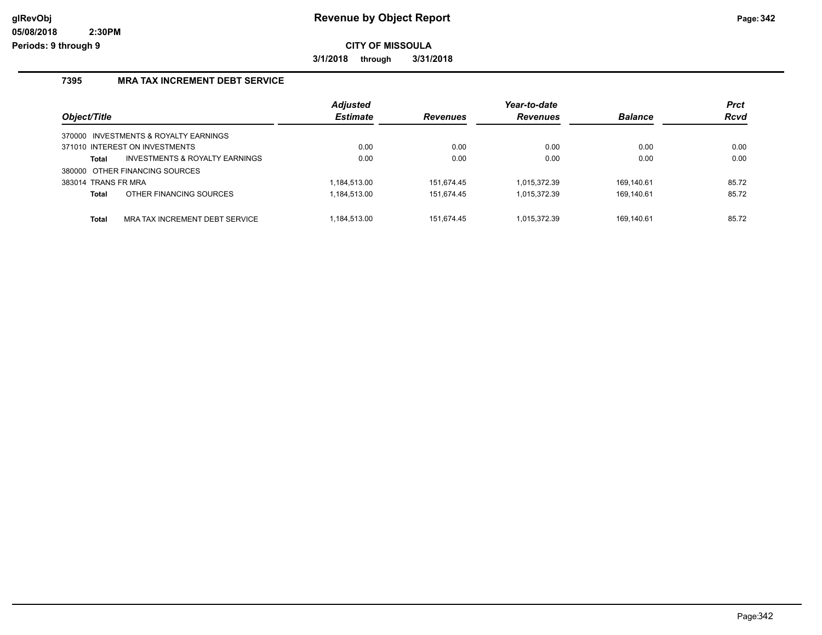**3/1/2018 through 3/31/2018**

### **7395 MRA TAX INCREMENT DEBT SERVICE**

| Object/Title                                              | <b>Adjusted</b><br><b>Estimate</b> | <b>Revenues</b> | Year-to-date<br><b>Revenues</b> | <b>Balance</b> | <b>Prct</b><br><b>Rcvd</b> |
|-----------------------------------------------------------|------------------------------------|-----------------|---------------------------------|----------------|----------------------------|
| 370000 INVESTMENTS & ROYALTY EARNINGS                     |                                    |                 |                                 |                |                            |
| 371010 INTEREST ON INVESTMENTS                            | 0.00                               | 0.00            | 0.00                            | 0.00           | 0.00                       |
| <b>INVESTMENTS &amp; ROYALTY EARNINGS</b><br><b>Total</b> | 0.00                               | 0.00            | 0.00                            | 0.00           | 0.00                       |
| 380000 OTHER FINANCING SOURCES                            |                                    |                 |                                 |                |                            |
| 383014 TRANS FR MRA                                       | 1.184.513.00                       | 151,674.45      | 1.015.372.39                    | 169,140.61     | 85.72                      |
| OTHER FINANCING SOURCES<br><b>Total</b>                   | 1,184,513.00                       | 151,674.45      | 1,015,372.39                    | 169,140.61     | 85.72                      |
|                                                           |                                    |                 |                                 |                |                            |
| MRA TAX INCREMENT DEBT SERVICE<br><b>Total</b>            | 1.184.513.00                       | 151.674.45      | 1.015.372.39                    | 169.140.61     | 85.72                      |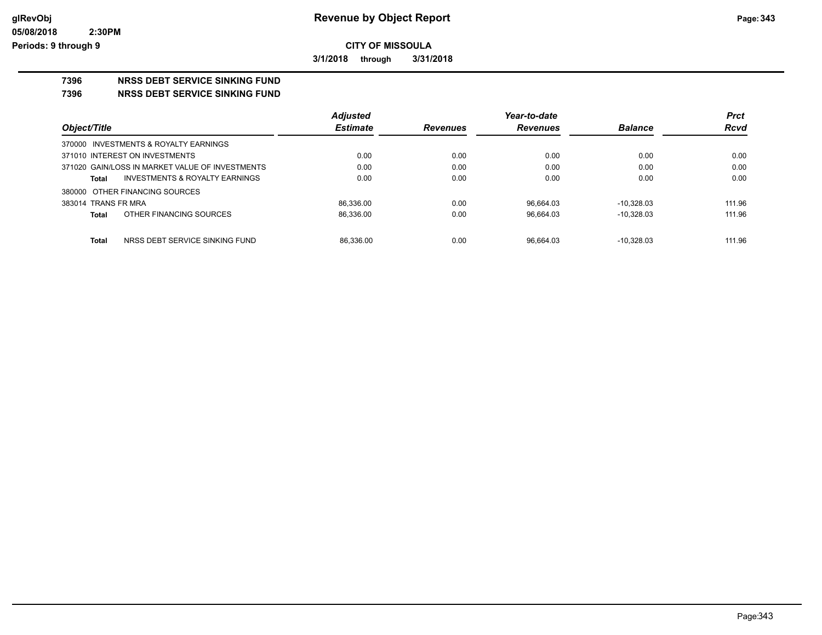**3/1/2018 through 3/31/2018**

# **7396 NRSS DEBT SERVICE SINKING FUND**

**7396 NRSS DEBT SERVICE SINKING FUND**

|                                                 | <b>Adjusted</b> |                 | Year-to-date    |                | <b>Prct</b> |
|-------------------------------------------------|-----------------|-----------------|-----------------|----------------|-------------|
| Object/Title                                    | <b>Estimate</b> | <b>Revenues</b> | <b>Revenues</b> | <b>Balance</b> | <b>Rcvd</b> |
| 370000 INVESTMENTS & ROYALTY EARNINGS           |                 |                 |                 |                |             |
| 371010 INTEREST ON INVESTMENTS                  | 0.00            | 0.00            | 0.00            | 0.00           | 0.00        |
| 371020 GAIN/LOSS IN MARKET VALUE OF INVESTMENTS | 0.00            | 0.00            | 0.00            | 0.00           | 0.00        |
| INVESTMENTS & ROYALTY EARNINGS<br>Total         | 0.00            | 0.00            | 0.00            | 0.00           | 0.00        |
| 380000 OTHER FINANCING SOURCES                  |                 |                 |                 |                |             |
| 383014 TRANS FR MRA                             | 86.336.00       | 0.00            | 96.664.03       | $-10.328.03$   | 111.96      |
| OTHER FINANCING SOURCES<br>Total                | 86.336.00       | 0.00            | 96.664.03       | $-10.328.03$   | 111.96      |
|                                                 |                 |                 |                 |                |             |
| <b>Total</b><br>NRSS DEBT SERVICE SINKING FUND  | 86.336.00       | 0.00            | 96.664.03       | $-10.328.03$   | 111.96      |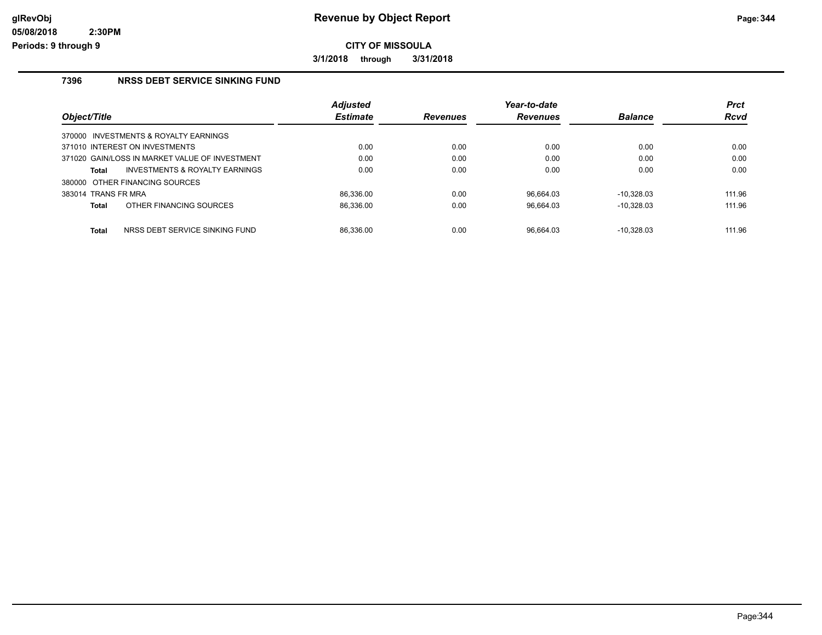**3/1/2018 through 3/31/2018**

## **7396 NRSS DEBT SERVICE SINKING FUND**

|                                                | <b>Adjusted</b> |                 | Year-to-date    |                | <b>Prct</b> |
|------------------------------------------------|-----------------|-----------------|-----------------|----------------|-------------|
| Object/Title                                   | <b>Estimate</b> | <b>Revenues</b> | <b>Revenues</b> | <b>Balance</b> | <b>Rcvd</b> |
| 370000 INVESTMENTS & ROYALTY EARNINGS          |                 |                 |                 |                |             |
| 371010 INTEREST ON INVESTMENTS                 | 0.00            | 0.00            | 0.00            | 0.00           | 0.00        |
| 371020 GAIN/LOSS IN MARKET VALUE OF INVESTMENT | 0.00            | 0.00            | 0.00            | 0.00           | 0.00        |
| INVESTMENTS & ROYALTY EARNINGS<br>Total        | 0.00            | 0.00            | 0.00            | 0.00           | 0.00        |
| 380000 OTHER FINANCING SOURCES                 |                 |                 |                 |                |             |
| 383014 TRANS FR MRA                            | 86.336.00       | 0.00            | 96.664.03       | $-10.328.03$   | 111.96      |
| OTHER FINANCING SOURCES<br>Total               | 86.336.00       | 0.00            | 96.664.03       | $-10.328.03$   | 111.96      |
|                                                |                 |                 |                 |                |             |
| NRSS DEBT SERVICE SINKING FUND<br><b>Total</b> | 86.336.00       | 0.00            | 96.664.03       | $-10.328.03$   | 111.96      |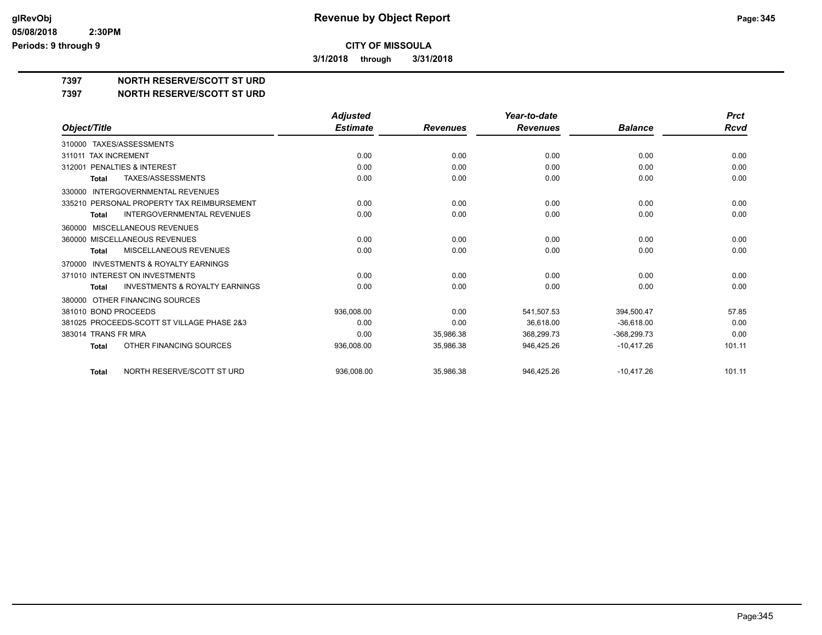**3/1/2018 through 3/31/2018**

**7397 NORTH RESERVE/SCOTT ST URD**

**7397 NORTH RESERVE/SCOTT ST URD**

|                                                    | <b>Adjusted</b> |                 | Year-to-date    |                | <b>Prct</b> |
|----------------------------------------------------|-----------------|-----------------|-----------------|----------------|-------------|
| Object/Title                                       | <b>Estimate</b> | <b>Revenues</b> | <b>Revenues</b> | <b>Balance</b> | <b>Rcvd</b> |
| 310000 TAXES/ASSESSMENTS                           |                 |                 |                 |                |             |
| <b>TAX INCREMENT</b><br>311011                     | 0.00            | 0.00            | 0.00            | 0.00           | 0.00        |
| PENALTIES & INTEREST<br>312001                     | 0.00            | 0.00            | 0.00            | 0.00           | 0.00        |
| <b>TAXES/ASSESSMENTS</b><br><b>Total</b>           | 0.00            | 0.00            | 0.00            | 0.00           | 0.00        |
| <b>INTERGOVERNMENTAL REVENUES</b><br>330000        |                 |                 |                 |                |             |
| 335210 PERSONAL PROPERTY TAX REIMBURSEMENT         | 0.00            | 0.00            | 0.00            | 0.00           | 0.00        |
| <b>INTERGOVERNMENTAL REVENUES</b><br><b>Total</b>  | 0.00            | 0.00            | 0.00            | 0.00           | 0.00        |
| 360000 MISCELLANEOUS REVENUES                      |                 |                 |                 |                |             |
| 360000 MISCELLANEOUS REVENUES                      | 0.00            | 0.00            | 0.00            | 0.00           | 0.00        |
| MISCELLANEOUS REVENUES<br><b>Total</b>             | 0.00            | 0.00            | 0.00            | 0.00           | 0.00        |
| 370000 INVESTMENTS & ROYALTY EARNINGS              |                 |                 |                 |                |             |
| 371010 INTEREST ON INVESTMENTS                     | 0.00            | 0.00            | 0.00            | 0.00           | 0.00        |
| <b>INVESTMENTS &amp; ROYALTY EARNINGS</b><br>Total | 0.00            | 0.00            | 0.00            | 0.00           | 0.00        |
| OTHER FINANCING SOURCES<br>380000                  |                 |                 |                 |                |             |
| 381010 BOND PROCEEDS                               | 936.008.00      | 0.00            | 541,507.53      | 394,500.47     | 57.85       |
| 381025 PROCEEDS-SCOTT ST VILLAGE PHASE 2&3         | 0.00            | 0.00            | 36.618.00       | $-36,618.00$   | 0.00        |
| 383014 TRANS FR MRA                                | 0.00            | 35.986.38       | 368.299.73      | $-368,299.73$  | 0.00        |
| OTHER FINANCING SOURCES<br><b>Total</b>            | 936,008.00      | 35,986.38       | 946,425.26      | $-10,417.26$   | 101.11      |
| NORTH RESERVE/SCOTT ST URD<br><b>Total</b>         | 936,008.00      | 35,986.38       | 946,425.26      | $-10,417.26$   | 101.11      |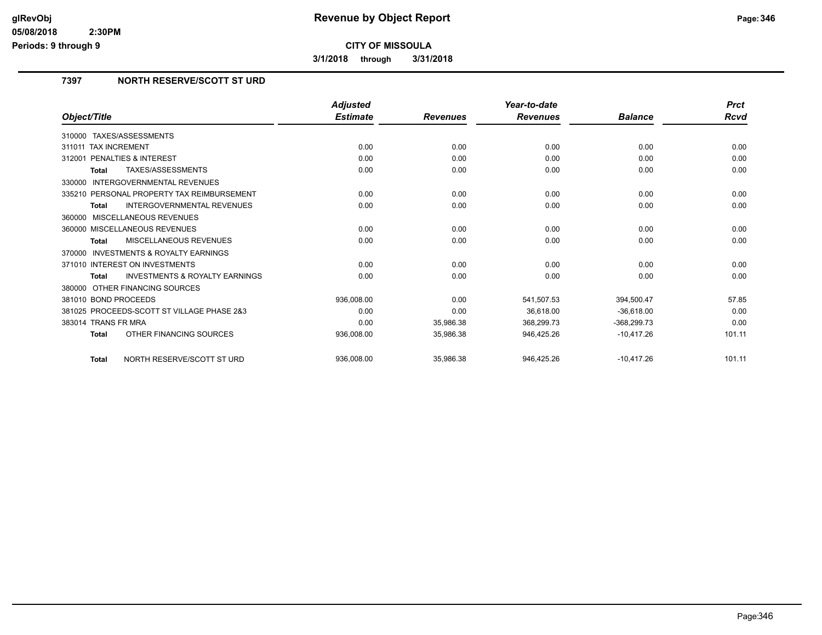**3/1/2018 through 3/31/2018**

## **7397 NORTH RESERVE/SCOTT ST URD**

|                                                     | <b>Adjusted</b> |                 | Year-to-date    |                | <b>Prct</b> |
|-----------------------------------------------------|-----------------|-----------------|-----------------|----------------|-------------|
| Object/Title                                        | <b>Estimate</b> | <b>Revenues</b> | <b>Revenues</b> | <b>Balance</b> | <b>Rcvd</b> |
| TAXES/ASSESSMENTS<br>310000                         |                 |                 |                 |                |             |
| 311011 TAX INCREMENT                                | 0.00            | 0.00            | 0.00            | 0.00           | 0.00        |
| 312001 PENALTIES & INTEREST                         | 0.00            | 0.00            | 0.00            | 0.00           | 0.00        |
| TAXES/ASSESSMENTS<br><b>Total</b>                   | 0.00            | 0.00            | 0.00            | 0.00           | 0.00        |
| <b>INTERGOVERNMENTAL REVENUES</b><br>330000         |                 |                 |                 |                |             |
| 335210 PERSONAL PROPERTY TAX REIMBURSEMENT          | 0.00            | 0.00            | 0.00            | 0.00           | 0.00        |
| <b>INTERGOVERNMENTAL REVENUES</b><br>Total          | 0.00            | 0.00            | 0.00            | 0.00           | 0.00        |
| 360000 MISCELLANEOUS REVENUES                       |                 |                 |                 |                |             |
| 360000 MISCELLANEOUS REVENUES                       | 0.00            | 0.00            | 0.00            | 0.00           | 0.00        |
| MISCELLANEOUS REVENUES<br><b>Total</b>              | 0.00            | 0.00            | 0.00            | 0.00           | 0.00        |
| <b>INVESTMENTS &amp; ROYALTY EARNINGS</b><br>370000 |                 |                 |                 |                |             |
| 371010 INTEREST ON INVESTMENTS                      | 0.00            | 0.00            | 0.00            | 0.00           | 0.00        |
| <b>INVESTMENTS &amp; ROYALTY EARNINGS</b><br>Total  | 0.00            | 0.00            | 0.00            | 0.00           | 0.00        |
| 380000 OTHER FINANCING SOURCES                      |                 |                 |                 |                |             |
| 381010 BOND PROCEEDS                                | 936,008.00      | 0.00            | 541,507.53      | 394,500.47     | 57.85       |
| 381025 PROCEEDS-SCOTT ST VILLAGE PHASE 2&3          | 0.00            | 0.00            | 36,618.00       | $-36,618.00$   | 0.00        |
| 383014 TRANS FR MRA                                 | 0.00            | 35,986.38       | 368,299.73      | $-368,299.73$  | 0.00        |
| OTHER FINANCING SOURCES<br>Total                    | 936,008.00      | 35,986.38       | 946,425.26      | $-10,417.26$   | 101.11      |
| NORTH RESERVE/SCOTT ST URD<br><b>Total</b>          | 936,008.00      | 35,986.38       | 946,425.26      | $-10,417.26$   | 101.11      |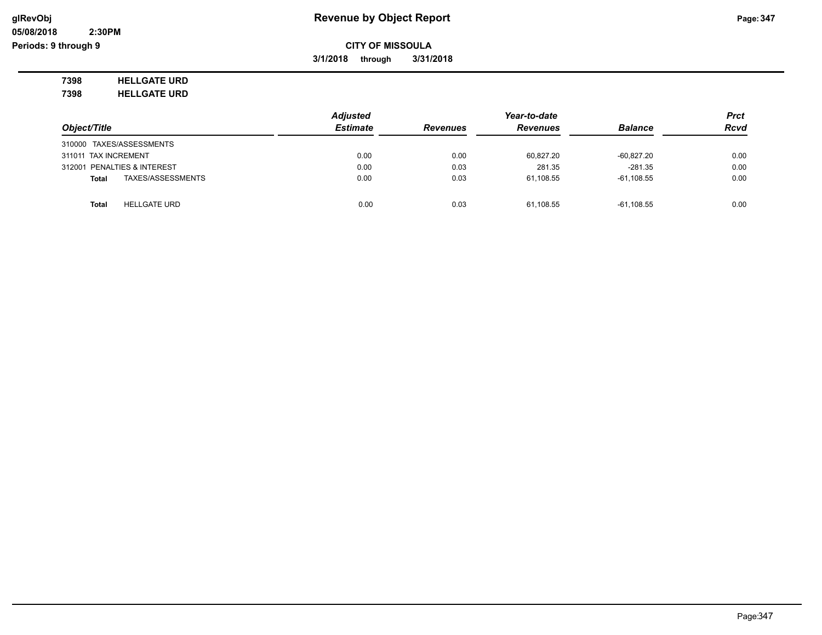**3/1/2018 through 3/31/2018**

**7398 HELLGATE URD**

**7398 HELLGATE URD**

|                             |                     | <b>Adjusted</b> |                 | <b>Prct</b>     |                |             |
|-----------------------------|---------------------|-----------------|-----------------|-----------------|----------------|-------------|
| Object/Title                |                     | <b>Estimate</b> | <b>Revenues</b> | <b>Revenues</b> | <b>Balance</b> | <b>Rcvd</b> |
| 310000 TAXES/ASSESSMENTS    |                     |                 |                 |                 |                |             |
| 311011 TAX INCREMENT        |                     | 0.00            | 0.00            | 60,827.20       | $-60,827.20$   | 0.00        |
| 312001 PENALTIES & INTEREST |                     | 0.00            | 0.03            | 281.35          | $-281.35$      | 0.00        |
| Total                       | TAXES/ASSESSMENTS   | 0.00            | 0.03            | 61.108.55       | $-61.108.55$   | 0.00        |
| <b>Total</b>                | <b>HELLGATE URD</b> | 0.00            | 0.03            | 61.108.55       | $-61,108.55$   | 0.00        |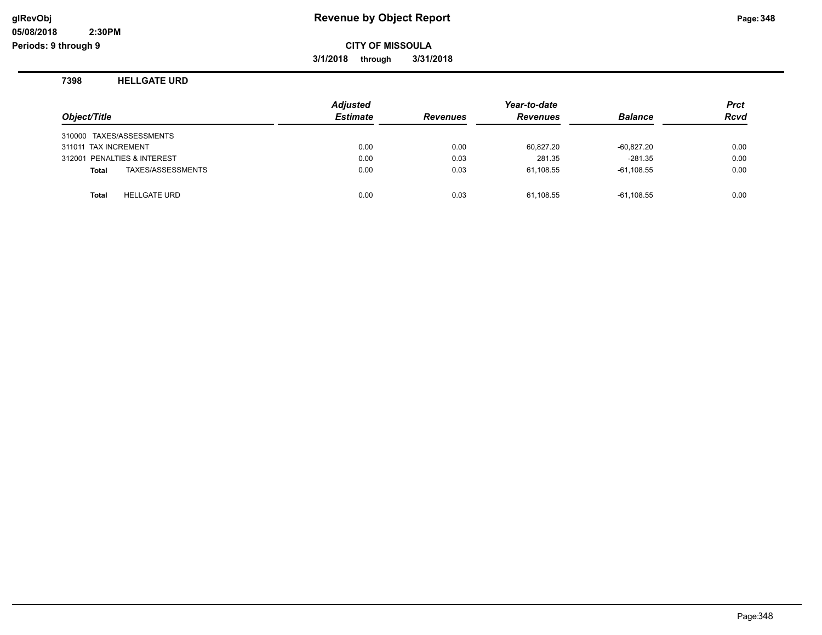**Periods: 9 through 9**

**CITY OF MISSOULA**

**3/1/2018 through 3/31/2018**

### **7398 HELLGATE URD**

|                                     | <b>Adjusted</b> |                 | Year-to-date    |                | <b>Prct</b> |
|-------------------------------------|-----------------|-----------------|-----------------|----------------|-------------|
| Object/Title                        | <b>Estimate</b> | <b>Revenues</b> | <b>Revenues</b> | <b>Balance</b> | <b>Rcvd</b> |
| 310000 TAXES/ASSESSMENTS            |                 |                 |                 |                |             |
| 311011 TAX INCREMENT                | 0.00            | 0.00            | 60,827.20       | $-60,827.20$   | 0.00        |
| 312001 PENALTIES & INTEREST         | 0.00            | 0.03            | 281.35          | $-281.35$      | 0.00        |
| TAXES/ASSESSMENTS<br><b>Total</b>   | 0.00            | 0.03            | 61.108.55       | $-61.108.55$   | 0.00        |
|                                     |                 |                 |                 |                |             |
| <b>HELLGATE URD</b><br><b>Total</b> | 0.00            | 0.03            | 61.108.55       | $-61.108.55$   | 0.00        |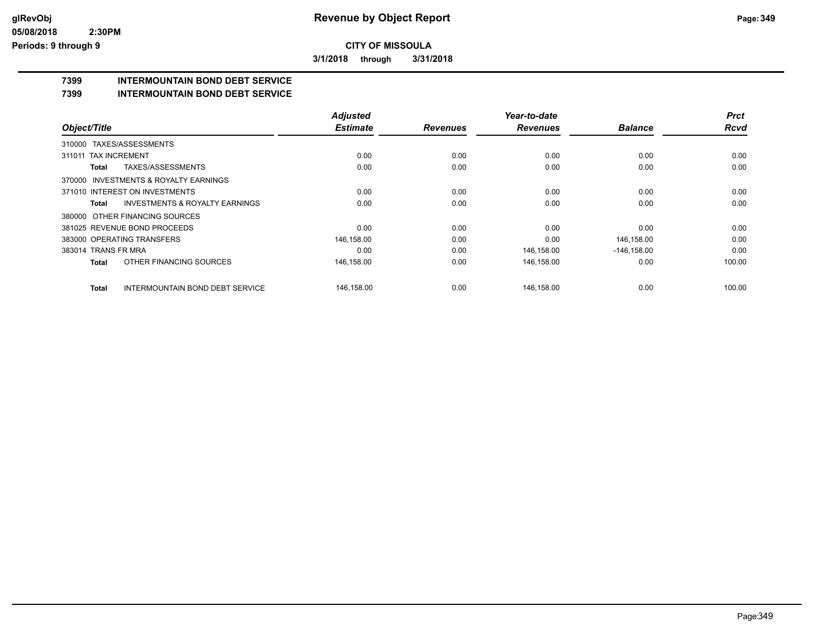**3/1/2018 through 3/31/2018**

# **7399 INTERMOUNTAIN BOND DEBT SERVICE**

# **7399 INTERMOUNTAIN BOND DEBT SERVICE**

|                                                    | <b>Adjusted</b> |                 | Year-to-date    |                | <b>Prct</b> |
|----------------------------------------------------|-----------------|-----------------|-----------------|----------------|-------------|
| Object/Title                                       | <b>Estimate</b> | <b>Revenues</b> | <b>Revenues</b> | <b>Balance</b> | <b>Rcvd</b> |
| 310000 TAXES/ASSESSMENTS                           |                 |                 |                 |                |             |
| <b>TAX INCREMENT</b><br>311011                     | 0.00            | 0.00            | 0.00            | 0.00           | 0.00        |
| TAXES/ASSESSMENTS<br>Total                         | 0.00            | 0.00            | 0.00            | 0.00           | 0.00        |
| 370000 INVESTMENTS & ROYALTY EARNINGS              |                 |                 |                 |                |             |
| 371010 INTEREST ON INVESTMENTS                     | 0.00            | 0.00            | 0.00            | 0.00           | 0.00        |
| <b>INVESTMENTS &amp; ROYALTY EARNINGS</b><br>Total | 0.00            | 0.00            | 0.00            | 0.00           | 0.00        |
| 380000 OTHER FINANCING SOURCES                     |                 |                 |                 |                |             |
| 381025 REVENUE BOND PROCEEDS                       | 0.00            | 0.00            | 0.00            | 0.00           | 0.00        |
| 383000 OPERATING TRANSFERS                         | 146,158.00      | 0.00            | 0.00            | 146,158.00     | 0.00        |
| 383014 TRANS FR MRA                                | 0.00            | 0.00            | 146,158.00      | $-146, 158.00$ | 0.00        |
| OTHER FINANCING SOURCES<br>Total                   | 146,158.00      | 0.00            | 146,158.00      | 0.00           | 100.00      |
| <b>INTERMOUNTAIN BOND DEBT SERVICE</b><br>Total    | 146.158.00      | 0.00            | 146.158.00      | 0.00           | 100.00      |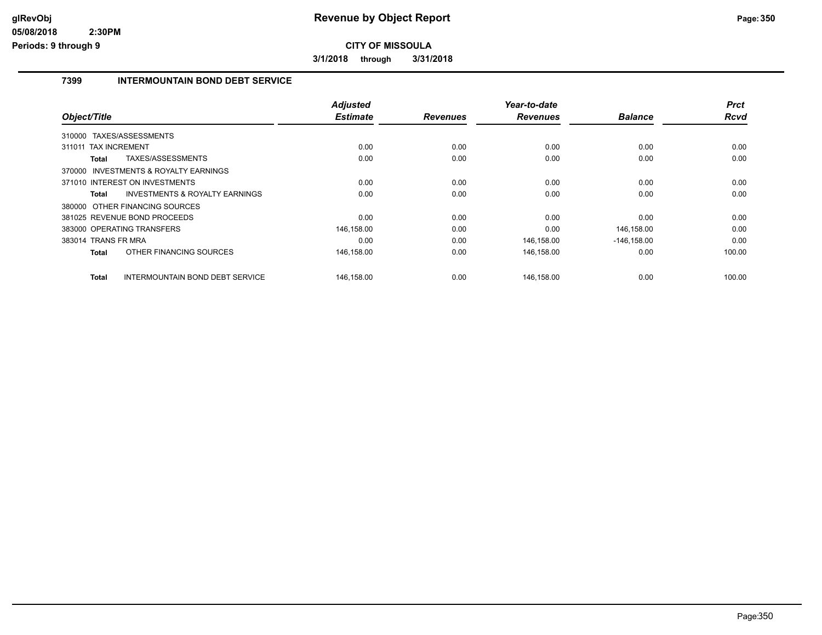**3/1/2018 through 3/31/2018**

### **7399 INTERMOUNTAIN BOND DEBT SERVICE**

|                                |                                           | <b>Adjusted</b> |                 | Year-to-date    |                | <b>Prct</b> |
|--------------------------------|-------------------------------------------|-----------------|-----------------|-----------------|----------------|-------------|
| Object/Title                   |                                           | <b>Estimate</b> | <b>Revenues</b> | <b>Revenues</b> | <b>Balance</b> | <b>Rcvd</b> |
| 310000 TAXES/ASSESSMENTS       |                                           |                 |                 |                 |                |             |
| <b>TAX INCREMENT</b><br>311011 |                                           | 0.00            | 0.00            | 0.00            | 0.00           | 0.00        |
| Total                          | TAXES/ASSESSMENTS                         | 0.00            | 0.00            | 0.00            | 0.00           | 0.00        |
|                                | 370000 INVESTMENTS & ROYALTY EARNINGS     |                 |                 |                 |                |             |
|                                | 371010 INTEREST ON INVESTMENTS            | 0.00            | 0.00            | 0.00            | 0.00           | 0.00        |
| <b>Total</b>                   | <b>INVESTMENTS &amp; ROYALTY EARNINGS</b> | 0.00            | 0.00            | 0.00            | 0.00           | 0.00        |
|                                | 380000 OTHER FINANCING SOURCES            |                 |                 |                 |                |             |
|                                | 381025 REVENUE BOND PROCEEDS              | 0.00            | 0.00            | 0.00            | 0.00           | 0.00        |
| 383000 OPERATING TRANSFERS     |                                           | 146,158.00      | 0.00            | 0.00            | 146,158.00     | 0.00        |
| 383014 TRANS FR MRA            |                                           | 0.00            | 0.00            | 146,158.00      | $-146, 158.00$ | 0.00        |
| <b>Total</b>                   | OTHER FINANCING SOURCES                   | 146,158.00      | 0.00            | 146,158.00      | 0.00           | 100.00      |
| <b>Total</b>                   | INTERMOUNTAIN BOND DEBT SERVICE           | 146,158.00      | 0.00            | 146,158.00      | 0.00           | 100.00      |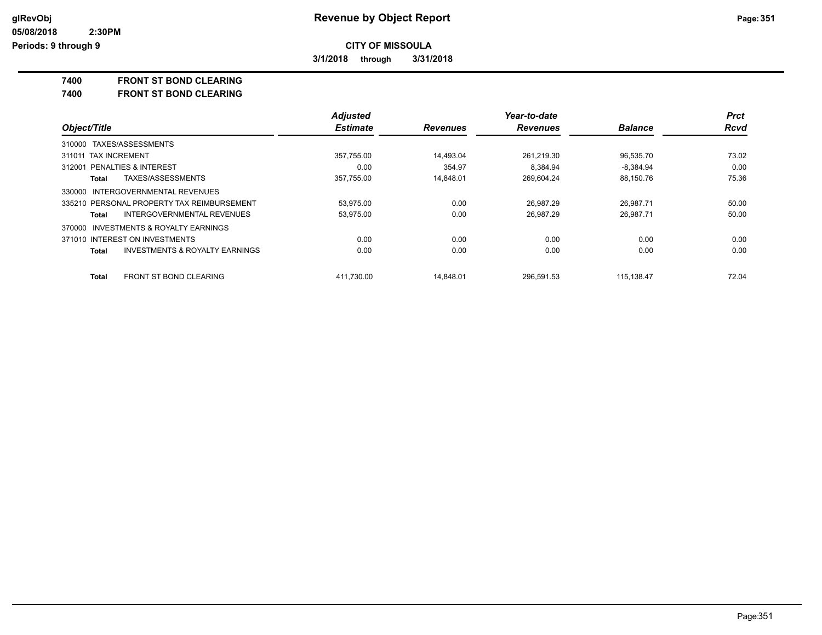**3/1/2018 through 3/31/2018**

### **7400 FRONT ST BOND CLEARING**

**7400 FRONT ST BOND CLEARING**

|                                                           | <b>Adjusted</b> |                 | Year-to-date    |                | <b>Prct</b> |
|-----------------------------------------------------------|-----------------|-----------------|-----------------|----------------|-------------|
| Object/Title                                              | <b>Estimate</b> | <b>Revenues</b> | <b>Revenues</b> | <b>Balance</b> | <b>Rcvd</b> |
| 310000 TAXES/ASSESSMENTS                                  |                 |                 |                 |                |             |
| <b>TAX INCREMENT</b><br>311011                            | 357,755.00      | 14.493.04       | 261.219.30      | 96,535.70      | 73.02       |
| <b>PENALTIES &amp; INTEREST</b><br>312001                 | 0.00            | 354.97          | 8.384.94        | $-8.384.94$    | 0.00        |
| TAXES/ASSESSMENTS<br>Total                                | 357,755.00      | 14.848.01       | 269.604.24      | 88,150.76      | 75.36       |
| 330000 INTERGOVERNMENTAL REVENUES                         |                 |                 |                 |                |             |
| 335210 PERSONAL PROPERTY TAX REIMBURSEMENT                | 53,975.00       | 0.00            | 26,987.29       | 26,987.71      | 50.00       |
| INTERGOVERNMENTAL REVENUES<br>Total                       | 53,975.00       | 0.00            | 26.987.29       | 26.987.71      | 50.00       |
| 370000 INVESTMENTS & ROYALTY EARNINGS                     |                 |                 |                 |                |             |
| 371010 INTEREST ON INVESTMENTS                            | 0.00            | 0.00            | 0.00            | 0.00           | 0.00        |
| <b>INVESTMENTS &amp; ROYALTY EARNINGS</b><br><b>Total</b> | 0.00            | 0.00            | 0.00            | 0.00           | 0.00        |
| <b>FRONT ST BOND CLEARING</b><br><b>Total</b>             | 411.730.00      | 14.848.01       | 296.591.53      | 115.138.47     | 72.04       |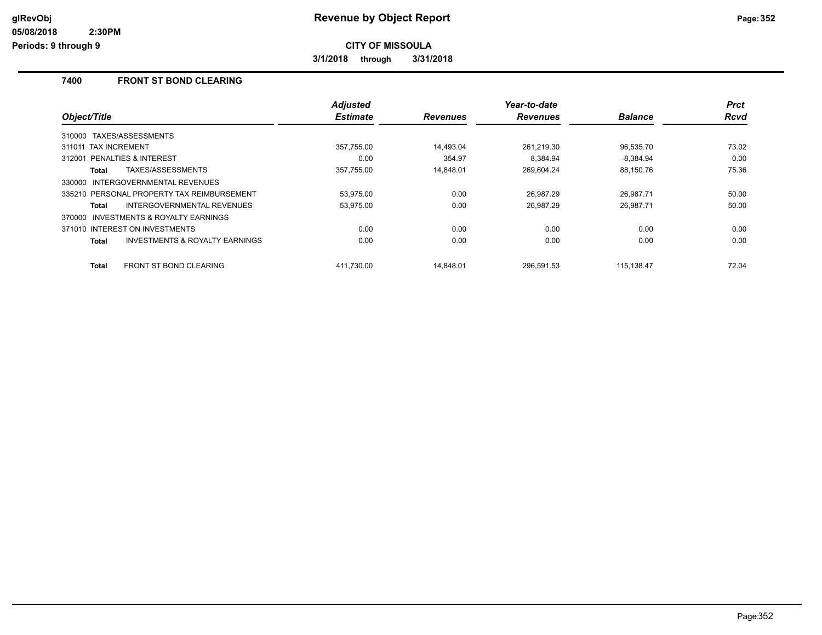**3/1/2018 through 3/31/2018**

## **7400 FRONT ST BOND CLEARING**

| Object/Title                               | <b>Adjusted</b><br><b>Estimate</b> | <b>Revenues</b> | Year-to-date<br><b>Revenues</b> | <b>Balance</b> | <b>Prct</b><br>Rcvd |
|--------------------------------------------|------------------------------------|-----------------|---------------------------------|----------------|---------------------|
| TAXES/ASSESSMENTS<br>310000                |                                    |                 |                                 |                |                     |
| 311011 TAX INCREMENT                       | 357,755.00                         | 14,493.04       | 261,219.30                      | 96,535.70      | 73.02               |
|                                            |                                    |                 |                                 |                |                     |
| PENALTIES & INTEREST<br>312001             | 0.00                               | 354.97          | 8.384.94                        | $-8.384.94$    | 0.00                |
| TAXES/ASSESSMENTS<br><b>Total</b>          | 357,755.00                         | 14.848.01       | 269,604.24                      | 88,150.76      | 75.36               |
| 330000 INTERGOVERNMENTAL REVENUES          |                                    |                 |                                 |                |                     |
| 335210 PERSONAL PROPERTY TAX REIMBURSEMENT | 53,975.00                          | 0.00            | 26,987.29                       | 26,987.71      | 50.00               |
| INTERGOVERNMENTAL REVENUES<br>Total        | 53,975.00                          | 0.00            | 26.987.29                       | 26.987.71      | 50.00               |
| 370000 INVESTMENTS & ROYALTY EARNINGS      |                                    |                 |                                 |                |                     |
| 371010 INTEREST ON INVESTMENTS             | 0.00                               | 0.00            | 0.00                            | 0.00           | 0.00                |
| INVESTMENTS & ROYALTY EARNINGS<br>Total    | 0.00                               | 0.00            | 0.00                            | 0.00           | 0.00                |
| FRONT ST BOND CLEARING<br><b>Total</b>     | 411.730.00                         | 14.848.01       | 296.591.53                      | 115.138.47     | 72.04               |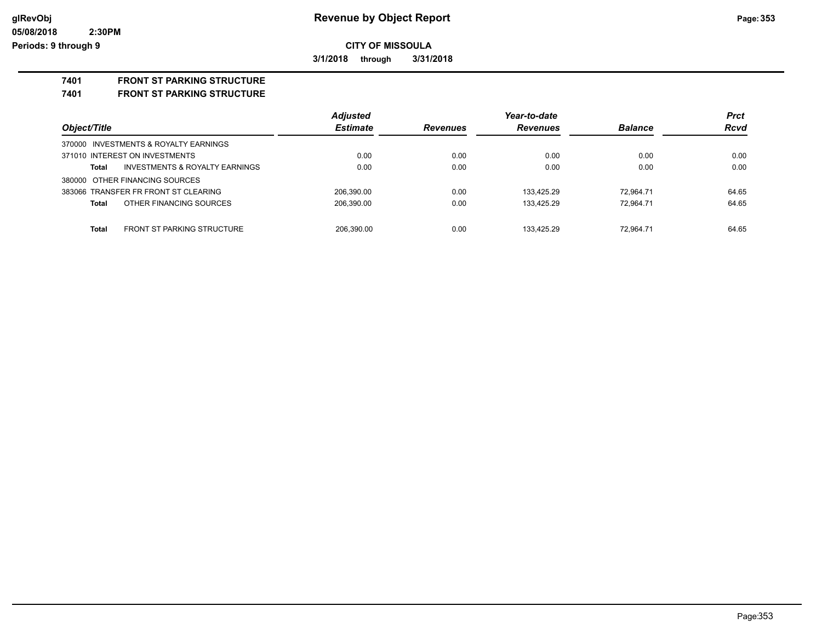**3/1/2018 through 3/31/2018**

# **7401 FRONT ST PARKING STRUCTURE**

**7401 FRONT ST PARKING STRUCTURE**

|                                                   | <b>Adjusted</b> |                 | Year-to-date    |                | Prct  |
|---------------------------------------------------|-----------------|-----------------|-----------------|----------------|-------|
| Object/Title                                      | <b>Estimate</b> | <b>Revenues</b> | <b>Revenues</b> | <b>Balance</b> | Rcvd  |
| 370000 INVESTMENTS & ROYALTY EARNINGS             |                 |                 |                 |                |       |
| 371010 INTEREST ON INVESTMENTS                    | 0.00            | 0.00            | 0.00            | 0.00           | 0.00  |
| INVESTMENTS & ROYALTY EARNINGS<br>Total           | 0.00            | 0.00            | 0.00            | 0.00           | 0.00  |
| 380000 OTHER FINANCING SOURCES                    |                 |                 |                 |                |       |
| 383066 TRANSFER FR FRONT ST CLEARING              | 206.390.00      | 0.00            | 133.425.29      | 72.964.71      | 64.65 |
| OTHER FINANCING SOURCES<br>Total                  | 206,390.00      | 0.00            | 133.425.29      | 72.964.71      | 64.65 |
|                                                   |                 |                 |                 |                |       |
| <b>FRONT ST PARKING STRUCTURE</b><br><b>Total</b> | 206.390.00      | 0.00            | 133.425.29      | 72.964.71      | 64.65 |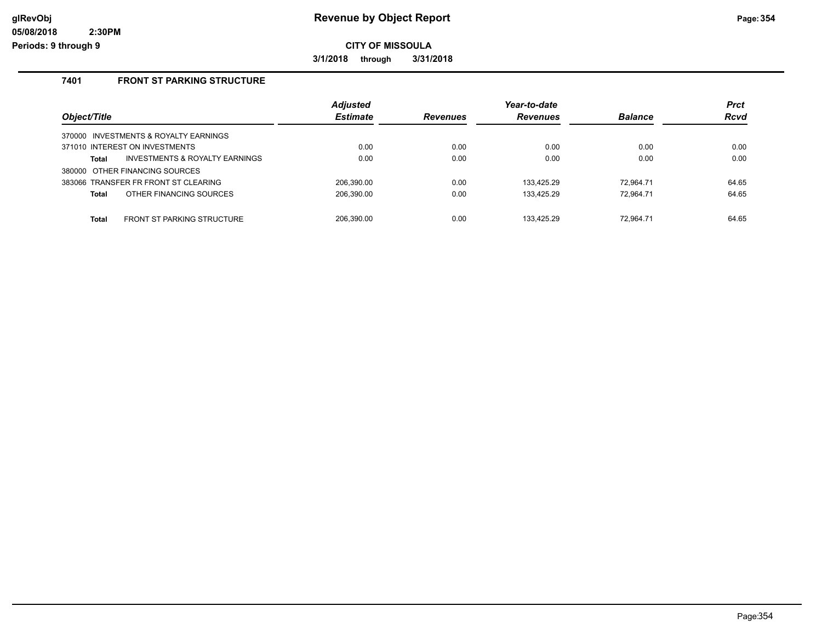**3/1/2018 through 3/31/2018**

### **7401 FRONT ST PARKING STRUCTURE**

| Object/Title                                              | <b>Adjusted</b><br><b>Estimate</b> | <b>Revenues</b> | Year-to-date<br><b>Revenues</b> | <b>Balance</b> | <b>Prct</b><br><b>Rcvd</b> |
|-----------------------------------------------------------|------------------------------------|-----------------|---------------------------------|----------------|----------------------------|
| 370000 INVESTMENTS & ROYALTY EARNINGS                     |                                    |                 |                                 |                |                            |
| 371010 INTEREST ON INVESTMENTS                            | 0.00                               | 0.00            | 0.00                            | 0.00           | 0.00                       |
| <b>INVESTMENTS &amp; ROYALTY EARNINGS</b><br><b>Total</b> | 0.00                               | 0.00            | 0.00                            | 0.00           | 0.00                       |
| 380000 OTHER FINANCING SOURCES                            |                                    |                 |                                 |                |                            |
| 383066 TRANSFER FR FRONT ST CLEARING                      | 206,390.00                         | 0.00            | 133.425.29                      | 72.964.71      | 64.65                      |
| OTHER FINANCING SOURCES<br><b>Total</b>                   | 206,390.00                         | 0.00            | 133.425.29                      | 72.964.71      | 64.65                      |
|                                                           |                                    |                 |                                 |                |                            |
| <b>FRONT ST PARKING STRUCTURE</b><br><b>Total</b>         | 206.390.00                         | 0.00            | 133.425.29                      | 72.964.71      | 64.65                      |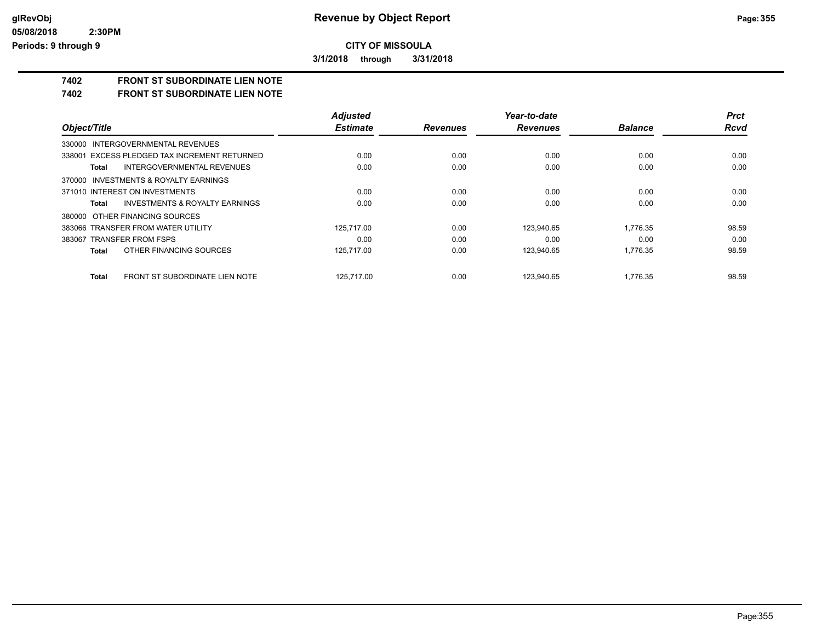**3/1/2018 through 3/31/2018**

# **7402 FRONT ST SUBORDINATE LIEN NOTE**

**7402 FRONT ST SUBORDINATE LIEN NOTE**

|                                                    | <b>Adjusted</b> |                 | Year-to-date    |                | <b>Prct</b> |
|----------------------------------------------------|-----------------|-----------------|-----------------|----------------|-------------|
| Object/Title                                       | <b>Estimate</b> | <b>Revenues</b> | <b>Revenues</b> | <b>Balance</b> | <b>Rcvd</b> |
| 330000 INTERGOVERNMENTAL REVENUES                  |                 |                 |                 |                |             |
| 338001 EXCESS PLEDGED TAX INCREMENT RETURNED       | 0.00            | 0.00            | 0.00            | 0.00           | 0.00        |
| <b>INTERGOVERNMENTAL REVENUES</b><br>Total         | 0.00            | 0.00            | 0.00            | 0.00           | 0.00        |
| 370000 INVESTMENTS & ROYALTY EARNINGS              |                 |                 |                 |                |             |
| 371010 INTEREST ON INVESTMENTS                     | 0.00            | 0.00            | 0.00            | 0.00           | 0.00        |
| <b>INVESTMENTS &amp; ROYALTY EARNINGS</b><br>Total | 0.00            | 0.00            | 0.00            | 0.00           | 0.00        |
| 380000 OTHER FINANCING SOURCES                     |                 |                 |                 |                |             |
| 383066 TRANSFER FROM WATER UTILITY                 | 125.717.00      | 0.00            | 123.940.65      | 1.776.35       | 98.59       |
| 383067 TRANSFER FROM FSPS                          | 0.00            | 0.00            | 0.00            | 0.00           | 0.00        |
| OTHER FINANCING SOURCES<br>Total                   | 125,717.00      | 0.00            | 123.940.65      | 1.776.35       | 98.59       |
| FRONT ST SUBORDINATE LIEN NOTE<br><b>Total</b>     | 125.717.00      | 0.00            | 123.940.65      | 1.776.35       | 98.59       |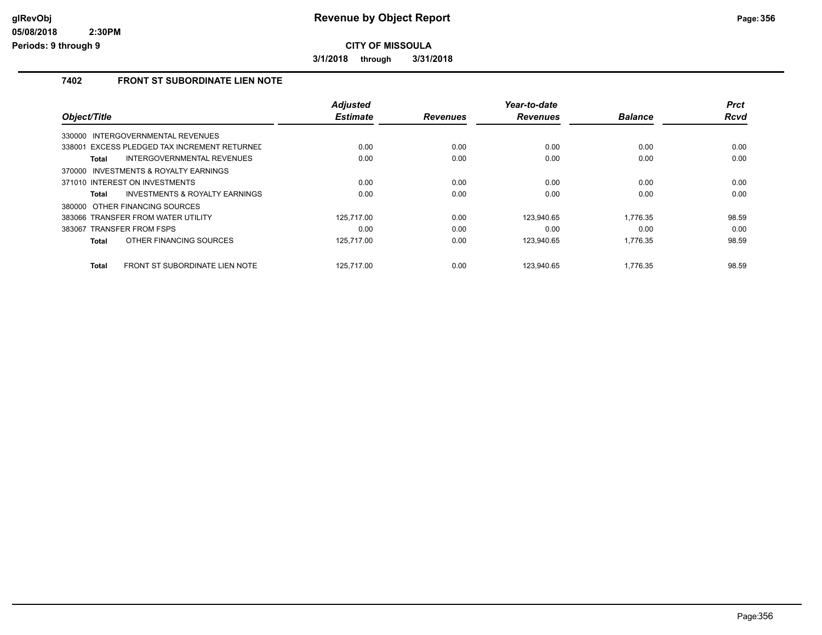**3/1/2018 through 3/31/2018**

### **7402 FRONT ST SUBORDINATE LIEN NOTE**

|                                                 | <b>Adjusted</b> |                 | Year-to-date    |                | <b>Prct</b> |
|-------------------------------------------------|-----------------|-----------------|-----------------|----------------|-------------|
| Object/Title                                    | <b>Estimate</b> | <b>Revenues</b> | <b>Revenues</b> | <b>Balance</b> | <b>Rcvd</b> |
| INTERGOVERNMENTAL REVENUES<br>330000            |                 |                 |                 |                |             |
| EXCESS PLEDGED TAX INCREMENT RETURNED<br>338001 | 0.00            | 0.00            | 0.00            | 0.00           | 0.00        |
| INTERGOVERNMENTAL REVENUES<br>Total             | 0.00            | 0.00            | 0.00            | 0.00           | 0.00        |
| 370000 INVESTMENTS & ROYALTY EARNINGS           |                 |                 |                 |                |             |
| 371010 INTEREST ON INVESTMENTS                  | 0.00            | 0.00            | 0.00            | 0.00           | 0.00        |
| INVESTMENTS & ROYALTY EARNINGS<br>Total         | 0.00            | 0.00            | 0.00            | 0.00           | 0.00        |
| 380000 OTHER FINANCING SOURCES                  |                 |                 |                 |                |             |
| 383066 TRANSFER FROM WATER UTILITY              | 125.717.00      | 0.00            | 123.940.65      | 1.776.35       | 98.59       |
| 383067 TRANSFER FROM FSPS                       | 0.00            | 0.00            | 0.00            | 0.00           | 0.00        |
| OTHER FINANCING SOURCES<br>Total                | 125.717.00      | 0.00            | 123,940.65      | 1.776.35       | 98.59       |
| FRONT ST SUBORDINATE LIEN NOTE<br><b>Total</b>  | 125.717.00      | 0.00            | 123.940.65      | 1.776.35       | 98.59       |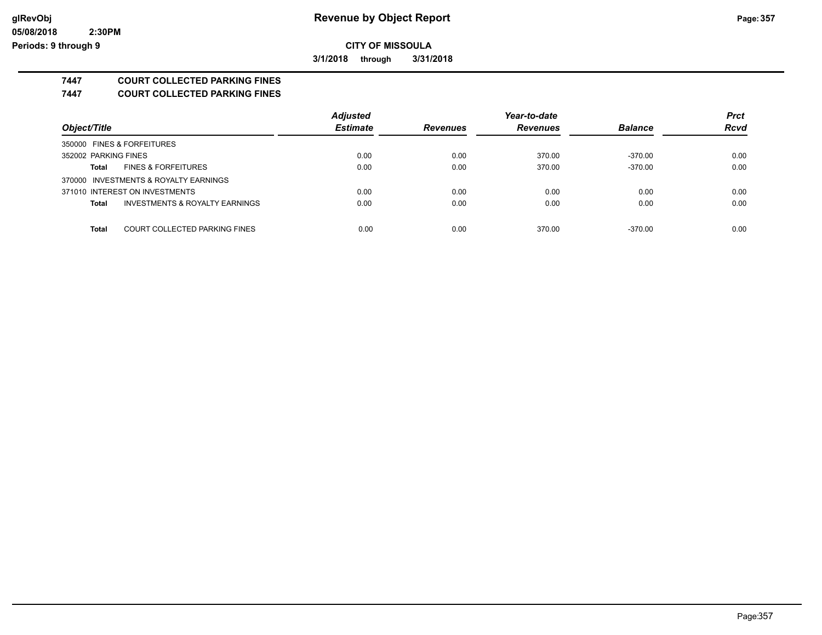**3/1/2018 through 3/31/2018**

# **7447 COURT COLLECTED PARKING FINES**

**7447 COURT COLLECTED PARKING FINES**

|                                                | <b>Adjusted</b> |                 | Year-to-date    |                | <b>Prct</b> |
|------------------------------------------------|-----------------|-----------------|-----------------|----------------|-------------|
| Object/Title                                   | <b>Estimate</b> | <b>Revenues</b> | <b>Revenues</b> | <b>Balance</b> | <b>Rcvd</b> |
| 350000 FINES & FORFEITURES                     |                 |                 |                 |                |             |
| 352002 PARKING FINES                           | 0.00            | 0.00            | 370.00          | $-370.00$      | 0.00        |
| <b>FINES &amp; FORFEITURES</b><br>Total        | 0.00            | 0.00            | 370.00          | $-370.00$      | 0.00        |
| 370000 INVESTMENTS & ROYALTY EARNINGS          |                 |                 |                 |                |             |
| 371010 INTEREST ON INVESTMENTS                 | 0.00            | 0.00            | 0.00            | 0.00           | 0.00        |
| INVESTMENTS & ROYALTY EARNINGS<br><b>Total</b> | 0.00            | 0.00            | 0.00            | 0.00           | 0.00        |
|                                                |                 |                 |                 |                |             |
| COURT COLLECTED PARKING FINES<br>Total         | 0.00            | 0.00            | 370.00          | $-370.00$      | 0.00        |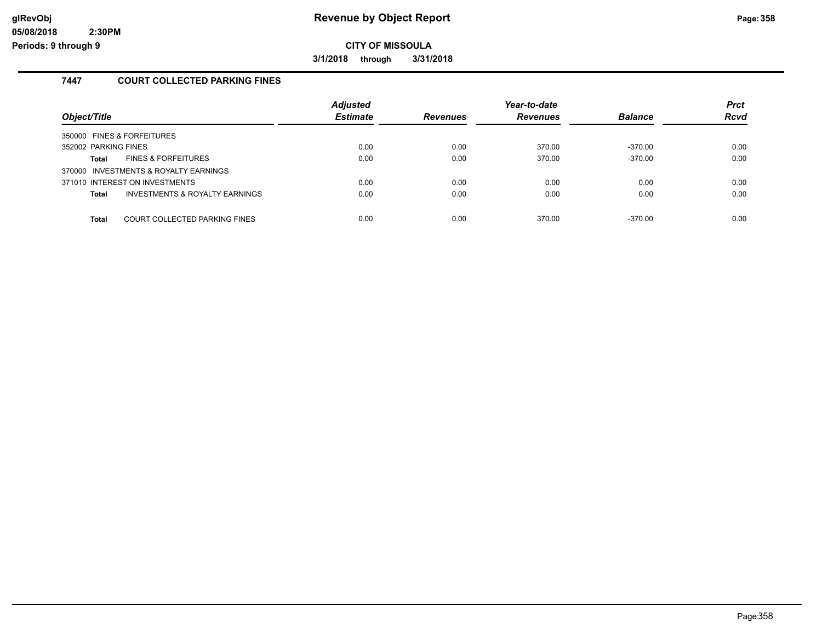**3/1/2018 through 3/31/2018**

### **7447 COURT COLLECTED PARKING FINES**

| Object/Title                                              | <b>Adjusted</b><br><b>Estimate</b> | <b>Revenues</b> | Year-to-date<br><b>Revenues</b> | <b>Balance</b> | <b>Prct</b><br><b>Rcvd</b> |
|-----------------------------------------------------------|------------------------------------|-----------------|---------------------------------|----------------|----------------------------|
| 350000 FINES & FORFEITURES                                |                                    |                 |                                 |                |                            |
| 352002 PARKING FINES                                      | 0.00                               | 0.00            | 370.00                          | $-370.00$      | 0.00                       |
| <b>FINES &amp; FORFEITURES</b><br>Total                   | 0.00                               | 0.00            | 370.00                          | $-370.00$      | 0.00                       |
| 370000 INVESTMENTS & ROYALTY EARNINGS                     |                                    |                 |                                 |                |                            |
| 371010 INTEREST ON INVESTMENTS                            | 0.00                               | 0.00            | 0.00                            | 0.00           | 0.00                       |
| <b>INVESTMENTS &amp; ROYALTY EARNINGS</b><br><b>Total</b> | 0.00                               | 0.00            | 0.00                            | 0.00           | 0.00                       |
|                                                           |                                    |                 |                                 |                |                            |
| COURT COLLECTED PARKING FINES<br><b>Total</b>             | 0.00                               | 0.00            | 370.00                          | $-370.00$      | 0.00                       |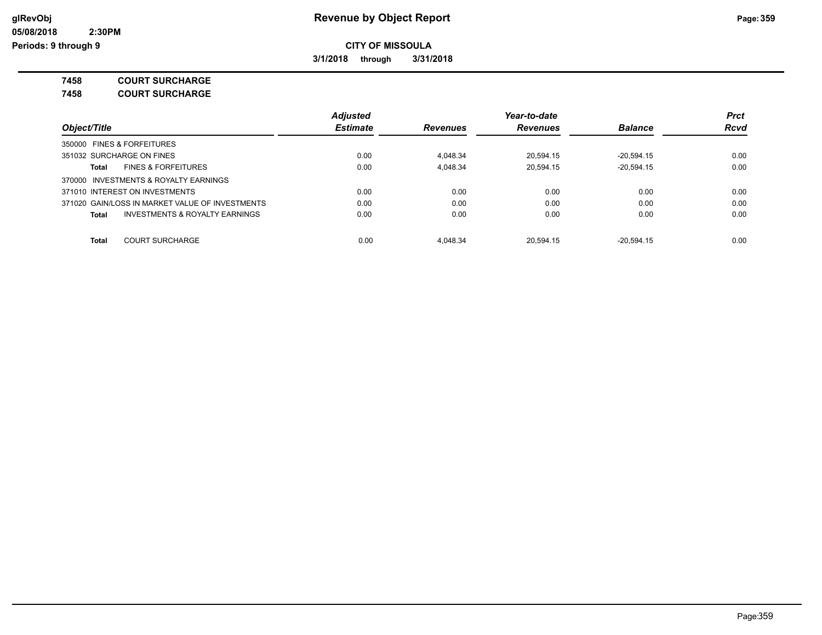**3/1/2018 through 3/31/2018**

**7458 COURT SURCHARGE**

**7458 COURT SURCHARGE**

|                                                 | <b>Adjusted</b> |                 | Year-to-date    |                | <b>Prct</b> |
|-------------------------------------------------|-----------------|-----------------|-----------------|----------------|-------------|
| Object/Title                                    | <b>Estimate</b> | <b>Revenues</b> | <b>Revenues</b> | <b>Balance</b> | <b>Rcvd</b> |
| 350000 FINES & FORFEITURES                      |                 |                 |                 |                |             |
| 351032 SURCHARGE ON FINES                       | 0.00            | 4.048.34        | 20.594.15       | $-20.594.15$   | 0.00        |
| <b>FINES &amp; FORFEITURES</b><br>Total         | 0.00            | 4.048.34        | 20.594.15       | $-20.594.15$   | 0.00        |
| 370000 INVESTMENTS & ROYALTY EARNINGS           |                 |                 |                 |                |             |
| 371010 INTEREST ON INVESTMENTS                  | 0.00            | 0.00            | 0.00            | 0.00           | 0.00        |
| 371020 GAIN/LOSS IN MARKET VALUE OF INVESTMENTS | 0.00            | 0.00            | 0.00            | 0.00           | 0.00        |
| INVESTMENTS & ROYALTY EARNINGS<br>Total         | 0.00            | 0.00            | 0.00            | 0.00           | 0.00        |
|                                                 |                 |                 |                 |                |             |
| <b>COURT SURCHARGE</b><br>Total                 | 0.00            | 4.048.34        | 20.594.15       | $-20.594.15$   | 0.00        |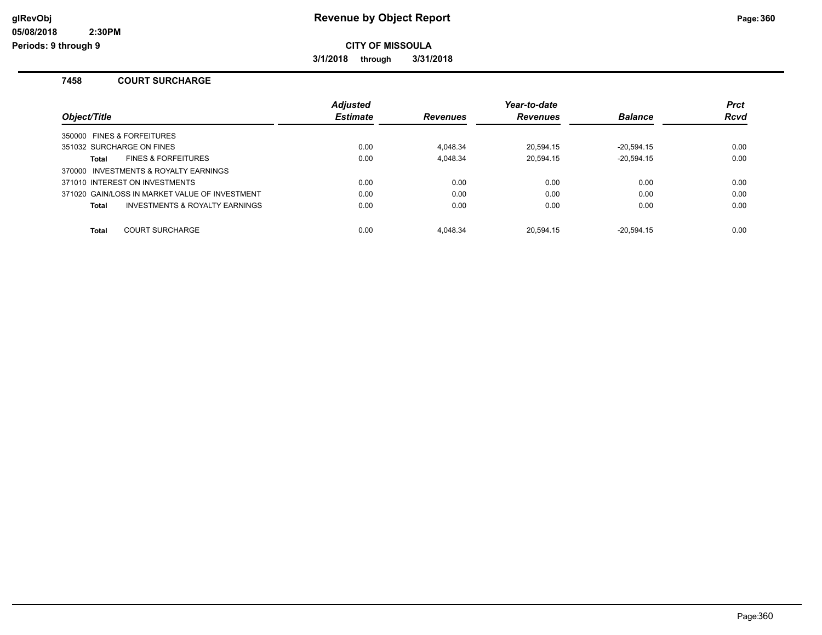**Periods: 9 through 9**

**CITY OF MISSOULA**

**3/1/2018 through 3/31/2018**

### **7458 COURT SURCHARGE**

|                                                | <b>Adjusted</b> |                 | Year-to-date    |                | <b>Prct</b> |
|------------------------------------------------|-----------------|-----------------|-----------------|----------------|-------------|
| Object/Title                                   | <b>Estimate</b> | <b>Revenues</b> | <b>Revenues</b> | <b>Balance</b> | <b>Rcvd</b> |
| 350000 FINES & FORFEITURES                     |                 |                 |                 |                |             |
| 351032 SURCHARGE ON FINES                      | 0.00            | 4.048.34        | 20.594.15       | $-20.594.15$   | 0.00        |
| <b>FINES &amp; FORFEITURES</b><br><b>Total</b> | 0.00            | 4.048.34        | 20.594.15       | $-20.594.15$   | 0.00        |
| 370000 INVESTMENTS & ROYALTY EARNINGS          |                 |                 |                 |                |             |
| 371010 INTEREST ON INVESTMENTS                 | 0.00            | 0.00            | 0.00            | 0.00           | 0.00        |
| 371020 GAIN/LOSS IN MARKET VALUE OF INVESTMENT | 0.00            | 0.00            | 0.00            | 0.00           | 0.00        |
| INVESTMENTS & ROYALTY EARNINGS<br>Total        | 0.00            | 0.00            | 0.00            | 0.00           | 0.00        |
|                                                |                 |                 |                 |                |             |
| <b>COURT SURCHARGE</b><br><b>Total</b>         | 0.00            | 4.048.34        | 20.594.15       | $-20.594.15$   | 0.00        |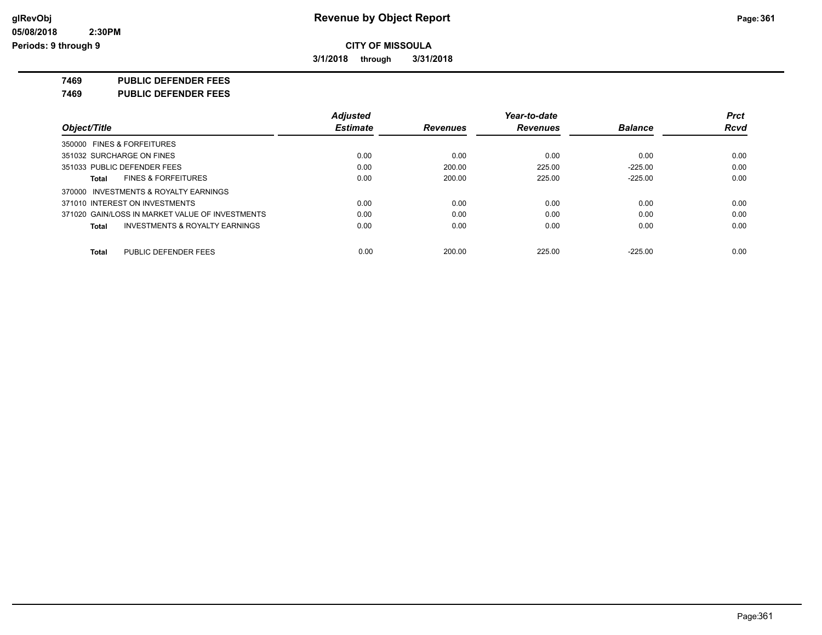**3/1/2018 through 3/31/2018**

**7469 PUBLIC DEFENDER FEES**

**7469 PUBLIC DEFENDER FEES**

|                                                    | <b>Adjusted</b> |                 | Year-to-date    |                | <b>Prct</b> |
|----------------------------------------------------|-----------------|-----------------|-----------------|----------------|-------------|
| Object/Title                                       | <b>Estimate</b> | <b>Revenues</b> | <b>Revenues</b> | <b>Balance</b> | <b>Rcvd</b> |
| 350000 FINES & FORFEITURES                         |                 |                 |                 |                |             |
| 351032 SURCHARGE ON FINES                          | 0.00            | 0.00            | 0.00            | 0.00           | 0.00        |
| 351033 PUBLIC DEFENDER FEES                        | 0.00            | 200.00          | 225.00          | $-225.00$      | 0.00        |
| <b>FINES &amp; FORFEITURES</b><br>Total            | 0.00            | 200.00          | 225.00          | $-225.00$      | 0.00        |
| 370000 INVESTMENTS & ROYALTY EARNINGS              |                 |                 |                 |                |             |
| 371010 INTEREST ON INVESTMENTS                     | 0.00            | 0.00            | 0.00            | 0.00           | 0.00        |
| 371020 GAIN/LOSS IN MARKET VALUE OF INVESTMENTS    | 0.00            | 0.00            | 0.00            | 0.00           | 0.00        |
| <b>INVESTMENTS &amp; ROYALTY EARNINGS</b><br>Total | 0.00            | 0.00            | 0.00            | 0.00           | 0.00        |
| PUBLIC DEFENDER FEES<br>Total                      | 0.00            | 200.00          | 225.00          | $-225.00$      | 0.00        |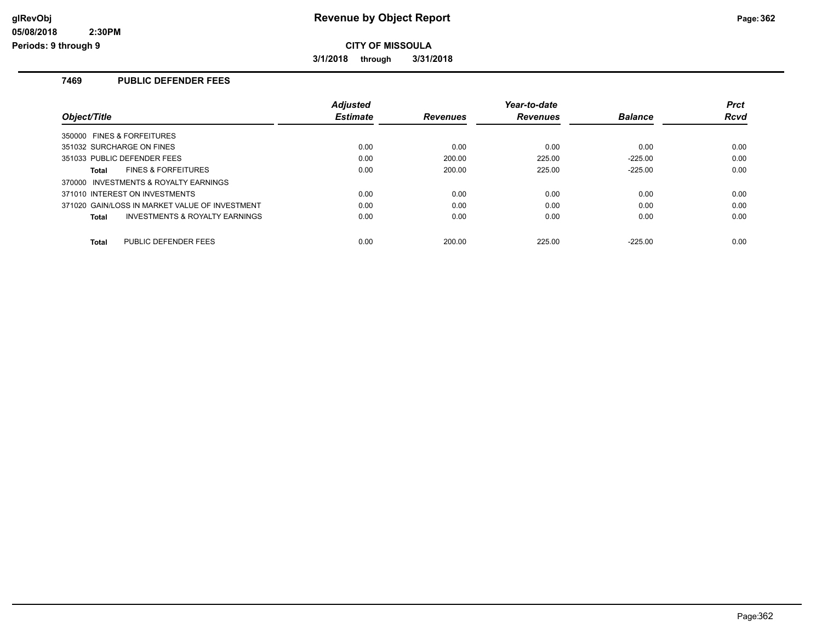**3/1/2018 through 3/31/2018**

#### **7469 PUBLIC DEFENDER FEES**

|                                                | <b>Adjusted</b> |                 | Year-to-date    |                | <b>Prct</b> |
|------------------------------------------------|-----------------|-----------------|-----------------|----------------|-------------|
| Object/Title                                   | <b>Estimate</b> | <b>Revenues</b> | <b>Revenues</b> | <b>Balance</b> | Rcvd        |
| 350000 FINES & FORFEITURES                     |                 |                 |                 |                |             |
| 351032 SURCHARGE ON FINES                      | 0.00            | 0.00            | 0.00            | 0.00           | 0.00        |
| 351033 PUBLIC DEFENDER FEES                    | 0.00            | 200.00          | 225.00          | $-225.00$      | 0.00        |
| <b>FINES &amp; FORFEITURES</b><br><b>Total</b> | 0.00            | 200.00          | 225.00          | $-225.00$      | 0.00        |
| 370000 INVESTMENTS & ROYALTY EARNINGS          |                 |                 |                 |                |             |
| 371010 INTEREST ON INVESTMENTS                 | 0.00            | 0.00            | 0.00            | 0.00           | 0.00        |
| 371020 GAIN/LOSS IN MARKET VALUE OF INVESTMENT | 0.00            | 0.00            | 0.00            | 0.00           | 0.00        |
| INVESTMENTS & ROYALTY EARNINGS<br><b>Total</b> | 0.00            | 0.00            | 0.00            | 0.00           | 0.00        |
| PUBLIC DEFENDER FEES<br><b>Total</b>           | 0.00            | 200.00          | 225.00          | $-225.00$      | 0.00        |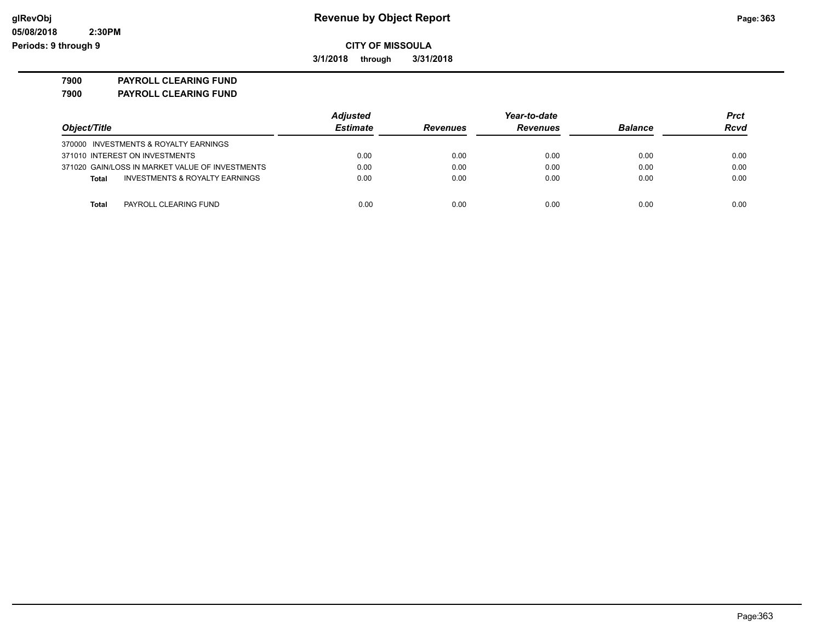**3/1/2018 through 3/31/2018**

### **7900 PAYROLL CLEARING FUND**

**7900 PAYROLL CLEARING FUND**

|                                                           | Adjusted        |                 | Year-to-date    |                | Prct |
|-----------------------------------------------------------|-----------------|-----------------|-----------------|----------------|------|
| Object/Title                                              | <b>Estimate</b> | <b>Revenues</b> | <b>Revenues</b> | <b>Balance</b> | Rcvd |
| 370000 INVESTMENTS & ROYALTY EARNINGS                     |                 |                 |                 |                |      |
| 371010 INTEREST ON INVESTMENTS                            | 0.00            | 0.00            | 0.00            | 0.00           | 0.00 |
| 371020 GAIN/LOSS IN MARKET VALUE OF INVESTMENTS           | 0.00            | 0.00            | 0.00            | 0.00           | 0.00 |
| <b>INVESTMENTS &amp; ROYALTY EARNINGS</b><br><b>Total</b> | 0.00            | 0.00            | 0.00            | 0.00           | 0.00 |
|                                                           |                 |                 |                 |                |      |
| <b>Total</b><br>PAYROLL CLEARING FUND                     | 0.00            | 0.00            | 0.00            | 0.00           | 0.00 |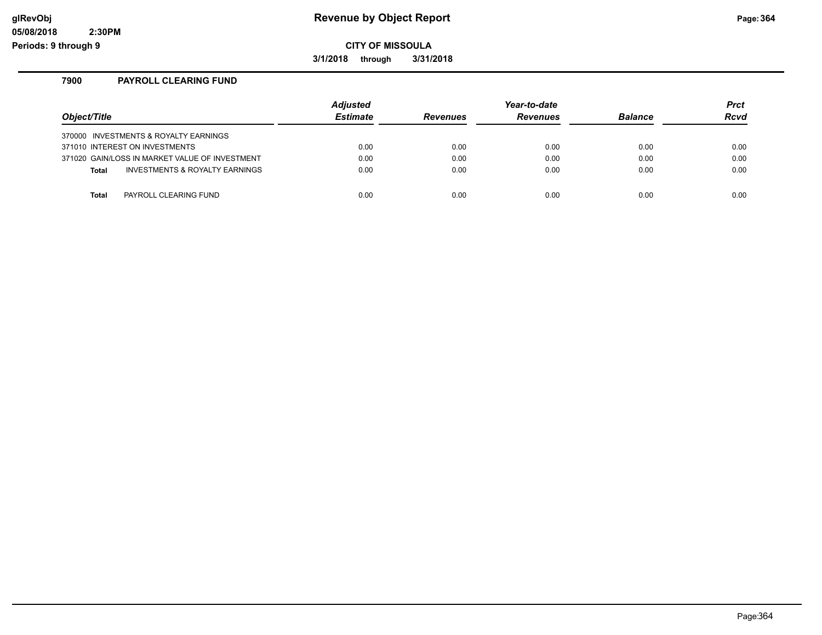**Periods: 9 through 9**

**CITY OF MISSOULA**

**3/1/2018 through 3/31/2018**

#### **7900 PAYROLL CLEARING FUND**

| Object/Title |                                                | <b>Adjusted</b><br><b>Estimate</b> | <b>Revenues</b> | Year-to-date<br><b>Revenues</b> | <b>Balance</b> | <b>Prct</b><br><b>Rcvd</b> |
|--------------|------------------------------------------------|------------------------------------|-----------------|---------------------------------|----------------|----------------------------|
|              | 370000 INVESTMENTS & ROYALTY EARNINGS          |                                    |                 |                                 |                |                            |
|              | 371010 INTEREST ON INVESTMENTS                 | 0.00                               | 0.00            | 0.00                            | 0.00           | 0.00                       |
|              | 371020 GAIN/LOSS IN MARKET VALUE OF INVESTMENT | 0.00                               | 0.00            | 0.00                            | 0.00           | 0.00                       |
| <b>Total</b> | <b>INVESTMENTS &amp; ROYALTY EARNINGS</b>      | 0.00                               | 0.00            | 0.00                            | 0.00           | 0.00                       |
|              |                                                |                                    |                 |                                 |                |                            |
| Total        | PAYROLL CLEARING FUND                          | 0.00                               | 0.00            | 0.00                            | 0.00           | 0.00                       |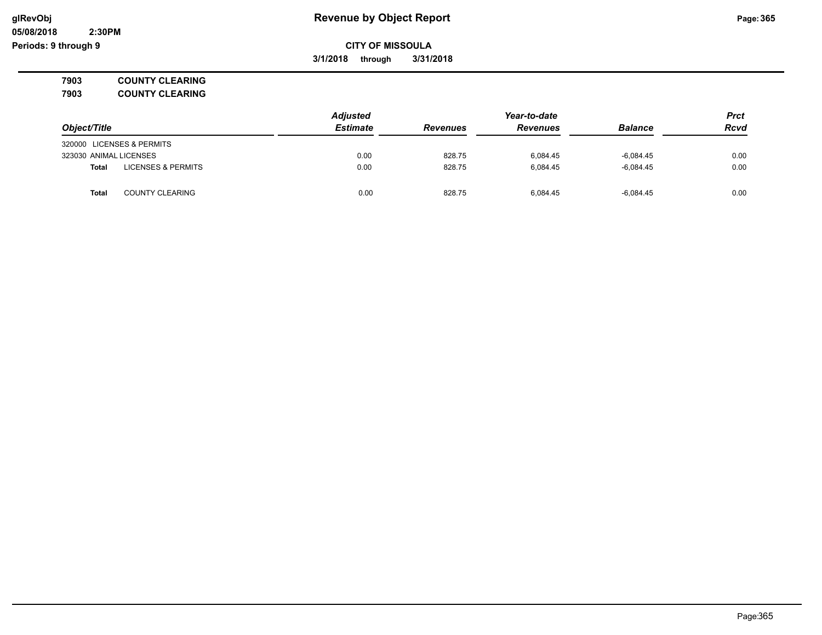**3/1/2018 through 3/31/2018**

**7903 COUNTY CLEARING**

**7903 COUNTY CLEARING**

|                                        | <b>Adjusted</b> |                 | <b>Prct</b>     |                |             |
|----------------------------------------|-----------------|-----------------|-----------------|----------------|-------------|
| Object/Title                           | <b>Estimate</b> | <b>Revenues</b> | <b>Revenues</b> | <b>Balance</b> | <b>Rcvd</b> |
| 320000 LICENSES & PERMITS              |                 |                 |                 |                |             |
| 323030 ANIMAL LICENSES                 | 0.00            | 828.75          | 6,084.45        | $-6,084.45$    | 0.00        |
| LICENSES & PERMITS<br><b>Total</b>     | 0.00            | 828.75          | 6.084.45        | $-6.084.45$    | 0.00        |
| <b>COUNTY CLEARING</b><br><b>Total</b> | 0.00            | 828.75          | 6,084.45        | $-6,084.45$    | 0.00        |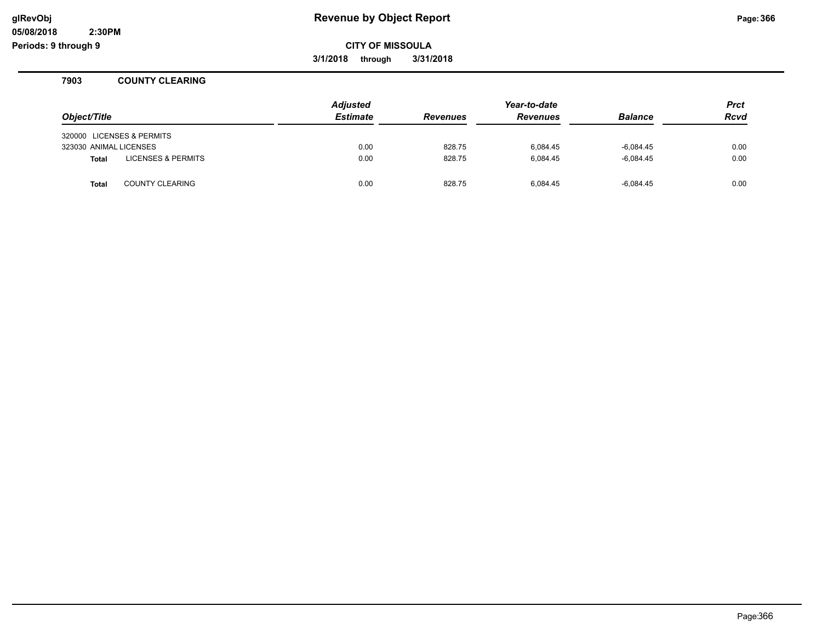**Periods: 9 through 9**

**CITY OF MISSOULA**

**3/1/2018 through 3/31/2018**

#### **7903 COUNTY CLEARING**

| Object/Title                                  | <b>Adjusted</b><br><b>Estimate</b> | <b>Revenues</b> | Year-to-date<br><b>Revenues</b> | <b>Balance</b> | <b>Prct</b><br><b>Rcvd</b> |
|-----------------------------------------------|------------------------------------|-----------------|---------------------------------|----------------|----------------------------|
| 320000 LICENSES & PERMITS                     |                                    |                 |                                 |                |                            |
| 323030 ANIMAL LICENSES                        | 0.00                               | 828.75          | 6,084.45                        | $-6.084.45$    | 0.00                       |
| <b>LICENSES &amp; PERMITS</b><br><b>Total</b> | 0.00                               | 828.75          | 6.084.45                        | $-6.084.45$    | 0.00                       |
| <b>Total</b><br><b>COUNTY CLEARING</b>        | 0.00                               | 828.75          | 6,084.45                        | $-6,084.45$    | 0.00                       |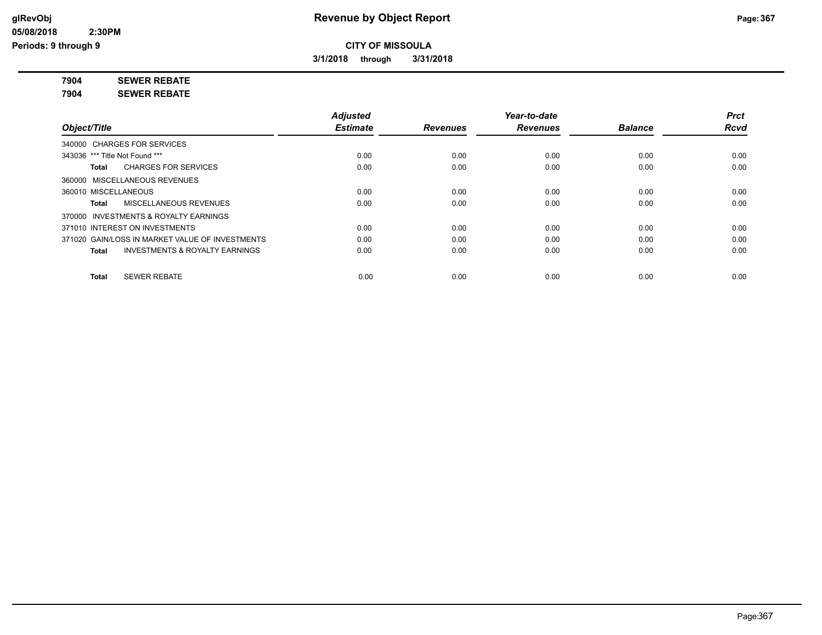**3/1/2018 through 3/31/2018**

**7904 SEWER REBATE**

**7904 SEWER REBATE**

|                                                    | <b>Adjusted</b> |                 | Year-to-date    |                | <b>Prct</b> |
|----------------------------------------------------|-----------------|-----------------|-----------------|----------------|-------------|
| Object/Title                                       | <b>Estimate</b> | <b>Revenues</b> | <b>Revenues</b> | <b>Balance</b> | <b>Rcvd</b> |
| 340000 CHARGES FOR SERVICES                        |                 |                 |                 |                |             |
| 343036 *** Title Not Found ***                     | 0.00            | 0.00            | 0.00            | 0.00           | 0.00        |
| <b>CHARGES FOR SERVICES</b><br>Total               | 0.00            | 0.00            | 0.00            | 0.00           | 0.00        |
| MISCELLANEOUS REVENUES<br>360000                   |                 |                 |                 |                |             |
| 360010 MISCELLANEOUS                               | 0.00            | 0.00            | 0.00            | 0.00           | 0.00        |
| MISCELLANEOUS REVENUES<br>Total                    | 0.00            | 0.00            | 0.00            | 0.00           | 0.00        |
| 370000 INVESTMENTS & ROYALTY EARNINGS              |                 |                 |                 |                |             |
| 371010 INTEREST ON INVESTMENTS                     | 0.00            | 0.00            | 0.00            | 0.00           | 0.00        |
| 371020 GAIN/LOSS IN MARKET VALUE OF INVESTMENTS    | 0.00            | 0.00            | 0.00            | 0.00           | 0.00        |
| <b>INVESTMENTS &amp; ROYALTY EARNINGS</b><br>Total | 0.00            | 0.00            | 0.00            | 0.00           | 0.00        |
| <b>SEWER REBATE</b><br><b>Total</b>                | 0.00            | 0.00            | 0.00            | 0.00           | 0.00        |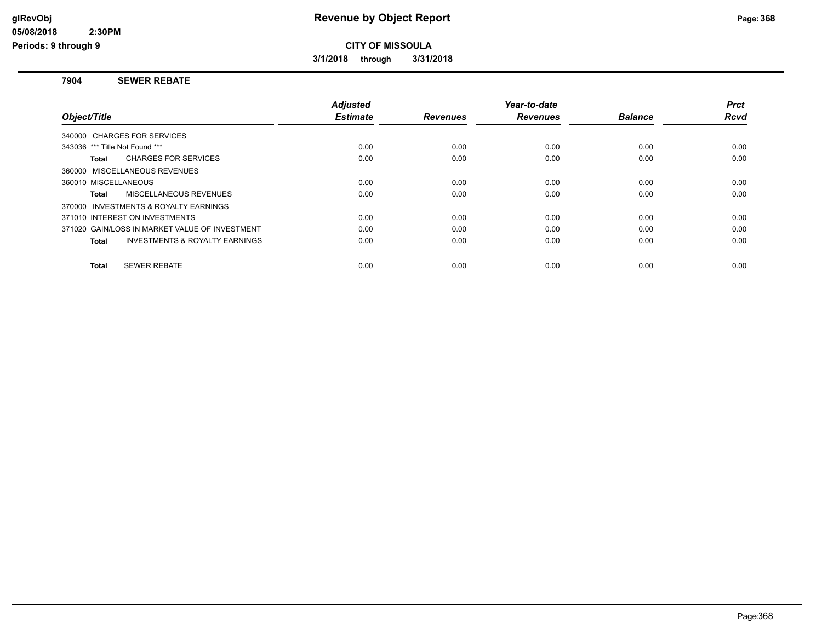**Periods: 9 through 9**

**CITY OF MISSOULA**

**3/1/2018 through 3/31/2018**

#### **7904 SEWER REBATE**

|                                                    | <b>Adjusted</b> |                 | Year-to-date    |                | <b>Prct</b> |
|----------------------------------------------------|-----------------|-----------------|-----------------|----------------|-------------|
| Object/Title                                       | <b>Estimate</b> | <b>Revenues</b> | <b>Revenues</b> | <b>Balance</b> | <b>Rcvd</b> |
| 340000 CHARGES FOR SERVICES                        |                 |                 |                 |                |             |
| 343036 *** Title Not Found ***                     | 0.00            | 0.00            | 0.00            | 0.00           | 0.00        |
| <b>CHARGES FOR SERVICES</b><br>Total               | 0.00            | 0.00            | 0.00            | 0.00           | 0.00        |
| 360000 MISCELLANEOUS REVENUES                      |                 |                 |                 |                |             |
| 360010 MISCELLANEOUS                               | 0.00            | 0.00            | 0.00            | 0.00           | 0.00        |
| MISCELLANEOUS REVENUES<br>Total                    | 0.00            | 0.00            | 0.00            | 0.00           | 0.00        |
| 370000 INVESTMENTS & ROYALTY EARNINGS              |                 |                 |                 |                |             |
| 371010 INTEREST ON INVESTMENTS                     | 0.00            | 0.00            | 0.00            | 0.00           | 0.00        |
| 371020 GAIN/LOSS IN MARKET VALUE OF INVESTMENT     | 0.00            | 0.00            | 0.00            | 0.00           | 0.00        |
| <b>INVESTMENTS &amp; ROYALTY EARNINGS</b><br>Total | 0.00            | 0.00            | 0.00            | 0.00           | 0.00        |
| <b>SEWER REBATE</b><br><b>Total</b>                | 0.00            | 0.00            | 0.00            | 0.00           | 0.00        |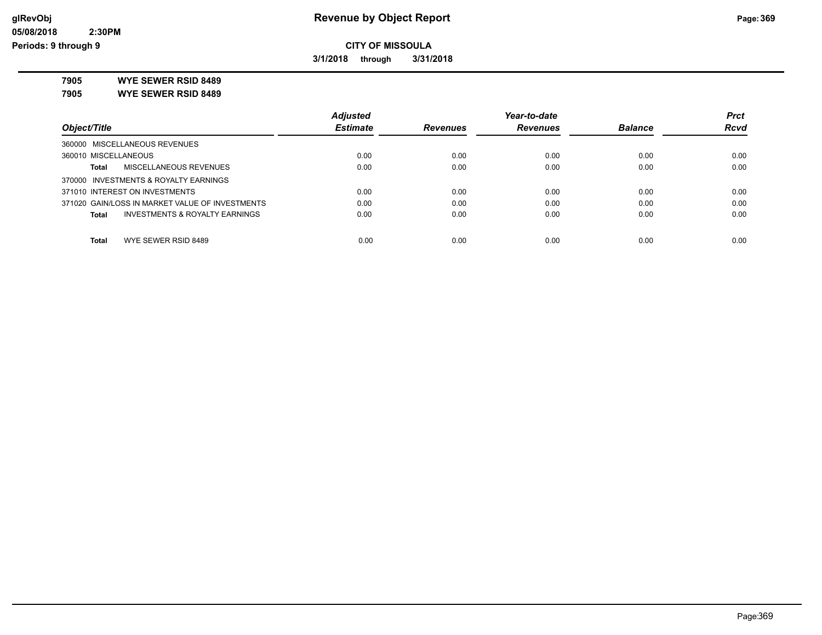**3/1/2018 through 3/31/2018**

**7905 WYE SEWER RSID 8489**

**7905 WYE SEWER RSID 8489**

|                                                 | <b>Adjusted</b> |                 | Year-to-date    |                | Prct        |
|-------------------------------------------------|-----------------|-----------------|-----------------|----------------|-------------|
| Object/Title                                    | <b>Estimate</b> | <b>Revenues</b> | <b>Revenues</b> | <b>Balance</b> | <b>Rcvd</b> |
| 360000 MISCELLANEOUS REVENUES                   |                 |                 |                 |                |             |
| 360010 MISCELLANEOUS                            | 0.00            | 0.00            | 0.00            | 0.00           | 0.00        |
| MISCELLANEOUS REVENUES<br><b>Total</b>          | 0.00            | 0.00            | 0.00            | 0.00           | 0.00        |
| 370000 INVESTMENTS & ROYALTY EARNINGS           |                 |                 |                 |                |             |
| 371010 INTEREST ON INVESTMENTS                  | 0.00            | 0.00            | 0.00            | 0.00           | 0.00        |
| 371020 GAIN/LOSS IN MARKET VALUE OF INVESTMENTS | 0.00            | 0.00            | 0.00            | 0.00           | 0.00        |
| INVESTMENTS & ROYALTY EARNINGS<br><b>Total</b>  | 0.00            | 0.00            | 0.00            | 0.00           | 0.00        |
| WYE SEWER RSID 8489<br><b>Total</b>             | 0.00            | 0.00            | 0.00            | 0.00           | 0.00        |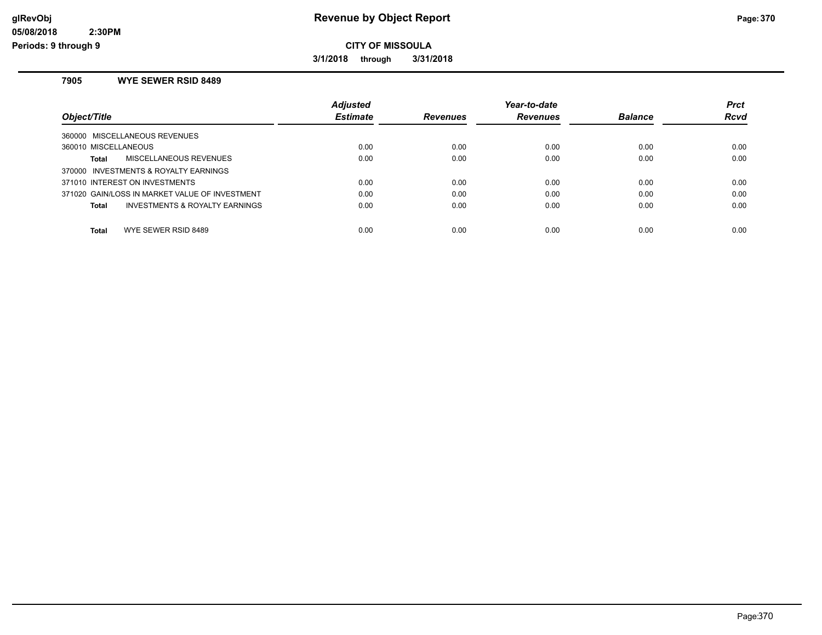**3/1/2018 through 3/31/2018**

#### **7905 WYE SEWER RSID 8489**

|                                                    | <b>Adjusted</b> |                 | Year-to-date    |                | <b>Prct</b> |
|----------------------------------------------------|-----------------|-----------------|-----------------|----------------|-------------|
| Object/Title                                       | <b>Estimate</b> | <b>Revenues</b> | <b>Revenues</b> | <b>Balance</b> | <b>Rcvd</b> |
| 360000 MISCELLANEOUS REVENUES                      |                 |                 |                 |                |             |
| 360010 MISCELLANEOUS                               | 0.00            | 0.00            | 0.00            | 0.00           | 0.00        |
| MISCELLANEOUS REVENUES<br>Total                    | 0.00            | 0.00            | 0.00            | 0.00           | 0.00        |
| 370000 INVESTMENTS & ROYALTY EARNINGS              |                 |                 |                 |                |             |
| 371010 INTEREST ON INVESTMENTS                     | 0.00            | 0.00            | 0.00            | 0.00           | 0.00        |
| 371020 GAIN/LOSS IN MARKET VALUE OF INVESTMENT     | 0.00            | 0.00            | 0.00            | 0.00           | 0.00        |
| <b>INVESTMENTS &amp; ROYALTY EARNINGS</b><br>Total | 0.00            | 0.00            | 0.00            | 0.00           | 0.00        |
|                                                    |                 |                 |                 |                |             |
| Total<br>WYE SEWER RSID 8489                       | 0.00            | 0.00            | 0.00            | 0.00           | 0.00        |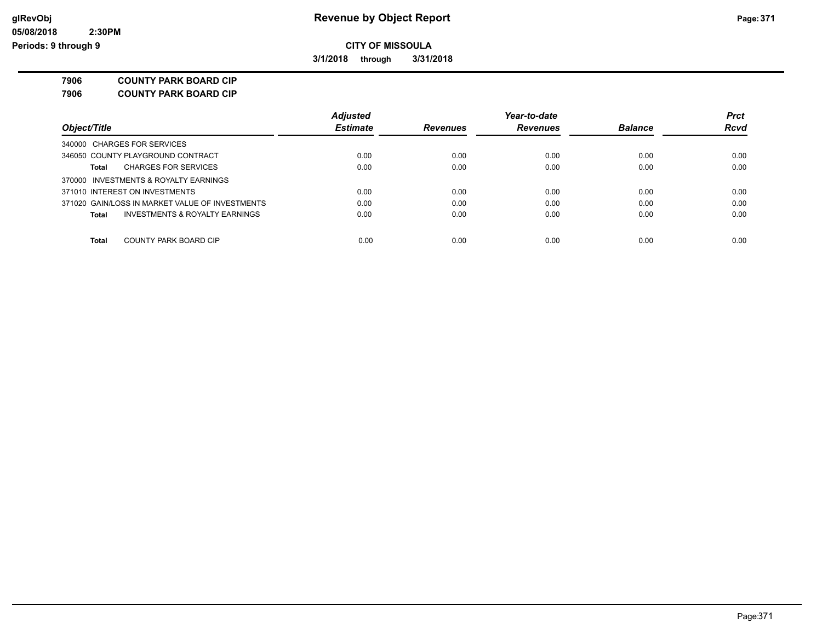**3/1/2018 through 3/31/2018**

**7906 COUNTY PARK BOARD CIP**

**7906 COUNTY PARK BOARD CIP**

|                                                 | <b>Adjusted</b> |                 | Year-to-date    |                | <b>Prct</b> |
|-------------------------------------------------|-----------------|-----------------|-----------------|----------------|-------------|
| Object/Title                                    | <b>Estimate</b> | <b>Revenues</b> | <b>Revenues</b> | <b>Balance</b> | <b>Rcvd</b> |
| 340000 CHARGES FOR SERVICES                     |                 |                 |                 |                |             |
| 346050 COUNTY PLAYGROUND CONTRACT               | 0.00            | 0.00            | 0.00            | 0.00           | 0.00        |
| <b>CHARGES FOR SERVICES</b><br>Total            | 0.00            | 0.00            | 0.00            | 0.00           | 0.00        |
| 370000 INVESTMENTS & ROYALTY EARNINGS           |                 |                 |                 |                |             |
| 371010 INTEREST ON INVESTMENTS                  | 0.00            | 0.00            | 0.00            | 0.00           | 0.00        |
| 371020 GAIN/LOSS IN MARKET VALUE OF INVESTMENTS | 0.00            | 0.00            | 0.00            | 0.00           | 0.00        |
| INVESTMENTS & ROYALTY EARNINGS<br>Total         | 0.00            | 0.00            | 0.00            | 0.00           | 0.00        |
|                                                 |                 |                 |                 |                |             |
| COUNTY PARK BOARD CIP<br>Total                  | 0.00            | 0.00            | 0.00            | 0.00           | 0.00        |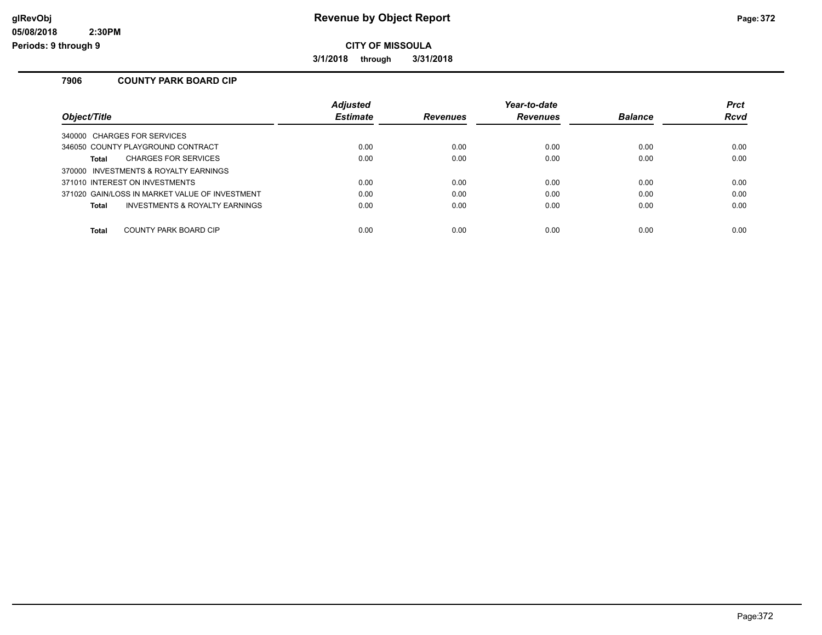**3/1/2018 through 3/31/2018**

#### **7906 COUNTY PARK BOARD CIP**

|                                                    | <b>Adjusted</b> |                 | Year-to-date    |                | <b>Prct</b> |
|----------------------------------------------------|-----------------|-----------------|-----------------|----------------|-------------|
| Object/Title                                       | <b>Estimate</b> | <b>Revenues</b> | <b>Revenues</b> | <b>Balance</b> | <b>Rcvd</b> |
| 340000 CHARGES FOR SERVICES                        |                 |                 |                 |                |             |
| 346050 COUNTY PLAYGROUND CONTRACT                  | 0.00            | 0.00            | 0.00            | 0.00           | 0.00        |
| <b>CHARGES FOR SERVICES</b><br>Total               | 0.00            | 0.00            | 0.00            | 0.00           | 0.00        |
| 370000 INVESTMENTS & ROYALTY EARNINGS              |                 |                 |                 |                |             |
| 371010 INTEREST ON INVESTMENTS                     | 0.00            | 0.00            | 0.00            | 0.00           | 0.00        |
| 371020 GAIN/LOSS IN MARKET VALUE OF INVESTMENT     | 0.00            | 0.00            | 0.00            | 0.00           | 0.00        |
| <b>INVESTMENTS &amp; ROYALTY EARNINGS</b><br>Total | 0.00            | 0.00            | 0.00            | 0.00           | 0.00        |
| Total<br>COUNTY PARK BOARD CIP                     | 0.00            | 0.00            | 0.00            | 0.00           | 0.00        |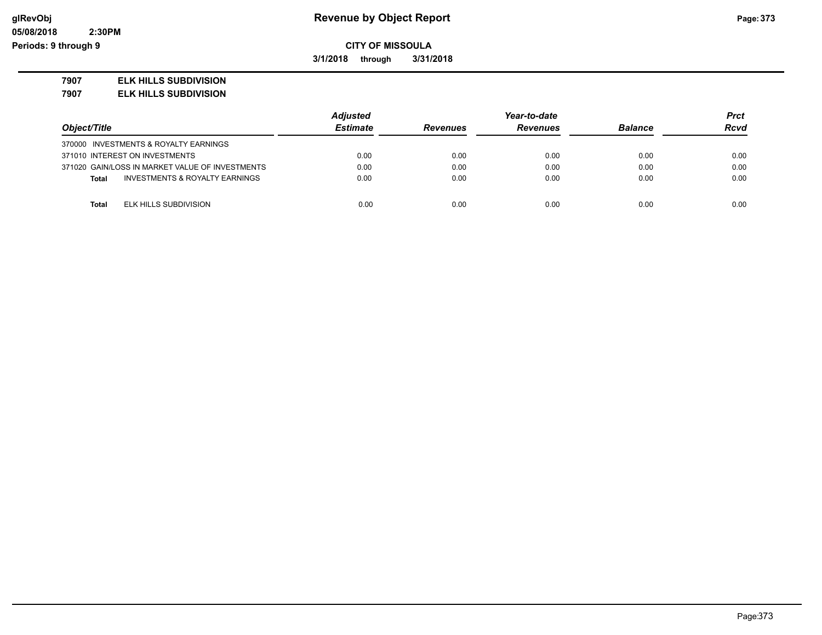**3/1/2018 through 3/31/2018**

#### **7907 ELK HILLS SUBDIVISION**

**7907 ELK HILLS SUBDIVISION**

|                                                           | <b>Adjusted</b> | Year-to-date    |                 |                | Prct |
|-----------------------------------------------------------|-----------------|-----------------|-----------------|----------------|------|
| Object/Title                                              | <b>Estimate</b> | <b>Revenues</b> | <b>Revenues</b> | <b>Balance</b> | Rcvd |
| 370000 INVESTMENTS & ROYALTY EARNINGS                     |                 |                 |                 |                |      |
| 371010 INTEREST ON INVESTMENTS                            | 0.00            | 0.00            | 0.00            | 0.00           | 0.00 |
| 371020 GAIN/LOSS IN MARKET VALUE OF INVESTMENTS           | 0.00            | 0.00            | 0.00            | 0.00           | 0.00 |
| <b>INVESTMENTS &amp; ROYALTY EARNINGS</b><br><b>Total</b> | 0.00            | 0.00            | 0.00            | 0.00           | 0.00 |
|                                                           |                 |                 |                 |                |      |
| <b>Total</b><br>ELK HILLS SUBDIVISION                     | 0.00            | 0.00            | 0.00            | 0.00           | 0.00 |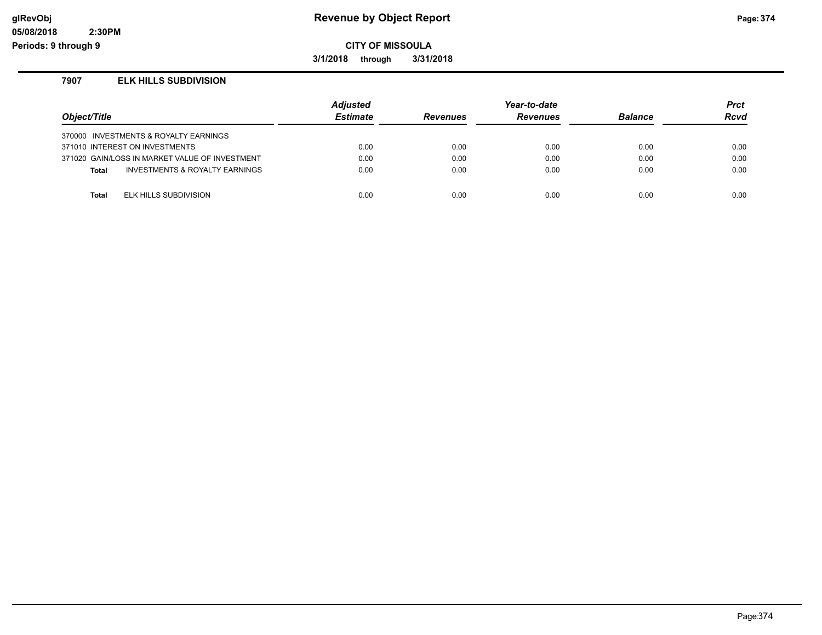**3/1/2018 through 3/31/2018**

#### **7907 ELK HILLS SUBDIVISION**

| Object/Title |                                                | <b>Adjusted</b><br><b>Estimate</b> | <b>Revenues</b> | Year-to-date<br><b>Revenues</b> | <b>Balance</b> | <b>Prct</b><br><b>Rcvd</b> |
|--------------|------------------------------------------------|------------------------------------|-----------------|---------------------------------|----------------|----------------------------|
|              | 370000 INVESTMENTS & ROYALTY EARNINGS          |                                    |                 |                                 |                |                            |
|              | 371010 INTEREST ON INVESTMENTS                 | 0.00                               | 0.00            | 0.00                            | 0.00           | 0.00                       |
|              | 371020 GAIN/LOSS IN MARKET VALUE OF INVESTMENT | 0.00                               | 0.00            | 0.00                            | 0.00           | 0.00                       |
| <b>Total</b> | INVESTMENTS & ROYALTY EARNINGS                 | 0.00                               | 0.00            | 0.00                            | 0.00           | 0.00                       |
|              |                                                |                                    |                 |                                 |                |                            |
| Total        | ELK HILLS SUBDIVISION                          | 0.00                               | 0.00            | 0.00                            | 0.00           | 0.00                       |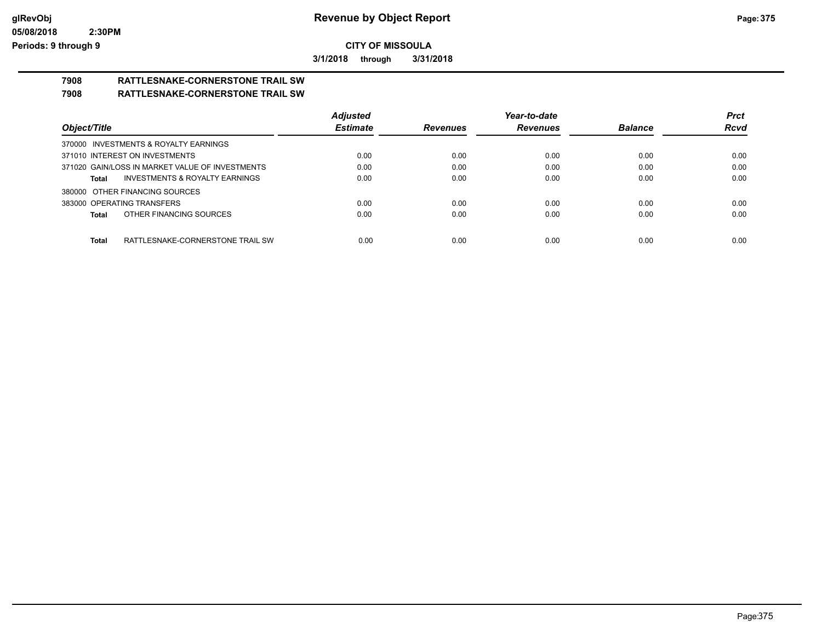**3/1/2018 through 3/31/2018**

# **7908 RATTLESNAKE-CORNERSTONE TRAIL SW**

### **7908 RATTLESNAKE-CORNERSTONE TRAIL SW**

|                                                    | <b>Adjusted</b> |                 | Year-to-date    |                | <b>Prct</b> |
|----------------------------------------------------|-----------------|-----------------|-----------------|----------------|-------------|
| Object/Title                                       | <b>Estimate</b> | <b>Revenues</b> | <b>Revenues</b> | <b>Balance</b> | <b>Rcvd</b> |
| 370000 INVESTMENTS & ROYALTY EARNINGS              |                 |                 |                 |                |             |
| 371010 INTEREST ON INVESTMENTS                     | 0.00            | 0.00            | 0.00            | 0.00           | 0.00        |
| 371020 GAIN/LOSS IN MARKET VALUE OF INVESTMENTS    | 0.00            | 0.00            | 0.00            | 0.00           | 0.00        |
| <b>INVESTMENTS &amp; ROYALTY EARNINGS</b><br>Total | 0.00            | 0.00            | 0.00            | 0.00           | 0.00        |
| 380000 OTHER FINANCING SOURCES                     |                 |                 |                 |                |             |
| 383000 OPERATING TRANSFERS                         | 0.00            | 0.00            | 0.00            | 0.00           | 0.00        |
| OTHER FINANCING SOURCES<br>Total                   | 0.00            | 0.00            | 0.00            | 0.00           | 0.00        |
|                                                    |                 |                 |                 |                |             |
| Total<br>RATTLESNAKE-CORNERSTONE TRAIL SW          | 0.00            | 0.00            | 0.00            | 0.00           | 0.00        |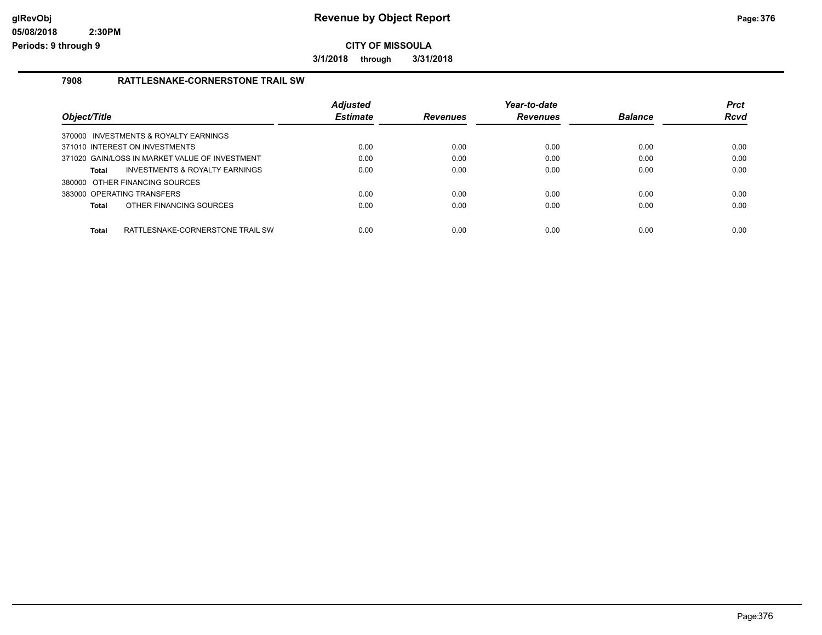**3/1/2018 through 3/31/2018**

#### **7908 RATTLESNAKE-CORNERSTONE TRAIL SW**

|                                                  | <b>Adjusted</b> |                 | Year-to-date    |                | <b>Prct</b> |
|--------------------------------------------------|-----------------|-----------------|-----------------|----------------|-------------|
| Object/Title                                     | <b>Estimate</b> | <b>Revenues</b> | <b>Revenues</b> | <b>Balance</b> | <b>Rcvd</b> |
| 370000 INVESTMENTS & ROYALTY EARNINGS            |                 |                 |                 |                |             |
| 371010 INTEREST ON INVESTMENTS                   | 0.00            | 0.00            | 0.00            | 0.00           | 0.00        |
| 371020 GAIN/LOSS IN MARKET VALUE OF INVESTMENT   | 0.00            | 0.00            | 0.00            | 0.00           | 0.00        |
| INVESTMENTS & ROYALTY EARNINGS<br><b>Total</b>   | 0.00            | 0.00            | 0.00            | 0.00           | 0.00        |
| 380000 OTHER FINANCING SOURCES                   |                 |                 |                 |                |             |
| 383000 OPERATING TRANSFERS                       | 0.00            | 0.00            | 0.00            | 0.00           | 0.00        |
| OTHER FINANCING SOURCES<br><b>Total</b>          | 0.00            | 0.00            | 0.00            | 0.00           | 0.00        |
|                                                  |                 |                 |                 |                |             |
| <b>Total</b><br>RATTLESNAKE-CORNERSTONE TRAIL SW | 0.00            | 0.00            | 0.00            | 0.00           | 0.00        |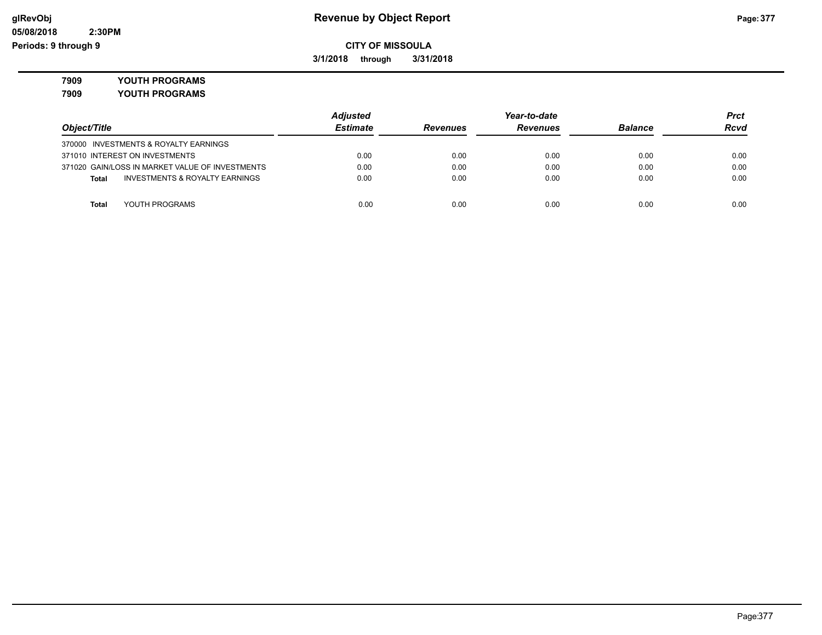**3/1/2018 through 3/31/2018**

### **7909 YOUTH PROGRAMS**

**7909 YOUTH PROGRAMS**

|                                                           | <b>Adjusted</b> | Year-to-date    |                 |                | Prct        |
|-----------------------------------------------------------|-----------------|-----------------|-----------------|----------------|-------------|
| Object/Title                                              | <b>Estimate</b> | <b>Revenues</b> | <b>Revenues</b> | <b>Balance</b> | <b>Rcvd</b> |
| 370000 INVESTMENTS & ROYALTY EARNINGS                     |                 |                 |                 |                |             |
| 371010 INTEREST ON INVESTMENTS                            | 0.00            | 0.00            | 0.00            | 0.00           | 0.00        |
| 371020 GAIN/LOSS IN MARKET VALUE OF INVESTMENTS           | 0.00            | 0.00            | 0.00            | 0.00           | 0.00        |
| <b>INVESTMENTS &amp; ROYALTY EARNINGS</b><br><b>Total</b> | 0.00            | 0.00            | 0.00            | 0.00           | 0.00        |
|                                                           |                 |                 |                 |                |             |
| YOUTH PROGRAMS<br>Total                                   | 0.00            | 0.00            | 0.00            | 0.00           | 0.00        |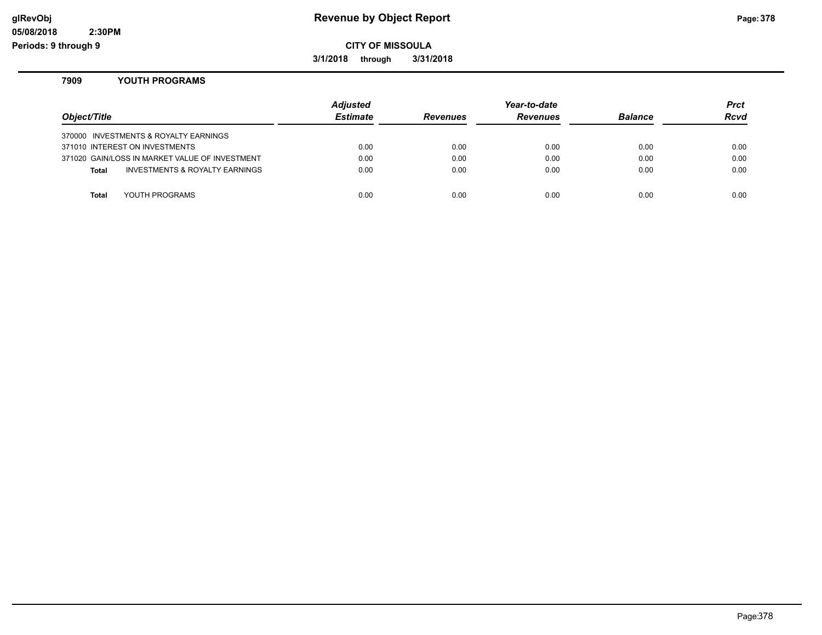**3/1/2018 through 3/31/2018**

#### **7909 YOUTH PROGRAMS**

| Object/Title                                   | <b>Adjusted</b><br><b>Estimate</b> | <b>Revenues</b> | Year-to-date<br><b>Revenues</b> | <b>Balance</b> | Prct<br><b>Rcvd</b> |
|------------------------------------------------|------------------------------------|-----------------|---------------------------------|----------------|---------------------|
|                                                |                                    |                 |                                 |                |                     |
| 370000 INVESTMENTS & ROYALTY EARNINGS          |                                    |                 |                                 |                |                     |
| 371010 INTEREST ON INVESTMENTS                 | 0.00                               | 0.00            | 0.00                            | 0.00           | 0.00                |
| 371020 GAIN/LOSS IN MARKET VALUE OF INVESTMENT | 0.00                               | 0.00            | 0.00                            | 0.00           | 0.00                |
| INVESTMENTS & ROYALTY EARNINGS<br>Total        | 0.00                               | 0.00            | 0.00                            | 0.00           | 0.00                |
|                                                |                                    |                 |                                 |                |                     |
| YOUTH PROGRAMS<br>Total                        | 0.00                               | 0.00            | 0.00                            | 0.00           | 0.00                |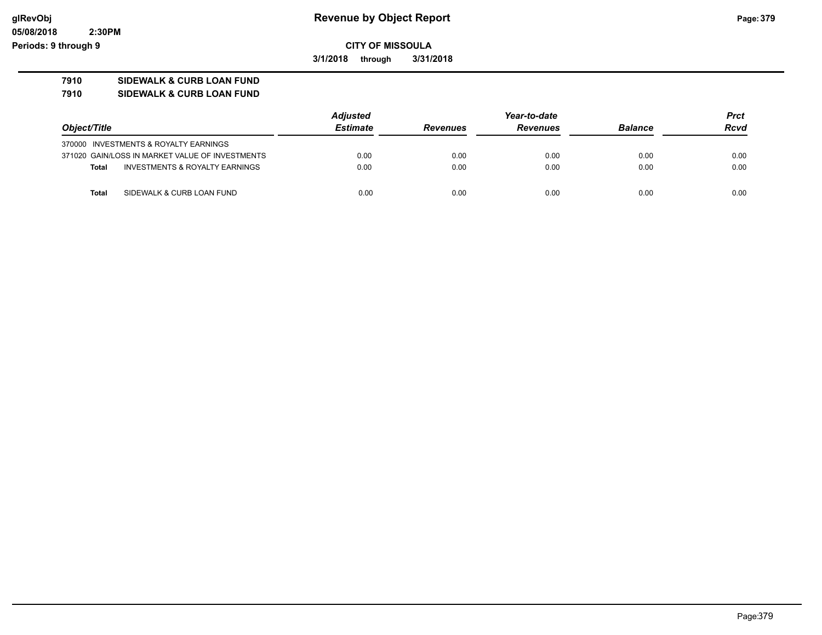**05/08/2018 2:30PM Periods: 9 through 9**

# **CITY OF MISSOULA**

**3/1/2018 through 3/31/2018**

## **7910 SIDEWALK & CURB LOAN FUND**

**7910 SIDEWALK & CURB LOAN FUND**

|                                                           | <b>Adjusted</b> | Year-to-date    |                 |                | Prct |
|-----------------------------------------------------------|-----------------|-----------------|-----------------|----------------|------|
| Object/Title                                              | <b>Estimate</b> | <b>Revenues</b> | <b>Revenues</b> | <b>Balance</b> | Rcvd |
| 370000 INVESTMENTS & ROYALTY EARNINGS                     |                 |                 |                 |                |      |
| 371020 GAIN/LOSS IN MARKET VALUE OF INVESTMENTS           | 0.00            | 0.00            | 0.00            | 0.00           | 0.00 |
| <b>INVESTMENTS &amp; ROYALTY EARNINGS</b><br><b>Total</b> | 0.00            | 0.00            | 0.00            | 0.00           | 0.00 |
| SIDEWALK & CURB LOAN FUND<br><b>Total</b>                 | 0.00            | 0.00            | 0.00            | 0.00           | 0.00 |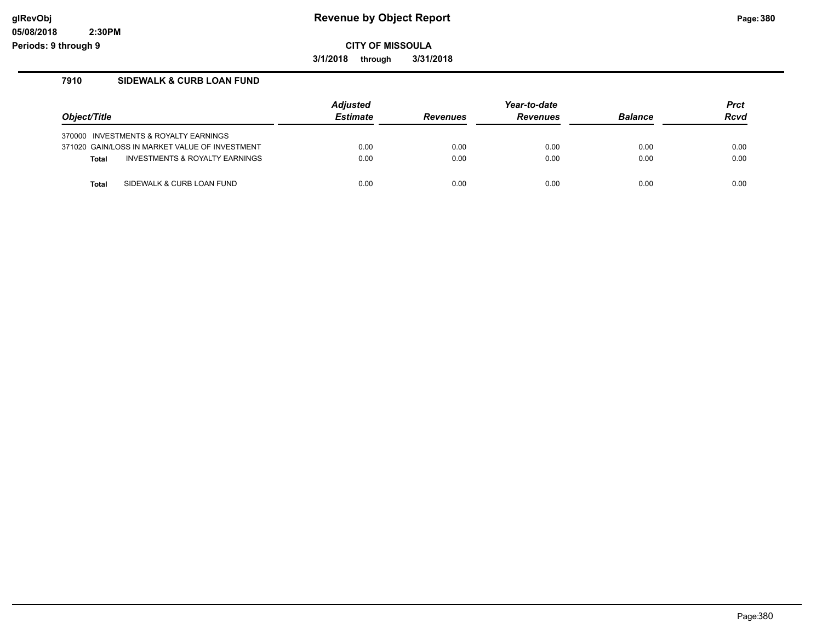**3/1/2018 through 3/31/2018**

#### **7910 SIDEWALK & CURB LOAN FUND**

|              |                                                | <b>Adjusted</b> | Year-to-date    |                 |                | <b>Prct</b> |
|--------------|------------------------------------------------|-----------------|-----------------|-----------------|----------------|-------------|
| Object/Title |                                                | <b>Estimate</b> | <b>Revenues</b> | <b>Revenues</b> | <b>Balance</b> | Rcvd        |
|              | 370000 INVESTMENTS & ROYALTY EARNINGS          |                 |                 |                 |                |             |
|              | 371020 GAIN/LOSS IN MARKET VALUE OF INVESTMENT | 0.00            | 0.00            | 0.00            | 0.00           | 0.00        |
| <b>Total</b> | INVESTMENTS & ROYALTY EARNINGS                 | 0.00            | 0.00            | 0.00            | 0.00           | 0.00        |
| Total        | SIDEWALK & CURB LOAN FUND                      | 0.00            | 0.00            | 0.00            | 0.00           | 0.00        |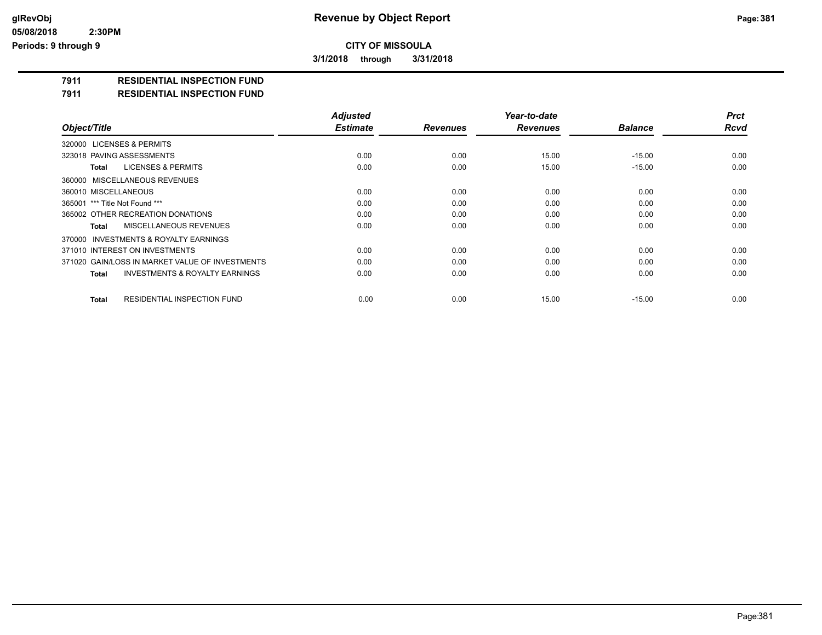**3/1/2018 through 3/31/2018**

**7911 RESIDENTIAL INSPECTION FUND**

**7911 RESIDENTIAL INSPECTION FUND**

|                                                    | <b>Adjusted</b> |                 | Year-to-date    |                | <b>Prct</b> |
|----------------------------------------------------|-----------------|-----------------|-----------------|----------------|-------------|
| Object/Title                                       | <b>Estimate</b> | <b>Revenues</b> | <b>Revenues</b> | <b>Balance</b> | <b>Rcvd</b> |
| 320000 LICENSES & PERMITS                          |                 |                 |                 |                |             |
| 323018 PAVING ASSESSMENTS                          | 0.00            | 0.00            | 15.00           | $-15.00$       | 0.00        |
| <b>LICENSES &amp; PERMITS</b><br>Total             | 0.00            | 0.00            | 15.00           | $-15.00$       | 0.00        |
| 360000 MISCELLANEOUS REVENUES                      |                 |                 |                 |                |             |
| 360010 MISCELLANEOUS                               | 0.00            | 0.00            | 0.00            | 0.00           | 0.00        |
| 365001 *** Title Not Found ***                     | 0.00            | 0.00            | 0.00            | 0.00           | 0.00        |
| 365002 OTHER RECREATION DONATIONS                  | 0.00            | 0.00            | 0.00            | 0.00           | 0.00        |
| MISCELLANEOUS REVENUES<br>Total                    | 0.00            | 0.00            | 0.00            | 0.00           | 0.00        |
| 370000 INVESTMENTS & ROYALTY EARNINGS              |                 |                 |                 |                |             |
| 371010 INTEREST ON INVESTMENTS                     | 0.00            | 0.00            | 0.00            | 0.00           | 0.00        |
| 371020 GAIN/LOSS IN MARKET VALUE OF INVESTMENTS    | 0.00            | 0.00            | 0.00            | 0.00           | 0.00        |
| <b>INVESTMENTS &amp; ROYALTY EARNINGS</b><br>Total | 0.00            | 0.00            | 0.00            | 0.00           | 0.00        |
| <b>RESIDENTIAL INSPECTION FUND</b><br><b>Total</b> | 0.00            | 0.00            | 15.00           | $-15.00$       | 0.00        |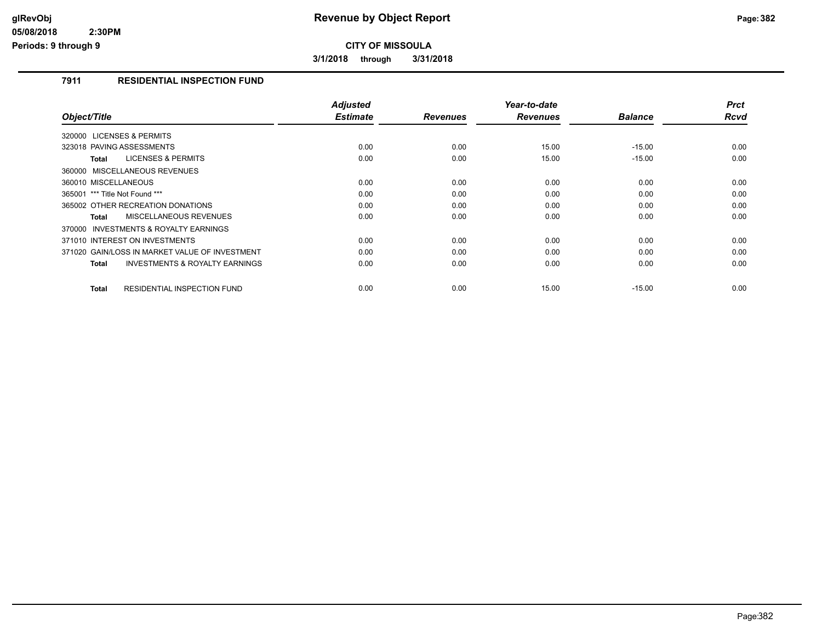**3/1/2018 through 3/31/2018**

#### **7911 RESIDENTIAL INSPECTION FUND**

| Object/Title                                              | <b>Adjusted</b><br><b>Estimate</b> | <b>Revenues</b> | Year-to-date<br><b>Revenues</b> | <b>Balance</b> | <b>Prct</b><br>Rcvd |
|-----------------------------------------------------------|------------------------------------|-----------------|---------------------------------|----------------|---------------------|
| <b>LICENSES &amp; PERMITS</b><br>320000                   |                                    |                 |                                 |                |                     |
|                                                           |                                    |                 |                                 |                |                     |
| 323018 PAVING ASSESSMENTS                                 | 0.00                               | 0.00            | 15.00                           | $-15.00$       | 0.00                |
| <b>LICENSES &amp; PERMITS</b><br><b>Total</b>             | 0.00                               | 0.00            | 15.00                           | $-15.00$       | 0.00                |
| 360000 MISCELLANEOUS REVENUES                             |                                    |                 |                                 |                |                     |
| 360010 MISCELLANEOUS                                      | 0.00                               | 0.00            | 0.00                            | 0.00           | 0.00                |
| 365001 *** Title Not Found ***                            | 0.00                               | 0.00            | 0.00                            | 0.00           | 0.00                |
| 365002 OTHER RECREATION DONATIONS                         | 0.00                               | 0.00            | 0.00                            | 0.00           | 0.00                |
| <b>MISCELLANEOUS REVENUES</b><br><b>Total</b>             | 0.00                               | 0.00            | 0.00                            | 0.00           | 0.00                |
| 370000 INVESTMENTS & ROYALTY EARNINGS                     |                                    |                 |                                 |                |                     |
| 371010 INTEREST ON INVESTMENTS                            | 0.00                               | 0.00            | 0.00                            | 0.00           | 0.00                |
| 371020 GAIN/LOSS IN MARKET VALUE OF INVESTMENT            | 0.00                               | 0.00            | 0.00                            | 0.00           | 0.00                |
| <b>INVESTMENTS &amp; ROYALTY EARNINGS</b><br><b>Total</b> | 0.00                               | 0.00            | 0.00                            | 0.00           | 0.00                |
| <b>RESIDENTIAL INSPECTION FUND</b><br><b>Total</b>        | 0.00                               | 0.00            | 15.00                           | $-15.00$       | 0.00                |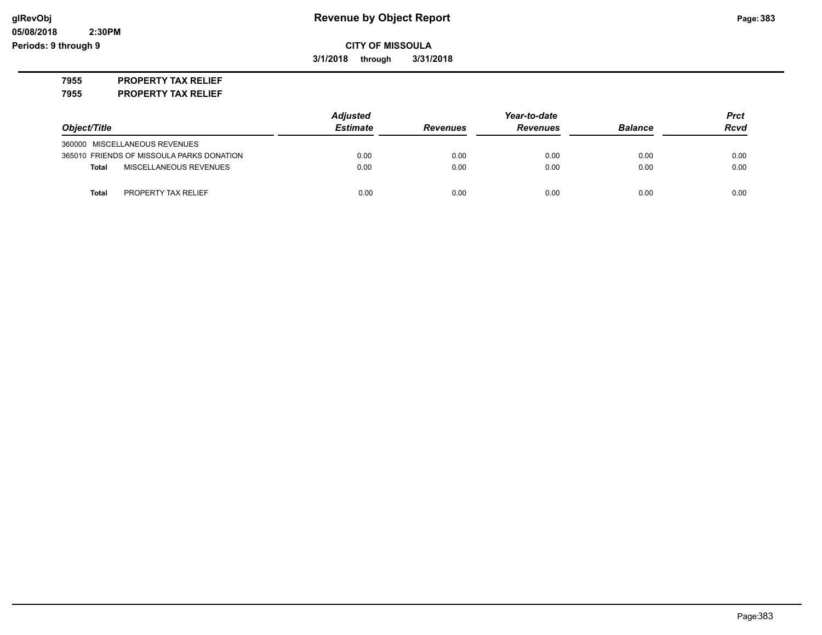**3/1/2018 through 3/31/2018**

#### **7955 PROPERTY TAX RELIEF**

**7955 PROPERTY TAX RELIEF**

|              |                                           | <b>Adjusted</b> | Year-to-date    |                 |                | <b>Prct</b> |
|--------------|-------------------------------------------|-----------------|-----------------|-----------------|----------------|-------------|
| Object/Title |                                           | <b>Estimate</b> | <b>Revenues</b> | <b>Revenues</b> | <b>Balance</b> | <b>Rcvd</b> |
|              | 360000 MISCELLANEOUS REVENUES             |                 |                 |                 |                |             |
|              | 365010 FRIENDS OF MISSOULA PARKS DONATION | 0.00            | 0.00            | 0.00            | 0.00           | 0.00        |
| <b>Total</b> | MISCELLANEOUS REVENUES                    | 0.00            | 0.00            | 0.00            | 0.00           | 0.00        |
| Total        | PROPERTY TAX RELIEF                       | 0.00            | 0.00            | 0.00            | 0.00           | 0.00        |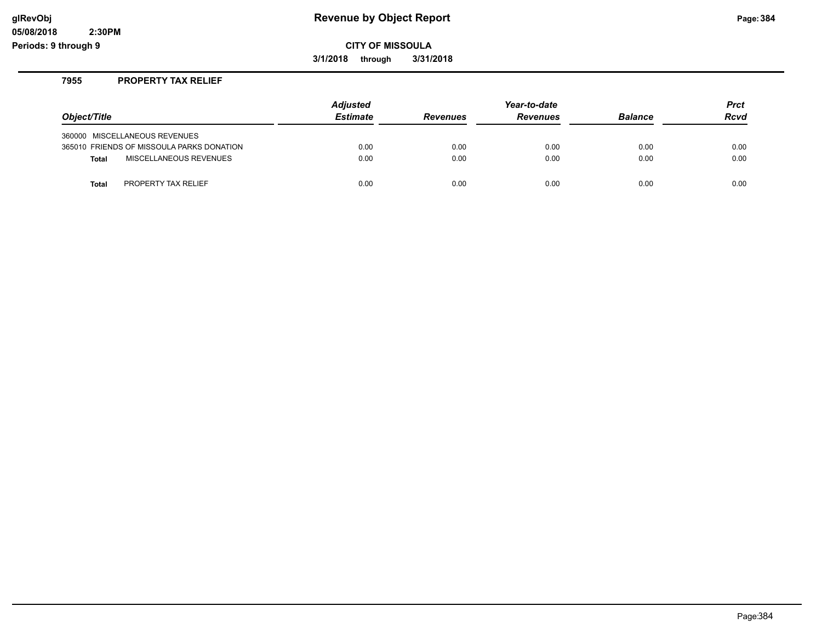**Periods: 9 through 9**

**CITY OF MISSOULA**

**3/1/2018 through 3/31/2018**

#### **7955 PROPERTY TAX RELIEF**

| Object/Title                              | Adjusted<br><b>Estimate</b> | <b>Revenues</b> | Year-to-date<br><b>Revenues</b> | <b>Balance</b> | <b>Prct</b><br><b>Rcvd</b> |
|-------------------------------------------|-----------------------------|-----------------|---------------------------------|----------------|----------------------------|
| 360000 MISCELLANEOUS REVENUES             |                             |                 |                                 |                |                            |
| 365010 FRIENDS OF MISSOULA PARKS DONATION | 0.00                        | 0.00            | 0.00                            | 0.00           | 0.00                       |
| MISCELLANEOUS REVENUES<br><b>Total</b>    | 0.00                        | 0.00            | 0.00                            | 0.00           | 0.00                       |
| PROPERTY TAX RELIEF<br>Total              | 0.00                        | 0.00            | 0.00                            | 0.00           | 0.00                       |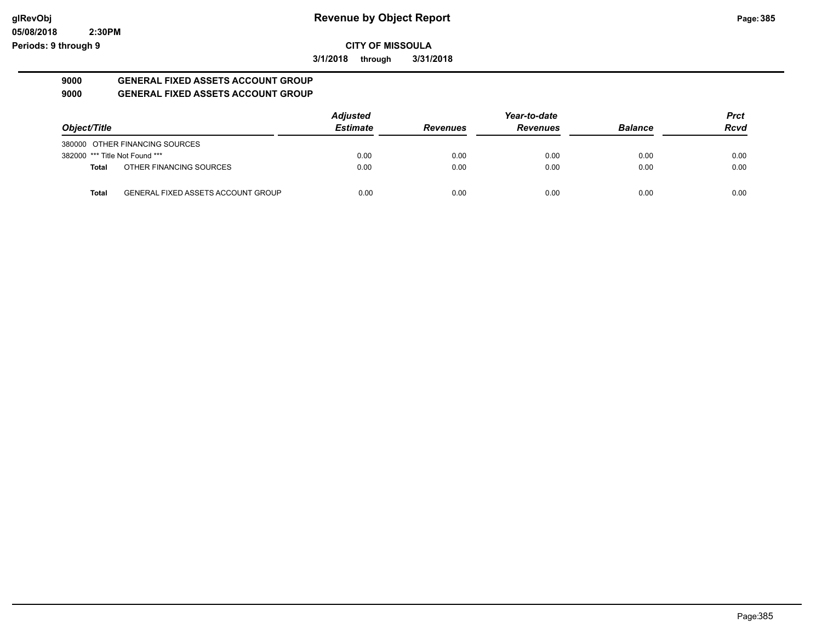#### **05/08/2018 2:30PM Periods: 9 through 9**

**CITY OF MISSOULA**

**3/1/2018 through 3/31/2018**

#### **9000 GENERAL FIXED ASSETS ACCOUNT GROUP 9000 GENERAL FIXED ASSETS ACCOUNT GROUP**

|                                |                                           | <b>Adjusted</b> |                 | Year-to-date    |                | Prct |
|--------------------------------|-------------------------------------------|-----------------|-----------------|-----------------|----------------|------|
| Object/Title                   |                                           | <b>Estimate</b> | <b>Revenues</b> | <b>Revenues</b> | <b>Balance</b> | Rcvd |
|                                | 380000 OTHER FINANCING SOURCES            |                 |                 |                 |                |      |
| 382000 *** Title Not Found *** |                                           | 0.00            | 0.00            | 0.00            | 0.00           | 0.00 |
| <b>Total</b>                   | OTHER FINANCING SOURCES                   | 0.00            | 0.00            | 0.00            | 0.00           | 0.00 |
| <b>Total</b>                   | <b>GENERAL FIXED ASSETS ACCOUNT GROUP</b> | 0.00            | 0.00            | 0.00            | 0.00           | 0.00 |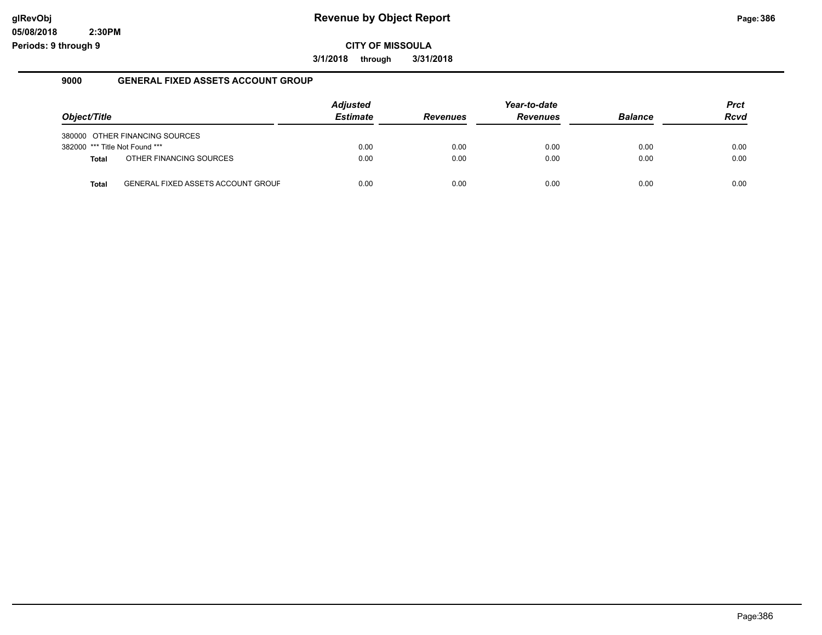**3/1/2018 through 3/31/2018**

#### **9000 GENERAL FIXED ASSETS ACCOUNT GROUP**

| Object/Title                   |                                           | <b>Adjusted</b><br><b>Estimate</b> | <b>Revenues</b> | Year-to-date<br><b>Revenues</b> | <b>Balance</b> | <b>Prct</b><br>Rcvd |
|--------------------------------|-------------------------------------------|------------------------------------|-----------------|---------------------------------|----------------|---------------------|
|                                | 380000 OTHER FINANCING SOURCES            |                                    |                 |                                 |                |                     |
| 382000 *** Title Not Found *** |                                           | 0.00                               | 0.00            | 0.00                            | 0.00           | 0.00                |
| <b>Total</b>                   | OTHER FINANCING SOURCES                   | 0.00                               | 0.00            | 0.00                            | 0.00           | 0.00                |
| <b>Total</b>                   | <b>GENERAL FIXED ASSETS ACCOUNT GROUF</b> | 0.00                               | 0.00            | 0.00                            | 0.00           | 0.00                |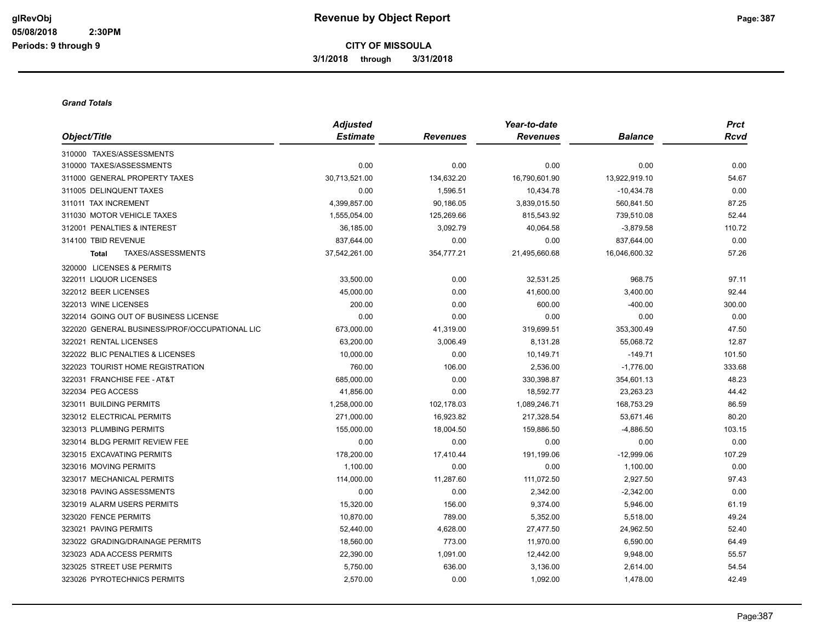**CITY OF MISSOULA 3/1/2018 through 3/31/2018**

#### *Grand Totals*

|                                               | <b>Adjusted</b> |                 | Year-to-date    |                | <b>Prct</b> |
|-----------------------------------------------|-----------------|-----------------|-----------------|----------------|-------------|
| Object/Title                                  | <b>Estimate</b> | <b>Revenues</b> | <b>Revenues</b> | <b>Balance</b> | <b>Rcvd</b> |
| 310000 TAXES/ASSESSMENTS                      |                 |                 |                 |                |             |
| 310000 TAXES/ASSESSMENTS                      | 0.00            | 0.00            | 0.00            | 0.00           | 0.00        |
| 311000 GENERAL PROPERTY TAXES                 | 30,713,521.00   | 134,632.20      | 16,790,601.90   | 13,922,919.10  | 54.67       |
| 311005 DELINQUENT TAXES                       | 0.00            | 1,596.51        | 10,434.78       | $-10,434.78$   | 0.00        |
| 311011 TAX INCREMENT                          | 4,399,857.00    | 90,186.05       | 3,839,015.50    | 560,841.50     | 87.25       |
| 311030 MOTOR VEHICLE TAXES                    | 1,555,054.00    | 125,269.66      | 815,543.92      | 739,510.08     | 52.44       |
| 312001 PENALTIES & INTEREST                   | 36,185.00       | 3,092.79        | 40,064.58       | $-3,879.58$    | 110.72      |
| 314100 TBID REVENUE                           | 837,644.00      | 0.00            | 0.00            | 837,644.00     | 0.00        |
| TAXES/ASSESSMENTS<br><b>Total</b>             | 37,542,261.00   | 354,777.21      | 21,495,660.68   | 16,046,600.32  | 57.26       |
| 320000 LICENSES & PERMITS                     |                 |                 |                 |                |             |
| 322011 LIQUOR LICENSES                        | 33,500.00       | 0.00            | 32,531.25       | 968.75         | 97.11       |
| 322012 BEER LICENSES                          | 45,000.00       | 0.00            | 41,600.00       | 3,400.00       | 92.44       |
| 322013 WINE LICENSES                          | 200.00          | 0.00            | 600.00          | $-400.00$      | 300.00      |
| 322014 GOING OUT OF BUSINESS LICENSE          | 0.00            | 0.00            | 0.00            | 0.00           | 0.00        |
| 322020 GENERAL BUSINESS/PROF/OCCUPATIONAL LIC | 673,000.00      | 41,319.00       | 319,699.51      | 353,300.49     | 47.50       |
| 322021 RENTAL LICENSES                        | 63,200.00       | 3,006.49        | 8,131.28        | 55,068.72      | 12.87       |
| 322022 BLIC PENALTIES & LICENSES              | 10,000.00       | 0.00            | 10,149.71       | $-149.71$      | 101.50      |
| 322023 TOURIST HOME REGISTRATION              | 760.00          | 106.00          | 2,536.00        | $-1,776.00$    | 333.68      |
| 322031 FRANCHISE FEE - AT&T                   | 685,000.00      | 0.00            | 330,398.87      | 354,601.13     | 48.23       |
| 322034 PEG ACCESS                             | 41,856.00       | 0.00            | 18,592.77       | 23,263.23      | 44.42       |
| 323011 BUILDING PERMITS                       | 1,258,000.00    | 102,178.03      | 1,089,246.71    | 168,753.29     | 86.59       |
| 323012 ELECTRICAL PERMITS                     | 271,000.00      | 16,923.82       | 217,328.54      | 53,671.46      | 80.20       |
| 323013 PLUMBING PERMITS                       | 155,000.00      | 18,004.50       | 159,886.50      | $-4,886.50$    | 103.15      |
| 323014 BLDG PERMIT REVIEW FEE                 | 0.00            | 0.00            | 0.00            | 0.00           | 0.00        |
| 323015 EXCAVATING PERMITS                     | 178,200.00      | 17,410.44       | 191,199.06      | $-12,999.06$   | 107.29      |
| 323016 MOVING PERMITS                         | 1,100.00        | 0.00            | 0.00            | 1,100.00       | 0.00        |
| 323017 MECHANICAL PERMITS                     | 114,000.00      | 11,287.60       | 111,072.50      | 2,927.50       | 97.43       |
| 323018 PAVING ASSESSMENTS                     | 0.00            | 0.00            | 2,342.00        | $-2,342.00$    | 0.00        |
| 323019 ALARM USERS PERMITS                    | 15,320.00       | 156.00          | 9,374.00        | 5,946.00       | 61.19       |
| 323020 FENCE PERMITS                          | 10,870.00       | 789.00          | 5,352.00        | 5,518.00       | 49.24       |
| 323021 PAVING PERMITS                         | 52,440.00       | 4,628.00        | 27,477.50       | 24,962.50      | 52.40       |
| 323022 GRADING/DRAINAGE PERMITS               | 18,560.00       | 773.00          | 11,970.00       | 6,590.00       | 64.49       |
| 323023 ADA ACCESS PERMITS                     | 22,390.00       | 1,091.00        | 12,442.00       | 9,948.00       | 55.57       |
| 323025 STREET USE PERMITS                     | 5,750.00        | 636.00          | 3,136.00        | 2,614.00       | 54.54       |
| 323026 PYROTECHNICS PERMITS                   | 2,570.00        | 0.00            | 1,092.00        | 1,478.00       | 42.49       |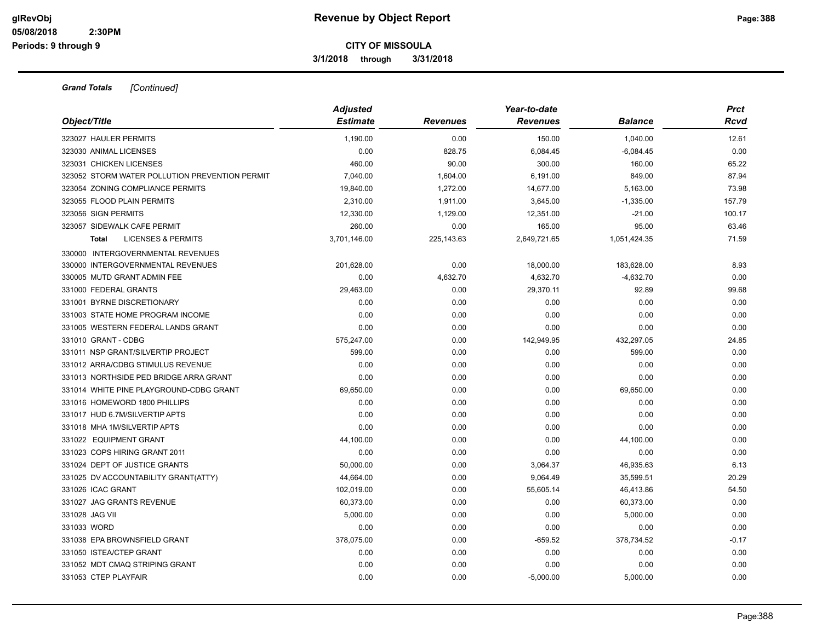**3/1/2018 through 3/31/2018**

| Object/Title                                   | <b>Adjusted</b><br><b>Estimate</b> | Revenues    | Year-to-date<br><b>Revenues</b> | <b>Balance</b> | <b>Prct</b><br>Rcvd |
|------------------------------------------------|------------------------------------|-------------|---------------------------------|----------------|---------------------|
| 323027 HAULER PERMITS                          | 1,190.00                           | 0.00        | 150.00                          | 1,040.00       | 12.61               |
| 323030 ANIMAL LICENSES                         | 0.00                               | 828.75      | 6,084.45                        | $-6,084.45$    | 0.00                |
| 323031 CHICKEN LICENSES                        | 460.00                             | 90.00       | 300.00                          | 160.00         | 65.22               |
| 323052 STORM WATER POLLUTION PREVENTION PERMIT | 7,040.00                           | 1,604.00    | 6,191.00                        | 849.00         | 87.94               |
| 323054 ZONING COMPLIANCE PERMITS               | 19,840.00                          | 1,272.00    | 14,677.00                       | 5,163.00       | 73.98               |
| 323055 FLOOD PLAIN PERMITS                     | 2,310.00                           | 1,911.00    | 3,645.00                        | $-1,335.00$    | 157.79              |
| 323056 SIGN PERMITS                            | 12,330.00                          | 1,129.00    | 12,351.00                       | $-21.00$       | 100.17              |
| 323057 SIDEWALK CAFE PERMIT                    | 260.00                             | 0.00        | 165.00                          | 95.00          | 63.46               |
| <b>LICENSES &amp; PERMITS</b><br>Total         | 3,701,146.00                       | 225, 143.63 | 2,649,721.65                    | 1,051,424.35   | 71.59               |
| 330000 INTERGOVERNMENTAL REVENUES              |                                    |             |                                 |                |                     |
| 330000 INTERGOVERNMENTAL REVENUES              | 201,628.00                         | 0.00        | 18,000.00                       | 183,628.00     | 8.93                |
| 330005 MUTD GRANT ADMIN FEE                    | 0.00                               | 4,632.70    | 4,632.70                        | $-4,632.70$    | 0.00                |
| 331000 FEDERAL GRANTS                          | 29,463.00                          | 0.00        | 29,370.11                       | 92.89          | 99.68               |
| 331001 BYRNE DISCRETIONARY                     | 0.00                               | 0.00        | 0.00                            | 0.00           | 0.00                |
| 331003 STATE HOME PROGRAM INCOME               | 0.00                               | 0.00        | 0.00                            | 0.00           | 0.00                |
| 331005 WESTERN FEDERAL LANDS GRANT             | 0.00                               | 0.00        | 0.00                            | 0.00           | 0.00                |
| 331010 GRANT - CDBG                            | 575,247.00                         | 0.00        | 142,949.95                      | 432,297.05     | 24.85               |
| 331011 NSP GRANT/SILVERTIP PROJECT             | 599.00                             | 0.00        | 0.00                            | 599.00         | 0.00                |
| 331012 ARRA/CDBG STIMULUS REVENUE              | 0.00                               | 0.00        | 0.00                            | 0.00           | 0.00                |
| 331013 NORTHSIDE PED BRIDGE ARRA GRANT         | 0.00                               | 0.00        | 0.00                            | 0.00           | 0.00                |
| 331014 WHITE PINE PLAYGROUND-CDBG GRANT        | 69,650.00                          | 0.00        | 0.00                            | 69,650.00      | 0.00                |
| 331016 HOMEWORD 1800 PHILLIPS                  | 0.00                               | 0.00        | 0.00                            | 0.00           | 0.00                |
| 331017 HUD 6.7M/SILVERTIP APTS                 | 0.00                               | 0.00        | 0.00                            | 0.00           | 0.00                |
| 331018 MHA 1M/SILVERTIP APTS                   | 0.00                               | 0.00        | 0.00                            | 0.00           | 0.00                |
| 331022 EQUIPMENT GRANT                         | 44,100.00                          | 0.00        | 0.00                            | 44,100.00      | 0.00                |
| 331023 COPS HIRING GRANT 2011                  | 0.00                               | 0.00        | 0.00                            | 0.00           | 0.00                |
| 331024 DEPT OF JUSTICE GRANTS                  | 50,000.00                          | 0.00        | 3,064.37                        | 46,935.63      | 6.13                |
| 331025 DV ACCOUNTABILITY GRANT(ATTY)           | 44,664.00                          | 0.00        | 9,064.49                        | 35,599.51      | 20.29               |
| 331026 ICAC GRANT                              | 102,019.00                         | 0.00        | 55,605.14                       | 46,413.86      | 54.50               |
| 331027 JAG GRANTS REVENUE                      | 60,373.00                          | 0.00        | 0.00                            | 60,373.00      | 0.00                |
| 331028 JAG VII                                 | 5,000.00                           | 0.00        | 0.00                            | 5,000.00       | 0.00                |
| 331033 WORD                                    | 0.00                               | 0.00        | 0.00                            | 0.00           | 0.00                |
| 331038 EPA BROWNSFIELD GRANT                   | 378,075.00                         | 0.00        | $-659.52$                       | 378,734.52     | $-0.17$             |
| 331050 ISTEA/CTEP GRANT                        | 0.00                               | 0.00        | 0.00                            | 0.00           | 0.00                |
| 331052 MDT CMAQ STRIPING GRANT                 | 0.00                               | 0.00        | 0.00                            | 0.00           | 0.00                |
| 331053 CTEP PLAYFAIR                           | 0.00                               | 0.00        | $-5,000.00$                     | 5,000.00       | 0.00                |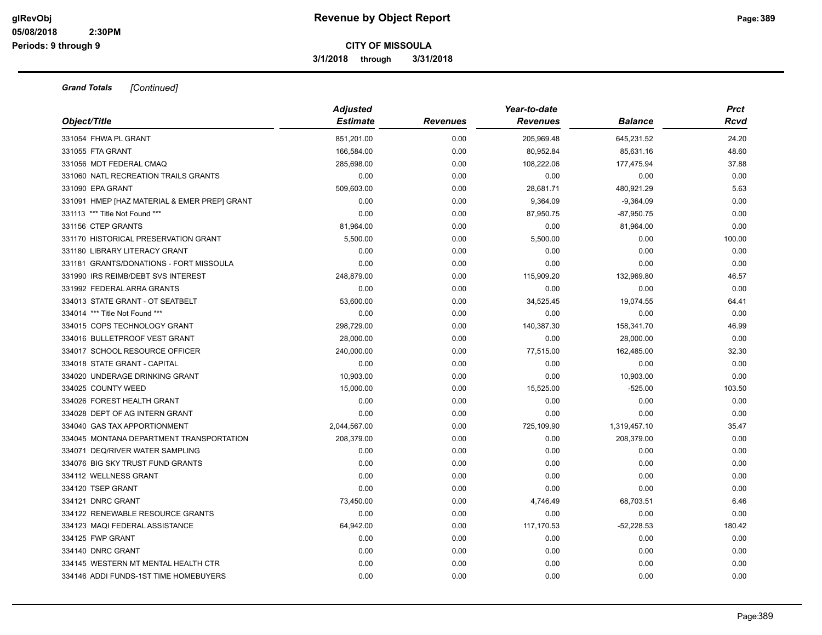**3/1/2018 through 3/31/2018**

|                                              | <b>Adjusted</b> |                 | Year-to-date    |                | <b>Prct</b> |
|----------------------------------------------|-----------------|-----------------|-----------------|----------------|-------------|
| Object/Title                                 | <b>Estimate</b> | <b>Revenues</b> | <b>Revenues</b> | <b>Balance</b> | Rcvd        |
| 331054 FHWA PL GRANT                         | 851,201.00      | 0.00            | 205,969.48      | 645,231.52     | 24.20       |
| 331055 FTA GRANT                             | 166,584.00      | 0.00            | 80,952.84       | 85,631.16      | 48.60       |
| 331056 MDT FEDERAL CMAQ                      | 285,698.00      | 0.00            | 108,222.06      | 177,475.94     | 37.88       |
| 331060 NATL RECREATION TRAILS GRANTS         | 0.00            | 0.00            | 0.00            | 0.00           | 0.00        |
| 331090 EPA GRANT                             | 509,603.00      | 0.00            | 28,681.71       | 480,921.29     | 5.63        |
| 331091 HMEP [HAZ MATERIAL & EMER PREP] GRANT | 0.00            | 0.00            | 9,364.09        | $-9,364.09$    | 0.00        |
| 331113 *** Title Not Found ***               | 0.00            | 0.00            | 87,950.75       | $-87,950.75$   | 0.00        |
| 331156 CTEP GRANTS                           | 81,964.00       | 0.00            | 0.00            | 81,964.00      | 0.00        |
| 331170 HISTORICAL PRESERVATION GRANT         | 5,500.00        | 0.00            | 5,500.00        | 0.00           | 100.00      |
| 331180 LIBRARY LITERACY GRANT                | 0.00            | 0.00            | 0.00            | 0.00           | 0.00        |
| 331181 GRANTS/DONATIONS - FORT MISSOULA      | 0.00            | 0.00            | 0.00            | 0.00           | 0.00        |
| 331990 IRS REIMB/DEBT SVS INTEREST           | 248,879.00      | 0.00            | 115,909.20      | 132,969.80     | 46.57       |
| 331992 FEDERAL ARRA GRANTS                   | 0.00            | 0.00            | 0.00            | 0.00           | 0.00        |
| 334013 STATE GRANT - OT SEATBELT             | 53,600.00       | 0.00            | 34,525.45       | 19,074.55      | 64.41       |
| 334014 *** Title Not Found ***               | 0.00            | 0.00            | 0.00            | 0.00           | 0.00        |
| 334015 COPS TECHNOLOGY GRANT                 | 298,729.00      | 0.00            | 140,387.30      | 158,341.70     | 46.99       |
| 334016 BULLETPROOF VEST GRANT                | 28,000.00       | 0.00            | 0.00            | 28,000.00      | 0.00        |
| 334017 SCHOOL RESOURCE OFFICER               | 240,000.00      | 0.00            | 77,515.00       | 162,485.00     | 32.30       |
| 334018 STATE GRANT - CAPITAL                 | 0.00            | 0.00            | 0.00            | 0.00           | 0.00        |
| 334020 UNDERAGE DRINKING GRANT               | 10,903.00       | 0.00            | 0.00            | 10,903.00      | 0.00        |
| 334025 COUNTY WEED                           | 15,000.00       | 0.00            | 15,525.00       | $-525.00$      | 103.50      |
| 334026 FOREST HEALTH GRANT                   | 0.00            | 0.00            | 0.00            | 0.00           | 0.00        |
| 334028 DEPT OF AG INTERN GRANT               | 0.00            | 0.00            | 0.00            | 0.00           | 0.00        |
| 334040 GAS TAX APPORTIONMENT                 | 2,044,567.00    | 0.00            | 725,109.90      | 1,319,457.10   | 35.47       |
| 334045 MONTANA DEPARTMENT TRANSPORTATION     | 208,379.00      | 0.00            | 0.00            | 208,379.00     | 0.00        |
| 334071 DEQ/RIVER WATER SAMPLING              | 0.00            | 0.00            | 0.00            | 0.00           | 0.00        |
| 334076 BIG SKY TRUST FUND GRANTS             | 0.00            | 0.00            | 0.00            | 0.00           | 0.00        |
| 334112 WELLNESS GRANT                        | 0.00            | 0.00            | 0.00            | 0.00           | 0.00        |
| 334120 TSEP GRANT                            | 0.00            | 0.00            | 0.00            | 0.00           | 0.00        |
| 334121 DNRC GRANT                            | 73,450.00       | 0.00            | 4,746.49        | 68,703.51      | 6.46        |
| 334122 RENEWABLE RESOURCE GRANTS             | 0.00            | 0.00            | 0.00            | 0.00           | 0.00        |
| 334123 MAQI FEDERAL ASSISTANCE               | 64,942.00       | 0.00            | 117,170.53      | $-52,228.53$   | 180.42      |
| 334125 FWP GRANT                             | 0.00            | 0.00            | 0.00            | 0.00           | 0.00        |
| 334140 DNRC GRANT                            | 0.00            | 0.00            | 0.00            | 0.00           | 0.00        |
| 334145 WESTERN MT MENTAL HEALTH CTR          | 0.00            | 0.00            | 0.00            | 0.00           | 0.00        |
| 334146 ADDI FUNDS-1ST TIME HOMEBUYERS        | 0.00            | 0.00            | 0.00            | 0.00           | 0.00        |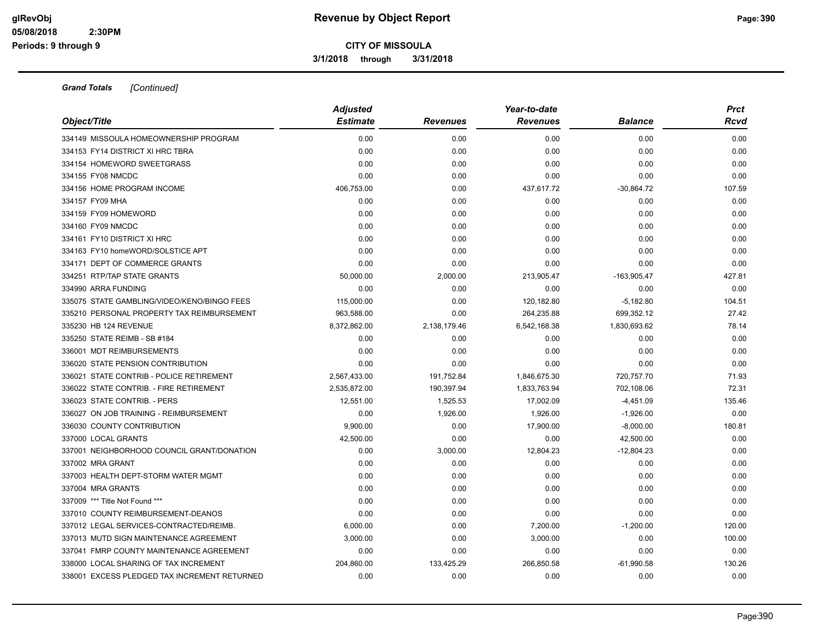**3/1/2018 through 3/31/2018**

| Object/Title                                 | <b>Adjusted</b><br><b>Estimate</b> | <b>Revenues</b> | Year-to-date<br><b>Revenues</b> | <b>Balance</b> | <b>Prct</b><br>Rcvd |
|----------------------------------------------|------------------------------------|-----------------|---------------------------------|----------------|---------------------|
| 334149 MISSOULA HOMEOWNERSHIP PROGRAM        | 0.00                               | 0.00            | 0.00                            | 0.00           | 0.00                |
| 334153 FY14 DISTRICT XI HRC TBRA             | 0.00                               | 0.00            | 0.00                            | 0.00           | 0.00                |
| 334154 HOMEWORD SWEETGRASS                   | 0.00                               | 0.00            | 0.00                            | 0.00           | 0.00                |
| 334155 FY08 NMCDC                            | 0.00                               | 0.00            | 0.00                            | 0.00           | 0.00                |
| 334156 HOME PROGRAM INCOME                   | 406,753.00                         | 0.00            | 437,617.72                      | $-30,864.72$   | 107.59              |
| 334157 FY09 MHA                              | 0.00                               | 0.00            | 0.00                            | 0.00           | 0.00                |
| 334159 FY09 HOMEWORD                         | 0.00                               | 0.00            | 0.00                            | 0.00           | 0.00                |
| 334160 FY09 NMCDC                            | 0.00                               | 0.00            | 0.00                            | 0.00           | 0.00                |
| 334161 FY10 DISTRICT XI HRC                  | 0.00                               | 0.00            | 0.00                            | 0.00           | 0.00                |
| 334163 FY10 homeWORD/SOLSTICE APT            | 0.00                               | 0.00            | 0.00                            | 0.00           | 0.00                |
| 334171 DEPT OF COMMERCE GRANTS               | 0.00                               | 0.00            | 0.00                            | 0.00           | 0.00                |
| 334251 RTP/TAP STATE GRANTS                  | 50,000.00                          | 2,000.00        | 213,905.47                      | $-163,905.47$  | 427.81              |
| 334990 ARRA FUNDING                          | 0.00                               | 0.00            | 0.00                            | 0.00           | 0.00                |
| 335075 STATE GAMBLING/VIDEO/KENO/BINGO FEES  | 115,000.00                         | 0.00            | 120,182.80                      | $-5,182.80$    | 104.51              |
| 335210 PERSONAL PROPERTY TAX REIMBURSEMENT   | 963,588.00                         | 0.00            | 264,235.88                      | 699,352.12     | 27.42               |
| 335230 HB 124 REVENUE                        | 8,372,862.00                       | 2,138,179.46    | 6,542,168.38                    | 1,830,693.62   | 78.14               |
| 335250 STATE REIMB - SB #184                 | 0.00                               | 0.00            | 0.00                            | 0.00           | 0.00                |
| 336001 MDT REIMBURSEMENTS                    | 0.00                               | 0.00            | 0.00                            | 0.00           | 0.00                |
| 336020 STATE PENSION CONTRIBUTION            | 0.00                               | 0.00            | 0.00                            | 0.00           | 0.00                |
| 336021 STATE CONTRIB - POLICE RETIREMENT     | 2,567,433.00                       | 191,752.84      | 1,846,675.30                    | 720,757.70     | 71.93               |
| 336022 STATE CONTRIB. - FIRE RETIREMENT      | 2,535,872.00                       | 190,397.94      | 1,833,763.94                    | 702,108.06     | 72.31               |
| 336023 STATE CONTRIB. - PERS                 | 12,551.00                          | 1,525.53        | 17,002.09                       | $-4,451.09$    | 135.46              |
| 336027 ON JOB TRAINING - REIMBURSEMENT       | 0.00                               | 1,926.00        | 1,926.00                        | $-1,926.00$    | 0.00                |
| 336030 COUNTY CONTRIBUTION                   | 9,900.00                           | 0.00            | 17,900.00                       | $-8,000.00$    | 180.81              |
| 337000 LOCAL GRANTS                          | 42,500.00                          | 0.00            | 0.00                            | 42,500.00      | 0.00                |
| 337001 NEIGHBORHOOD COUNCIL GRANT/DONATION   | 0.00                               | 3,000.00        | 12,804.23                       | $-12,804.23$   | 0.00                |
| 337002 MRA GRANT                             | 0.00                               | 0.00            | 0.00                            | 0.00           | 0.00                |
| 337003 HEALTH DEPT-STORM WATER MGMT          | 0.00                               | 0.00            | 0.00                            | 0.00           | 0.00                |
| 337004 MRA GRANTS                            | 0.00                               | 0.00            | 0.00                            | 0.00           | 0.00                |
| 337009 *** Title Not Found ***               | 0.00                               | 0.00            | 0.00                            | 0.00           | 0.00                |
| 337010 COUNTY REIMBURSEMENT-DEANOS           | 0.00                               | 0.00            | 0.00                            | 0.00           | 0.00                |
| 337012 LEGAL SERVICES-CONTRACTED/REIMB.      | 6,000.00                           | 0.00            | 7,200.00                        | $-1,200.00$    | 120.00              |
| 337013 MUTD SIGN MAINTENANCE AGREEMENT       | 3,000.00                           | 0.00            | 3,000.00                        | 0.00           | 100.00              |
| 337041 FMRP COUNTY MAINTENANCE AGREEMENT     | 0.00                               | 0.00            | 0.00                            | 0.00           | 0.00                |
| 338000 LOCAL SHARING OF TAX INCREMENT        | 204,860.00                         | 133,425.29      | 266,850.58                      | $-61,990.58$   | 130.26              |
| 338001 EXCESS PLEDGED TAX INCREMENT RETURNED | 0.00                               | 0.00            | 0.00                            | 0.00           | 0.00                |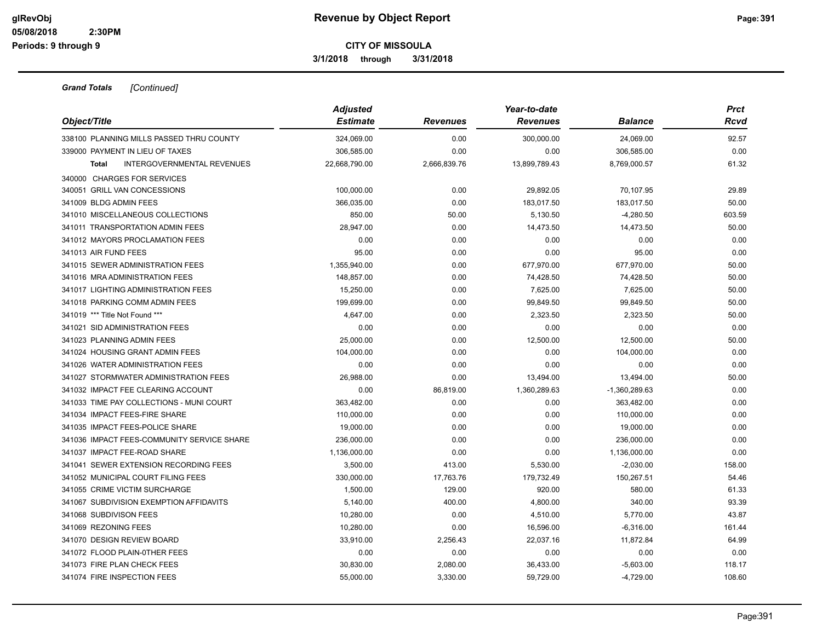**3/1/2018 through 3/31/2018**

|                                                   | <b>Adjusted</b> |                 | Year-to-date    |                 | <b>Prct</b> |
|---------------------------------------------------|-----------------|-----------------|-----------------|-----------------|-------------|
| Object/Title                                      | <b>Estimate</b> | <b>Revenues</b> | <b>Revenues</b> | <b>Balance</b>  | Rcvd        |
| 338100 PLANNING MILLS PASSED THRU COUNTY          | 324,069.00      | 0.00            | 300,000.00      | 24,069.00       | 92.57       |
| 339000 PAYMENT IN LIEU OF TAXES                   | 306,585.00      | 0.00            | 0.00            | 306,585.00      | 0.00        |
| <b>INTERGOVERNMENTAL REVENUES</b><br><b>Total</b> | 22,668,790.00   | 2,666,839.76    | 13,899,789.43   | 8,769,000.57    | 61.32       |
| 340000 CHARGES FOR SERVICES                       |                 |                 |                 |                 |             |
| 340051 GRILL VAN CONCESSIONS                      | 100.000.00      | 0.00            | 29,892.05       | 70,107.95       | 29.89       |
| 341009 BLDG ADMIN FEES                            | 366.035.00      | 0.00            | 183,017.50      | 183,017.50      | 50.00       |
| 341010 MISCELLANEOUS COLLECTIONS                  | 850.00          | 50.00           | 5,130.50        | $-4,280.50$     | 603.59      |
| 341011 TRANSPORTATION ADMIN FEES                  | 28.947.00       | 0.00            | 14,473.50       | 14,473.50       | 50.00       |
| 341012 MAYORS PROCLAMATION FEES                   | 0.00            | 0.00            | 0.00            | 0.00            | 0.00        |
| 341013 AIR FUND FEES                              | 95.00           | 0.00            | 0.00            | 95.00           | 0.00        |
| 341015 SEWER ADMINISTRATION FEES                  | 1,355,940.00    | 0.00            | 677,970.00      | 677,970.00      | 50.00       |
| 341016 MRA ADMINISTRATION FEES                    | 148,857.00      | 0.00            | 74,428.50       | 74,428.50       | 50.00       |
| 341017 LIGHTING ADMINISTRATION FEES               | 15,250.00       | 0.00            | 7,625.00        | 7,625.00        | 50.00       |
| 341018 PARKING COMM ADMIN FEES                    | 199,699.00      | 0.00            | 99,849.50       | 99,849.50       | 50.00       |
| 341019 *** Title Not Found ***                    | 4,647.00        | 0.00            | 2,323.50        | 2,323.50        | 50.00       |
| 341021 SID ADMINISTRATION FEES                    | 0.00            | 0.00            | 0.00            | 0.00            | 0.00        |
| 341023 PLANNING ADMIN FEES                        | 25,000.00       | 0.00            | 12,500.00       | 12,500.00       | 50.00       |
| 341024 HOUSING GRANT ADMIN FEES                   | 104,000.00      | 0.00            | 0.00            | 104,000.00      | 0.00        |
| 341026 WATER ADMINISTRATION FEES                  | 0.00            | 0.00            | 0.00            | 0.00            | 0.00        |
| 341027 STORMWATER ADMINISTRATION FEES             | 26,988.00       | 0.00            | 13,494.00       | 13,494.00       | 50.00       |
| 341032 IMPACT FEE CLEARING ACCOUNT                | 0.00            | 86,819.00       | 1,360,289.63    | $-1,360,289.63$ | 0.00        |
| 341033 TIME PAY COLLECTIONS - MUNI COURT          | 363,482.00      | 0.00            | 0.00            | 363,482.00      | 0.00        |
| 341034 IMPACT FEES-FIRE SHARE                     | 110,000.00      | 0.00            | 0.00            | 110,000.00      | 0.00        |
| 341035 IMPACT FEES-POLICE SHARE                   | 19,000.00       | 0.00            | 0.00            | 19,000.00       | 0.00        |
| 341036 IMPACT FEES-COMMUNITY SERVICE SHARE        | 236,000.00      | 0.00            | 0.00            | 236,000.00      | 0.00        |
| 341037 IMPACT FEE-ROAD SHARE                      | 1,136,000.00    | 0.00            | 0.00            | 1,136,000.00    | 0.00        |
| 341041 SEWER EXTENSION RECORDING FEES             | 3,500.00        | 413.00          | 5,530.00        | $-2,030.00$     | 158.00      |
| 341052 MUNICIPAL COURT FILING FEES                | 330,000.00      | 17,763.76       | 179,732.49      | 150,267.51      | 54.46       |
| 341055 CRIME VICTIM SURCHARGE                     | 1,500.00        | 129.00          | 920.00          | 580.00          | 61.33       |
| 341067 SUBDIVISION EXEMPTION AFFIDAVITS           | 5,140.00        | 400.00          | 4,800.00        | 340.00          | 93.39       |
| 341068 SUBDIVISON FEES                            | 10,280.00       | 0.00            | 4,510.00        | 5,770.00        | 43.87       |
| 341069 REZONING FEES                              | 10,280.00       | 0.00            | 16,596.00       | $-6,316.00$     | 161.44      |
| 341070 DESIGN REVIEW BOARD                        | 33,910.00       | 2,256.43        | 22,037.16       | 11,872.84       | 64.99       |
| 341072 FLOOD PLAIN-0THER FEES                     | 0.00            | 0.00            | 0.00            | 0.00            | 0.00        |
| 341073 FIRE PLAN CHECK FEES                       | 30,830.00       | 2,080.00        | 36,433.00       | $-5,603.00$     | 118.17      |
| 341074 FIRE INSPECTION FEES                       | 55,000.00       | 3,330.00        | 59,729.00       | $-4,729.00$     | 108.60      |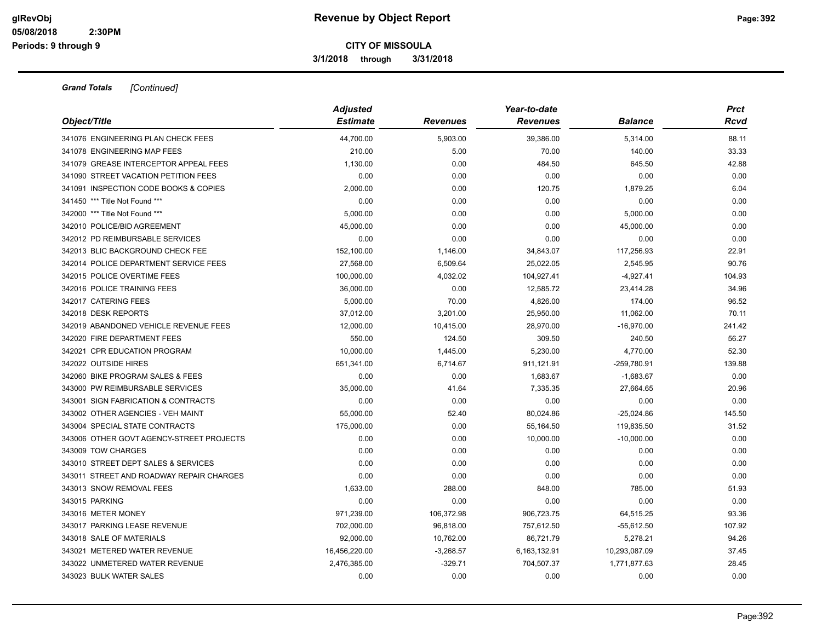**3/1/2018 through 3/31/2018**

| Object/Title                             | <b>Adjusted</b><br><b>Estimate</b> | <b>Revenues</b> | Year-to-date<br><b>Revenues</b> | <b>Balance</b> | <b>Prct</b><br>Rcvd |
|------------------------------------------|------------------------------------|-----------------|---------------------------------|----------------|---------------------|
| 341076 ENGINEERING PLAN CHECK FEES       | 44,700.00                          | 5,903.00        | 39,386.00                       | 5,314.00       | 88.11               |
| 341078 ENGINEERING MAP FEES              | 210.00                             | 5.00            | 70.00                           | 140.00         | 33.33               |
| 341079 GREASE INTERCEPTOR APPEAL FEES    | 1,130.00                           | 0.00            | 484.50                          | 645.50         | 42.88               |
| 341090 STREET VACATION PETITION FEES     | 0.00                               | 0.00            | 0.00                            | 0.00           | 0.00                |
| 341091 INSPECTION CODE BOOKS & COPIES    | 2,000.00                           | 0.00            | 120.75                          | 1,879.25       | 6.04                |
| 341450 *** Title Not Found ***           | 0.00                               | 0.00            | 0.00                            | 0.00           | 0.00                |
| 342000 *** Title Not Found ***           | 5,000.00                           | 0.00            | 0.00                            | 5,000.00       | 0.00                |
| 342010 POLICE/BID AGREEMENT              | 45,000.00                          | 0.00            | 0.00                            | 45,000.00      | 0.00                |
| 342012 PD REIMBURSABLE SERVICES          | 0.00                               | 0.00            | 0.00                            | 0.00           | 0.00                |
| 342013 BLIC BACKGROUND CHECK FEE         | 152,100.00                         | 1,146.00        | 34,843.07                       | 117,256.93     | 22.91               |
| 342014 POLICE DEPARTMENT SERVICE FEES    | 27,568.00                          | 6,509.64        | 25,022.05                       | 2,545.95       | 90.76               |
| 342015 POLICE OVERTIME FEES              | 100,000.00                         | 4,032.02        | 104,927.41                      | $-4,927.41$    | 104.93              |
| 342016 POLICE TRAINING FEES              | 36,000.00                          | 0.00            | 12,585.72                       | 23,414.28      | 34.96               |
| 342017 CATERING FEES                     | 5,000.00                           | 70.00           | 4,826.00                        | 174.00         | 96.52               |
| 342018 DESK REPORTS                      | 37,012.00                          | 3,201.00        | 25,950.00                       | 11,062.00      | 70.11               |
| 342019 ABANDONED VEHICLE REVENUE FEES    | 12,000.00                          | 10,415.00       | 28,970.00                       | $-16,970.00$   | 241.42              |
| 342020 FIRE DEPARTMENT FEES              | 550.00                             | 124.50          | 309.50                          | 240.50         | 56.27               |
| 342021 CPR EDUCATION PROGRAM             | 10,000.00                          | 1,445.00        | 5,230.00                        | 4,770.00       | 52.30               |
| 342022 OUTSIDE HIRES                     | 651,341.00                         | 6,714.67        | 911,121.91                      | $-259,780.91$  | 139.88              |
| 342060 BIKE PROGRAM SALES & FEES         | 0.00                               | 0.00            | 1,683.67                        | $-1,683.67$    | 0.00                |
| 343000 PW REIMBURSABLE SERVICES          | 35,000.00                          | 41.64           | 7,335.35                        | 27,664.65      | 20.96               |
| 343001 SIGN FABRICATION & CONTRACTS      | 0.00                               | 0.00            | 0.00                            | 0.00           | 0.00                |
| 343002 OTHER AGENCIES - VEH MAINT        | 55,000.00                          | 52.40           | 80,024.86                       | $-25,024.86$   | 145.50              |
| 343004 SPECIAL STATE CONTRACTS           | 175,000.00                         | 0.00            | 55,164.50                       | 119,835.50     | 31.52               |
| 343006 OTHER GOVT AGENCY-STREET PROJECTS | 0.00                               | 0.00            | 10,000.00                       | $-10,000.00$   | 0.00                |
| 343009 TOW CHARGES                       | 0.00                               | 0.00            | 0.00                            | 0.00           | 0.00                |
| 343010 STREET DEPT SALES & SERVICES      | 0.00                               | 0.00            | 0.00                            | 0.00           | 0.00                |
| 343011 STREET AND ROADWAY REPAIR CHARGES | 0.00                               | 0.00            | 0.00                            | 0.00           | 0.00                |
| 343013 SNOW REMOVAL FEES                 | 1,633.00                           | 288.00          | 848.00                          | 785.00         | 51.93               |
| 343015 PARKING                           | 0.00                               | 0.00            | 0.00                            | 0.00           | 0.00                |
| 343016 METER MONEY                       | 971,239.00                         | 106,372.98      | 906,723.75                      | 64,515.25      | 93.36               |
| 343017 PARKING LEASE REVENUE             | 702,000.00                         | 96,818.00       | 757,612.50                      | $-55,612.50$   | 107.92              |
| 343018 SALE OF MATERIALS                 | 92,000.00                          | 10,762.00       | 86,721.79                       | 5,278.21       | 94.26               |
| 343021 METERED WATER REVENUE             | 16,456,220.00                      | $-3,268.57$     | 6,163,132.91                    | 10,293,087.09  | 37.45               |
| 343022 UNMETERED WATER REVENUE           | 2,476,385.00                       | $-329.71$       | 704,507.37                      | 1,771,877.63   | 28.45               |
| 343023 BULK WATER SALES                  | 0.00                               | 0.00            | 0.00                            | 0.00           | 0.00                |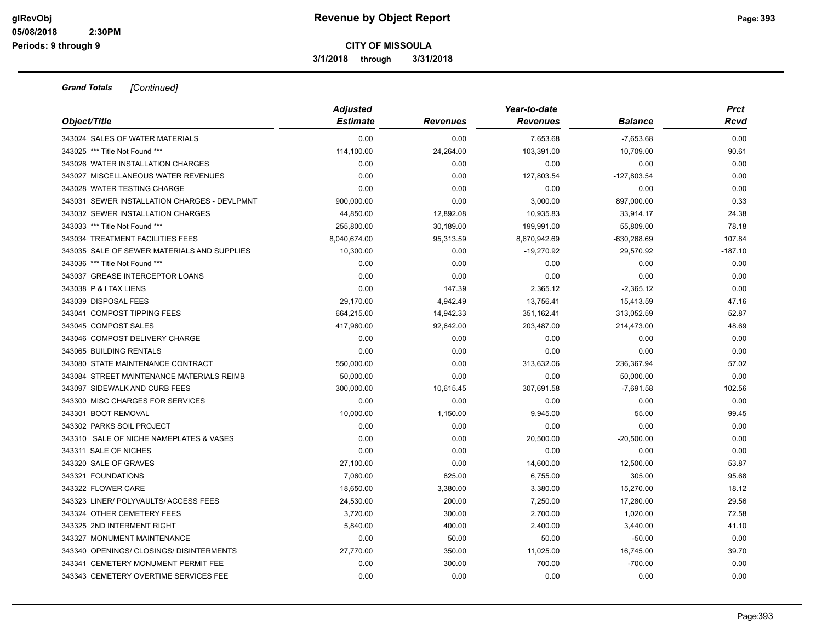**3/1/2018 through 3/31/2018**

| Object/Title                                 | <b>Adjusted</b><br><b>Estimate</b> | <b>Revenues</b> | Year-to-date<br><b>Revenues</b> | <b>Balance</b> | <b>Prct</b><br>Rcvd |
|----------------------------------------------|------------------------------------|-----------------|---------------------------------|----------------|---------------------|
| 343024 SALES OF WATER MATERIALS              | 0.00                               | 0.00            | 7,653.68                        | $-7,653.68$    | 0.00                |
| 343025 *** Title Not Found ***               | 114,100.00                         | 24,264.00       | 103,391.00                      | 10,709.00      | 90.61               |
| 343026 WATER INSTALLATION CHARGES            | 0.00                               | 0.00            | 0.00                            | 0.00           | 0.00                |
| 343027 MISCELLANEOUS WATER REVENUES          | 0.00                               | 0.00            | 127,803.54                      | $-127,803.54$  | 0.00                |
| 343028 WATER TESTING CHARGE                  | 0.00                               | 0.00            | 0.00                            | 0.00           | 0.00                |
| 343031 SEWER INSTALLATION CHARGES - DEVLPMNT | 900,000.00                         | 0.00            | 3.000.00                        | 897.000.00     | 0.33                |
| 343032 SEWER INSTALLATION CHARGES            | 44,850.00                          | 12,892.08       | 10,935.83                       | 33,914.17      | 24.38               |
| 343033 *** Title Not Found ***               | 255,800.00                         | 30,189.00       | 199,991.00                      | 55,809.00      | 78.18               |
| 343034 TREATMENT FACILITIES FEES             | 8,040,674.00                       | 95,313.59       | 8,670,942.69                    | -630,268.69    | 107.84              |
| 343035 SALE OF SEWER MATERIALS AND SUPPLIES  | 10,300.00                          | 0.00            | $-19,270.92$                    | 29,570.92      | $-187.10$           |
| 343036 *** Title Not Found ***               | 0.00                               | 0.00            | 0.00                            | 0.00           | 0.00                |
| 343037 GREASE INTERCEPTOR LOANS              | 0.00                               | 0.00            | 0.00                            | 0.00           | 0.00                |
| 343038 P & I TAX LIENS                       | 0.00                               | 147.39          | 2,365.12                        | $-2,365.12$    | 0.00                |
| 343039 DISPOSAL FEES                         | 29,170.00                          | 4,942.49        | 13,756.41                       | 15,413.59      | 47.16               |
| 343041 COMPOST TIPPING FEES                  | 664,215.00                         | 14,942.33       | 351,162.41                      | 313,052.59     | 52.87               |
| 343045 COMPOST SALES                         | 417,960.00                         | 92,642.00       | 203,487.00                      | 214,473.00     | 48.69               |
| 343046 COMPOST DELIVERY CHARGE               | 0.00                               | 0.00            | 0.00                            | 0.00           | 0.00                |
| 343065 BUILDING RENTALS                      | 0.00                               | 0.00            | 0.00                            | 0.00           | 0.00                |
| 343080 STATE MAINTENANCE CONTRACT            | 550,000.00                         | 0.00            | 313,632.06                      | 236,367.94     | 57.02               |
| 343084 STREET MAINTENANCE MATERIALS REIMB    | 50,000.00                          | 0.00            | 0.00                            | 50,000.00      | 0.00                |
| 343097 SIDEWALK AND CURB FEES                | 300,000.00                         | 10,615.45       | 307,691.58                      | $-7,691.58$    | 102.56              |
| 343300 MISC CHARGES FOR SERVICES             | 0.00                               | 0.00            | 0.00                            | 0.00           | 0.00                |
| 343301 BOOT REMOVAL                          | 10,000.00                          | 1,150.00        | 9,945.00                        | 55.00          | 99.45               |
| 343302 PARKS SOIL PROJECT                    | 0.00                               | 0.00            | 0.00                            | 0.00           | 0.00                |
| 343310 SALE OF NICHE NAMEPLATES & VASES      | 0.00                               | 0.00            | 20,500.00                       | $-20,500.00$   | 0.00                |
| 343311 SALE OF NICHES                        | 0.00                               | 0.00            | 0.00                            | 0.00           | 0.00                |
| 343320 SALE OF GRAVES                        | 27,100.00                          | 0.00            | 14,600.00                       | 12,500.00      | 53.87               |
| 343321 FOUNDATIONS                           | 7,060.00                           | 825.00          | 6,755.00                        | 305.00         | 95.68               |
| 343322 FLOWER CARE                           | 18,650.00                          | 3,380.00        | 3,380.00                        | 15,270.00      | 18.12               |
| 343323 LINER/ POLYVAULTS/ ACCESS FEES        | 24,530.00                          | 200.00          | 7,250.00                        | 17,280.00      | 29.56               |
| 343324 OTHER CEMETERY FEES                   | 3,720.00                           | 300.00          | 2,700.00                        | 1,020.00       | 72.58               |
| 343325 2ND INTERMENT RIGHT                   | 5,840.00                           | 400.00          | 2,400.00                        | 3,440.00       | 41.10               |
| 343327 MONUMENT MAINTENANCE                  | 0.00                               | 50.00           | 50.00                           | $-50.00$       | 0.00                |
| 343340 OPENINGS/ CLOSINGS/ DISINTERMENTS     | 27,770.00                          | 350.00          | 11,025.00                       | 16,745.00      | 39.70               |
| 343341 CEMETERY MONUMENT PERMIT FEE          | 0.00                               | 300.00          | 700.00                          | $-700.00$      | 0.00                |
| 343343 CEMETERY OVERTIME SERVICES FEE        | 0.00                               | 0.00            | 0.00                            | 0.00           | 0.00                |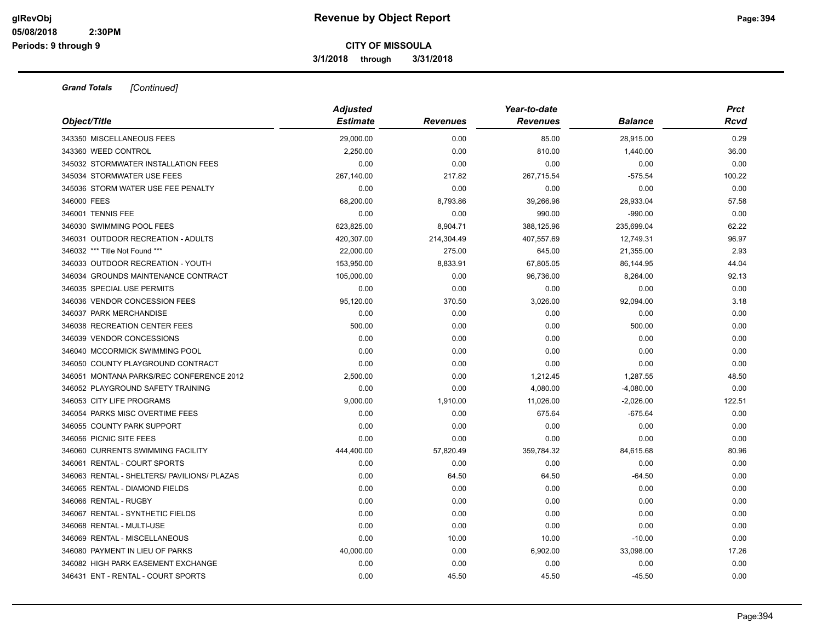**3/1/2018 through 3/31/2018**

|                                             | <b>Adjusted</b> |                 | Year-to-date    |                | <b>Prct</b> |  |
|---------------------------------------------|-----------------|-----------------|-----------------|----------------|-------------|--|
| Object/Title                                | <b>Estimate</b> | <b>Revenues</b> | <b>Revenues</b> | <b>Balance</b> | Rcvd        |  |
| 343350 MISCELLANEOUS FEES                   | 29,000.00       | 0.00            | 85.00           | 28,915.00      | 0.29        |  |
| 343360 WEED CONTROL                         | 2,250.00        | 0.00            | 810.00          | 1,440.00       | 36.00       |  |
| 345032 STORMWATER INSTALLATION FEES         | 0.00            | 0.00            | 0.00            | 0.00           | 0.00        |  |
| 345034 STORMWATER USE FEES                  | 267,140.00      | 217.82          | 267,715.54      | $-575.54$      | 100.22      |  |
| 345036 STORM WATER USE FEE PENALTY          | 0.00            | 0.00            | 0.00            | 0.00           | 0.00        |  |
| 346000 FEES                                 | 68,200.00       | 8,793.86        | 39,266.96       | 28,933.04      | 57.58       |  |
| 346001 TENNIS FEE                           | 0.00            | 0.00            | 990.00          | $-990.00$      | 0.00        |  |
| 346030 SWIMMING POOL FEES                   | 623,825.00      | 8,904.71        | 388,125.96      | 235,699.04     | 62.22       |  |
| 346031 OUTDOOR RECREATION - ADULTS          | 420,307.00      | 214,304.49      | 407,557.69      | 12,749.31      | 96.97       |  |
| 346032 *** Title Not Found ***              | 22,000.00       | 275.00          | 645.00          | 21,355.00      | 2.93        |  |
| 346033 OUTDOOR RECREATION - YOUTH           | 153,950.00      | 8,833.91        | 67,805.05       | 86,144.95      | 44.04       |  |
| 346034 GROUNDS MAINTENANCE CONTRACT         | 105,000.00      | 0.00            | 96,736.00       | 8,264.00       | 92.13       |  |
| 346035 SPECIAL USE PERMITS                  | 0.00            | 0.00            | 0.00            | 0.00           | 0.00        |  |
| 346036 VENDOR CONCESSION FEES               | 95,120.00       | 370.50          | 3,026.00        | 92,094.00      | 3.18        |  |
| 346037 PARK MERCHANDISE                     | 0.00            | 0.00            | 0.00            | 0.00           | 0.00        |  |
| 346038 RECREATION CENTER FEES               | 500.00          | 0.00            | 0.00            | 500.00         | 0.00        |  |
| 346039 VENDOR CONCESSIONS                   | 0.00            | 0.00            | 0.00            | 0.00           | 0.00        |  |
| 346040 MCCORMICK SWIMMING POOL              | 0.00            | 0.00            | 0.00            | 0.00           | 0.00        |  |
| 346050 COUNTY PLAYGROUND CONTRACT           | 0.00            | 0.00            | 0.00            | 0.00           | 0.00        |  |
| 346051 MONTANA PARKS/REC CONFERENCE 2012    | 2,500.00        | 0.00            | 1,212.45        | 1,287.55       | 48.50       |  |
| 346052 PLAYGROUND SAFETY TRAINING           | 0.00            | 0.00            | 4,080.00        | $-4,080.00$    | 0.00        |  |
| 346053 CITY LIFE PROGRAMS                   | 9,000.00        | 1,910.00        | 11,026.00       | $-2,026.00$    | 122.51      |  |
| 346054 PARKS MISC OVERTIME FEES             | 0.00            | 0.00            | 675.64          | $-675.64$      | 0.00        |  |
| 346055 COUNTY PARK SUPPORT                  | 0.00            | 0.00            | 0.00            | 0.00           | 0.00        |  |
| 346056 PICNIC SITE FEES                     | 0.00            | 0.00            | 0.00            | 0.00           | 0.00        |  |
| 346060 CURRENTS SWIMMING FACILITY           | 444,400.00      | 57,820.49       | 359,784.32      | 84,615.68      | 80.96       |  |
| 346061 RENTAL - COURT SPORTS                | 0.00            | 0.00            | 0.00            | 0.00           | 0.00        |  |
| 346063 RENTAL - SHELTERS/ PAVILIONS/ PLAZAS | 0.00            | 64.50           | 64.50           | $-64.50$       | 0.00        |  |
| 346065 RENTAL - DIAMOND FIELDS              | 0.00            | 0.00            | 0.00            | 0.00           | 0.00        |  |
| 346066 RENTAL - RUGBY                       | 0.00            | 0.00            | 0.00            | 0.00           | 0.00        |  |
| 346067 RENTAL - SYNTHETIC FIELDS            | 0.00            | 0.00            | 0.00            | 0.00           | 0.00        |  |
| 346068 RENTAL - MULTI-USE                   | 0.00            | 0.00            | 0.00            | 0.00           | 0.00        |  |
| 346069 RENTAL - MISCELLANEOUS               | 0.00            | 10.00           | 10.00           | $-10.00$       | 0.00        |  |
| 346080 PAYMENT IN LIEU OF PARKS             | 40,000.00       | 0.00            | 6,902.00        | 33,098.00      | 17.26       |  |
| 346082 HIGH PARK EASEMENT EXCHANGE          | 0.00            | 0.00            | 0.00            | 0.00           | 0.00        |  |
| 346431 ENT - RENTAL - COURT SPORTS          | 0.00            | 45.50           | 45.50           | $-45.50$       | 0.00        |  |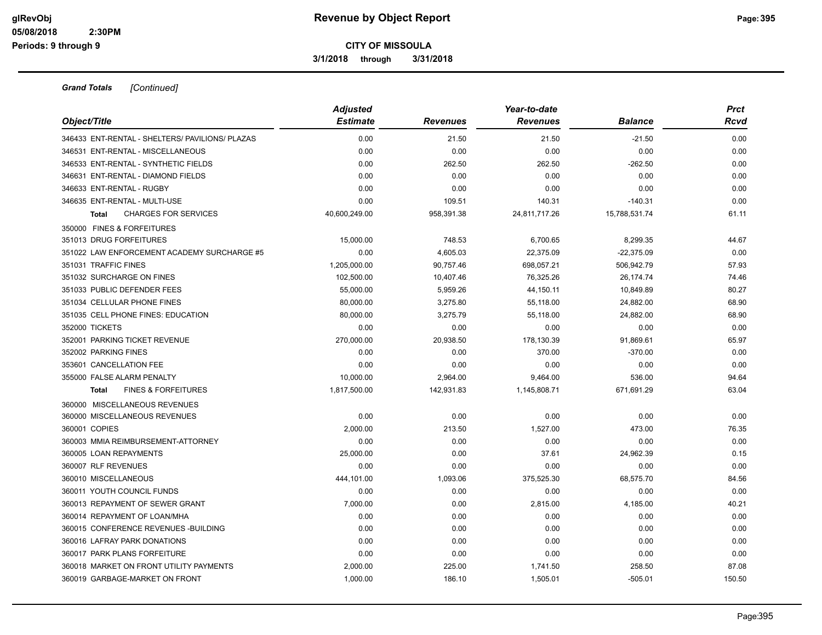**3/1/2018 through 3/31/2018**

| Object/Title                                                        | <b>Adjusted</b><br><b>Estimate</b> | <b>Revenues</b> | Year-to-date<br><b>Revenues</b> | <b>Balance</b> | <b>Prct</b><br>Rcvd |
|---------------------------------------------------------------------|------------------------------------|-----------------|---------------------------------|----------------|---------------------|
| 346433 ENT-RENTAL - SHELTERS/ PAVILIONS/ PLAZAS                     | 0.00                               | 21.50           | 21.50                           | $-21.50$       | 0.00                |
| 346531 ENT-RENTAL - MISCELLANEOUS                                   | 0.00                               | 0.00            | 0.00                            | 0.00           | 0.00                |
| 346533 ENT-RENTAL - SYNTHETIC FIELDS                                | 0.00                               | 262.50          | 262.50                          | $-262.50$      | 0.00                |
| 346631 ENT-RENTAL - DIAMOND FIELDS                                  | 0.00                               | 0.00            | 0.00                            | 0.00           | 0.00                |
| 346633 ENT-RENTAL - RUGBY                                           | 0.00                               | 0.00            | 0.00                            | 0.00           | 0.00                |
| 346635 ENT-RENTAL - MULTI-USE                                       | 0.00                               | 109.51          | 140.31                          | $-140.31$      | 0.00                |
| <b>CHARGES FOR SERVICES</b><br><b>Total</b>                         | 40,600,249.00                      | 958,391.38      | 24,811,717.26                   | 15,788,531.74  | 61.11               |
|                                                                     |                                    |                 |                                 |                |                     |
| 350000 FINES & FORFEITURES<br>351013 DRUG FORFEITURES               | 15,000.00                          | 748.53          | 6,700.65                        | 8,299.35       |                     |
|                                                                     |                                    |                 |                                 |                | 44.67               |
| 351022 LAW ENFORCEMENT ACADEMY SURCHARGE #5<br>351031 TRAFFIC FINES | 0.00<br>1,205,000.00               | 4,605.03        | 22,375.09<br>698,057.21         | $-22,375.09$   | 0.00                |
|                                                                     |                                    | 90,757.46       |                                 | 506,942.79     | 57.93               |
| 351032 SURCHARGE ON FINES<br>351033 PUBLIC DEFENDER FEES            | 102,500.00                         | 10,407.46       | 76,325.26                       | 26,174.74      | 74.46               |
|                                                                     | 55,000.00                          | 5,959.26        | 44,150.11                       | 10,849.89      | 80.27               |
| 351034 CELLULAR PHONE FINES                                         | 80,000.00                          | 3,275.80        | 55,118.00                       | 24,882.00      | 68.90               |
| 351035 CELL PHONE FINES: EDUCATION                                  | 80,000.00                          | 3,275.79        | 55,118.00                       | 24,882.00      | 68.90               |
| 352000 TICKETS                                                      | 0.00                               | 0.00            | 0.00                            | 0.00           | 0.00                |
| 352001 PARKING TICKET REVENUE                                       | 270,000.00                         | 20,938.50       | 178,130.39                      | 91,869.61      | 65.97               |
| 352002 PARKING FINES                                                | 0.00                               | 0.00            | 370.00                          | $-370.00$      | 0.00                |
| 353601 CANCELLATION FEE                                             | 0.00                               | 0.00            | 0.00                            | 0.00           | 0.00                |
| 355000 FALSE ALARM PENALTY                                          | 10,000.00                          | 2,964.00        | 9,464.00                        | 536.00         | 94.64               |
| <b>FINES &amp; FORFEITURES</b><br><b>Total</b>                      | 1,817,500.00                       | 142,931.83      | 1,145,808.71                    | 671,691.29     | 63.04               |
| 360000 MISCELLANEOUS REVENUES                                       |                                    |                 |                                 |                |                     |
| 360000 MISCELLANEOUS REVENUES                                       | 0.00                               | 0.00            | 0.00                            | 0.00           | 0.00                |
| 360001 COPIES                                                       | 2,000.00                           | 213.50          | 1,527.00                        | 473.00         | 76.35               |
| 360003 MMIA REIMBURSEMENT-ATTORNEY                                  | 0.00                               | 0.00            | 0.00                            | 0.00           | 0.00                |
| 360005 LOAN REPAYMENTS                                              | 25,000.00                          | 0.00            | 37.61                           | 24,962.39      | 0.15                |
| 360007 RLF REVENUES                                                 | 0.00                               | 0.00            | 0.00                            | 0.00           | 0.00                |
| 360010 MISCELLANEOUS                                                | 444,101.00                         | 1,093.06        | 375,525.30                      | 68,575.70      | 84.56               |
| 360011 YOUTH COUNCIL FUNDS                                          | 0.00                               | 0.00            | 0.00                            | 0.00           | 0.00                |
| 360013 REPAYMENT OF SEWER GRANT                                     | 7,000.00                           | 0.00            | 2,815.00                        | 4,185.00       | 40.21               |
| 360014 REPAYMENT OF LOAN/MHA                                        | 0.00                               | 0.00            | 0.00                            | 0.00           | 0.00                |
| 360015 CONFERENCE REVENUES - BUILDING                               | 0.00                               | 0.00            | 0.00                            | 0.00           | 0.00                |
| 360016 LAFRAY PARK DONATIONS                                        | 0.00                               | 0.00            | 0.00                            | 0.00           | 0.00                |
| 360017 PARK PLANS FORFEITURE                                        | 0.00                               | 0.00            | 0.00                            | 0.00           | 0.00                |
| 360018 MARKET ON FRONT UTILITY PAYMENTS                             | 2,000.00                           | 225.00          | 1,741.50                        | 258.50         | 87.08               |
| 360019 GARBAGE-MARKET ON FRONT                                      | 1,000.00                           | 186.10          | 1,505.01                        | $-505.01$      | 150.50              |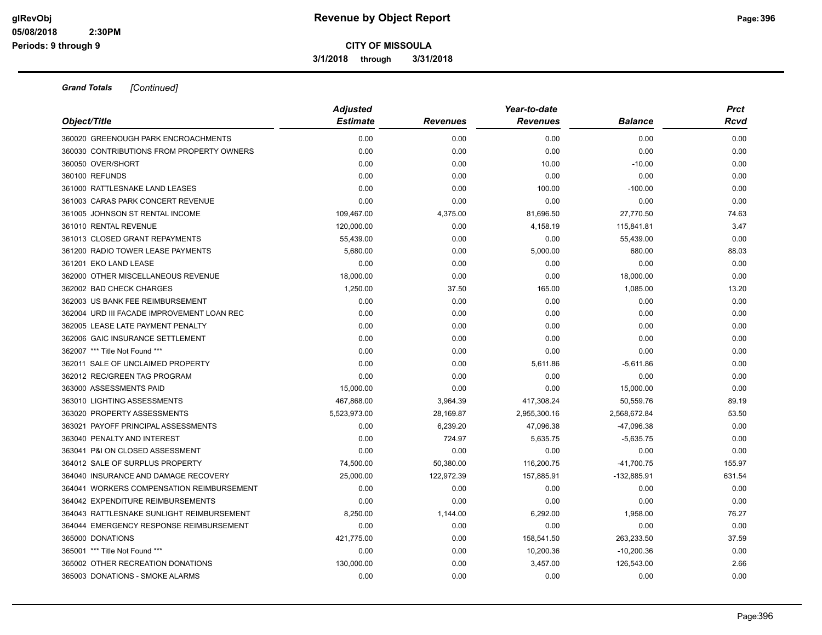**3/1/2018 through 3/31/2018**

|                                            | <b>Adjusted</b> |                 | Year-to-date    |                | <b>Prct</b> |
|--------------------------------------------|-----------------|-----------------|-----------------|----------------|-------------|
| Object/Title                               | <b>Estimate</b> | <b>Revenues</b> | <b>Revenues</b> | <b>Balance</b> | <b>Rcvd</b> |
| 360020 GREENOUGH PARK ENCROACHMENTS        | 0.00            | 0.00            | 0.00            | 0.00           | 0.00        |
| 360030 CONTRIBUTIONS FROM PROPERTY OWNERS  | 0.00            | 0.00            | 0.00            | 0.00           | 0.00        |
| 360050 OVER/SHORT                          | 0.00            | 0.00            | 10.00           | $-10.00$       | 0.00        |
| 360100 REFUNDS                             | 0.00            | 0.00            | 0.00            | 0.00           | 0.00        |
| 361000 RATTLESNAKE LAND LEASES             | 0.00            | 0.00            | 100.00          | $-100.00$      | 0.00        |
| 361003 CARAS PARK CONCERT REVENUE          | 0.00            | 0.00            | 0.00            | 0.00           | 0.00        |
| 361005 JOHNSON ST RENTAL INCOME            | 109,467.00      | 4,375.00        | 81,696.50       | 27,770.50      | 74.63       |
| 361010 RENTAL REVENUE                      | 120,000.00      | 0.00            | 4,158.19        | 115,841.81     | 3.47        |
| 361013 CLOSED GRANT REPAYMENTS             | 55,439.00       | 0.00            | 0.00            | 55,439.00      | 0.00        |
| 361200 RADIO TOWER LEASE PAYMENTS          | 5,680.00        | 0.00            | 5,000.00        | 680.00         | 88.03       |
| 361201 EKO LAND LEASE                      | 0.00            | 0.00            | 0.00            | 0.00           | 0.00        |
| 362000 OTHER MISCELLANEOUS REVENUE         | 18,000.00       | 0.00            | 0.00            | 18,000.00      | 0.00        |
| 362002 BAD CHECK CHARGES                   | 1,250.00        | 37.50           | 165.00          | 1,085.00       | 13.20       |
| 362003 US BANK FEE REIMBURSEMENT           | 0.00            | 0.00            | 0.00            | 0.00           | 0.00        |
| 362004 URD III FACADE IMPROVEMENT LOAN REC | 0.00            | 0.00            | 0.00            | 0.00           | 0.00        |
| 362005 LEASE LATE PAYMENT PENALTY          | 0.00            | 0.00            | 0.00            | 0.00           | 0.00        |
| 362006 GAIC INSURANCE SETTLEMENT           | 0.00            | 0.00            | 0.00            | 0.00           | 0.00        |
| 362007 *** Title Not Found ***             | 0.00            | 0.00            | 0.00            | 0.00           | 0.00        |
| 362011 SALE OF UNCLAIMED PROPERTY          | 0.00            | 0.00            | 5,611.86        | $-5,611.86$    | 0.00        |
| 362012 REC/GREEN TAG PROGRAM               | 0.00            | 0.00            | 0.00            | 0.00           | 0.00        |
| 363000 ASSESSMENTS PAID                    | 15,000.00       | 0.00            | 0.00            | 15,000.00      | 0.00        |
| 363010 LIGHTING ASSESSMENTS                | 467,868.00      | 3,964.39        | 417,308.24      | 50,559.76      | 89.19       |
| 363020 PROPERTY ASSESSMENTS                | 5,523,973.00    | 28,169.87       | 2,955,300.16    | 2,568,672.84   | 53.50       |
| 363021 PAYOFF PRINCIPAL ASSESSMENTS        | 0.00            | 6,239.20        | 47,096.38       | -47,096.38     | 0.00        |
| 363040 PENALTY AND INTEREST                | 0.00            | 724.97          | 5,635.75        | $-5,635.75$    | 0.00        |
| 363041 P&I ON CLOSED ASSESSMENT            | 0.00            | 0.00            | 0.00            | 0.00           | 0.00        |
| 364012 SALE OF SURPLUS PROPERTY            | 74,500.00       | 50,380.00       | 116,200.75      | $-41,700.75$   | 155.97      |
| 364040 INSURANCE AND DAMAGE RECOVERY       | 25,000.00       | 122,972.39      | 157,885.91      | $-132,885.91$  | 631.54      |
| 364041 WORKERS COMPENSATION REIMBURSEMENT  | 0.00            | 0.00            | 0.00            | 0.00           | 0.00        |
| 364042 EXPENDITURE REIMBURSEMENTS          | 0.00            | 0.00            | 0.00            | 0.00           | 0.00        |
| 364043 RATTLESNAKE SUNLIGHT REIMBURSEMENT  | 8,250.00        | 1,144.00        | 6,292.00        | 1,958.00       | 76.27       |
| 364044 EMERGENCY RESPONSE REIMBURSEMENT    | 0.00            | 0.00            | 0.00            | 0.00           | 0.00        |
| 365000 DONATIONS                           | 421,775.00      | 0.00            | 158,541.50      | 263,233.50     | 37.59       |
| 365001 *** Title Not Found ***             | 0.00            | 0.00            | 10,200.36       | $-10,200.36$   | 0.00        |
| 365002 OTHER RECREATION DONATIONS          | 130,000.00      | 0.00            | 3,457.00        | 126,543.00     | 2.66        |
| 365003 DONATIONS - SMOKE ALARMS            | 0.00            | 0.00            | 0.00            | 0.00           | 0.00        |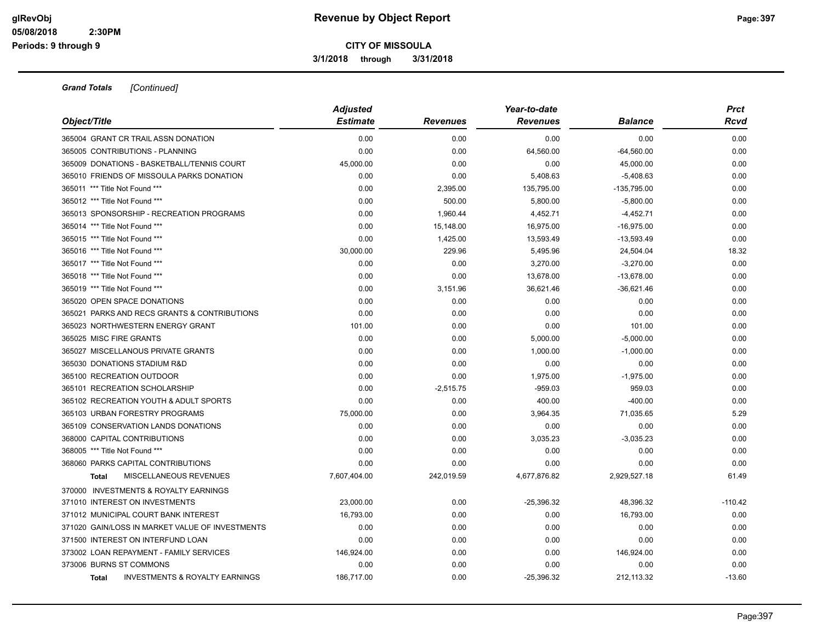**3/1/2018 through 3/31/2018**

| Object/Title                                              | <b>Adjusted</b><br><b>Estimate</b> | <b>Revenues</b> | Year-to-date<br><b>Revenues</b> | <b>Balance</b> | <b>Prct</b><br>Rcvd |
|-----------------------------------------------------------|------------------------------------|-----------------|---------------------------------|----------------|---------------------|
| 365004 GRANT CR TRAIL ASSN DONATION                       | 0.00                               | 0.00            | 0.00                            | 0.00           | 0.00                |
| 365005 CONTRIBUTIONS - PLANNING                           | 0.00                               | 0.00            | 64,560.00                       | $-64,560.00$   | 0.00                |
| 365009 DONATIONS - BASKETBALL/TENNIS COURT                | 45,000.00                          | 0.00            | 0.00                            | 45,000.00      | 0.00                |
| 365010 FRIENDS OF MISSOULA PARKS DONATION                 | 0.00                               | 0.00            | 5,408.63                        | $-5,408.63$    | 0.00                |
| 365011 *** Title Not Found ***                            | 0.00                               | 2,395.00        | 135,795.00                      | $-135,795.00$  | 0.00                |
| 365012 *** Title Not Found ***                            | 0.00                               | 500.00          | 5,800.00                        | $-5,800.00$    | 0.00                |
| 365013 SPONSORSHIP - RECREATION PROGRAMS                  | 0.00                               | 1,960.44        | 4,452.71                        | $-4,452.71$    | 0.00                |
| 365014 *** Title Not Found ***                            | 0.00                               | 15,148.00       | 16,975.00                       | $-16,975.00$   | 0.00                |
| 365015 *** Title Not Found ***                            | 0.00                               | 1,425.00        | 13,593.49                       | $-13,593.49$   | 0.00                |
| 365016 *** Title Not Found ***                            | 30,000.00                          | 229.96          | 5,495.96                        | 24,504.04      | 18.32               |
| 365017 *** Title Not Found ***                            | 0.00                               | 0.00            | 3,270.00                        | $-3,270.00$    | 0.00                |
| 365018 *** Title Not Found ***                            | 0.00                               | 0.00            | 13,678.00                       | $-13,678.00$   | 0.00                |
| 365019 *** Title Not Found ***                            | 0.00                               | 3,151.96        | 36,621.46                       | $-36,621.46$   | 0.00                |
| 365020 OPEN SPACE DONATIONS                               | 0.00                               | 0.00            | 0.00                            | 0.00           | 0.00                |
| 365021 PARKS AND RECS GRANTS & CONTRIBUTIONS              | 0.00                               | 0.00            | 0.00                            | 0.00           | 0.00                |
| 365023 NORTHWESTERN ENERGY GRANT                          | 101.00                             | 0.00            | 0.00                            | 101.00         | 0.00                |
| 365025 MISC FIRE GRANTS                                   | 0.00                               | 0.00            | 5,000.00                        | $-5,000.00$    | 0.00                |
| 365027 MISCELLANOUS PRIVATE GRANTS                        | 0.00                               | 0.00            | 1,000.00                        | $-1,000.00$    | 0.00                |
| 365030 DONATIONS STADIUM R&D                              | 0.00                               | 0.00            | 0.00                            | 0.00           | 0.00                |
| 365100 RECREATION OUTDOOR                                 | 0.00                               | 0.00            | 1,975.00                        | $-1,975.00$    | 0.00                |
| 365101 RECREATION SCHOLARSHIP                             | 0.00                               | $-2,515.75$     | $-959.03$                       | 959.03         | 0.00                |
| 365102 RECREATION YOUTH & ADULT SPORTS                    | 0.00                               | 0.00            | 400.00                          | $-400.00$      | 0.00                |
| 365103 URBAN FORESTRY PROGRAMS                            | 75,000.00                          | 0.00            | 3,964.35                        | 71,035.65      | 5.29                |
| 365109 CONSERVATION LANDS DONATIONS                       | 0.00                               | 0.00            | 0.00                            | 0.00           | 0.00                |
| 368000 CAPITAL CONTRIBUTIONS                              | 0.00                               | 0.00            | 3,035.23                        | $-3,035.23$    | 0.00                |
| 368005 *** Title Not Found ***                            | 0.00                               | 0.00            | 0.00                            | 0.00           | 0.00                |
| 368060 PARKS CAPITAL CONTRIBUTIONS                        | 0.00                               | 0.00            | 0.00                            | 0.00           | 0.00                |
| MISCELLANEOUS REVENUES<br><b>Total</b>                    | 7,607,404.00                       | 242,019.59      | 4,677,876.82                    | 2,929,527.18   | 61.49               |
| 370000 INVESTMENTS & ROYALTY EARNINGS                     |                                    |                 |                                 |                |                     |
| 371010 INTEREST ON INVESTMENTS                            | 23,000.00                          | 0.00            | $-25,396.32$                    | 48,396.32      | $-110.42$           |
| 371012 MUNICIPAL COURT BANK INTEREST                      | 16,793.00                          | 0.00            | 0.00                            | 16,793.00      | 0.00                |
| 371020 GAIN/LOSS IN MARKET VALUE OF INVESTMENTS           | 0.00                               | 0.00            | 0.00                            | 0.00           | 0.00                |
| 371500 INTEREST ON INTERFUND LOAN                         | 0.00                               | 0.00            | 0.00                            | 0.00           | 0.00                |
| 373002 LOAN REPAYMENT - FAMILY SERVICES                   | 146,924.00                         | 0.00            | 0.00                            | 146,924.00     | 0.00                |
| 373006 BURNS ST COMMONS                                   | 0.00                               | 0.00            | 0.00                            | 0.00           | 0.00                |
| <b>INVESTMENTS &amp; ROYALTY EARNINGS</b><br><b>Total</b> | 186,717.00                         | 0.00            | $-25,396.32$                    | 212,113.32     | $-13.60$            |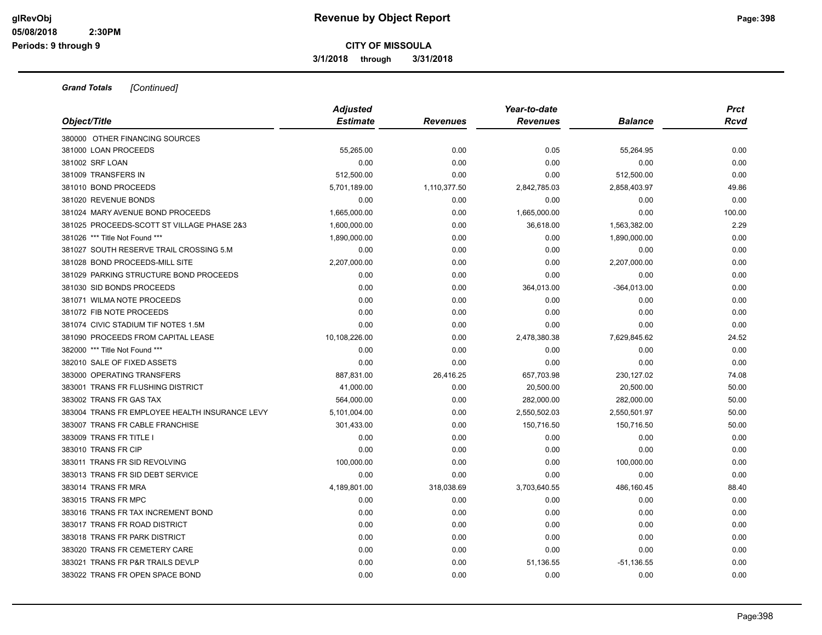**3/1/2018 through 3/31/2018**

| Object/Title                                   | <b>Adjusted</b> |                 | Year-to-date    | <b>Balance</b> | <b>Prct</b><br><b>Rcvd</b> |
|------------------------------------------------|-----------------|-----------------|-----------------|----------------|----------------------------|
|                                                | <b>Estimate</b> | <b>Revenues</b> | <b>Revenues</b> |                |                            |
| 380000 OTHER FINANCING SOURCES                 |                 |                 |                 |                |                            |
| 381000 LOAN PROCEEDS                           | 55,265.00       | 0.00            | 0.05            | 55,264.95      | 0.00                       |
| 381002 SRF LOAN                                | 0.00            | 0.00            | 0.00            | 0.00           | 0.00                       |
| 381009 TRANSFERS IN                            | 512,500.00      | 0.00            | 0.00            | 512,500.00     | 0.00                       |
| 381010 BOND PROCEEDS                           | 5,701,189.00    | 1,110,377.50    | 2,842,785.03    | 2,858,403.97   | 49.86                      |
| 381020 REVENUE BONDS                           | 0.00            | 0.00            | 0.00            | 0.00           | 0.00                       |
| 381024 MARY AVENUE BOND PROCEEDS               | 1,665,000.00    | 0.00            | 1,665,000.00    | 0.00           | 100.00                     |
| 381025 PROCEEDS-SCOTT ST VILLAGE PHASE 2&3     | 1,600,000.00    | 0.00            | 36,618.00       | 1,563,382.00   | 2.29                       |
| 381026 *** Title Not Found ***                 | 1,890,000.00    | 0.00            | 0.00            | 1,890,000.00   | 0.00                       |
| 381027 SOUTH RESERVE TRAIL CROSSING 5.M        | 0.00            | 0.00            | 0.00            | 0.00           | 0.00                       |
| 381028 BOND PROCEEDS-MILL SITE                 | 2,207,000.00    | 0.00            | 0.00            | 2,207,000.00   | 0.00                       |
| 381029 PARKING STRUCTURE BOND PROCEEDS         | 0.00            | 0.00            | 0.00            | 0.00           | 0.00                       |
| 381030 SID BONDS PROCEEDS                      | 0.00            | 0.00            | 364,013.00      | $-364,013.00$  | 0.00                       |
| 381071 WILMA NOTE PROCEEDS                     | 0.00            | 0.00            | 0.00            | 0.00           | 0.00                       |
| 381072 FIB NOTE PROCEEDS                       | 0.00            | 0.00            | 0.00            | 0.00           | 0.00                       |
| 381074 CIVIC STADIUM TIF NOTES 1.5M            | 0.00            | 0.00            | 0.00            | 0.00           | 0.00                       |
| 381090 PROCEEDS FROM CAPITAL LEASE             | 10,108,226.00   | 0.00            | 2,478,380.38    | 7,629,845.62   | 24.52                      |
| 382000 *** Title Not Found ***                 | 0.00            | 0.00            | 0.00            | 0.00           | 0.00                       |
| 382010 SALE OF FIXED ASSETS                    | 0.00            | 0.00            | 0.00            | 0.00           | 0.00                       |
| 383000 OPERATING TRANSFERS                     | 887,831.00      | 26,416.25       | 657,703.98      | 230,127.02     | 74.08                      |
| 383001 TRANS FR FLUSHING DISTRICT              | 41,000.00       | 0.00            | 20,500.00       | 20,500.00      | 50.00                      |
| 383002 TRANS FR GAS TAX                        | 564,000.00      | 0.00            | 282,000.00      | 282,000.00     | 50.00                      |
| 383004 TRANS FR EMPLOYEE HEALTH INSURANCE LEVY | 5,101,004.00    | 0.00            | 2,550,502.03    | 2,550,501.97   | 50.00                      |
| 383007 TRANS FR CABLE FRANCHISE                | 301,433.00      | 0.00            | 150,716.50      | 150,716.50     | 50.00                      |
| 383009 TRANS FR TITLE I                        | 0.00            | 0.00            | 0.00            | 0.00           | 0.00                       |
| 383010 TRANS FR CIP                            | 0.00            | 0.00            | 0.00            | 0.00           | 0.00                       |
| 383011 TRANS FR SID REVOLVING                  | 100,000.00      | 0.00            | 0.00            | 100,000.00     | 0.00                       |
| 383013 TRANS FR SID DEBT SERVICE               | 0.00            | 0.00            | 0.00            | 0.00           | 0.00                       |
| 383014 TRANS FR MRA                            | 4,189,801.00    | 318,038.69      | 3,703,640.55    | 486,160.45     | 88.40                      |
| 383015 TRANS FR MPC                            | 0.00            | 0.00            | 0.00            | 0.00           | 0.00                       |
| 383016 TRANS FR TAX INCREMENT BOND             | 0.00            | 0.00            | 0.00            | 0.00           | 0.00                       |
| 383017 TRANS FR ROAD DISTRICT                  | 0.00            | 0.00            | 0.00            | 0.00           | 0.00                       |
| 383018 TRANS FR PARK DISTRICT                  | 0.00            | 0.00            | 0.00            | 0.00           | 0.00                       |
| 383020 TRANS FR CEMETERY CARE                  | 0.00            | 0.00            | 0.00            | 0.00           | 0.00                       |
| 383021 TRANS FR P&R TRAILS DEVLP               | 0.00            | 0.00            | 51,136.55       | $-51, 136.55$  | 0.00                       |
| 383022 TRANS FR OPEN SPACE BOND                | 0.00            | 0.00            | 0.00            | 0.00           | 0.00                       |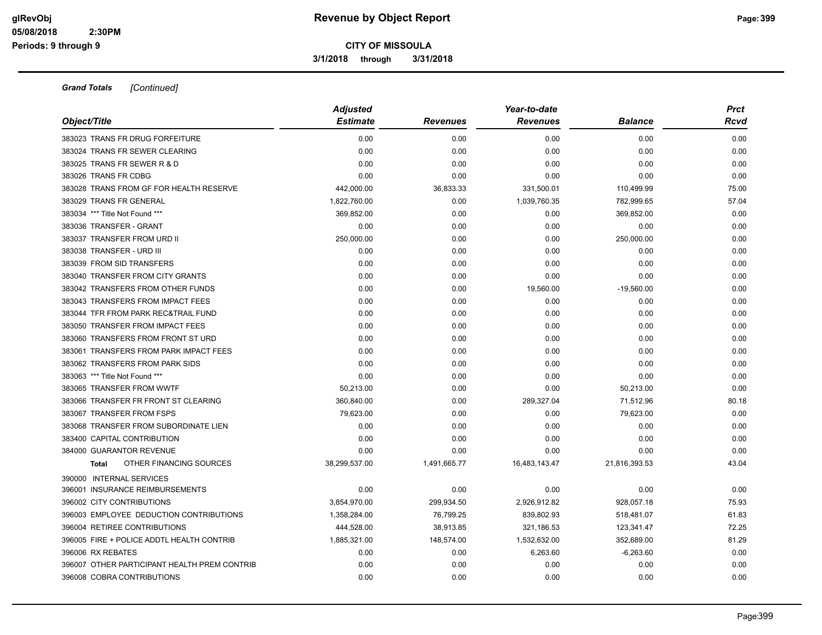**3/1/2018 through 3/31/2018**

| Object/Title                                 | <b>Adjusted</b><br><b>Estimate</b> | <b>Revenues</b> | Year-to-date<br><b>Revenues</b> | <b>Balance</b> | <b>Prct</b><br>Rcvd |
|----------------------------------------------|------------------------------------|-----------------|---------------------------------|----------------|---------------------|
| 383023 TRANS FR DRUG FORFEITURE              | 0.00                               | 0.00            | 0.00                            | 0.00           | 0.00                |
| 383024 TRANS FR SEWER CLEARING               | 0.00                               | 0.00            | 0.00                            | 0.00           | 0.00                |
| 383025 TRANS FR SEWER R & D                  | 0.00                               | 0.00            | 0.00                            | 0.00           | 0.00                |
| 383026 TRANS FR CDBG                         | 0.00                               | 0.00            | 0.00                            | 0.00           | 0.00                |
| 383028 TRANS FROM GF FOR HEALTH RESERVE      | 442,000.00                         | 36,833.33       | 331,500.01                      | 110,499.99     | 75.00               |
| 383029 TRANS FR GENERAL                      | 1,822,760.00                       | 0.00            | 1,039,760.35                    | 782,999.65     | 57.04               |
| 383034 *** Title Not Found ***               | 369,852.00                         | 0.00            | 0.00                            | 369,852.00     | 0.00                |
| 383036 TRANSFER - GRANT                      | 0.00                               | 0.00            | 0.00                            | 0.00           | 0.00                |
| 383037 TRANSFER FROM URD II                  | 250,000.00                         | 0.00            | 0.00                            | 250,000.00     | 0.00                |
| 383038 TRANSFER - URD III                    | 0.00                               | 0.00            | 0.00                            | 0.00           | 0.00                |
| 383039 FROM SID TRANSFERS                    | 0.00                               | 0.00            | 0.00                            | 0.00           | 0.00                |
| 383040 TRANSFER FROM CITY GRANTS             | 0.00                               | 0.00            | 0.00                            | 0.00           | 0.00                |
| 383042 TRANSFERS FROM OTHER FUNDS            | 0.00                               | 0.00            | 19,560.00                       | $-19,560.00$   | 0.00                |
| 383043 TRANSFERS FROM IMPACT FEES            | 0.00                               | 0.00            | 0.00                            | 0.00           | 0.00                |
| 383044 TFR FROM PARK REC&TRAIL FUND          | 0.00                               | 0.00            | 0.00                            | 0.00           | 0.00                |
| 383050 TRANSFER FROM IMPACT FEES             | 0.00                               | 0.00            | 0.00                            | 0.00           | 0.00                |
| 383060 TRANSFERS FROM FRONT ST URD           | 0.00                               | 0.00            | 0.00                            | 0.00           | 0.00                |
| 383061 TRANSFERS FROM PARK IMPACT FEES       | 0.00                               | 0.00            | 0.00                            | 0.00           | 0.00                |
| 383062 TRANSFERS FROM PARK SIDS              | 0.00                               | 0.00            | 0.00                            | 0.00           | 0.00                |
| 383063 *** Title Not Found ***               | 0.00                               | 0.00            | 0.00                            | 0.00           | 0.00                |
| 383065 TRANSFER FROM WWTF                    | 50,213.00                          | 0.00            | 0.00                            | 50,213.00      | 0.00                |
| 383066 TRANSFER FR FRONT ST CLEARING         | 360,840.00                         | 0.00            | 289,327.04                      | 71,512.96      | 80.18               |
| 383067 TRANSFER FROM FSPS                    | 79,623.00                          | 0.00            | 0.00                            | 79,623.00      | 0.00                |
| 383068 TRANSFER FROM SUBORDINATE LIEN        | 0.00                               | 0.00            | 0.00                            | 0.00           | 0.00                |
| 383400 CAPITAL CONTRIBUTION                  | 0.00                               | 0.00            | 0.00                            | 0.00           | 0.00                |
| 384000 GUARANTOR REVENUE                     | 0.00                               | 0.00            | 0.00                            | 0.00           | 0.00                |
| OTHER FINANCING SOURCES<br>Total             | 38,299,537.00                      | 1,491,665.77    | 16,483,143.47                   | 21,816,393.53  | 43.04               |
| 390000 INTERNAL SERVICES                     |                                    |                 |                                 |                |                     |
| 396001 INSURANCE REIMBURSEMENTS              | 0.00                               | 0.00            | 0.00                            | 0.00           | 0.00                |
| 396002 CITY CONTRIBUTIONS                    | 3,854,970.00                       | 299,934.50      | 2,926,912.82                    | 928,057.18     | 75.93               |
| 396003 EMPLOYEE DEDUCTION CONTRIBUTIONS      | 1,358,284.00                       | 76,799.25       | 839,802.93                      | 518,481.07     | 61.83               |
| 396004 RETIREE CONTRIBUTIONS                 | 444,528.00                         | 38,913.85       | 321,186.53                      | 123,341.47     | 72.25               |
| 396005 FIRE + POLICE ADDTL HEALTH CONTRIB    | 1,885,321.00                       | 148,574.00      | 1,532,632.00                    | 352,689.00     | 81.29               |
| 396006 RX REBATES                            | 0.00                               | 0.00            | 6,263.60                        | $-6,263.60$    | 0.00                |
| 396007 OTHER PARTICIPANT HEALTH PREM CONTRIB | 0.00                               | 0.00            | 0.00                            | 0.00           | 0.00                |
| 396008 COBRA CONTRIBUTIONS                   | 0.00                               | 0.00            | 0.00                            | 0.00           | 0.00                |